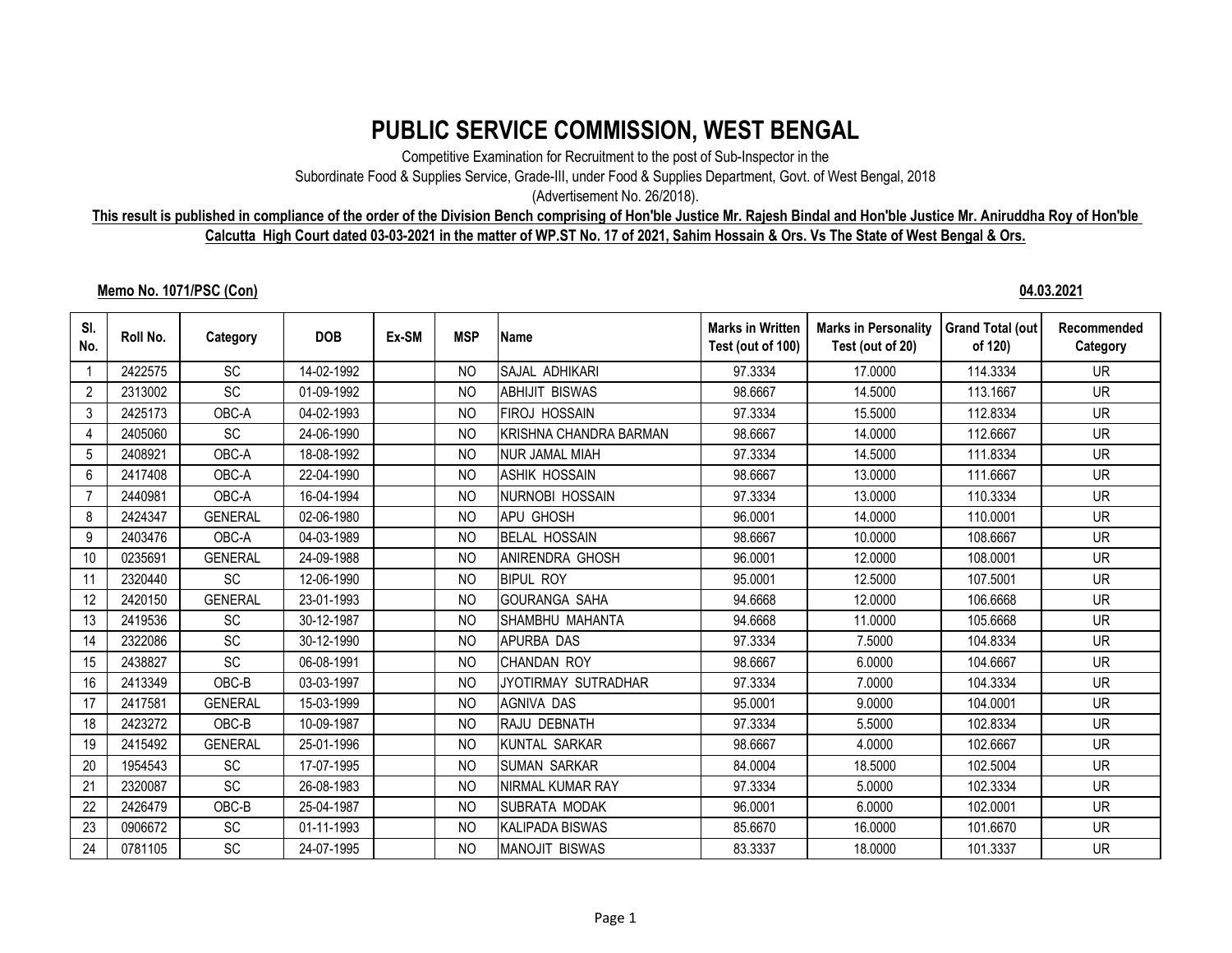## **PUBLIC SERVICE COMMISSION, WEST BENGAL**

Competitive Examination for Recruitment to the post of Sub-Inspector in the

Subordinate Food & Supplies Service, Grade-III, under Food & Supplies Department, Govt. of West Bengal, 2018

(Advertisement No. 26/2018).

## **This result is published in compliance of the order of the Division Bench comprising of Hon'ble Justice Mr. Rajesh Bindal and Hon'ble Justice Mr. Aniruddha Roy of Hon'ble Calcutta High Court dated 03-03-2021 in the matter of WP.ST No. 17 of 2021, Sahim Hossain & Ors. Vs The State of West Bengal & Ors.**

## **Memo No. 1071/PSC (Con) 04.03.2021**

| SI.<br>No.     | Roll No. | Category       | <b>DOB</b> | Ex-SM | <b>MSP</b>     | Name                   | <b>Marks in Written</b><br>Test (out of 100) | <b>Marks in Personality</b><br>Test (out of 20) | <b>Grand Total (out</b><br>of 120) | Recommended<br>Category |
|----------------|----------|----------------|------------|-------|----------------|------------------------|----------------------------------------------|-------------------------------------------------|------------------------------------|-------------------------|
|                | 2422575  | <b>SC</b>      | 14-02-1992 |       | N <sub>O</sub> | SAJAL ADHIKARI         | 97.3334                                      | 17,0000                                         | 114.3334                           | <b>UR</b>               |
| $\overline{2}$ | 2313002  | SC             | 01-09-1992 |       | <b>NO</b>      | <b>ABHIJIT BISWAS</b>  | 98.6667                                      | 14.5000                                         | 113.1667                           | <b>UR</b>               |
| 3              | 2425173  | OBC-A          | 04-02-1993 |       | <b>NO</b>      | <b>FIROJ HOSSAIN</b>   | 97.3334                                      | 15.5000                                         | 112.8334                           | <b>UR</b>               |
| 4              | 2405060  | <b>SC</b>      | 24-06-1990 |       | N <sub>O</sub> | KRISHNA CHANDRA BARMAN | 98.6667                                      | 14.0000                                         | 112.6667                           | <b>UR</b>               |
| 5              | 2408921  | OBC-A          | 18-08-1992 |       | N <sub>O</sub> | NUR JAMAL MIAH         | 97.3334                                      | 14.5000                                         | 111.8334                           | <b>UR</b>               |
| 6              | 2417408  | OBC-A          | 22-04-1990 |       | <b>NO</b>      | <b>ASHIK HOSSAIN</b>   | 98.6667                                      | 13.0000                                         | 111.6667                           | <b>UR</b>               |
| $\overline{7}$ | 2440981  | OBC-A          | 16-04-1994 |       | N <sub>O</sub> | <b>NURNOBI HOSSAIN</b> | 97.3334                                      | 13.0000                                         | 110.3334                           | <b>UR</b>               |
| 8              | 2424347  | <b>GENERAL</b> | 02-06-1980 |       | <b>NO</b>      | <b>APU GHOSH</b>       | 96.0001                                      | 14.0000                                         | 110.0001                           | <b>UR</b>               |
| 9              | 2403476  | OBC-A          | 04-03-1989 |       | N <sub>O</sub> | <b>BELAL HOSSAIN</b>   | 98.6667                                      | 10.0000                                         | 108.6667                           | <b>UR</b>               |
| 10             | 0235691  | <b>GENERAL</b> | 24-09-1988 |       | N <sub>O</sub> | <b>ANIRENDRA GHOSH</b> | 96.0001                                      | 12.0000                                         | 108.0001                           | <b>UR</b>               |
| 11             | 2320440  | <b>SC</b>      | 12-06-1990 |       | N <sub>O</sub> | <b>BIPUL ROY</b>       | 95.0001                                      | 12,5000                                         | 107.5001                           | <b>UR</b>               |
| 12             | 2420150  | <b>GENERAL</b> | 23-01-1993 |       | N <sub>O</sub> | <b>GOURANGA SAHA</b>   | 94.6668                                      | 12.0000                                         | 106.6668                           | <b>UR</b>               |
| 13             | 2419536  | <b>SC</b>      | 30-12-1987 |       | <b>NO</b>      | SHAMBHU MAHANTA        | 94.6668                                      | 11.0000                                         | 105.6668                           | <b>UR</b>               |
| 14             | 2322086  | <b>SC</b>      | 30-12-1990 |       | N <sub>O</sub> | <b>APURBA DAS</b>      | 97.3334                                      | 7.5000                                          | 104.8334                           | <b>UR</b>               |
| 15             | 2438827  | SC             | 06-08-1991 |       | NO.            | <b>CHANDAN ROY</b>     | 98.6667                                      | 6.0000                                          | 104.6667                           | <b>UR</b>               |
| 16             | 2413349  | OBC-B          | 03-03-1997 |       | <b>NO</b>      | JYOTIRMAY SUTRADHAR    | 97.3334                                      | 7.0000                                          | 104.3334                           | <b>UR</b>               |
| 17             | 2417581  | <b>GENERAL</b> | 15-03-1999 |       | N <sub>O</sub> | <b>AGNIVA DAS</b>      | 95.0001                                      | 9.0000                                          | 104.0001                           | <b>UR</b>               |
| 18             | 2423272  | OBC-B          | 10-09-1987 |       | <b>NO</b>      | RAJU DEBNATH           | 97.3334                                      | 5.5000                                          | 102.8334                           | <b>UR</b>               |
| 19             | 2415492  | <b>GENERAL</b> | 25-01-1996 |       | N <sub>O</sub> | KUNTAL SARKAR          | 98.6667                                      | 4.0000                                          | 102.6667                           | <b>UR</b>               |
| 20             | 1954543  | <b>SC</b>      | 17-07-1995 |       | N <sub>O</sub> | <b>SUMAN SARKAR</b>    | 84.0004                                      | 18.5000                                         | 102.5004                           | <b>UR</b>               |
| 21             | 2320087  | <b>SC</b>      | 26-08-1983 |       | N <sub>O</sub> | NIRMAL KUMAR RAY       | 97.3334                                      | 5.0000                                          | 102.3334                           | <b>UR</b>               |
| 22             | 2426479  | OBC-B          | 25-04-1987 |       | N <sub>O</sub> | <b>SUBRATA MODAK</b>   | 96.0001                                      | 6.0000                                          | 102.0001                           | <b>UR</b>               |
| 23             | 0906672  | SC             | 01-11-1993 |       | N <sub>O</sub> | KALIPADA BISWAS        | 85.6670                                      | 16.0000                                         | 101.6670                           | <b>UR</b>               |
| 24             | 0781105  | SC             | 24-07-1995 |       | <b>NO</b>      | <b>MANOJIT BISWAS</b>  | 83.3337                                      | 18.0000                                         | 101.3337                           | <b>UR</b>               |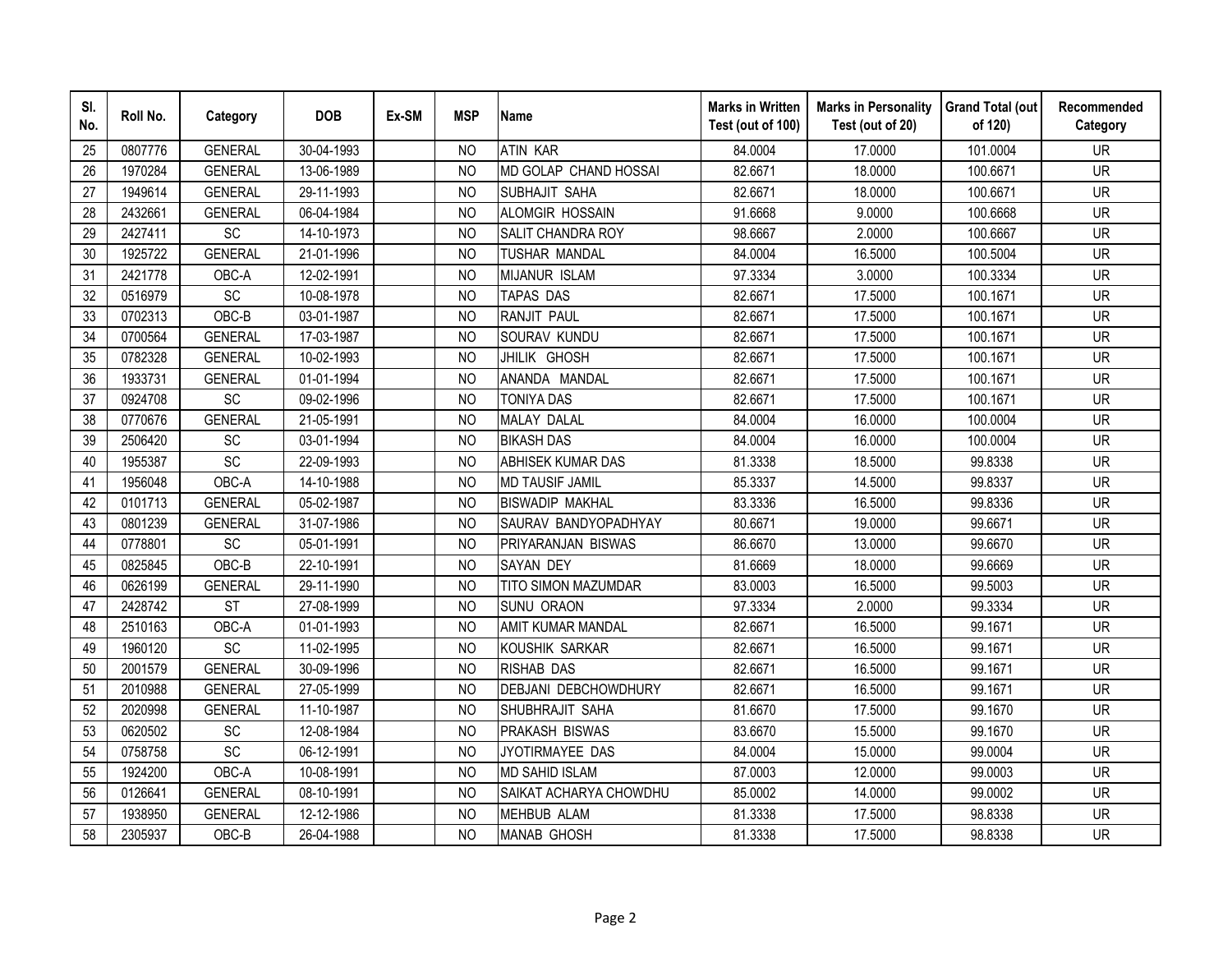| SI.<br>No. | Roll No. | Category       | <b>DOB</b> | Ex-SM | <b>MSP</b>     | <b>Name</b>                | <b>Marks in Written</b><br>Test (out of 100) | <b>Marks in Personality</b><br>Test (out of 20) | <b>Grand Total (out</b><br>of 120) | Recommended<br>Category |
|------------|----------|----------------|------------|-------|----------------|----------------------------|----------------------------------------------|-------------------------------------------------|------------------------------------|-------------------------|
| 25         | 0807776  | <b>GENERAL</b> | 30-04-1993 |       | N <sub>O</sub> | <b>ATIN KAR</b>            | 84.0004                                      | 17.0000                                         | 101.0004                           | <b>UR</b>               |
| 26         | 1970284  | <b>GENERAL</b> | 13-06-1989 |       | <b>NO</b>      | MD GOLAP CHAND HOSSAI      | 82.6671                                      | 18.0000                                         | 100.6671                           | <b>UR</b>               |
| 27         | 1949614  | <b>GENERAL</b> | 29-11-1993 |       | N <sub>O</sub> | SUBHAJIT SAHA              | 82.6671                                      | 18.0000                                         | 100.6671                           | <b>UR</b>               |
| 28         | 2432661  | <b>GENERAL</b> | 06-04-1984 |       | N <sub>O</sub> | ALOMGIR HOSSAIN            | 91.6668                                      | 9.0000                                          | 100.6668                           | <b>UR</b>               |
| 29         | 2427411  | SC             | 14-10-1973 |       | NO             | SALIT CHANDRA ROY          | 98.6667                                      | 2.0000                                          | 100.6667                           | <b>UR</b>               |
| 30         | 1925722  | <b>GENERAL</b> | 21-01-1996 |       | N <sub>O</sub> | TUSHAR MANDAL              | 84.0004                                      | 16.5000                                         | 100.5004                           | <b>UR</b>               |
| 31         | 2421778  | OBC-A          | 12-02-1991 |       | N <sub>O</sub> | <b>MIJANUR ISLAM</b>       | 97.3334                                      | 3.0000                                          | 100.3334                           | <b>UR</b>               |
| 32         | 0516979  | <b>SC</b>      | 10-08-1978 |       | N <sub>O</sub> | TAPAS DAS                  | 82.6671                                      | 17.5000                                         | 100.1671                           | <b>UR</b>               |
| 33         | 0702313  | OBC-B          | 03-01-1987 |       | N <sub>O</sub> | RANJIT PAUL                | 82.6671                                      | 17.5000                                         | 100.1671                           | <b>UR</b>               |
| 34         | 0700564  | <b>GENERAL</b> | 17-03-1987 |       | <b>NO</b>      | SOURAV KUNDU               | 82.6671                                      | 17.5000                                         | 100.1671                           | <b>UR</b>               |
| 35         | 0782328  | <b>GENERAL</b> | 10-02-1993 |       | N <sub>O</sub> | JHILIK GHOSH               | 82.6671                                      | 17.5000                                         | 100.1671                           | <b>UR</b>               |
| 36         | 1933731  | <b>GENERAL</b> | 01-01-1994 |       | <b>NO</b>      | ANANDA MANDAL              | 82.6671                                      | 17.5000                                         | 100.1671                           | <b>UR</b>               |
| 37         | 0924708  | SC             | 09-02-1996 |       | <b>NO</b>      | <b>TONIYA DAS</b>          | 82.6671                                      | 17.5000                                         | 100.1671                           | <b>UR</b>               |
| 38         | 0770676  | <b>GENERAL</b> | 21-05-1991 |       | N <sub>O</sub> | <b>MALAY DALAL</b>         | 84.0004                                      | 16.0000                                         | 100.0004                           | <b>UR</b>               |
| 39         | 2506420  | SC             | 03-01-1994 |       | N <sub>O</sub> | <b>BIKASH DAS</b>          | 84.0004                                      | 16.0000                                         | 100.0004                           | <b>UR</b>               |
| 40         | 1955387  | SC             | 22-09-1993 |       | <b>NO</b>      | ABHISEK KUMAR DAS          | 81.3338                                      | 18.5000                                         | 99.8338                            | <b>UR</b>               |
| 41         | 1956048  | OBC-A          | 14-10-1988 |       | N <sub>O</sub> | <b>MD TAUSIF JAMIL</b>     | 85.3337                                      | 14.5000                                         | 99.8337                            | <b>UR</b>               |
| 42         | 0101713  | <b>GENERAL</b> | 05-02-1987 |       | N <sub>O</sub> | <b>BISWADIP MAKHAL</b>     | 83.3336                                      | 16.5000                                         | 99.8336                            | <b>UR</b>               |
| 43         | 0801239  | <b>GENERAL</b> | 31-07-1986 |       | <b>NO</b>      | SAURAV BANDYOPADHYAY       | 80.6671                                      | 19.0000                                         | 99.6671                            | <b>UR</b>               |
| 44         | 0778801  | SC             | 05-01-1991 |       | N <sub>O</sub> | PRIYARANJAN BISWAS         | 86.6670                                      | 13.0000                                         | 99.6670                            | <b>UR</b>               |
| 45         | 0825845  | OBC-B          | 22-10-1991 |       | <b>NO</b>      | <b>SAYAN DEY</b>           | 81.6669                                      | 18.0000                                         | 99.6669                            | <b>UR</b>               |
| 46         | 0626199  | <b>GENERAL</b> | 29-11-1990 |       | N <sub>O</sub> | <b>TITO SIMON MAZUMDAR</b> | 83.0003                                      | 16.5000                                         | 99.5003                            | <b>UR</b>               |
| 47         | 2428742  | <b>ST</b>      | 27-08-1999 |       | <b>NO</b>      | <b>SUNU ORAON</b>          | 97.3334                                      | 2.0000                                          | 99.3334                            | <b>UR</b>               |
| 48         | 2510163  | OBC-A          | 01-01-1993 |       | N <sub>O</sub> | AMIT KUMAR MANDAL          | 82.6671                                      | 16.5000                                         | 99.1671                            | <b>UR</b>               |
| 49         | 1960120  | SC             | 11-02-1995 |       | N <sub>O</sub> | KOUSHIK SARKAR             | 82.6671                                      | 16.5000                                         | 99.1671                            | <b>UR</b>               |
| 50         | 2001579  | <b>GENERAL</b> | 30-09-1996 |       | N <sub>O</sub> | <b>RISHAB DAS</b>          | 82.6671                                      | 16.5000                                         | 99.1671                            | <b>UR</b>               |
| 51         | 2010988  | <b>GENERAL</b> | 27-05-1999 |       | N <sub>O</sub> | DEBJANI DEBCHOWDHURY       | 82.6671                                      | 16.5000                                         | 99.1671                            | <b>UR</b>               |
| 52         | 2020998  | <b>GENERAL</b> | 11-10-1987 |       | N <sub>O</sub> | SHUBHRAJIT SAHA            | 81.6670                                      | 17.5000                                         | 99.1670                            | <b>UR</b>               |
| 53         | 0620502  | SC             | 12-08-1984 |       | NO             | <b>PRAKASH BISWAS</b>      | 83.6670                                      | 15.5000                                         | 99.1670                            | <b>UR</b>               |
| 54         | 0758758  | SC             | 06-12-1991 |       | N <sub>O</sub> | JYOTIRMAYEE DAS            | 84.0004                                      | 15.0000                                         | 99.0004                            | <b>UR</b>               |
| 55         | 1924200  | OBC-A          | 10-08-1991 |       | <b>NO</b>      | <b>MD SAHID ISLAM</b>      | 87.0003                                      | 12.0000                                         | 99.0003                            | <b>UR</b>               |
| 56         | 0126641  | <b>GENERAL</b> | 08-10-1991 |       | N <sub>O</sub> | SAIKAT ACHARYA CHOWDHU     | 85.0002                                      | 14.0000                                         | 99.0002                            | <b>UR</b>               |
| 57         | 1938950  | <b>GENERAL</b> | 12-12-1986 |       | <b>NO</b>      | <b>MEHBUB ALAM</b>         | 81.3338                                      | 17.5000                                         | 98.8338                            | <b>UR</b>               |
| 58         | 2305937  | $OBC-B$        | 26-04-1988 |       | <b>NO</b>      | <b>MANAB GHOSH</b>         | 81.3338                                      | 17.5000                                         | 98.8338                            | <b>UR</b>               |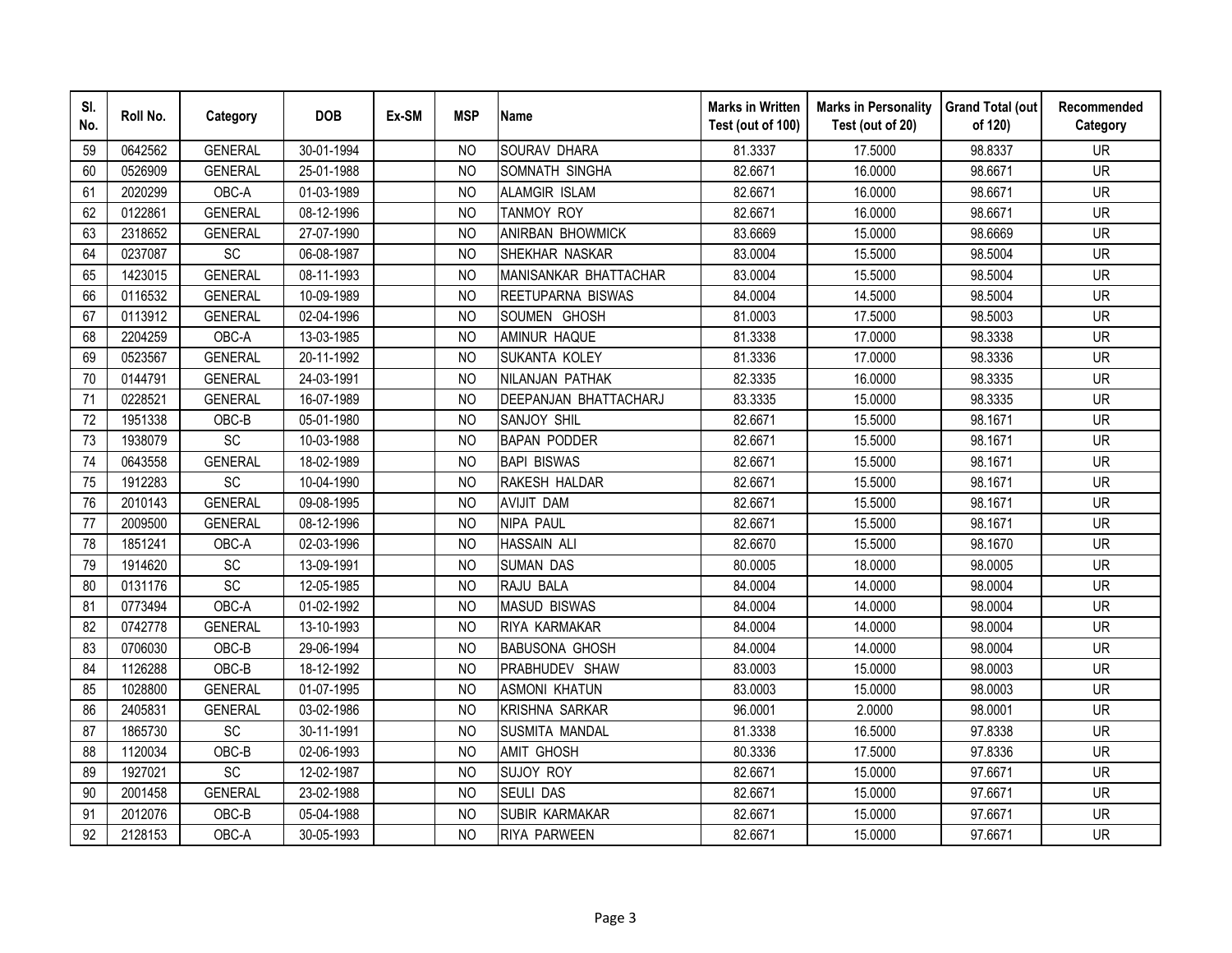| SI.<br>No. | Roll No. | Category        | <b>DOB</b> | Ex-SM | <b>MSP</b>     | <b>Name</b>           | <b>Marks in Written</b><br>Test (out of 100) | <b>Marks in Personality</b><br>Test (out of 20) | <b>Grand Total (out</b><br>of 120) | Recommended<br>Category |
|------------|----------|-----------------|------------|-------|----------------|-----------------------|----------------------------------------------|-------------------------------------------------|------------------------------------|-------------------------|
| 59         | 0642562  | <b>GENERAL</b>  | 30-01-1994 |       | <b>NO</b>      | SOURAV DHARA          | 81.3337                                      | 17.5000                                         | 98.8337                            | <b>UR</b>               |
| 60         | 0526909  | <b>GENERAL</b>  | 25-01-1988 |       | N <sub>O</sub> | SOMNATH SINGHA        | 82.6671                                      | 16.0000                                         | 98.6671                            | <b>UR</b>               |
| 61         | 2020299  | OBC-A           | 01-03-1989 |       | <b>NO</b>      | <b>ALAMGIR ISLAM</b>  | 82.6671                                      | 16.0000                                         | 98.6671                            | <b>UR</b>               |
| 62         | 0122861  | <b>GENERAL</b>  | 08-12-1996 |       | <b>NO</b>      | TANMOY ROY            | 82.6671                                      | 16.0000                                         | 98.6671                            | <b>UR</b>               |
| 63         | 2318652  | <b>GENERAL</b>  | 27-07-1990 |       | N <sub>O</sub> | ANIRBAN BHOWMICK      | 83.6669                                      | 15.0000                                         | 98.6669                            | <b>UR</b>               |
| 64         | 0237087  | SC              | 06-08-1987 |       | <b>NO</b>      | <b>SHEKHAR NASKAR</b> | 83.0004                                      | 15.5000                                         | 98.5004                            | <b>UR</b>               |
| 65         | 1423015  | <b>GENERAL</b>  | 08-11-1993 |       | <b>NO</b>      | MANISANKAR BHATTACHAR | 83.0004                                      | 15.5000                                         | 98.5004                            | <b>UR</b>               |
| 66         | 0116532  | <b>GENERAL</b>  | 10-09-1989 |       | <b>NO</b>      | REETUPARNA BISWAS     | 84.0004                                      | 14.5000                                         | 98.5004                            | <b>UR</b>               |
| 67         | 0113912  | <b>GENERAL</b>  | 02-04-1996 |       | N <sub>O</sub> | SOUMEN GHOSH          | 81.0003                                      | 17.5000                                         | 98.5003                            | <b>UR</b>               |
| 68         | 2204259  | OBC-A           | 13-03-1985 |       | <b>NO</b>      | AMINUR HAQUE          | 81.3338                                      | 17.0000                                         | 98.3338                            | <b>UR</b>               |
| 69         | 0523567  | <b>GENERAL</b>  | 20-11-1992 |       | N <sub>O</sub> | SUKANTA KOLEY         | 81.3336                                      | 17.0000                                         | 98.3336                            | <b>UR</b>               |
| 70         | 0144791  | <b>GENERAL</b>  | 24-03-1991 |       | N <sub>O</sub> | NILANJAN PATHAK       | 82.3335                                      | 16.0000                                         | 98.3335                            | <b>UR</b>               |
| 71         | 0228521  | <b>GENERAL</b>  | 16-07-1989 |       | <b>NO</b>      | DEEPANJAN BHATTACHARJ | 83.3335                                      | 15.0000                                         | 98.3335                            | <b>UR</b>               |
| 72         | 1951338  | OBC-B           | 05-01-1980 |       | <b>NO</b>      | SANJOY SHIL           | 82.6671                                      | 15.5000                                         | 98.1671                            | <b>UR</b>               |
| 73         | 1938079  | SC              | 10-03-1988 |       | N <sub>O</sub> | <b>BAPAN PODDER</b>   | 82.6671                                      | 15.5000                                         | 98.1671                            | <b>UR</b>               |
| 74         | 0643558  | <b>GENERAL</b>  | 18-02-1989 |       | N <sub>O</sub> | <b>BAPI BISWAS</b>    | 82.6671                                      | 15.5000                                         | 98.1671                            | <b>UR</b>               |
| 75         | 1912283  | SC              | 10-04-1990 |       | N <sub>O</sub> | RAKESH HALDAR         | 82.6671                                      | 15.5000                                         | 98.1671                            | <b>UR</b>               |
| 76         | 2010143  | <b>GENERAL</b>  | 09-08-1995 |       | <b>NO</b>      | <b>AVIJIT DAM</b>     | 82.6671                                      | 15.5000                                         | 98.1671                            | <b>UR</b>               |
| 77         | 2009500  | <b>GENERAL</b>  | 08-12-1996 |       | NO.            | <b>NIPA PAUL</b>      | 82.6671                                      | 15.5000                                         | 98.1671                            | <b>UR</b>               |
| 78         | 1851241  | OBC-A           | 02-03-1996 |       | N <sub>O</sub> | <b>HASSAIN ALI</b>    | 82.6670                                      | 15.5000                                         | 98.1670                            | <b>UR</b>               |
| 79         | 1914620  | SC              | 13-09-1991 |       | N <sub>O</sub> | <b>SUMAN DAS</b>      | 80.0005                                      | 18.0000                                         | 98.0005                            | <b>UR</b>               |
| 80         | 0131176  | SC              | 12-05-1985 |       | <b>NO</b>      | RAJU BALA             | 84.0004                                      | 14.0000                                         | 98.0004                            | <b>UR</b>               |
| 81         | 0773494  | OBC-A           | 01-02-1992 |       | N <sub>O</sub> | <b>MASUD BISWAS</b>   | 84.0004                                      | 14.0000                                         | 98.0004                            | <b>UR</b>               |
| 82         | 0742778  | <b>GENERAL</b>  | 13-10-1993 |       | <b>NO</b>      | RIYA KARMAKAR         | 84.0004                                      | 14.0000                                         | 98.0004                            | <b>UR</b>               |
| 83         | 0706030  | OBC-B           | 29-06-1994 |       | <b>NO</b>      | <b>BABUSONA GHOSH</b> | 84.0004                                      | 14.0000                                         | 98.0004                            | <b>UR</b>               |
| 84         | 1126288  | OBC-B           | 18-12-1992 |       | <b>NO</b>      | PRABHUDEV SHAW        | 83.0003                                      | 15.0000                                         | 98.0003                            | <b>UR</b>               |
| 85         | 1028800  | <b>GENERAL</b>  | 01-07-1995 |       | <b>NO</b>      | <b>ASMONI KHATUN</b>  | 83.0003                                      | 15.0000                                         | 98.0003                            | <b>UR</b>               |
| 86         | 2405831  | <b>GENERAL</b>  | 03-02-1986 |       | N <sub>O</sub> | <b>KRISHNA SARKAR</b> | 96.0001                                      | 2.0000                                          | 98.0001                            | <b>UR</b>               |
| 87         | 1865730  | SC              | 30-11-1991 |       | <b>NO</b>      | SUSMITA MANDAL        | 81.3338                                      | 16.5000                                         | 97.8338                            | <b>UR</b>               |
| 88         | 1120034  | OBC-B           | 02-06-1993 |       | N <sub>O</sub> | <b>AMIT GHOSH</b>     | 80.3336                                      | 17.5000                                         | 97.8336                            | <b>UR</b>               |
| 89         | 1927021  | $\overline{SC}$ | 12-02-1987 |       | <b>NO</b>      | <b>SUJOY ROY</b>      | 82.6671                                      | 15.0000                                         | 97.6671                            | <b>UR</b>               |
| 90         | 2001458  | <b>GENERAL</b>  | 23-02-1988 |       | <b>NO</b>      | <b>SEULI DAS</b>      | 82.6671                                      | 15.0000                                         | 97.6671                            | <b>UR</b>               |
| 91         | 2012076  | OBC-B           | 05-04-1988 |       | N <sub>O</sub> | <b>SUBIR KARMAKAR</b> | 82.6671                                      | 15.0000                                         | 97.6671                            | <b>UR</b>               |
| 92         | 2128153  | OBC-A           | 30-05-1993 |       | <b>NO</b>      | RIYA PARWEEN          | 82.6671                                      | 15.0000                                         | 97.6671                            | <b>UR</b>               |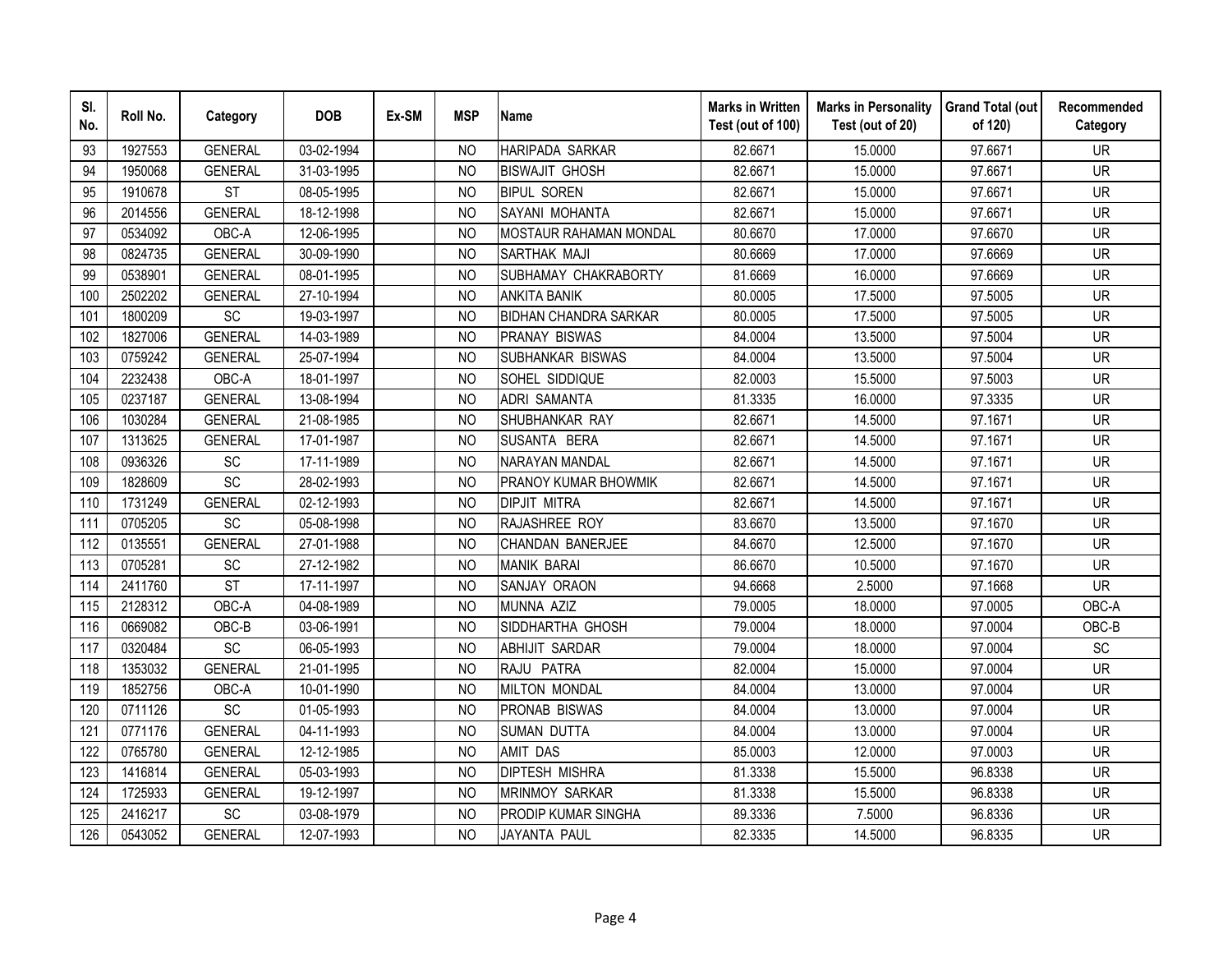| SI.<br>No. | Roll No. | Category        | <b>DOB</b> | Ex-SM | <b>MSP</b>     | <b>Name</b>                   | <b>Marks in Written</b><br>Test (out of 100) | <b>Marks in Personality</b><br>Test (out of 20) | <b>Grand Total (out</b><br>of 120) | Recommended<br>Category |
|------------|----------|-----------------|------------|-------|----------------|-------------------------------|----------------------------------------------|-------------------------------------------------|------------------------------------|-------------------------|
| 93         | 1927553  | <b>GENERAL</b>  | 03-02-1994 |       | <b>NO</b>      | HARIPADA SARKAR               | 82.6671                                      | 15.0000                                         | 97.6671                            | <b>UR</b>               |
| 94         | 1950068  | <b>GENERAL</b>  | 31-03-1995 |       | N <sub>O</sub> | <b>BISWAJIT GHOSH</b>         | 82.6671                                      | 15.0000                                         | 97.6671                            | <b>UR</b>               |
| 95         | 1910678  | <b>ST</b>       | 08-05-1995 |       | <b>NO</b>      | <b>BIPUL SOREN</b>            | 82.6671                                      | 15.0000                                         | 97.6671                            | <b>UR</b>               |
| 96         | 2014556  | <b>GENERAL</b>  | 18-12-1998 |       | <b>NO</b>      | SAYANI MOHANTA                | 82.6671                                      | 15.0000                                         | 97.6671                            | <b>UR</b>               |
| 97         | 0534092  | OBC-A           | 12-06-1995 |       | <b>NO</b>      | <b>MOSTAUR RAHAMAN MONDAL</b> | 80.6670                                      | 17.0000                                         | 97.6670                            | <b>UR</b>               |
| 98         | 0824735  | <b>GENERAL</b>  | 30-09-1990 |       | <b>NO</b>      | SARTHAK MAJI                  | 80.6669                                      | 17.0000                                         | 97.6669                            | <b>UR</b>               |
| 99         | 0538901  | <b>GENERAL</b>  | 08-01-1995 |       | <b>NO</b>      | SUBHAMAY CHAKRABORTY          | 81.6669                                      | 16.0000                                         | 97.6669                            | <b>UR</b>               |
| 100        | 2502202  | <b>GENERAL</b>  | 27-10-1994 |       | <b>NO</b>      | <b>ANKITA BANIK</b>           | 80.0005                                      | 17.5000                                         | 97.5005                            | <b>UR</b>               |
| 101        | 1800209  | SC              | 19-03-1997 |       | <b>NO</b>      | <b>BIDHAN CHANDRA SARKAR</b>  | 80.0005                                      | 17.5000                                         | 97.5005                            | <b>UR</b>               |
| 102        | 1827006  | <b>GENERAL</b>  | 14-03-1989 |       | N <sub>O</sub> | PRANAY BISWAS                 | 84.0004                                      | 13.5000                                         | 97.5004                            | <b>UR</b>               |
| 103        | 0759242  | <b>GENERAL</b>  | 25-07-1994 |       | <b>NO</b>      | SUBHANKAR BISWAS              | 84.0004                                      | 13.5000                                         | 97.5004                            | <b>UR</b>               |
| 104        | 2232438  | OBC-A           | 18-01-1997 |       | <b>NO</b>      | SOHEL SIDDIQUE                | 82.0003                                      | 15.5000                                         | 97.5003                            | <b>UR</b>               |
| 105        | 0237187  | <b>GENERAL</b>  | 13-08-1994 |       | <b>NO</b>      | <b>ADRI SAMANTA</b>           | 81.3335                                      | 16.0000                                         | 97.3335                            | <b>UR</b>               |
| 106        | 1030284  | <b>GENERAL</b>  | 21-08-1985 |       | N <sub>O</sub> | SHUBHANKAR RAY                | 82.6671                                      | 14.5000                                         | 97.1671                            | <b>UR</b>               |
| 107        | 1313625  | <b>GENERAL</b>  | 17-01-1987 |       | N <sub>O</sub> | SUSANTA BERA                  | 82.6671                                      | 14.5000                                         | 97.1671                            | <b>UR</b>               |
| 108        | 0936326  | <b>SC</b>       | 17-11-1989 |       | N <sub>O</sub> | <b>NARAYAN MANDAL</b>         | 82.6671                                      | 14.5000                                         | 97.1671                            | <b>UR</b>               |
| 109        | 1828609  | $\overline{SC}$ | 28-02-1993 |       | <b>NO</b>      | PRANOY KUMAR BHOWMIK          | 82.6671                                      | 14.5000                                         | 97.1671                            | <b>UR</b>               |
| 110        | 1731249  | <b>GENERAL</b>  | 02-12-1993 |       | <b>NO</b>      | <b>DIPJIT MITRA</b>           | 82.6671                                      | 14.5000                                         | 97.1671                            | <b>UR</b>               |
| 111        | 0705205  | SC              | 05-08-1998 |       | N <sub>O</sub> | RAJASHREE ROY                 | 83.6670                                      | 13.5000                                         | 97.1670                            | <b>UR</b>               |
| 112        | 0135551  | <b>GENERAL</b>  | 27-01-1988 |       | <b>NO</b>      | CHANDAN BANERJEE              | 84.6670                                      | 12.5000                                         | 97.1670                            | <b>UR</b>               |
| 113        | 0705281  | SC              | 27-12-1982 |       | <b>NO</b>      | <b>MANIK BARAI</b>            | 86.6670                                      | 10.5000                                         | 97.1670                            | <b>UR</b>               |
| 114        | 2411760  | <b>ST</b>       | 17-11-1997 |       | <b>NO</b>      | SANJAY ORAON                  | 94.6668                                      | 2.5000                                          | 97.1668                            | <b>UR</b>               |
| 115        | 2128312  | OBC-A           | 04-08-1989 |       | <b>NO</b>      | MUNNA AZIZ                    | 79.0005                                      | 18.0000                                         | 97.0005                            | OBC-A                   |
| 116        | 0669082  | OBC-B           | 03-06-1991 |       | <b>NO</b>      | SIDDHARTHA GHOSH              | 79.0004                                      | 18.0000                                         | 97.0004                            | OBC-B                   |
| 117        | 0320484  | SC              | 06-05-1993 |       | <b>NO</b>      | <b>ABHIJIT SARDAR</b>         | 79.0004                                      | 18.0000                                         | 97.0004                            | SC                      |
| 118        | 1353032  | <b>GENERAL</b>  | 21-01-1995 |       | <b>NO</b>      | RAJU PATRA                    | 82.0004                                      | 15.0000                                         | 97.0004                            | <b>UR</b>               |
| 119        | 1852756  | OBC-A           | 10-01-1990 |       | N <sub>O</sub> | <b>MILTON MONDAL</b>          | 84.0004                                      | 13.0000                                         | 97.0004                            | <b>UR</b>               |
| 120        | 0711126  | SC              | 01-05-1993 |       | <b>NO</b>      | <b>PRONAB BISWAS</b>          | 84.0004                                      | 13.0000                                         | 97.0004                            | <b>UR</b>               |
| 121        | 0771176  | <b>GENERAL</b>  | 04-11-1993 |       | N <sub>O</sub> | <b>SUMAN DUTTA</b>            | 84.0004                                      | 13.0000                                         | 97.0004                            | <b>UR</b>               |
| 122        | 0765780  | <b>GENERAL</b>  | 12-12-1985 |       | N <sub>O</sub> | <b>AMIT DAS</b>               | 85.0003                                      | 12.0000                                         | 97.0003                            | <b>UR</b>               |
| 123        | 1416814  | <b>GENERAL</b>  | 05-03-1993 |       | <b>NO</b>      | <b>DIPTESH MISHRA</b>         | 81.3338                                      | 15.5000                                         | 96.8338                            | <b>UR</b>               |
| 124        | 1725933  | <b>GENERAL</b>  | 19-12-1997 |       | <b>NO</b>      | <b>MRINMOY SARKAR</b>         | 81.3338                                      | 15.5000                                         | 96.8338                            | <b>UR</b>               |
| 125        | 2416217  | SC              | 03-08-1979 |       | <b>NO</b>      | PRODIP KUMAR SINGHA           | 89.3336                                      | 7.5000                                          | 96.8336                            | <b>UR</b>               |
| 126        | 0543052  | <b>GENERAL</b>  | 12-07-1993 |       | <b>NO</b>      | JAYANTA PAUL                  | 82.3335                                      | 14.5000                                         | 96.8335                            | <b>UR</b>               |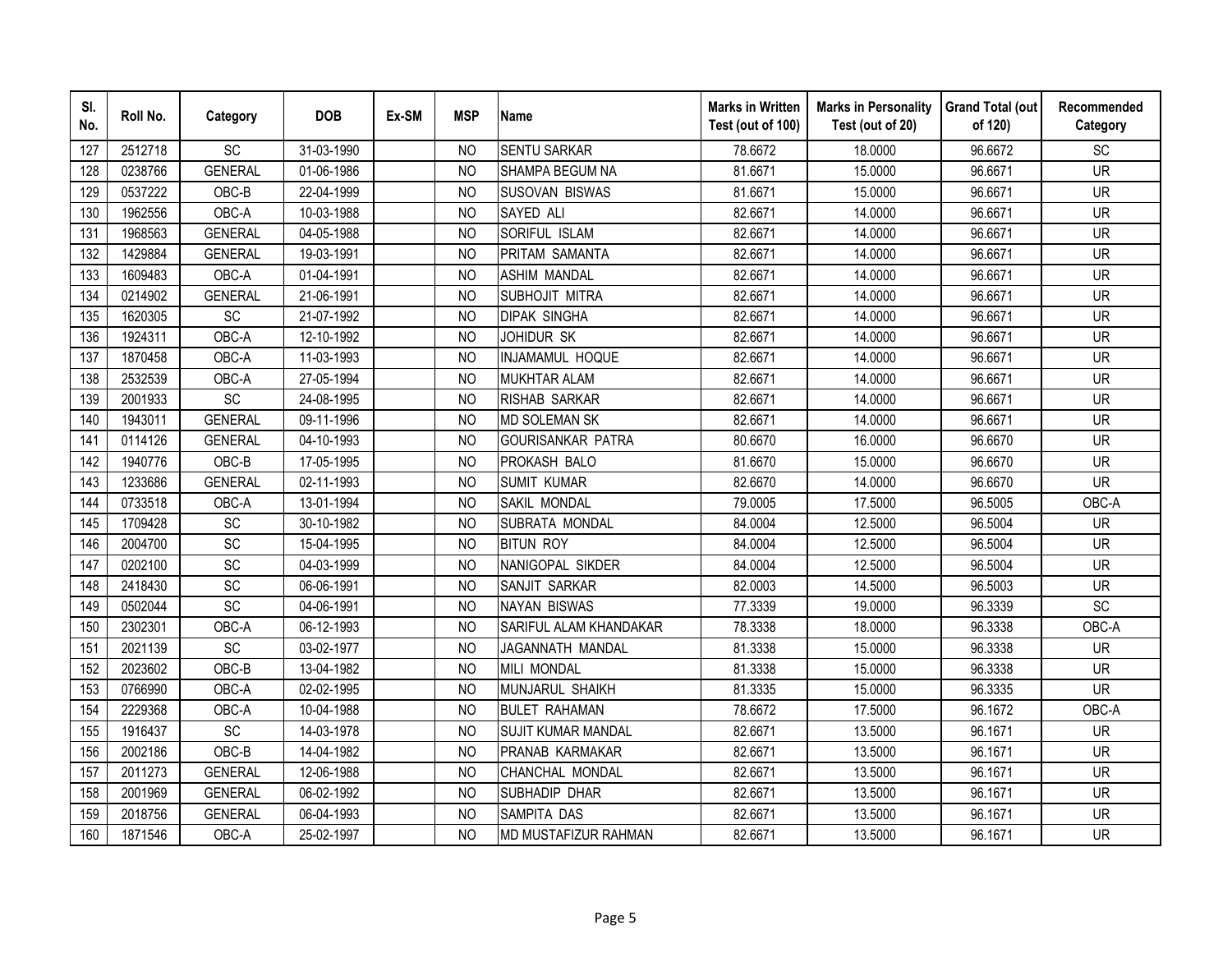| SI.<br>No. | Roll No. | Category        | <b>DOB</b> | Ex-SM | <b>MSP</b>     | <b>Name</b>               | <b>Marks in Written</b><br>Test (out of 100) | <b>Marks in Personality</b><br>Test (out of 20) | <b>Grand Total (out</b><br>of 120) | Recommended<br>Category  |
|------------|----------|-----------------|------------|-------|----------------|---------------------------|----------------------------------------------|-------------------------------------------------|------------------------------------|--------------------------|
| 127        | 2512718  | SC              | 31-03-1990 |       | NO.            | <b>SENTU SARKAR</b>       | 78.6672                                      | 18.0000                                         | 96.6672                            | SC                       |
| 128        | 0238766  | <b>GENERAL</b>  | 01-06-1986 |       | <b>NO</b>      | SHAMPA BEGUM NA           | 81.6671                                      | 15.0000                                         | 96.6671                            | $\overline{\mathsf{UR}}$ |
| 129        | 0537222  | OBC-B           | 22-04-1999 |       | <b>NO</b>      | <b>SUSOVAN BISWAS</b>     | 81.6671                                      | 15.0000                                         | 96.6671                            | <b>UR</b>                |
| 130        | 1962556  | OBC-A           | 10-03-1988 |       | <b>NO</b>      | SAYED ALI                 | 82.6671                                      | 14.0000                                         | 96.6671                            | <b>UR</b>                |
| 131        | 1968563  | <b>GENERAL</b>  | 04-05-1988 |       | <b>NO</b>      | SORIFUL ISLAM             | 82.6671                                      | 14.0000                                         | 96.6671                            | <b>UR</b>                |
| 132        | 1429884  | <b>GENERAL</b>  | 19-03-1991 |       | <b>NO</b>      | PRITAM SAMANTA            | 82.6671                                      | 14.0000                                         | 96.6671                            | <b>UR</b>                |
| 133        | 1609483  | OBC-A           | 01-04-1991 |       | N <sub>O</sub> | ASHIM MANDAL              | 82.6671                                      | 14.0000                                         | 96.6671                            | <b>UR</b>                |
| 134        | 0214902  | <b>GENERAL</b>  | 21-06-1991 |       | <b>NO</b>      | SUBHOJIT MITRA            | 82.6671                                      | 14.0000                                         | 96.6671                            | <b>UR</b>                |
| 135        | 1620305  | SC              | 21-07-1992 |       | <b>NO</b>      | <b>DIPAK SINGHA</b>       | 82.6671                                      | 14.0000                                         | 96.6671                            | <b>UR</b>                |
| 136        | 1924311  | OBC-A           | 12-10-1992 |       | N <sub>O</sub> | JOHIDUR SK                | 82.6671                                      | 14.0000                                         | 96.6671                            | <b>UR</b>                |
| 137        | 1870458  | OBC-A           | 11-03-1993 |       | <b>NO</b>      | INJAMAMUL HOQUE           | 82.6671                                      | 14.0000                                         | 96.6671                            | <b>UR</b>                |
| 138        | 2532539  | OBC-A           | 27-05-1994 |       | <b>NO</b>      | <b>MUKHTAR ALAM</b>       | 82.6671                                      | 14.0000                                         | 96.6671                            | <b>UR</b>                |
| 139        | 2001933  | SC              | 24-08-1995 |       | <b>NO</b>      | RISHAB SARKAR             | 82.6671                                      | 14.0000                                         | 96.6671                            | <b>UR</b>                |
| 140        | 1943011  | <b>GENERAL</b>  | 09-11-1996 |       | <b>NO</b>      | <b>MD SOLEMAN SK</b>      | 82.6671                                      | 14.0000                                         | 96.6671                            | <b>UR</b>                |
| 141        | 0114126  | <b>GENERAL</b>  | 04-10-1993 |       | <b>NO</b>      | <b>GOURISANKAR PATRA</b>  | 80.6670                                      | 16.0000                                         | 96.6670                            | <b>UR</b>                |
| 142        | 1940776  | OBC-B           | 17-05-1995 |       | <b>NO</b>      | PROKASH BALO              | 81.6670                                      | 15.0000                                         | 96.6670                            | <b>UR</b>                |
| 143        | 1233686  | <b>GENERAL</b>  | 02-11-1993 |       | <b>NO</b>      | <b>SUMIT KUMAR</b>        | 82.6670                                      | 14.0000                                         | 96.6670                            | <b>UR</b>                |
| 144        | 0733518  | OBC-A           | 13-01-1994 |       | N <sub>O</sub> | SAKIL MONDAL              | 79.0005                                      | 17.5000                                         | 96.5005                            | OBC-A                    |
| 145        | 1709428  | $\overline{SC}$ | 30-10-1982 |       | N <sub>O</sub> | SUBRATA MONDAL            | 84.0004                                      | 12.5000                                         | 96.5004                            | <b>UR</b>                |
| 146        | 2004700  | SC              | 15-04-1995 |       | N <sub>O</sub> | <b>BITUN ROY</b>          | 84.0004                                      | 12.5000                                         | 96.5004                            | <b>UR</b>                |
| 147        | 0202100  | $\overline{SC}$ | 04-03-1999 |       | <b>NO</b>      | NANIGOPAL SIKDER          | 84.0004                                      | 12.5000                                         | 96.5004                            | <b>UR</b>                |
| 148        | 2418430  | SC              | 06-06-1991 |       | N <sub>O</sub> | SANJIT SARKAR             | 82.0003                                      | 14.5000                                         | 96.5003                            | <b>UR</b>                |
| 149        | 0502044  | SC              | 04-06-1991 |       | <b>NO</b>      | <b>NAYAN BISWAS</b>       | 77.3339                                      | 19.0000                                         | 96.3339                            | SC                       |
| 150        | 2302301  | OBC-A           | 06-12-1993 |       | N <sub>O</sub> | SARIFUL ALAM KHANDAKAR    | 78.3338                                      | 18.0000                                         | 96.3338                            | OBC-A                    |
| 151        | 2021139  | SC              | 03-02-1977 |       | <b>NO</b>      | JAGANNATH MANDAL          | 81.3338                                      | 15.0000                                         | 96.3338                            | <b>UR</b>                |
| 152        | 2023602  | OBC-B           | 13-04-1982 |       | <b>NO</b>      | <b>MILI MONDAL</b>        | 81.3338                                      | 15.0000                                         | 96.3338                            | <b>UR</b>                |
| 153        | 0766990  | OBC-A           | 02-02-1995 |       | <b>NO</b>      | MUNJARUL SHAIKH           | 81.3335                                      | 15.0000                                         | 96.3335                            | <b>UR</b>                |
| 154        | 2229368  | OBC-A           | 10-04-1988 |       | <b>NO</b>      | <b>BULET RAHAMAN</b>      | 78.6672                                      | 17.5000                                         | 96.1672                            | OBC-A                    |
| 155        | 1916437  | SC              | 14-03-1978 |       | N <sub>O</sub> | <b>SUJIT KUMAR MANDAL</b> | 82.6671                                      | 13.5000                                         | 96.1671                            | <b>UR</b>                |
| 156        | 2002186  | OBC-B           | 14-04-1982 |       | N <sub>O</sub> | PRANAB KARMAKAR           | 82.6671                                      | 13.5000                                         | 96.1671                            | <b>UR</b>                |
| 157        | 2011273  | <b>GENERAL</b>  | 12-06-1988 |       | N <sub>O</sub> | CHANCHAL MONDAL           | 82.6671                                      | 13.5000                                         | 96.1671                            | <b>UR</b>                |
| 158        | 2001969  | <b>GENERAL</b>  | 06-02-1992 |       | <b>NO</b>      | SUBHADIP DHAR             | 82.6671                                      | 13.5000                                         | 96.1671                            | <b>UR</b>                |
| 159        | 2018756  | <b>GENERAL</b>  | 06-04-1993 |       | <b>NO</b>      | SAMPITA DAS               | 82.6671                                      | 13.5000                                         | 96.1671                            | <b>UR</b>                |
| 160        | 1871546  | OBC-A           | 25-02-1997 |       | <b>NO</b>      | MD MUSTAFIZUR RAHMAN      | 82.6671                                      | 13.5000                                         | 96.1671                            | <b>UR</b>                |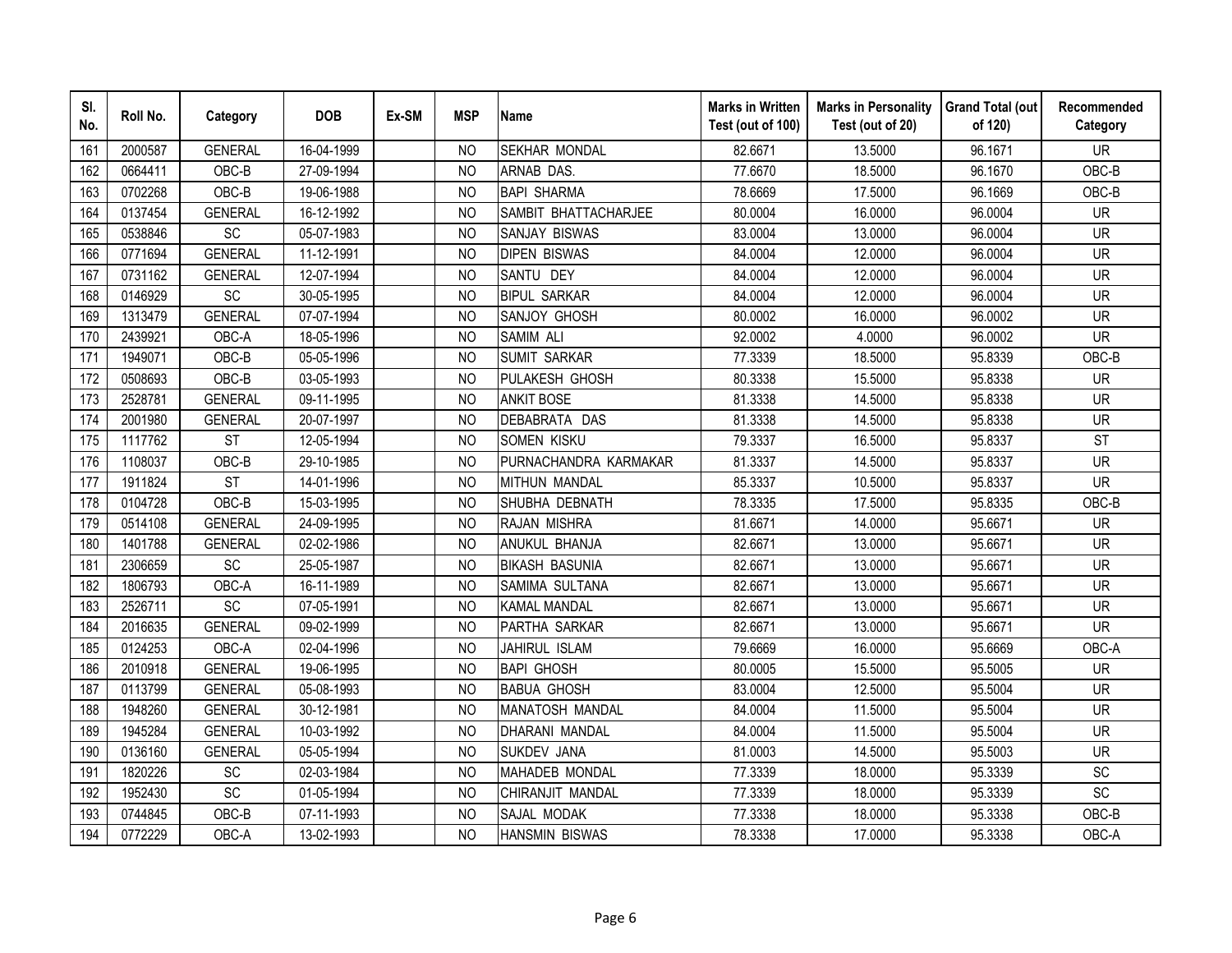| SI.<br>No. | Roll No. | Category       | <b>DOB</b> | Ex-SM | <b>MSP</b>     | <b>Name</b>            | <b>Marks in Written</b><br>Test (out of 100) | <b>Marks in Personality</b><br>Test (out of 20) | <b>Grand Total (out</b><br>of 120) | Recommended<br>Category |
|------------|----------|----------------|------------|-------|----------------|------------------------|----------------------------------------------|-------------------------------------------------|------------------------------------|-------------------------|
| 161        | 2000587  | <b>GENERAL</b> | 16-04-1999 |       | NO.            | <b>SEKHAR MONDAL</b>   | 82.6671                                      | 13.5000                                         | 96.1671                            | <b>UR</b>               |
| 162        | 0664411  | OBC-B          | 27-09-1994 |       | <b>NO</b>      | <b>ARNAB DAS.</b>      | 77.6670                                      | 18.5000                                         | 96.1670                            | OBC-B                   |
| 163        | 0702268  | OBC-B          | 19-06-1988 |       | <b>NO</b>      | <b>BAPI SHARMA</b>     | 78.6669                                      | 17.5000                                         | 96.1669                            | OBC-B                   |
| 164        | 0137454  | <b>GENERAL</b> | 16-12-1992 |       | <b>NO</b>      | SAMBIT BHATTACHARJEE   | 80.0004                                      | 16.0000                                         | 96.0004                            | <b>UR</b>               |
| 165        | 0538846  | SC             | 05-07-1983 |       | <b>NO</b>      | SANJAY BISWAS          | 83.0004                                      | 13.0000                                         | 96.0004                            | <b>UR</b>               |
| 166        | 0771694  | <b>GENERAL</b> | 11-12-1991 |       | NO             | <b>DIPEN BISWAS</b>    | 84.0004                                      | 12.0000                                         | 96.0004                            | <b>UR</b>               |
| 167        | 0731162  | <b>GENERAL</b> | 12-07-1994 |       | <b>NO</b>      | SANTU DEY              | 84.0004                                      | 12.0000                                         | 96.0004                            | <b>UR</b>               |
| 168        | 0146929  | SC             | 30-05-1995 |       | N <sub>O</sub> | <b>BIPUL SARKAR</b>    | 84.0004                                      | 12.0000                                         | 96.0004                            | <b>UR</b>               |
| 169        | 1313479  | <b>GENERAL</b> | 07-07-1994 |       | <b>NO</b>      | SANJOY GHOSH           | 80.0002                                      | 16.0000                                         | 96.0002                            | UR                      |
| 170        | 2439921  | OBC-A          | 18-05-1996 |       | N <sub>O</sub> | SAMIM ALI              | 92.0002                                      | 4.0000                                          | 96.0002                            | <b>UR</b>               |
| 171        | 1949071  | OBC-B          | 05-05-1996 |       | N <sub>O</sub> | <b>SUMIT SARKAR</b>    | 77.3339                                      | 18.5000                                         | 95.8339                            | OBC-B                   |
| 172        | 0508693  | OBC-B          | 03-05-1993 |       | <b>NO</b>      | PULAKESH GHOSH         | 80.3338                                      | 15.5000                                         | 95.8338                            | <b>UR</b>               |
| 173        | 2528781  | <b>GENERAL</b> | 09-11-1995 |       | <b>NO</b>      | <b>ANKIT BOSE</b>      | 81.3338                                      | 14.5000                                         | 95.8338                            | <b>UR</b>               |
| 174        | 2001980  | <b>GENERAL</b> | 20-07-1997 |       | <b>NO</b>      | DEBABRATA DAS          | 81.3338                                      | 14.5000                                         | 95.8338                            | <b>UR</b>               |
| 175        | 1117762  | <b>ST</b>      | 12-05-1994 |       | <b>NO</b>      | SOMEN KISKU            | 79.3337                                      | 16.5000                                         | 95.8337                            | <b>ST</b>               |
| 176        | 1108037  | OBC-B          | 29-10-1985 |       | <b>NO</b>      | PURNACHANDRA KARMAKAR  | 81.3337                                      | 14.5000                                         | 95.8337                            | <b>UR</b>               |
| 177        | 1911824  | <b>ST</b>      | 14-01-1996 |       | N <sub>O</sub> | <b>MITHUN MANDAL</b>   | 85.3337                                      | 10.5000                                         | 95.8337                            | <b>UR</b>               |
| 178        | 0104728  | OBC-B          | 15-03-1995 |       | N <sub>O</sub> | SHUBHA DEBNATH         | 78.3335                                      | 17.5000                                         | 95.8335                            | OBC-B                   |
| 179        | 0514108  | <b>GENERAL</b> | 24-09-1995 |       | N <sub>O</sub> | RAJAN MISHRA           | 81.6671                                      | 14.0000                                         | 95.6671                            | <b>UR</b>               |
| 180        | 1401788  | <b>GENERAL</b> | 02-02-1986 |       | <b>NO</b>      | ANUKUL BHANJA          | 82.6671                                      | 13.0000                                         | 95.6671                            | <b>UR</b>               |
| 181        | 2306659  | SC             | 25-05-1987 |       | N <sub>O</sub> | <b>BIKASH BASUNIA</b>  | 82.6671                                      | 13.0000                                         | 95.6671                            | <b>UR</b>               |
| 182        | 1806793  | OBC-A          | 16-11-1989 |       | N <sub>O</sub> | SAMIMA SULTANA         | 82.6671                                      | 13.0000                                         | 95.6671                            | <b>UR</b>               |
| 183        | 2526711  | SC             | 07-05-1991 |       | N <sub>O</sub> | <b>KAMAL MANDAL</b>    | 82.6671                                      | 13.0000                                         | 95.6671                            | <b>UR</b>               |
| 184        | 2016635  | <b>GENERAL</b> | 09-02-1999 |       | <b>NO</b>      | PARTHA SARKAR          | 82.6671                                      | 13.0000                                         | 95.6671                            | <b>UR</b>               |
| 185        | 0124253  | OBC-A          | 02-04-1996 |       | <b>NO</b>      | JAHIRUL ISLAM          | 79.6669                                      | 16.0000                                         | 95.6669                            | OBC-A                   |
| 186        | 2010918  | <b>GENERAL</b> | 19-06-1995 |       | <b>NO</b>      | <b>BAPI GHOSH</b>      | 80.0005                                      | 15.5000                                         | 95.5005                            | <b>UR</b>               |
| 187        | 0113799  | <b>GENERAL</b> | 05-08-1993 |       | N <sub>O</sub> | <b>BABUA GHOSH</b>     | 83.0004                                      | 12.5000                                         | 95.5004                            | <b>UR</b>               |
| 188        | 1948260  | <b>GENERAL</b> | 30-12-1981 |       | <b>NO</b>      | <b>MANATOSH MANDAL</b> | 84.0004                                      | 11.5000                                         | 95.5004                            | UR                      |
| 189        | 1945284  | <b>GENERAL</b> | 10-03-1992 |       | <b>NO</b>      | <b>DHARANI MANDAL</b>  | 84.0004                                      | 11.5000                                         | 95.5004                            | <b>UR</b>               |
| 190        | 0136160  | <b>GENERAL</b> | 05-05-1994 |       | N <sub>O</sub> | SUKDEV JANA            | 81.0003                                      | 14.5000                                         | 95.5003                            | <b>UR</b>               |
| 191        | 1820226  | SC             | 02-03-1984 |       | <b>NO</b>      | <b>MAHADEB MONDAL</b>  | 77.3339                                      | 18.0000                                         | 95.3339                            | SC                      |
| 192        | 1952430  | SC             | 01-05-1994 |       | <b>NO</b>      | CHIRANJIT MANDAL       | 77.3339                                      | 18.0000                                         | 95.3339                            | SC                      |
| 193        | 0744845  | OBC-B          | 07-11-1993 |       | N <sub>O</sub> | SAJAL MODAK            | 77.3338                                      | 18.0000                                         | 95.3338                            | OBC-B                   |
| 194        | 0772229  | OBC-A          | 13-02-1993 |       | <b>NO</b>      | <b>HANSMIN BISWAS</b>  | 78.3338                                      | 17.0000                                         | 95.3338                            | OBC-A                   |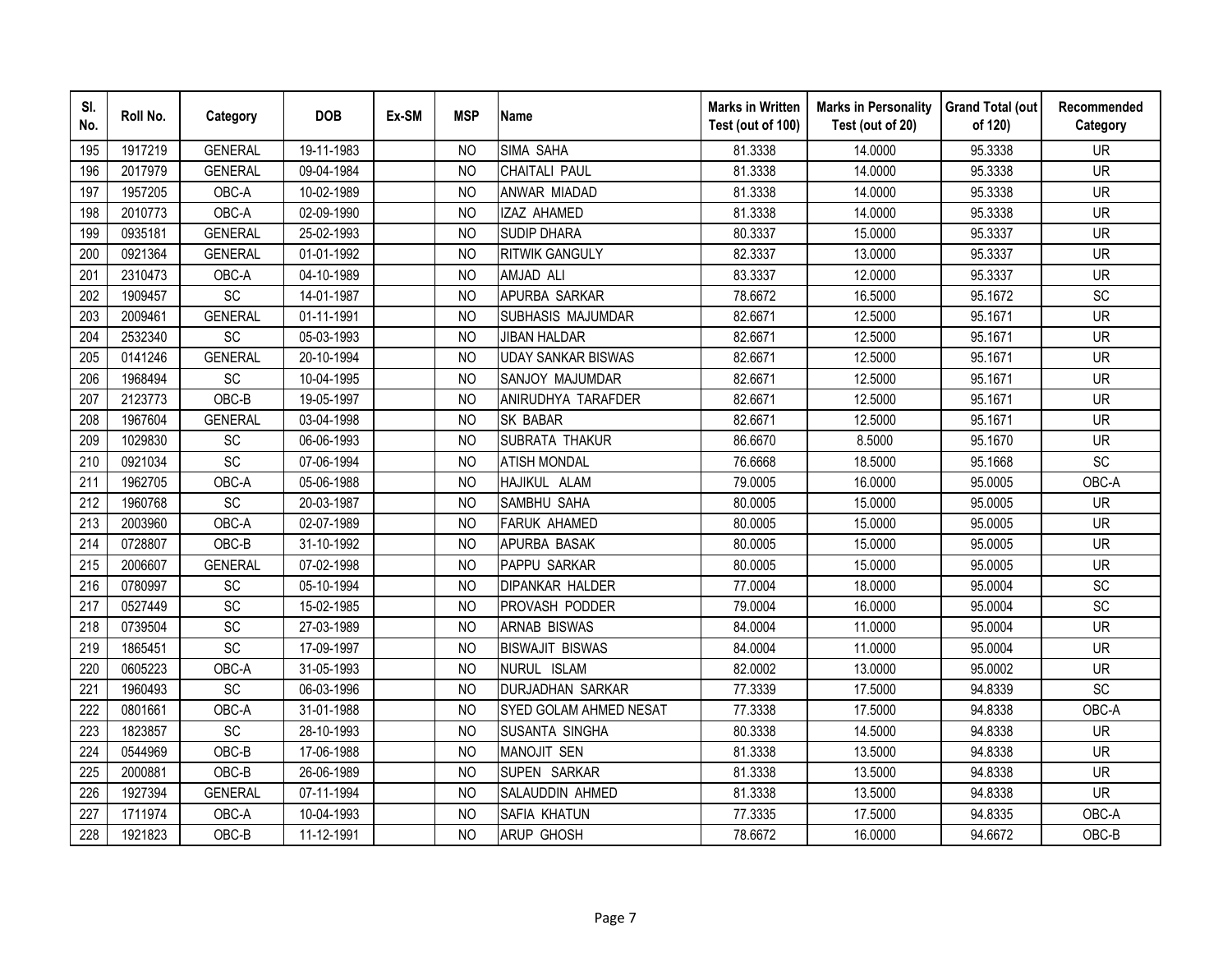| SI.<br>No. | Roll No. | Category       | <b>DOB</b> | Ex-SM | <b>MSP</b>     | <b>Name</b>               | <b>Marks in Written</b><br>Test (out of 100) | <b>Marks in Personality</b><br>Test (out of 20) | <b>Grand Total (out</b><br>of 120) | Recommended<br>Category |
|------------|----------|----------------|------------|-------|----------------|---------------------------|----------------------------------------------|-------------------------------------------------|------------------------------------|-------------------------|
| 195        | 1917219  | <b>GENERAL</b> | 19-11-1983 |       | <b>NO</b>      | SIMA SAHA                 | 81.3338                                      | 14.0000                                         | 95.3338                            | <b>UR</b>               |
| 196        | 2017979  | <b>GENERAL</b> | 09-04-1984 |       | N <sub>O</sub> | <b>CHAITALI PAUL</b>      | 81.3338                                      | 14.0000                                         | 95.3338                            | <b>UR</b>               |
| 197        | 1957205  | OBC-A          | 10-02-1989 |       | <b>NO</b>      | ANWAR MIADAD              | 81.3338                                      | 14.0000                                         | 95.3338                            | <b>UR</b>               |
| 198        | 2010773  | OBC-A          | 02-09-1990 |       | <b>NO</b>      | IZAZ AHAMED               | 81.3338                                      | 14.0000                                         | 95.3338                            | <b>UR</b>               |
| 199        | 0935181  | <b>GENERAL</b> | 25-02-1993 |       | <b>NO</b>      | <b>SUDIP DHARA</b>        | 80.3337                                      | 15.0000                                         | 95.3337                            | <b>UR</b>               |
| 200        | 0921364  | <b>GENERAL</b> | 01-01-1992 |       | <b>NO</b>      | <b>RITWIK GANGULY</b>     | 82.3337                                      | 13.0000                                         | 95.3337                            | <b>UR</b>               |
| 201        | 2310473  | OBC-A          | 04-10-1989 |       | <b>NO</b>      | AMJAD ALI                 | 83.3337                                      | 12.0000                                         | 95.3337                            | <b>UR</b>               |
| 202        | 1909457  | SC             | 14-01-1987 |       | <b>NO</b>      | APURBA SARKAR             | 78.6672                                      | 16.5000                                         | 95.1672                            | SC                      |
| 203        | 2009461  | <b>GENERAL</b> | 01-11-1991 |       | N <sub>O</sub> | SUBHASIS MAJUMDAR         | 82.6671                                      | 12.5000                                         | 95.1671                            | <b>UR</b>               |
| 204        | 2532340  | SC             | 05-03-1993 |       | <b>NO</b>      | <b>JIBAN HALDAR</b>       | 82.6671                                      | 12.5000                                         | 95.1671                            | <b>UR</b>               |
| 205        | 0141246  | <b>GENERAL</b> | 20-10-1994 |       | N <sub>O</sub> | <b>UDAY SANKAR BISWAS</b> | 82.6671                                      | 12.5000                                         | 95.1671                            | <b>UR</b>               |
| 206        | 1968494  | SC             | 10-04-1995 |       | N <sub>O</sub> | SANJOY MAJUMDAR           | 82.6671                                      | 12.5000                                         | 95.1671                            | <b>UR</b>               |
| 207        | 2123773  | OBC-B          | 19-05-1997 |       | N <sub>O</sub> | ANIRUDHYA TARAFDER        | 82.6671                                      | 12.5000                                         | 95.1671                            | <b>UR</b>               |
| 208        | 1967604  | <b>GENERAL</b> | 03-04-1998 |       | <b>NO</b>      | <b>SK BABAR</b>           | 82.6671                                      | 12.5000                                         | 95.1671                            | <b>UR</b>               |
| 209        | 1029830  | SC             | 06-06-1993 |       | N <sub>O</sub> | <b>SUBRATA THAKUR</b>     | 86.6670                                      | 8.5000                                          | 95.1670                            | <b>UR</b>               |
| 210        | 0921034  | SC             | 07-06-1994 |       | N <sub>O</sub> | <b>ATISH MONDAL</b>       | 76.6668                                      | 18.5000                                         | 95.1668                            | SC                      |
| 211        | 1962705  | OBC-A          | 05-06-1988 |       | <b>NO</b>      | HAJIKUL ALAM              | 79.0005                                      | 16.0000                                         | 95.0005                            | OBC-A                   |
| 212        | 1960768  | <b>SC</b>      | 20-03-1987 |       | N <sub>O</sub> | SAMBHU SAHA               | 80.0005                                      | 15.0000                                         | 95.0005                            | <b>UR</b>               |
| 213        | 2003960  | OBC-A          | 02-07-1989 |       | N <sub>O</sub> | <b>FARUK AHAMED</b>       | 80.0005                                      | 15.0000                                         | 95.0005                            | <b>UR</b>               |
| 214        | 0728807  | OBC-B          | 31-10-1992 |       | N <sub>O</sub> | APURBA BASAK              | 80.0005                                      | 15.0000                                         | 95.0005                            | <b>UR</b>               |
| 215        | 2006607  | <b>GENERAL</b> | 07-02-1998 |       | N <sub>O</sub> | PAPPU SARKAR              | 80.0005                                      | 15.0000                                         | 95.0005                            | <b>UR</b>               |
| 216        | 0780997  | SC             | 05-10-1994 |       | N <sub>O</sub> | <b>DIPANKAR HALDER</b>    | 77.0004                                      | 18.0000                                         | 95.0004                            | SC                      |
| 217        | 0527449  | SC             | 15-02-1985 |       | <b>NO</b>      | PROVASH PODDER            | 79.0004                                      | 16.0000                                         | 95.0004                            | SC                      |
| 218        | 0739504  | SC             | 27-03-1989 |       | <b>NO</b>      | <b>ARNAB BISWAS</b>       | 84.0004                                      | 11.0000                                         | 95.0004                            | <b>UR</b>               |
| 219        | 1865451  | SC             | 17-09-1997 |       | <b>NO</b>      | <b>BISWAJIT BISWAS</b>    | 84.0004                                      | 11.0000                                         | 95.0004                            | <b>UR</b>               |
| 220        | 0605223  | OBC-A          | 31-05-1993 |       | <b>NO</b>      | NURUL ISLAM               | 82.0002                                      | 13.0000                                         | 95.0002                            | <b>UR</b>               |
| 221        | 1960493  | <b>SC</b>      | 06-03-1996 |       | <b>NO</b>      | <b>DURJADHAN SARKAR</b>   | 77.3339                                      | 17.5000                                         | 94.8339                            | SC                      |
| 222        | 0801661  | OBC-A          | 31-01-1988 |       | <b>NO</b>      | SYED GOLAM AHMED NESAT    | 77.3338                                      | 17.5000                                         | 94.8338                            | OBC-A                   |
| 223        | 1823857  | SC             | 28-10-1993 |       | <b>NO</b>      | SUSANTA SINGHA            | 80.3338                                      | 14.5000                                         | 94.8338                            | <b>UR</b>               |
| 224        | 0544969  | OBC-B          | 17-06-1988 |       | <b>NO</b>      | <b>MANOJIT SEN</b>        | 81.3338                                      | 13.5000                                         | 94.8338                            | <b>UR</b>               |
| 225        | 2000881  | OBC-B          | 26-06-1989 |       | <b>NO</b>      | SUPEN SARKAR              | 81.3338                                      | 13.5000                                         | 94.8338                            | <b>UR</b>               |
| 226        | 1927394  | <b>GENERAL</b> | 07-11-1994 |       | <b>NO</b>      | SALAUDDIN AHMED           | 81.3338                                      | 13.5000                                         | 94.8338                            | <b>UR</b>               |
| 227        | 1711974  | OBC-A          | 10-04-1993 |       | N <sub>O</sub> | SAFIA KHATUN              | 77.3335                                      | 17.5000                                         | 94.8335                            | OBC-A                   |
| 228        | 1921823  | OBC-B          | 11-12-1991 |       | <b>NO</b>      | <b>ARUP GHOSH</b>         | 78.6672                                      | 16.0000                                         | 94.6672                            | OBC-B                   |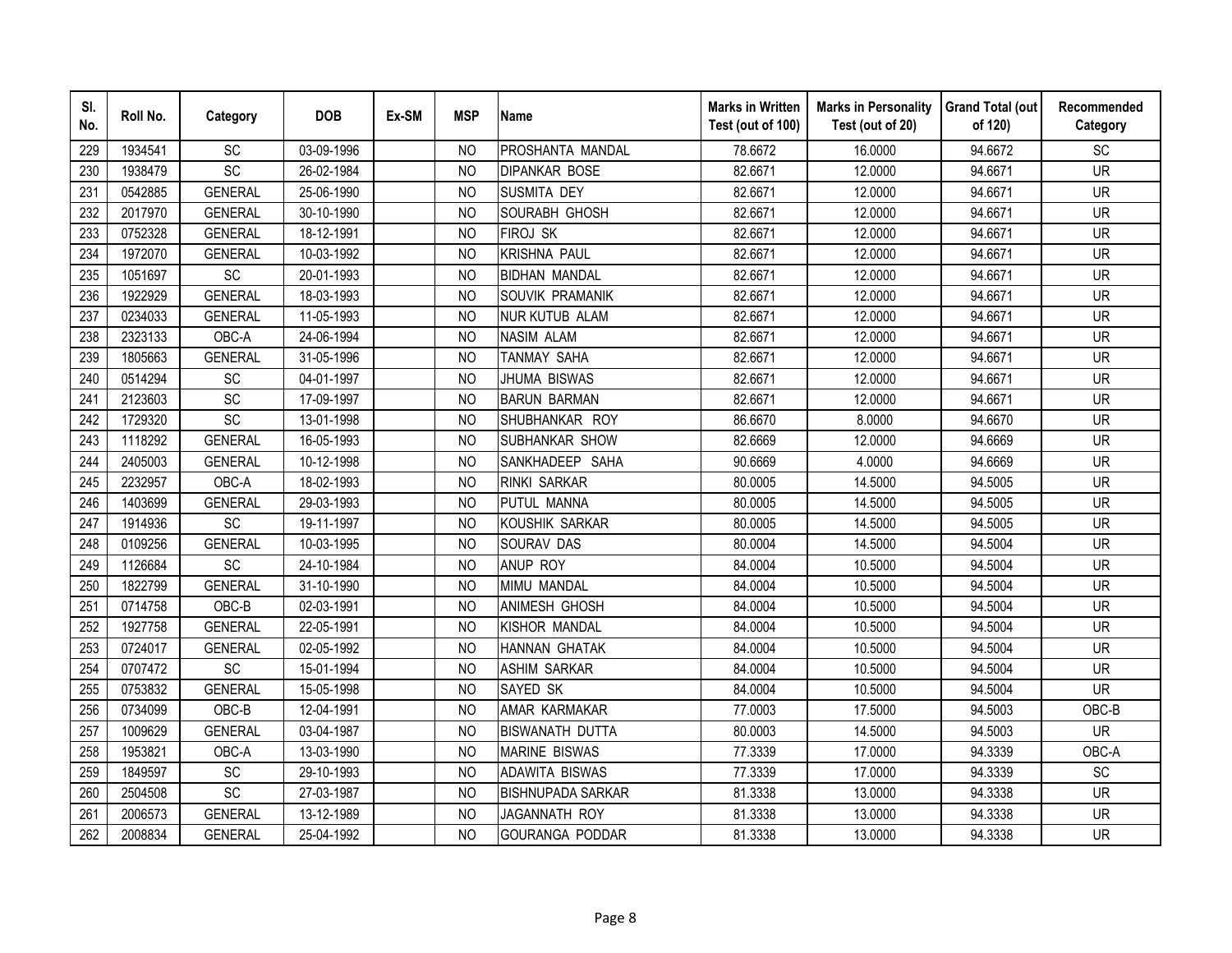| SI.<br>No. | Roll No. | Category       | <b>DOB</b> | Ex-SM | <b>MSP</b>     | <b>Name</b>              | <b>Marks in Written</b><br>Test (out of 100) | <b>Marks in Personality</b><br>Test (out of 20) | <b>Grand Total (out</b><br>of 120) | Recommended<br>Category  |
|------------|----------|----------------|------------|-------|----------------|--------------------------|----------------------------------------------|-------------------------------------------------|------------------------------------|--------------------------|
| 229        | 1934541  | SC             | 03-09-1996 |       | N <sub>O</sub> | PROSHANTA MANDAL         | 78.6672                                      | 16.0000                                         | 94.6672                            | SC                       |
| 230        | 1938479  | SC             | 26-02-1984 |       | <b>NO</b>      | <b>DIPANKAR BOSE</b>     | 82.6671                                      | 12.0000                                         | 94.6671                            | $\overline{\mathsf{UR}}$ |
| 231        | 0542885  | <b>GENERAL</b> | 25-06-1990 |       | <b>NO</b>      | SUSMITA DEY              | 82.6671                                      | 12.0000                                         | 94.6671                            | <b>UR</b>                |
| 232        | 2017970  | <b>GENERAL</b> | 30-10-1990 |       | <b>NO</b>      | SOURABH GHOSH            | 82.6671                                      | 12.0000                                         | 94.6671                            | <b>UR</b>                |
| 233        | 0752328  | <b>GENERAL</b> | 18-12-1991 |       | <b>NO</b>      | <b>FIROJ SK</b>          | 82.6671                                      | 12.0000                                         | 94.6671                            | <b>UR</b>                |
| 234        | 1972070  | <b>GENERAL</b> | 10-03-1992 |       | <b>NO</b>      | <b>KRISHNA PAUL</b>      | 82.6671                                      | 12.0000                                         | 94.6671                            | <b>UR</b>                |
| 235        | 1051697  | SC             | 20-01-1993 |       | N <sub>O</sub> | <b>BIDHAN MANDAL</b>     | 82.6671                                      | 12.0000                                         | 94.6671                            | <b>UR</b>                |
| 236        | 1922929  | <b>GENERAL</b> | 18-03-1993 |       | <b>NO</b>      | SOUVIK PRAMANIK          | 82.6671                                      | 12.0000                                         | 94.6671                            | <b>UR</b>                |
| 237        | 0234033  | <b>GENERAL</b> | 11-05-1993 |       | <b>NO</b>      | <b>NUR KUTUB ALAM</b>    | 82.6671                                      | 12.0000                                         | 94.6671                            | <b>UR</b>                |
| 238        | 2323133  | OBC-A          | 24-06-1994 |       | N <sub>O</sub> | <b>NASIM ALAM</b>        | 82.6671                                      | 12.0000                                         | 94.6671                            | <b>UR</b>                |
| 239        | 1805663  | <b>GENERAL</b> | 31-05-1996 |       | <b>NO</b>      | <b>TANMAY SAHA</b>       | 82.6671                                      | 12.0000                                         | 94.6671                            | <b>UR</b>                |
| 240        | 0514294  | SC             | 04-01-1997 |       | <b>NO</b>      | <b>JHUMA BISWAS</b>      | 82.6671                                      | 12.0000                                         | 94.6671                            | <b>UR</b>                |
| 241        | 2123603  | SC             | 17-09-1997 |       | <b>NO</b>      | <b>BARUN BARMAN</b>      | 82.6671                                      | 12.0000                                         | 94.6671                            | <b>UR</b>                |
| 242        | 1729320  | SC             | 13-01-1998 |       | <b>NO</b>      | SHUBHANKAR ROY           | 86.6670                                      | 8.0000                                          | 94.6670                            | <b>UR</b>                |
| 243        | 1118292  | <b>GENERAL</b> | 16-05-1993 |       | <b>NO</b>      | SUBHANKAR SHOW           | 82.6669                                      | 12.0000                                         | 94.6669                            | <b>UR</b>                |
| 244        | 2405003  | <b>GENERAL</b> | 10-12-1998 |       | <b>NO</b>      | SANKHADEEP SAHA          | 90.6669                                      | 4.0000                                          | 94.6669                            | <b>UR</b>                |
| 245        | 2232957  | OBC-A          | 18-02-1993 |       | <b>NO</b>      | <b>RINKI SARKAR</b>      | 80.0005                                      | 14.5000                                         | 94.5005                            | <b>UR</b>                |
| 246        | 1403699  | <b>GENERAL</b> | 29-03-1993 |       | N <sub>O</sub> | <b>PUTUL MANNA</b>       | 80.0005                                      | 14.5000                                         | 94.5005                            | <b>UR</b>                |
| 247        | 1914936  | SC             | 19-11-1997 |       | N <sub>O</sub> | KOUSHIK SARKAR           | 80.0005                                      | 14.5000                                         | 94.5005                            | <b>UR</b>                |
| 248        | 0109256  | <b>GENERAL</b> | 10-03-1995 |       | N <sub>O</sub> | <b>SOURAV DAS</b>        | 80.0004                                      | 14.5000                                         | 94.5004                            | <b>UR</b>                |
| 249        | 1126684  | SC             | 24-10-1984 |       | <b>NO</b>      | ANUP ROY                 | 84.0004                                      | 10.5000                                         | 94.5004                            | <b>UR</b>                |
| 250        | 1822799  | <b>GENERAL</b> | 31-10-1990 |       | N <sub>O</sub> | MIMU MANDAL              | 84.0004                                      | 10.5000                                         | 94.5004                            | <b>UR</b>                |
| 251        | 0714758  | OBC-B          | 02-03-1991 |       | <b>NO</b>      | ANIMESH GHOSH            | 84.0004                                      | 10.5000                                         | 94.5004                            | <b>UR</b>                |
| 252        | 1927758  | <b>GENERAL</b> | 22-05-1991 |       | N <sub>O</sub> | KISHOR MANDAL            | 84.0004                                      | 10.5000                                         | 94.5004                            | <b>UR</b>                |
| 253        | 0724017  | <b>GENERAL</b> | 02-05-1992 |       | <b>NO</b>      | <b>HANNAN GHATAK</b>     | 84.0004                                      | 10.5000                                         | 94.5004                            | <b>UR</b>                |
| 254        | 0707472  | SC             | 15-01-1994 |       | <b>NO</b>      | <b>ASHIM SARKAR</b>      | 84.0004                                      | 10.5000                                         | 94.5004                            | <b>UR</b>                |
| 255        | 0753832  | <b>GENERAL</b> | 15-05-1998 |       | <b>NO</b>      | SAYED SK                 | 84.0004                                      | 10.5000                                         | 94.5004                            | <b>UR</b>                |
| 256        | 0734099  | OBC-B          | 12-04-1991 |       | N <sub>O</sub> | AMAR KARMAKAR            | 77.0003                                      | 17.5000                                         | 94.5003                            | OBC-B                    |
| 257        | 1009629  | <b>GENERAL</b> | 03-04-1987 |       | N <sub>O</sub> | <b>BISWANATH DUTTA</b>   | 80.0003                                      | 14.5000                                         | 94.5003                            | <b>UR</b>                |
| 258        | 1953821  | OBC-A          | 13-03-1990 |       | N <sub>O</sub> | <b>MARINE BISWAS</b>     | 77.3339                                      | 17.0000                                         | 94.3339                            | OBC-A                    |
| 259        | 1849597  | SC             | 29-10-1993 |       | <b>NO</b>      | <b>ADAWITA BISWAS</b>    | 77.3339                                      | 17.0000                                         | 94.3339                            | SC                       |
| 260        | 2504508  | <b>SC</b>      | 27-03-1987 |       | <b>NO</b>      | <b>BISHNUPADA SARKAR</b> | 81.3338                                      | 13.0000                                         | 94.3338                            | <b>UR</b>                |
| 261        | 2006573  | <b>GENERAL</b> | 13-12-1989 |       | <b>NO</b>      | JAGANNATH ROY            | 81.3338                                      | 13.0000                                         | 94.3338                            | <b>UR</b>                |
| 262        | 2008834  | <b>GENERAL</b> | 25-04-1992 |       | <b>NO</b>      | GOURANGA PODDAR          | 81.3338                                      | 13.0000                                         | 94.3338                            | <b>UR</b>                |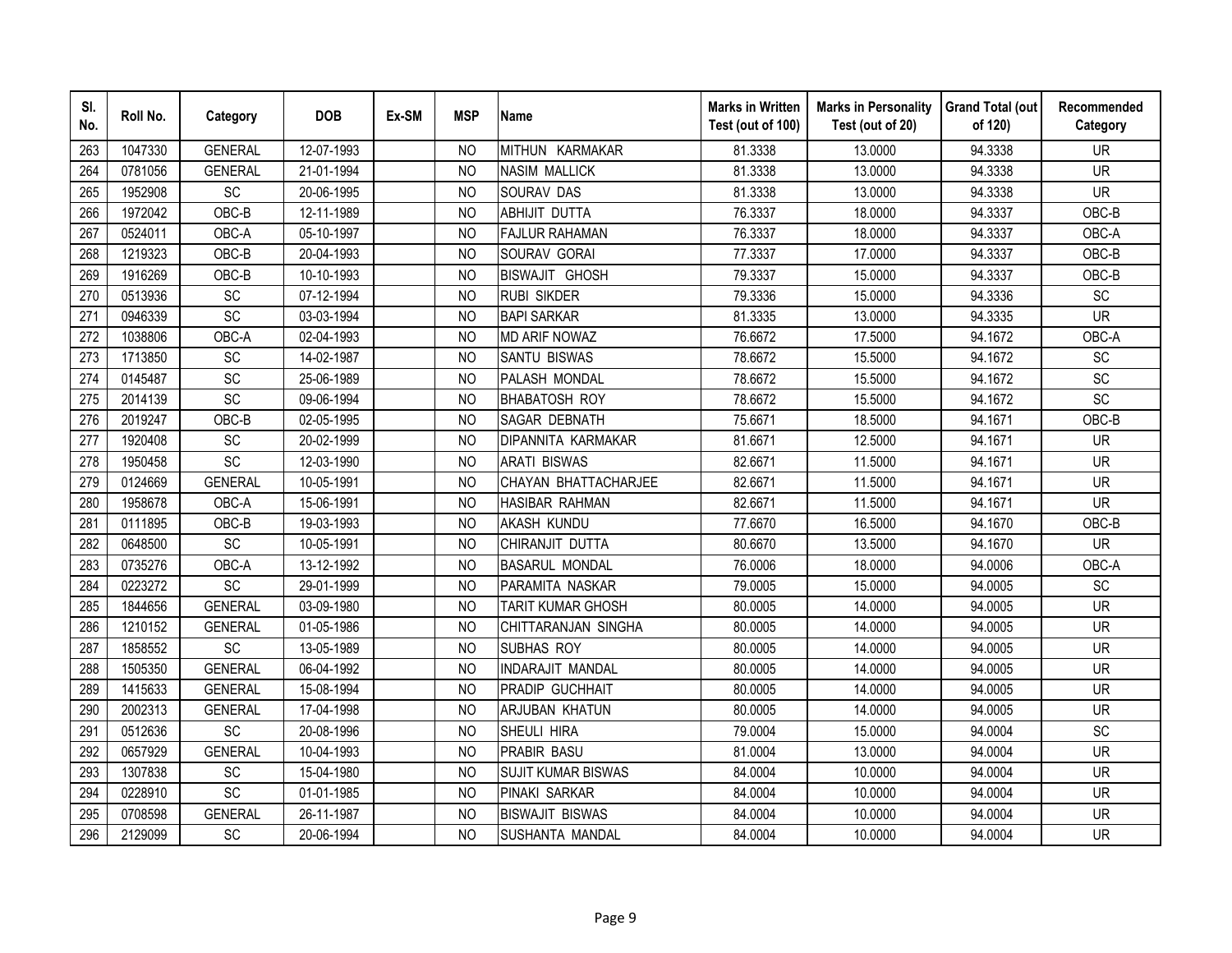| SI.<br>No. | Roll No. | Category        | <b>DOB</b> | Ex-SM | <b>MSP</b>     | <b>Name</b>               | <b>Marks in Written</b><br>Test (out of 100) | <b>Marks in Personality</b><br>Test (out of 20) | <b>Grand Total (out</b><br>of 120) | Recommended<br>Category      |
|------------|----------|-----------------|------------|-------|----------------|---------------------------|----------------------------------------------|-------------------------------------------------|------------------------------------|------------------------------|
| 263        | 1047330  | <b>GENERAL</b>  | 12-07-1993 |       | N <sub>O</sub> | MITHUN KARMAKAR           | 81.3338                                      | 13.0000                                         | 94.3338                            | <b>UR</b>                    |
| 264        | 0781056  | <b>GENERAL</b>  | 21-01-1994 |       | <b>NO</b>      | <b>NASIM MALLICK</b>      | 81.3338                                      | 13.0000                                         | 94.3338                            | $\overline{\mathsf{UR}}$     |
| 265        | 1952908  | SC              | 20-06-1995 |       | <b>NO</b>      | <b>SOURAV DAS</b>         | 81.3338                                      | 13.0000                                         | 94.3338                            | <b>UR</b>                    |
| 266        | 1972042  | OBC-B           | 12-11-1989 |       | <b>NO</b>      | <b>ABHIJIT DUTTA</b>      | 76.3337                                      | 18.0000                                         | 94.3337                            | OBC-B                        |
| 267        | 0524011  | OBC-A           | 05-10-1997 |       | N <sub>O</sub> | <b>FAJLUR RAHAMAN</b>     | 76.3337                                      | 18.0000                                         | 94.3337                            | OBC-A                        |
| 268        | 1219323  | OBC-B           | 20-04-1993 |       | <b>NO</b>      | SOURAV GORAI              | 77.3337                                      | 17.0000                                         | 94.3337                            | OBC-B                        |
| 269        | 1916269  | OBC-B           | 10-10-1993 |       | <b>NO</b>      | <b>BISWAJIT GHOSH</b>     | 79.3337                                      | 15.0000                                         | 94.3337                            | OBC-B                        |
| 270        | 0513936  | SC              | 07-12-1994 |       | <b>NO</b>      | <b>RUBI SIKDER</b>        | 79.3336                                      | 15.0000                                         | 94.3336                            | $\operatorname{\textsf{SC}}$ |
| 271        | 0946339  | SC              | 03-03-1994 |       | N <sub>O</sub> | <b>BAPI SARKAR</b>        | 81.3335                                      | 13.0000                                         | 94.3335                            | <b>UR</b>                    |
| 272        | 1038806  | OBC-A           | 02-04-1993 |       | <b>NO</b>      | <b>MD ARIF NOWAZ</b>      | 76.6672                                      | 17.5000                                         | 94.1672                            | OBC-A                        |
| 273        | 1713850  | SC              | 14-02-1987 |       | N <sub>O</sub> | <b>SANTU BISWAS</b>       | 78.6672                                      | 15.5000                                         | 94.1672                            | SC                           |
| 274        | 0145487  | <b>SC</b>       | 25-06-1989 |       | N <sub>O</sub> | PALASH MONDAL             | 78.6672                                      | 15.5000                                         | 94.1672                            | SC                           |
| 275        | 2014139  | SC              | 09-06-1994 |       | <b>NO</b>      | <b>BHABATOSH ROY</b>      | 78.6672                                      | 15.5000                                         | 94.1672                            | SC                           |
| 276        | 2019247  | OBC-B           | 02-05-1995 |       | <b>NO</b>      | <b>SAGAR DEBNATH</b>      | 75.6671                                      | 18.5000                                         | 94.1671                            | OBC-B                        |
| 277        | 1920408  | SC              | 20-02-1999 |       | <b>NO</b>      | <b>DIPANNITA KARMAKAR</b> | 81.6671                                      | 12.5000                                         | 94.1671                            | <b>UR</b>                    |
| 278        | 1950458  | SC              | 12-03-1990 |       | <b>NO</b>      | <b>ARATI BISWAS</b>       | 82.6671                                      | 11.5000                                         | 94.1671                            | <b>UR</b>                    |
| 279        | 0124669  | <b>GENERAL</b>  | 10-05-1991 |       | <b>NO</b>      | CHAYAN BHATTACHARJEE      | 82.6671                                      | 11.5000                                         | 94.1671                            | <b>UR</b>                    |
| 280        | 1958678  | OBC-A           | 15-06-1991 |       | N <sub>O</sub> | <b>HASIBAR RAHMAN</b>     | 82.6671                                      | 11.5000                                         | 94.1671                            | <b>UR</b>                    |
| 281        | 0111895  | OBC-B           | 19-03-1993 |       | <b>NO</b>      | <b>AKASH KUNDU</b>        | 77.6670                                      | 16.5000                                         | 94.1670                            | OBC-B                        |
| 282        | 0648500  | SC              | 10-05-1991 |       | N <sub>O</sub> | CHIRANJIT DUTTA           | 80.6670                                      | 13.5000                                         | 94.1670                            | <b>UR</b>                    |
| 283        | 0735276  | OBC-A           | 13-12-1992 |       | N <sub>O</sub> | <b>BASARUL MONDAL</b>     | 76.0006                                      | 18.0000                                         | 94.0006                            | OBC-A                        |
| 284        | 0223272  | $\overline{SC}$ | 29-01-1999 |       | N <sub>O</sub> | PARAMITA NASKAR           | 79.0005                                      | 15.0000                                         | 94.0005                            | SC                           |
| 285        | 1844656  | <b>GENERAL</b>  | 03-09-1980 |       | N <sub>O</sub> | <b>TARIT KUMAR GHOSH</b>  | 80.0005                                      | 14.0000                                         | 94.0005                            | <b>UR</b>                    |
| 286        | 1210152  | <b>GENERAL</b>  | 01-05-1986 |       | <b>NO</b>      | CHITTARANJAN SINGHA       | 80.0005                                      | 14.0000                                         | 94.0005                            | <b>UR</b>                    |
| 287        | 1858552  | SC              | 13-05-1989 |       | <b>NO</b>      | SUBHAS ROY                | 80.0005                                      | 14.0000                                         | 94.0005                            | <b>UR</b>                    |
| 288        | 1505350  | <b>GENERAL</b>  | 06-04-1992 |       | <b>NO</b>      | INDARAJIT MANDAL          | 80.0005                                      | 14.0000                                         | 94.0005                            | <b>UR</b>                    |
| 289        | 1415633  | <b>GENERAL</b>  | 15-08-1994 |       | <b>NO</b>      | PRADIP GUCHHAIT           | 80.0005                                      | 14.0000                                         | 94.0005                            | <b>UR</b>                    |
| 290        | 2002313  | <b>GENERAL</b>  | 17-04-1998 |       | <b>NO</b>      | <b>ARJUBAN KHATUN</b>     | 80.0005                                      | 14.0000                                         | 94.0005                            | <b>UR</b>                    |
| 291        | 0512636  | SC              | 20-08-1996 |       | <b>NO</b>      | SHEULI HIRA               | 79.0004                                      | 15.0000                                         | 94.0004                            | SC                           |
| 292        | 0657929  | <b>GENERAL</b>  | 10-04-1993 |       | <b>NO</b>      | PRABIR BASU               | 81.0004                                      | 13.0000                                         | 94.0004                            | <b>UR</b>                    |
| 293        | 1307838  | SC              | 15-04-1980 |       | <b>NO</b>      | <b>SUJIT KUMAR BISWAS</b> | 84.0004                                      | 10.0000                                         | 94.0004                            | <b>UR</b>                    |
| 294        | 0228910  | SC              | 01-01-1985 |       | N <sub>O</sub> | PINAKI SARKAR             | 84.0004                                      | 10.0000                                         | 94.0004                            | <b>UR</b>                    |
| 295        | 0708598  | <b>GENERAL</b>  | 26-11-1987 |       | N <sub>O</sub> | <b>BISWAJIT BISWAS</b>    | 84.0004                                      | 10.0000                                         | 94.0004                            | <b>UR</b>                    |
| 296        | 2129099  | <b>SC</b>       | 20-06-1994 |       | <b>NO</b>      | SUSHANTA MANDAL           | 84.0004                                      | 10.0000                                         | 94.0004                            | <b>UR</b>                    |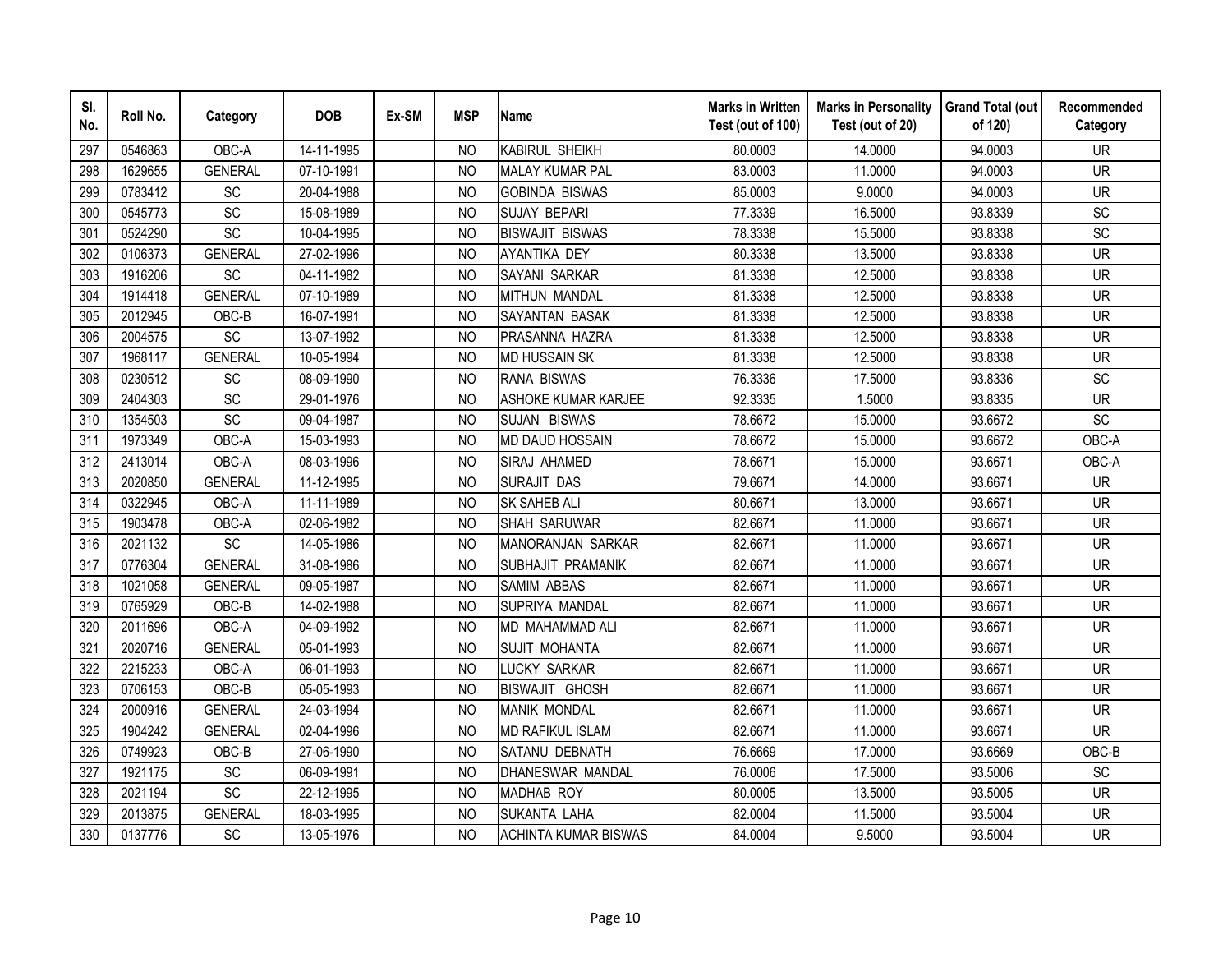| SI.<br>No. | Roll No. | Category       | <b>DOB</b> | Ex-SM | <b>MSP</b>     | <b>Name</b>                 | <b>Marks in Written</b><br>Test (out of 100) | <b>Marks in Personality</b><br>Test (out of 20) | <b>Grand Total (out</b><br>of 120) | Recommended<br>Category |
|------------|----------|----------------|------------|-------|----------------|-----------------------------|----------------------------------------------|-------------------------------------------------|------------------------------------|-------------------------|
| 297        | 0546863  | OBC-A          | 14-11-1995 |       | N <sub>O</sub> | <b>KABIRUL SHEIKH</b>       | 80.0003                                      | 14.0000                                         | 94.0003                            | <b>UR</b>               |
| 298        | 1629655  | <b>GENERAL</b> | 07-10-1991 |       | <b>NO</b>      | <b>MALAY KUMAR PAL</b>      | 83.0003                                      | 11.0000                                         | 94.0003                            | <b>UR</b>               |
| 299        | 0783412  | SC             | 20-04-1988 |       | N <sub>O</sub> | <b>GOBINDA BISWAS</b>       | 85.0003                                      | 9.0000                                          | 94.0003                            | <b>UR</b>               |
| 300        | 0545773  | <b>SC</b>      | 15-08-1989 |       | N <sub>O</sub> | <b>SUJAY BEPARI</b>         | 77.3339                                      | 16.5000                                         | 93.8339                            | SC                      |
| 301        | 0524290  | SC             | 10-04-1995 |       | NO             | <b>BISWAJIT BISWAS</b>      | 78.3338                                      | 15.5000                                         | 93.8338                            | SC                      |
| 302        | 0106373  | <b>GENERAL</b> | 27-02-1996 |       | <sub>NO</sub>  | AYANTIKA DEY                | 80.3338                                      | 13.5000                                         | 93.8338                            | <b>UR</b>               |
| 303        | 1916206  | SC             | 04-11-1982 |       | N <sub>O</sub> | SAYANI SARKAR               | 81.3338                                      | 12.5000                                         | 93.8338                            | <b>UR</b>               |
| 304        | 1914418  | <b>GENERAL</b> | 07-10-1989 |       | N <sub>O</sub> | MITHUN MANDAL               | 81.3338                                      | 12.5000                                         | 93.8338                            | <b>UR</b>               |
| 305        | 2012945  | OBC-B          | 16-07-1991 |       | N <sub>O</sub> | SAYANTAN BASAK              | 81.3338                                      | 12.5000                                         | 93.8338                            | <b>UR</b>               |
| 306        | 2004575  | SC             | 13-07-1992 |       | <b>NO</b>      | PRASANNA HAZRA              | 81.3338                                      | 12.5000                                         | 93.8338                            | <b>UR</b>               |
| 307        | 1968117  | <b>GENERAL</b> | 10-05-1994 |       | N <sub>O</sub> | <b>MD HUSSAIN SK</b>        | 81.3338                                      | 12.5000                                         | 93.8338                            | <b>UR</b>               |
| 308        | 0230512  | SC             | 08-09-1990 |       | <b>NO</b>      | <b>RANA BISWAS</b>          | 76.3336                                      | 17.5000                                         | 93.8336                            | SC                      |
| 309        | 2404303  | SC             | 29-01-1976 |       | <b>NO</b>      | ASHOKE KUMAR KARJEE         | 92.3335                                      | 1.5000                                          | 93.8335                            | <b>UR</b>               |
| 310        | 1354503  | SC             | 09-04-1987 |       | <b>NO</b>      | SUJAN BISWAS                | 78.6672                                      | 15.0000                                         | 93.6672                            | SC                      |
| 311        | 1973349  | OBC-A          | 15-03-1993 |       | N <sub>O</sub> | <b>MD DAUD HOSSAIN</b>      | 78.6672                                      | 15.0000                                         | 93.6672                            | OBC-A                   |
| 312        | 2413014  | OBC-A          | 08-03-1996 |       | <b>NO</b>      | SIRAJ AHAMED                | 78.6671                                      | 15.0000                                         | 93.6671                            | OBC-A                   |
| 313        | 2020850  | <b>GENERAL</b> | 11-12-1995 |       | <b>NO</b>      | <b>SURAJIT DAS</b>          | 79.6671                                      | 14.0000                                         | 93.6671                            | <b>UR</b>               |
| 314        | 0322945  | OBC-A          | 11-11-1989 |       | N <sub>O</sub> | <b>SK SAHEB ALI</b>         | 80.6671                                      | 13.0000                                         | 93.6671                            | <b>UR</b>               |
| 315        | 1903478  | OBC-A          | 02-06-1982 |       | <b>NO</b>      | <b>SHAH SARUWAR</b>         | 82.6671                                      | 11.0000                                         | 93.6671                            | <b>UR</b>               |
| 316        | 2021132  | SC             | 14-05-1986 |       | N <sub>O</sub> | MANORANJAN SARKAR           | 82.6671                                      | 11.0000                                         | 93.6671                            | <b>UR</b>               |
| 317        | 0776304  | <b>GENERAL</b> | 31-08-1986 |       | <b>NO</b>      | SUBHAJIT PRAMANIK           | 82.6671                                      | 11.0000                                         | 93.6671                            | <b>UR</b>               |
| 318        | 1021058  | <b>GENERAL</b> | 09-05-1987 |       | N <sub>O</sub> | SAMIM ABBAS                 | 82.6671                                      | 11.0000                                         | 93.6671                            | <b>UR</b>               |
| 319        | 0765929  | OBC-B          | 14-02-1988 |       | <b>NO</b>      | SUPRIYA MANDAL              | 82.6671                                      | 11.0000                                         | 93.6671                            | <b>UR</b>               |
| 320        | 2011696  | OBC-A          | 04-09-1992 |       | N <sub>O</sub> | MD MAHAMMAD ALI             | 82.6671                                      | 11.0000                                         | 93.6671                            | <b>UR</b>               |
| 321        | 2020716  | <b>GENERAL</b> | 05-01-1993 |       | N <sub>O</sub> | SUJIT MOHANTA               | 82.6671                                      | 11.0000                                         | 93.6671                            | <b>UR</b>               |
| 322        | 2215233  | OBC-A          | 06-01-1993 |       | N <sub>O</sub> | <b>LUCKY SARKAR</b>         | 82.6671                                      | 11.0000                                         | 93.6671                            | <b>UR</b>               |
| 323        | 0706153  | OBC-B          | 05-05-1993 |       | N <sub>O</sub> | <b>BISWAJIT GHOSH</b>       | 82.6671                                      | 11.0000                                         | 93.6671                            | <b>UR</b>               |
| 324        | 2000916  | <b>GENERAL</b> | 24-03-1994 |       | N <sub>O</sub> | <b>MANIK MONDAL</b>         | 82.6671                                      | 11.0000                                         | 93.6671                            | <b>UR</b>               |
| 325        | 1904242  | <b>GENERAL</b> | 02-04-1996 |       | NO             | <b>MD RAFIKUL ISLAM</b>     | 82.6671                                      | 11.0000                                         | 93.6671                            | <b>UR</b>               |
| 326        | 0749923  | OBC-B          | 27-06-1990 |       | N <sub>O</sub> | SATANU DEBNATH              | 76.6669                                      | 17.0000                                         | 93.6669                            | OBC-B                   |
| 327        | 1921175  | SC             | 06-09-1991 |       | N <sub>O</sub> | <b>DHANESWAR MANDAL</b>     | 76.0006                                      | 17.5000                                         | 93.5006                            | SC                      |
| 328        | 2021194  | SC             | 22-12-1995 |       | N <sub>O</sub> | MADHAB ROY                  | 80.0005                                      | 13.5000                                         | 93.5005                            | <b>UR</b>               |
| 329        | 2013875  | <b>GENERAL</b> | 18-03-1995 |       | <b>NO</b>      | <b>SUKANTA LAHA</b>         | 82.0004                                      | 11.5000                                         | 93.5004                            | <b>UR</b>               |
| 330        | 0137776  | SC             | 13-05-1976 |       | <b>NO</b>      | <b>ACHINTA KUMAR BISWAS</b> | 84.0004                                      | 9.5000                                          | 93.5004                            | <b>UR</b>               |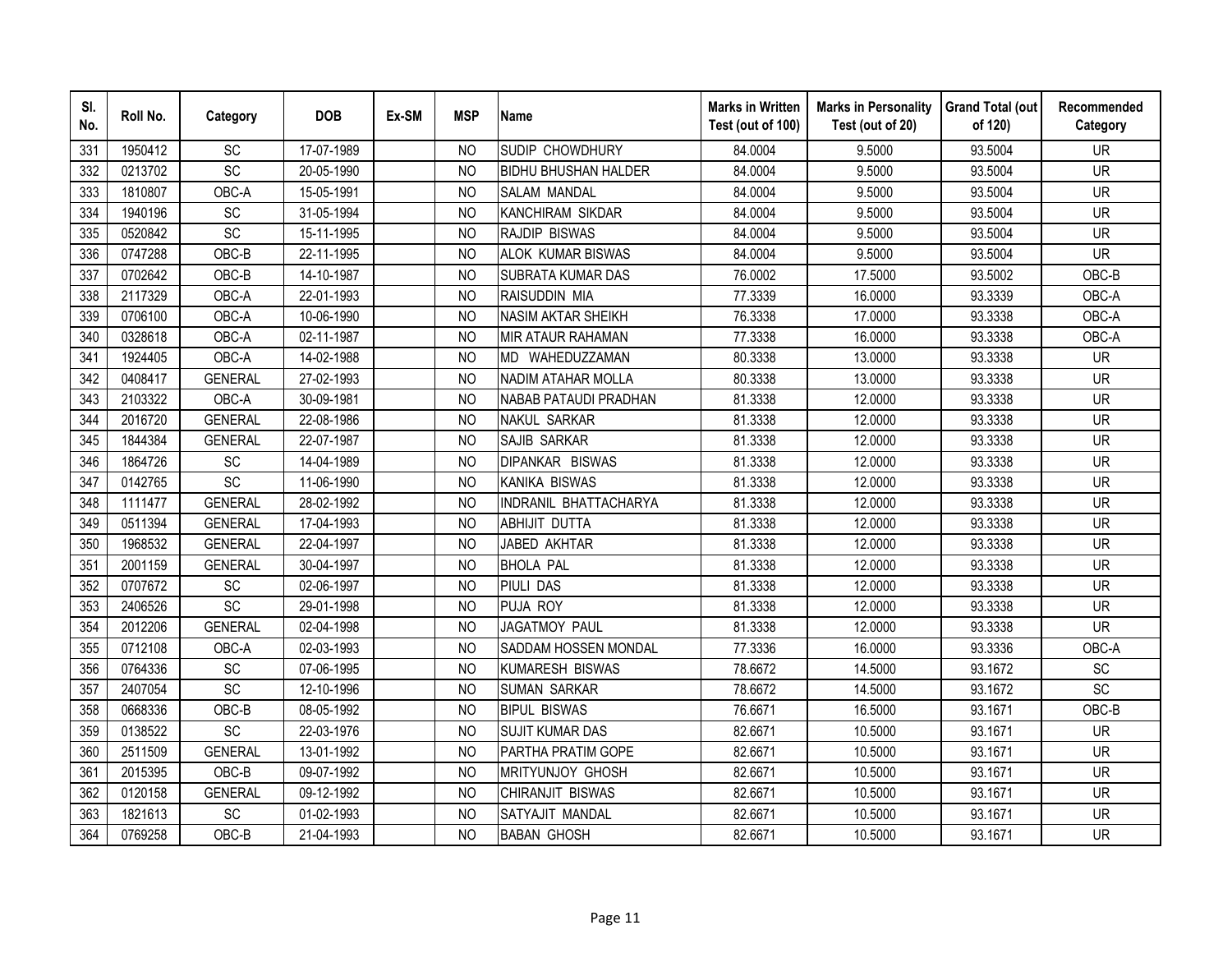| SI.<br>No. | Roll No. | Category        | <b>DOB</b> | Ex-SM | <b>MSP</b>     | <b>Name</b>                 | <b>Marks in Written</b><br>Test (out of 100) | <b>Marks in Personality</b><br>Test (out of 20) | <b>Grand Total (out</b><br>of 120) | Recommended<br>Category |
|------------|----------|-----------------|------------|-------|----------------|-----------------------------|----------------------------------------------|-------------------------------------------------|------------------------------------|-------------------------|
| 331        | 1950412  | <b>SC</b>       | 17-07-1989 |       | <b>NO</b>      | SUDIP CHOWDHURY             | 84.0004                                      | 9.5000                                          | 93.5004                            | <b>UR</b>               |
| 332        | 0213702  | $\overline{SC}$ | 20-05-1990 |       | N <sub>O</sub> | <b>BIDHU BHUSHAN HALDER</b> | 84.0004                                      | 9.5000                                          | 93.5004                            | <b>UR</b>               |
| 333        | 1810807  | OBC-A           | 15-05-1991 |       | N <sub>O</sub> | <b>SALAM MANDAL</b>         | 84.0004                                      | 9.5000                                          | 93.5004                            | <b>UR</b>               |
| 334        | 1940196  | SC              | 31-05-1994 |       | <b>NO</b>      | <b>KANCHIRAM SIKDAR</b>     | 84.0004                                      | 9.5000                                          | 93.5004                            | <b>UR</b>               |
| 335        | 0520842  | SC              | 15-11-1995 |       | N <sub>O</sub> | RAJDIP BISWAS               | 84.0004                                      | 9.5000                                          | 93.5004                            | <b>UR</b>               |
| 336        | 0747288  | OBC-B           | 22-11-1995 |       | NO             | ALOK KUMAR BISWAS           | 84.0004                                      | 9.5000                                          | 93.5004                            | <b>UR</b>               |
| 337        | 0702642  | OBC-B           | 14-10-1987 |       | N <sub>O</sub> | SUBRATA KUMAR DAS           | 76.0002                                      | 17.5000                                         | 93.5002                            | OBC-B                   |
| 338        | 2117329  | OBC-A           | 22-01-1993 |       | N <sub>O</sub> | RAISUDDIN MIA               | 77.3339                                      | 16.0000                                         | 93.3339                            | OBC-A                   |
| 339        | 0706100  | OBC-A           | 10-06-1990 |       | N <sub>O</sub> | <b>NASIM AKTAR SHEIKH</b>   | 76.3338                                      | 17.0000                                         | 93.3338                            | OBC-A                   |
| 340        | 0328618  | OBC-A           | 02-11-1987 |       | <b>NO</b>      | <b>MIR ATAUR RAHAMAN</b>    | 77.3338                                      | 16.0000                                         | 93.3338                            | OBC-A                   |
| 341        | 1924405  | OBC-A           | 14-02-1988 |       | <b>NO</b>      | MD WAHEDUZZAMAN             | 80.3338                                      | 13.0000                                         | 93.3338                            | <b>UR</b>               |
| 342        | 0408417  | <b>GENERAL</b>  | 27-02-1993 |       | <b>NO</b>      | <b>NADIM ATAHAR MOLLA</b>   | 80.3338                                      | 13.0000                                         | 93.3338                            | <b>UR</b>               |
| 343        | 2103322  | OBC-A           | 30-09-1981 |       | N <sub>O</sub> | NABAB PATAUDI PRADHAN       | 81.3338                                      | 12.0000                                         | 93.3338                            | <b>UR</b>               |
| 344        | 2016720  | <b>GENERAL</b>  | 22-08-1986 |       | <b>NO</b>      | NAKUL SARKAR                | 81.3338                                      | 12.0000                                         | 93.3338                            | <b>UR</b>               |
| 345        | 1844384  | <b>GENERAL</b>  | 22-07-1987 |       | <b>NO</b>      | <b>SAJIB SARKAR</b>         | 81.3338                                      | 12.0000                                         | 93.3338                            | <b>UR</b>               |
| 346        | 1864726  | <b>SC</b>       | 14-04-1989 |       | <b>NO</b>      | <b>DIPANKAR BISWAS</b>      | 81.3338                                      | 12.0000                                         | 93.3338                            | <b>UR</b>               |
| 347        | 0142765  | $\overline{SC}$ | 11-06-1990 |       | N <sub>O</sub> | <b>KANIKA BISWAS</b>        | 81.3338                                      | 12.0000                                         | 93.3338                            | <b>UR</b>               |
| 348        | 1111477  | <b>GENERAL</b>  | 28-02-1992 |       | <b>NO</b>      | INDRANIL BHATTACHARYA       | 81.3338                                      | 12.0000                                         | 93.3338                            | <b>UR</b>               |
| 349        | 0511394  | <b>GENERAL</b>  | 17-04-1993 |       | N <sub>O</sub> | <b>ABHIJIT DUTTA</b>        | 81.3338                                      | 12.0000                                         | 93.3338                            | <b>UR</b>               |
| 350        | 1968532  | <b>GENERAL</b>  | 22-04-1997 |       | <b>NO</b>      | JABED AKHTAR                | 81.3338                                      | 12.0000                                         | 93.3338                            | <b>UR</b>               |
| 351        | 2001159  | <b>GENERAL</b>  | 30-04-1997 |       | <b>NO</b>      | <b>BHOLA PAL</b>            | 81.3338                                      | 12.0000                                         | 93.3338                            | <b>UR</b>               |
| 352        | 0707672  | SC              | 02-06-1997 |       | <b>NO</b>      | <b>PIULI DAS</b>            | 81.3338                                      | 12.0000                                         | 93.3338                            | <b>UR</b>               |
| 353        | 2406526  | SC              | 29-01-1998 |       | <b>NO</b>      | PUJA ROY                    | 81.3338                                      | 12.0000                                         | 93.3338                            | <b>UR</b>               |
| 354        | 2012206  | <b>GENERAL</b>  | 02-04-1998 |       | N <sub>O</sub> | <b>JAGATMOY PAUL</b>        | 81.3338                                      | 12.0000                                         | 93.3338                            | <b>UR</b>               |
| 355        | 0712108  | OBC-A           | 02-03-1993 |       | <b>NO</b>      | SADDAM HOSSEN MONDAL        | 77.3336                                      | 16.0000                                         | 93.3336                            | OBC-A                   |
| 356        | 0764336  | SC              | 07-06-1995 |       | N <sub>O</sub> | <b>KUMARESH BISWAS</b>      | 78.6672                                      | 14.5000                                         | 93.1672                            | SC                      |
| 357        | 2407054  | SC              | 12-10-1996 |       | N <sub>O</sub> | <b>SUMAN SARKAR</b>         | 78.6672                                      | 14.5000                                         | 93.1672                            | SC                      |
| 358        | 0668336  | OBC-B           | 08-05-1992 |       | N <sub>O</sub> | <b>BIPUL BISWAS</b>         | 76.6671                                      | 16.5000                                         | 93.1671                            | OBC-B                   |
| 359        | 0138522  | SC              | 22-03-1976 |       | NO             | <b>SUJIT KUMAR DAS</b>      | 82.6671                                      | 10.5000                                         | 93.1671                            | <b>UR</b>               |
| 360        | 2511509  | <b>GENERAL</b>  | 13-01-1992 |       | <b>NO</b>      | PARTHA PRATIM GOPE          | 82.6671                                      | 10.5000                                         | 93.1671                            | <b>UR</b>               |
| 361        | 2015395  | OBC-B           | 09-07-1992 |       | N <sub>O</sub> | MRITYUNJOY GHOSH            | 82.6671                                      | 10.5000                                         | 93.1671                            | <b>UR</b>               |
| 362        | 0120158  | <b>GENERAL</b>  | 09-12-1992 |       | N <sub>O</sub> | CHIRANJIT BISWAS            | 82.6671                                      | 10.5000                                         | 93.1671                            | <b>UR</b>               |
| 363        | 1821613  | SC              | 01-02-1993 |       | <b>NO</b>      | SATYAJIT MANDAL             | 82.6671                                      | 10.5000                                         | 93.1671                            | <b>UR</b>               |
| 364        | 0769258  | $OBC-B$         | 21-04-1993 |       | <b>NO</b>      | <b>BABAN GHOSH</b>          | 82.6671                                      | 10.5000                                         | 93.1671                            | <b>UR</b>               |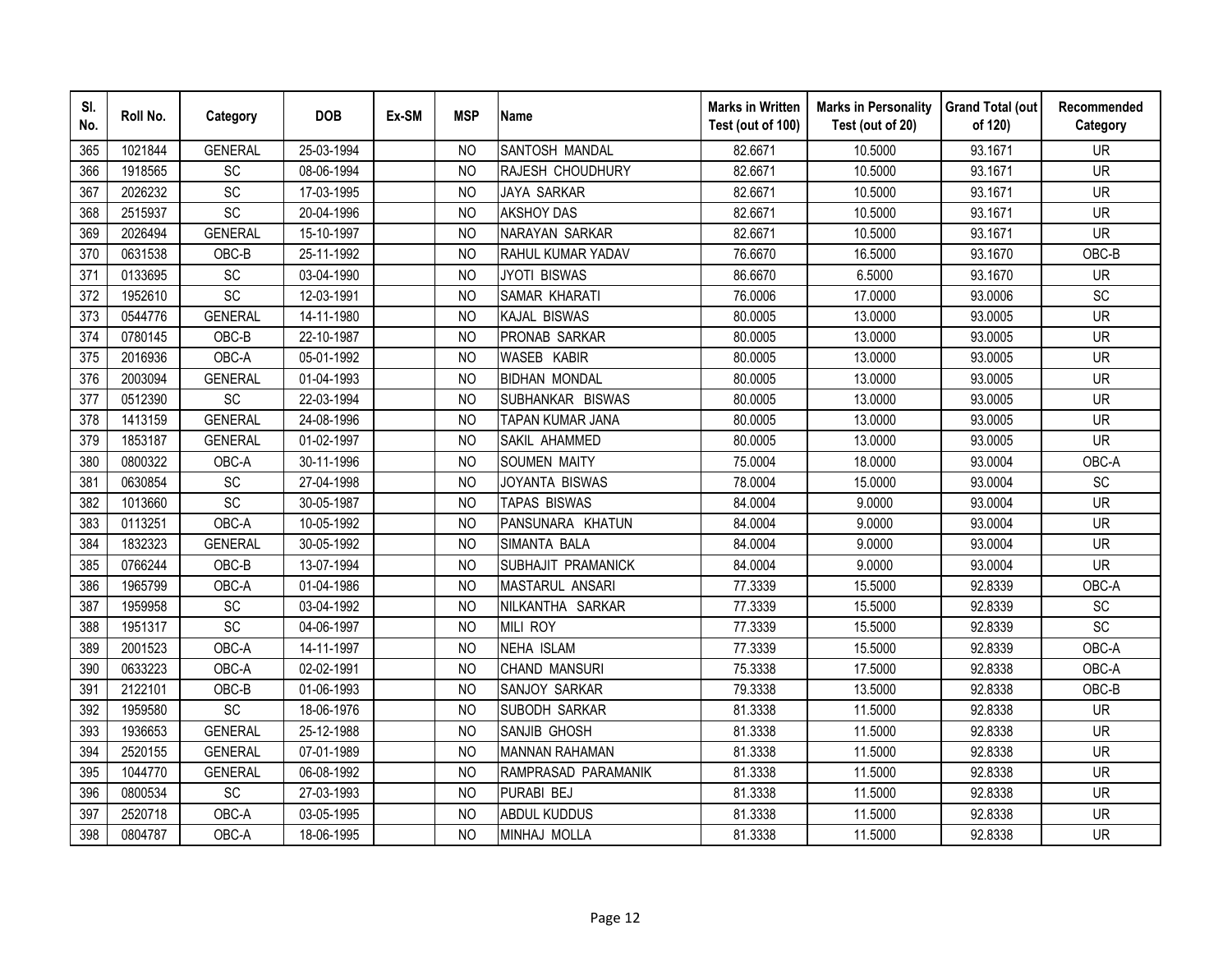| SI.<br>No. | Roll No. | Category       | <b>DOB</b> | Ex-SM | <b>MSP</b>     | <b>Name</b>           | <b>Marks in Written</b><br>Test (out of 100) | <b>Marks in Personality</b><br>Test (out of 20) | <b>Grand Total (out</b><br>of 120) | Recommended<br>Category      |
|------------|----------|----------------|------------|-------|----------------|-----------------------|----------------------------------------------|-------------------------------------------------|------------------------------------|------------------------------|
| 365        | 1021844  | <b>GENERAL</b> | 25-03-1994 |       | N <sub>O</sub> | SANTOSH MANDAL        | 82.6671                                      | 10.5000                                         | 93.1671                            | <b>UR</b>                    |
| 366        | 1918565  | SC             | 08-06-1994 |       | <b>NO</b>      | RAJESH CHOUDHURY      | 82.6671                                      | 10.5000                                         | 93.1671                            | $\overline{\mathsf{UR}}$     |
| 367        | 2026232  | SC             | 17-03-1995 |       | <b>NO</b>      | <b>JAYA SARKAR</b>    | 82.6671                                      | 10.5000                                         | 93.1671                            | <b>UR</b>                    |
| 368        | 2515937  | SC             | 20-04-1996 |       | <b>NO</b>      | <b>AKSHOY DAS</b>     | 82.6671                                      | 10.5000                                         | 93.1671                            | <b>UR</b>                    |
| 369        | 2026494  | <b>GENERAL</b> | 15-10-1997 |       | <b>NO</b>      | NARAYAN SARKAR        | 82.6671                                      | 10.5000                                         | 93.1671                            | <b>UR</b>                    |
| 370        | 0631538  | OBC-B          | 25-11-1992 |       | NO             | RAHUL KUMAR YADAV     | 76.6670                                      | 16.5000                                         | 93.1670                            | OBC-B                        |
| 371        | 0133695  | SC             | 03-04-1990 |       | <b>NO</b>      | <b>JYOTI BISWAS</b>   | 86.6670                                      | 6.5000                                          | 93.1670                            | <b>UR</b>                    |
| 372        | 1952610  | SC             | 12-03-1991 |       | N <sub>O</sub> | SAMAR KHARATI         | 76.0006                                      | 17.0000                                         | 93.0006                            | SC                           |
| 373        | 0544776  | <b>GENERAL</b> | 14-11-1980 |       | <b>NO</b>      | <b>KAJAL BISWAS</b>   | 80.0005                                      | 13.0000                                         | 93.0005                            | UR                           |
| 374        | 0780145  | OBC-B          | 22-10-1987 |       | NO             | PRONAB SARKAR         | 80.0005                                      | 13.0000                                         | 93.0005                            | <b>UR</b>                    |
| 375        | 2016936  | OBC-A          | 05-01-1992 |       | N <sub>O</sub> | WASEB KABIR           | 80.0005                                      | 13.0000                                         | 93.0005                            | <b>UR</b>                    |
| 376        | 2003094  | <b>GENERAL</b> | 01-04-1993 |       | <b>NO</b>      | <b>BIDHAN MONDAL</b>  | 80.0005                                      | 13.0000                                         | 93.0005                            | <b>UR</b>                    |
| 377        | 0512390  | SC             | 22-03-1994 |       | <b>NO</b>      | SUBHANKAR BISWAS      | 80.0005                                      | 13.0000                                         | 93.0005                            | <b>UR</b>                    |
| 378        | 1413159  | <b>GENERAL</b> | 24-08-1996 |       | <b>NO</b>      | TAPAN KUMAR JANA      | 80.0005                                      | 13.0000                                         | 93.0005                            | <b>UR</b>                    |
| 379        | 1853187  | <b>GENERAL</b> | 01-02-1997 |       | <b>NO</b>      | SAKIL AHAMMED         | 80.0005                                      | 13.0000                                         | 93.0005                            | <b>UR</b>                    |
| 380        | 0800322  | OBC-A          | 30-11-1996 |       | <b>NO</b>      | <b>SOUMEN MAITY</b>   | 75.0004                                      | 18.0000                                         | 93.0004                            | OBC-A                        |
| 381        | 0630854  | <b>SC</b>      | 27-04-1998 |       | N <sub>O</sub> | JOYANTA BISWAS        | 78.0004                                      | 15.0000                                         | 93.0004                            | SC                           |
| 382        | 1013660  | SC             | 30-05-1987 |       | <b>NO</b>      | <b>TAPAS BISWAS</b>   | 84.0004                                      | 9.0000                                          | 93.0004                            | <b>UR</b>                    |
| 383        | 0113251  | OBC-A          | 10-05-1992 |       | N <sub>O</sub> | PANSUNARA KHATUN      | 84.0004                                      | 9.0000                                          | 93.0004                            | <b>UR</b>                    |
| 384        | 1832323  | <b>GENERAL</b> | 30-05-1992 |       | N <sub>O</sub> | SIMANTA BALA          | 84.0004                                      | 9.0000                                          | 93.0004                            | <b>UR</b>                    |
| 385        | 0766244  | OBC-B          | 13-07-1994 |       | N <sub>O</sub> | SUBHAJIT PRAMANICK    | 84.0004                                      | 9.0000                                          | 93.0004                            | $\overline{\mathsf{UR}}$     |
| 386        | 1965799  | OBC-A          | 01-04-1986 |       | N <sub>O</sub> | MASTARUL ANSARI       | 77.3339                                      | 15.5000                                         | 92.8339                            | OBC-A                        |
| 387        | 1959958  | SC             | 03-04-1992 |       | N <sub>O</sub> | NILKANTHA SARKAR      | 77.3339                                      | 15.5000                                         | 92.8339                            | $\operatorname{\textsf{SC}}$ |
| 388        | 1951317  | SC             | 04-06-1997 |       | <b>NO</b>      | <b>MILI ROY</b>       | 77.3339                                      | 15.5000                                         | 92.8339                            | SC                           |
| 389        | 2001523  | OBC-A          | 14-11-1997 |       | <b>NO</b>      | <b>NEHA ISLAM</b>     | 77.3339                                      | 15.5000                                         | 92.8339                            | OBC-A                        |
| 390        | 0633223  | OBC-A          | 02-02-1991 |       | <b>NO</b>      | CHAND MANSURI         | 75.3338                                      | 17.5000                                         | 92.8338                            | OBC-A                        |
| 391        | 2122101  | OBC-B          | 01-06-1993 |       | <b>NO</b>      | SANJOY SARKAR         | 79.3338                                      | 13.5000                                         | 92.8338                            | OBC-B                        |
| 392        | 1959580  | <b>SC</b>      | 18-06-1976 |       | <b>NO</b>      | SUBODH SARKAR         | 81.3338                                      | 11.5000                                         | 92.8338                            | <b>UR</b>                    |
| 393        | 1936653  | <b>GENERAL</b> | 25-12-1988 |       | <b>NO</b>      | SANJIB GHOSH          | 81.3338                                      | 11.5000                                         | 92.8338                            | <b>UR</b>                    |
| 394        | 2520155  | <b>GENERAL</b> | 07-01-1989 |       | <b>NO</b>      | <b>MANNAN RAHAMAN</b> | 81.3338                                      | 11.5000                                         | 92.8338                            | <b>UR</b>                    |
| 395        | 1044770  | <b>GENERAL</b> | 06-08-1992 |       | <b>NO</b>      | RAMPRASAD PARAMANIK   | 81.3338                                      | 11.5000                                         | 92.8338                            | <b>UR</b>                    |
| 396        | 0800534  | SC             | 27-03-1993 |       | <b>NO</b>      | PURABI BEJ            | 81.3338                                      | 11.5000                                         | 92.8338                            | <b>UR</b>                    |
| 397        | 2520718  | OBC-A          | 03-05-1995 |       | N <sub>O</sub> | <b>ABDUL KUDDUS</b>   | 81.3338                                      | 11.5000                                         | 92.8338                            | <b>UR</b>                    |
| 398        | 0804787  | OBC-A          | 18-06-1995 |       | <b>NO</b>      | MINHAJ MOLLA          | 81.3338                                      | 11.5000                                         | 92.8338                            | <b>UR</b>                    |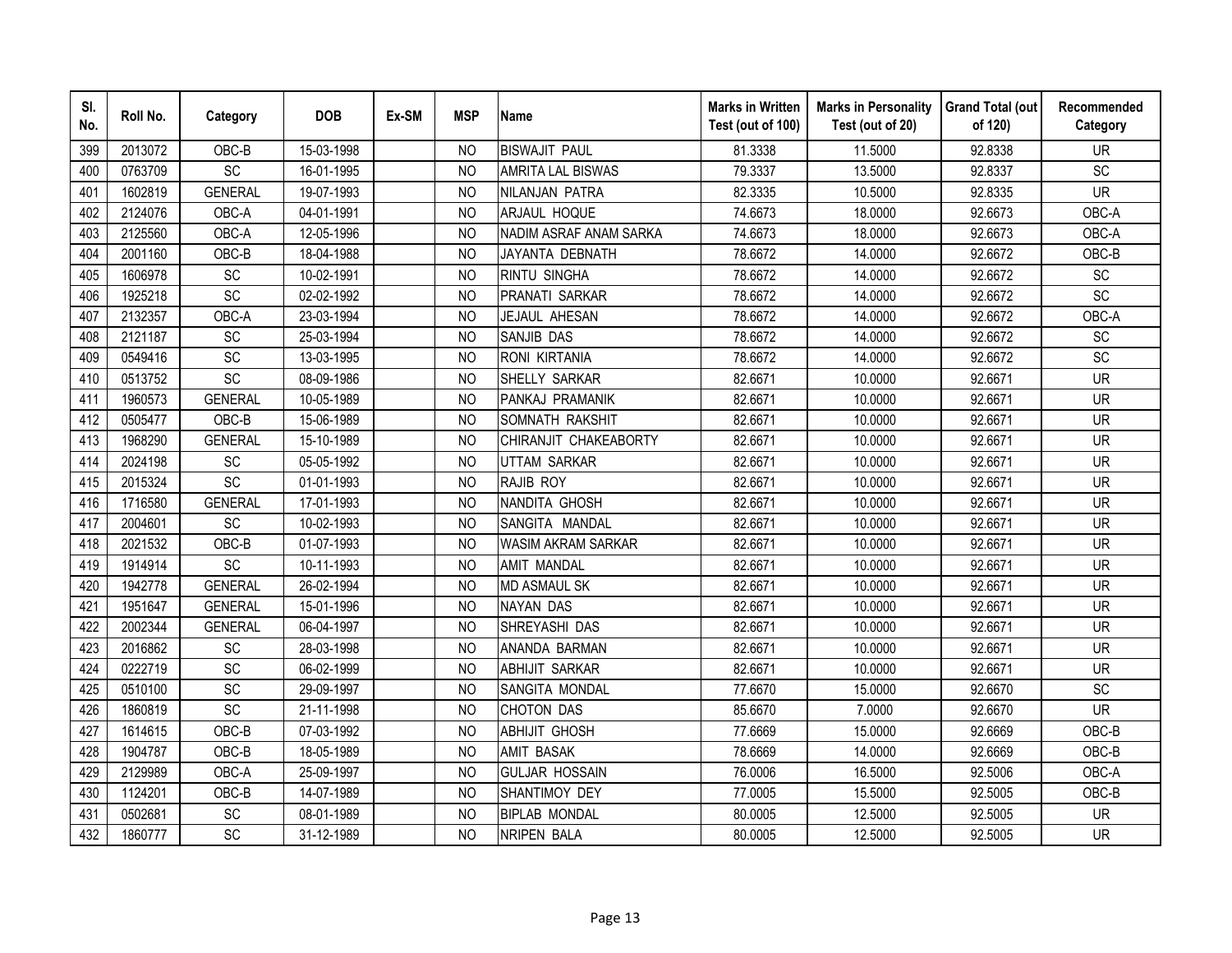| SI.<br>No. | Roll No. | Category        | <b>DOB</b> | Ex-SM | <b>MSP</b>     | <b>Name</b>              | <b>Marks in Written</b><br>Test (out of 100) | <b>Marks in Personality</b><br>Test (out of 20) | <b>Grand Total (out</b><br>of 120) | Recommended<br>Category |
|------------|----------|-----------------|------------|-------|----------------|--------------------------|----------------------------------------------|-------------------------------------------------|------------------------------------|-------------------------|
| 399        | 2013072  | OBC-B           | 15-03-1998 |       | NO.            | <b>BISWAJIT PAUL</b>     | 81.3338                                      | 11.5000                                         | 92.8338                            | <b>UR</b>               |
| 400        | 0763709  | $\overline{SC}$ | 16-01-1995 |       | <b>NO</b>      | <b>AMRITA LAL BISWAS</b> | 79.3337                                      | 13.5000                                         | 92.8337                            | $\overline{SC}$         |
| 401        | 1602819  | <b>GENERAL</b>  | 19-07-1993 |       | <b>NO</b>      | NILANJAN PATRA           | 82.3335                                      | 10.5000                                         | 92.8335                            | <b>UR</b>               |
| 402        | 2124076  | OBC-A           | 04-01-1991 |       | <b>NO</b>      | ARJAUL HOQUE             | 74.6673                                      | 18.0000                                         | 92.6673                            | OBC-A                   |
| 403        | 2125560  | OBC-A           | 12-05-1996 |       | <b>NO</b>      | NADIM ASRAF ANAM SARKA   | 74.6673                                      | 18.0000                                         | 92.6673                            | OBC-A                   |
| 404        | 2001160  | OBC-B           | 18-04-1988 |       | <b>NO</b>      | JAYANTA DEBNATH          | 78.6672                                      | 14.0000                                         | 92.6672                            | OBC-B                   |
| 405        | 1606978  | <b>SC</b>       | 10-02-1991 |       | N <sub>O</sub> | <b>RINTU SINGHA</b>      | 78.6672                                      | 14.0000                                         | 92.6672                            | <b>SC</b>               |
| 406        | 1925218  | SC              | 02-02-1992 |       | <b>NO</b>      | PRANATI SARKAR           | 78.6672                                      | 14.0000                                         | 92.6672                            | SC                      |
| 407        | 2132357  | OBC-A           | 23-03-1994 |       | <b>NO</b>      | JEJAUL AHESAN            | 78.6672                                      | 14.0000                                         | 92.6672                            | OBC-A                   |
| 408        | 2121187  | SC              | 25-03-1994 |       | <b>NO</b>      | <b>SANJIB DAS</b>        | 78.6672                                      | 14.0000                                         | 92.6672                            | SC                      |
| 409        | 0549416  | SC              | 13-03-1995 |       | <b>NO</b>      | <b>RONI KIRTANIA</b>     | 78.6672                                      | 14.0000                                         | 92.6672                            | SC                      |
| 410        | 0513752  | SC              | 08-09-1986 |       | <b>NO</b>      | SHELLY SARKAR            | 82.6671                                      | 10.0000                                         | 92.6671                            | <b>UR</b>               |
| 411        | 1960573  | <b>GENERAL</b>  | 10-05-1989 |       | <b>NO</b>      | PANKAJ PRAMANIK          | 82.6671                                      | 10.0000                                         | 92.6671                            | <b>UR</b>               |
| 412        | 0505477  | OBC-B           | 15-06-1989 |       | <b>NO</b>      | SOMNATH RAKSHIT          | 82.6671                                      | 10.0000                                         | 92.6671                            | <b>UR</b>               |
| 413        | 1968290  | <b>GENERAL</b>  | 15-10-1989 |       | <b>NO</b>      | CHIRANJIT CHAKEABORTY    | 82.6671                                      | 10.0000                                         | 92.6671                            | <b>UR</b>               |
| 414        | 2024198  | SC              | 05-05-1992 |       | <b>NO</b>      | <b>UTTAM SARKAR</b>      | 82.6671                                      | 10.0000                                         | 92.6671                            | <b>UR</b>               |
| 415        | 2015324  | SC              | 01-01-1993 |       | <b>NO</b>      | RAJIB ROY                | 82.6671                                      | 10.0000                                         | 92.6671                            | <b>UR</b>               |
| 416        | 1716580  | <b>GENERAL</b>  | 17-01-1993 |       | N <sub>O</sub> | NANDITA GHOSH            | 82.6671                                      | 10.0000                                         | 92.6671                            | <b>UR</b>               |
| 417        | 2004601  | $\overline{SC}$ | 10-02-1993 |       | <b>NO</b>      | SANGITA MANDAL           | 82.6671                                      | 10.0000                                         | 92.6671                            | <b>UR</b>               |
| 418        | 2021532  | OBC-B           | 01-07-1993 |       | N <sub>O</sub> | WASIM AKRAM SARKAR       | 82.6671                                      | 10.0000                                         | 92.6671                            | <b>UR</b>               |
| 419        | 1914914  | $\overline{SC}$ | 10-11-1993 |       | <b>NO</b>      | <b>AMIT MANDAL</b>       | 82.6671                                      | 10.0000                                         | 92.6671                            | <b>UR</b>               |
| 420        | 1942778  | <b>GENERAL</b>  | 26-02-1994 |       | N <sub>O</sub> | <b>MD ASMAUL SK</b>      | 82.6671                                      | 10.0000                                         | 92.6671                            | <b>UR</b>               |
| 421        | 1951647  | <b>GENERAL</b>  | 15-01-1996 |       | <b>NO</b>      | <b>NAYAN DAS</b>         | 82.6671                                      | 10.0000                                         | 92.6671                            | <b>UR</b>               |
| 422        | 2002344  | <b>GENERAL</b>  | 06-04-1997 |       | N <sub>O</sub> | SHREYASHI DAS            | 82.6671                                      | 10.0000                                         | 92.6671                            | <b>UR</b>               |
| 423        | 2016862  | SC              | 28-03-1998 |       | <b>NO</b>      | ANANDA BARMAN            | 82.6671                                      | 10.0000                                         | 92.6671                            | <b>UR</b>               |
| 424        | 0222719  | SC              | 06-02-1999 |       | <b>NO</b>      | <b>ABHIJIT SARKAR</b>    | 82.6671                                      | 10.0000                                         | 92.6671                            | <b>UR</b>               |
| 425        | 0510100  | SC              | 29-09-1997 |       | <b>NO</b>      | SANGITA MONDAL           | 77.6670                                      | 15.0000                                         | 92.6670                            | SC                      |
| 426        | 1860819  | SC              | 21-11-1998 |       | <b>NO</b>      | <b>CHOTON DAS</b>        | 85.6670                                      | 7.0000                                          | 92.6670                            | <b>UR</b>               |
| 427        | 1614615  | OBC-B           | 07-03-1992 |       | <b>NO</b>      | <b>ABHIJIT GHOSH</b>     | 77.6669                                      | 15.0000                                         | 92.6669                            | OBC-B                   |
| 428        | 1904787  | OBC-B           | 18-05-1989 |       | <b>NO</b>      | <b>AMIT BASAK</b>        | 78.6669                                      | 14.0000                                         | 92.6669                            | OBC-B                   |
| 429        | 2129989  | OBC-A           | 25-09-1997 |       | <b>NO</b>      | <b>GULJAR HOSSAIN</b>    | 76.0006                                      | 16.5000                                         | 92.5006                            | OBC-A                   |
| 430        | 1124201  | OBC-B           | 14-07-1989 |       | <b>NO</b>      | SHANTIMOY DEY            | 77.0005                                      | 15.5000                                         | 92.5005                            | OBC-B                   |
| 431        | 0502681  | SC              | 08-01-1989 |       | N <sub>O</sub> | <b>BIPLAB MONDAL</b>     | 80.0005                                      | 12.5000                                         | 92.5005                            | <b>UR</b>               |
| 432        | 1860777  | SC              | 31-12-1989 |       | <b>NO</b>      | <b>NRIPEN BALA</b>       | 80.0005                                      | 12.5000                                         | 92.5005                            | <b>UR</b>               |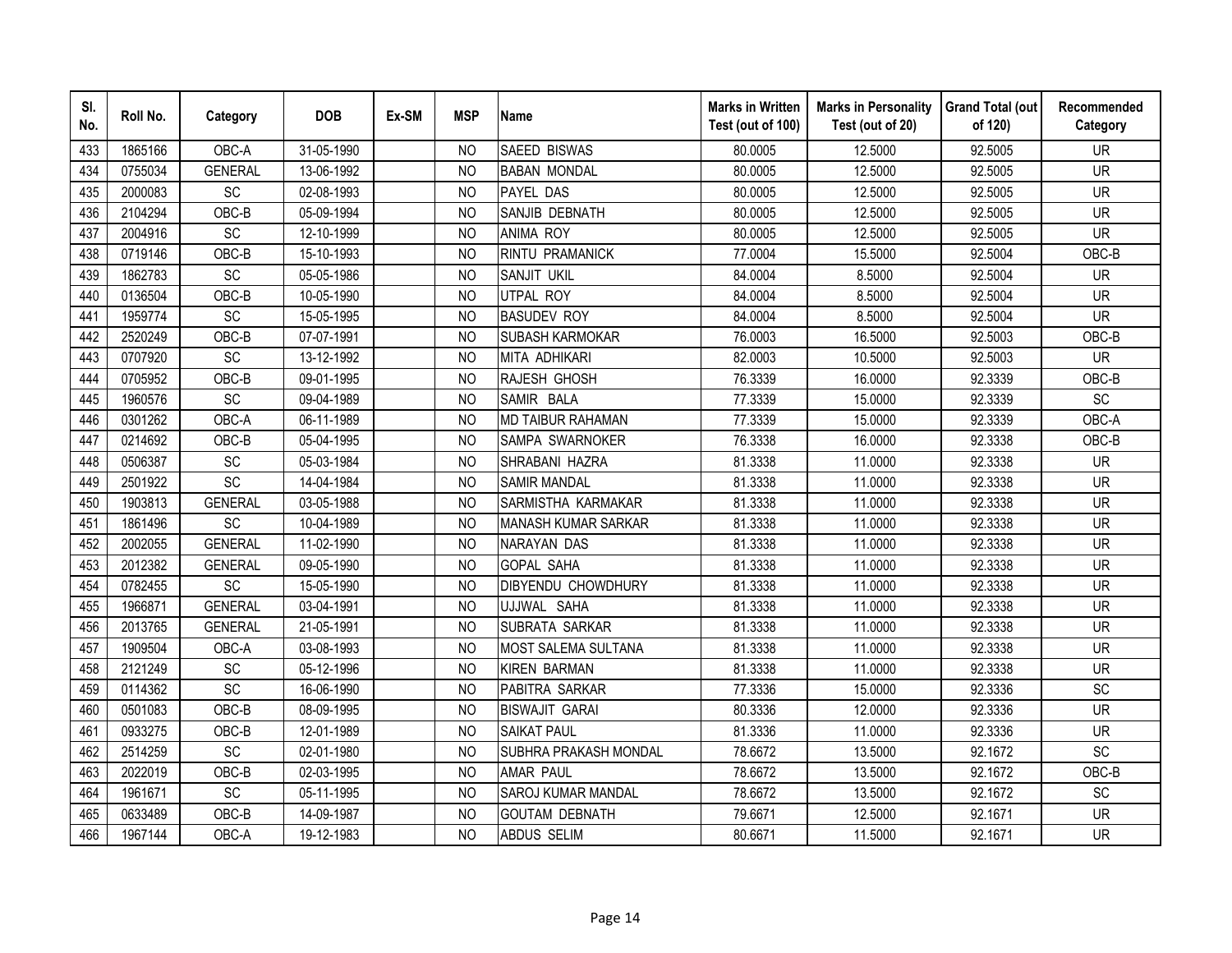| SI.<br>No. | Roll No. | Category        | <b>DOB</b> | Ex-SM | <b>MSP</b>     | <b>Name</b>                  | <b>Marks in Written</b><br>Test (out of 100) | <b>Marks in Personality</b><br>Test (out of 20) | <b>Grand Total (out</b><br>of 120) | Recommended<br>Category  |
|------------|----------|-----------------|------------|-------|----------------|------------------------------|----------------------------------------------|-------------------------------------------------|------------------------------------|--------------------------|
| 433        | 1865166  | OBC-A           | 31-05-1990 |       | N <sub>O</sub> | <b>SAEED BISWAS</b>          | 80.0005                                      | 12.5000                                         | 92.5005                            | <b>UR</b>                |
| 434        | 0755034  | <b>GENERAL</b>  | 13-06-1992 |       | N <sub>O</sub> | <b>BABAN MONDAL</b>          | 80.0005                                      | 12.5000                                         | 92.5005                            | $\overline{\mathsf{UR}}$ |
| 435        | 2000083  | SC              | 02-08-1993 |       | <b>NO</b>      | PAYEL DAS                    | 80.0005                                      | 12.5000                                         | 92.5005                            | <b>UR</b>                |
| 436        | 2104294  | OBC-B           | 05-09-1994 |       | <b>NO</b>      | SANJIB DEBNATH               | 80.0005                                      | 12.5000                                         | 92.5005                            | <b>UR</b>                |
| 437        | 2004916  | SC              | 12-10-1999 |       | <b>NO</b>      | <b>ANIMA ROY</b>             | 80.0005                                      | 12.5000                                         | 92.5005                            | <b>UR</b>                |
| 438        | 0719146  | OBC-B           | 15-10-1993 |       | <b>NO</b>      | RINTU PRAMANICK              | 77.0004                                      | 15.5000                                         | 92.5004                            | OBC-B                    |
| 439        | 1862783  | SC              | 05-05-1986 |       | <b>NO</b>      | SANJIT UKIL                  | 84.0004                                      | 8.5000                                          | 92.5004                            | <b>UR</b>                |
| 440        | 0136504  | OBC-B           | 10-05-1990 |       | <b>NO</b>      | UTPAL ROY                    | 84.0004                                      | 8.5000                                          | 92.5004                            | <b>UR</b>                |
| 441        | 1959774  | SC              | 15-05-1995 |       | N <sub>O</sub> | <b>BASUDEV ROY</b>           | 84.0004                                      | 8.5000                                          | 92.5004                            | <b>UR</b>                |
| 442        | 2520249  | OBC-B           | 07-07-1991 |       | <b>NO</b>      | <b>SUBASH KARMOKAR</b>       | 76.0003                                      | 16.5000                                         | 92.5003                            | OBC-B                    |
| 443        | 0707920  | SC              | 13-12-1992 |       | NO             | MITA ADHIKARI                | 82.0003                                      | 10.5000                                         | 92.5003                            | <b>UR</b>                |
| 444        | 0705952  | OBC-B           | 09-01-1995 |       | <b>NO</b>      | RAJESH GHOSH                 | 76.3339                                      | 16.0000                                         | 92.3339                            | OBC-B                    |
| 445        | 1960576  | <b>SC</b>       | 09-04-1989 |       | <b>NO</b>      | SAMIR BALA                   | 77.3339                                      | 15.0000                                         | 92.3339                            | SC                       |
| 446        | 0301262  | OBC-A           | 06-11-1989 |       | <b>NO</b>      | <b>MD TAIBUR RAHAMAN</b>     | 77.3339                                      | 15.0000                                         | 92.3339                            | OBC-A                    |
| 447        | 0214692  | OBC-B           | 05-04-1995 |       | <b>NO</b>      | SAMPA SWARNOKER              | 76.3338                                      | 16.0000                                         | 92.3338                            | OBC-B                    |
| 448        | 0506387  | SC              | 05-03-1984 |       | <b>NO</b>      | SHRABANI HAZRA               | 81.3338                                      | 11.0000                                         | 92.3338                            | <b>UR</b>                |
| 449        | 2501922  | SC              | 14-04-1984 |       | <b>NO</b>      | <b>SAMIR MANDAL</b>          | 81.3338                                      | 11.0000                                         | 92.3338                            | <b>UR</b>                |
| 450        | 1903813  | <b>GENERAL</b>  | 03-05-1988 |       | N <sub>O</sub> | SARMISTHA KARMAKAR           | 81.3338                                      | 11.0000                                         | 92.3338                            | <b>UR</b>                |
| 451        | 1861496  | <b>SC</b>       | 10-04-1989 |       | <b>NO</b>      | MANASH KUMAR SARKAR          | 81.3338                                      | 11.0000                                         | 92.3338                            | <b>UR</b>                |
| 452        | 2002055  | <b>GENERAL</b>  | 11-02-1990 |       | <b>NO</b>      | <b>NARAYAN DAS</b>           | 81.3338                                      | 11.0000                                         | 92.3338                            | <b>UR</b>                |
| 453        | 2012382  | <b>GENERAL</b>  | 09-05-1990 |       | N <sub>O</sub> | <b>GOPAL SAHA</b>            | 81.3338                                      | 11.0000                                         | 92.3338                            | <b>UR</b>                |
| 454        | 0782455  | $\overline{SC}$ | 15-05-1990 |       | <b>NO</b>      | <b>DIBYENDU CHOWDHURY</b>    | 81.3338                                      | 11.0000                                         | 92.3338                            | <b>UR</b>                |
| 455        | 1966871  | <b>GENERAL</b>  | 03-04-1991 |       | N <sub>O</sub> | UJJWAL SAHA                  | 81.3338                                      | 11.0000                                         | 92.3338                            | <b>UR</b>                |
| 456        | 2013765  | <b>GENERAL</b>  | 21-05-1991 |       | <b>NO</b>      | SUBRATA SARKAR               | 81.3338                                      | 11.0000                                         | 92.3338                            | <b>UR</b>                |
| 457        | 1909504  | OBC-A           | 03-08-1993 |       | <b>NO</b>      | MOST SALEMA SULTANA          | 81.3338                                      | 11.0000                                         | 92.3338                            | <b>UR</b>                |
| 458        | 2121249  | SC              | 05-12-1996 |       | <b>NO</b>      | <b>KIREN BARMAN</b>          | 81.3338                                      | 11.0000                                         | 92.3338                            | <b>UR</b>                |
| 459        | 0114362  | $\overline{SC}$ | 16-06-1990 |       | <b>NO</b>      | PABITRA SARKAR               | 77.3336                                      | 15.0000                                         | 92.3336                            | SC                       |
| 460        | 0501083  | OBC-B           | 08-09-1995 |       | <b>NO</b>      | <b>BISWAJIT GARAI</b>        | 80.3336                                      | 12.0000                                         | 92.3336                            | <b>UR</b>                |
| 461        | 0933275  | OBC-B           | 12-01-1989 |       | <b>NO</b>      | <b>SAIKAT PAUL</b>           | 81.3336                                      | 11.0000                                         | 92.3336                            | <b>UR</b>                |
| 462        | 2514259  | <b>SC</b>       | 02-01-1980 |       | N <sub>O</sub> | <b>SUBHRA PRAKASH MONDAL</b> | 78.6672                                      | 13.5000                                         | 92.1672                            | <b>SC</b>                |
| 463        | 2022019  | OBC-B           | 02-03-1995 |       | <b>NO</b>      | <b>AMAR PAUL</b>             | 78.6672                                      | 13.5000                                         | 92.1672                            | OBC-B                    |
| 464        | 1961671  | SC              | 05-11-1995 |       | <b>NO</b>      | <b>SAROJ KUMAR MANDAL</b>    | 78.6672                                      | 13.5000                                         | 92.1672                            | SC                       |
| 465        | 0633489  | OBC-B           | 14-09-1987 |       | <b>NO</b>      | <b>GOUTAM DEBNATH</b>        | 79.6671                                      | 12.5000                                         | 92.1671                            | <b>UR</b>                |
| 466        | 1967144  | OBC-A           | 19-12-1983 |       | <b>NO</b>      | <b>ABDUS SELIM</b>           | 80.6671                                      | 11.5000                                         | 92.1671                            | <b>UR</b>                |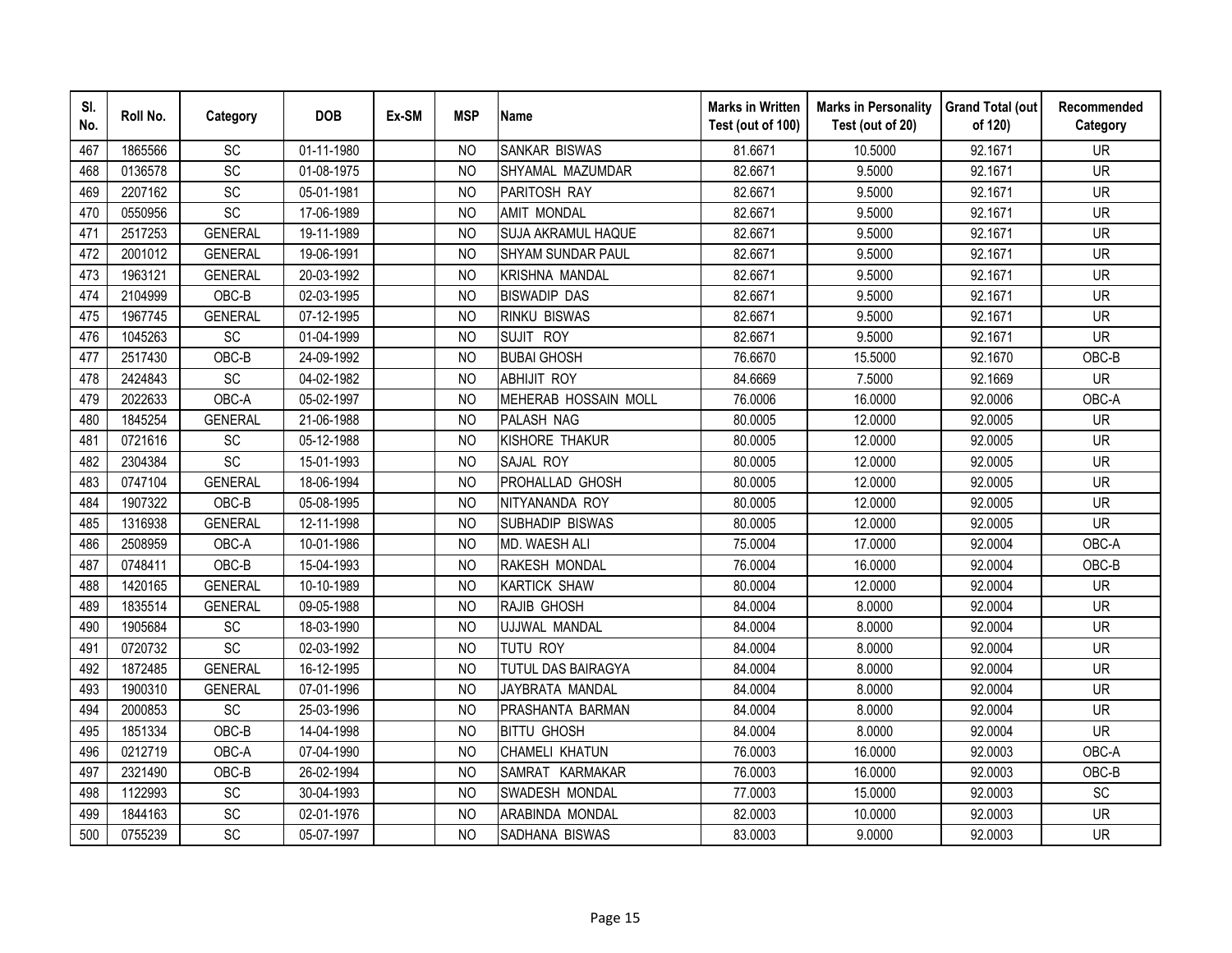| SI.<br>No. | Roll No. | Category        | <b>DOB</b> | Ex-SM | <b>MSP</b>     | <b>Name</b>              | <b>Marks in Written</b><br>Test (out of 100) | <b>Marks in Personality</b><br>Test (out of 20) | <b>Grand Total (out</b><br>of 120) | Recommended<br>Category |
|------------|----------|-----------------|------------|-------|----------------|--------------------------|----------------------------------------------|-------------------------------------------------|------------------------------------|-------------------------|
| 467        | 1865566  | SC              | 01-11-1980 |       | <b>NO</b>      | <b>SANKAR BISWAS</b>     | 81.6671                                      | 10.5000                                         | 92.1671                            | <b>UR</b>               |
| 468        | 0136578  | $\overline{SC}$ | 01-08-1975 |       | N <sub>O</sub> | SHYAMAL MAZUMDAR         | 82.6671                                      | 9.5000                                          | 92.1671                            | <b>UR</b>               |
| 469        | 2207162  | SC              | 05-01-1981 |       | <b>NO</b>      | PARITOSH RAY             | 82.6671                                      | 9.5000                                          | 92.1671                            | <b>UR</b>               |
| 470        | 0550956  | SC              | 17-06-1989 |       | <b>NO</b>      | <b>AMIT MONDAL</b>       | 82.6671                                      | 9.5000                                          | 92.1671                            | <b>UR</b>               |
| 471        | 2517253  | <b>GENERAL</b>  | 19-11-1989 |       | N <sub>O</sub> | SUJA AKRAMUL HAQUE       | 82.6671                                      | 9.5000                                          | 92.1671                            | <b>UR</b>               |
| 472        | 2001012  | <b>GENERAL</b>  | 19-06-1991 |       | <b>NO</b>      | <b>SHYAM SUNDAR PAUL</b> | 82.6671                                      | 9.5000                                          | 92.1671                            | <b>UR</b>               |
| 473        | 1963121  | <b>GENERAL</b>  | 20-03-1992 |       | NO             | <b>KRISHNA MANDAL</b>    | 82.6671                                      | 9.5000                                          | 92.1671                            | <b>UR</b>               |
| 474        | 2104999  | OBC-B           | 02-03-1995 |       | <b>NO</b>      | <b>BISWADIP DAS</b>      | 82.6671                                      | 9.5000                                          | 92.1671                            | <b>UR</b>               |
| 475        | 1967745  | <b>GENERAL</b>  | 07-12-1995 |       | N <sub>O</sub> | <b>RINKU BISWAS</b>      | 82.6671                                      | 9.5000                                          | 92.1671                            | <b>UR</b>               |
| 476        | 1045263  | SC              | 01-04-1999 |       | <b>NO</b>      | SUJIT ROY                | 82.6671                                      | 9.5000                                          | 92.1671                            | <b>UR</b>               |
| 477        | 2517430  | OBC-B           | 24-09-1992 |       | N <sub>O</sub> | <b>BUBAI GHOSH</b>       | 76.6670                                      | 15.5000                                         | 92.1670                            | OBC-B                   |
| 478        | 2424843  | SC              | 04-02-1982 |       | N <sub>O</sub> | <b>ABHIJIT ROY</b>       | 84.6669                                      | 7.5000                                          | 92.1669                            | <b>UR</b>               |
| 479        | 2022633  | OBC-A           | 05-02-1997 |       | <b>NO</b>      | MEHERAB HOSSAIN MOLL     | 76.0006                                      | 16.0000                                         | 92.0006                            | OBC-A                   |
| 480        | 1845254  | <b>GENERAL</b>  | 21-06-1988 |       | <b>NO</b>      | PALASH NAG               | 80.0005                                      | 12.0000                                         | 92.0005                            | <b>UR</b>               |
| 481        | 0721616  | SC              | 05-12-1988 |       | N <sub>O</sub> | KISHORE THAKUR           | 80.0005                                      | 12.0000                                         | 92.0005                            | <b>UR</b>               |
| 482        | 2304384  | SC              | 15-01-1993 |       | N <sub>O</sub> | SAJAL ROY                | 80.0005                                      | 12.0000                                         | 92.0005                            | <b>UR</b>               |
| 483        | 0747104  | <b>GENERAL</b>  | 18-06-1994 |       | <b>NO</b>      | PROHALLAD GHOSH          | 80.0005                                      | 12.0000                                         | 92.0005                            | <b>UR</b>               |
| 484        | 1907322  | OBC-B           | 05-08-1995 |       | N <sub>O</sub> | NITYANANDA ROY           | 80.0005                                      | 12.0000                                         | 92.0005                            | <b>UR</b>               |
| 485        | 1316938  | <b>GENERAL</b>  | 12-11-1998 |       | N <sub>O</sub> | SUBHADIP BISWAS          | 80.0005                                      | 12.0000                                         | 92.0005                            | <b>UR</b>               |
| 486        | 2508959  | OBC-A           | 10-01-1986 |       | N <sub>O</sub> | MD. WAESH ALI            | 75.0004                                      | 17.0000                                         | 92.0004                            | OBC-A                   |
| 487        | 0748411  | OBC-B           | 15-04-1993 |       | N <sub>O</sub> | RAKESH MONDAL            | 76.0004                                      | 16.0000                                         | 92.0004                            | OBC-B                   |
| 488        | 1420165  | <b>GENERAL</b>  | 10-10-1989 |       | N <sub>O</sub> | <b>KARTICK SHAW</b>      | 80.0004                                      | 12.0000                                         | 92.0004                            | <b>UR</b>               |
| 489        | 1835514  | <b>GENERAL</b>  | 09-05-1988 |       | <b>NO</b>      | RAJIB GHOSH              | 84.0004                                      | 8.0000                                          | 92.0004                            | <b>UR</b>               |
| 490        | 1905684  | SC              | 18-03-1990 |       | <b>NO</b>      | UJJWAL MANDAL            | 84.0004                                      | 8.0000                                          | 92.0004                            | <b>UR</b>               |
| 491        | 0720732  | SC              | 02-03-1992 |       | <b>NO</b>      | TUTU ROY                 | 84.0004                                      | 8.0000                                          | 92.0004                            | <b>UR</b>               |
| 492        | 1872485  | <b>GENERAL</b>  | 16-12-1995 |       | <b>NO</b>      | TUTUL DAS BAIRAGYA       | 84.0004                                      | 8.0000                                          | 92.0004                            | <b>UR</b>               |
| 493        | 1900310  | <b>GENERAL</b>  | 07-01-1996 |       | <b>NO</b>      | JAYBRATA MANDAL          | 84.0004                                      | 8.0000                                          | 92.0004                            | <b>UR</b>               |
| 494        | 2000853  | SC              | 25-03-1996 |       | <b>NO</b>      | PRASHANTA BARMAN         | 84.0004                                      | 8.0000                                          | 92.0004                            | <b>UR</b>               |
| 495        | 1851334  | OBC-B           | 14-04-1998 |       | <b>NO</b>      | <b>BITTU GHOSH</b>       | 84.0004                                      | 8.0000                                          | 92.0004                            | <b>UR</b>               |
| 496        | 0212719  | OBC-A           | 07-04-1990 |       | N <sub>O</sub> | <b>CHAMELI KHATUN</b>    | 76.0003                                      | 16.0000                                         | 92.0003                            | OBC-A                   |
| 497        | 2321490  | OBC-B           | 26-02-1994 |       | <b>NO</b>      | SAMRAT KARMAKAR          | 76.0003                                      | 16.0000                                         | 92.0003                            | OBC-B                   |
| 498        | 1122993  | SC              | 30-04-1993 |       | <b>NO</b>      | SWADESH MONDAL           | 77.0003                                      | 15.0000                                         | 92.0003                            | SC                      |
| 499        | 1844163  | SC              | 02-01-1976 |       | N <sub>O</sub> | ARABINDA MONDAL          | 82.0003                                      | 10.0000                                         | 92.0003                            | <b>UR</b>               |
| 500        | 0755239  | SC              | 05-07-1997 |       | <b>NO</b>      | SADHANA BISWAS           | 83.0003                                      | 9.0000                                          | 92.0003                            | <b>UR</b>               |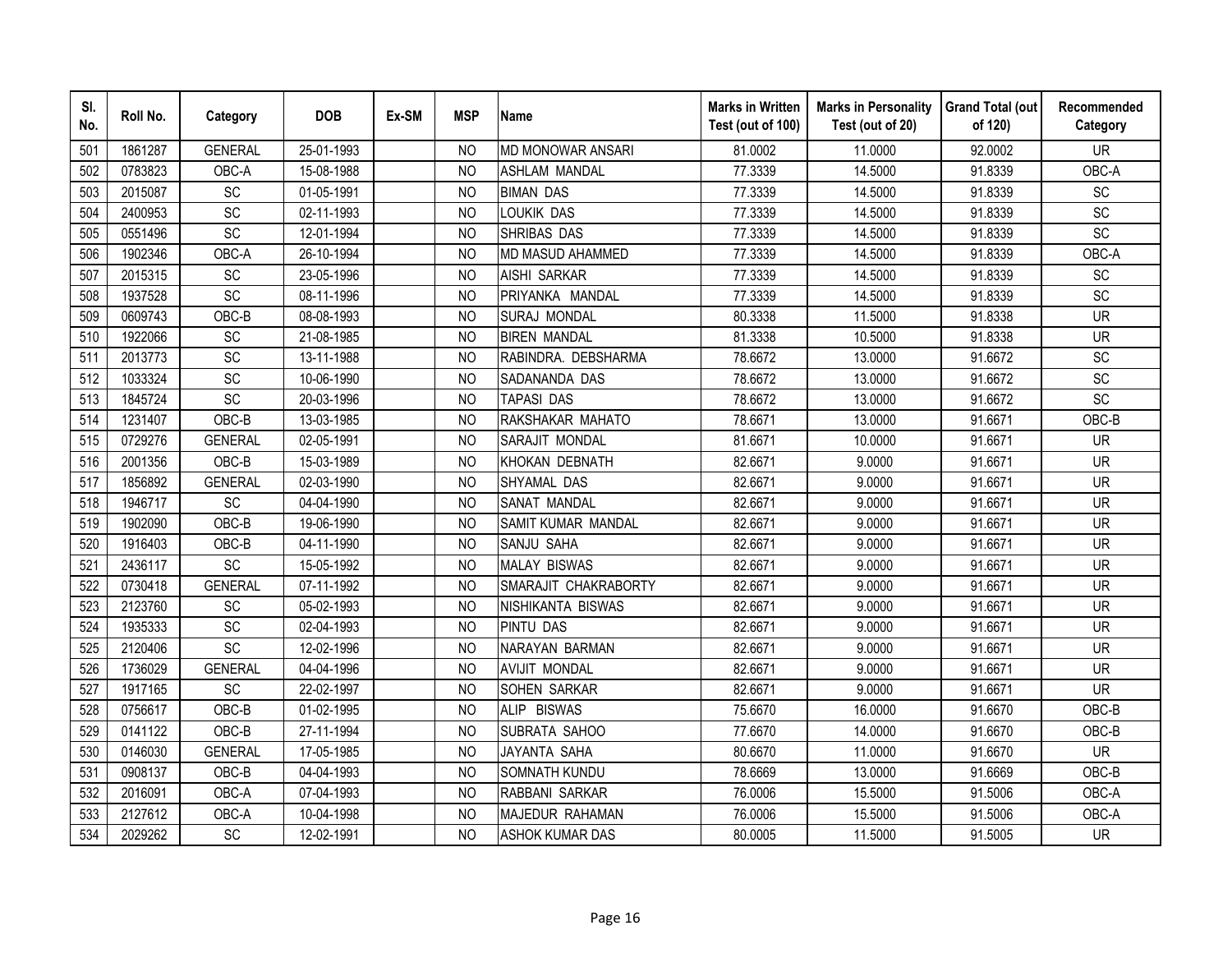| SI.<br>No. | Roll No. | Category        | <b>DOB</b> | Ex-SM | <b>MSP</b>     | <b>Name</b>               | <b>Marks in Written</b><br>Test (out of 100) | <b>Marks in Personality</b><br>Test (out of 20) | <b>Grand Total (out</b><br>of 120) | Recommended<br>Category |
|------------|----------|-----------------|------------|-------|----------------|---------------------------|----------------------------------------------|-------------------------------------------------|------------------------------------|-------------------------|
| 501        | 1861287  | <b>GENERAL</b>  | 25-01-1993 |       | N <sub>O</sub> | <b>MD MONOWAR ANSARI</b>  | 81.0002                                      | 11.0000                                         | 92.0002                            | <b>UR</b>               |
| 502        | 0783823  | OBC-A           | 15-08-1988 |       | <b>NO</b>      | <b>ASHLAM MANDAL</b>      | 77.3339                                      | 14.5000                                         | 91.8339                            | OBC-A                   |
| 503        | 2015087  | SC              | 01-05-1991 |       | N <sub>O</sub> | <b>BIMAN DAS</b>          | 77.3339                                      | 14.5000                                         | 91.8339                            | SC                      |
| 504        | 2400953  | SC              | 02-11-1993 |       | <b>NO</b>      | LOUKIK DAS                | 77.3339                                      | 14.5000                                         | 91.8339                            | SC                      |
| 505        | 0551496  | SC              | 12-01-1994 |       | <b>NO</b>      | SHRIBAS DAS               | 77.3339                                      | 14.5000                                         | 91.8339                            | SC                      |
| 506        | 1902346  | OBC-A           | 26-10-1994 |       | N <sub>O</sub> | MD MASUD AHAMMED          | 77.3339                                      | 14.5000                                         | 91.8339                            | OBC-A                   |
| 507        | 2015315  | <b>SC</b>       | 23-05-1996 |       | <b>NO</b>      | <b>AISHI SARKAR</b>       | 77.3339                                      | 14.5000                                         | 91.8339                            | <b>SC</b>               |
| 508        | 1937528  | SC              | 08-11-1996 |       | NO             | PRIYANKA MANDAL           | 77.3339                                      | 14.5000                                         | 91.8339                            | SC                      |
| 509        | 0609743  | OBC-B           | 08-08-1993 |       | N <sub>O</sub> | <b>SURAJ MONDAL</b>       | 80.3338                                      | 11.5000                                         | 91.8338                            | <b>UR</b>               |
| 510        | 1922066  | SC              | 21-08-1985 |       | <b>NO</b>      | <b>BIREN MANDAL</b>       | 81.3338                                      | 10.5000                                         | 91.8338                            | <b>UR</b>               |
| 511        | 2013773  | SC              | 13-11-1988 |       | N <sub>O</sub> | RABINDRA. DEBSHARMA       | 78.6672                                      | 13.0000                                         | 91.6672                            | SC                      |
| 512        | 1033324  | SC              | 10-06-1990 |       | <b>NO</b>      | SADANANDA DAS             | 78.6672                                      | 13.0000                                         | 91.6672                            | SC                      |
| 513        | 1845724  | SC              | 20-03-1996 |       | <b>NO</b>      | <b>TAPASI DAS</b>         | 78.6672                                      | 13.0000                                         | 91.6672                            | SC                      |
| 514        | 1231407  | OBC-B           | 13-03-1985 |       | N <sub>O</sub> | RAKSHAKAR MAHATO          | 78.6671                                      | 13.0000                                         | 91.6671                            | OBC-B                   |
| 515        | 0729276  | <b>GENERAL</b>  | 02-05-1991 |       | N <sub>O</sub> | SARAJIT MONDAL            | 81.6671                                      | 10.0000                                         | 91.6671                            | <b>UR</b>               |
| 516        | 2001356  | OBC-B           | 15-03-1989 |       | <b>NO</b>      | KHOKAN DEBNATH            | 82.6671                                      | 9.0000                                          | 91.6671                            | <b>UR</b>               |
| 517        | 1856892  | <b>GENERAL</b>  | 02-03-1990 |       | N <sub>O</sub> | SHYAMAL DAS               | 82.6671                                      | 9.0000                                          | 91.6671                            | <b>UR</b>               |
| 518        | 1946717  | <b>SC</b>       | 04-04-1990 |       | N <sub>O</sub> | SANAT MANDAL              | 82.6671                                      | 9.0000                                          | 91.6671                            | <b>UR</b>               |
| 519        | 1902090  | OBC-B           | 19-06-1990 |       | <b>NO</b>      | <b>SAMIT KUMAR MANDAL</b> | 82.6671                                      | 9.0000                                          | 91.6671                            | <b>UR</b>               |
| 520        | 1916403  | OBC-B           | 04-11-1990 |       | <b>NO</b>      | SANJU SAHA                | 82.6671                                      | 9.0000                                          | 91.6671                            | <b>UR</b>               |
| 521        | 2436117  | $\overline{SC}$ | 15-05-1992 |       | N <sub>O</sub> | <b>MALAY BISWAS</b>       | 82.6671                                      | 9.0000                                          | 91.6671                            | <b>UR</b>               |
| 522        | 0730418  | <b>GENERAL</b>  | 07-11-1992 |       | N <sub>O</sub> | SMARAJIT CHAKRABORTY      | 82.6671                                      | 9.0000                                          | 91.6671                            | <b>UR</b>               |
| 523        | 2123760  | SC              | 05-02-1993 |       | N <sub>O</sub> | <b>NISHIKANTA BISWAS</b>  | 82.6671                                      | 9.0000                                          | 91.6671                            | <b>UR</b>               |
| 524        | 1935333  | SC              | 02-04-1993 |       | N <sub>O</sub> | <b>PINTU DAS</b>          | 82.6671                                      | 9.0000                                          | 91.6671                            | <b>UR</b>               |
| 525        | 2120406  | SC              | 12-02-1996 |       | <b>NO</b>      | NARAYAN BARMAN            | 82.6671                                      | 9.0000                                          | 91.6671                            | <b>UR</b>               |
| 526        | 1736029  | <b>GENERAL</b>  | 04-04-1996 |       | N <sub>O</sub> | <b>AVIJIT MONDAL</b>      | 82.6671                                      | 9.0000                                          | 91.6671                            | <b>UR</b>               |
| 527        | 1917165  | SC              | 22-02-1997 |       | N <sub>O</sub> | SOHEN SARKAR              | 82.6671                                      | 9.0000                                          | 91.6671                            | <b>UR</b>               |
| 528        | 0756617  | OBC-B           | 01-02-1995 |       | N <sub>O</sub> | <b>ALIP BISWAS</b>        | 75.6670                                      | 16.0000                                         | 91.6670                            | OBC-B                   |
| 529        | 0141122  | OBC-B           | 27-11-1994 |       | <b>NO</b>      | SUBRATA SAHOO             | 77.6670                                      | 14.0000                                         | 91.6670                            | OBC-B                   |
| 530        | 0146030  | <b>GENERAL</b>  | 17-05-1985 |       | N <sub>O</sub> | JAYANTA SAHA              | 80.6670                                      | 11.0000                                         | 91.6670                            | <b>UR</b>               |
| 531        | 0908137  | OBC-B           | 04-04-1993 |       | <b>NO</b>      | SOMNATH KUNDU             | 78.6669                                      | 13.0000                                         | 91.6669                            | OBC-B                   |
| 532        | 2016091  | OBC-A           | 07-04-1993 |       | N <sub>O</sub> | RABBANI SARKAR            | 76.0006                                      | 15.5000                                         | 91.5006                            | OBC-A                   |
| 533        | 2127612  | OBC-A           | 10-04-1998 |       | <b>NO</b>      | MAJEDUR RAHAMAN           | 76.0006                                      | 15.5000                                         | 91.5006                            | OBC-A                   |
| 534        | 2029262  | SC              | 12-02-1991 |       | <b>NO</b>      | <b>ASHOK KUMAR DAS</b>    | 80.0005                                      | 11.5000                                         | 91.5005                            | <b>UR</b>               |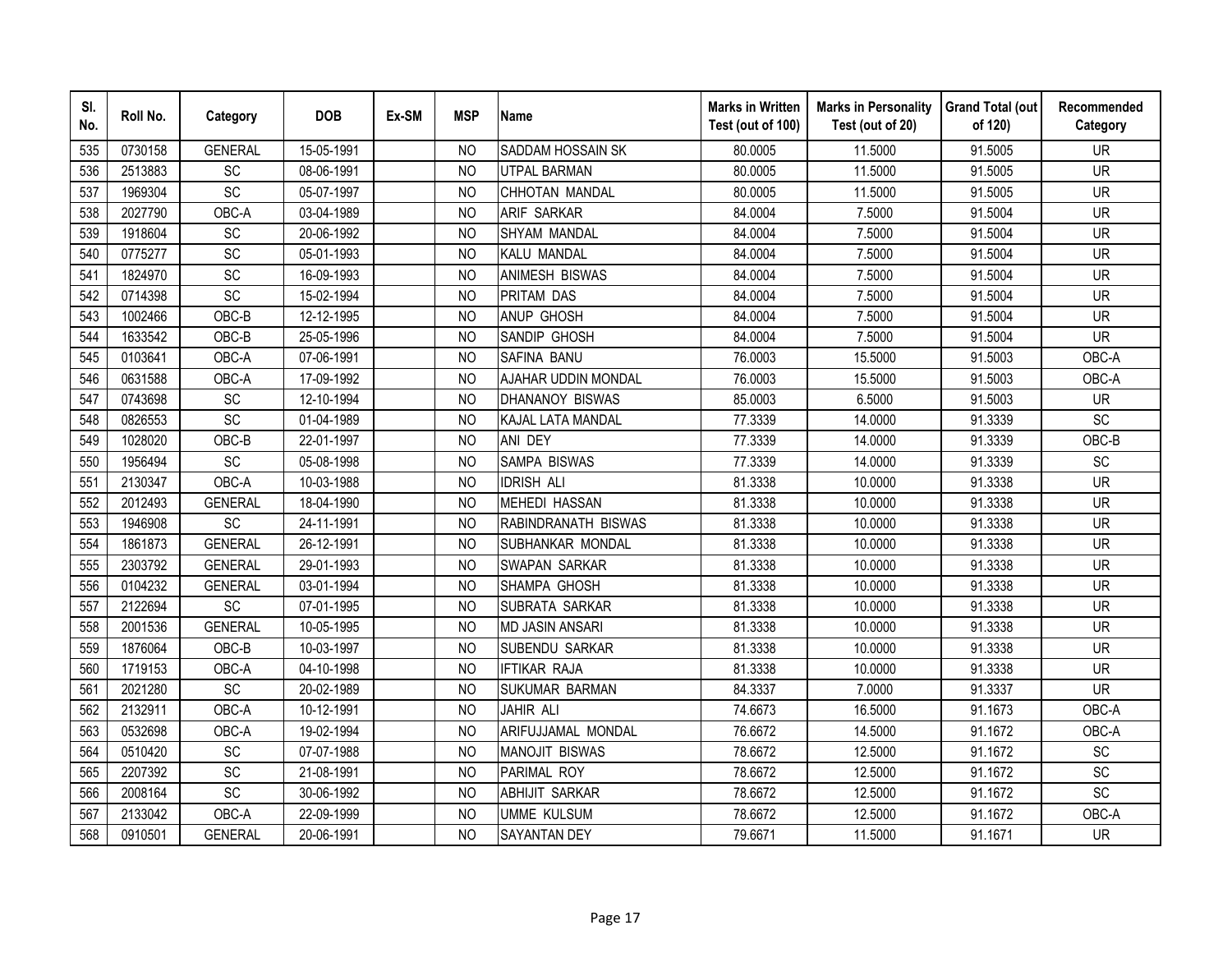| SI.<br>No. | Roll No. | Category       | <b>DOB</b> | Ex-SM | <b>MSP</b>     | <b>Name</b>            | <b>Marks in Written</b><br>Test (out of 100) | <b>Marks in Personality</b><br>Test (out of 20) | <b>Grand Total (out</b><br>of 120) | Recommended<br>Category  |
|------------|----------|----------------|------------|-------|----------------|------------------------|----------------------------------------------|-------------------------------------------------|------------------------------------|--------------------------|
| 535        | 0730158  | <b>GENERAL</b> | 15-05-1991 |       | NO.            | SADDAM HOSSAIN SK      | 80.0005                                      | 11.5000                                         | 91.5005                            | <b>UR</b>                |
| 536        | 2513883  | SC             | 08-06-1991 |       | <b>NO</b>      | <b>UTPAL BARMAN</b>    | 80.0005                                      | 11.5000                                         | 91.5005                            | $\overline{\mathsf{UR}}$ |
| 537        | 1969304  | SC             | 05-07-1997 |       | <b>NO</b>      | CHHOTAN MANDAL         | 80.0005                                      | 11.5000                                         | 91.5005                            | <b>UR</b>                |
| 538        | 2027790  | OBC-A          | 03-04-1989 |       | <b>NO</b>      | ARIF SARKAR            | 84.0004                                      | 7.5000                                          | 91.5004                            | <b>UR</b>                |
| 539        | 1918604  | SC             | 20-06-1992 |       | <b>NO</b>      | SHYAM MANDAL           | 84.0004                                      | 7.5000                                          | 91.5004                            | <b>UR</b>                |
| 540        | 0775277  | SC             | 05-01-1993 |       | NO             | KALU MANDAL            | 84.0004                                      | 7.5000                                          | 91.5004                            | <b>UR</b>                |
| 541        | 1824970  | SC             | 16-09-1993 |       | <b>NO</b>      | <b>ANIMESH BISWAS</b>  | 84.0004                                      | 7.5000                                          | 91.5004                            | <b>UR</b>                |
| 542        | 0714398  | SC             | 15-02-1994 |       | <b>NO</b>      | PRITAM DAS             | 84.0004                                      | 7.5000                                          | 91.5004                            | <b>UR</b>                |
| 543        | 1002466  | OBC-B          | 12-12-1995 |       | <b>NO</b>      | <b>ANUP GHOSH</b>      | 84.0004                                      | 7.5000                                          | 91.5004                            | UR                       |
| 544        | 1633542  | OBC-B          | 25-05-1996 |       | N <sub>O</sub> | SANDIP GHOSH           | 84.0004                                      | 7.5000                                          | 91.5004                            | <b>UR</b>                |
| 545        | 0103641  | OBC-A          | 07-06-1991 |       | <b>NO</b>      | SAFINA BANU            | 76.0003                                      | 15.5000                                         | 91.5003                            | OBC-A                    |
| 546        | 0631588  | OBC-A          | 17-09-1992 |       | <b>NO</b>      | AJAHAR UDDIN MONDAL    | 76.0003                                      | 15.5000                                         | 91.5003                            | OBC-A                    |
| 547        | 0743698  | <b>SC</b>      | 12-10-1994 |       | <b>NO</b>      | DHANANOY BISWAS        | 85.0003                                      | 6.5000                                          | 91.5003                            | <b>UR</b>                |
| 548        | 0826553  | SC             | 01-04-1989 |       | <b>NO</b>      | KAJAL LATA MANDAL      | 77.3339                                      | 14.0000                                         | 91.3339                            | SC                       |
| 549        | 1028020  | OBC-B          | 22-01-1997 |       | <b>NO</b>      | ANI DEY                | 77.3339                                      | 14.0000                                         | 91.3339                            | OBC-B                    |
| 550        | 1956494  | <b>SC</b>      | 05-08-1998 |       | <b>NO</b>      | SAMPA BISWAS           | 77.3339                                      | 14.0000                                         | 91.3339                            | SC                       |
| 551        | 2130347  | OBC-A          | 10-03-1988 |       | <b>NO</b>      | <b>IDRISH ALI</b>      | 81.3338                                      | 10.0000                                         | 91.3338                            | <b>UR</b>                |
| 552        | 2012493  | <b>GENERAL</b> | 18-04-1990 |       | N <sub>O</sub> | <b>MEHEDI HASSAN</b>   | 81.3338                                      | 10.0000                                         | 91.3338                            | <b>UR</b>                |
| 553        | 1946908  | SC             | 24-11-1991 |       | N <sub>O</sub> | RABINDRANATH BISWAS    | 81.3338                                      | 10.0000                                         | 91.3338                            | <b>UR</b>                |
| 554        | 1861873  | <b>GENERAL</b> | 26-12-1991 |       | <b>NO</b>      | SUBHANKAR MONDAL       | 81.3338                                      | 10.0000                                         | 91.3338                            | <b>UR</b>                |
| 555        | 2303792  | <b>GENERAL</b> | 29-01-1993 |       | N <sub>O</sub> | <b>SWAPAN SARKAR</b>   | 81.3338                                      | 10.0000                                         | 91.3338                            | <b>UR</b>                |
| 556        | 0104232  | <b>GENERAL</b> | 03-01-1994 |       | N <sub>O</sub> | SHAMPA GHOSH           | 81.3338                                      | 10.0000                                         | 91.3338                            | <b>UR</b>                |
| 557        | 2122694  | SC             | 07-01-1995 |       | N <sub>O</sub> | SUBRATA SARKAR         | 81.3338                                      | 10.0000                                         | 91.3338                            | <b>UR</b>                |
| 558        | 2001536  | <b>GENERAL</b> | 10-05-1995 |       | <b>NO</b>      | <b>MD JASIN ANSARI</b> | 81.3338                                      | 10.0000                                         | 91.3338                            | <b>UR</b>                |
| 559        | 1876064  | OBC-B          | 10-03-1997 |       | <b>NO</b>      | SUBENDU SARKAR         | 81.3338                                      | 10.0000                                         | 91.3338                            | <b>UR</b>                |
| 560        | 1719153  | OBC-A          | 04-10-1998 |       | <b>NO</b>      | <b>IFTIKAR RAJA</b>    | 81.3338                                      | 10.0000                                         | 91.3338                            | <b>UR</b>                |
| 561        | 2021280  | <b>SC</b>      | 20-02-1989 |       | N <sub>O</sub> | <b>SUKUMAR BARMAN</b>  | 84.3337                                      | 7.0000                                          | 91.3337                            | <b>UR</b>                |
| 562        | 2132911  | OBC-A          | 10-12-1991 |       | <b>NO</b>      | JAHIR ALI              | 74.6673                                      | 16.5000                                         | 91.1673                            | OBC-A                    |
| 563        | 0532698  | OBC-A          | 19-02-1994 |       | <b>NO</b>      | ARIFUJJAMAL MONDAL     | 76.6672                                      | 14.5000                                         | 91.1672                            | OBC-A                    |
| 564        | 0510420  | SC             | 07-07-1988 |       | <b>NO</b>      | <b>MANOJIT BISWAS</b>  | 78.6672                                      | 12.5000                                         | 91.1672                            | SC                       |
| 565        | 2207392  | SC             | 21-08-1991 |       | <b>NO</b>      | PARIMAL ROY            | 78.6672                                      | 12.5000                                         | 91.1672                            | SC                       |
| 566        | 2008164  | SC             | 30-06-1992 |       | <b>NO</b>      | <b>ABHIJIT SARKAR</b>  | 78.6672                                      | 12.5000                                         | 91.1672                            | SC                       |
| 567        | 2133042  | OBC-A          | 22-09-1999 |       | N <sub>O</sub> | <b>UMME KULSUM</b>     | 78.6672                                      | 12.5000                                         | 91.1672                            | OBC-A                    |
| 568        | 0910501  | <b>GENERAL</b> | 20-06-1991 |       | <b>NO</b>      | <b>SAYANTAN DEY</b>    | 79.6671                                      | 11.5000                                         | 91.1671                            | <b>UR</b>                |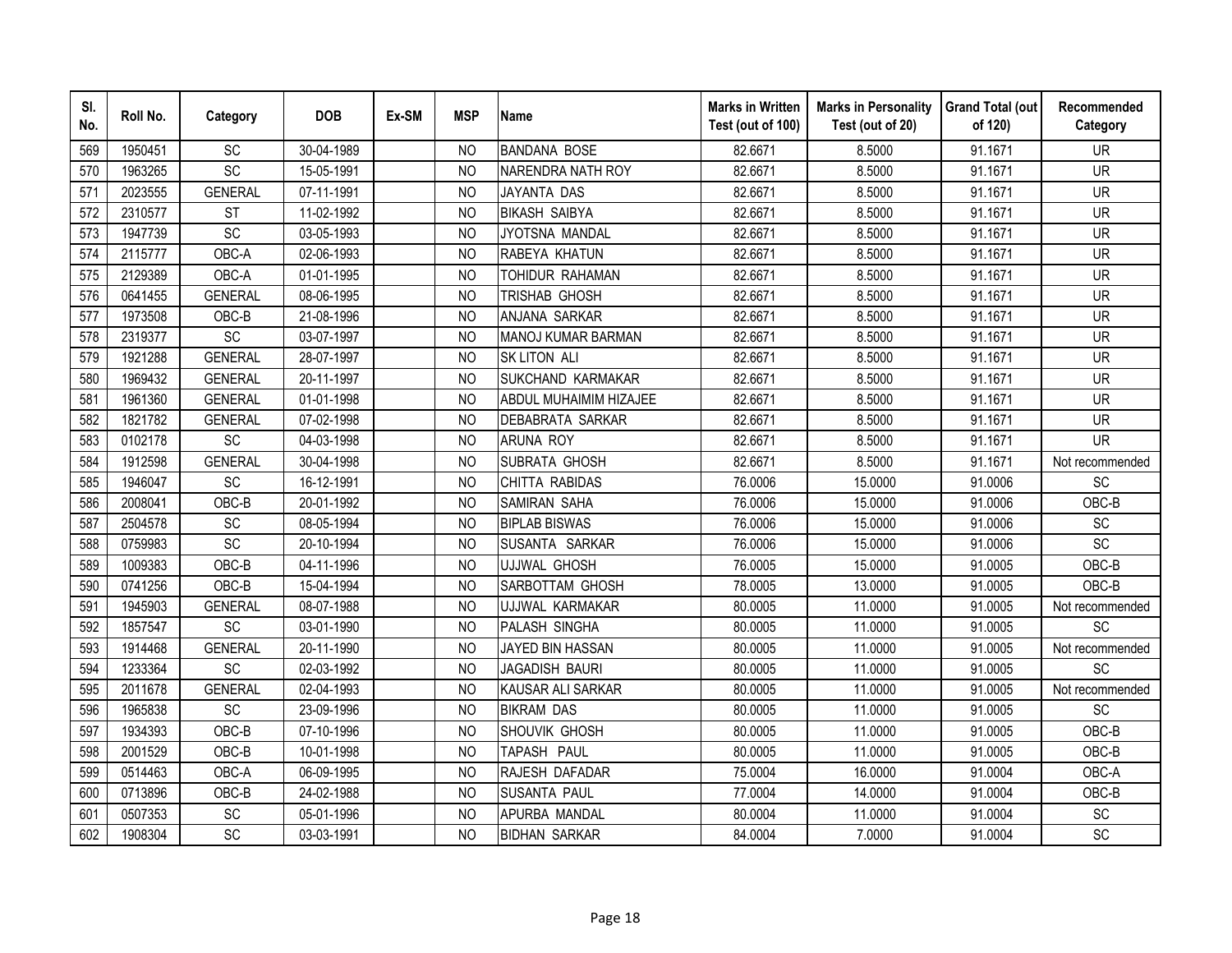| SI.<br>No. | Roll No. | Category        | <b>DOB</b> | Ex-SM | <b>MSP</b>     | <b>Name</b>            | <b>Marks in Written</b><br>Test (out of 100) | <b>Marks in Personality</b><br>Test (out of 20) | <b>Grand Total (out</b><br>of 120) | Recommended<br>Category      |
|------------|----------|-----------------|------------|-------|----------------|------------------------|----------------------------------------------|-------------------------------------------------|------------------------------------|------------------------------|
| 569        | 1950451  | SC              | 30-04-1989 |       | NO.            | <b>BANDANA BOSE</b>    | 82.6671                                      | 8.5000                                          | 91.1671                            | <b>UR</b>                    |
| 570        | 1963265  | SC              | 15-05-1991 |       | <b>NO</b>      | NARENDRA NATH ROY      | 82.6671                                      | 8.5000                                          | 91.1671                            | <b>UR</b>                    |
| 571        | 2023555  | <b>GENERAL</b>  | 07-11-1991 |       | <b>NO</b>      | JAYANTA DAS            | 82.6671                                      | 8.5000                                          | 91.1671                            | <b>UR</b>                    |
| 572        | 2310577  | <b>ST</b>       | 11-02-1992 |       | <b>NO</b>      | <b>BIKASH SAIBYA</b>   | 82.6671                                      | 8.5000                                          | 91.1671                            | <b>UR</b>                    |
| 573        | 1947739  | SC              | 03-05-1993 |       | <b>NO</b>      | JYOTSNA MANDAL         | 82.6671                                      | 8.5000                                          | 91.1671                            | <b>UR</b>                    |
| 574        | 2115777  | OBC-A           | 02-06-1993 |       | <b>NO</b>      | RABEYA KHATUN          | 82.6671                                      | 8.5000                                          | 91.1671                            | <b>UR</b>                    |
| 575        | 2129389  | OBC-A           | 01-01-1995 |       | N <sub>O</sub> | TOHIDUR RAHAMAN        | 82.6671                                      | 8.5000                                          | 91.1671                            | <b>UR</b>                    |
| 576        | 0641455  | <b>GENERAL</b>  | 08-06-1995 |       | <b>NO</b>      | TRISHAB GHOSH          | 82.6671                                      | 8.5000                                          | 91.1671                            | <b>UR</b>                    |
| 577        | 1973508  | OBC-B           | 21-08-1996 |       | <b>NO</b>      | ANJANA SARKAR          | 82.6671                                      | 8.5000                                          | 91.1671                            | <b>UR</b>                    |
| 578        | 2319377  | SC              | 03-07-1997 |       | <b>NO</b>      | MANOJ KUMAR BARMAN     | 82.6671                                      | 8.5000                                          | 91.1671                            | <b>UR</b>                    |
| 579        | 1921288  | <b>GENERAL</b>  | 28-07-1997 |       | <b>NO</b>      | <b>SK LITON ALI</b>    | 82.6671                                      | 8.5000                                          | 91.1671                            | <b>UR</b>                    |
| 580        | 1969432  | <b>GENERAL</b>  | 20-11-1997 |       | <b>NO</b>      | SUKCHAND KARMAKAR      | 82.6671                                      | 8.5000                                          | 91.1671                            | <b>UR</b>                    |
| 581        | 1961360  | <b>GENERAL</b>  | 01-01-1998 |       | <b>NO</b>      | ABDUL MUHAIMIM HIZAJEE | 82.6671                                      | 8.5000                                          | 91.1671                            | <b>UR</b>                    |
| 582        | 1821782  | <b>GENERAL</b>  | 07-02-1998 |       | <b>NO</b>      | DEBABRATA SARKAR       | 82.6671                                      | 8.5000                                          | 91.1671                            | <b>UR</b>                    |
| 583        | 0102178  | SC              | 04-03-1998 |       | <b>NO</b>      | <b>ARUNA ROY</b>       | 82.6671                                      | 8.5000                                          | 91.1671                            | <b>UR</b>                    |
| 584        | 1912598  | <b>GENERAL</b>  | 30-04-1998 |       | <b>NO</b>      | SUBRATA GHOSH          | 82.6671                                      | 8.5000                                          | 91.1671                            | Not recommended              |
| 585        | 1946047  | SC              | 16-12-1991 |       | NO.            | CHITTA RABIDAS         | 76.0006                                      | 15.0000                                         | 91.0006                            | <b>SC</b>                    |
| 586        | 2008041  | OBC-B           | 20-01-1992 |       | N <sub>O</sub> | <b>SAMIRAN SAHA</b>    | 76.0006                                      | 15.0000                                         | 91.0006                            | OBC-B                        |
| 587        | 2504578  | $\overline{SC}$ | 08-05-1994 |       | N <sub>O</sub> | <b>BIPLAB BISWAS</b>   | 76.0006                                      | 15.0000                                         | 91.0006                            | SC                           |
| 588        | 0759983  | SC              | 20-10-1994 |       | <b>NO</b>      | SUSANTA SARKAR         | 76.0006                                      | 15.0000                                         | 91.0006                            | SC                           |
| 589        | 1009383  | OBC-B           | 04-11-1996 |       | <b>NO</b>      | <b>UJJWAL GHOSH</b>    | 76.0005                                      | 15.0000                                         | 91.0005                            | OBC-B                        |
| 590        | 0741256  | OBC-B           | 15-04-1994 |       | N <sub>O</sub> | SARBOTTAM GHOSH        | 78.0005                                      | 13.0000                                         | 91.0005                            | OBC-B                        |
| 591        | 1945903  | <b>GENERAL</b>  | 08-07-1988 |       | <b>NO</b>      | UJJWAL KARMAKAR        | 80.0005                                      | 11.0000                                         | 91.0005                            | Not recommended              |
| 592        | 1857547  | SC              | 03-01-1990 |       | N <sub>O</sub> | PALASH SINGHA          | 80.0005                                      | 11.0000                                         | 91.0005                            | SC                           |
| 593        | 1914468  | <b>GENERAL</b>  | 20-11-1990 |       | <b>NO</b>      | JAYED BIN HASSAN       | 80.0005                                      | 11.0000                                         | 91.0005                            | Not recommended              |
| 594        | 1233364  | SC              | 02-03-1992 |       | <b>NO</b>      | JAGADISH BAURI         | 80.0005                                      | 11.0000                                         | 91.0005                            | SC                           |
| 595        | 2011678  | <b>GENERAL</b>  | 02-04-1993 |       | <b>NO</b>      | KAUSAR ALI SARKAR      | 80.0005                                      | 11.0000                                         | 91.0005                            | Not recommended              |
| 596        | 1965838  | SC              | 23-09-1996 |       | <b>NO</b>      | <b>BIKRAM DAS</b>      | 80.0005                                      | 11.0000                                         | 91.0005                            | <b>SC</b>                    |
| 597        | 1934393  | OBC-B           | 07-10-1996 |       | <b>NO</b>      | SHOUVIK GHOSH          | 80.0005                                      | 11.0000                                         | 91.0005                            | OBC-B                        |
| 598        | 2001529  | OBC-B           | 10-01-1998 |       | <b>NO</b>      | TAPASH PAUL            | 80.0005                                      | 11.0000                                         | 91.0005                            | OBC-B                        |
| 599        | 0514463  | OBC-A           | 06-09-1995 |       | N <sub>O</sub> | RAJESH DAFADAR         | 75.0004                                      | 16.0000                                         | 91.0004                            | OBC-A                        |
| 600        | 0713896  | OBC-B           | 24-02-1988 |       | <b>NO</b>      | <b>SUSANTA PAUL</b>    | 77.0004                                      | 14.0000                                         | 91.0004                            | OBC-B                        |
| 601        | 0507353  | SC              | 05-01-1996 |       | <b>NO</b>      | APURBA MANDAL          | 80.0004                                      | 11.0000                                         | 91.0004                            | $\operatorname{\textsf{SC}}$ |
| 602        | 1908304  | SC              | 03-03-1991 |       | <b>NO</b>      | <b>BIDHAN SARKAR</b>   | 84.0004                                      | 7.0000                                          | 91.0004                            | SC                           |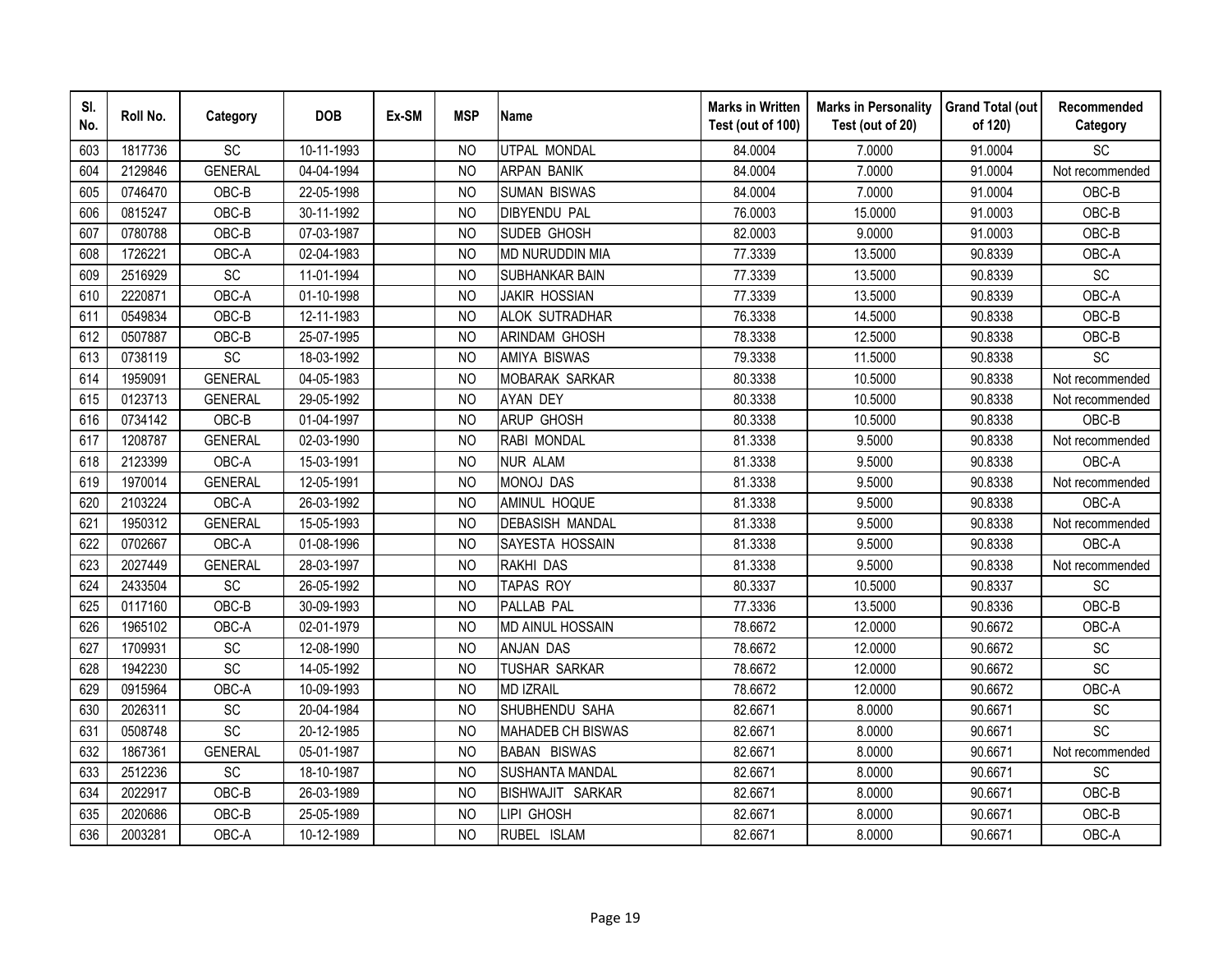| SI.<br>No. | Roll No. | Category       | <b>DOB</b> | Ex-SM | <b>MSP</b>     | <b>Name</b>              | <b>Marks in Written</b><br>Test (out of 100) | <b>Marks in Personality</b><br>Test (out of 20) | <b>Grand Total (out</b><br>of 120) | Recommended<br>Category      |
|------------|----------|----------------|------------|-------|----------------|--------------------------|----------------------------------------------|-------------------------------------------------|------------------------------------|------------------------------|
| 603        | 1817736  | SC             | 10-11-1993 |       | N <sub>O</sub> | UTPAL MONDAL             | 84.0004                                      | 7.0000                                          | 91.0004                            | SC                           |
| 604        | 2129846  | <b>GENERAL</b> | 04-04-1994 |       | <b>NO</b>      | <b>ARPAN BANIK</b>       | 84.0004                                      | 7.0000                                          | 91.0004                            | Not recommended              |
| 605        | 0746470  | OBC-B          | 22-05-1998 |       | <b>NO</b>      | <b>SUMAN BISWAS</b>      | 84.0004                                      | 7.0000                                          | 91.0004                            | OBC-B                        |
| 606        | 0815247  | OBC-B          | 30-11-1992 |       | <b>NO</b>      | <b>DIBYENDU PAL</b>      | 76.0003                                      | 15.0000                                         | 91.0003                            | OBC-B                        |
| 607        | 0780788  | OBC-B          | 07-03-1987 |       | <b>NO</b>      | SUDEB GHOSH              | 82.0003                                      | 9.0000                                          | 91.0003                            | OBC-B                        |
| 608        | 1726221  | OBC-A          | 02-04-1983 |       | <b>NO</b>      | MD NURUDDIN MIA          | 77.3339                                      | 13.5000                                         | 90.8339                            | OBC-A                        |
| 609        | 2516929  | SC             | 11-01-1994 |       | <b>NO</b>      | SUBHANKAR BAIN           | 77.3339                                      | 13.5000                                         | 90.8339                            | SC                           |
| 610        | 2220871  | OBC-A          | 01-10-1998 |       | <b>NO</b>      | <b>JAKIR HOSSIAN</b>     | 77.3339                                      | 13.5000                                         | 90.8339                            | OBC-A                        |
| 611        | 0549834  | OBC-B          | 12-11-1983 |       | N <sub>O</sub> | <b>ALOK SUTRADHAR</b>    | 76.3338                                      | 14.5000                                         | 90.8338                            | OBC-B                        |
| 612        | 0507887  | OBC-B          | 25-07-1995 |       | <b>NO</b>      | ARINDAM GHOSH            | 78.3338                                      | 12.5000                                         | 90.8338                            | OBC-B                        |
| 613        | 0738119  | SC             | 18-03-1992 |       | N <sub>O</sub> | <b>AMIYA BISWAS</b>      | 79.3338                                      | 11.5000                                         | 90.8338                            | SC                           |
| 614        | 1959091  | <b>GENERAL</b> | 04-05-1983 |       | N <sub>O</sub> | <b>MOBARAK SARKAR</b>    | 80.3338                                      | 10.5000                                         | 90.8338                            | Not recommended              |
| 615        | 0123713  | <b>GENERAL</b> | 29-05-1992 |       | <b>NO</b>      | <b>AYAN DEY</b>          | 80.3338                                      | 10.5000                                         | 90.8338                            | Not recommended              |
| 616        | 0734142  | OBC-B          | 01-04-1997 |       | <b>NO</b>      | <b>ARUP GHOSH</b>        | 80.3338                                      | 10.5000                                         | 90.8338                            | OBC-B                        |
| 617        | 1208787  | <b>GENERAL</b> | 02-03-1990 |       | <b>NO</b>      | RABI MONDAL              | 81.3338                                      | 9.5000                                          | 90.8338                            | Not recommended              |
| 618        | 2123399  | OBC-A          | 15-03-1991 |       | <b>NO</b>      | <b>NUR ALAM</b>          | 81.3338                                      | 9.5000                                          | 90.8338                            | OBC-A                        |
| 619        | 1970014  | <b>GENERAL</b> | 12-05-1991 |       | <b>NO</b>      | <b>MONOJ DAS</b>         | 81.3338                                      | 9.5000                                          | 90.8338                            | Not recommended              |
| 620        | 2103224  | OBC-A          | 26-03-1992 |       | <b>NO</b>      | AMINUL HOQUE             | 81.3338                                      | 9.5000                                          | 90.8338                            | OBC-A                        |
| 621        | 1950312  | <b>GENERAL</b> | 15-05-1993 |       | <b>NO</b>      | <b>DEBASISH MANDAL</b>   | 81.3338                                      | 9.5000                                          | 90.8338                            | Not recommended              |
| 622        | 0702667  | OBC-A          | 01-08-1996 |       | <b>NO</b>      | SAYESTA HOSSAIN          | 81.3338                                      | 9.5000                                          | 90.8338                            | OBC-A                        |
| 623        | 2027449  | <b>GENERAL</b> | 28-03-1997 |       | N <sub>O</sub> | RAKHI DAS                | 81.3338                                      | 9.5000                                          | 90.8338                            | Not recommended              |
| 624        | 2433504  | SC             | 26-05-1992 |       | N <sub>O</sub> | <b>TAPAS ROY</b>         | 80.3337                                      | 10.5000                                         | 90.8337                            | SC                           |
| 625        | 0117160  | OBC-B          | 30-09-1993 |       | N <sub>O</sub> | PALLAB PAL               | 77.3336                                      | 13.5000                                         | 90.8336                            | OBC-B                        |
| 626        | 1965102  | OBC-A          | 02-01-1979 |       | <b>NO</b>      | <b>MD AINUL HOSSAIN</b>  | 78.6672                                      | 12.0000                                         | 90.6672                            | OBC-A                        |
| 627        | 1709931  | SC             | 12-08-1990 |       | <b>NO</b>      | <b>ANJAN DAS</b>         | 78.6672                                      | 12.0000                                         | 90.6672                            | $\operatorname{\textsf{SC}}$ |
| 628        | 1942230  | SC             | 14-05-1992 |       | <b>NO</b>      | TUSHAR SARKAR            | 78.6672                                      | 12.0000                                         | 90.6672                            | SC                           |
| 629        | 0915964  | OBC-A          | 10-09-1993 |       | <b>NO</b>      | <b>MD IZRAIL</b>         | 78.6672                                      | 12.0000                                         | 90.6672                            | OBC-A                        |
| 630        | 2026311  | SC             | 20-04-1984 |       | <b>NO</b>      | SHUBHENDU SAHA           | 82.6671                                      | 8.0000                                          | 90.6671                            | SC                           |
| 631        | 0508748  | SC             | 20-12-1985 |       | <b>NO</b>      | <b>MAHADEB CH BISWAS</b> | 82.6671                                      | 8.0000                                          | 90.6671                            | SC                           |
| 632        | 1867361  | <b>GENERAL</b> | 05-01-1987 |       | <b>NO</b>      | <b>BABAN BISWAS</b>      | 82.6671                                      | 8.0000                                          | 90.6671                            | Not recommended              |
| 633        | 2512236  | SC             | 18-10-1987 |       | <b>NO</b>      | SUSHANTA MANDAL          | 82.6671                                      | 8.0000                                          | 90.6671                            | SC                           |
| 634        | 2022917  | OBC-B          | 26-03-1989 |       | <b>NO</b>      | BISHWAJIT SARKAR         | 82.6671                                      | 8.0000                                          | 90.6671                            | OBC-B                        |
| 635        | 2020686  | OBC-B          | 25-05-1989 |       | N <sub>O</sub> | LIPI GHOSH               | 82.6671                                      | 8.0000                                          | 90.6671                            | OBC-B                        |
| 636        | 2003281  | OBC-A          | 10-12-1989 |       | <b>NO</b>      | RUBEL ISLAM              | 82.6671                                      | 8.0000                                          | 90.6671                            | OBC-A                        |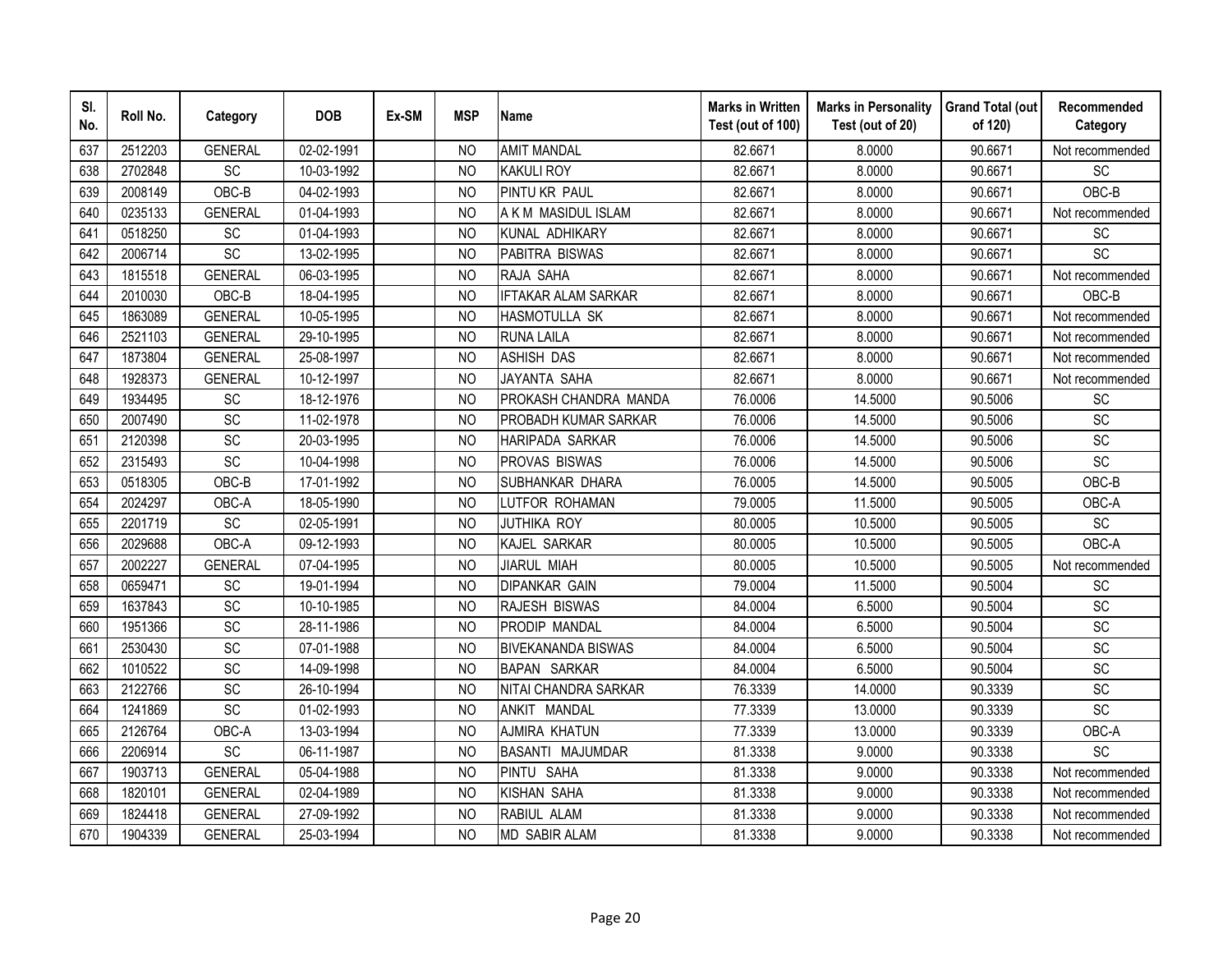| SI.<br>No. | Roll No. | Category        | <b>DOB</b> | Ex-SM | <b>MSP</b>     | <b>Name</b>                | <b>Marks in Written</b><br>Test (out of 100) | <b>Marks in Personality</b><br>Test (out of 20) | <b>Grand Total (out</b><br>of 120) | Recommended<br>Category      |
|------------|----------|-----------------|------------|-------|----------------|----------------------------|----------------------------------------------|-------------------------------------------------|------------------------------------|------------------------------|
| 637        | 2512203  | <b>GENERAL</b>  | 02-02-1991 |       | N <sub>O</sub> | <b>AMIT MANDAL</b>         | 82.6671                                      | 8.0000                                          | 90.6671                            | Not recommended              |
| 638        | 2702848  | $\overline{SC}$ | 10-03-1992 |       | <b>NO</b>      | <b>KAKULI ROY</b>          | 82.6671                                      | 8.0000                                          | 90.6671                            | SC                           |
| 639        | 2008149  | OBC-B           | 04-02-1993 |       | <b>NO</b>      | PINTU KR PAUL              | 82.6671                                      | 8.0000                                          | 90.6671                            | OBC-B                        |
| 640        | 0235133  | <b>GENERAL</b>  | 01-04-1993 |       | <b>NO</b>      | A K M MASIDUL ISLAM        | 82.6671                                      | 8.0000                                          | 90.6671                            | Not recommended              |
| 641        | 0518250  | SC              | 01-04-1993 |       | <b>NO</b>      | KUNAL ADHIKARY             | 82.6671                                      | 8.0000                                          | 90.6671                            | SC                           |
| 642        | 2006714  | SC              | 13-02-1995 |       | <b>NO</b>      | PABITRA BISWAS             | 82.6671                                      | 8.0000                                          | 90.6671                            | SC                           |
| 643        | 1815518  | <b>GENERAL</b>  | 06-03-1995 |       | N <sub>O</sub> | RAJA SAHA                  | 82.6671                                      | 8.0000                                          | 90.6671                            | Not recommended              |
| 644        | 2010030  | OBC-B           | 18-04-1995 |       | <b>NO</b>      | <b>IFTAKAR ALAM SARKAR</b> | 82.6671                                      | 8.0000                                          | 90.6671                            | OBC-B                        |
| 645        | 1863089  | <b>GENERAL</b>  | 10-05-1995 |       | <b>NO</b>      | HASMOTULLA SK              | 82.6671                                      | 8.0000                                          | 90.6671                            | Not recommended              |
| 646        | 2521103  | <b>GENERAL</b>  | 29-10-1995 |       | <b>NO</b>      | <b>RUNA LAILA</b>          | 82.6671                                      | 8.0000                                          | 90.6671                            | Not recommended              |
| 647        | 1873804  | <b>GENERAL</b>  | 25-08-1997 |       | <b>NO</b>      | <b>ASHISH DAS</b>          | 82.6671                                      | 8.0000                                          | 90.6671                            | Not recommended              |
| 648        | 1928373  | <b>GENERAL</b>  | 10-12-1997 |       | <b>NO</b>      | <b>JAYANTA SAHA</b>        | 82.6671                                      | 8.0000                                          | 90.6671                            | Not recommended              |
| 649        | 1934495  | SC              | 18-12-1976 |       | <b>NO</b>      | PROKASH CHANDRA MANDA      | 76.0006                                      | 14.5000                                         | 90.5006                            | SC                           |
| 650        | 2007490  | SC              | 11-02-1978 |       | <b>NO</b>      | PROBADH KUMAR SARKAR       | 76.0006                                      | 14.5000                                         | 90.5006                            | SC                           |
| 651        | 2120398  | SC              | 20-03-1995 |       | <b>NO</b>      | HARIPADA SARKAR            | 76.0006                                      | 14.5000                                         | 90.5006                            | SC                           |
| 652        | 2315493  | SC              | 10-04-1998 |       | <b>NO</b>      | PROVAS BISWAS              | 76.0006                                      | 14.5000                                         | 90.5006                            | SC                           |
| 653        | 0518305  | OBC-B           | 17-01-1992 |       | <b>NO</b>      | SUBHANKAR DHARA            | 76.0005                                      | 14.5000                                         | 90.5005                            | OBC-B                        |
| 654        | 2024297  | OBC-A           | 18-05-1990 |       | N <sub>O</sub> | LUTFOR ROHAMAN             | 79.0005                                      | 11.5000                                         | 90.5005                            | OBC-A                        |
| 655        | 2201719  | $\overline{SC}$ | 02-05-1991 |       | <b>NO</b>      | <b>JUTHIKA ROY</b>         | 80.0005                                      | 10.5000                                         | 90.5005                            | $\overline{SC}$              |
| 656        | 2029688  | OBC-A           | 09-12-1993 |       | N <sub>O</sub> | KAJEL SARKAR               | 80.0005                                      | 10.5000                                         | 90.5005                            | OBC-A                        |
| 657        | 2002227  | <b>GENERAL</b>  | 07-04-1995 |       | <b>NO</b>      | <b>JIARUL MIAH</b>         | 80.0005                                      | 10.5000                                         | 90.5005                            | Not recommended              |
| 658        | 0659471  | SC              | 19-01-1994 |       | N <sub>O</sub> | <b>DIPANKAR GAIN</b>       | 79.0004                                      | 11.5000                                         | 90.5004                            | <b>SC</b>                    |
| 659        | 1637843  | SC              | 10-10-1985 |       | <b>NO</b>      | RAJESH BISWAS              | 84.0004                                      | 6.5000                                          | 90.5004                            | SC                           |
| 660        | 1951366  | SC              | 28-11-1986 |       | N <sub>O</sub> | PRODIP MANDAL              | 84.0004                                      | 6.5000                                          | 90.5004                            | $\operatorname{\textsf{SC}}$ |
| 661        | 2530430  | SC              | 07-01-1988 |       | <b>NO</b>      | <b>BIVEKANANDA BISWAS</b>  | 84.0004                                      | 6.5000                                          | 90.5004                            | SC                           |
| 662        | 1010522  | SC              | 14-09-1998 |       | <b>NO</b>      | <b>BAPAN SARKAR</b>        | 84.0004                                      | 6.5000                                          | 90.5004                            | SC                           |
| 663        | 2122766  | SC              | 26-10-1994 |       | <b>NO</b>      | NITAI CHANDRA SARKAR       | 76.3339                                      | 14.0000                                         | 90.3339                            | SC                           |
| 664        | 1241869  | SC              | 01-02-1993 |       | <b>NO</b>      | ANKIT MANDAL               | 77.3339                                      | 13.0000                                         | 90.3339                            | SC                           |
| 665        | 2126764  | OBC-A           | 13-03-1994 |       | N <sub>O</sub> | AJMIRA KHATUN              | 77.3339                                      | 13.0000                                         | 90.3339                            | OBC-A                        |
| 666        | 2206914  | SC              | 06-11-1987 |       | <b>NO</b>      | BASANTI MAJUMDAR           | 81.3338                                      | 9.0000                                          | 90.3338                            | SC                           |
| 667        | 1903713  | <b>GENERAL</b>  | 05-04-1988 |       | <b>NO</b>      | PINTU SAHA                 | 81.3338                                      | 9.0000                                          | 90.3338                            | Not recommended              |
| 668        | 1820101  | <b>GENERAL</b>  | 02-04-1989 |       | <b>NO</b>      | <b>KISHAN SAHA</b>         | 81.3338                                      | 9.0000                                          | 90.3338                            | Not recommended              |
| 669        | 1824418  | <b>GENERAL</b>  | 27-09-1992 |       | N <sub>O</sub> | RABIUL ALAM                | 81.3338                                      | 9.0000                                          | 90.3338                            | Not recommended              |
| 670        | 1904339  | <b>GENERAL</b>  | 25-03-1994 |       | <b>NO</b>      | <b>MD SABIR ALAM</b>       | 81.3338                                      | 9.0000                                          | 90.3338                            | Not recommended              |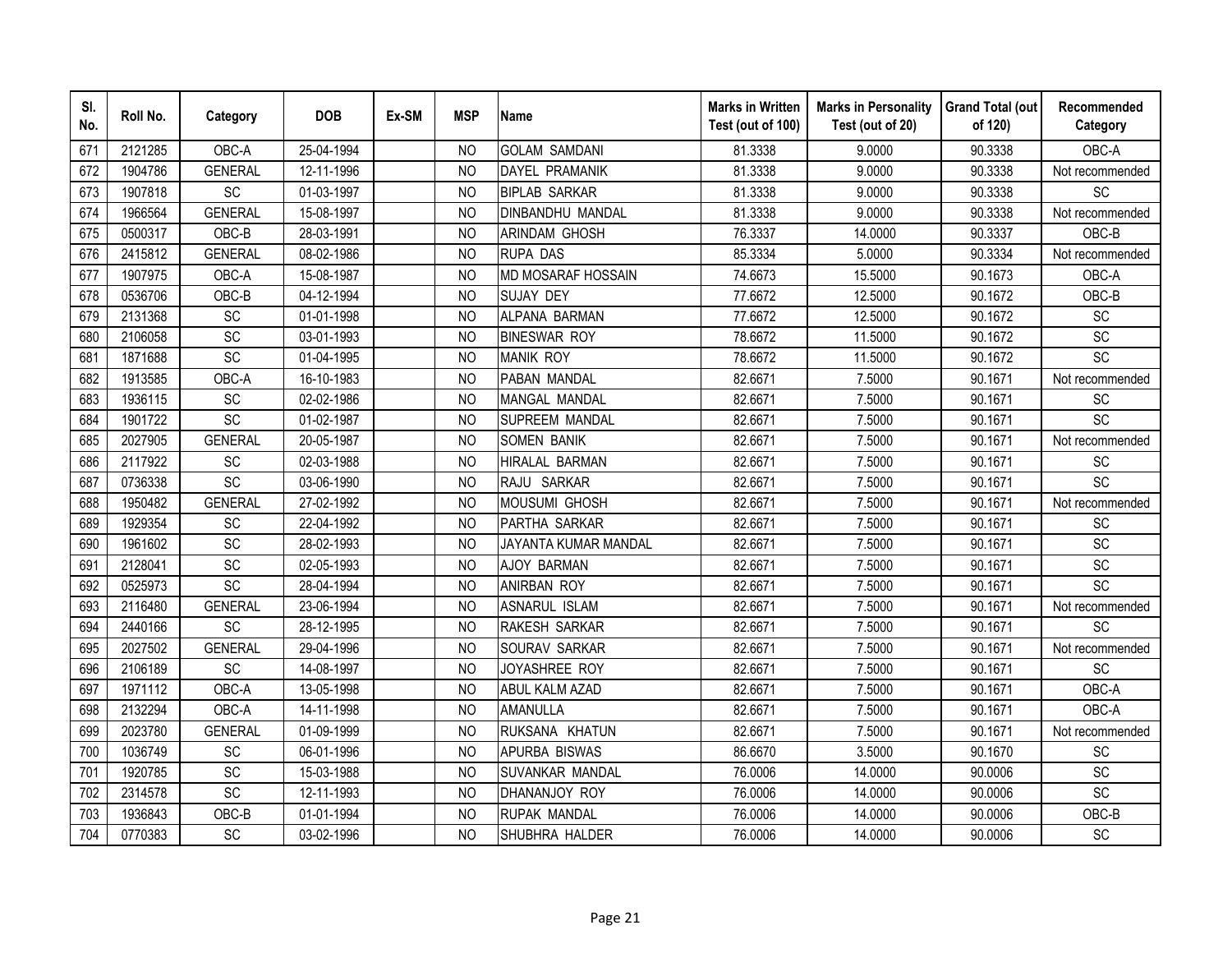| SI.<br>No. | Roll No. | Category        | <b>DOB</b> | Ex-SM | <b>MSP</b>     | <b>Name</b>               | <b>Marks in Written</b><br>Test (out of 100) | <b>Marks in Personality</b><br>Test (out of 20) | <b>Grand Total (out</b><br>of 120) | Recommended<br>Category      |
|------------|----------|-----------------|------------|-------|----------------|---------------------------|----------------------------------------------|-------------------------------------------------|------------------------------------|------------------------------|
| 671        | 2121285  | OBC-A           | 25-04-1994 |       | N <sub>O</sub> | <b>GOLAM SAMDANI</b>      | 81.3338                                      | 9.0000                                          | 90.3338                            | OBC-A                        |
| 672        | 1904786  | <b>GENERAL</b>  | 12-11-1996 |       | <b>NO</b>      | <b>DAYEL PRAMANIK</b>     | 81.3338                                      | 9.0000                                          | 90.3338                            | Not recommended              |
| 673        | 1907818  | SC              | 01-03-1997 |       | <b>NO</b>      | <b>BIPLAB SARKAR</b>      | 81.3338                                      | 9.0000                                          | 90.3338                            | SC                           |
| 674        | 1966564  | <b>GENERAL</b>  | 15-08-1997 |       | <b>NO</b>      | DINBANDHU MANDAL          | 81.3338                                      | 9.0000                                          | 90.3338                            | Not recommended              |
| 675        | 0500317  | OBC-B           | 28-03-1991 |       | <b>NO</b>      | ARINDAM GHOSH             | 76.3337                                      | 14.0000                                         | 90.3337                            | OBC-B                        |
| 676        | 2415812  | <b>GENERAL</b>  | 08-02-1986 |       | <b>NO</b>      | <b>RUPA DAS</b>           | 85.3334                                      | 5.0000                                          | 90.3334                            | Not recommended              |
| 677        | 1907975  | OBC-A           | 15-08-1987 |       | N <sub>O</sub> | <b>MD MOSARAF HOSSAIN</b> | 74.6673                                      | 15.5000                                         | 90.1673                            | OBC-A                        |
| 678        | 0536706  | OBC-B           | 04-12-1994 |       | <b>NO</b>      | <b>SUJAY DEY</b>          | 77.6672                                      | 12.5000                                         | 90.1672                            | OBC-B                        |
| 679        | 2131368  | SC              | 01-01-1998 |       | <b>NO</b>      | ALPANA BARMAN             | 77.6672                                      | 12.5000                                         | 90.1672                            | SC                           |
| 680        | 2106058  | SC              | 03-01-1993 |       | <b>NO</b>      | <b>BINESWAR ROY</b>       | 78.6672                                      | 11.5000                                         | 90.1672                            | SC                           |
| 681        | 1871688  | SC              | 01-04-1995 |       | <b>NO</b>      | <b>MANIK ROY</b>          | 78.6672                                      | 11.5000                                         | 90.1672                            | SC                           |
| 682        | 1913585  | OBC-A           | 16-10-1983 |       | <b>NO</b>      | PABAN MANDAL              | 82.6671                                      | 7.5000                                          | 90.1671                            | Not recommended              |
| 683        | 1936115  | SC              | 02-02-1986 |       | <b>NO</b>      | MANGAL MANDAL             | 82.6671                                      | 7.5000                                          | 90.1671                            | SC                           |
| 684        | 1901722  | SC              | 01-02-1987 |       | <b>NO</b>      | SUPREEM MANDAL            | 82.6671                                      | 7.5000                                          | 90.1671                            | <b>SC</b>                    |
| 685        | 2027905  | <b>GENERAL</b>  | 20-05-1987 |       | <b>NO</b>      | <b>SOMEN BANIK</b>        | 82.6671                                      | 7.5000                                          | 90.1671                            | Not recommended              |
| 686        | 2117922  | SC              | 02-03-1988 |       | <b>NO</b>      | HIRALAL BARMAN            | 82.6671                                      | 7.5000                                          | 90.1671                            | SC                           |
| 687        | 0736338  | SC              | 03-06-1990 |       | <b>NO</b>      | RAJU SARKAR               | 82.6671                                      | 7.5000                                          | 90.1671                            | SC                           |
| 688        | 1950482  | <b>GENERAL</b>  | 27-02-1992 |       | N <sub>O</sub> | MOUSUMI GHOSH             | 82.6671                                      | 7.5000                                          | 90.1671                            | Not recommended              |
| 689        | 1929354  | SC              | 22-04-1992 |       | N <sub>O</sub> | PARTHA SARKAR             | 82.6671                                      | 7.5000                                          | 90.1671                            | SC                           |
| 690        | 1961602  | SC              | 28-02-1993 |       | N <sub>O</sub> | JAYANTA KUMAR MANDAL      | 82.6671                                      | 7.5000                                          | 90.1671                            | SC                           |
| 691        | 2128041  | $\overline{SC}$ | 02-05-1993 |       | <b>NO</b>      | <b>AJOY BARMAN</b>        | 82.6671                                      | 7.5000                                          | 90.1671                            | $\overline{SC}$              |
| 692        | 0525973  | SC              | 28-04-1994 |       | N <sub>O</sub> | <b>ANIRBAN ROY</b>        | 82.6671                                      | 7.5000                                          | 90.1671                            | $\overline{SC}$              |
| 693        | 2116480  | <b>GENERAL</b>  | 23-06-1994 |       | <b>NO</b>      | ASNARUL ISLAM             | 82.6671                                      | 7.5000                                          | 90.1671                            | Not recommended              |
| 694        | 2440166  | SC              | 28-12-1995 |       | N <sub>O</sub> | RAKESH SARKAR             | 82.6671                                      | 7.5000                                          | 90.1671                            | SC                           |
| 695        | 2027502  | <b>GENERAL</b>  | 29-04-1996 |       | <b>NO</b>      | SOURAV SARKAR             | 82.6671                                      | 7.5000                                          | 90.1671                            | Not recommended              |
| 696        | 2106189  | SC              | 14-08-1997 |       | <b>NO</b>      | JOYASHREE ROY             | 82.6671                                      | 7.5000                                          | 90.1671                            | <b>SC</b>                    |
| 697        | 1971112  | OBC-A           | 13-05-1998 |       | <b>NO</b>      | <b>ABUL KALM AZAD</b>     | 82.6671                                      | 7.5000                                          | 90.1671                            | OBC-A                        |
| 698        | 2132294  | OBC-A           | 14-11-1998 |       | <b>NO</b>      | AMANULLA                  | 82.6671                                      | 7.5000                                          | 90.1671                            | OBC-A                        |
| 699        | 2023780  | <b>GENERAL</b>  | 01-09-1999 |       | N <sub>O</sub> | RUKSANA KHATUN            | 82.6671                                      | 7.5000                                          | 90.1671                            | Not recommended              |
| 700        | 1036749  | SC              | 06-01-1996 |       | <b>NO</b>      | APURBA BISWAS             | 86.6670                                      | 3.5000                                          | 90.1670                            | SC                           |
| 701        | 1920785  | SC              | 15-03-1988 |       | <b>NO</b>      | SUVANKAR MANDAL           | 76.0006                                      | 14.0000                                         | 90.0006                            | SC                           |
| 702        | 2314578  | SC              | 12-11-1993 |       | <b>NO</b>      | DHANANJOY ROY             | 76.0006                                      | 14.0000                                         | 90.0006                            | SC                           |
| 703        | 1936843  | OBC-B           | 01-01-1994 |       | <b>NO</b>      | <b>RUPAK MANDAL</b>       | 76.0006                                      | 14.0000                                         | 90.0006                            | OBC-B                        |
| 704        | 0770383  | SC              | 03-02-1996 |       | <b>NO</b>      | SHUBHRA HALDER            | 76.0006                                      | 14.0000                                         | 90.0006                            | $\operatorname{\textsf{SC}}$ |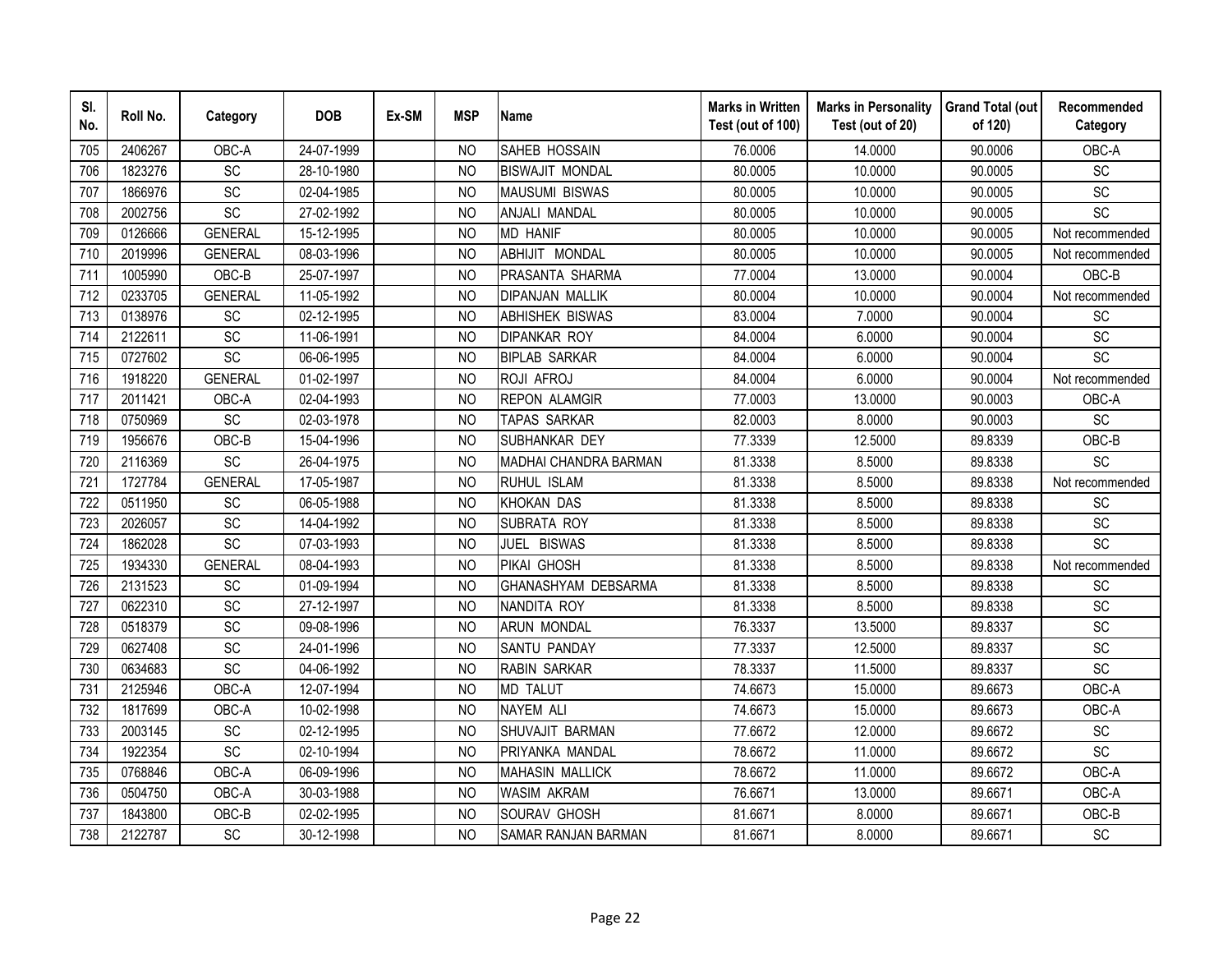| SI.<br>No. | Roll No. | Category        | <b>DOB</b> | Ex-SM | <b>MSP</b>     | <b>Name</b>                | <b>Marks in Written</b><br>Test (out of 100) | <b>Marks in Personality</b><br>Test (out of 20) | <b>Grand Total (out</b><br>of 120) | Recommended<br>Category      |
|------------|----------|-----------------|------------|-------|----------------|----------------------------|----------------------------------------------|-------------------------------------------------|------------------------------------|------------------------------|
| 705        | 2406267  | OBC-A           | 24-07-1999 |       | <b>NO</b>      | SAHEB HOSSAIN              | 76.0006                                      | 14.0000                                         | 90.0006                            | OBC-A                        |
| 706        | 1823276  | <b>SC</b>       | 28-10-1980 |       | N <sub>O</sub> | <b>BISWAJIT MONDAL</b>     | 80.0005                                      | 10.0000                                         | 90.0005                            | <b>SC</b>                    |
| 707        | 1866976  | SC              | 02-04-1985 |       | <b>NO</b>      | <b>MAUSUMI BISWAS</b>      | 80.0005                                      | 10.0000                                         | 90.0005                            | SC                           |
| 708        | 2002756  | SC              | 27-02-1992 |       | N <sub>O</sub> | ANJALI MANDAL              | 80.0005                                      | 10.0000                                         | 90.0005                            | SC                           |
| 709        | 0126666  | <b>GENERAL</b>  | 15-12-1995 |       | <b>NO</b>      | <b>MD HANIF</b>            | 80.0005                                      | 10.0000                                         | 90.0005                            | Not recommended              |
| 710        | 2019996  | <b>GENERAL</b>  | 08-03-1996 |       | N <sub>O</sub> | ABHIJIT MONDAL             | 80.0005                                      | 10.0000                                         | 90.0005                            | Not recommended              |
| 711        | 1005990  | OBC-B           | 25-07-1997 |       | NO             | PRASANTA SHARMA            | 77.0004                                      | 13.0000                                         | 90.0004                            | OBC-B                        |
| 712        | 0233705  | <b>GENERAL</b>  | 11-05-1992 |       | N <sub>O</sub> | <b>DIPANJAN MALLIK</b>     | 80.0004                                      | 10.0000                                         | 90.0004                            | Not recommended              |
| 713        | 0138976  | SC              | 02-12-1995 |       | N <sub>O</sub> | <b>ABHISHEK BISWAS</b>     | 83.0004                                      | 7.0000                                          | 90.0004                            | SC                           |
| 714        | 2122611  | SC              | 11-06-1991 |       | N <sub>O</sub> | <b>DIPANKAR ROY</b>        | 84.0004                                      | 6.0000                                          | 90.0004                            | <b>SC</b>                    |
| 715        | 0727602  | $\overline{SC}$ | 06-06-1995 |       | <b>NO</b>      | <b>BIPLAB SARKAR</b>       | 84.0004                                      | 6.0000                                          | 90.0004                            | $\overline{SC}$              |
| 716        | 1918220  | <b>GENERAL</b>  | 01-02-1997 |       | <b>NO</b>      | ROJI AFROJ                 | 84.0004                                      | 6.0000                                          | 90.0004                            | Not recommended              |
| 717        | 2011421  | OBC-A           | 02-04-1993 |       | <b>NO</b>      | <b>REPON ALAMGIR</b>       | 77.0003                                      | 13.0000                                         | 90.0003                            | OBC-A                        |
| 718        | 0750969  | SC              | 02-03-1978 |       | <b>NO</b>      | TAPAS SARKAR               | 82.0003                                      | 8.0000                                          | 90.0003                            | SC                           |
| 719        | 1956676  | OBC-B           | 15-04-1996 |       | <b>NO</b>      | SUBHANKAR DEY              | 77.3339                                      | 12.5000                                         | 89.8339                            | OBC-B                        |
| 720        | 2116369  | SC              | 26-04-1975 |       | <b>NO</b>      | MADHAI CHANDRA BARMAN      | 81.3338                                      | 8.5000                                          | 89.8338                            | SC                           |
| 721        | 1727784  | <b>GENERAL</b>  | 17-05-1987 |       | <b>NO</b>      | RUHUL ISLAM                | 81.3338                                      | 8.5000                                          | 89.8338                            | Not recommended              |
| 722        | 0511950  | <b>SC</b>       | 06-05-1988 |       | <b>NO</b>      | <b>KHOKAN DAS</b>          | 81.3338                                      | 8.5000                                          | 89.8338                            | <b>SC</b>                    |
| 723        | 2026057  | SC              | 14-04-1992 |       | <b>NO</b>      | <b>SUBRATA ROY</b>         | 81.3338                                      | 8.5000                                          | 89.8338                            | $\overline{SC}$              |
| 724        | 1862028  | SC              | 07-03-1993 |       | <b>NO</b>      | JUEL BISWAS                | 81.3338                                      | 8.5000                                          | 89.8338                            | SC                           |
| 725        | 1934330  | <b>GENERAL</b>  | 08-04-1993 |       | <b>NO</b>      | PIKAI GHOSH                | 81.3338                                      | 8.5000                                          | 89.8338                            | Not recommended              |
| 726        | 2131523  | <b>SC</b>       | 01-09-1994 |       | <b>NO</b>      | GHANASHYAM DEBSARMA        | 81.3338                                      | 8.5000                                          | 89.8338                            | <b>SC</b>                    |
| 727        | 0622310  | SC              | 27-12-1997 |       | N <sub>O</sub> | NANDITA ROY                | 81.3338                                      | 8.5000                                          | 89.8338                            | SC                           |
| 728        | 0518379  | SC              | 09-08-1996 |       | <b>NO</b>      | <b>ARUN MONDAL</b>         | 76.3337                                      | 13.5000                                         | 89.8337                            | SC                           |
| 729        | 0627408  | SC              | 24-01-1996 |       | <b>NO</b>      | SANTU PANDAY               | 77.3337                                      | 12.5000                                         | 89.8337                            | $\operatorname{\textsf{SC}}$ |
| 730        | 0634683  | SC              | 04-06-1992 |       | <b>NO</b>      | <b>RABIN SARKAR</b>        | 78.3337                                      | 11.5000                                         | 89.8337                            | SC                           |
| 731        | 2125946  | OBC-A           | 12-07-1994 |       | N <sub>O</sub> | <b>MD TALUT</b>            | 74.6673                                      | 15.0000                                         | 89.6673                            | OBC-A                        |
| 732        | 1817699  | OBC-A           | 10-02-1998 |       | N <sub>O</sub> | <b>NAYEM ALI</b>           | 74.6673                                      | 15.0000                                         | 89.6673                            | OBC-A                        |
| 733        | 2003145  | SC              | 02-12-1995 |       | N <sub>O</sub> | SHUVAJIT BARMAN            | 77.6672                                      | 12.0000                                         | 89.6672                            | SC                           |
| 734        | 1922354  | SC              | 02-10-1994 |       | N <sub>O</sub> | PRIYANKA MANDAL            | 78.6672                                      | 11.0000                                         | 89.6672                            | SC                           |
| 735        | 0768846  | OBC-A           | 06-09-1996 |       | N <sub>O</sub> | <b>MAHASIN MALLICK</b>     | 78.6672                                      | 11.0000                                         | 89.6672                            | OBC-A                        |
| 736        | 0504750  | OBC-A           | 30-03-1988 |       | <b>NO</b>      | <b>WASIM AKRAM</b>         | 76.6671                                      | 13.0000                                         | 89.6671                            | OBC-A                        |
| 737        | 1843800  | OBC-B           | 02-02-1995 |       | <b>NO</b>      | SOURAV GHOSH               | 81.6671                                      | 8.0000                                          | 89.6671                            | OBC-B                        |
| 738        | 2122787  | SC              | 30-12-1998 |       | <b>NO</b>      | <b>SAMAR RANJAN BARMAN</b> | 81.6671                                      | 8.0000                                          | 89.6671                            | $\operatorname{\textsf{SC}}$ |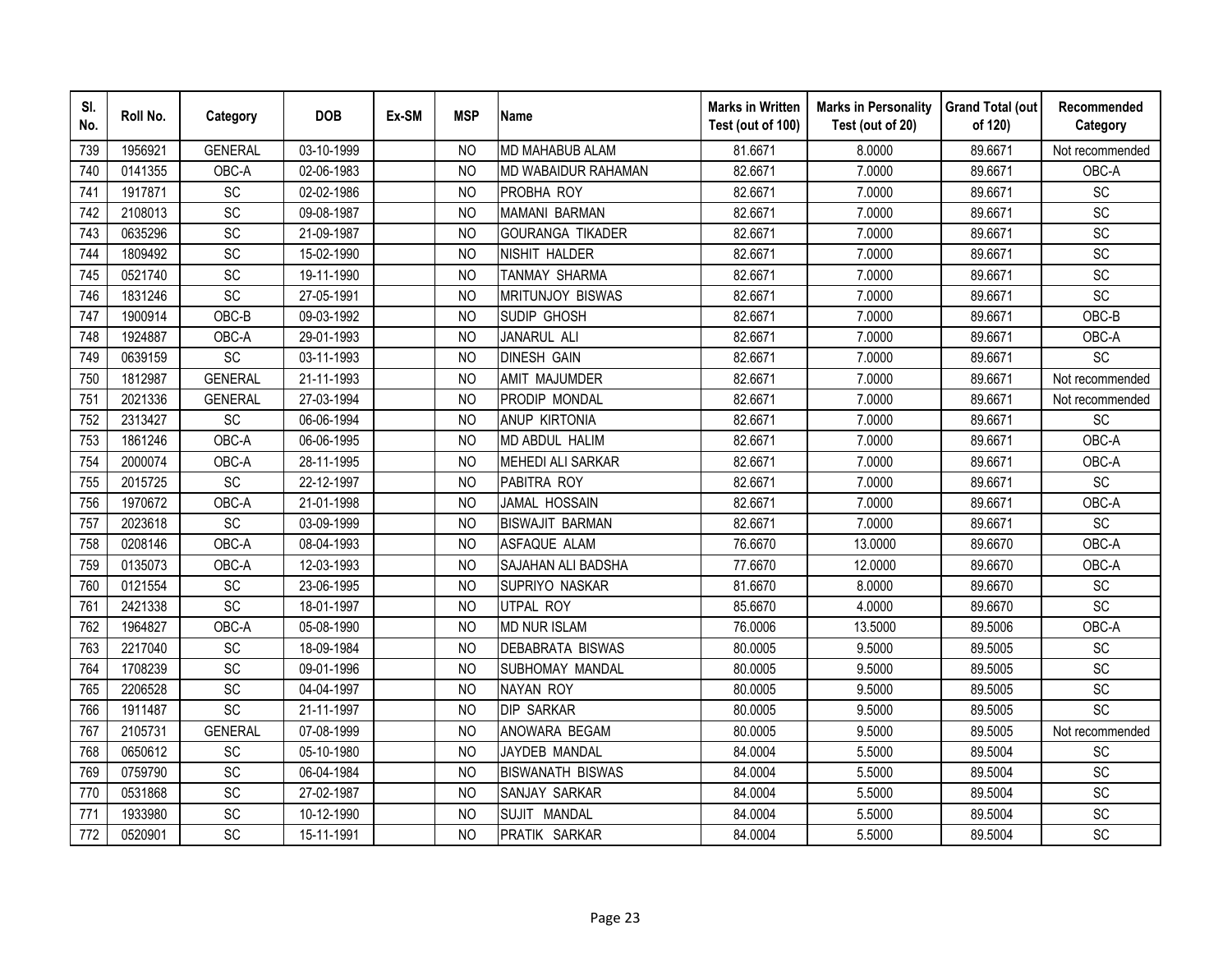| SI.<br>No. | Roll No. | Category        | <b>DOB</b> | Ex-SM | <b>MSP</b>     | <b>Name</b>                | <b>Marks in Written</b><br>Test (out of 100) | <b>Marks in Personality</b><br>Test (out of 20) | <b>Grand Total (out</b><br>of 120) | Recommended<br>Category      |
|------------|----------|-----------------|------------|-------|----------------|----------------------------|----------------------------------------------|-------------------------------------------------|------------------------------------|------------------------------|
| 739        | 1956921  | <b>GENERAL</b>  | 03-10-1999 |       | <b>NO</b>      | <b>MD MAHABUB ALAM</b>     | 81.6671                                      | 8.0000                                          | 89.6671                            | Not recommended              |
| 740        | 0141355  | OBC-A           | 02-06-1983 |       | N <sub>O</sub> | <b>MD WABAIDUR RAHAMAN</b> | 82.6671                                      | 7.0000                                          | 89.6671                            | OBC-A                        |
| 741        | 1917871  | SC              | 02-02-1986 |       | <b>NO</b>      | PROBHA ROY                 | 82.6671                                      | 7.0000                                          | 89.6671                            | SC                           |
| 742        | 2108013  | SC              | 09-08-1987 |       | N <sub>O</sub> | <b>MAMANI BARMAN</b>       | 82.6671                                      | 7.0000                                          | 89.6671                            | SC                           |
| 743        | 0635296  | SC              | 21-09-1987 |       | <b>NO</b>      | GOURANGA TIKADER           | 82.6671                                      | 7.0000                                          | 89.6671                            | $\operatorname{\textsf{SC}}$ |
| 744        | 1809492  | SC              | 15-02-1990 |       | N <sub>O</sub> | NISHIT HALDER              | 82.6671                                      | 7.0000                                          | 89.6671                            | SC                           |
| 745        | 0521740  | SC              | 19-11-1990 |       | NO             | TANMAY SHARMA              | 82.6671                                      | 7.0000                                          | 89.6671                            | SC                           |
| 746        | 1831246  | SC              | 27-05-1991 |       | N <sub>O</sub> | <b>MRITUNJOY BISWAS</b>    | 82.6671                                      | 7.0000                                          | 89.6671                            | SC                           |
| 747        | 1900914  | OBC-B           | 09-03-1992 |       | N <sub>O</sub> | SUDIP GHOSH                | 82.6671                                      | 7.0000                                          | 89.6671                            | OBC-B                        |
| 748        | 1924887  | OBC-A           | 29-01-1993 |       | N <sub>O</sub> | JANARUL ALI                | 82.6671                                      | 7.0000                                          | 89.6671                            | OBC-A                        |
| 749        | 0639159  | $\overline{SC}$ | 03-11-1993 |       | <b>NO</b>      | <b>DINESH GAIN</b>         | 82.6671                                      | 7.0000                                          | 89.6671                            | $\overline{SC}$              |
| 750        | 1812987  | <b>GENERAL</b>  | 21-11-1993 |       | <b>NO</b>      | <b>AMIT MAJUMDER</b>       | 82.6671                                      | 7.0000                                          | 89.6671                            | Not recommended              |
| 751        | 2021336  | <b>GENERAL</b>  | 27-03-1994 |       | <b>NO</b>      | PRODIP MONDAL              | 82.6671                                      | 7.0000                                          | 89.6671                            | Not recommended              |
| 752        | 2313427  | SC              | 06-06-1994 |       | <b>NO</b>      | <b>ANUP KIRTONIA</b>       | 82.6671                                      | 7.0000                                          | 89.6671                            | <b>SC</b>                    |
| 753        | 1861246  | OBC-A           | 06-06-1995 |       | <b>NO</b>      | MD ABDUL HALIM             | 82.6671                                      | 7.0000                                          | 89.6671                            | OBC-A                        |
| 754        | 2000074  | OBC-A           | 28-11-1995 |       | <b>NO</b>      | <b>MEHEDI ALI SARKAR</b>   | 82.6671                                      | 7.0000                                          | 89.6671                            | OBC-A                        |
| 755        | 2015725  | SC              | 22-12-1997 |       | <b>NO</b>      | PABITRA ROY                | 82.6671                                      | 7.0000                                          | 89.6671                            | SC                           |
| 756        | 1970672  | OBC-A           | 21-01-1998 |       | N <sub>O</sub> | JAMAL HOSSAIN              | 82.6671                                      | 7.0000                                          | 89.6671                            | OBC-A                        |
| 757        | 2023618  | $\overline{SC}$ | 03-09-1999 |       | <b>NO</b>      | <b>BISWAJIT BARMAN</b>     | 82.6671                                      | 7.0000                                          | 89.6671                            | $\overline{SC}$              |
| 758        | 0208146  | OBC-A           | 08-04-1993 |       | <b>NO</b>      | ASFAQUE ALAM               | 76.6670                                      | 13.0000                                         | 89.6670                            | OBC-A                        |
| 759        | 0135073  | OBC-A           | 12-03-1993 |       | <b>NO</b>      | SAJAHAN ALI BADSHA         | 77.6670                                      | 12.0000                                         | 89.6670                            | OBC-A                        |
| 760        | 0121554  | SC              | 23-06-1995 |       | <b>NO</b>      | <b>SUPRIYO NASKAR</b>      | 81.6670                                      | 8.0000                                          | 89.6670                            | SC                           |
| 761        | 2421338  | SC              | 18-01-1997 |       | N <sub>O</sub> | UTPAL ROY                  | 85.6670                                      | 4.0000                                          | 89.6670                            | SC                           |
| 762        | 1964827  | OBC-A           | 05-08-1990 |       | N <sub>O</sub> | <b>MD NUR ISLAM</b>        | 76.0006                                      | 13.5000                                         | 89.5006                            | OBC-A                        |
| 763        | 2217040  | SC              | 18-09-1984 |       | N <sub>O</sub> | <b>DEBABRATA BISWAS</b>    | 80.0005                                      | 9.5000                                          | 89.5005                            | SC                           |
| 764        | 1708239  | SC              | 09-01-1996 |       | N <sub>O</sub> | SUBHOMAY MANDAL            | 80.0005                                      | 9.5000                                          | 89.5005                            | SC                           |
| 765        | 2206528  | SC              | 04-04-1997 |       | N <sub>O</sub> | NAYAN ROY                  | 80.0005                                      | 9.5000                                          | 89.5005                            | SC                           |
| 766        | 1911487  | SC              | 21-11-1997 |       | N <sub>O</sub> | <b>DIP SARKAR</b>          | 80.0005                                      | 9.5000                                          | 89.5005                            | SC                           |
| 767        | 2105731  | <b>GENERAL</b>  | 07-08-1999 |       | N <sub>O</sub> | ANOWARA BEGAM              | 80.0005                                      | 9.5000                                          | 89.5005                            | Not recommended              |
| 768        | 0650612  | SC              | 05-10-1980 |       | N <sub>O</sub> | JAYDEB MANDAL              | 84.0004                                      | 5.5000                                          | 89.5004                            | SC                           |
| 769        | 0759790  | SC              | 06-04-1984 |       | N <sub>O</sub> | <b>BISWANATH BISWAS</b>    | 84.0004                                      | 5.5000                                          | 89.5004                            | SC                           |
| 770        | 0531868  | SC              | 27-02-1987 |       | <b>NO</b>      | SANJAY SARKAR              | 84.0004                                      | 5.5000                                          | 89.5004                            | SC                           |
| 771        | 1933980  | SC              | 10-12-1990 |       | <b>NO</b>      | SUJIT MANDAL               | 84.0004                                      | 5.5000                                          | 89.5004                            | SC                           |
| 772        | 0520901  | SC              | 15-11-1991 |       | <b>NO</b>      | PRATIK SARKAR              | 84.0004                                      | 5.5000                                          | 89.5004                            | SC                           |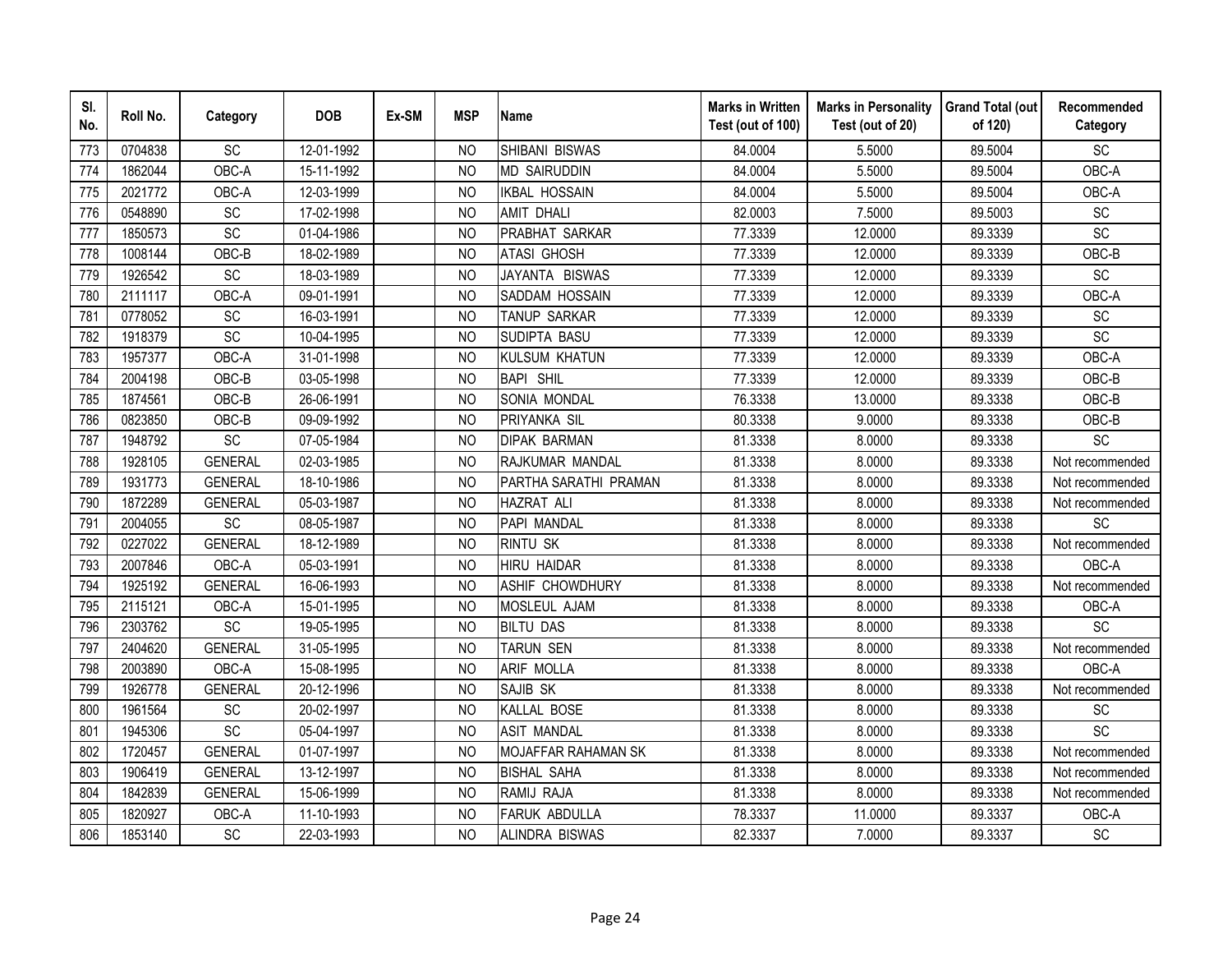| SI.<br>No. | Roll No. | Category       | <b>DOB</b> | Ex-SM | <b>MSP</b>     | <b>Name</b>           | <b>Marks in Written</b><br>Test (out of 100) | <b>Marks in Personality</b><br>Test (out of 20) | <b>Grand Total (out</b><br>of 120) | Recommended<br>Category |
|------------|----------|----------------|------------|-------|----------------|-----------------------|----------------------------------------------|-------------------------------------------------|------------------------------------|-------------------------|
| 773        | 0704838  | SC             | 12-01-1992 |       | N <sub>O</sub> | SHIBANI BISWAS        | 84.0004                                      | 5.5000                                          | 89.5004                            | SC                      |
| 774        | 1862044  | OBC-A          | 15-11-1992 |       | <b>NO</b>      | <b>MD SAIRUDDIN</b>   | 84.0004                                      | 5.5000                                          | 89.5004                            | OBC-A                   |
| 775        | 2021772  | OBC-A          | 12-03-1999 |       | N <sub>O</sub> | <b>IKBAL HOSSAIN</b>  | 84.0004                                      | 5.5000                                          | 89.5004                            | OBC-A                   |
| 776        | 0548890  | <b>SC</b>      | 17-02-1998 |       | N <sub>O</sub> | <b>AMIT DHALI</b>     | 82.0003                                      | 7.5000                                          | 89.5003                            | SC                      |
| 777        | 1850573  | SC             | 01-04-1986 |       | <b>NO</b>      | <b>PRABHAT SARKAR</b> | 77.3339                                      | 12.0000                                         | 89.3339                            | SC                      |
| 778        | 1008144  | OBC-B          | 18-02-1989 |       | N <sub>O</sub> | <b>ATASI GHOSH</b>    | 77.3339                                      | 12.0000                                         | 89.3339                            | OBC-B                   |
| 779        | 1926542  | SC             | 18-03-1989 |       | N <sub>O</sub> | JAYANTA BISWAS        | 77.3339                                      | 12.0000                                         | 89.3339                            | SC                      |
| 780        | 2111117  | OBC-A          | 09-01-1991 |       | N <sub>O</sub> | SADDAM HOSSAIN        | 77.3339                                      | 12.0000                                         | 89.3339                            | OBC-A                   |
| 781        | 0778052  | SC             | 16-03-1991 |       | N <sub>O</sub> | TANUP SARKAR          | 77.3339                                      | 12.0000                                         | 89.3339                            | SC                      |
| 782        | 1918379  | SC             | 10-04-1995 |       | <b>NO</b>      | SUDIPTA BASU          | 77.3339                                      | 12.0000                                         | 89.3339                            | SC                      |
| 783        | 1957377  | OBC-A          | 31-01-1998 |       | N <sub>O</sub> | <b>KULSUM KHATUN</b>  | 77.3339                                      | 12.0000                                         | 89.3339                            | OBC-A                   |
| 784        | 2004198  | OBC-B          | 03-05-1998 |       | <b>NO</b>      | <b>BAPI SHIL</b>      | 77.3339                                      | 12.0000                                         | 89.3339                            | OBC-B                   |
| 785        | 1874561  | OBC-B          | 26-06-1991 |       | <b>NO</b>      | SONIA MONDAL          | 76.3338                                      | 13.0000                                         | 89.3338                            | OBC-B                   |
| 786        | 0823850  | OBC-B          | 09-09-1992 |       | <b>NO</b>      | PRIYANKA SIL          | 80.3338                                      | 9.0000                                          | 89.3338                            | $OBC-B$                 |
| 787        | 1948792  | SC             | 07-05-1984 |       | N <sub>O</sub> | <b>DIPAK BARMAN</b>   | 81.3338                                      | 8.0000                                          | 89.3338                            | SC                      |
| 788        | 1928105  | <b>GENERAL</b> | 02-03-1985 |       | <b>NO</b>      | RAJKUMAR MANDAL       | 81.3338                                      | 8.0000                                          | 89.3338                            | Not recommended         |
| 789        | 1931773  | <b>GENERAL</b> | 18-10-1986 |       | N <sub>O</sub> | PARTHA SARATHI PRAMAN | 81.3338                                      | 8.0000                                          | 89.3338                            | Not recommended         |
| 790        | 1872289  | <b>GENERAL</b> | 05-03-1987 |       | N <sub>O</sub> | <b>HAZRAT ALI</b>     | 81.3338                                      | 8.0000                                          | 89.3338                            | Not recommended         |
| 791        | 2004055  | SC             | 08-05-1987 |       | <b>NO</b>      | PAPI MANDAL           | 81.3338                                      | 8.0000                                          | 89.3338                            | SC                      |
| 792        | 0227022  | <b>GENERAL</b> | 18-12-1989 |       | <b>NO</b>      | <b>RINTU SK</b>       | 81.3338                                      | 8.0000                                          | 89.3338                            | Not recommended         |
| 793        | 2007846  | OBC-A          | 05-03-1991 |       | <b>NO</b>      | <b>HIRU HAIDAR</b>    | 81.3338                                      | 8.0000                                          | 89.3338                            | OBC-A                   |
| 794        | 1925192  | <b>GENERAL</b> | 16-06-1993 |       | N <sub>O</sub> | ASHIF CHOWDHURY       | 81.3338                                      | 8.0000                                          | 89.3338                            | Not recommended         |
| 795        | 2115121  | OBC-A          | 15-01-1995 |       | <b>NO</b>      | MOSLEUL AJAM          | 81.3338                                      | 8.0000                                          | 89.3338                            | OBC-A                   |
| 796        | 2303762  | SC             | 19-05-1995 |       | <b>NO</b>      | <b>BILTU DAS</b>      | 81.3338                                      | 8.0000                                          | 89.3338                            | SC                      |
| 797        | 2404620  | <b>GENERAL</b> | 31-05-1995 |       | N <sub>O</sub> | TARUN SEN             | 81.3338                                      | 8.0000                                          | 89.3338                            | Not recommended         |
| 798        | 2003890  | OBC-A          | 15-08-1995 |       | <b>NO</b>      | ARIF MOLLA            | 81.3338                                      | 8.0000                                          | 89.3338                            | OBC-A                   |
| 799        | 1926778  | <b>GENERAL</b> | 20-12-1996 |       | N <sub>O</sub> | SAJIB SK              | 81.3338                                      | 8.0000                                          | 89.3338                            | Not recommended         |
| 800        | 1961564  | SC             | 20-02-1997 |       | N <sub>O</sub> | KALLAL BOSE           | 81.3338                                      | 8.0000                                          | 89.3338                            | SC                      |
| 801        | 1945306  | SC             | 05-04-1997 |       | <b>NO</b>      | <b>ASIT MANDAL</b>    | 81.3338                                      | 8.0000                                          | 89.3338                            | SC                      |
| 802        | 1720457  | <b>GENERAL</b> | 01-07-1997 |       | N <sub>O</sub> | MOJAFFAR RAHAMAN SK   | 81.3338                                      | 8.0000                                          | 89.3338                            | Not recommended         |
| 803        | 1906419  | <b>GENERAL</b> | 13-12-1997 |       | <b>NO</b>      | <b>BISHAL SAHA</b>    | 81.3338                                      | 8.0000                                          | 89.3338                            | Not recommended         |
| 804        | 1842839  | <b>GENERAL</b> | 15-06-1999 |       | N <sub>O</sub> | RAMIJ RAJA            | 81.3338                                      | 8.0000                                          | 89.3338                            | Not recommended         |
| 805        | 1820927  | OBC-A          | 11-10-1993 |       | <b>NO</b>      | <b>FARUK ABDULLA</b>  | 78.3337                                      | 11.0000                                         | 89.3337                            | OBC-A                   |
| 806        | 1853140  | SC             | 22-03-1993 |       | <b>NO</b>      | ALINDRA BISWAS        | 82.3337                                      | 7.0000                                          | 89.3337                            | SC                      |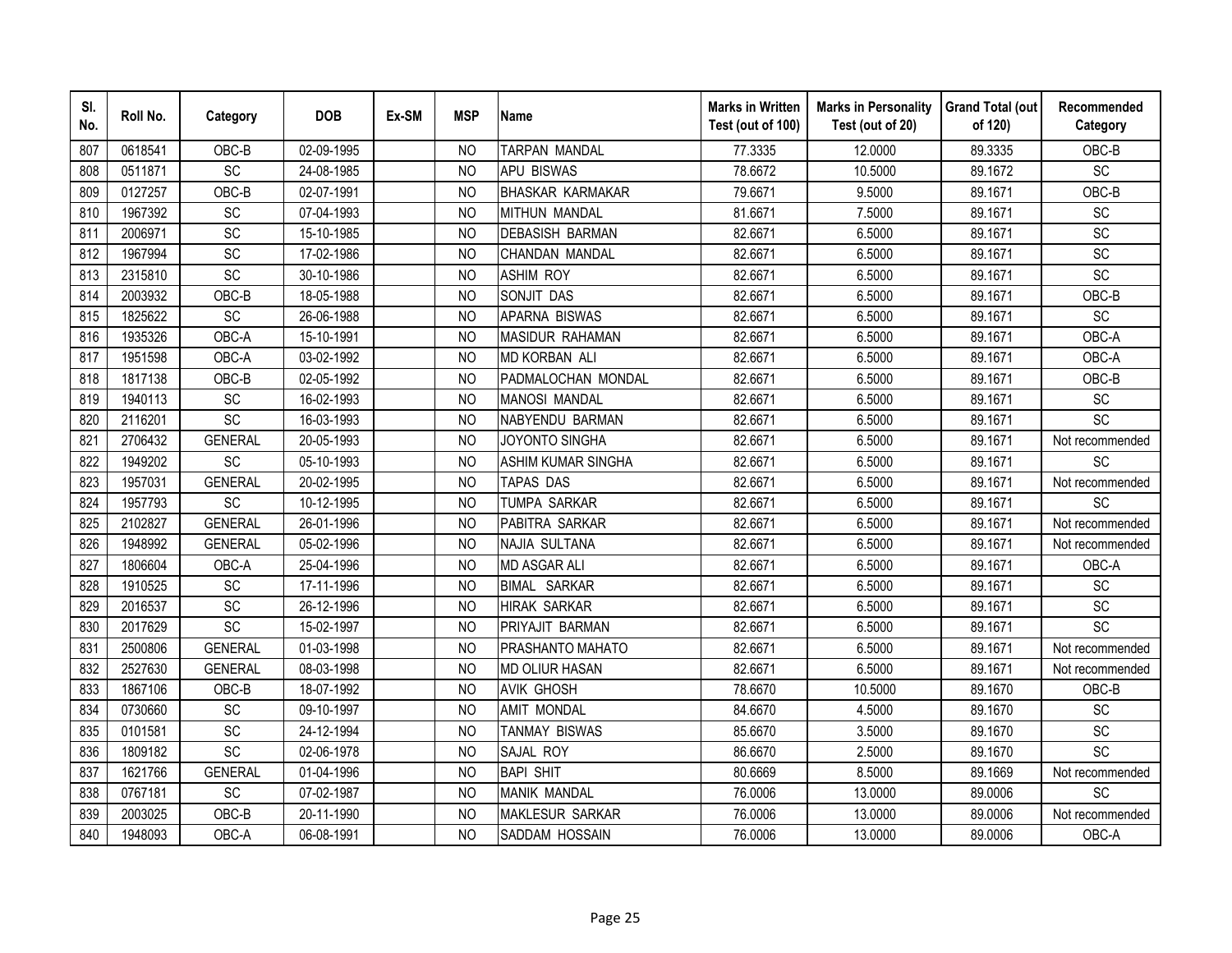| SI.<br>No. | Roll No. | Category        | <b>DOB</b> | Ex-SM | <b>MSP</b>     | <b>Name</b>               | <b>Marks in Written</b><br>Test (out of 100) | <b>Marks in Personality</b><br>Test (out of 20) | <b>Grand Total (out</b><br>of 120) | Recommended<br>Category      |
|------------|----------|-----------------|------------|-------|----------------|---------------------------|----------------------------------------------|-------------------------------------------------|------------------------------------|------------------------------|
| 807        | 0618541  | OBC-B           | 02-09-1995 |       | N <sub>O</sub> | <b>TARPAN MANDAL</b>      | 77.3335                                      | 12.0000                                         | 89.3335                            | OBC-B                        |
| 808        | 0511871  | $\overline{SC}$ | 24-08-1985 |       | <b>NO</b>      | <b>APU BISWAS</b>         | 78.6672                                      | 10.5000                                         | 89.1672                            | $\overline{SC}$              |
| 809        | 0127257  | OBC-B           | 02-07-1991 |       | <b>NO</b>      | <b>BHASKAR KARMAKAR</b>   | 79.6671                                      | 9.5000                                          | 89.1671                            | OBC-B                        |
| 810        | 1967392  | SC              | 07-04-1993 |       | <b>NO</b>      | MITHUN MANDAL             | 81.6671                                      | 7.5000                                          | 89.1671                            | $\operatorname{\textsf{SC}}$ |
| 811        | 2006971  | SC              | 15-10-1985 |       | <b>NO</b>      | DEBASISH BARMAN           | 82.6671                                      | 6.5000                                          | 89.1671                            | SC                           |
| 812        | 1967994  | SC              | 17-02-1986 |       | NO             | CHANDAN MANDAL            | 82.6671                                      | 6.5000                                          | 89.1671                            | SC                           |
| 813        | 2315810  | SC              | 30-10-1986 |       | <b>NO</b>      | <b>ASHIM ROY</b>          | 82.6671                                      | 6.5000                                          | 89.1671                            | SC                           |
| 814        | 2003932  | OBC-B           | 18-05-1988 |       | <b>NO</b>      | SONJIT DAS                | 82.6671                                      | 6.5000                                          | 89.1671                            | OBC-B                        |
| 815        | 1825622  | SC              | 26-06-1988 |       | <b>NO</b>      | APARNA BISWAS             | 82.6671                                      | 6.5000                                          | 89.1671                            | SC                           |
| 816        | 1935326  | OBC-A           | 15-10-1991 |       | NO             | MASIDUR RAHAMAN           | 82.6671                                      | 6.5000                                          | 89.1671                            | OBC-A                        |
| 817        | 1951598  | OBC-A           | 03-02-1992 |       | <b>NO</b>      | MD KORBAN ALI             | 82.6671                                      | 6.5000                                          | 89.1671                            | OBC-A                        |
| 818        | 1817138  | OBC-B           | 02-05-1992 |       | <b>NO</b>      | PADMALOCHAN MONDAL        | 82.6671                                      | 6.5000                                          | 89.1671                            | OBC-B                        |
| 819        | 1940113  | SC              | 16-02-1993 |       | <b>NO</b>      | <b>MANOSI MANDAL</b>      | 82.6671                                      | 6.5000                                          | 89.1671                            | SC                           |
| 820        | 2116201  | SC              | 16-03-1993 |       | <b>NO</b>      | NABYENDU BARMAN           | 82.6671                                      | 6.5000                                          | 89.1671                            | SC                           |
| 821        | 2706432  | <b>GENERAL</b>  | 20-05-1993 |       | <b>NO</b>      | JOYONTO SINGHA            | 82.6671                                      | 6.5000                                          | 89.1671                            | Not recommended              |
| 822        | 1949202  | SC              | 05-10-1993 |       | <b>NO</b>      | <b>ASHIM KUMAR SINGHA</b> | 82.6671                                      | 6.5000                                          | 89.1671                            | <b>SC</b>                    |
| 823        | 1957031  | <b>GENERAL</b>  | 20-02-1995 |       | <b>NO</b>      | <b>TAPAS DAS</b>          | 82.6671                                      | 6.5000                                          | 89.1671                            | Not recommended              |
| 824        | 1957793  | SC              | 10-12-1995 |       | <b>NO</b>      | <b>TUMPA SARKAR</b>       | 82.6671                                      | 6.5000                                          | 89.1671                            | <b>SC</b>                    |
| 825        | 2102827  | <b>GENERAL</b>  | 26-01-1996 |       | N <sub>O</sub> | PABITRA SARKAR            | 82.6671                                      | 6.5000                                          | 89.1671                            | Not recommended              |
| 826        | 1948992  | <b>GENERAL</b>  | 05-02-1996 |       | <b>NO</b>      | NAJIA SULTANA             | 82.6671                                      | 6.5000                                          | 89.1671                            | Not recommended              |
| 827        | 1806604  | OBC-A           | 25-04-1996 |       | <b>NO</b>      | <b>MD ASGAR ALI</b>       | 82.6671                                      | 6.5000                                          | 89.1671                            | OBC-A                        |
| 828        | 1910525  | SC              | 17-11-1996 |       | <b>NO</b>      | <b>BIMAL SARKAR</b>       | 82.6671                                      | 6.5000                                          | 89.1671                            | SC                           |
| 829        | 2016537  | SC              | 26-12-1996 |       | <b>NO</b>      | <b>HIRAK SARKAR</b>       | 82.6671                                      | 6.5000                                          | 89.1671                            | $\operatorname{\textsf{SC}}$ |
| 830        | 2017629  | $\overline{SC}$ | 15-02-1997 |       | <b>NO</b>      | PRIYAJIT BARMAN           | 82.6671                                      | 6.5000                                          | 89.1671                            | SC                           |
| 831        | 2500806  | <b>GENERAL</b>  | 01-03-1998 |       | <b>NO</b>      | PRASHANTO MAHATO          | 82.6671                                      | 6.5000                                          | 89.1671                            | Not recommended              |
| 832        | 2527630  | <b>GENERAL</b>  | 08-03-1998 |       | <b>NO</b>      | <b>MD OLIUR HASAN</b>     | 82.6671                                      | 6.5000                                          | 89.1671                            | Not recommended              |
| 833        | 1867106  | OBC-B           | 18-07-1992 |       | <b>NO</b>      | <b>AVIK GHOSH</b>         | 78.6670                                      | 10.5000                                         | 89.1670                            | OBC-B                        |
| 834        | 0730660  | SC              | 09-10-1997 |       | NO             | AMIT MONDAL               | 84.6670                                      | 4.5000                                          | 89.1670                            | <b>SC</b>                    |
| 835        | 0101581  | SC              | 24-12-1994 |       | <b>NO</b>      | TANMAY BISWAS             | 85.6670                                      | 3.5000                                          | 89.1670                            | SC                           |
| 836        | 1809182  | SC              | 02-06-1978 |       | <b>NO</b>      | SAJAL ROY                 | 86.6670                                      | 2.5000                                          | 89.1670                            | SC                           |
| 837        | 1621766  | <b>GENERAL</b>  | 01-04-1996 |       | <b>NO</b>      | <b>BAPI SHIT</b>          | 80.6669                                      | 8.5000                                          | 89.1669                            | Not recommended              |
| 838        | 0767181  | SC              | 07-02-1987 |       | <b>NO</b>      | <b>MANIK MANDAL</b>       | 76.0006                                      | 13.0000                                         | 89.0006                            | $\overline{SC}$              |
| 839        | 2003025  | OBC-B           | 20-11-1990 |       | <b>NO</b>      | MAKLESUR SARKAR           | 76.0006                                      | 13.0000                                         | 89.0006                            | Not recommended              |
| 840        | 1948093  | OBC-A           | 06-08-1991 |       | <b>NO</b>      | SADDAM HOSSAIN            | 76.0006                                      | 13.0000                                         | 89.0006                            | OBC-A                        |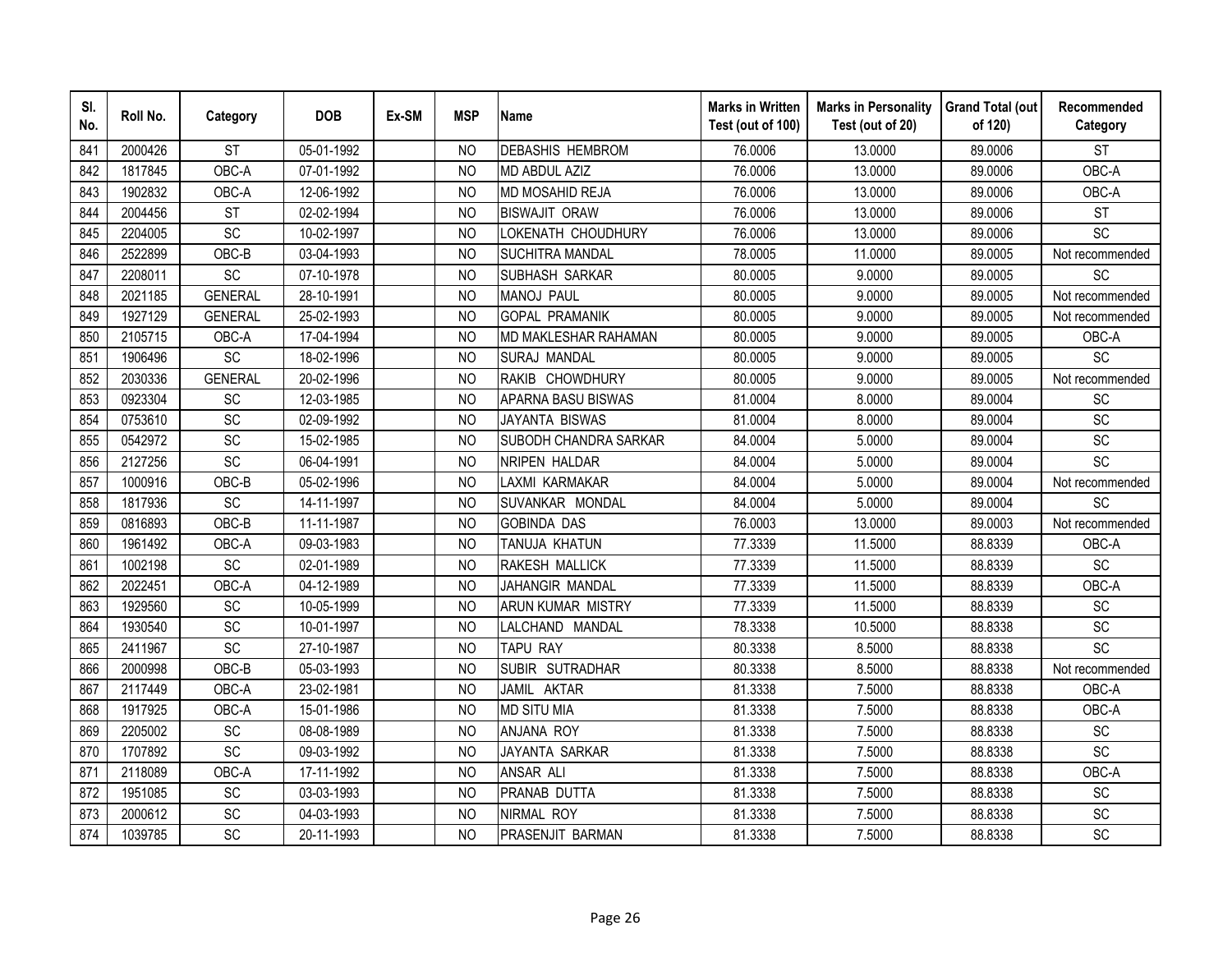| SI.<br>No. | Roll No. | Category        | <b>DOB</b> | Ex-SM | <b>MSP</b>     | <b>Name</b>              | <b>Marks in Written</b><br>Test (out of 100) | <b>Marks in Personality</b><br>Test (out of 20) | <b>Grand Total (out</b><br>of 120) | Recommended<br>Category      |
|------------|----------|-----------------|------------|-------|----------------|--------------------------|----------------------------------------------|-------------------------------------------------|------------------------------------|------------------------------|
| 841        | 2000426  | <b>ST</b>       | 05-01-1992 |       | NO.            | <b>DEBASHIS HEMBROM</b>  | 76.0006                                      | 13.0000                                         | 89.0006                            | <b>ST</b>                    |
| 842        | 1817845  | OBC-A           | 07-01-1992 |       | <b>NO</b>      | MD ABDUL AZIZ            | 76.0006                                      | 13.0000                                         | 89.0006                            | OBC-A                        |
| 843        | 1902832  | OBC-A           | 12-06-1992 |       | <b>NO</b>      | MD MOSAHID REJA          | 76.0006                                      | 13.0000                                         | 89.0006                            | OBC-A                        |
| 844        | 2004456  | <b>ST</b>       | 02-02-1994 |       | <b>NO</b>      | <b>BISWAJIT ORAW</b>     | 76.0006                                      | 13.0000                                         | 89.0006                            | <b>ST</b>                    |
| 845        | 2204005  | SC              | 10-02-1997 |       | <b>NO</b>      | OKENATH CHOUDHURY        | 76.0006                                      | 13.0000                                         | 89.0006                            | SC                           |
| 846        | 2522899  | OBC-B           | 03-04-1993 |       | <b>NO</b>      | <b>SUCHITRA MANDAL</b>   | 78.0005                                      | 11.0000                                         | 89.0005                            | Not recommended              |
| 847        | 2208011  | SC              | 07-10-1978 |       | N <sub>O</sub> | <b>SUBHASH SARKAR</b>    | 80.0005                                      | 9.0000                                          | 89.0005                            | <b>SC</b>                    |
| 848        | 2021185  | <b>GENERAL</b>  | 28-10-1991 |       | <b>NO</b>      | <b>MANOJ PAUL</b>        | 80.0005                                      | 9.0000                                          | 89.0005                            | Not recommended              |
| 849        | 1927129  | <b>GENERAL</b>  | 25-02-1993 |       | <b>NO</b>      | <b>GOPAL PRAMANIK</b>    | 80.0005                                      | 9.0000                                          | 89.0005                            | Not recommended              |
| 850        | 2105715  | OBC-A           | 17-04-1994 |       | <b>NO</b>      | MD MAKLESHAR RAHAMAN     | 80.0005                                      | 9.0000                                          | 89.0005                            | OBC-A                        |
| 851        | 1906496  | <b>SC</b>       | 18-02-1996 |       | <b>NO</b>      | <b>SURAJ MANDAL</b>      | 80.0005                                      | 9.0000                                          | 89.0005                            | SC                           |
| 852        | 2030336  | <b>GENERAL</b>  | 20-02-1996 |       | <b>NO</b>      | RAKIB CHOWDHURY          | 80.0005                                      | 9.0000                                          | 89.0005                            | Not recommended              |
| 853        | 0923304  | SC              | 12-03-1985 |       | <b>NO</b>      | APARNA BASU BISWAS       | 81.0004                                      | 8.0000                                          | 89.0004                            | SC                           |
| 854        | 0753610  | SC              | 02-09-1992 |       | <b>NO</b>      | <b>JAYANTA BISWAS</b>    | 81.0004                                      | 8.0000                                          | 89.0004                            | SC                           |
| 855        | 0542972  | SC              | 15-02-1985 |       | <b>NO</b>      | SUBODH CHANDRA SARKAR    | 84.0004                                      | 5.0000                                          | 89.0004                            | SC                           |
| 856        | 2127256  | SC              | 06-04-1991 |       | <b>NO</b>      | <b>NRIPEN HALDAR</b>     | 84.0004                                      | 5.0000                                          | 89.0004                            | SC                           |
| 857        | 1000916  | OBC-B           | 05-02-1996 |       | <b>NO</b>      | LAXMI KARMAKAR           | 84.0004                                      | 5.0000                                          | 89.0004                            | Not recommended              |
| 858        | 1817936  | <b>SC</b>       | 14-11-1997 |       | N <sub>O</sub> | SUVANKAR MONDAL          | 84.0004                                      | 5.0000                                          | 89.0004                            | SC                           |
| 859        | 0816893  | OBC-B           | 11-11-1987 |       | <b>NO</b>      | <b>GOBINDA DAS</b>       | 76.0003                                      | 13.0000                                         | 89.0003                            | Not recommended              |
| 860        | 1961492  | OBC-A           | 09-03-1983 |       | N <sub>O</sub> | TANUJA KHATUN            | 77.3339                                      | 11.5000                                         | 88.8339                            | OBC-A                        |
| 861        | 1002198  | $\overline{SC}$ | 02-01-1989 |       | <b>NO</b>      | RAKESH MALLICK           | 77.3339                                      | 11.5000                                         | 88.8339                            | $\overline{SC}$              |
| 862        | 2022451  | OBC-A           | 04-12-1989 |       | N <sub>O</sub> | JAHANGIR MANDAL          | 77.3339                                      | 11.5000                                         | 88.8339                            | OBC-A                        |
| 863        | 1929560  | SC              | 10-05-1999 |       | <b>NO</b>      | <b>ARUN KUMAR MISTRY</b> | 77.3339                                      | 11.5000                                         | 88.8339                            | $\operatorname{\textsf{SC}}$ |
| 864        | 1930540  | SC              | 10-01-1997 |       | N <sub>O</sub> | LALCHAND MANDAL          | 78.3338                                      | 10.5000                                         | 88.8338                            | $\operatorname{\textsf{SC}}$ |
| 865        | 2411967  | $\overline{SC}$ | 27-10-1987 |       | <b>NO</b>      | TAPU RAY                 | 80.3338                                      | 8.5000                                          | 88.8338                            | $\overline{SC}$              |
| 866        | 2000998  | OBC-B           | 05-03-1993 |       | <b>NO</b>      | SUBIR SUTRADHAR          | 80.3338                                      | 8.5000                                          | 88.8338                            | Not recommended              |
| 867        | 2117449  | OBC-A           | 23-02-1981 |       | <b>NO</b>      | JAMIL AKTAR              | 81.3338                                      | 7.5000                                          | 88.8338                            | OBC-A                        |
| 868        | 1917925  | OBC-A           | 15-01-1986 |       | <b>NO</b>      | <b>MD SITU MIA</b>       | 81.3338                                      | 7.5000                                          | 88.8338                            | OBC-A                        |
| 869        | 2205002  | SC              | 08-08-1989 |       | N <sub>O</sub> | ANJANA ROY               | 81.3338                                      | 7.5000                                          | 88.8338                            | SC                           |
| 870        | 1707892  | SC              | 09-03-1992 |       | <b>NO</b>      | JAYANTA SARKAR           | 81.3338                                      | 7.5000                                          | 88.8338                            | SC                           |
| 871        | 2118089  | OBC-A           | 17-11-1992 |       | <b>NO</b>      | <b>ANSAR ALI</b>         | 81.3338                                      | 7.5000                                          | 88.8338                            | OBC-A                        |
| 872        | 1951085  | <b>SC</b>       | 03-03-1993 |       | <b>NO</b>      | PRANAB DUTTA             | 81.3338                                      | 7.5000                                          | 88.8338                            | SC                           |
| 873        | 2000612  | SC              | 04-03-1993 |       | <b>NO</b>      | NIRMAL ROY               | 81.3338                                      | 7.5000                                          | 88.8338                            | SC                           |
| 874        | 1039785  | SC              | 20-11-1993 |       | <b>NO</b>      | PRASENJIT BARMAN         | 81.3338                                      | 7.5000                                          | 88.8338                            | SC                           |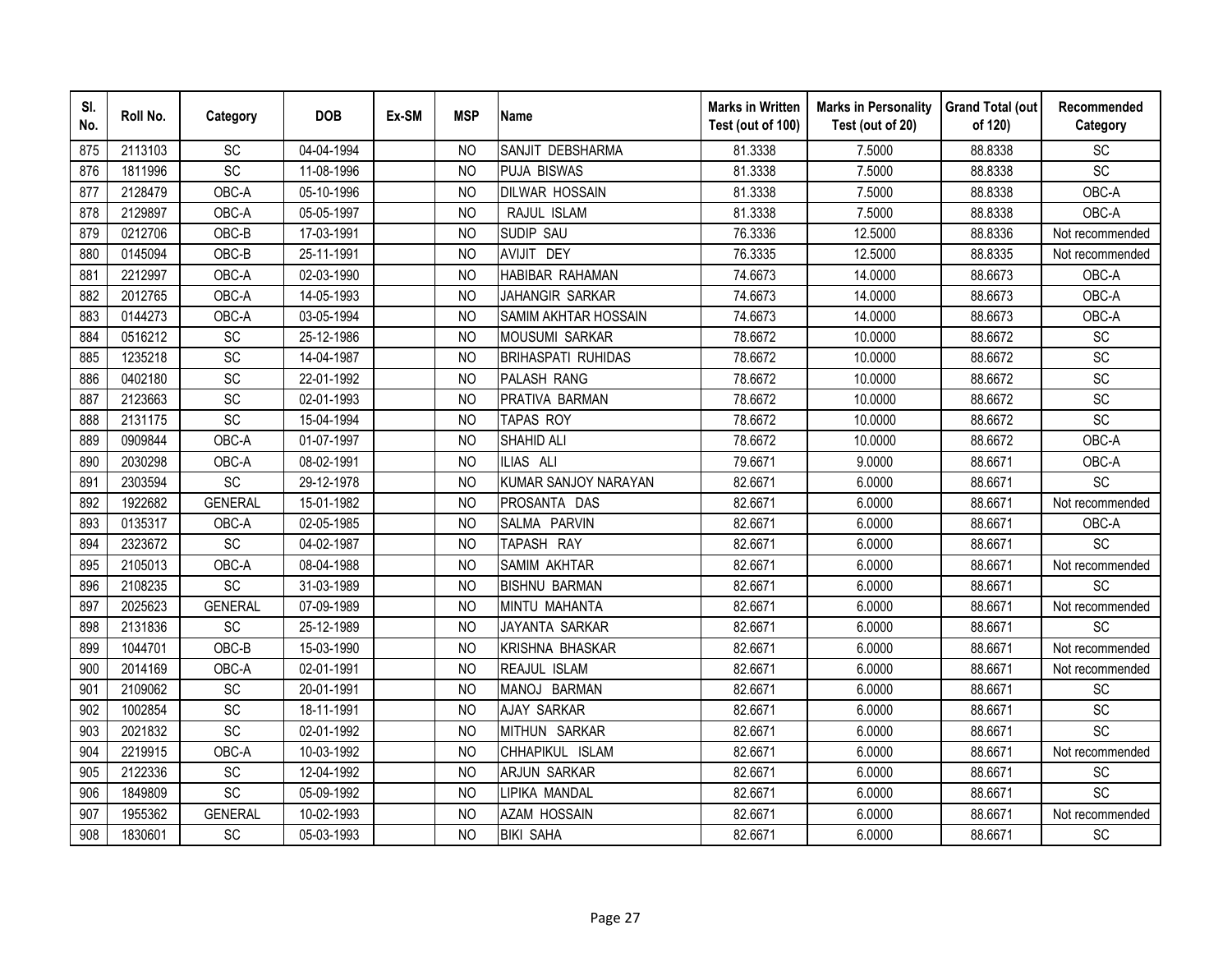| SI.<br>No. | Roll No. | Category        | <b>DOB</b> | Ex-SM | <b>MSP</b>     | <b>Name</b>                 | <b>Marks in Written</b><br>Test (out of 100) | <b>Marks in Personality</b><br>Test (out of 20) | <b>Grand Total (out</b><br>of 120) | Recommended<br>Category |
|------------|----------|-----------------|------------|-------|----------------|-----------------------------|----------------------------------------------|-------------------------------------------------|------------------------------------|-------------------------|
| 875        | 2113103  | SC              | 04-04-1994 |       | N <sub>O</sub> | SANJIT DEBSHARMA            | 81.3338                                      | 7.5000                                          | 88.8338                            | <b>SC</b>               |
| 876        | 1811996  | <b>SC</b>       | 11-08-1996 |       | <b>NO</b>      | <b>PUJA BISWAS</b>          | 81.3338                                      | 7.5000                                          | 88.8338                            | SC                      |
| 877        | 2128479  | OBC-A           | 05-10-1996 |       | <b>NO</b>      | <b>DILWAR HOSSAIN</b>       | 81.3338                                      | 7.5000                                          | 88.8338                            | OBC-A                   |
| 878        | 2129897  | OBC-A           | 05-05-1997 |       | <b>NO</b>      | RAJUL ISLAM                 | 81.3338                                      | 7.5000                                          | 88.8338                            | OBC-A                   |
| 879        | 0212706  | OBC-B           | 17-03-1991 |       | <b>NO</b>      | SUDIP SAU                   | 76.3336                                      | 12.5000                                         | 88.8336                            | Not recommended         |
| 880        | 0145094  | OBC-B           | 25-11-1991 |       | <b>NO</b>      | AVIJIT DEY                  | 76.3335                                      | 12.5000                                         | 88.8335                            | Not recommended         |
| 881        | 2212997  | OBC-A           | 02-03-1990 |       | <b>NO</b>      | HABIBAR RAHAMAN             | 74.6673                                      | 14.0000                                         | 88.6673                            | OBC-A                   |
| 882        | 2012765  | OBC-A           | 14-05-1993 |       | <b>NO</b>      | JAHANGIR SARKAR             | 74.6673                                      | 14.0000                                         | 88.6673                            | OBC-A                   |
| 883        | 0144273  | OBC-A           | 03-05-1994 |       | N <sub>O</sub> | <b>SAMIM AKHTAR HOSSAIN</b> | 74.6673                                      | 14.0000                                         | 88.6673                            | OBC-A                   |
| 884        | 0516212  | SC              | 25-12-1986 |       | <b>NO</b>      | <b>MOUSUMI SARKAR</b>       | 78.6672                                      | 10.0000                                         | 88.6672                            | SC                      |
| 885        | 1235218  | SC              | 14-04-1987 |       | N <sub>O</sub> | <b>BRIHASPATI RUHIDAS</b>   | 78.6672                                      | 10.0000                                         | 88.6672                            | SC                      |
| 886        | 0402180  | SC              | 22-01-1992 |       | <b>NO</b>      | PALASH RANG                 | 78.6672                                      | 10.0000                                         | 88.6672                            | SC                      |
| 887        | 2123663  | SC              | 02-01-1993 |       | <b>NO</b>      | PRATIVA BARMAN              | 78.6672                                      | 10.0000                                         | 88.6672                            | SC                      |
| 888        | 2131175  | SC              | 15-04-1994 |       | <b>NO</b>      | <b>TAPAS ROY</b>            | 78.6672                                      | 10.0000                                         | 88.6672                            | SC                      |
| 889        | 0909844  | OBC-A           | 01-07-1997 |       | <b>NO</b>      | <b>SHAHID ALI</b>           | 78.6672                                      | 10.0000                                         | 88.6672                            | OBC-A                   |
| 890        | 2030298  | OBC-A           | 08-02-1991 |       | <b>NO</b>      | ILIAS ALI                   | 79.6671                                      | 9.0000                                          | 88.6671                            | OBC-A                   |
| 891        | 2303594  | SC              | 29-12-1978 |       | <b>NO</b>      | KUMAR SANJOY NARAYAN        | 82.6671                                      | 6.0000                                          | 88.6671                            | SC                      |
| 892        | 1922682  | <b>GENERAL</b>  | 15-01-1982 |       | <b>NO</b>      | PROSANTA DAS                | 82.6671                                      | 6.0000                                          | 88.6671                            | Not recommended         |
| 893        | 0135317  | OBC-A           | 02-05-1985 |       | <b>NO</b>      | SALMA PARVIN                | 82.6671                                      | 6.0000                                          | 88.6671                            | OBC-A                   |
| 894        | 2323672  | SC              | 04-02-1987 |       | <b>NO</b>      | TAPASH RAY                  | 82.6671                                      | 6.0000                                          | 88.6671                            | SC                      |
| 895        | 2105013  | OBC-A           | 08-04-1988 |       | N <sub>O</sub> | SAMIM AKHTAR                | 82.6671                                      | 6.0000                                          | 88.6671                            | Not recommended         |
| 896        | 2108235  | $\overline{SC}$ | 31-03-1989 |       | N <sub>O</sub> | <b>BISHNU BARMAN</b>        | 82.6671                                      | 6.0000                                          | 88.6671                            | SC                      |
| 897        | 2025623  | <b>GENERAL</b>  | 07-09-1989 |       | <b>NO</b>      | MINTU MAHANTA               | 82.6671                                      | 6.0000                                          | 88.6671                            | Not recommended         |
| 898        | 2131836  | SC              | 25-12-1989 |       | <b>NO</b>      | JAYANTA SARKAR              | 82.6671                                      | 6.0000                                          | 88.6671                            | SC                      |
| 899        | 1044701  | OBC-B           | 15-03-1990 |       | <b>NO</b>      | KRISHNA BHASKAR             | 82.6671                                      | 6.0000                                          | 88.6671                            | Not recommended         |
| 900        | 2014169  | OBC-A           | 02-01-1991 |       | <b>NO</b>      | REAJUL ISLAM                | 82.6671                                      | 6.0000                                          | 88.6671                            | Not recommended         |
| 901        | 2109062  | SC              | 20-01-1991 |       | <b>NO</b>      | MANOJ BARMAN                | 82.6671                                      | 6.0000                                          | 88.6671                            | SC                      |
| 902        | 1002854  | SC              | 18-11-1991 |       | <b>NO</b>      | <b>AJAY SARKAR</b>          | 82.6671                                      | 6.0000                                          | 88.6671                            | SC                      |
| 903        | 2021832  | SC              | 02-01-1992 |       | <b>NO</b>      | MITHUN SARKAR               | 82.6671                                      | 6.0000                                          | 88.6671                            | SC                      |
| 904        | 2219915  | OBC-A           | 10-03-1992 |       | <b>NO</b>      | CHHAPIKUL ISLAM             | 82.6671                                      | 6.0000                                          | 88.6671                            | Not recommended         |
| 905        | 2122336  | SC              | 12-04-1992 |       | <b>NO</b>      | <b>ARJUN SARKAR</b>         | 82.6671                                      | 6.0000                                          | 88.6671                            | SC                      |
| 906        | 1849809  | SC              | 05-09-1992 |       | <b>NO</b>      | LIPIKA MANDAL               | 82.6671                                      | 6.0000                                          | 88.6671                            | SC                      |
| 907        | 1955362  | <b>GENERAL</b>  | 10-02-1993 |       | N <sub>O</sub> | <b>AZAM HOSSAIN</b>         | 82.6671                                      | 6.0000                                          | 88.6671                            | Not recommended         |
| 908        | 1830601  | <b>SC</b>       | 05-03-1993 |       | <b>NO</b>      | <b>BIKI SAHA</b>            | 82.6671                                      | 6.0000                                          | 88.6671                            | SC                      |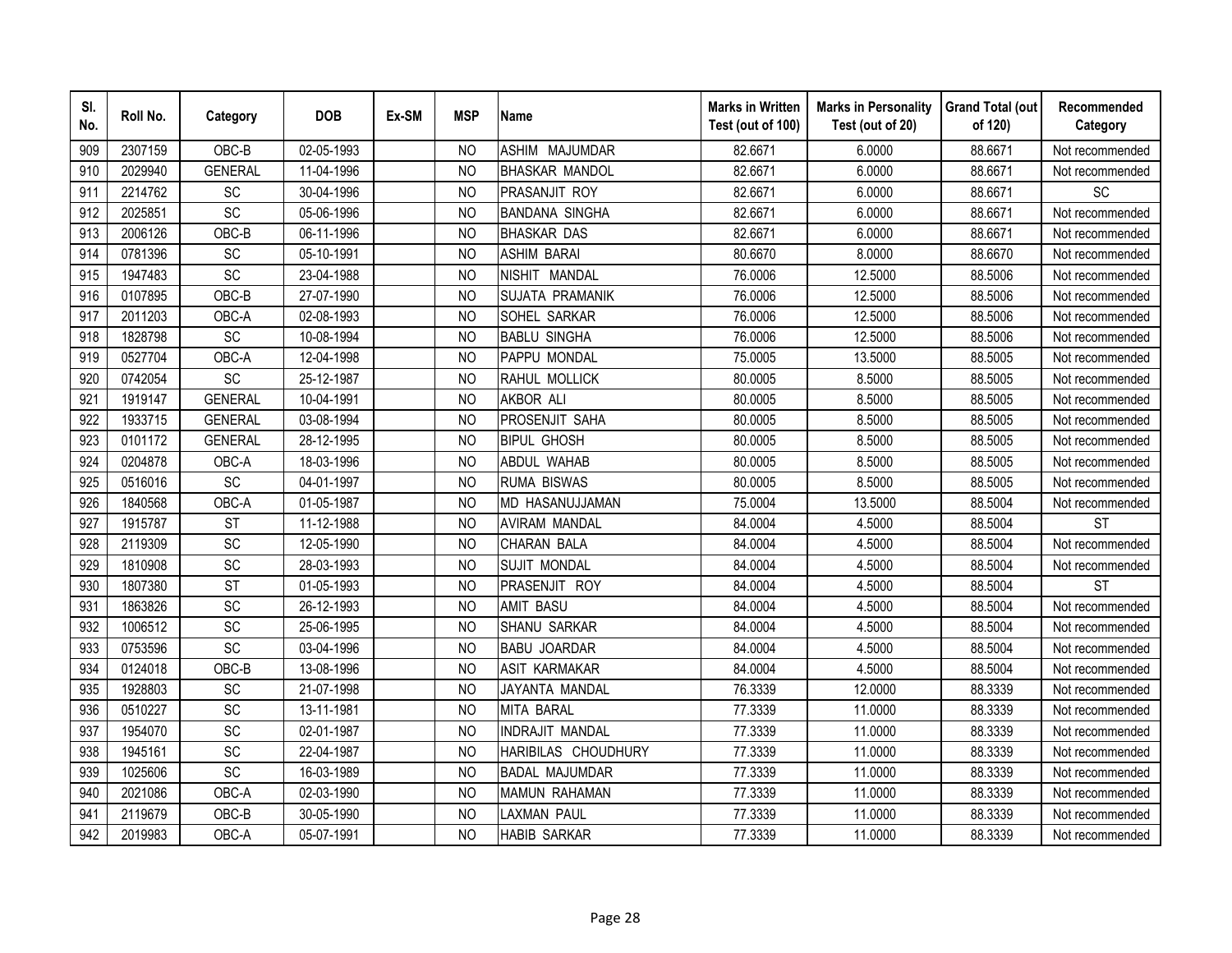| SI.<br>No. | Roll No. | Category       | <b>DOB</b> | Ex-SM | <b>MSP</b>     | <b>Name</b>            | <b>Marks in Written</b><br>Test (out of 100) | <b>Marks in Personality</b><br>Test (out of 20) | <b>Grand Total (out</b><br>of 120) | Recommended<br>Category |
|------------|----------|----------------|------------|-------|----------------|------------------------|----------------------------------------------|-------------------------------------------------|------------------------------------|-------------------------|
| 909        | 2307159  | OBC-B          | 02-05-1993 |       | N <sub>O</sub> | <b>ASHIM MAJUMDAR</b>  | 82.6671                                      | 6.0000                                          | 88.6671                            | Not recommended         |
| 910        | 2029940  | <b>GENERAL</b> | 11-04-1996 |       | <b>NO</b>      | <b>BHASKAR MANDOL</b>  | 82.6671                                      | 6.0000                                          | 88.6671                            | Not recommended         |
| 911        | 2214762  | SC             | 30-04-1996 |       | N <sub>O</sub> | PRASANJIT ROY          | 82.6671                                      | 6.0000                                          | 88.6671                            | SC                      |
| 912        | 2025851  | SC             | 05-06-1996 |       | <b>NO</b>      | <b>BANDANA SINGHA</b>  | 82.6671                                      | 6.0000                                          | 88.6671                            | Not recommended         |
| 913        | 2006126  | OBC-B          | 06-11-1996 |       | N <sub>O</sub> | <b>BHASKAR DAS</b>     | 82.6671                                      | 6.0000                                          | 88.6671                            | Not recommended         |
| 914        | 0781396  | SC             | 05-10-1991 |       | <b>NO</b>      | <b>ASHIM BARAI</b>     | 80.6670                                      | 8.0000                                          | 88.6670                            | Not recommended         |
| 915        | 1947483  | SC             | 23-04-1988 |       | <b>NO</b>      | NISHIT MANDAL          | 76.0006                                      | 12.5000                                         | 88.5006                            | Not recommended         |
| 916        | 0107895  | OBC-B          | 27-07-1990 |       | <b>NO</b>      | <b>SUJATA PRAMANIK</b> | 76.0006                                      | 12.5000                                         | 88.5006                            | Not recommended         |
| 917        | 2011203  | OBC-A          | 02-08-1993 |       | N <sub>O</sub> | SOHEL SARKAR           | 76.0006                                      | 12.5000                                         | 88.5006                            | Not recommended         |
| 918        | 1828798  | SC             | 10-08-1994 |       | <b>NO</b>      | <b>BABLU SINGHA</b>    | 76.0006                                      | 12.5000                                         | 88.5006                            | Not recommended         |
| 919        | 0527704  | OBC-A          | 12-04-1998 |       | <b>NO</b>      | PAPPU MONDAL           | 75.0005                                      | 13.5000                                         | 88.5005                            | Not recommended         |
| 920        | 0742054  | SC             | 25-12-1987 |       | <b>NO</b>      | RAHUL MOLLICK          | 80.0005                                      | 8.5000                                          | 88.5005                            | Not recommended         |
| 921        | 1919147  | <b>GENERAL</b> | 10-04-1991 |       | <b>NO</b>      | <b>AKBOR ALI</b>       | 80.0005                                      | 8.5000                                          | 88.5005                            | Not recommended         |
| 922        | 1933715  | <b>GENERAL</b> | 03-08-1994 |       | <b>NO</b>      | PROSENJIT SAHA         | 80.0005                                      | 8.5000                                          | 88.5005                            | Not recommended         |
| 923        | 0101172  | <b>GENERAL</b> | 28-12-1995 |       | <b>NO</b>      | <b>BIPUL GHOSH</b>     | 80.0005                                      | 8.5000                                          | 88.5005                            | Not recommended         |
| 924        | 0204878  | OBC-A          | 18-03-1996 |       | <b>NO</b>      | <b>ABDUL WAHAB</b>     | 80.0005                                      | 8.5000                                          | 88.5005                            | Not recommended         |
| 925        | 0516016  | SC             | 04-01-1997 |       | <b>NO</b>      | <b>RUMA BISWAS</b>     | 80.0005                                      | 8.5000                                          | 88.5005                            | Not recommended         |
| 926        | 1840568  | OBC-A          | 01-05-1987 |       | <b>NO</b>      | MD HASANUJJAMAN        | 75.0004                                      | 13.5000                                         | 88.5004                            | Not recommended         |
| 927        | 1915787  | <b>ST</b>      | 11-12-1988 |       | N <sub>O</sub> | <b>AVIRAM MANDAL</b>   | 84.0004                                      | 4.5000                                          | 88.5004                            | <b>ST</b>               |
| 928        | 2119309  | SC             | 12-05-1990 |       | N <sub>O</sub> | <b>CHARAN BALA</b>     | 84.0004                                      | 4.5000                                          | 88.5004                            | Not recommended         |
| 929        | 1810908  | SC             | 28-03-1993 |       | <b>NO</b>      | <b>SUJIT MONDAL</b>    | 84.0004                                      | 4.5000                                          | 88.5004                            | Not recommended         |
| 930        | 1807380  | <b>ST</b>      | 01-05-1993 |       | <b>NO</b>      | PRASENJIT ROY          | 84.0004                                      | 4.5000                                          | 88.5004                            | <b>ST</b>               |
| 931        | 1863826  | SC             | 26-12-1993 |       | N <sub>O</sub> | <b>AMIT BASU</b>       | 84.0004                                      | 4.5000                                          | 88.5004                            | Not recommended         |
| 932        | 1006512  | SC             | 25-06-1995 |       | N <sub>O</sub> | <b>SHANU SARKAR</b>    | 84.0004                                      | 4.5000                                          | 88.5004                            | Not recommended         |
| 933        | 0753596  | SC             | 03-04-1996 |       | <b>NO</b>      | <b>BABU JOARDAR</b>    | 84.0004                                      | 4.5000                                          | 88.5004                            | Not recommended         |
| 934        | 0124018  | OBC-B          | 13-08-1996 |       | <b>NO</b>      | ASIT KARMAKAR          | 84.0004                                      | 4.5000                                          | 88.5004                            | Not recommended         |
| 935        | 1928803  | SC             | 21-07-1998 |       | N <sub>O</sub> | JAYANTA MANDAL         | 76.3339                                      | 12.0000                                         | 88.3339                            | Not recommended         |
| 936        | 0510227  | SC             | 13-11-1981 |       | N <sub>O</sub> | <b>MITA BARAL</b>      | 77.3339                                      | 11.0000                                         | 88.3339                            | Not recommended         |
| 937        | 1954070  | SC             | 02-01-1987 |       | <b>NO</b>      | INDRAJIT MANDAL        | 77.3339                                      | 11.0000                                         | 88.3339                            | Not recommended         |
| 938        | 1945161  | SC             | 22-04-1987 |       | N <sub>O</sub> | HARIBILAS CHOUDHURY    | 77.3339                                      | 11.0000                                         | 88.3339                            | Not recommended         |
| 939        | 1025606  | SC             | 16-03-1989 |       | N <sub>O</sub> | <b>BADAL MAJUMDAR</b>  | 77.3339                                      | 11.0000                                         | 88.3339                            | Not recommended         |
| 940        | 2021086  | OBC-A          | 02-03-1990 |       | <b>NO</b>      | <b>MAMUN RAHAMAN</b>   | 77.3339                                      | 11.0000                                         | 88.3339                            | Not recommended         |
| 941        | 2119679  | OBC-B          | 30-05-1990 |       | <b>NO</b>      | <b>LAXMAN PAUL</b>     | 77.3339                                      | 11.0000                                         | 88.3339                            | Not recommended         |
| 942        | 2019983  | OBC-A          | 05-07-1991 |       | <b>NO</b>      | <b>HABIB SARKAR</b>    | 77.3339                                      | 11.0000                                         | 88.3339                            | Not recommended         |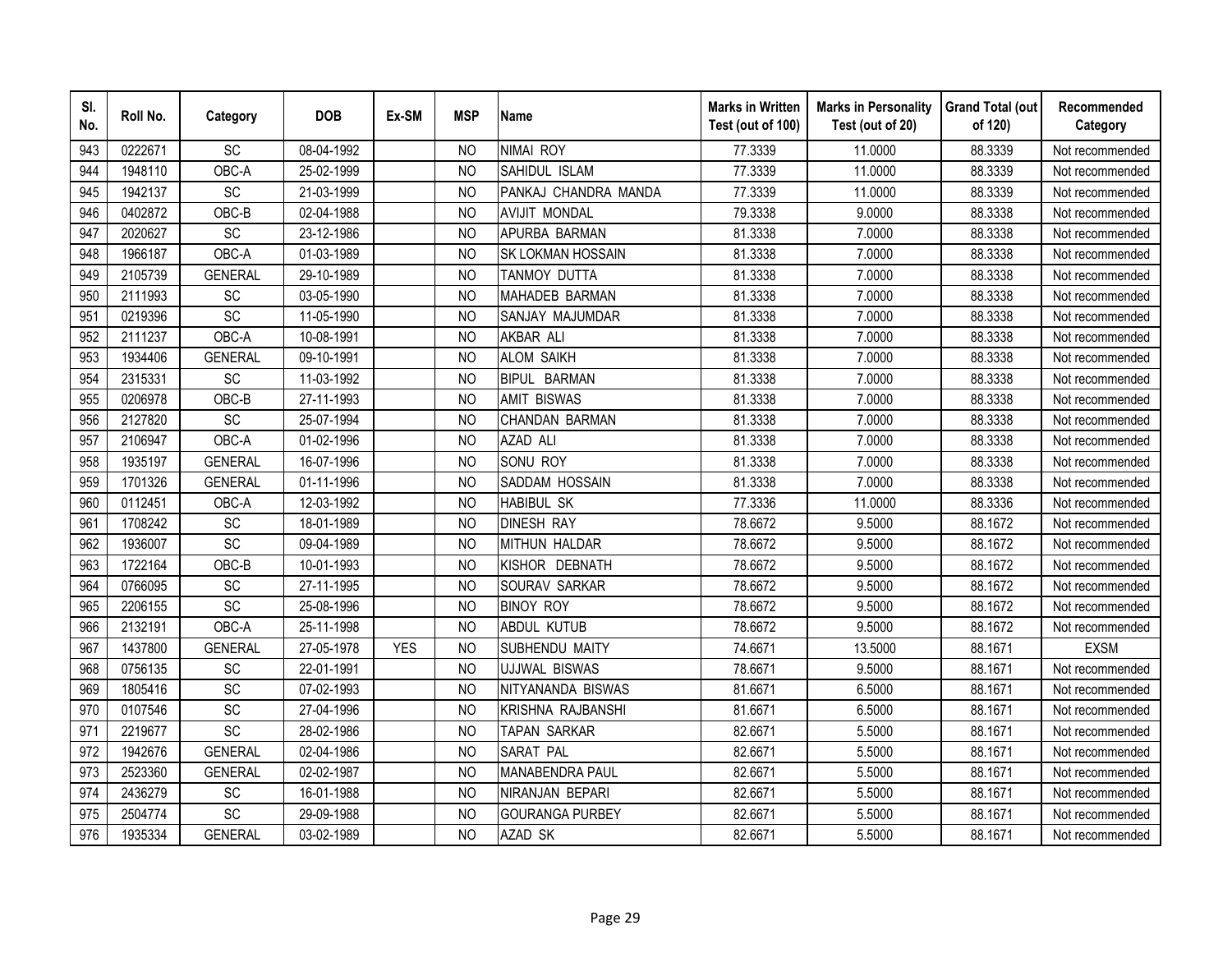| SI.<br>No. | Roll No. | Category        | <b>DOB</b> | Ex-SM      | <b>MSP</b>     | <b>Name</b>              | <b>Marks in Written</b><br>Test (out of 100) | <b>Marks in Personality</b><br>Test (out of 20) | <b>Grand Total (out</b><br>of 120) | Recommended<br>Category |
|------------|----------|-----------------|------------|------------|----------------|--------------------------|----------------------------------------------|-------------------------------------------------|------------------------------------|-------------------------|
| 943        | 0222671  | SC              | 08-04-1992 |            | N <sub>O</sub> | <b>NIMAI ROY</b>         | 77.3339                                      | 11.0000                                         | 88.3339                            | Not recommended         |
| 944        | 1948110  | OBC-A           | 25-02-1999 |            | <b>NO</b>      | SAHIDUL ISLAM            | 77.3339                                      | 11.0000                                         | 88.3339                            | Not recommended         |
| 945        | 1942137  | SC              | 21-03-1999 |            | <b>NO</b>      | PANKAJ CHANDRA MANDA     | 77.3339                                      | 11.0000                                         | 88.3339                            | Not recommended         |
| 946        | 0402872  | OBC-B           | 02-04-1988 |            | <b>NO</b>      | <b>AVIJIT MONDAL</b>     | 79.3338                                      | 9.0000                                          | 88.3338                            | Not recommended         |
| 947        | 2020627  | SC              | 23-12-1986 |            | N <sub>O</sub> | APURBA BARMAN            | 81.3338                                      | 7.0000                                          | 88.3338                            | Not recommended         |
| 948        | 1966187  | OBC-A           | 01-03-1989 |            | <b>NO</b>      | SK LOKMAN HOSSAIN        | 81.3338                                      | 7.0000                                          | 88.3338                            | Not recommended         |
| 949        | 2105739  | <b>GENERAL</b>  | 29-10-1989 |            | N <sub>O</sub> | TANMOY DUTTA             | 81.3338                                      | 7.0000                                          | 88.3338                            | Not recommended         |
| 950        | 2111993  | SC              | 03-05-1990 |            | <b>NO</b>      | MAHADEB BARMAN           | 81.3338                                      | 7.0000                                          | 88.3338                            | Not recommended         |
| 951        | 0219396  | SC              | 11-05-1990 |            | N <sub>O</sub> | SANJAY MAJUMDAR          | 81.3338                                      | 7.0000                                          | 88.3338                            | Not recommended         |
| 952        | 2111237  | OBC-A           | 10-08-1991 |            | <b>NO</b>      | AKBAR ALI                | 81.3338                                      | 7.0000                                          | 88.3338                            | Not recommended         |
| 953        | 1934406  | <b>GENERAL</b>  | 09-10-1991 |            | <b>NO</b>      | <b>ALOM SAIKH</b>        | 81.3338                                      | 7.0000                                          | 88.3338                            | Not recommended         |
| 954        | 2315331  | SC              | 11-03-1992 |            | <b>NO</b>      | <b>BIPUL BARMAN</b>      | 81.3338                                      | 7.0000                                          | 88.3338                            | Not recommended         |
| 955        | 0206978  | OBC-B           | 27-11-1993 |            | <b>NO</b>      | <b>AMIT BISWAS</b>       | 81.3338                                      | 7.0000                                          | 88.3338                            | Not recommended         |
| 956        | 2127820  | SC              | 25-07-1994 |            | <b>NO</b>      | CHANDAN BARMAN           | 81.3338                                      | 7.0000                                          | 88.3338                            | Not recommended         |
| 957        | 2106947  | OBC-A           | 01-02-1996 |            | <b>NO</b>      | <b>AZAD ALI</b>          | 81.3338                                      | 7.0000                                          | 88.3338                            | Not recommended         |
| 958        | 1935197  | <b>GENERAL</b>  | 16-07-1996 |            | <b>NO</b>      | SONU ROY                 | 81.3338                                      | 7.0000                                          | 88.3338                            | Not recommended         |
| 959        | 1701326  | <b>GENERAL</b>  | 01-11-1996 |            | <b>NO</b>      | SADDAM HOSSAIN           | 81.3338                                      | 7.0000                                          | 88.3338                            | Not recommended         |
| 960        | 0112451  | OBC-A           | 12-03-1992 |            | <b>NO</b>      | <b>HABIBUL SK</b>        | 77.3336                                      | 11.0000                                         | 88.3336                            | Not recommended         |
| 961        | 1708242  | SC              | 18-01-1989 |            | N <sub>O</sub> | <b>DINESH RAY</b>        | 78.6672                                      | 9.5000                                          | 88.1672                            | Not recommended         |
| 962        | 1936007  | $\overline{SC}$ | 09-04-1989 |            | N <sub>O</sub> | <b>MITHUN HALDAR</b>     | 78.6672                                      | 9.5000                                          | 88.1672                            | Not recommended         |
| 963        | 1722164  | OBC-B           | 10-01-1993 |            | <b>NO</b>      | KISHOR DEBNATH           | 78.6672                                      | 9.5000                                          | 88.1672                            | Not recommended         |
| 964        | 0766095  | SC              | 27-11-1995 |            | <b>NO</b>      | SOURAV SARKAR            | 78.6672                                      | 9.5000                                          | 88.1672                            | Not recommended         |
| 965        | 2206155  | SC              | 25-08-1996 |            | N <sub>O</sub> | <b>BINOY ROY</b>         | 78.6672                                      | 9.5000                                          | 88.1672                            | Not recommended         |
| 966        | 2132191  | OBC-A           | 25-11-1998 |            | N <sub>O</sub> | <b>ABDUL KUTUB</b>       | 78.6672                                      | 9.5000                                          | 88.1672                            | Not recommended         |
| 967        | 1437800  | <b>GENERAL</b>  | 27-05-1978 | <b>YES</b> | <b>NO</b>      | SUBHENDU MAITY           | 74.6671                                      | 13.5000                                         | 88.1671                            | <b>EXSM</b>             |
| 968        | 0756135  | SC              | 22-01-1991 |            | <b>NO</b>      | <b>UJJWAL BISWAS</b>     | 78.6671                                      | 9.5000                                          | 88.1671                            | Not recommended         |
| 969        | 1805416  | SC              | 07-02-1993 |            | N <sub>O</sub> | NITYANANDA BISWAS        | 81.6671                                      | 6.5000                                          | 88.1671                            | Not recommended         |
| 970        | 0107546  | SC              | 27-04-1996 |            | N <sub>O</sub> | <b>KRISHNA RAJBANSHI</b> | 81.6671                                      | 6.5000                                          | 88.1671                            | Not recommended         |
| 971        | 2219677  | SC              | 28-02-1986 |            | <b>NO</b>      | TAPAN SARKAR             | 82.6671                                      | 5.5000                                          | 88.1671                            | Not recommended         |
| 972        | 1942676  | <b>GENERAL</b>  | 02-04-1986 |            | N <sub>O</sub> | SARAT PAL                | 82.6671                                      | 5.5000                                          | 88.1671                            | Not recommended         |
| 973        | 2523360  | <b>GENERAL</b>  | 02-02-1987 |            | N <sub>O</sub> | MANABENDRA PAUL          | 82.6671                                      | 5.5000                                          | 88.1671                            | Not recommended         |
| 974        | 2436279  | SC              | 16-01-1988 |            | <b>NO</b>      | NIRANJAN BEPARI          | 82.6671                                      | 5.5000                                          | 88.1671                            | Not recommended         |
| 975        | 2504774  | SC              | 29-09-1988 |            | <b>NO</b>      | <b>GOURANGA PURBEY</b>   | 82.6671                                      | 5.5000                                          | 88.1671                            | Not recommended         |
| 976        | 1935334  | <b>GENERAL</b>  | 03-02-1989 |            | <b>NO</b>      | AZAD SK                  | 82.6671                                      | 5.5000                                          | 88.1671                            | Not recommended         |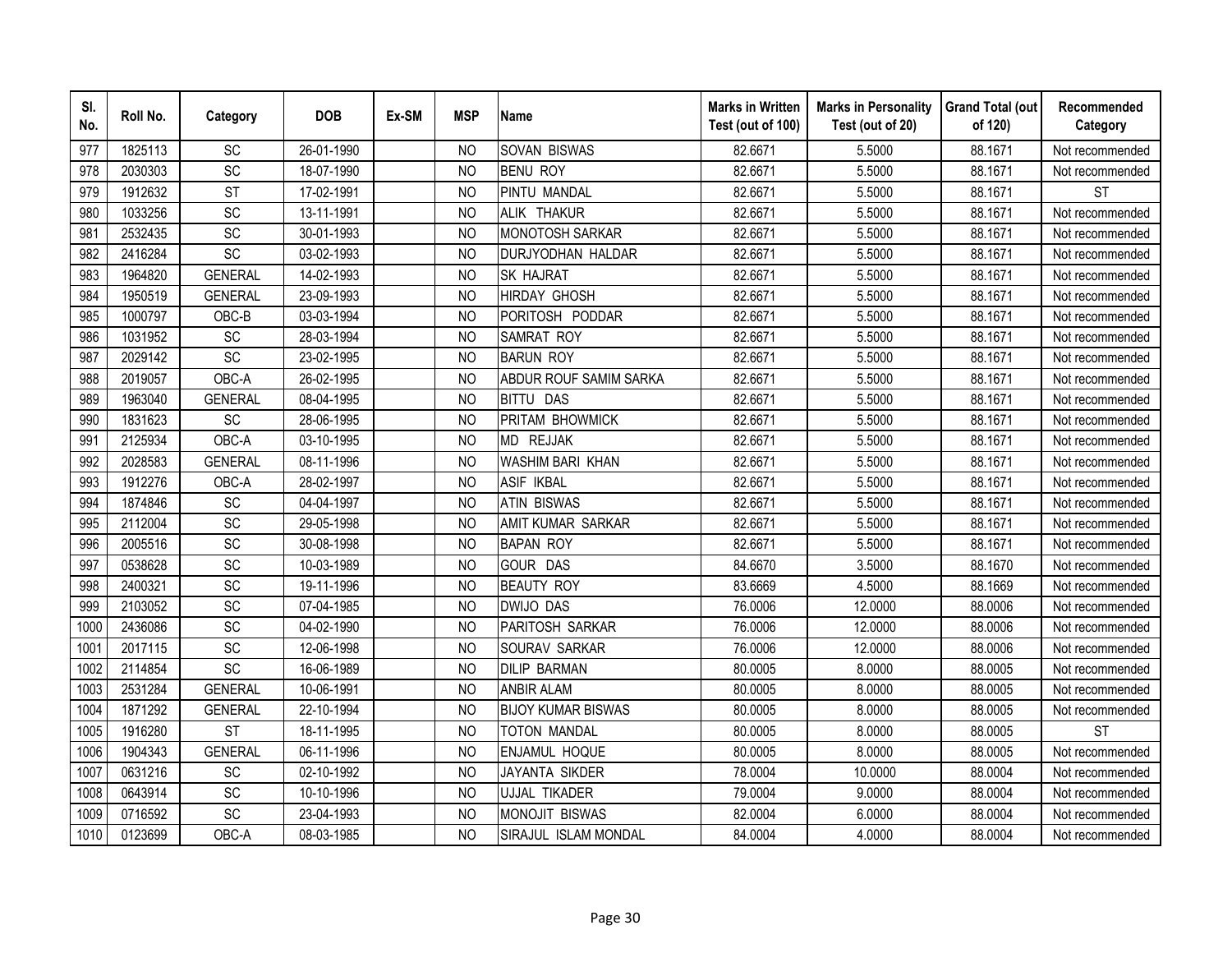| SI.<br>No. | Roll No. | Category        | <b>DOB</b> | Ex-SM | <b>MSP</b>     | <b>Name</b>               | <b>Marks in Written</b><br>Test (out of 100) | <b>Marks in Personality</b><br>Test (out of 20) | <b>Grand Total (out</b><br>of 120) | Recommended<br>Category |
|------------|----------|-----------------|------------|-------|----------------|---------------------------|----------------------------------------------|-------------------------------------------------|------------------------------------|-------------------------|
| 977        | 1825113  | <b>SC</b>       | 26-01-1990 |       | N <sub>O</sub> | <b>SOVAN BISWAS</b>       | 82.6671                                      | 5.5000                                          | 88.1671                            | Not recommended         |
| 978        | 2030303  | $\overline{SC}$ | 18-07-1990 |       | N <sub>O</sub> | <b>BENU ROY</b>           | 82.6671                                      | 5.5000                                          | 88.1671                            | Not recommended         |
| 979        | 1912632  | <b>ST</b>       | 17-02-1991 |       | <b>NO</b>      | <b>PINTU MANDAL</b>       | 82.6671                                      | 5.5000                                          | 88.1671                            | <b>ST</b>               |
| 980        | 1033256  | SC              | 13-11-1991 |       | N <sub>O</sub> | ALIK THAKUR               | 82.6671                                      | 5.5000                                          | 88.1671                            | Not recommended         |
| 981        | 2532435  | SC              | 30-01-1993 |       | N <sub>O</sub> | <b>MONOTOSH SARKAR</b>    | 82.6671                                      | 5.5000                                          | 88.1671                            | Not recommended         |
| 982        | 2416284  | SC              | 03-02-1993 |       | N <sub>O</sub> | DURJYODHAN HALDAR         | 82.6671                                      | 5.5000                                          | 88.1671                            | Not recommended         |
| 983        | 1964820  | <b>GENERAL</b>  | 14-02-1993 |       | N <sub>O</sub> | <b>SK HAJRAT</b>          | 82.6671                                      | 5.5000                                          | 88.1671                            | Not recommended         |
| 984        | 1950519  | <b>GENERAL</b>  | 23-09-1993 |       | N <sub>O</sub> | <b>HIRDAY GHOSH</b>       | 82.6671                                      | 5.5000                                          | 88.1671                            | Not recommended         |
| 985        | 1000797  | OBC-B           | 03-03-1994 |       | N <sub>O</sub> | PORITOSH PODDAR           | 82.6671                                      | 5.5000                                          | 88.1671                            | Not recommended         |
| 986        | 1031952  | SC              | 28-03-1994 |       | N <sub>O</sub> | <b>SAMRAT ROY</b>         | 82.6671                                      | 5.5000                                          | 88.1671                            | Not recommended         |
| 987        | 2029142  | SC              | 23-02-1995 |       | <b>NO</b>      | <b>BARUN ROY</b>          | 82.6671                                      | 5.5000                                          | 88.1671                            | Not recommended         |
| 988        | 2019057  | OBC-A           | 26-02-1995 |       | <b>NO</b>      | ABDUR ROUF SAMIM SARKA    | 82.6671                                      | 5.5000                                          | 88.1671                            | Not recommended         |
| 989        | 1963040  | <b>GENERAL</b>  | 08-04-1995 |       | <b>NO</b>      | <b>BITTU DAS</b>          | 82.6671                                      | 5.5000                                          | 88.1671                            | Not recommended         |
| 990        | 1831623  | SC              | 28-06-1995 |       | <b>NO</b>      | PRITAM BHOWMICK           | 82.6671                                      | 5.5000                                          | 88.1671                            | Not recommended         |
| 991        | 2125934  | OBC-A           | 03-10-1995 |       | <b>NO</b>      | MD REJJAK                 | 82.6671                                      | 5.5000                                          | 88.1671                            | Not recommended         |
| 992        | 2028583  | <b>GENERAL</b>  | 08-11-1996 |       | <b>NO</b>      | <b>WASHIM BARI KHAN</b>   | 82.6671                                      | 5.5000                                          | 88.1671                            | Not recommended         |
| 993        | 1912276  | OBC-A           | 28-02-1997 |       | <b>NO</b>      | <b>ASIF IKBAL</b>         | 82.6671                                      | 5.5000                                          | 88.1671                            | Not recommended         |
| 994        | 1874846  | SC              | 04-04-1997 |       | <b>NO</b>      | <b>ATIN BISWAS</b>        | 82.6671                                      | 5.5000                                          | 88.1671                            | Not recommended         |
| 995        | 2112004  | SC              | 29-05-1998 |       | <b>NO</b>      | AMIT KUMAR SARKAR         | 82.6671                                      | 5.5000                                          | 88.1671                            | Not recommended         |
| 996        | 2005516  | SC              | 30-08-1998 |       | <b>NO</b>      | <b>BAPAN ROY</b>          | 82.6671                                      | 5.5000                                          | 88.1671                            | Not recommended         |
| 997        | 0538628  | SC              | 10-03-1989 |       | N <sub>O</sub> | <b>GOUR DAS</b>           | 84.6670                                      | 3.5000                                          | 88.1670                            | Not recommended         |
| 998        | 2400321  | $\overline{SC}$ | 19-11-1996 |       | <b>NO</b>      | <b>BEAUTY ROY</b>         | 83.6669                                      | 4.5000                                          | 88.1669                            | Not recommended         |
| 999        | 2103052  | SC              | 07-04-1985 |       | N <sub>O</sub> | <b>DWIJO DAS</b>          | 76.0006                                      | 12.0000                                         | 88.0006                            | Not recommended         |
| 1000       | 2436086  | SC              | 04-02-1990 |       | <b>NO</b>      | PARITOSH SARKAR           | 76.0006                                      | 12.0000                                         | 88.0006                            | Not recommended         |
| 1001       | 2017115  | SC              | 12-06-1998 |       | <b>NO</b>      | SOURAV SARKAR             | 76.0006                                      | 12.0000                                         | 88.0006                            | Not recommended         |
| 1002       | 2114854  | SC              | 16-06-1989 |       | N <sub>O</sub> | <b>DILIP BARMAN</b>       | 80.0005                                      | 8.0000                                          | 88.0005                            | Not recommended         |
| 1003       | 2531284  | <b>GENERAL</b>  | 10-06-1991 |       | N <sub>O</sub> | <b>ANBIR ALAM</b>         | 80.0005                                      | 8.0000                                          | 88.0005                            | Not recommended         |
| 1004       | 1871292  | <b>GENERAL</b>  | 22-10-1994 |       | N <sub>O</sub> | <b>BIJOY KUMAR BISWAS</b> | 80.0005                                      | 8.0000                                          | 88.0005                            | Not recommended         |
| 1005       | 1916280  | <b>ST</b>       | 18-11-1995 |       | N <sub>O</sub> | TOTON MANDAL              | 80.0005                                      | 8.0000                                          | 88.0005                            | <b>ST</b>               |
| 1006       | 1904343  | <b>GENERAL</b>  | 06-11-1996 |       | N <sub>O</sub> | <b>ENJAMUL HOQUE</b>      | 80.0005                                      | 8.0000                                          | 88.0005                            | Not recommended         |
| 1007       | 0631216  | SC              | 02-10-1992 |       | N <sub>O</sub> | <b>JAYANTA SIKDER</b>     | 78.0004                                      | 10.0000                                         | 88.0004                            | Not recommended         |
| 1008       | 0643914  | SC              | 10-10-1996 |       | N <sub>O</sub> | UJJAL TIKADER             | 79.0004                                      | 9.0000                                          | 88.0004                            | Not recommended         |
| 1009       | 0716592  | SC              | 23-04-1993 |       | <b>NO</b>      | MONOJIT BISWAS            | 82.0004                                      | 6.0000                                          | 88.0004                            | Not recommended         |
| 1010       | 0123699  | OBC-A           | 08-03-1985 |       | <b>NO</b>      | SIRAJUL ISLAM MONDAL      | 84.0004                                      | 4.0000                                          | 88.0004                            | Not recommended         |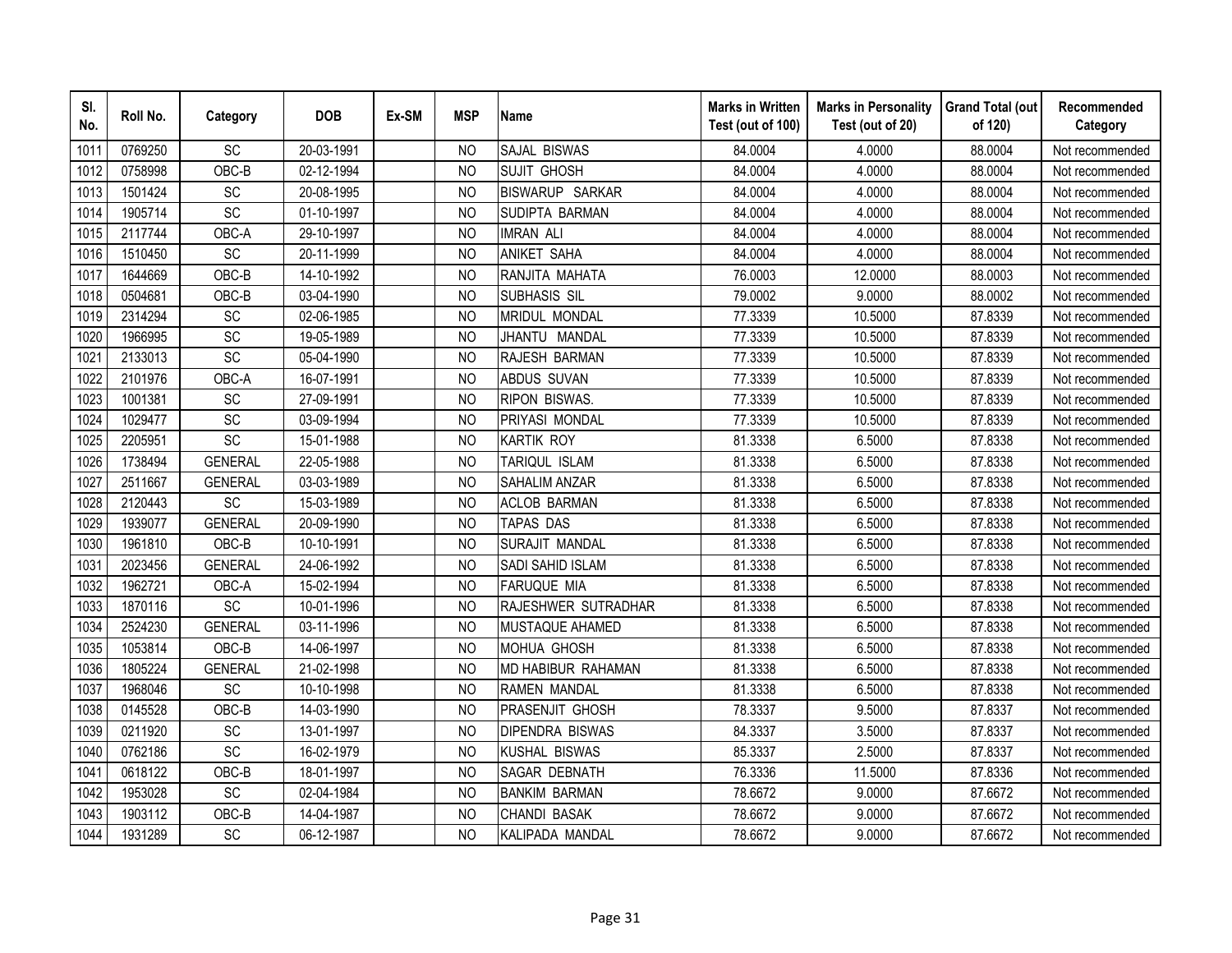| SI.<br>No. | Roll No. | Category        | <b>DOB</b> | Ex-SM | <b>MSP</b>     | <b>Name</b>            | <b>Marks in Written</b><br>Test (out of 100) | <b>Marks in Personality</b><br>Test (out of 20) | <b>Grand Total (out</b><br>of 120) | Recommended<br>Category |
|------------|----------|-----------------|------------|-------|----------------|------------------------|----------------------------------------------|-------------------------------------------------|------------------------------------|-------------------------|
| 1011       | 0769250  | SC              | 20-03-1991 |       | N <sub>O</sub> | SAJAL BISWAS           | 84.0004                                      | 4.0000                                          | 88.0004                            | Not recommended         |
| 1012       | 0758998  | OBC-B           | 02-12-1994 |       | <b>NO</b>      | <b>SUJIT GHOSH</b>     | 84.0004                                      | 4.0000                                          | 88.0004                            | Not recommended         |
| 1013       | 1501424  | SC              | 20-08-1995 |       | N <sub>O</sub> | <b>BISWARUP SARKAR</b> | 84.0004                                      | 4.0000                                          | 88.0004                            | Not recommended         |
| 1014       | 1905714  | SC              | 01-10-1997 |       | N <sub>O</sub> | SUDIPTA BARMAN         | 84.0004                                      | 4.0000                                          | 88.0004                            | Not recommended         |
| 1015       | 2117744  | OBC-A           | 29-10-1997 |       | <b>NO</b>      | <b>IMRAN ALI</b>       | 84.0004                                      | 4.0000                                          | 88.0004                            | Not recommended         |
| 1016       | 1510450  | SC              | 20-11-1999 |       | N <sub>O</sub> | <b>ANIKET SAHA</b>     | 84.0004                                      | 4.0000                                          | 88.0004                            | Not recommended         |
| 1017       | 1644669  | OBC-B           | 14-10-1992 |       | N <sub>O</sub> | RANJITA MAHATA         | 76.0003                                      | 12.0000                                         | 88.0003                            | Not recommended         |
| 1018       | 0504681  | OBC-B           | 03-04-1990 |       | N <sub>O</sub> | SUBHASIS SIL           | 79.0002                                      | 9.0000                                          | 88.0002                            | Not recommended         |
| 1019       | 2314294  | SC              | 02-06-1985 |       | N <sub>O</sub> | MRIDUL MONDAL          | 77.3339                                      | 10.5000                                         | 87.8339                            | Not recommended         |
| 1020       | 1966995  | SC              | 19-05-1989 |       | <b>NO</b>      | JHANTU MANDAL          | 77.3339                                      | 10.5000                                         | 87.8339                            | Not recommended         |
| 1021       | 2133013  | $\overline{SC}$ | 05-04-1990 |       | <b>NO</b>      | RAJESH BARMAN          | 77.3339                                      | 10.5000                                         | 87.8339                            | Not recommended         |
| 1022       | 2101976  | OBC-A           | 16-07-1991 |       | <b>NO</b>      | <b>ABDUS SUVAN</b>     | 77.3339                                      | 10.5000                                         | 87.8339                            | Not recommended         |
| 1023       | 1001381  | SC              | 27-09-1991 |       | <b>NO</b>      | <b>RIPON BISWAS.</b>   | 77.3339                                      | 10.5000                                         | 87.8339                            | Not recommended         |
| 1024       | 1029477  | SC              | 03-09-1994 |       | <b>NO</b>      | PRIYASI MONDAL         | 77.3339                                      | 10.5000                                         | 87.8339                            | Not recommended         |
| 1025       | 2205951  | SC              | 15-01-1988 |       | N <sub>O</sub> | <b>KARTIK ROY</b>      | 81.3338                                      | 6.5000                                          | 87.8338                            | Not recommended         |
| 1026       | 1738494  | <b>GENERAL</b>  | 22-05-1988 |       | <b>NO</b>      | TARIQUL ISLAM          | 81.3338                                      | 6.5000                                          | 87.8338                            | Not recommended         |
| 1027       | 2511667  | <b>GENERAL</b>  | 03-03-1989 |       | <b>NO</b>      | <b>SAHALIM ANZAR</b>   | 81.3338                                      | 6.5000                                          | 87.8338                            | Not recommended         |
| 1028       | 2120443  | SC              | 15-03-1989 |       | N <sub>O</sub> | <b>ACLOB BARMAN</b>    | 81.3338                                      | 6.5000                                          | 87.8338                            | Not recommended         |
| 1029       | 1939077  | <b>GENERAL</b>  | 20-09-1990 |       | <b>NO</b>      | TAPAS DAS              | 81.3338                                      | 6.5000                                          | 87.8338                            | Not recommended         |
| 1030       | 1961810  | OBC-B           | 10-10-1991 |       | N <sub>O</sub> | SURAJIT MANDAL         | 81.3338                                      | 6.5000                                          | 87.8338                            | Not recommended         |
| 1031       | 2023456  | <b>GENERAL</b>  | 24-06-1992 |       | <b>NO</b>      | SADI SAHID ISLAM       | 81.3338                                      | 6.5000                                          | 87.8338                            | Not recommended         |
| 1032       | 1962721  | OBC-A           | 15-02-1994 |       | N <sub>O</sub> | <b>FARUQUE MIA</b>     | 81.3338                                      | 6.5000                                          | 87.8338                            | Not recommended         |
| 1033       | 1870116  | SC              | 10-01-1996 |       | N <sub>O</sub> | RAJESHWER SUTRADHAR    | 81.3338                                      | 6.5000                                          | 87.8338                            | Not recommended         |
| 1034       | 2524230  | <b>GENERAL</b>  | 03-11-1996 |       | <b>NO</b>      | MUSTAQUE AHAMED        | 81.3338                                      | 6.5000                                          | 87.8338                            | Not recommended         |
| 1035       | 1053814  | OBC-B           | 14-06-1997 |       | N <sub>O</sub> | <b>MOHUA GHOSH</b>     | 81.3338                                      | 6.5000                                          | 87.8338                            | Not recommended         |
| 1036       | 1805224  | <b>GENERAL</b>  | 21-02-1998 |       | N <sub>O</sub> | MD HABIBUR RAHAMAN     | 81.3338                                      | 6.5000                                          | 87.8338                            | Not recommended         |
| 1037       | 1968046  | SC              | 10-10-1998 |       | <b>NO</b>      | <b>RAMEN MANDAL</b>    | 81.3338                                      | 6.5000                                          | 87.8338                            | Not recommended         |
| 1038       | 0145528  | OBC-B           | 14-03-1990 |       | N <sub>O</sub> | <b>PRASENJIT GHOSH</b> | 78.3337                                      | 9.5000                                          | 87.8337                            | Not recommended         |
| 1039       | 0211920  | SC              | 13-01-1997 |       | <b>NO</b>      | <b>DIPENDRA BISWAS</b> | 84.3337                                      | 3.5000                                          | 87.8337                            | Not recommended         |
| 1040       | 0762186  | SC              | 16-02-1979 |       | <b>NO</b>      | <b>KUSHAL BISWAS</b>   | 85.3337                                      | 2.5000                                          | 87.8337                            | Not recommended         |
| 1041       | 0618122  | OBC-B           | 18-01-1997 |       | <b>NO</b>      | SAGAR DEBNATH          | 76.3336                                      | 11.5000                                         | 87.8336                            | Not recommended         |
| 1042       | 1953028  | SC              | 02-04-1984 |       | N <sub>O</sub> | <b>BANKIM BARMAN</b>   | 78.6672                                      | 9.0000                                          | 87.6672                            | Not recommended         |
| 1043       | 1903112  | OBC-B           | 14-04-1987 |       | <b>NO</b>      | <b>CHANDI BASAK</b>    | 78.6672                                      | 9.0000                                          | 87.6672                            | Not recommended         |
| 1044       | 1931289  | SC              | 06-12-1987 |       | <b>NO</b>      | KALIPADA MANDAL        | 78.6672                                      | 9.0000                                          | 87.6672                            | Not recommended         |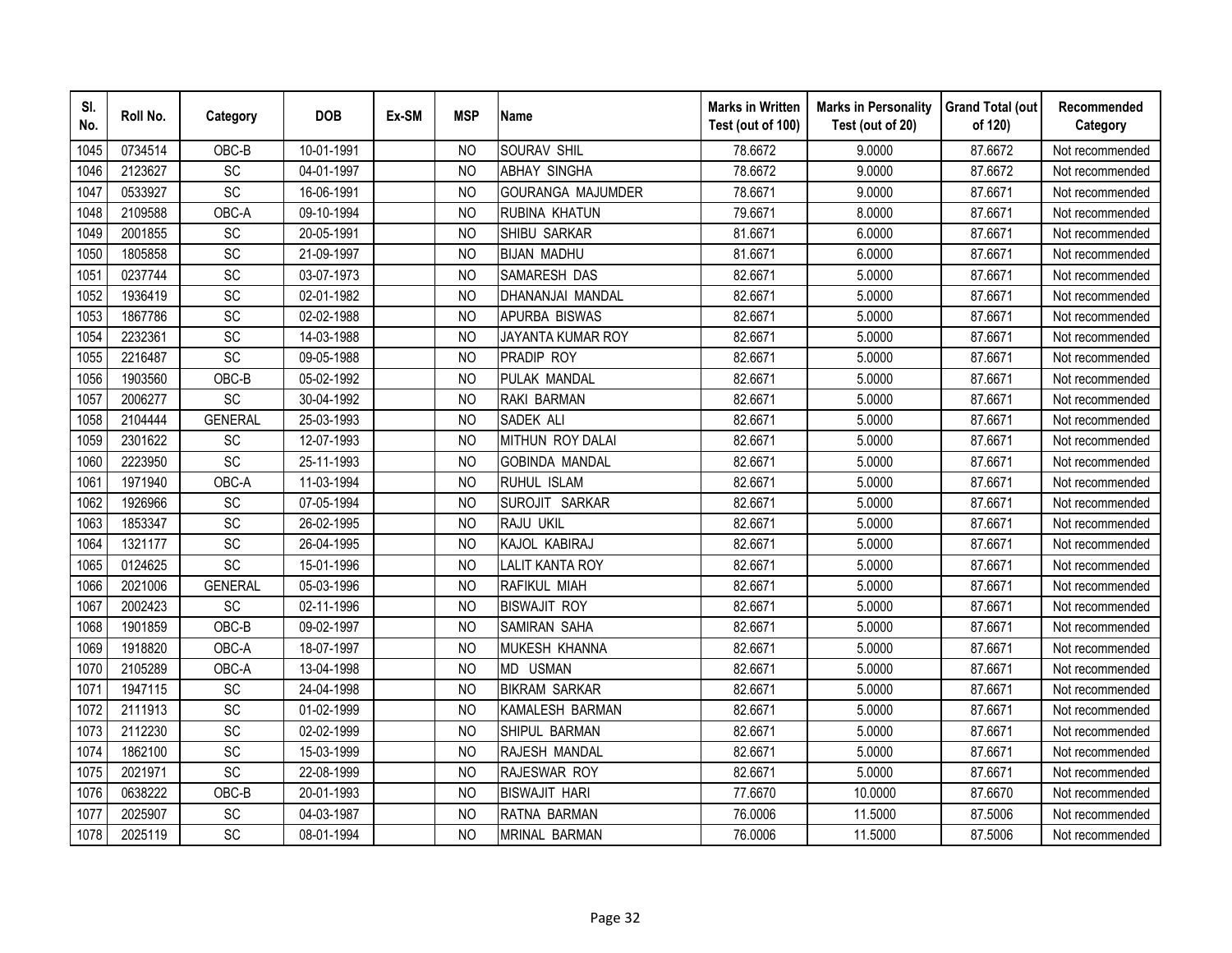| SI.<br>No. | Roll No. | Category        | <b>DOB</b> | Ex-SM | <b>MSP</b>     | <b>Name</b>              | <b>Marks in Written</b><br>Test (out of 100) | <b>Marks in Personality</b><br>Test (out of 20) | <b>Grand Total (out</b><br>of 120) | Recommended<br>Category |
|------------|----------|-----------------|------------|-------|----------------|--------------------------|----------------------------------------------|-------------------------------------------------|------------------------------------|-------------------------|
| 1045       | 0734514  | OBC-B           | 10-01-1991 |       | N <sub>O</sub> | <b>SOURAV SHIL</b>       | 78.6672                                      | 9.0000                                          | 87.6672                            | Not recommended         |
| 1046       | 2123627  | $\overline{SC}$ | 04-01-1997 |       | N <sub>O</sub> | <b>ABHAY SINGHA</b>      | 78.6672                                      | 9.0000                                          | 87.6672                            | Not recommended         |
| 1047       | 0533927  | SC              | 16-06-1991 |       | <b>NO</b>      | <b>GOURANGA MAJUMDER</b> | 78.6671                                      | 9.0000                                          | 87.6671                            | Not recommended         |
| 1048       | 2109588  | OBC-A           | 09-10-1994 |       | <b>NO</b>      | RUBINA KHATUN            | 79.6671                                      | 8.0000                                          | 87.6671                            | Not recommended         |
| 1049       | 2001855  | <b>SC</b>       | 20-05-1991 |       | N <sub>O</sub> | SHIBU SARKAR             | 81.6671                                      | 6.0000                                          | 87.6671                            | Not recommended         |
| 1050       | 1805858  | SC              | 21-09-1997 |       | N <sub>O</sub> | <b>BIJAN MADHU</b>       | 81.6671                                      | 6.0000                                          | 87.6671                            | Not recommended         |
| 1051       | 0237744  | SC              | 03-07-1973 |       | <b>NO</b>      | SAMARESH DAS             | 82.6671                                      | 5.0000                                          | 87.6671                            | Not recommended         |
| 1052       | 1936419  | SC              | 02-01-1982 |       | N <sub>O</sub> | DHANANJAI MANDAL         | 82.6671                                      | 5.0000                                          | 87.6671                            | Not recommended         |
| 1053       | 1867786  | <b>SC</b>       | 02-02-1988 |       | N <sub>O</sub> | <b>APURBA BISWAS</b>     | 82.6671                                      | 5.0000                                          | 87.6671                            | Not recommended         |
| 1054       | 2232361  | SC              | 14-03-1988 |       | N <sub>O</sub> | JAYANTA KUMAR ROY        | 82.6671                                      | 5.0000                                          | 87.6671                            | Not recommended         |
| 1055       | 2216487  | SC              | 09-05-1988 |       | <b>NO</b>      | PRADIP ROY               | 82.6671                                      | 5.0000                                          | 87.6671                            | Not recommended         |
| 1056       | 1903560  | OBC-B           | 05-02-1992 |       | <b>NO</b>      | PULAK MANDAL             | 82.6671                                      | 5.0000                                          | 87.6671                            | Not recommended         |
| 1057       | 2006277  | SC              | 30-04-1992 |       | <b>NO</b>      | RAKI BARMAN              | 82.6671                                      | 5.0000                                          | 87.6671                            | Not recommended         |
| 1058       | 2104444  | <b>GENERAL</b>  | 25-03-1993 |       | <b>NO</b>      | SADEK ALI                | 82.6671                                      | 5.0000                                          | 87.6671                            | Not recommended         |
| 1059       | 2301622  | SC              | 12-07-1993 |       | <b>NO</b>      | MITHUN ROY DALAI         | 82.6671                                      | 5.0000                                          | 87.6671                            | Not recommended         |
| 1060       | 2223950  | SC              | 25-11-1993 |       | <b>NO</b>      | <b>GOBINDA MANDAL</b>    | 82.6671                                      | 5.0000                                          | 87.6671                            | Not recommended         |
| 1061       | 1971940  | OBC-A           | 11-03-1994 |       | <b>NO</b>      | RUHUL ISLAM              | 82.6671                                      | 5.0000                                          | 87.6671                            | Not recommended         |
| 1062       | 1926966  | <b>SC</b>       | 07-05-1994 |       | <b>NO</b>      | SUROJIT SARKAR           | 82.6671                                      | 5.0000                                          | 87.6671                            | Not recommended         |
| 1063       | 1853347  | <b>SC</b>       | 26-02-1995 |       | <b>NO</b>      | RAJU UKIL                | 82.6671                                      | 5.0000                                          | 87.6671                            | Not recommended         |
| 1064       | 1321177  | SC              | 26-04-1995 |       | <b>NO</b>      | KAJOL KABIRAJ            | 82.6671                                      | 5.0000                                          | 87.6671                            | Not recommended         |
| 1065       | 0124625  | SC              | 15-01-1996 |       | <b>NO</b>      | <b>LALIT KANTA ROY</b>   | 82.6671                                      | 5.0000                                          | 87.6671                            | Not recommended         |
| 1066       | 2021006  | <b>GENERAL</b>  | 05-03-1996 |       | N <sub>O</sub> | RAFIKUL MIAH             | 82.6671                                      | 5.0000                                          | 87.6671                            | Not recommended         |
| 1067       | 2002423  | <b>SC</b>       | 02-11-1996 |       | N <sub>O</sub> | <b>BISWAJIT ROY</b>      | 82.6671                                      | 5.0000                                          | 87.6671                            | Not recommended         |
| 1068       | 1901859  | OBC-B           | 09-02-1997 |       | <b>NO</b>      | <b>SAMIRAN SAHA</b>      | 82.6671                                      | 5.0000                                          | 87.6671                            | Not recommended         |
| 1069       | 1918820  | OBC-A           | 18-07-1997 |       | <b>NO</b>      | MUKESH KHANNA            | 82.6671                                      | 5.0000                                          | 87.6671                            | Not recommended         |
| 1070       | 2105289  | OBC-A           | 13-04-1998 |       | N <sub>O</sub> | MD USMAN                 | 82.6671                                      | 5.0000                                          | 87.6671                            | Not recommended         |
| 1071       | 1947115  | SC              | 24-04-1998 |       | N <sub>O</sub> | <b>BIKRAM SARKAR</b>     | 82.6671                                      | 5.0000                                          | 87.6671                            | Not recommended         |
| 1072       | 2111913  | SC              | 01-02-1999 |       | <sub>NO</sub>  | KAMALESH BARMAN          | 82.6671                                      | 5.0000                                          | 87.6671                            | Not recommended         |
| 1073       | 2112230  | SC              | 02-02-1999 |       | <b>NO</b>      | SHIPUL BARMAN            | 82.6671                                      | 5.0000                                          | 87.6671                            | Not recommended         |
| 1074       | 1862100  | <b>SC</b>       | 15-03-1999 |       | N <sub>O</sub> | RAJESH MANDAL            | 82.6671                                      | 5.0000                                          | 87.6671                            | Not recommended         |
| 1075       | 2021971  | SC              | 22-08-1999 |       | N <sub>O</sub> | RAJESWAR ROY             | 82.6671                                      | 5.0000                                          | 87.6671                            | Not recommended         |
| 1076       | 0638222  | OBC-B           | 20-01-1993 |       | N <sub>O</sub> | <b>BISWAJIT HARI</b>     | 77.6670                                      | 10.0000                                         | 87.6670                            | Not recommended         |
| 1077       | 2025907  | SC              | 04-03-1987 |       | <b>NO</b>      | RATNA BARMAN             | 76.0006                                      | 11.5000                                         | 87.5006                            | Not recommended         |
| 1078       | 2025119  | SC              | 08-01-1994 |       | <b>NO</b>      | <b>MRINAL BARMAN</b>     | 76.0006                                      | 11.5000                                         | 87.5006                            | Not recommended         |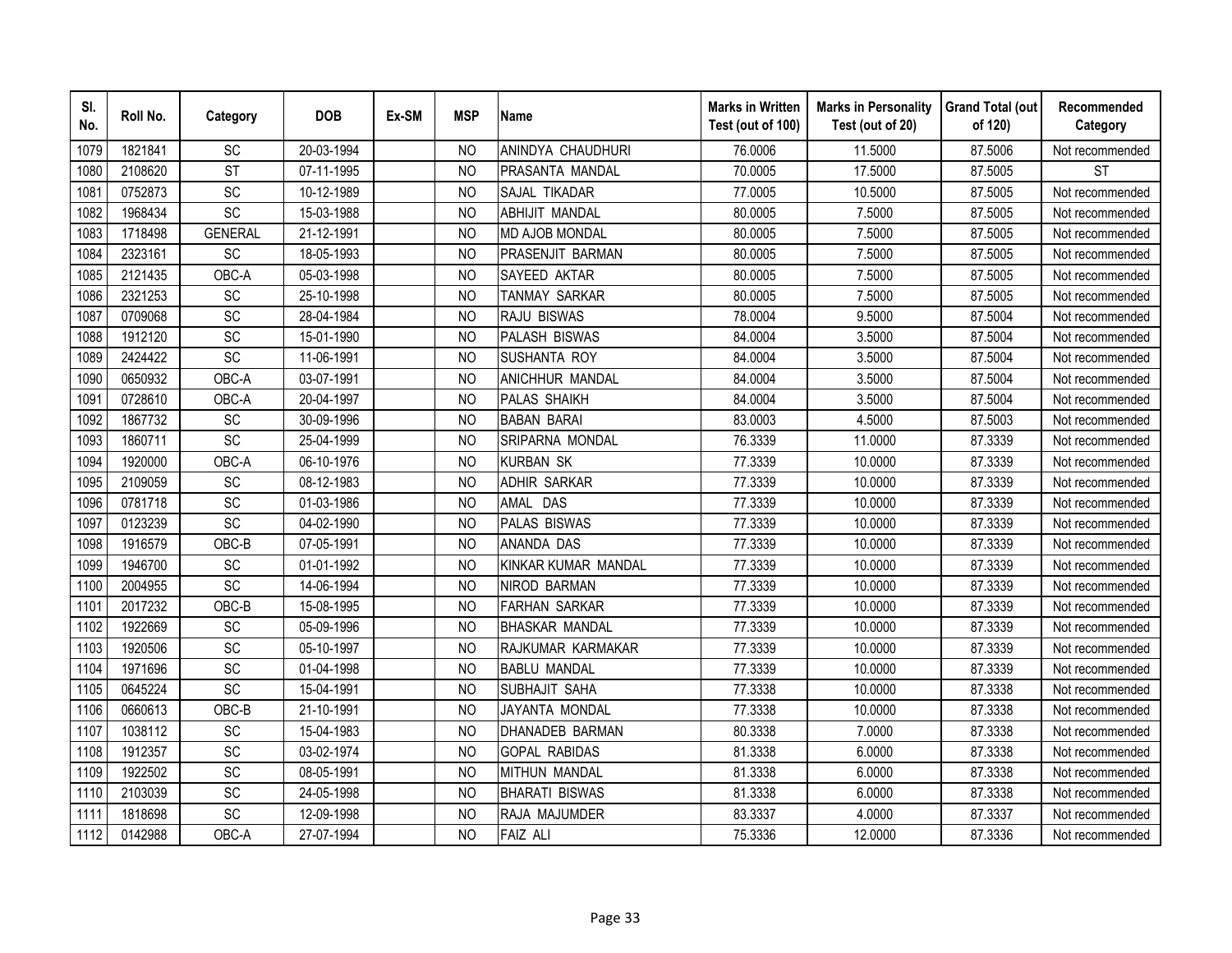| SI.<br>No. | Roll No. | Category               | <b>DOB</b> | Ex-SM | <b>MSP</b>     | <b>Name</b>            | <b>Marks in Written</b><br>Test (out of 100) | <b>Marks in Personality</b><br>Test (out of 20) | <b>Grand Total (out</b><br>of 120) | Recommended<br>Category |
|------------|----------|------------------------|------------|-------|----------------|------------------------|----------------------------------------------|-------------------------------------------------|------------------------------------|-------------------------|
| 1079       | 1821841  | SC                     | 20-03-1994 |       | N <sub>O</sub> | ANINDYA CHAUDHURI      | 76.0006                                      | 11.5000                                         | 87.5006                            | Not recommended         |
| 1080       | 2108620  | $\overline{\text{ST}}$ | 07-11-1995 |       | <b>NO</b>      | PRASANTA MANDAL        | 70.0005                                      | 17.5000                                         | 87.5005                            | <b>ST</b>               |
| 1081       | 0752873  | SC                     | 10-12-1989 |       | N <sub>O</sub> | SAJAL TIKADAR          | 77.0005                                      | 10.5000                                         | 87.5005                            | Not recommended         |
| 1082       | 1968434  | SC                     | 15-03-1988 |       | N <sub>O</sub> | <b>ABHIJIT MANDAL</b>  | 80.0005                                      | 7.5000                                          | 87.5005                            | Not recommended         |
| 1083       | 1718498  | <b>GENERAL</b>         | 21-12-1991 |       | NO             | <b>MD AJOB MONDAL</b>  | 80.0005                                      | 7.5000                                          | 87.5005                            | Not recommended         |
| 1084       | 2323161  | SC                     | 18-05-1993 |       | <sub>NO</sub>  | PRASENJIT BARMAN       | 80.0005                                      | 7.5000                                          | 87.5005                            | Not recommended         |
| 1085       | 2121435  | OBC-A                  | 05-03-1998 |       | N <sub>O</sub> | SAYEED AKTAR           | 80.0005                                      | 7.5000                                          | 87.5005                            | Not recommended         |
| 1086       | 2321253  | SC                     | 25-10-1998 |       | N <sub>O</sub> | TANMAY SARKAR          | 80.0005                                      | 7.5000                                          | 87.5005                            | Not recommended         |
| 1087       | 0709068  | SC                     | 28-04-1984 |       | <sub>NO</sub>  | RAJU BISWAS            | 78.0004                                      | 9.5000                                          | 87.5004                            | Not recommended         |
| 1088       | 1912120  | SC                     | 15-01-1990 |       | <b>NO</b>      | <b>PALASH BISWAS</b>   | 84.0004                                      | 3.5000                                          | 87.5004                            | Not recommended         |
| 1089       | 2424422  | $\overline{SC}$        | 11-06-1991 |       | <b>NO</b>      | <b>SUSHANTA ROY</b>    | 84.0004                                      | 3.5000                                          | 87.5004                            | Not recommended         |
| 1090       | 0650932  | OBC-A                  | 03-07-1991 |       | <b>NO</b>      | <b>ANICHHUR MANDAL</b> | 84.0004                                      | 3.5000                                          | 87.5004                            | Not recommended         |
| 1091       | 0728610  | OBC-A                  | 20-04-1997 |       | <b>NO</b>      | <b>PALAS SHAIKH</b>    | 84.0004                                      | 3.5000                                          | 87.5004                            | Not recommended         |
| 1092       | 1867732  | SC                     | 30-09-1996 |       | <b>NO</b>      | <b>BABAN BARAI</b>     | 83.0003                                      | 4.5000                                          | 87.5003                            | Not recommended         |
| 1093       | 1860711  | SC                     | 25-04-1999 |       | N <sub>O</sub> | SRIPARNA MONDAL        | 76.3339                                      | 11.0000                                         | 87.3339                            | Not recommended         |
| 1094       | 1920000  | OBC-A                  | 06-10-1976 |       | <b>NO</b>      | <b>KURBAN SK</b>       | 77.3339                                      | 10.0000                                         | 87.3339                            | Not recommended         |
| 1095       | 2109059  | SC                     | 08-12-1983 |       | <b>NO</b>      | <b>ADHIR SARKAR</b>    | 77.3339                                      | 10.0000                                         | 87.3339                            | Not recommended         |
| 1096       | 0781718  | SC                     | 01-03-1986 |       | N <sub>O</sub> | AMAL DAS               | 77.3339                                      | 10.0000                                         | 87.3339                            | Not recommended         |
| 1097       | 0123239  | $\overline{SC}$        | 04-02-1990 |       | <b>NO</b>      | <b>PALAS BISWAS</b>    | 77.3339                                      | 10.0000                                         | 87.3339                            | Not recommended         |
| 1098       | 1916579  | OBC-B                  | 07-05-1991 |       | <b>NO</b>      | <b>ANANDA DAS</b>      | 77.3339                                      | 10.0000                                         | 87.3339                            | Not recommended         |
| 1099       | 1946700  | SC                     | 01-01-1992 |       | <b>NO</b>      | KINKAR KUMAR MANDAL    | 77.3339                                      | 10.0000                                         | 87.3339                            | Not recommended         |
| 1100       | 2004955  | $\overline{SC}$        | 14-06-1994 |       | N <sub>O</sub> | <b>NIROD BARMAN</b>    | 77.3339                                      | 10.0000                                         | 87.3339                            | Not recommended         |
| 1101       | 2017232  | OBC-B                  | 15-08-1995 |       | <b>NO</b>      | <b>FARHAN SARKAR</b>   | 77.3339                                      | 10.0000                                         | 87.3339                            | Not recommended         |
| 1102       | 1922669  | SC                     | 05-09-1996 |       | <b>NO</b>      | <b>BHASKAR MANDAL</b>  | 77.3339                                      | 10.0000                                         | 87.3339                            | Not recommended         |
| 1103       | 1920506  | SC                     | 05-10-1997 |       | N <sub>O</sub> | RAJKUMAR KARMAKAR      | 77.3339                                      | 10.0000                                         | 87.3339                            | Not recommended         |
| 1104       | 1971696  | SC                     | 01-04-1998 |       | <sub>NO</sub>  | <b>BABLU MANDAL</b>    | 77.3339                                      | 10.0000                                         | 87.3339                            | Not recommended         |
| 1105       | 0645224  | SC                     | 15-04-1991 |       | <b>NO</b>      | SUBHAJIT SAHA          | 77.3338                                      | 10.0000                                         | 87.3338                            | Not recommended         |
| 1106       | 0660613  | OBC-B                  | 21-10-1991 |       | N <sub>O</sub> | JAYANTA MONDAL         | 77.3338                                      | 10.0000                                         | 87.3338                            | Not recommended         |
| 1107       | 1038112  | SC                     | 15-04-1983 |       | <b>NO</b>      | <b>DHANADEB BARMAN</b> | 80.3338                                      | 7.0000                                          | 87.3338                            | Not recommended         |
| 1108       | 1912357  | SC                     | 03-02-1974 |       | <b>NO</b>      | <b>GOPAL RABIDAS</b>   | 81.3338                                      | 6.0000                                          | 87.3338                            | Not recommended         |
| 1109       | 1922502  | SC                     | 08-05-1991 |       | <b>NO</b>      | <b>MITHUN MANDAL</b>   | 81.3338                                      | 6.0000                                          | 87.3338                            | Not recommended         |
| 1110       | 2103039  | SC                     | 24-05-1998 |       | N <sub>O</sub> | <b>BHARATI BISWAS</b>  | 81.3338                                      | 6.0000                                          | 87.3338                            | Not recommended         |
| 1111       | 1818698  | SC                     | 12-09-1998 |       | <b>NO</b>      | RAJA MAJUMDER          | 83.3337                                      | 4.0000                                          | 87.3337                            | Not recommended         |
| 1112       | 0142988  | OBC-A                  | 27-07-1994 |       | <b>NO</b>      | <b>FAIZ ALI</b>        | 75.3336                                      | 12.0000                                         | 87.3336                            | Not recommended         |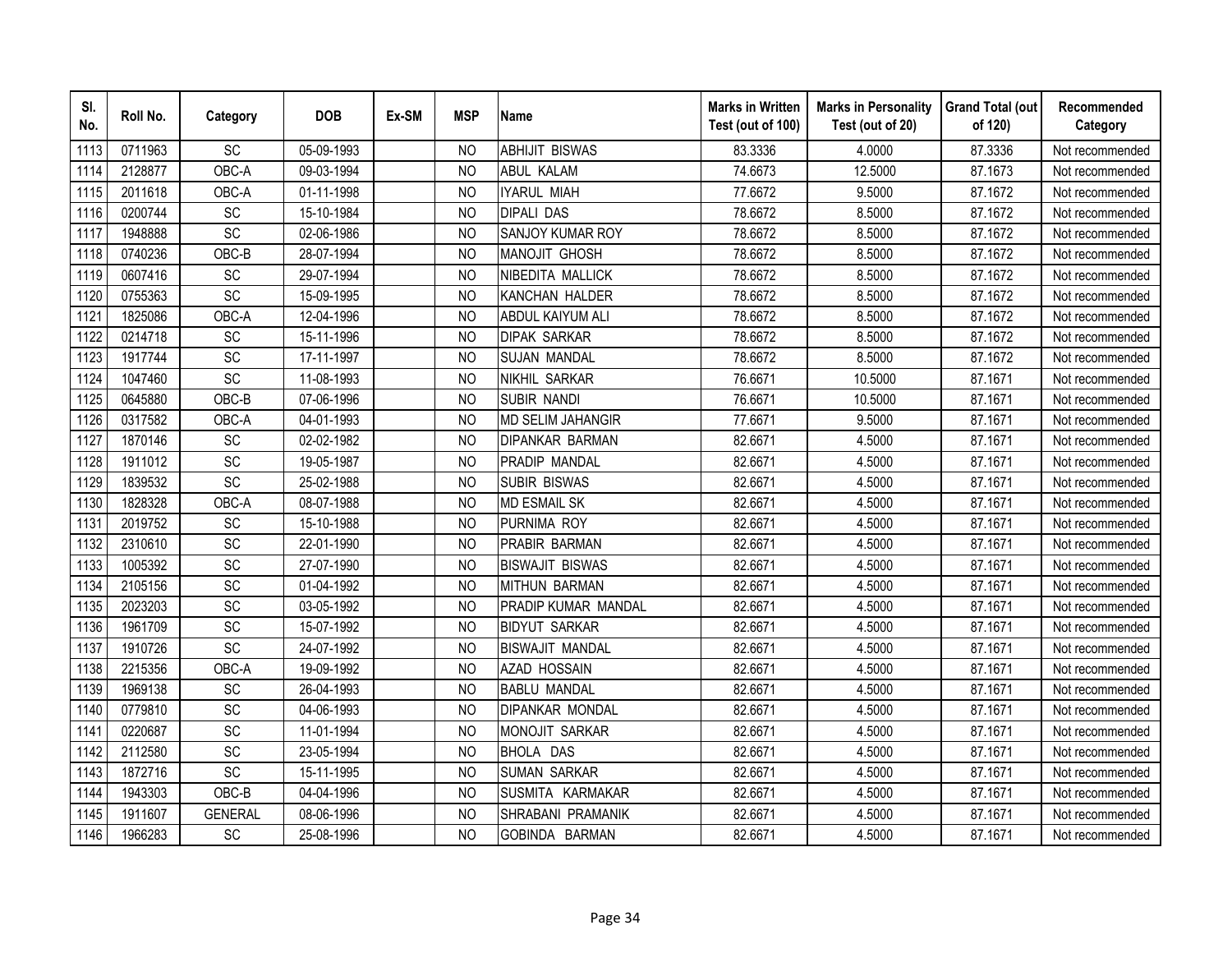| SI.<br>No. | Roll No. | Category        | <b>DOB</b> | Ex-SM | <b>MSP</b>     | <b>Name</b>              | <b>Marks in Written</b><br>Test (out of 100) | <b>Marks in Personality</b><br>Test (out of 20) | <b>Grand Total (out</b><br>of 120) | Recommended<br>Category |
|------------|----------|-----------------|------------|-------|----------------|--------------------------|----------------------------------------------|-------------------------------------------------|------------------------------------|-------------------------|
| 1113       | 0711963  | SC              | 05-09-1993 |       | <b>NO</b>      | <b>ABHIJIT BISWAS</b>    | 83.3336                                      | 4.0000                                          | 87.3336                            | Not recommended         |
| 1114       | 2128877  | OBC-A           | 09-03-1994 |       | N <sub>O</sub> | <b>ABUL KALAM</b>        | 74.6673                                      | 12.5000                                         | 87.1673                            | Not recommended         |
| 1115       | 2011618  | OBC-A           | 01-11-1998 |       | <b>NO</b>      | <b>IYARUL MIAH</b>       | 77.6672                                      | 9.5000                                          | 87.1672                            | Not recommended         |
| 1116       | 0200744  | SC              | 15-10-1984 |       | <b>NO</b>      | <b>DIPALI DAS</b>        | 78.6672                                      | 8.5000                                          | 87.1672                            | Not recommended         |
| 1117       | 1948888  | SC              | 02-06-1986 |       | <b>NO</b>      | SANJOY KUMAR ROY         | 78.6672                                      | 8.5000                                          | 87.1672                            | Not recommended         |
| 1118       | 0740236  | OBC-B           | 28-07-1994 |       | N <sub>O</sub> | <b>MANOJIT GHOSH</b>     | 78.6672                                      | 8.5000                                          | 87.1672                            | Not recommended         |
| 1119       | 0607416  | SC              | 29-07-1994 |       | <b>NO</b>      | NIBEDITA MALLICK         | 78.6672                                      | 8.5000                                          | 87.1672                            | Not recommended         |
| 1120       | 0755363  | SC              | 15-09-1995 |       | <b>NO</b>      | KANCHAN HALDER           | 78.6672                                      | 8.5000                                          | 87.1672                            | Not recommended         |
| 1121       | 1825086  | OBC-A           | 12-04-1996 |       | <sub>NO</sub>  | ABDUL KAIYUM ALI         | 78.6672                                      | 8.5000                                          | 87.1672                            | Not recommended         |
| 1122       | 0214718  | <b>SC</b>       | 15-11-1996 |       | N <sub>O</sub> | <b>DIPAK SARKAR</b>      | 78.6672                                      | 8.5000                                          | 87.1672                            | Not recommended         |
| 1123       | 1917744  | SC              | 17-11-1997 |       | <b>NO</b>      | <b>SUJAN MANDAL</b>      | 78.6672                                      | 8.5000                                          | 87.1672                            | Not recommended         |
| 1124       | 1047460  | SC              | 11-08-1993 |       | <b>NO</b>      | <b>NIKHIL SARKAR</b>     | 76.6671                                      | 10.5000                                         | 87.1671                            | Not recommended         |
| 1125       | 0645880  | OBC-B           | 07-06-1996 |       | <b>NO</b>      | <b>SUBIR NANDI</b>       | 76.6671                                      | 10.5000                                         | 87.1671                            | Not recommended         |
| 1126       | 0317582  | OBC-A           | 04-01-1993 |       | <b>NO</b>      | <b>MD SELIM JAHANGIR</b> | 77.6671                                      | 9.5000                                          | 87.1671                            | Not recommended         |
| 1127       | 1870146  | SC              | 02-02-1982 |       | <b>NO</b>      | <b>DIPANKAR BARMAN</b>   | 82.6671                                      | 4.5000                                          | 87.1671                            | Not recommended         |
| 1128       | 1911012  | SC              | 19-05-1987 |       | <b>NO</b>      | PRADIP MANDAL            | 82.6671                                      | 4.5000                                          | 87.1671                            | Not recommended         |
| 1129       | 1839532  | SC              | 25-02-1988 |       | <b>NO</b>      | <b>SUBIR BISWAS</b>      | 82.6671                                      | 4.5000                                          | 87.1671                            | Not recommended         |
| 1130       | 1828328  | OBC-A           | 08-07-1988 |       | <b>NO</b>      | <b>MD ESMAIL SK</b>      | 82.6671                                      | 4.5000                                          | 87.1671                            | Not recommended         |
| 1131       | 2019752  | $\overline{SC}$ | 15-10-1988 |       | <b>NO</b>      | PURNIMA ROY              | 82.6671                                      | 4.5000                                          | 87.1671                            | Not recommended         |
| 1132       | 2310610  | SC              | 22-01-1990 |       | <b>NO</b>      | PRABIR BARMAN            | 82.6671                                      | 4.5000                                          | 87.1671                            | Not recommended         |
| 1133       | 1005392  | $\overline{SC}$ | 27-07-1990 |       | <b>NO</b>      | <b>BISWAJIT BISWAS</b>   | 82.6671                                      | 4.5000                                          | 87.1671                            | Not recommended         |
| 1134       | 2105156  | SC              | 01-04-1992 |       | <b>NO</b>      | <b>MITHUN BARMAN</b>     | 82.6671                                      | 4.5000                                          | 87.1671                            | Not recommended         |
| 1135       | 2023203  | SC              | 03-05-1992 |       | N <sub>O</sub> | PRADIP KUMAR MANDAL      | 82.6671                                      | 4.5000                                          | 87.1671                            | Not recommended         |
| 1136       | 1961709  | SC              | 15-07-1992 |       | <b>NO</b>      | <b>BIDYUT SARKAR</b>     | 82.6671                                      | 4.5000                                          | 87.1671                            | Not recommended         |
| 1137       | 1910726  | SC              | 24-07-1992 |       | <b>NO</b>      | <b>BISWAJIT MANDAL</b>   | 82.6671                                      | 4.5000                                          | 87.1671                            | Not recommended         |
| 1138       | 2215356  | OBC-A           | 19-09-1992 |       | N <sub>O</sub> | <b>AZAD HOSSAIN</b>      | 82.6671                                      | 4.5000                                          | 87.1671                            | Not recommended         |
| 1139       | 1969138  | <b>SC</b>       | 26-04-1993 |       | N <sub>O</sub> | <b>BABLU MANDAL</b>      | 82.6671                                      | 4.5000                                          | 87.1671                            | Not recommended         |
| 1140       | 0779810  | SC              | 04-06-1993 |       | <b>NO</b>      | <b>DIPANKAR MONDAL</b>   | 82.6671                                      | 4.5000                                          | 87.1671                            | Not recommended         |
| 1141       | 0220687  | SC              | 11-01-1994 |       | <b>NO</b>      | <b>MONOJIT SARKAR</b>    | 82.6671                                      | 4.5000                                          | 87.1671                            | Not recommended         |
| 1142       | 2112580  | SC              | 23-05-1994 |       | N <sub>O</sub> | <b>BHOLA DAS</b>         | 82.6671                                      | 4.5000                                          | 87.1671                            | Not recommended         |
| 1143       | 1872716  | SC              | 15-11-1995 |       | N <sub>O</sub> | <b>SUMAN SARKAR</b>      | 82.6671                                      | 4.5000                                          | 87.1671                            | Not recommended         |
| 1144       | 1943303  | OBC-B           | 04-04-1996 |       | <b>NO</b>      | SUSMITA KARMAKAR         | 82.6671                                      | 4.5000                                          | 87.1671                            | Not recommended         |
| 1145       | 1911607  | <b>GENERAL</b>  | 08-06-1996 |       | <b>NO</b>      | SHRABANI PRAMANIK        | 82.6671                                      | 4.5000                                          | 87.1671                            | Not recommended         |
| 1146       | 1966283  | <b>SC</b>       | 25-08-1996 |       | <b>NO</b>      | GOBINDA BARMAN           | 82.6671                                      | 4.5000                                          | 87.1671                            | Not recommended         |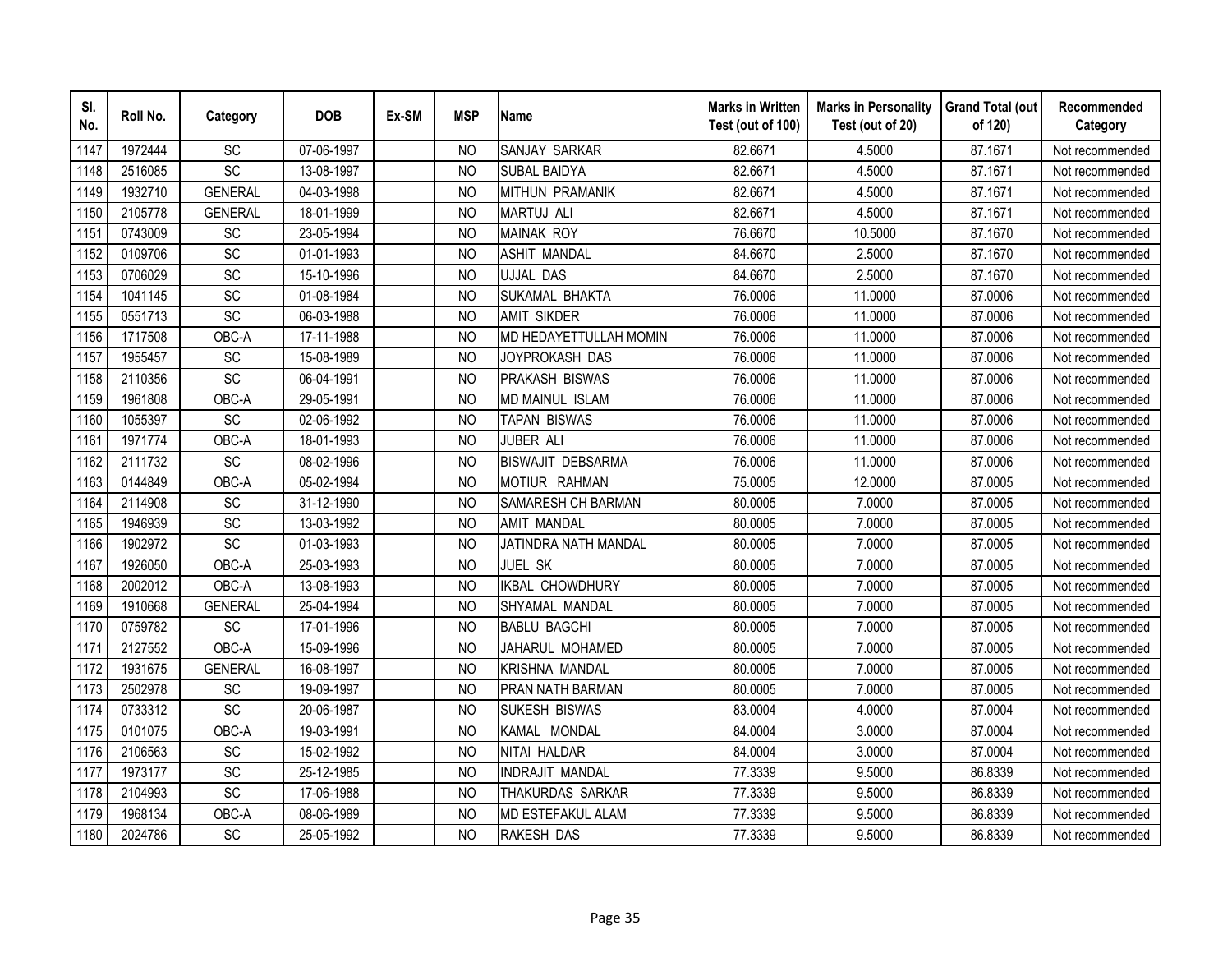| SI.<br>No. | Roll No. | Category        | <b>DOB</b> | Ex-SM | <b>MSP</b>     | <b>Name</b>              | <b>Marks in Written</b><br>Test (out of 100) | <b>Marks in Personality</b><br>Test (out of 20) | <b>Grand Total (out</b><br>of 120) | Recommended<br>Category |
|------------|----------|-----------------|------------|-------|----------------|--------------------------|----------------------------------------------|-------------------------------------------------|------------------------------------|-------------------------|
| 1147       | 1972444  | SC              | 07-06-1997 |       | N <sub>O</sub> | <b>SANJAY SARKAR</b>     | 82.6671                                      | 4.5000                                          | 87.1671                            | Not recommended         |
| 1148       | 2516085  | SC              | 13-08-1997 |       | <b>NO</b>      | <b>SUBAL BAIDYA</b>      | 82.6671                                      | 4.5000                                          | 87.1671                            | Not recommended         |
| 1149       | 1932710  | <b>GENERAL</b>  | 04-03-1998 |       | <b>NO</b>      | <b>MITHUN PRAMANIK</b>   | 82.6671                                      | 4.5000                                          | 87.1671                            | Not recommended         |
| 1150       | 2105778  | <b>GENERAL</b>  | 18-01-1999 |       | <b>NO</b>      | <b>MARTUJ ALI</b>        | 82.6671                                      | 4.5000                                          | 87.1671                            | Not recommended         |
| 1151       | 0743009  | SC              | 23-05-1994 |       | <b>NO</b>      | <b>MAINAK ROY</b>        | 76.6670                                      | 10.5000                                         | 87.1670                            | Not recommended         |
| 1152       | 0109706  | SC              | 01-01-1993 |       | <b>NO</b>      | <b>ASHIT MANDAL</b>      | 84.6670                                      | 2.5000                                          | 87.1670                            | Not recommended         |
| 1153       | 0706029  | SC              | 15-10-1996 |       | <b>NO</b>      | <b>UJJAL DAS</b>         | 84.6670                                      | 2.5000                                          | 87.1670                            | Not recommended         |
| 1154       | 1041145  | SC              | 01-08-1984 |       | N <sub>O</sub> | SUKAMAL BHAKTA           | 76.0006                                      | 11.0000                                         | 87.0006                            | Not recommended         |
| 1155       | 0551713  | SC              | 06-03-1988 |       | <b>NO</b>      | <b>AMIT SIKDER</b>       | 76.0006                                      | 11.0000                                         | 87.0006                            | Not recommended         |
| 1156       | 1717508  | OBC-A           | 17-11-1988 |       | <b>NO</b>      | MD HEDAYETTULLAH MOMIN   | 76.0006                                      | 11.0000                                         | 87.0006                            | Not recommended         |
| 1157       | 1955457  | SC              | 15-08-1989 |       | N <sub>O</sub> | JOYPROKASH DAS           | 76.0006                                      | 11.0000                                         | 87.0006                            | Not recommended         |
| 1158       | 2110356  | SC              | 06-04-1991 |       | <b>NO</b>      | PRAKASH BISWAS           | 76.0006                                      | 11.0000                                         | 87.0006                            | Not recommended         |
| 1159       | 1961808  | OBC-A           | 29-05-1991 |       | <b>NO</b>      | MD MAINUL ISLAM          | 76.0006                                      | 11.0000                                         | 87.0006                            | Not recommended         |
| 1160       | 1055397  | SC              | 02-06-1992 |       | <b>NO</b>      | <b>TAPAN BISWAS</b>      | 76.0006                                      | 11.0000                                         | 87.0006                            | Not recommended         |
| 1161       | 1971774  | OBC-A           | 18-01-1993 |       | N <sub>O</sub> | JUBER ALI                | 76.0006                                      | 11.0000                                         | 87.0006                            | Not recommended         |
| 1162       | 2111732  | SC              | 08-02-1996 |       | N <sub>O</sub> | <b>BISWAJIT DEBSARMA</b> | 76.0006                                      | 11.0000                                         | 87.0006                            | Not recommended         |
| 1163       | 0144849  | OBC-A           | 05-02-1994 |       | N <sub>O</sub> | MOTIUR RAHMAN            | 75.0005                                      | 12.0000                                         | 87.0005                            | Not recommended         |
| 1164       | 2114908  | SC              | 31-12-1990 |       | N <sub>O</sub> | SAMARESH CH BARMAN       | 80.0005                                      | 7.0000                                          | 87.0005                            | Not recommended         |
| 1165       | 1946939  | SC              | 13-03-1992 |       | <b>NO</b>      | <b>AMIT MANDAL</b>       | 80.0005                                      | 7.0000                                          | 87.0005                            | Not recommended         |
| 1166       | 1902972  | $\overline{SC}$ | 01-03-1993 |       | <b>NO</b>      | JATINDRA NATH MANDAL     | 80.0005                                      | 7.0000                                          | 87.0005                            | Not recommended         |
| 1167       | 1926050  | OBC-A           | 25-03-1993 |       | N <sub>O</sub> | JUEL SK                  | 80.0005                                      | 7.0000                                          | 87.0005                            | Not recommended         |
| 1168       | 2002012  | OBC-A           | 13-08-1993 |       | N <sub>O</sub> | <b>IKBAL CHOWDHURY</b>   | 80.0005                                      | 7.0000                                          | 87.0005                            | Not recommended         |
| 1169       | 1910668  | <b>GENERAL</b>  | 25-04-1994 |       | <b>NO</b>      | SHYAMAL MANDAL           | 80.0005                                      | 7.0000                                          | 87.0005                            | Not recommended         |
| 1170       | 0759782  | SC              | 17-01-1996 |       | <b>NO</b>      | <b>BABLU BAGCHI</b>      | 80.0005                                      | 7.0000                                          | 87.0005                            | Not recommended         |
| 1171       | 2127552  | OBC-A           | 15-09-1996 |       | <b>NO</b>      | JAHARUL MOHAMED          | 80.0005                                      | 7.0000                                          | 87.0005                            | Not recommended         |
| 1172       | 1931675  | <b>GENERAL</b>  | 16-08-1997 |       | <b>NO</b>      | KRISHNA MANDAL           | 80.0005                                      | 7.0000                                          | 87.0005                            | Not recommended         |
| 1173       | 2502978  | SC              | 19-09-1997 |       | <b>NO</b>      | PRAN NATH BARMAN         | 80.0005                                      | 7.0000                                          | 87.0005                            | Not recommended         |
| 1174       | 0733312  | $\overline{SC}$ | 20-06-1987 |       | <b>NO</b>      | SUKESH BISWAS            | 83.0004                                      | 4.0000                                          | 87.0004                            | Not recommended         |
| 1175       | 0101075  | OBC-A           | 19-03-1991 |       | <b>NO</b>      | KAMAL MONDAL             | 84.0004                                      | 3.0000                                          | 87.0004                            | Not recommended         |
| 1176       | 2106563  | SC              | 15-02-1992 |       | <b>NO</b>      | NITAI HALDAR             | 84.0004                                      | 3.0000                                          | 87.0004                            | Not recommended         |
| 1177       | 1973177  | SC              | 25-12-1985 |       | <b>NO</b>      | <b>INDRAJIT MANDAL</b>   | 77.3339                                      | 9.5000                                          | 86.8339                            | Not recommended         |
| 1178       | 2104993  | SC              | 17-06-1988 |       | <b>NO</b>      | THAKURDAS SARKAR         | 77.3339                                      | 9.5000                                          | 86.8339                            | Not recommended         |
| 1179       | 1968134  | OBC-A           | 08-06-1989 |       | N <sub>O</sub> | MD ESTEFAKUL ALAM        | 77.3339                                      | 9.5000                                          | 86.8339                            | Not recommended         |
| 1180       | 2024786  | SC              | 25-05-1992 |       | <b>NO</b>      | RAKESH DAS               | 77.3339                                      | 9.5000                                          | 86.8339                            | Not recommended         |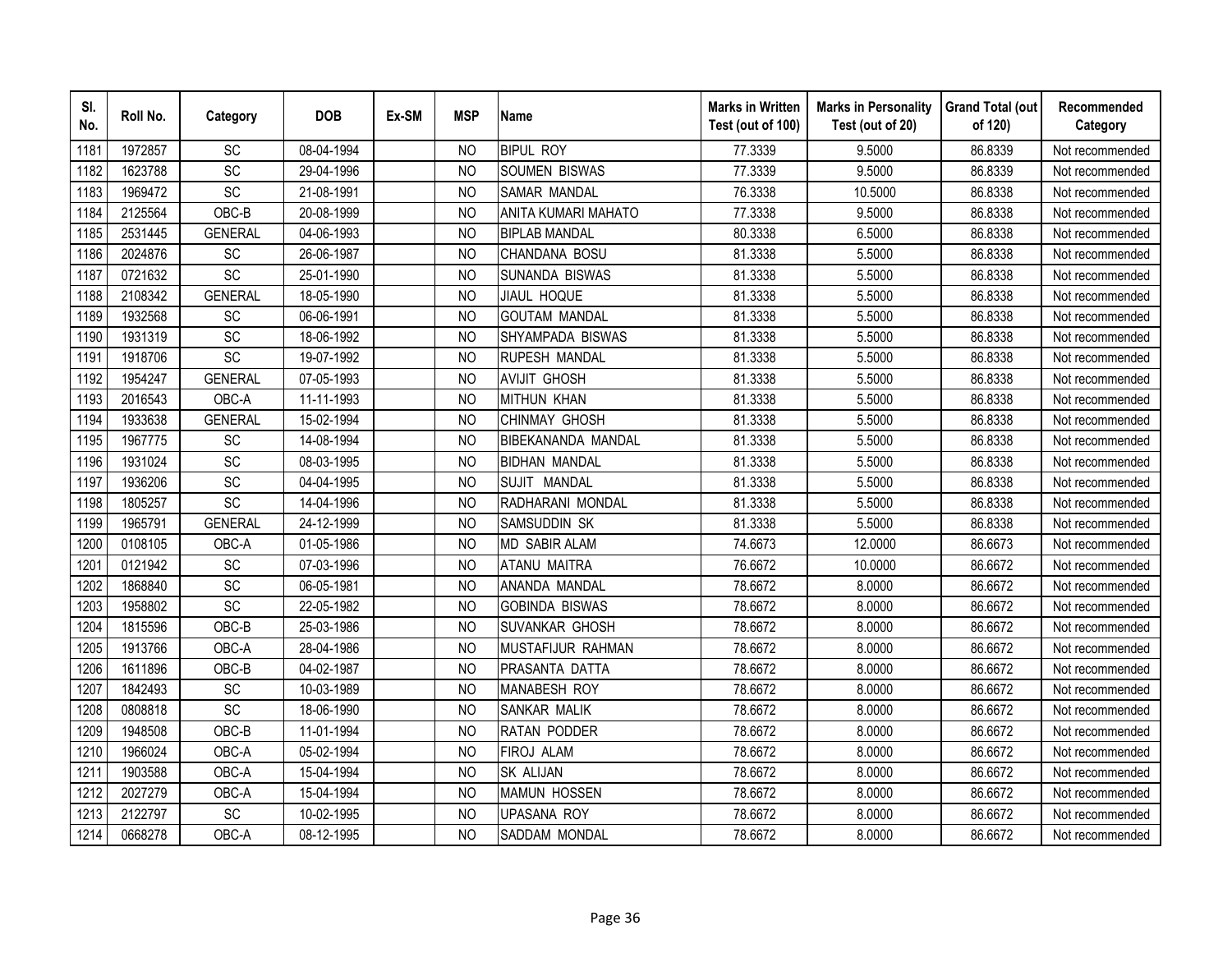| SI.<br>No. | Roll No. | Category        | <b>DOB</b> | Ex-SM | <b>MSP</b>     | <b>Name</b>               | <b>Marks in Written</b><br>Test (out of 100) | <b>Marks in Personality</b><br>Test (out of 20) | <b>Grand Total (out</b><br>of 120) | Recommended<br>Category |
|------------|----------|-----------------|------------|-------|----------------|---------------------------|----------------------------------------------|-------------------------------------------------|------------------------------------|-------------------------|
| 1181       | 1972857  | <b>SC</b>       | 08-04-1994 |       | <b>NO</b>      | <b>BIPUL ROY</b>          | 77.3339                                      | 9.5000                                          | 86.8339                            | Not recommended         |
| 1182       | 1623788  | $\overline{SC}$ | 29-04-1996 |       | N <sub>O</sub> | <b>SOUMEN BISWAS</b>      | 77.3339                                      | 9.5000                                          | 86.8339                            | Not recommended         |
| 1183       | 1969472  | SC              | 21-08-1991 |       | <b>NO</b>      | <b>SAMAR MANDAL</b>       | 76.3338                                      | 10.5000                                         | 86.8338                            | Not recommended         |
| 1184       | 2125564  | OBC-B           | 20-08-1999 |       | N <sub>O</sub> | ANITA KUMARI MAHATO       | 77.3338                                      | 9.5000                                          | 86.8338                            | Not recommended         |
| 1185       | 2531445  | <b>GENERAL</b>  | 04-06-1993 |       | <b>NO</b>      | <b>BIPLAB MANDAL</b>      | 80.3338                                      | 6.5000                                          | 86.8338                            | Not recommended         |
| 1186       | 2024876  | SC              | 26-06-1987 |       | N <sub>O</sub> | CHANDANA BOSU             | 81.3338                                      | 5.5000                                          | 86.8338                            | Not recommended         |
| 1187       | 0721632  | SC              | 25-01-1990 |       | NO             | SUNANDA BISWAS            | 81.3338                                      | 5.5000                                          | 86.8338                            | Not recommended         |
| 1188       | 2108342  | <b>GENERAL</b>  | 18-05-1990 |       | <b>NO</b>      | <b>JIAUL HOQUE</b>        | 81.3338                                      | 5.5000                                          | 86.8338                            | Not recommended         |
| 1189       | 1932568  | SC              | 06-06-1991 |       | <sub>NO</sub>  | <b>GOUTAM MANDAL</b>      | 81.3338                                      | 5.5000                                          | 86.8338                            | Not recommended         |
| 1190       | 1931319  | SC              | 18-06-1992 |       | N <sub>O</sub> | SHYAMPADA BISWAS          | 81.3338                                      | 5.5000                                          | 86.8338                            | Not recommended         |
| 1191       | 1918706  | $\overline{SC}$ | 19-07-1992 |       | <b>NO</b>      | <b>RUPESH MANDAL</b>      | 81.3338                                      | 5.5000                                          | 86.8338                            | Not recommended         |
| 1192       | 1954247  | <b>GENERAL</b>  | 07-05-1993 |       | <b>NO</b>      | <b>AVIJIT GHOSH</b>       | 81.3338                                      | 5.5000                                          | 86.8338                            | Not recommended         |
| 1193       | 2016543  | OBC-A           | 11-11-1993 |       | <b>NO</b>      | <b>MITHUN KHAN</b>        | 81.3338                                      | 5.5000                                          | 86.8338                            | Not recommended         |
| 1194       | 1933638  | <b>GENERAL</b>  | 15-02-1994 |       | <b>NO</b>      | <b>CHINMAY GHOSH</b>      | 81.3338                                      | 5.5000                                          | 86.8338                            | Not recommended         |
| 1195       | 1967775  | SC              | 14-08-1994 |       | <b>NO</b>      | <b>BIBEKANANDA MANDAL</b> | 81.3338                                      | 5.5000                                          | 86.8338                            | Not recommended         |
| 1196       | 1931024  | SC              | 08-03-1995 |       | <b>NO</b>      | <b>BIDHAN MANDAL</b>      | 81.3338                                      | 5.5000                                          | 86.8338                            | Not recommended         |
| 1197       | 1936206  | SC              | 04-04-1995 |       | <b>NO</b>      | SUJIT MANDAL              | 81.3338                                      | 5.5000                                          | 86.8338                            | Not recommended         |
| 1198       | 1805257  | SC              | 14-04-1996 |       | <b>NO</b>      | RADHARANI MONDAL          | 81.3338                                      | 5.5000                                          | 86.8338                            | Not recommended         |
| 1199       | 1965791  | <b>GENERAL</b>  | 24-12-1999 |       | <b>NO</b>      | SAMSUDDIN SK              | 81.3338                                      | 5.5000                                          | 86.8338                            | Not recommended         |
| 1200       | 0108105  | OBC-A           | 01-05-1986 |       | <b>NO</b>      | <b>MD SABIR ALAM</b>      | 74.6673                                      | 12.0000                                         | 86.6673                            | Not recommended         |
| 1201       | 0121942  | $\overline{SC}$ | 07-03-1996 |       | <b>NO</b>      | <b>ATANU MAITRA</b>       | 76.6672                                      | 10.0000                                         | 86.6672                            | Not recommended         |
| 1202       | 1868840  | SC              | 06-05-1981 |       | <b>NO</b>      | ANANDA MANDAL             | 78.6672                                      | 8.0000                                          | 86.6672                            | Not recommended         |
| 1203       | 1958802  | SC              | 22-05-1982 |       | N <sub>O</sub> | <b>GOBINDA BISWAS</b>     | 78.6672                                      | 8.0000                                          | 86.6672                            | Not recommended         |
| 1204       | 1815596  | OBC-B           | 25-03-1986 |       | <b>NO</b>      | <b>SUVANKAR GHOSH</b>     | 78.6672                                      | 8.0000                                          | 86.6672                            | Not recommended         |
| 1205       | 1913766  | OBC-A           | 28-04-1986 |       | <b>NO</b>      | MUSTAFIJUR RAHMAN         | 78.6672                                      | 8.0000                                          | 86.6672                            | Not recommended         |
| 1206       | 1611896  | OBC-B           | 04-02-1987 |       | N <sub>O</sub> | PRASANTA DATTA            | 78.6672                                      | 8.0000                                          | 86.6672                            | Not recommended         |
| 1207       | 1842493  | SC              | 10-03-1989 |       | N <sub>O</sub> | <b>MANABESH ROY</b>       | 78.6672                                      | 8.0000                                          | 86.6672                            | Not recommended         |
| 1208       | 0808818  | SC              | 18-06-1990 |       | N <sub>O</sub> | SANKAR MALIK              | 78.6672                                      | 8.0000                                          | 86.6672                            | Not recommended         |
| 1209       | 1948508  | OBC-B           | 11-01-1994 |       | <b>NO</b>      | <b>RATAN PODDER</b>       | 78.6672                                      | 8.0000                                          | 86.6672                            | Not recommended         |
| 1210       | 1966024  | OBC-A           | 05-02-1994 |       | N <sub>O</sub> | <b>FIROJ ALAM</b>         | 78.6672                                      | 8.0000                                          | 86.6672                            | Not recommended         |
| 1211       | 1903588  | OBC-A           | 15-04-1994 |       | N <sub>O</sub> | <b>SK ALIJAN</b>          | 78.6672                                      | 8.0000                                          | 86.6672                            | Not recommended         |
| 1212       | 2027279  | OBC-A           | 15-04-1994 |       | <b>NO</b>      | <b>MAMUN HOSSEN</b>       | 78.6672                                      | 8.0000                                          | 86.6672                            | Not recommended         |
| 1213       | 2122797  | SC              | 10-02-1995 |       | <b>NO</b>      | <b>UPASANA ROY</b>        | 78.6672                                      | 8.0000                                          | 86.6672                            | Not recommended         |
| 1214       | 0668278  | OBC-A           | 08-12-1995 |       | <b>NO</b>      | SADDAM MONDAL             | 78.6672                                      | 8.0000                                          | 86.6672                            | Not recommended         |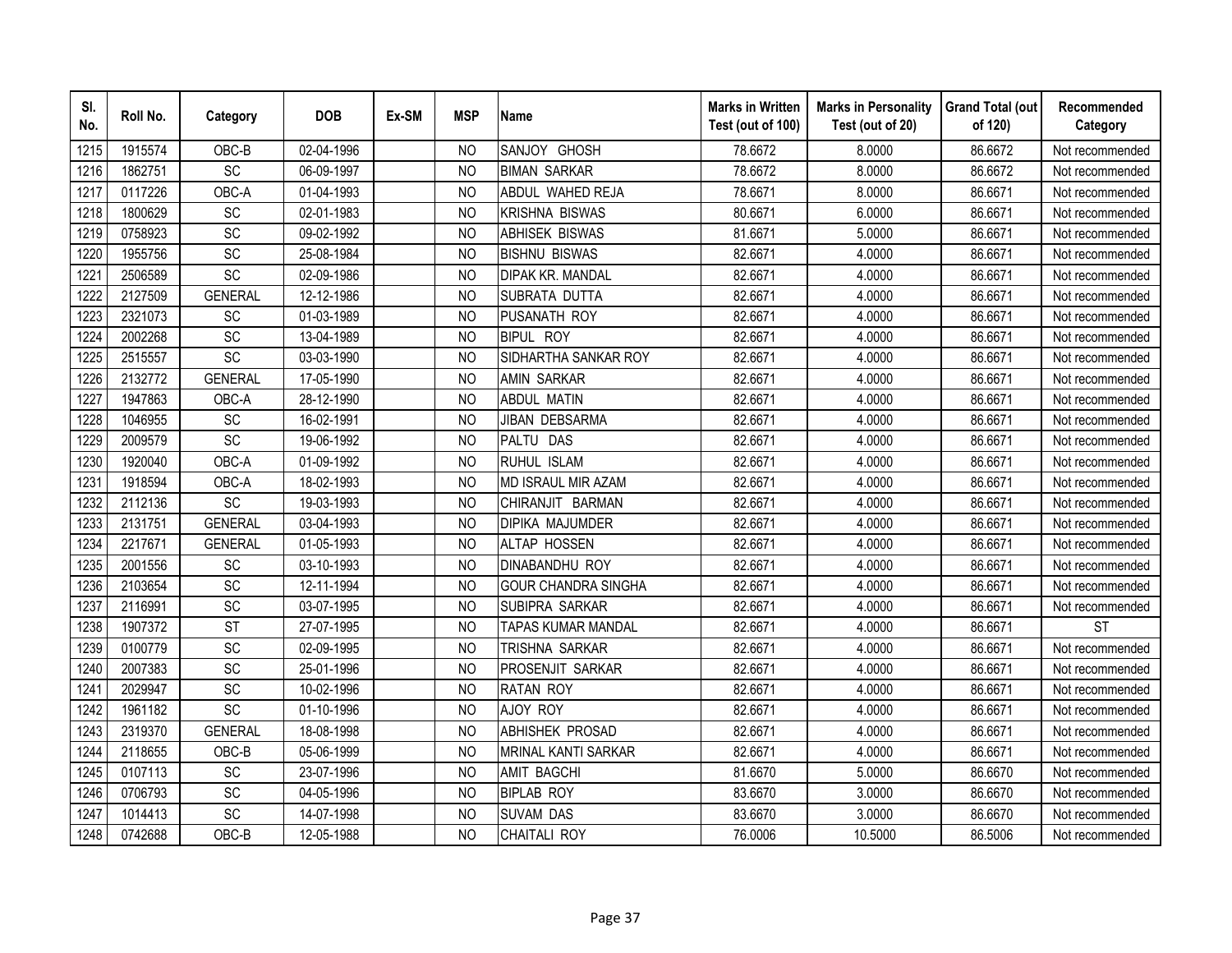| SI.<br>No. | Roll No. | Category        | <b>DOB</b> | Ex-SM | <b>MSP</b>     | <b>Name</b>                | <b>Marks in Written</b><br>Test (out of 100) | <b>Marks in Personality</b><br>Test (out of 20) | <b>Grand Total (out</b><br>of 120) | Recommended<br>Category |
|------------|----------|-----------------|------------|-------|----------------|----------------------------|----------------------------------------------|-------------------------------------------------|------------------------------------|-------------------------|
| 1215       | 1915574  | OBC-B           | 02-04-1996 |       | N <sub>O</sub> | SANJOY GHOSH               | 78.6672                                      | 8.0000                                          | 86.6672                            | Not recommended         |
| 1216       | 1862751  | $\overline{SC}$ | 06-09-1997 |       | <b>NO</b>      | <b>BIMAN SARKAR</b>        | 78.6672                                      | 8.0000                                          | 86.6672                            | Not recommended         |
| 1217       | 0117226  | OBC-A           | 01-04-1993 |       | N <sub>O</sub> | ABDUL WAHED REJA           | 78.6671                                      | 8.0000                                          | 86.6671                            | Not recommended         |
| 1218       | 1800629  | SC              | 02-01-1983 |       | <b>NO</b>      | KRISHNA BISWAS             | 80.6671                                      | 6.0000                                          | 86.6671                            | Not recommended         |
| 1219       | 0758923  | SC              | 09-02-1992 |       | <b>NO</b>      | <b>ABHISEK BISWAS</b>      | 81.6671                                      | 5.0000                                          | 86.6671                            | Not recommended         |
| 1220       | 1955756  | SC              | 25-08-1984 |       | N <sub>O</sub> | <b>BISHNU BISWAS</b>       | 82.6671                                      | 4.0000                                          | 86.6671                            | Not recommended         |
| 1221       | 2506589  | SC              | 02-09-1986 |       | <b>NO</b>      | DIPAK KR. MANDAL           | 82.6671                                      | 4.0000                                          | 86.6671                            | Not recommended         |
| 1222       | 2127509  | <b>GENERAL</b>  | 12-12-1986 |       | <b>NO</b>      | SUBRATA DUTTA              | 82.6671                                      | 4.0000                                          | 86.6671                            | Not recommended         |
| 1223       | 2321073  | SC              | 01-03-1989 |       | <b>NO</b>      | PUSANATH ROY               | 82.6671                                      | 4.0000                                          | 86.6671                            | Not recommended         |
| 1224       | 2002268  | SC              | 13-04-1989 |       | <b>NO</b>      | <b>BIPUL ROY</b>           | 82.6671                                      | 4.0000                                          | 86.6671                            | Not recommended         |
| 1225       | 2515557  | SC              | 03-03-1990 |       | <b>NO</b>      | SIDHARTHA SANKAR ROY       | 82.6671                                      | 4.0000                                          | 86.6671                            | Not recommended         |
| 1226       | 2132772  | <b>GENERAL</b>  | 17-05-1990 |       | <b>NO</b>      | <b>AMIN SARKAR</b>         | 82.6671                                      | 4.0000                                          | 86.6671                            | Not recommended         |
| 1227       | 1947863  | OBC-A           | 28-12-1990 |       | <b>NO</b>      | <b>ABDUL MATIN</b>         | 82.6671                                      | 4.0000                                          | 86.6671                            | Not recommended         |
| 1228       | 1046955  | <b>SC</b>       | 16-02-1991 |       | <b>NO</b>      | JIBAN DEBSARMA             | 82.6671                                      | 4.0000                                          | 86.6671                            | Not recommended         |
| 1229       | 2009579  | SC              | 19-06-1992 |       | <b>NO</b>      | PALTU DAS                  | 82.6671                                      | 4.0000                                          | 86.6671                            | Not recommended         |
| 1230       | 1920040  | OBC-A           | 01-09-1992 |       | <b>NO</b>      | RUHUL ISLAM                | 82.6671                                      | 4.0000                                          | 86.6671                            | Not recommended         |
| 1231       | 1918594  | OBC-A           | 18-02-1993 |       | N <sub>O</sub> | MD ISRAUL MIR AZAM         | 82.6671                                      | 4.0000                                          | 86.6671                            | Not recommended         |
| 1232       | 2112136  | SC              | 19-03-1993 |       | <b>NO</b>      | CHIRANJIT BARMAN           | 82.6671                                      | 4.0000                                          | 86.6671                            | Not recommended         |
| 1233       | 2131751  | <b>GENERAL</b>  | 03-04-1993 |       | <b>NO</b>      | <b>DIPIKA MAJUMDER</b>     | 82.6671                                      | 4.0000                                          | 86.6671                            | Not recommended         |
| 1234       | 2217671  | <b>GENERAL</b>  | 01-05-1993 |       | <b>NO</b>      | <b>ALTAP HOSSEN</b>        | 82.6671                                      | 4.0000                                          | 86.6671                            | Not recommended         |
| 1235       | 2001556  | <b>SC</b>       | 03-10-1993 |       | <b>NO</b>      | <b>DINABANDHU ROY</b>      | 82.6671                                      | 4.0000                                          | 86.6671                            | Not recommended         |
| 1236       | 2103654  | SC              | 12-11-1994 |       | <b>NO</b>      | <b>GOUR CHANDRA SINGHA</b> | 82.6671                                      | 4.0000                                          | 86.6671                            | Not recommended         |
| 1237       | 2116991  | SC              | 03-07-1995 |       | <b>NO</b>      | SUBIPRA SARKAR             | 82.6671                                      | 4.0000                                          | 86.6671                            | Not recommended         |
| 1238       | 1907372  | <b>ST</b>       | 27-07-1995 |       | <b>NO</b>      | <b>TAPAS KUMAR MANDAL</b>  | 82.6671                                      | 4.0000                                          | 86.6671                            | <b>ST</b>               |
| 1239       | 0100779  | SC              | 02-09-1995 |       | <b>NO</b>      | TRISHNA SARKAR             | 82.6671                                      | 4.0000                                          | 86.6671                            | Not recommended         |
| 1240       | 2007383  | SC              | 25-01-1996 |       | N <sub>O</sub> | PROSENJIT SARKAR           | 82.6671                                      | 4.0000                                          | 86.6671                            | Not recommended         |
| 1241       | 2029947  | SC              | 10-02-1996 |       | N <sub>O</sub> | <b>RATAN ROY</b>           | 82.6671                                      | 4.0000                                          | 86.6671                            | Not recommended         |
| 1242       | 1961182  | SC              | 01-10-1996 |       | <b>NO</b>      | AJOY ROY                   | 82.6671                                      | 4.0000                                          | 86.6671                            | Not recommended         |
| 1243       | 2319370  | <b>GENERAL</b>  | 18-08-1998 |       | <b>NO</b>      | <b>ABHISHEK PROSAD</b>     | 82.6671                                      | 4.0000                                          | 86.6671                            | Not recommended         |
| 1244       | 2118655  | OBC-B           | 05-06-1999 |       | <b>NO</b>      | <b>MRINAL KANTI SARKAR</b> | 82.6671                                      | 4.0000                                          | 86.6671                            | Not recommended         |
| 1245       | 0107113  | <b>SC</b>       | 23-07-1996 |       | <b>NO</b>      | <b>AMIT BAGCHI</b>         | 81.6670                                      | 5.0000                                          | 86.6670                            | Not recommended         |
| 1246       | 0706793  | SC              | 04-05-1996 |       | <b>NO</b>      | <b>BIPLAB ROY</b>          | 83.6670                                      | 3.0000                                          | 86.6670                            | Not recommended         |
| 1247       | 1014413  | SC              | 14-07-1998 |       | <b>NO</b>      | <b>SUVAM DAS</b>           | 83.6670                                      | 3.0000                                          | 86.6670                            | Not recommended         |
| 1248       | 0742688  | OBC-B           | 12-05-1988 |       | <b>NO</b>      | CHAITALI ROY               | 76.0006                                      | 10.5000                                         | 86.5006                            | Not recommended         |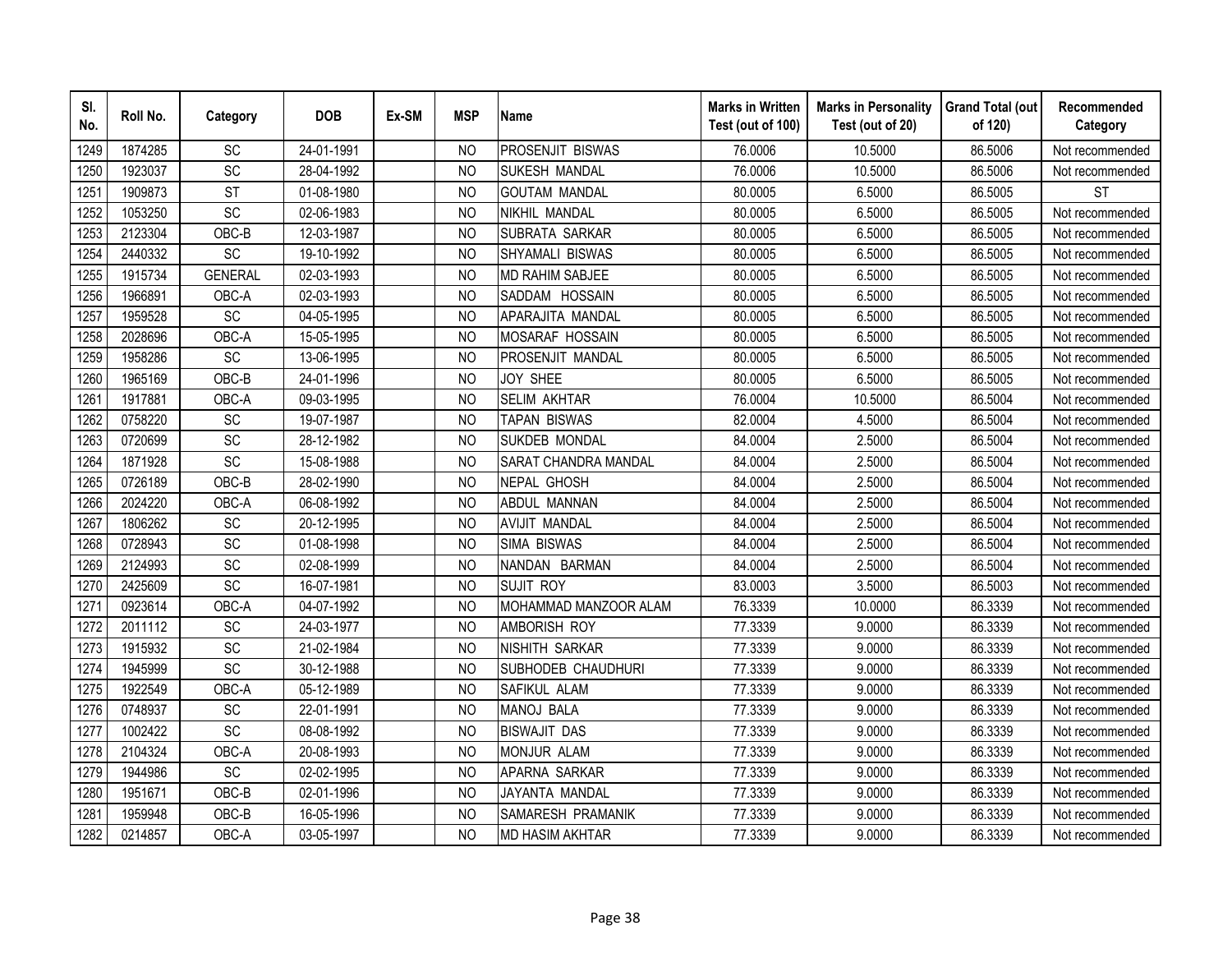| SI.<br>No. | Roll No. | Category        | <b>DOB</b> | Ex-SM | <b>MSP</b>     | <b>Name</b>             | <b>Marks in Written</b><br>Test (out of 100) | <b>Marks in Personality</b><br>Test (out of 20) | <b>Grand Total (out</b><br>of 120) | Recommended<br>Category |
|------------|----------|-----------------|------------|-------|----------------|-------------------------|----------------------------------------------|-------------------------------------------------|------------------------------------|-------------------------|
| 1249       | 1874285  | SC              | 24-01-1991 |       | N <sub>O</sub> | <b>PROSENJIT BISWAS</b> | 76.0006                                      | 10.5000                                         | 86.5006                            | Not recommended         |
| 1250       | 1923037  | $\overline{SC}$ | 28-04-1992 |       | <b>NO</b>      | <b>SUKESH MANDAL</b>    | 76.0006                                      | 10.5000                                         | 86.5006                            | Not recommended         |
| 1251       | 1909873  | <b>ST</b>       | 01-08-1980 |       | N <sub>O</sub> | <b>GOUTAM MANDAL</b>    | 80.0005                                      | 6.5000                                          | 86.5005                            | <b>ST</b>               |
| 1252       | 1053250  | SC              | 02-06-1983 |       | N <sub>O</sub> | NIKHIL MANDAL           | 80.0005                                      | 6.5000                                          | 86.5005                            | Not recommended         |
| 1253       | 2123304  | OBC-B           | 12-03-1987 |       | <b>NO</b>      | SUBRATA SARKAR          | 80.0005                                      | 6.5000                                          | 86.5005                            | Not recommended         |
| 1254       | 2440332  | SC              | 19-10-1992 |       | N <sub>O</sub> | SHYAMALI BISWAS         | 80.0005                                      | 6.5000                                          | 86.5005                            | Not recommended         |
| 1255       | 1915734  | <b>GENERAL</b>  | 02-03-1993 |       | N <sub>O</sub> | <b>MD RAHIM SABJEE</b>  | 80.0005                                      | 6.5000                                          | 86.5005                            | Not recommended         |
| 1256       | 1966891  | OBC-A           | 02-03-1993 |       | N <sub>O</sub> | SADDAM HOSSAIN          | 80.0005                                      | 6.5000                                          | 86.5005                            | Not recommended         |
| 1257       | 1959528  | SC              | 04-05-1995 |       | N <sub>O</sub> | APARAJITA MANDAL        | 80.0005                                      | 6.5000                                          | 86.5005                            | Not recommended         |
| 1258       | 2028696  | OBC-A           | 15-05-1995 |       | <b>NO</b>      | MOSARAF HOSSAIN         | 80.0005                                      | 6.5000                                          | 86.5005                            | Not recommended         |
| 1259       | 1958286  | $\overline{SC}$ | 13-06-1995 |       | <b>NO</b>      | PROSENJIT MANDAL        | 80.0005                                      | 6.5000                                          | 86.5005                            | Not recommended         |
| 1260       | 1965169  | OBC-B           | 24-01-1996 |       | <b>NO</b>      | <b>JOY SHEE</b>         | 80.0005                                      | 6.5000                                          | 86.5005                            | Not recommended         |
| 1261       | 1917881  | OBC-A           | 09-03-1995 |       | <b>NO</b>      | <b>SELIM AKHTAR</b>     | 76.0004                                      | 10.5000                                         | 86.5004                            | Not recommended         |
| 1262       | 0758220  | SC              | 19-07-1987 |       | <b>NO</b>      | TAPAN BISWAS            | 82.0004                                      | 4.5000                                          | 86.5004                            | Not recommended         |
| 1263       | 0720699  | SC              | 28-12-1982 |       | N <sub>O</sub> | <b>SUKDEB MONDAL</b>    | 84.0004                                      | 2.5000                                          | 86.5004                            | Not recommended         |
| 1264       | 1871928  | SC              | 15-08-1988 |       | <b>NO</b>      | SARAT CHANDRA MANDAL    | 84.0004                                      | 2.5000                                          | 86.5004                            | Not recommended         |
| 1265       | 0726189  | OBC-B           | 28-02-1990 |       | <b>NO</b>      | NEPAL GHOSH             | 84.0004                                      | 2.5000                                          | 86.5004                            | Not recommended         |
| 1266       | 2024220  | OBC-A           | 06-08-1992 |       | N <sub>O</sub> | <b>ABDUL MANNAN</b>     | 84.0004                                      | 2.5000                                          | 86.5004                            | Not recommended         |
| 1267       | 1806262  | SC              | 20-12-1995 |       | <b>NO</b>      | <b>AVIJIT MANDAL</b>    | 84.0004                                      | 2.5000                                          | 86.5004                            | Not recommended         |
| 1268       | 0728943  | SC              | 01-08-1998 |       | <b>NO</b>      | <b>SIMA BISWAS</b>      | 84.0004                                      | 2.5000                                          | 86.5004                            | Not recommended         |
| 1269       | 2124993  | $\overline{SC}$ | 02-08-1999 |       | <b>NO</b>      | NANDAN BARMAN           | 84.0004                                      | 2.5000                                          | 86.5004                            | Not recommended         |
| 1270       | 2425609  | SC              | 16-07-1981 |       | N <sub>O</sub> | <b>SUJIT ROY</b>        | 83.0003                                      | 3.5000                                          | 86.5003                            | Not recommended         |
| 1271       | 0923614  | OBC-A           | 04-07-1992 |       | <b>NO</b>      | MOHAMMAD MANZOOR ALAM   | 76.3339                                      | 10.0000                                         | 86.3339                            | Not recommended         |
| 1272       | 2011112  | SC              | 24-03-1977 |       | <b>NO</b>      | AMBORISH ROY            | 77.3339                                      | 9.0000                                          | 86.3339                            | Not recommended         |
| 1273       | 1915932  | SC              | 21-02-1984 |       | N <sub>O</sub> | NISHITH SARKAR          | 77.3339                                      | 9.0000                                          | 86.3339                            | Not recommended         |
| 1274       | 1945999  | SC              | 30-12-1988 |       | N <sub>O</sub> | SUBHODEB CHAUDHURI      | 77.3339                                      | 9.0000                                          | 86.3339                            | Not recommended         |
| 1275       | 1922549  | OBC-A           | 05-12-1989 |       | N <sub>O</sub> | SAFIKUL ALAM            | 77.3339                                      | 9.0000                                          | 86.3339                            | Not recommended         |
| 1276       | 0748937  | SC              | 22-01-1991 |       | N <sub>O</sub> | <b>MANOJ BALA</b>       | 77.3339                                      | 9.0000                                          | 86.3339                            | Not recommended         |
| 1277       | 1002422  | SC              | 08-08-1992 |       | <b>NO</b>      | <b>BISWAJIT DAS</b>     | 77.3339                                      | 9.0000                                          | 86.3339                            | Not recommended         |
| 1278       | 2104324  | OBC-A           | 20-08-1993 |       | <b>NO</b>      | <b>MONJUR ALAM</b>      | 77.3339                                      | 9.0000                                          | 86.3339                            | Not recommended         |
| 1279       | 1944986  | SC              | 02-02-1995 |       | <b>NO</b>      | APARNA SARKAR           | 77.3339                                      | 9.0000                                          | 86.3339                            | Not recommended         |
| 1280       | 1951671  | OBC-B           | 02-01-1996 |       | N <sub>O</sub> | JAYANTA MANDAL          | 77.3339                                      | 9.0000                                          | 86.3339                            | Not recommended         |
| 1281       | 1959948  | OBC-B           | 16-05-1996 |       | <b>NO</b>      | SAMARESH PRAMANIK       | 77.3339                                      | 9.0000                                          | 86.3339                            | Not recommended         |
| 1282       | 0214857  | OBC-A           | 03-05-1997 |       | <b>NO</b>      | <b>MD HASIM AKHTAR</b>  | 77.3339                                      | 9.0000                                          | 86.3339                            | Not recommended         |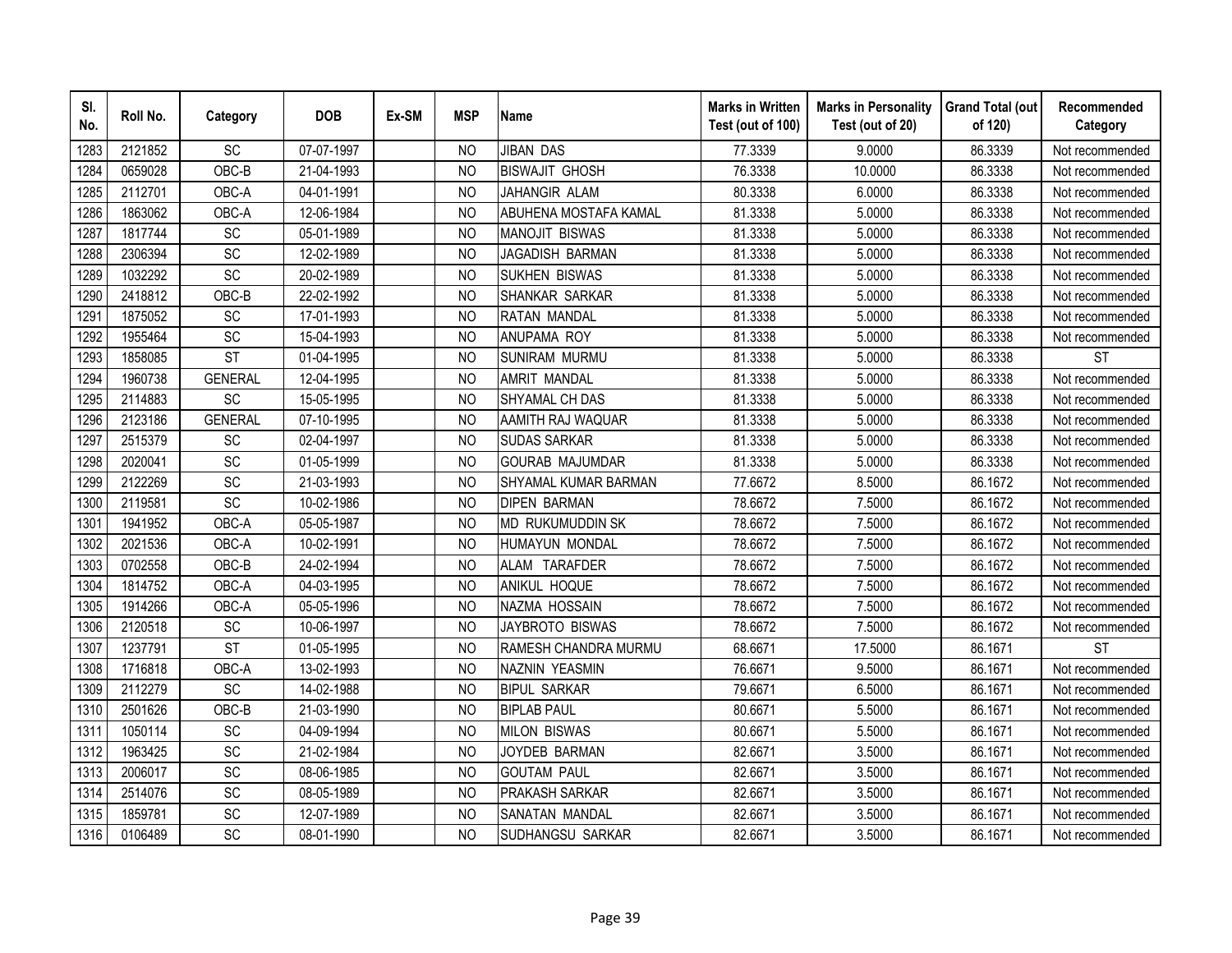| SI.<br>No. | Roll No. | Category               | <b>DOB</b> | Ex-SM | <b>MSP</b>     | <b>Name</b>                  | <b>Marks in Written</b><br>Test (out of 100) | <b>Marks in Personality</b><br>Test (out of 20) | <b>Grand Total (out</b><br>of 120) | Recommended<br>Category |
|------------|----------|------------------------|------------|-------|----------------|------------------------------|----------------------------------------------|-------------------------------------------------|------------------------------------|-------------------------|
| 1283       | 2121852  | SC                     | 07-07-1997 |       | N <sub>O</sub> | <b>JIBAN DAS</b>             | 77.3339                                      | 9.0000                                          | 86.3339                            | Not recommended         |
| 1284       | 0659028  | OBC-B                  | 21-04-1993 |       | <b>NO</b>      | <b>BISWAJIT GHOSH</b>        | 76.3338                                      | 10.0000                                         | 86.3338                            | Not recommended         |
| 1285       | 2112701  | OBC-A                  | 04-01-1991 |       | N <sub>O</sub> | JAHANGIR ALAM                | 80.3338                                      | 6.0000                                          | 86.3338                            | Not recommended         |
| 1286       | 1863062  | OBC-A                  | 12-06-1984 |       | N <sub>O</sub> | <b>ABUHENA MOSTAFA KAMAL</b> | 81.3338                                      | 5.0000                                          | 86.3338                            | Not recommended         |
| 1287       | 1817744  | SC                     | 05-01-1989 |       | <b>NO</b>      | <b>MANOJIT BISWAS</b>        | 81.3338                                      | 5.0000                                          | 86.3338                            | Not recommended         |
| 1288       | 2306394  | SC                     | 12-02-1989 |       | N <sub>O</sub> | JAGADISH BARMAN              | 81.3338                                      | 5.0000                                          | 86.3338                            | Not recommended         |
| 1289       | 1032292  | SC                     | 20-02-1989 |       | N <sub>O</sub> | <b>SUKHEN BISWAS</b>         | 81.3338                                      | 5.0000                                          | 86.3338                            | Not recommended         |
| 1290       | 2418812  | OBC-B                  | 22-02-1992 |       | N <sub>O</sub> | SHANKAR SARKAR               | 81.3338                                      | 5.0000                                          | 86.3338                            | Not recommended         |
| 1291       | 1875052  | SC                     | 17-01-1993 |       | N <sub>O</sub> | <b>RATAN MANDAL</b>          | 81.3338                                      | 5.0000                                          | 86.3338                            | Not recommended         |
| 1292       | 1955464  | SC                     | 15-04-1993 |       | <b>NO</b>      | ANUPAMA ROY                  | 81.3338                                      | 5.0000                                          | 86.3338                            | Not recommended         |
| 1293       | 1858085  | $\overline{\text{ST}}$ | 01-04-1995 |       | <b>NO</b>      | <b>SUNIRAM MURMU</b>         | 81.3338                                      | 5.0000                                          | 86.3338                            | <b>ST</b>               |
| 1294       | 1960738  | <b>GENERAL</b>         | 12-04-1995 |       | <b>NO</b>      | <b>AMRIT MANDAL</b>          | 81.3338                                      | 5.0000                                          | 86.3338                            | Not recommended         |
| 1295       | 2114883  | SC                     | 15-05-1995 |       | <b>NO</b>      | SHYAMAL CH DAS               | 81.3338                                      | 5.0000                                          | 86.3338                            | Not recommended         |
| 1296       | 2123186  | <b>GENERAL</b>         | 07-10-1995 |       | <b>NO</b>      | AAMITH RAJ WAQUAR            | 81.3338                                      | 5.0000                                          | 86.3338                            | Not recommended         |
| 1297       | 2515379  | SC                     | 02-04-1997 |       | N <sub>O</sub> | <b>SUDAS SARKAR</b>          | 81.3338                                      | 5.0000                                          | 86.3338                            | Not recommended         |
| 1298       | 2020041  | SC                     | 01-05-1999 |       | <b>NO</b>      | <b>GOURAB MAJUMDAR</b>       | 81.3338                                      | 5.0000                                          | 86.3338                            | Not recommended         |
| 1299       | 2122269  | SC                     | 21-03-1993 |       | <b>NO</b>      | SHYAMAL KUMAR BARMAN         | 77.6672                                      | 8.5000                                          | 86.1672                            | Not recommended         |
| 1300       | 2119581  | SC                     | 10-02-1986 |       | N <sub>O</sub> | <b>DIPEN BARMAN</b>          | 78.6672                                      | 7.5000                                          | 86.1672                            | Not recommended         |
| 1301       | 1941952  | OBC-A                  | 05-05-1987 |       | <b>NO</b>      | <b>MD RUKUMUDDIN SK</b>      | 78.6672                                      | 7.5000                                          | 86.1672                            | Not recommended         |
| 1302       | 2021536  | OBC-A                  | 10-02-1991 |       | N <sub>O</sub> | HUMAYUN MONDAL               | 78.6672                                      | 7.5000                                          | 86.1672                            | Not recommended         |
| 1303       | 0702558  | OBC-B                  | 24-02-1994 |       | <b>NO</b>      | ALAM TARAFDER                | 78.6672                                      | 7.5000                                          | 86.1672                            | Not recommended         |
| 1304       | 1814752  | OBC-A                  | 04-03-1995 |       | N <sub>O</sub> | ANIKUL HOQUE                 | 78.6672                                      | 7.5000                                          | 86.1672                            | Not recommended         |
| 1305       | 1914266  | OBC-A                  | 05-05-1996 |       | <b>NO</b>      | NAZMA HOSSAIN                | 78.6672                                      | 7.5000                                          | 86.1672                            | Not recommended         |
| 1306       | 2120518  | SC                     | 10-06-1997 |       | <sub>NO</sub>  | JAYBROTO BISWAS              | 78.6672                                      | 7.5000                                          | 86.1672                            | Not recommended         |
| 1307       | 1237791  | <b>ST</b>              | 01-05-1995 |       | N <sub>O</sub> | RAMESH CHANDRA MURMU         | 68.6671                                      | 17.5000                                         | 86.1671                            | <b>ST</b>               |
| 1308       | 1716818  | OBC-A                  | 13-02-1993 |       | N <sub>O</sub> | <b>NAZNIN YEASMIN</b>        | 76.6671                                      | 9.5000                                          | 86.1671                            | Not recommended         |
| 1309       | 2112279  | SC                     | 14-02-1988 |       | N <sub>O</sub> | <b>BIPUL SARKAR</b>          | 79.6671                                      | 6.5000                                          | 86.1671                            | Not recommended         |
| 1310       | 2501626  | OBC-B                  | 21-03-1990 |       | N <sub>O</sub> | <b>BIPLAB PAUL</b>           | 80.6671                                      | 5.5000                                          | 86.1671                            | Not recommended         |
| 1311       | 1050114  | SC                     | 04-09-1994 |       | <b>NO</b>      | <b>MILON BISWAS</b>          | 80.6671                                      | 5.5000                                          | 86.1671                            | Not recommended         |
| 1312       | 1963425  | SC                     | 21-02-1984 |       | N <sub>O</sub> | JOYDEB BARMAN                | 82.6671                                      | 3.5000                                          | 86.1671                            | Not recommended         |
| 1313       | 2006017  | SC                     | 08-06-1985 |       | <b>NO</b>      | <b>GOUTAM PAUL</b>           | 82.6671                                      | 3.5000                                          | 86.1671                            | Not recommended         |
| 1314       | 2514076  | SC                     | 08-05-1989 |       | N <sub>O</sub> | <b>PRAKASH SARKAR</b>        | 82.6671                                      | 3.5000                                          | 86.1671                            | Not recommended         |
| 1315       | 1859781  | SC                     | 12-07-1989 |       | <b>NO</b>      | SANATAN MANDAL               | 82.6671                                      | 3.5000                                          | 86.1671                            | Not recommended         |
| 1316       | 0106489  | SC                     | 08-01-1990 |       | <b>NO</b>      | SUDHANGSU SARKAR             | 82.6671                                      | 3.5000                                          | 86.1671                            | Not recommended         |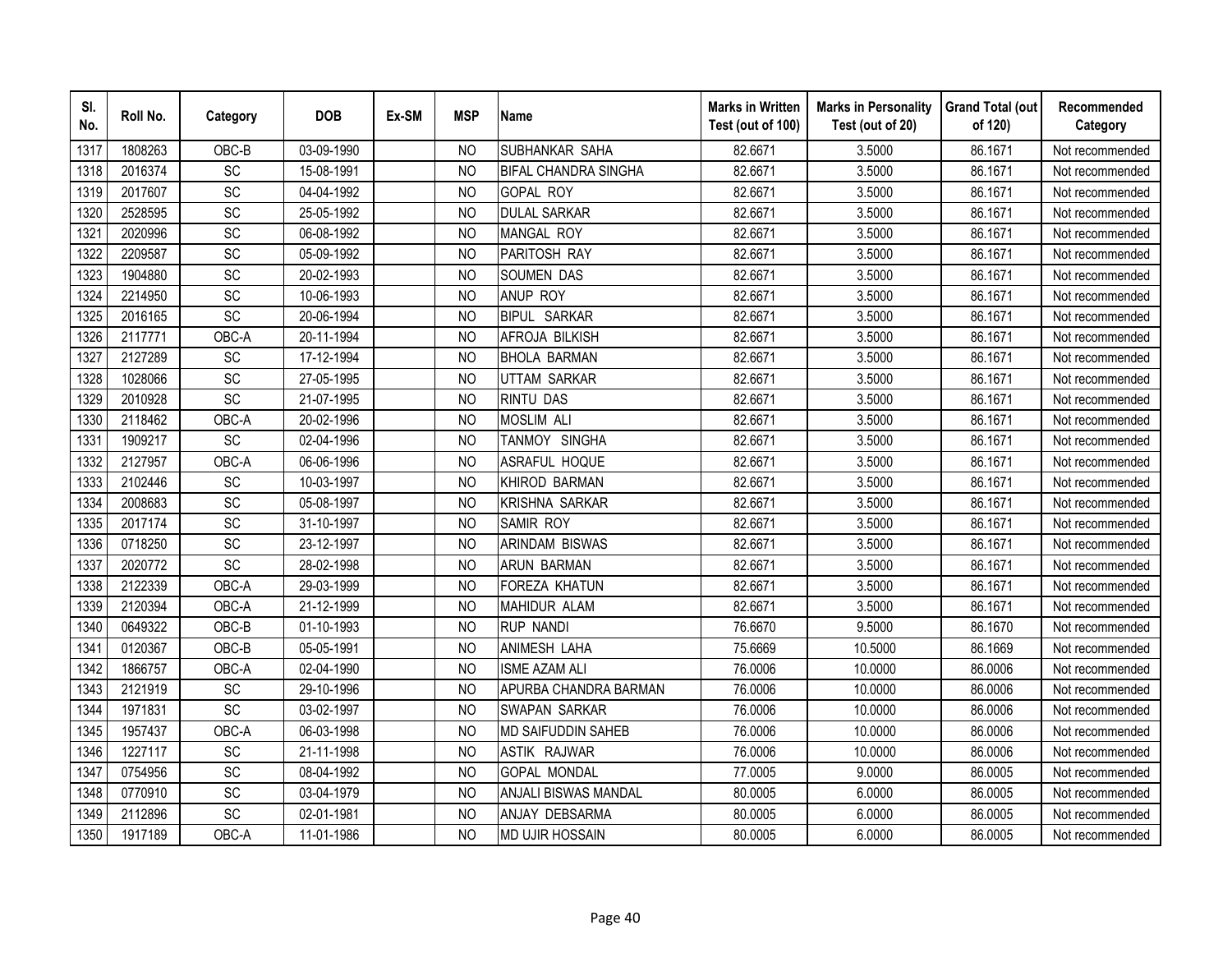| SI.<br>No. | Roll No. | Category        | <b>DOB</b> | Ex-SM | <b>MSP</b>     | <b>Name</b>                 | <b>Marks in Written</b><br>Test (out of 100) | <b>Marks in Personality</b><br>Test (out of 20) | <b>Grand Total (out</b><br>of 120) | Recommended<br>Category |
|------------|----------|-----------------|------------|-------|----------------|-----------------------------|----------------------------------------------|-------------------------------------------------|------------------------------------|-------------------------|
| 1317       | 1808263  | OBC-B           | 03-09-1990 |       | <b>NO</b>      | SUBHANKAR SAHA              | 82.6671                                      | 3.5000                                          | 86.1671                            | Not recommended         |
| 1318       | 2016374  | $\overline{SC}$ | 15-08-1991 |       | <sub>NO</sub>  | <b>BIFAL CHANDRA SINGHA</b> | 82.6671                                      | 3.5000                                          | 86.1671                            | Not recommended         |
| 1319       | 2017607  | SC              | 04-04-1992 |       | <b>NO</b>      | <b>GOPAL ROY</b>            | 82.6671                                      | 3.5000                                          | 86.1671                            | Not recommended         |
| 1320       | 2528595  | SC              | 25-05-1992 |       | N <sub>O</sub> | <b>DULAL SARKAR</b>         | 82.6671                                      | 3.5000                                          | 86.1671                            | Not recommended         |
| 1321       | 2020996  | SC              | 06-08-1992 |       | <b>NO</b>      | MANGAL ROY                  | 82.6671                                      | 3.5000                                          | 86.1671                            | Not recommended         |
| 1322       | 2209587  | SC              | 05-09-1992 |       | N <sub>O</sub> | PARITOSH RAY                | 82.6671                                      | 3.5000                                          | 86.1671                            | Not recommended         |
| 1323       | 1904880  | SC              | 20-02-1993 |       | <b>NO</b>      | SOUMEN DAS                  | 82.6671                                      | 3.5000                                          | 86.1671                            | Not recommended         |
| 1324       | 2214950  | SC              | 10-06-1993 |       | <b>NO</b>      | ANUP ROY                    | 82.6671                                      | 3.5000                                          | 86.1671                            | Not recommended         |
| 1325       | 2016165  | SC              | 20-06-1994 |       | <b>NO</b>      | <b>BIPUL SARKAR</b>         | 82.6671                                      | 3.5000                                          | 86.1671                            | Not recommended         |
| 1326       | 2117771  | OBC-A           | 20-11-1994 |       | N <sub>O</sub> | AFROJA BILKISH              | 82.6671                                      | 3.5000                                          | 86.1671                            | Not recommended         |
| 1327       | 2127289  | SC              | 17-12-1994 |       | <b>NO</b>      | <b>BHOLA BARMAN</b>         | 82.6671                                      | 3.5000                                          | 86.1671                            | Not recommended         |
| 1328       | 1028066  | SC              | 27-05-1995 |       | <b>NO</b>      | <b>UTTAM SARKAR</b>         | 82.6671                                      | 3.5000                                          | 86.1671                            | Not recommended         |
| 1329       | 2010928  | SC              | 21-07-1995 |       | <b>NO</b>      | <b>RINTU DAS</b>            | 82.6671                                      | 3.5000                                          | 86.1671                            | Not recommended         |
| 1330       | 2118462  | OBC-A           | 20-02-1996 |       | <b>NO</b>      | <b>MOSLIM ALI</b>           | 82.6671                                      | 3.5000                                          | 86.1671                            | Not recommended         |
| 1331       | 1909217  | SC              | 02-04-1996 |       | <b>NO</b>      | TANMOY SINGHA               | 82.6671                                      | 3.5000                                          | 86.1671                            | Not recommended         |
| 1332       | 2127957  | OBC-A           | 06-06-1996 |       | <b>NO</b>      | ASRAFUL HOQUE               | 82.6671                                      | 3.5000                                          | 86.1671                            | Not recommended         |
| 1333       | 2102446  | SC              | 10-03-1997 |       | <b>NO</b>      | <b>KHIROD BARMAN</b>        | 82.6671                                      | 3.5000                                          | 86.1671                            | Not recommended         |
| 1334       | 2008683  | SC              | 05-08-1997 |       | <b>NO</b>      | <b>KRISHNA SARKAR</b>       | 82.6671                                      | 3.5000                                          | 86.1671                            | Not recommended         |
| 1335       | 2017174  | $\overline{SC}$ | 31-10-1997 |       | <b>NO</b>      | <b>SAMIR ROY</b>            | 82.6671                                      | 3.5000                                          | 86.1671                            | Not recommended         |
| 1336       | 0718250  | SC              | 23-12-1997 |       | <b>NO</b>      | <b>ARINDAM BISWAS</b>       | 82.6671                                      | 3.5000                                          | 86.1671                            | Not recommended         |
| 1337       | 2020772  | SC              | 28-02-1998 |       | <b>NO</b>      | <b>ARUN BARMAN</b>          | 82.6671                                      | 3.5000                                          | 86.1671                            | Not recommended         |
| 1338       | 2122339  | OBC-A           | 29-03-1999 |       | <b>NO</b>      | <b>FOREZA KHATUN</b>        | 82.6671                                      | 3.5000                                          | 86.1671                            | Not recommended         |
| 1339       | 2120394  | OBC-A           | 21-12-1999 |       | N <sub>O</sub> | <b>MAHIDUR ALAM</b>         | 82.6671                                      | 3.5000                                          | 86.1671                            | Not recommended         |
| 1340       | 0649322  | OBC-B           | 01-10-1993 |       | <b>NO</b>      | <b>RUP NANDI</b>            | 76.6670                                      | 9.5000                                          | 86.1670                            | Not recommended         |
| 1341       | 0120367  | OBC-B           | 05-05-1991 |       | <b>NO</b>      | ANIMESH LAHA                | 75.6669                                      | 10.5000                                         | 86.1669                            | Not recommended         |
| 1342       | 1866757  | OBC-A           | 02-04-1990 |       | <b>NO</b>      | <b>ISME AZAM ALI</b>        | 76.0006                                      | 10.0000                                         | 86.0006                            | Not recommended         |
| 1343       | 2121919  | SC              | 29-10-1996 |       | N <sub>O</sub> | APURBA CHANDRA BARMAN       | 76.0006                                      | 10.0000                                         | 86.0006                            | Not recommended         |
| 1344       | 1971831  | SC              | 03-02-1997 |       | N <sub>O</sub> | SWAPAN SARKAR               | 76.0006                                      | 10.0000                                         | 86.0006                            | Not recommended         |
| 1345       | 1957437  | OBC-A           | 06-03-1998 |       | <b>NO</b>      | <b>MD SAIFUDDIN SAHEB</b>   | 76.0006                                      | 10.0000                                         | 86.0006                            | Not recommended         |
| 1346       | 1227117  | <b>SC</b>       | 21-11-1998 |       | N <sub>O</sub> | <b>ASTIK RAJWAR</b>         | 76.0006                                      | 10.0000                                         | 86.0006                            | Not recommended         |
| 1347       | 0754956  | SC              | 08-04-1992 |       | N <sub>O</sub> | <b>GOPAL MONDAL</b>         | 77.0005                                      | 9.0000                                          | 86.0005                            | Not recommended         |
| 1348       | 0770910  | SC              | 03-04-1979 |       | <b>NO</b>      | <b>ANJALI BISWAS MANDAL</b> | 80.0005                                      | 6.0000                                          | 86.0005                            | Not recommended         |
| 1349       | 2112896  | SC              | 02-01-1981 |       | <b>NO</b>      | ANJAY DEBSARMA              | 80.0005                                      | 6.0000                                          | 86.0005                            | Not recommended         |
| 1350       | 1917189  | OBC-A           | 11-01-1986 |       | <b>NO</b>      | <b>MD UJIR HOSSAIN</b>      | 80.0005                                      | 6.0000                                          | 86.0005                            | Not recommended         |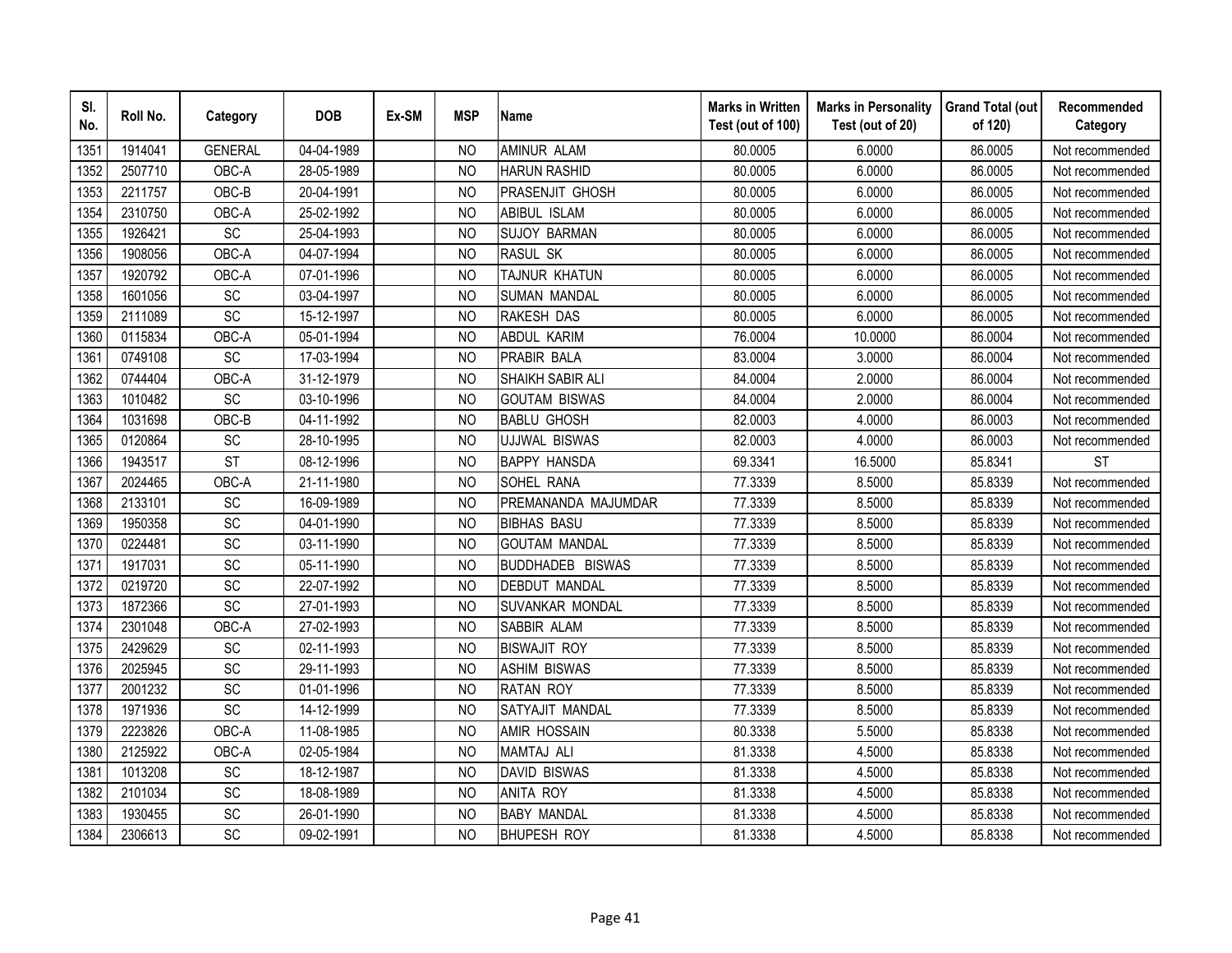| SI.<br>No. | Roll No. | Category        | <b>DOB</b> | Ex-SM | <b>MSP</b>     | <b>Name</b>             | <b>Marks in Written</b><br>Test (out of 100) | <b>Marks in Personality</b><br>Test (out of 20) | <b>Grand Total (out</b><br>of 120) | Recommended<br>Category |
|------------|----------|-----------------|------------|-------|----------------|-------------------------|----------------------------------------------|-------------------------------------------------|------------------------------------|-------------------------|
| 1351       | 1914041  | <b>GENERAL</b>  | 04-04-1989 |       | N <sub>O</sub> | <b>AMINUR ALAM</b>      | 80.0005                                      | 6.0000                                          | 86.0005                            | Not recommended         |
| 1352       | 2507710  | OBC-A           | 28-05-1989 |       | <b>NO</b>      | <b>HARUN RASHID</b>     | 80.0005                                      | 6.0000                                          | 86.0005                            | Not recommended         |
| 1353       | 2211757  | OBC-B           | 20-04-1991 |       | N <sub>O</sub> | <b>PRASENJIT GHOSH</b>  | 80.0005                                      | 6.0000                                          | 86.0005                            | Not recommended         |
| 1354       | 2310750  | OBC-A           | 25-02-1992 |       | <b>NO</b>      | ABIBUL ISLAM            | 80.0005                                      | 6.0000                                          | 86.0005                            | Not recommended         |
| 1355       | 1926421  | SC              | 25-04-1993 |       | N <sub>O</sub> | <b>SUJOY BARMAN</b>     | 80.0005                                      | 6.0000                                          | 86.0005                            | Not recommended         |
| 1356       | 1908056  | OBC-A           | 04-07-1994 |       | NO             | <b>RASUL SK</b>         | 80.0005                                      | 6.0000                                          | 86.0005                            | Not recommended         |
| 1357       | 1920792  | OBC-A           | 07-01-1996 |       | <sub>NO</sub>  | TAJNUR KHATUN           | 80.0005                                      | 6.0000                                          | 86.0005                            | Not recommended         |
| 1358       | 1601056  | SC              | 03-04-1997 |       | <b>NO</b>      | <b>SUMAN MANDAL</b>     | 80.0005                                      | 6.0000                                          | 86.0005                            | Not recommended         |
| 1359       | 2111089  | SC              | 15-12-1997 |       | N <sub>O</sub> | RAKESH DAS              | 80.0005                                      | 6.0000                                          | 86.0005                            | Not recommended         |
| 1360       | 0115834  | OBC-A           | 05-01-1994 |       | <b>NO</b>      | <b>ABDUL KARIM</b>      | 76.0004                                      | 10.0000                                         | 86.0004                            | Not recommended         |
| 1361       | 0749108  | SC              | 17-03-1994 |       | <b>NO</b>      | PRABIR BALA             | 83.0004                                      | 3.0000                                          | 86.0004                            | Not recommended         |
| 1362       | 0744404  | OBC-A           | 31-12-1979 |       | <b>NO</b>      | <b>SHAIKH SABIR ALI</b> | 84.0004                                      | 2.0000                                          | 86.0004                            | Not recommended         |
| 1363       | 1010482  | SC              | 03-10-1996 |       | N <sub>O</sub> | <b>GOUTAM BISWAS</b>    | 84.0004                                      | 2.0000                                          | 86.0004                            | Not recommended         |
| 1364       | 1031698  | OBC-B           | 04-11-1992 |       | <b>NO</b>      | <b>BABLU GHOSH</b>      | 82.0003                                      | 4.0000                                          | 86.0003                            | Not recommended         |
| 1365       | 0120864  | SC              | 28-10-1995 |       | <b>NO</b>      | <b>UJJWAL BISWAS</b>    | 82.0003                                      | 4.0000                                          | 86.0003                            | Not recommended         |
| 1366       | 1943517  | <b>ST</b>       | 08-12-1996 |       | <b>NO</b>      | <b>BAPPY HANSDA</b>     | 69.3341                                      | 16.5000                                         | 85.8341                            | <b>ST</b>               |
| 1367       | 2024465  | OBC-A           | 21-11-1980 |       | <b>NO</b>      | SOHEL RANA              | 77.3339                                      | 8.5000                                          | 85.8339                            | Not recommended         |
| 1368       | 2133101  | SC              | 16-09-1989 |       | <b>NO</b>      | PREMANANDA MAJUMDAR     | 77.3339                                      | 8.5000                                          | 85.8339                            | Not recommended         |
| 1369       | 1950358  | SC              | 04-01-1990 |       | N <sub>O</sub> | <b>BIBHAS BASU</b>      | 77.3339                                      | 8.5000                                          | 85.8339                            | Not recommended         |
| 1370       | 0224481  | <b>SC</b>       | 03-11-1990 |       | N <sub>O</sub> | <b>GOUTAM MANDAL</b>    | 77.3339                                      | 8.5000                                          | 85.8339                            | Not recommended         |
| 1371       | 1917031  | $\overline{SC}$ | 05-11-1990 |       | <b>NO</b>      | <b>BUDDHADEB BISWAS</b> | 77.3339                                      | 8.5000                                          | 85.8339                            | Not recommended         |
| 1372       | 0219720  | SC              | 22-07-1992 |       | <b>NO</b>      | <b>DEBDUT MANDAL</b>    | 77.3339                                      | 8.5000                                          | 85.8339                            | Not recommended         |
| 1373       | 1872366  | SC              | 27-01-1993 |       | <sub>NO</sub>  | SUVANKAR MONDAL         | 77.3339                                      | 8.5000                                          | 85.8339                            | Not recommended         |
| 1374       | 2301048  | OBC-A           | 27-02-1993 |       | N <sub>O</sub> | SABBIR ALAM             | 77.3339                                      | 8.5000                                          | 85.8339                            | Not recommended         |
| 1375       | 2429629  | SC              | 02-11-1993 |       | <sub>NO</sub>  | <b>BISWAJIT ROY</b>     | 77.3339                                      | 8.5000                                          | 85.8339                            | Not recommended         |
| 1376       | 2025945  | SC              | 29-11-1993 |       | <b>NO</b>      | <b>ASHIM BISWAS</b>     | 77.3339                                      | 8.5000                                          | 85.8339                            | Not recommended         |
| 1377       | 2001232  | <b>SC</b>       | 01-01-1996 |       | N <sub>O</sub> | <b>RATAN ROY</b>        | 77.3339                                      | 8.5000                                          | 85.8339                            | Not recommended         |
| 1378       | 1971936  | SC              | 14-12-1999 |       | N <sub>O</sub> | SATYAJIT MANDAL         | 77.3339                                      | 8.5000                                          | 85.8339                            | Not recommended         |
| 1379       | 2223826  | OBC-A           | 11-08-1985 |       | <b>NO</b>      | AMIR HOSSAIN            | 80.3338                                      | 5.5000                                          | 85.8338                            | Not recommended         |
| 1380       | 2125922  | OBC-A           | 02-05-1984 |       | <b>NO</b>      | <b>MAMTAJ ALI</b>       | 81.3338                                      | 4.5000                                          | 85.8338                            | Not recommended         |
| 1381       | 1013208  | SC              | 18-12-1987 |       | N <sub>O</sub> | <b>DAVID BISWAS</b>     | 81.3338                                      | 4.5000                                          | 85.8338                            | Not recommended         |
| 1382       | 2101034  | SC              | 18-08-1989 |       | <b>NO</b>      | <b>ANITA ROY</b>        | 81.3338                                      | 4.5000                                          | 85.8338                            | Not recommended         |
| 1383       | 1930455  | SC              | 26-01-1990 |       | <b>NO</b>      | <b>BABY MANDAL</b>      | 81.3338                                      | 4.5000                                          | 85.8338                            | Not recommended         |
| 1384       | 2306613  | SC              | 09-02-1991 |       | <b>NO</b>      | <b>BHUPESH ROY</b>      | 81.3338                                      | 4.5000                                          | 85.8338                            | Not recommended         |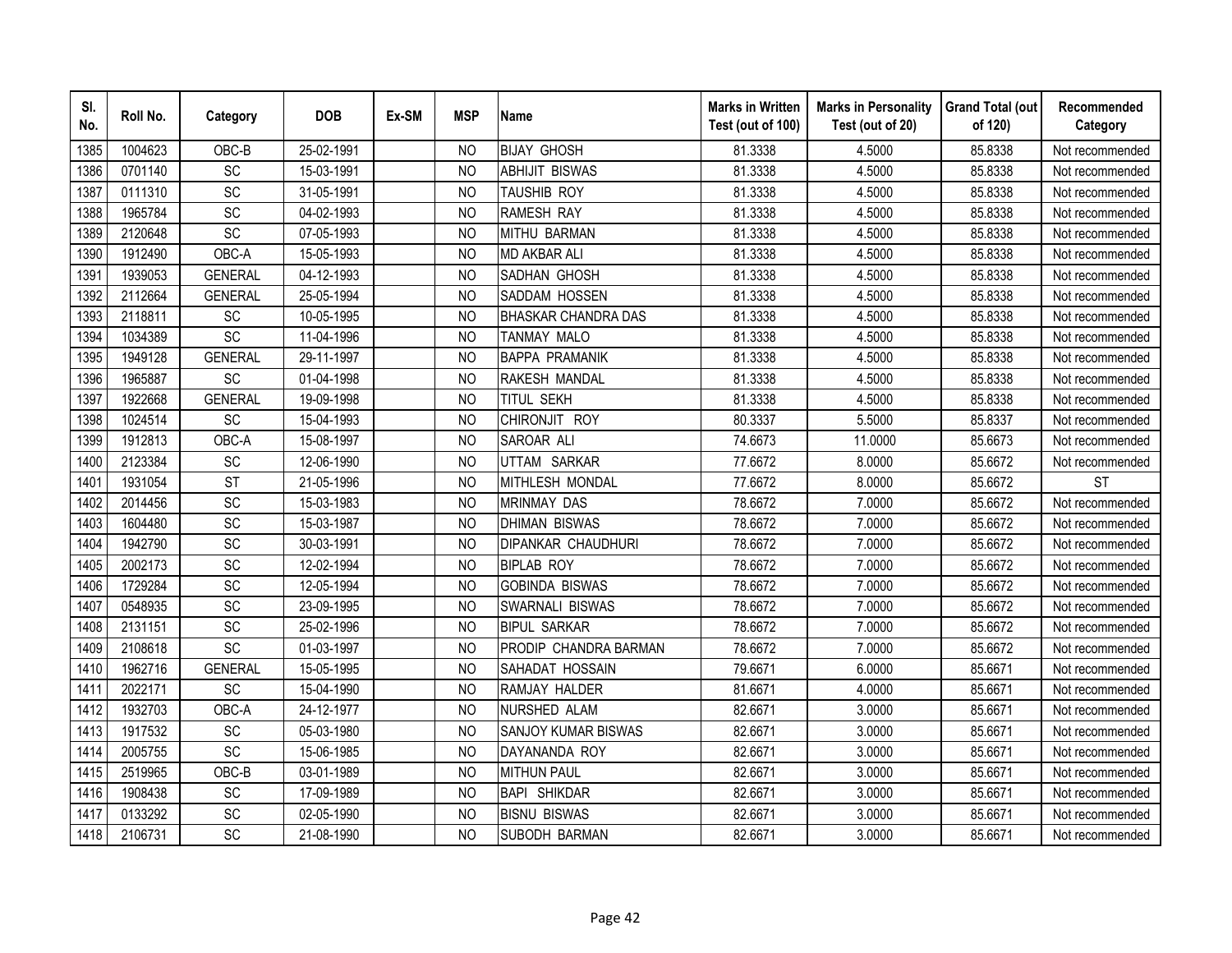| SI.<br>No. | Roll No. | Category        | <b>DOB</b> | Ex-SM | <b>MSP</b>     | <b>Name</b>                | <b>Marks in Written</b><br>Test (out of 100) | <b>Marks in Personality</b><br>Test (out of 20) | <b>Grand Total (out</b><br>of 120) | Recommended<br>Category |
|------------|----------|-----------------|------------|-------|----------------|----------------------------|----------------------------------------------|-------------------------------------------------|------------------------------------|-------------------------|
| 1385       | 1004623  | OBC-B           | 25-02-1991 |       | N <sub>O</sub> | <b>BIJAY GHOSH</b>         | 81.3338                                      | 4.5000                                          | 85.8338                            | Not recommended         |
| 1386       | 0701140  | $\overline{SC}$ | 15-03-1991 |       | <b>NO</b>      | <b>ABHIJIT BISWAS</b>      | 81.3338                                      | 4.5000                                          | 85.8338                            | Not recommended         |
| 1387       | 0111310  | SC              | 31-05-1991 |       | <b>NO</b>      | <b>TAUSHIB ROY</b>         | 81.3338                                      | 4.5000                                          | 85.8338                            | Not recommended         |
| 1388       | 1965784  | SC              | 04-02-1993 |       | <b>NO</b>      | <b>RAMESH RAY</b>          | 81.3338                                      | 4.5000                                          | 85.8338                            | Not recommended         |
| 1389       | 2120648  | SC              | 07-05-1993 |       | <b>NO</b>      | <b>MITHU BARMAN</b>        | 81.3338                                      | 4.5000                                          | 85.8338                            | Not recommended         |
| 1390       | 1912490  | OBC-A           | 15-05-1993 |       | <b>NO</b>      | <b>MD AKBAR ALI</b>        | 81.3338                                      | 4.5000                                          | 85.8338                            | Not recommended         |
| 1391       | 1939053  | <b>GENERAL</b>  | 04-12-1993 |       | N <sub>O</sub> | SADHAN GHOSH               | 81.3338                                      | 4.5000                                          | 85.8338                            | Not recommended         |
| 1392       | 2112664  | <b>GENERAL</b>  | 25-05-1994 |       | N <sub>O</sub> | SADDAM HOSSEN              | 81.3338                                      | 4.5000                                          | 85.8338                            | Not recommended         |
| 1393       | 2118811  | SC              | 10-05-1995 |       | <b>NO</b>      | <b>BHASKAR CHANDRA DAS</b> | 81.3338                                      | 4.5000                                          | 85.8338                            | Not recommended         |
| 1394       | 1034389  | SC              | 11-04-1996 |       | <b>NO</b>      | <b>TANMAY MALO</b>         | 81.3338                                      | 4.5000                                          | 85.8338                            | Not recommended         |
| 1395       | 1949128  | <b>GENERAL</b>  | 29-11-1997 |       | <b>NO</b>      | <b>BAPPA PRAMANIK</b>      | 81.3338                                      | 4.5000                                          | 85.8338                            | Not recommended         |
| 1396       | 1965887  | SC              | 01-04-1998 |       | <b>NO</b>      | RAKESH MANDAL              | 81.3338                                      | 4.5000                                          | 85.8338                            | Not recommended         |
| 1397       | 1922668  | <b>GENERAL</b>  | 19-09-1998 |       | <b>NO</b>      | <b>TITUL SEKH</b>          | 81.3338                                      | 4.5000                                          | 85.8338                            | Not recommended         |
| 1398       | 1024514  | SC              | 15-04-1993 |       | <b>NO</b>      | CHIRONJIT ROY              | 80.3337                                      | 5.5000                                          | 85.8337                            | Not recommended         |
| 1399       | 1912813  | OBC-A           | 15-08-1997 |       | <b>NO</b>      | SAROAR ALI                 | 74.6673                                      | 11.0000                                         | 85.6673                            | Not recommended         |
| 1400       | 2123384  | SC              | 12-06-1990 |       | <b>NO</b>      | UTTAM SARKAR               | 77.6672                                      | 8.0000                                          | 85.6672                            | Not recommended         |
| 1401       | 1931054  | <b>ST</b>       | 21-05-1996 |       | <b>NO</b>      | MITHLESH MONDAL            | 77.6672                                      | 8.0000                                          | 85.6672                            | <b>ST</b>               |
| 1402       | 2014456  | SC              | 15-03-1983 |       | <b>NO</b>      | <b>MRINMAY DAS</b>         | 78.6672                                      | 7.0000                                          | 85.6672                            | Not recommended         |
| 1403       | 1604480  | $\overline{SC}$ | 15-03-1987 |       | <b>NO</b>      | <b>DHIMAN BISWAS</b>       | 78.6672                                      | 7.0000                                          | 85.6672                            | Not recommended         |
| 1404       | 1942790  | SC              | 30-03-1991 |       | <b>NO</b>      | <b>DIPANKAR CHAUDHURI</b>  | 78.6672                                      | 7.0000                                          | 85.6672                            | Not recommended         |
| 1405       | 2002173  | SC              | 12-02-1994 |       | <b>NO</b>      | <b>BIPLAB ROY</b>          | 78.6672                                      | 7.0000                                          | 85.6672                            | Not recommended         |
| 1406       | 1729284  | SC              | 12-05-1994 |       | <b>NO</b>      | <b>GOBINDA BISWAS</b>      | 78.6672                                      | 7.0000                                          | 85.6672                            | Not recommended         |
| 1407       | 0548935  | SC              | 23-09-1995 |       | <b>NO</b>      | SWARNALI BISWAS            | 78.6672                                      | 7.0000                                          | 85.6672                            | Not recommended         |
| 1408       | 2131151  | SC              | 25-02-1996 |       | N <sub>O</sub> | <b>BIPUL SARKAR</b>        | 78.6672                                      | 7.0000                                          | 85.6672                            | Not recommended         |
| 1409       | 2108618  | SC              | 01-03-1997 |       | <b>NO</b>      | PRODIP CHANDRA BARMAN      | 78.6672                                      | 7.0000                                          | 85.6672                            | Not recommended         |
| 1410       | 1962716  | <b>GENERAL</b>  | 15-05-1995 |       | <b>NO</b>      | SAHADAT HOSSAIN            | 79.6671                                      | 6.0000                                          | 85.6671                            | Not recommended         |
| 1411       | 2022171  | SC              | 15-04-1990 |       | NO             | RAMJAY HALDER              | 81.6671                                      | 4.0000                                          | 85.6671                            | Not recommended         |
| 1412       | 1932703  | OBC-A           | 24-12-1977 |       | N <sub>O</sub> | NURSHED ALAM               | 82.6671                                      | 3.0000                                          | 85.6671                            | Not recommended         |
| 1413       | 1917532  | SC              | 05-03-1980 |       | <b>NO</b>      | SANJOY KUMAR BISWAS        | 82.6671                                      | 3.0000                                          | 85.6671                            | Not recommended         |
| 1414       | 2005755  | SC              | 15-06-1985 |       | <b>NO</b>      | DAYANANDA ROY              | 82.6671                                      | 3.0000                                          | 85.6671                            | Not recommended         |
| 1415       | 2519965  | OBC-B           | 03-01-1989 |       | <b>NO</b>      | <b>MITHUN PAUL</b>         | 82.6671                                      | 3.0000                                          | 85.6671                            | Not recommended         |
| 1416       | 1908438  | SC              | 17-09-1989 |       | <b>NO</b>      | <b>BAPI SHIKDAR</b>        | 82.6671                                      | 3.0000                                          | 85.6671                            | Not recommended         |
| 1417       | 0133292  | SC              | 02-05-1990 |       | <b>NO</b>      | <b>BISNU BISWAS</b>        | 82.6671                                      | 3.0000                                          | 85.6671                            | Not recommended         |
| 1418       | 2106731  | SC              | 21-08-1990 |       | <b>NO</b>      | <b>SUBODH BARMAN</b>       | 82.6671                                      | 3.0000                                          | 85.6671                            | Not recommended         |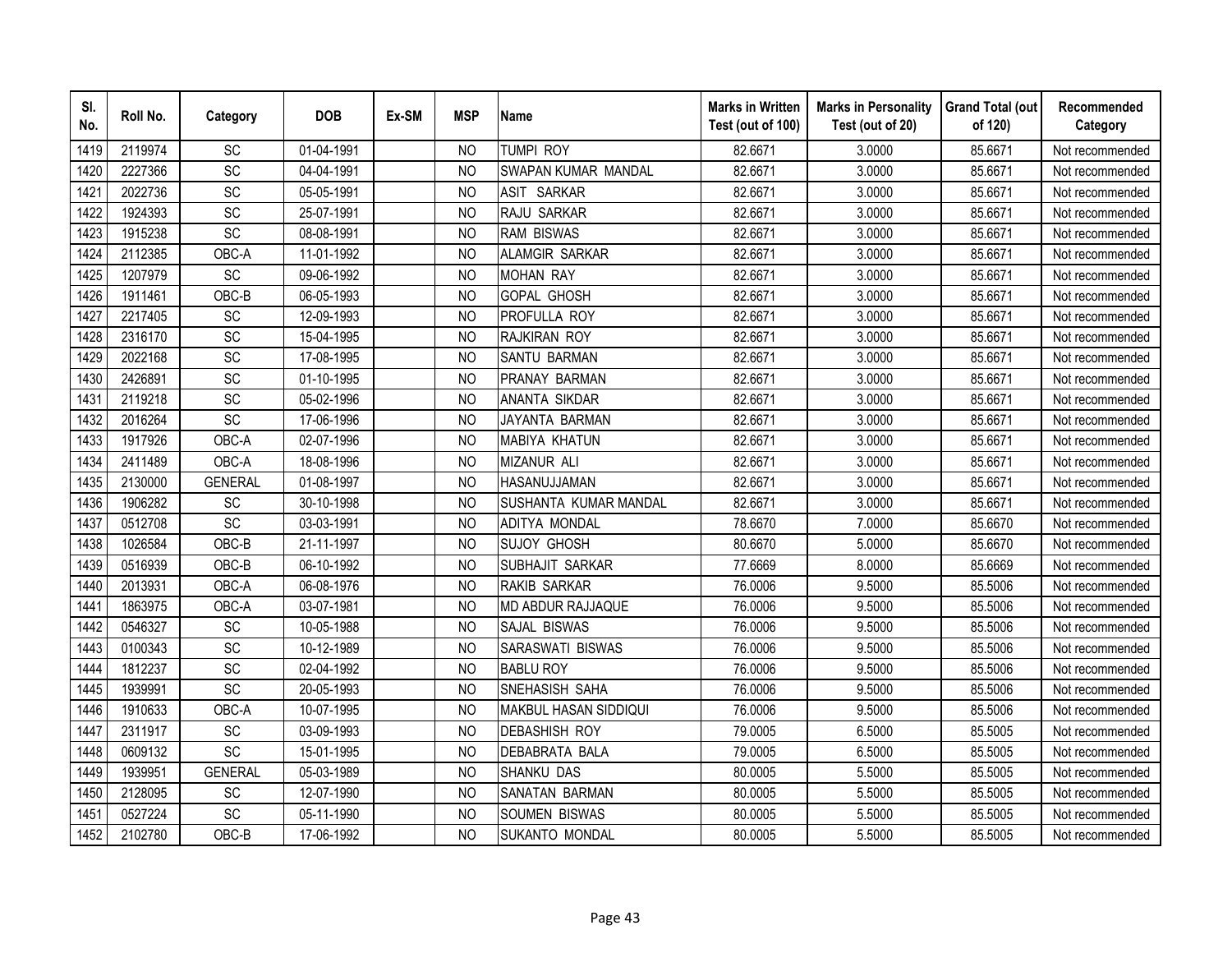| SI.<br>No. | Roll No. | Category        | <b>DOB</b> | Ex-SM | <b>MSP</b>     | <b>Name</b>                  | <b>Marks in Written</b><br>Test (out of 100) | <b>Marks in Personality</b><br>Test (out of 20) | <b>Grand Total (out</b><br>of 120) | Recommended<br>Category |
|------------|----------|-----------------|------------|-------|----------------|------------------------------|----------------------------------------------|-------------------------------------------------|------------------------------------|-------------------------|
| 1419       | 2119974  | <b>SC</b>       | 01-04-1991 |       | <b>NO</b>      | <b>TUMPI ROY</b>             | 82.6671                                      | 3.0000                                          | 85.6671                            | Not recommended         |
| 1420       | 2227366  | $\overline{SC}$ | 04-04-1991 |       | <sub>NO</sub>  | SWAPAN KUMAR MANDAL          | 82.6671                                      | 3.0000                                          | 85.6671                            | Not recommended         |
| 1421       | 2022736  | SC              | 05-05-1991 |       | <b>NO</b>      | <b>ASIT</b><br><b>SARKAR</b> | 82.6671                                      | 3.0000                                          | 85.6671                            | Not recommended         |
| 1422       | 1924393  | SC              | 25-07-1991 |       | <sub>NO</sub>  | RAJU SARKAR                  | 82.6671                                      | 3.0000                                          | 85.6671                            | Not recommended         |
| 1423       | 1915238  | SC              | 08-08-1991 |       | <b>NO</b>      | <b>RAM BISWAS</b>            | 82.6671                                      | 3.0000                                          | 85.6671                            | Not recommended         |
| 1424       | 2112385  | OBC-A           | 11-01-1992 |       | N <sub>O</sub> | <b>ALAMGIR SARKAR</b>        | 82.6671                                      | 3.0000                                          | 85.6671                            | Not recommended         |
| 1425       | 1207979  | SC              | 09-06-1992 |       | NO             | <b>MOHAN RAY</b>             | 82.6671                                      | 3.0000                                          | 85.6671                            | Not recommended         |
| 1426       | 1911461  | OBC-B           | 06-05-1993 |       | <sub>NO</sub>  | <b>GOPAL GHOSH</b>           | 82.6671                                      | 3.0000                                          | 85.6671                            | Not recommended         |
| 1427       | 2217405  | SC              | 12-09-1993 |       | <sub>NO</sub>  | PROFULLA ROY                 | 82.6671                                      | 3.0000                                          | 85.6671                            | Not recommended         |
| 1428       | 2316170  | SC              | 15-04-1995 |       | N <sub>O</sub> | RAJKIRAN ROY                 | 82.6671                                      | 3.0000                                          | 85.6671                            | Not recommended         |
| 1429       | 2022168  | SC              | 17-08-1995 |       | <b>NO</b>      | <b>SANTU BARMAN</b>          | 82.6671                                      | 3.0000                                          | 85.6671                            | Not recommended         |
| 1430       | 2426891  | SC              | 01-10-1995 |       | <b>NO</b>      | PRANAY BARMAN                | 82.6671                                      | 3.0000                                          | 85.6671                            | Not recommended         |
| 1431       | 2119218  | SC              | 05-02-1996 |       | <b>NO</b>      | <b>ANANTA SIKDAR</b>         | 82.6671                                      | 3.0000                                          | 85.6671                            | Not recommended         |
| 1432       | 2016264  | SC              | 17-06-1996 |       | <b>NO</b>      | JAYANTA BARMAN               | 82.6671                                      | 3.0000                                          | 85.6671                            | Not recommended         |
| 1433       | 1917926  | OBC-A           | 02-07-1996 |       | <b>NO</b>      | <b>MABIYA KHATUN</b>         | 82.6671                                      | 3.0000                                          | 85.6671                            | Not recommended         |
| 1434       | 2411489  | OBC-A           | 18-08-1996 |       | <b>NO</b>      | <b>MIZANUR ALI</b>           | 82.6671                                      | 3.0000                                          | 85.6671                            | Not recommended         |
| 1435       | 2130000  | <b>GENERAL</b>  | 01-08-1997 |       | <b>NO</b>      | HASANUJJAMAN                 | 82.6671                                      | 3.0000                                          | 85.6671                            | Not recommended         |
| 1436       | 1906282  | SC              | 30-10-1998 |       | N <sub>O</sub> | SUSHANTA KUMAR MANDAL        | 82.6671                                      | 3.0000                                          | 85.6671                            | Not recommended         |
| 1437       | 0512708  | $\overline{SC}$ | 03-03-1991 |       | <b>NO</b>      | ADITYA MONDAL                | 78.6670                                      | 7.0000                                          | 85.6670                            | Not recommended         |
| 1438       | 1026584  | OBC-B           | 21-11-1997 |       | <b>NO</b>      | <b>SUJOY GHOSH</b>           | 80.6670                                      | 5.0000                                          | 85.6670                            | Not recommended         |
| 1439       | 0516939  | OBC-B           | 06-10-1992 |       | <b>NO</b>      | SUBHAJIT SARKAR              | 77.6669                                      | 8.0000                                          | 85.6669                            | Not recommended         |
| 1440       | 2013931  | OBC-A           | 06-08-1976 |       | <b>NO</b>      | <b>RAKIB SARKAR</b>          | 76.0006                                      | 9.5000                                          | 85.5006                            | Not recommended         |
| 1441       | 1863975  | OBC-A           | 03-07-1981 |       | N <sub>O</sub> | MD ABDUR RAJJAQUE            | 76.0006                                      | 9.5000                                          | 85.5006                            | Not recommended         |
| 1442       | 0546327  | SC              | 10-05-1988 |       | <b>NO</b>      | SAJAL BISWAS                 | 76.0006                                      | 9.5000                                          | 85.5006                            | Not recommended         |
| 1443       | 0100343  | SC              | 10-12-1989 |       | <b>NO</b>      | SARASWATI BISWAS             | 76.0006                                      | 9.5000                                          | 85.5006                            | Not recommended         |
| 1444       | 1812237  | SC              | 02-04-1992 |       | <b>NO</b>      | <b>BABLU ROY</b>             | 76.0006                                      | 9.5000                                          | 85.5006                            | Not recommended         |
| 1445       | 1939991  | $\overline{SC}$ | 20-05-1993 |       | N <sub>O</sub> | SNEHASISH SAHA               | 76.0006                                      | 9.5000                                          | 85.5006                            | Not recommended         |
| 1446       | 1910633  | OBC-A           | 10-07-1995 |       | <sub>NO</sub>  | MAKBUL HASAN SIDDIQUI        | 76.0006                                      | 9.5000                                          | 85.5006                            | Not recommended         |
| 1447       | 2311917  | SC              | 03-09-1993 |       | <b>NO</b>      | <b>DEBASHISH ROY</b>         | 79.0005                                      | 6.5000                                          | 85.5005                            | Not recommended         |
| 1448       | 0609132  | SC              | 15-01-1995 |       | <sub>NO</sub>  | <b>DEBABRATA BALA</b>        | 79.0005                                      | 6.5000                                          | 85.5005                            | Not recommended         |
| 1449       | 1939951  | <b>GENERAL</b>  | 05-03-1989 |       | N <sub>O</sub> | <b>SHANKU DAS</b>            | 80.0005                                      | 5.5000                                          | 85.5005                            | Not recommended         |
| 1450       | 2128095  | SC              | 12-07-1990 |       | <b>NO</b>      | SANATAN BARMAN               | 80.0005                                      | 5.5000                                          | 85.5005                            | Not recommended         |
| 1451       | 0527224  | SC              | 05-11-1990 |       | <b>NO</b>      | <b>SOUMEN BISWAS</b>         | 80.0005                                      | 5.5000                                          | 85.5005                            | Not recommended         |
| 1452       | 2102780  | OBC-B           | 17-06-1992 |       | <b>NO</b>      | SUKANTO MONDAL               | 80.0005                                      | 5.5000                                          | 85.5005                            | Not recommended         |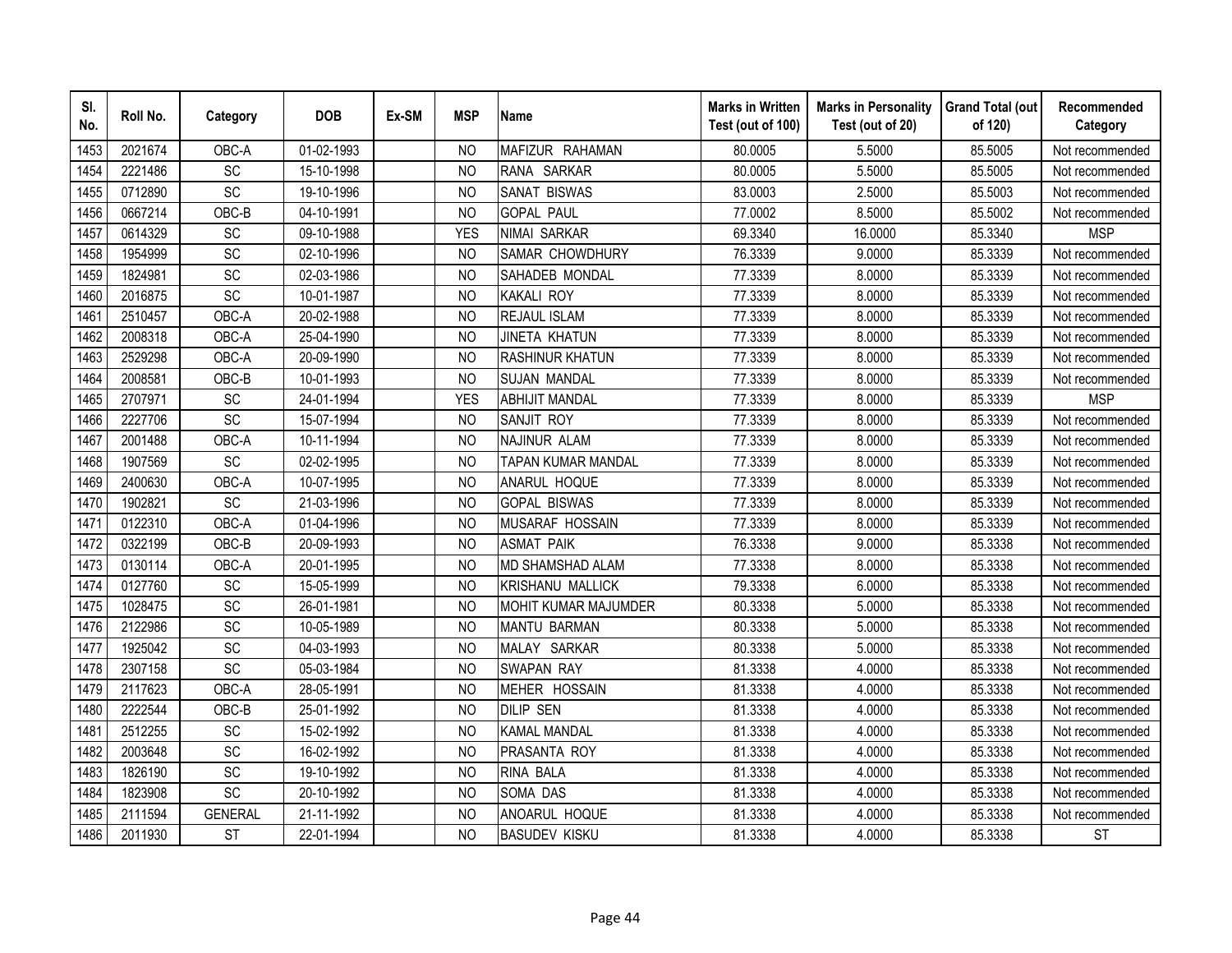| SI.<br>No. | Roll No. | Category        | <b>DOB</b> | Ex-SM | <b>MSP</b>     | <b>Name</b>                 | <b>Marks in Written</b><br>Test (out of 100) | <b>Marks in Personality</b><br>Test (out of 20) | <b>Grand Total (out</b><br>of 120) | Recommended<br>Category |
|------------|----------|-----------------|------------|-------|----------------|-----------------------------|----------------------------------------------|-------------------------------------------------|------------------------------------|-------------------------|
| 1453       | 2021674  | OBC-A           | 01-02-1993 |       | N <sub>O</sub> | MAFIZUR RAHAMAN             | 80.0005                                      | 5.5000                                          | 85.5005                            | Not recommended         |
| 1454       | 2221486  | $\overline{SC}$ | 15-10-1998 |       | <b>NO</b>      | RANA SARKAR                 | 80.0005                                      | 5.5000                                          | 85.5005                            | Not recommended         |
| 1455       | 0712890  | SC              | 19-10-1996 |       | <b>NO</b>      | <b>SANAT BISWAS</b>         | 83.0003                                      | 2.5000                                          | 85.5003                            | Not recommended         |
| 1456       | 0667214  | OBC-B           | 04-10-1991 |       | <b>NO</b>      | <b>GOPAL PAUL</b>           | 77.0002                                      | 8.5000                                          | 85.5002                            | Not recommended         |
| 1457       | 0614329  | SC              | 09-10-1988 |       | <b>YES</b>     | NIMAI SARKAR                | 69.3340                                      | 16.0000                                         | 85.3340                            | <b>MSP</b>              |
| 1458       | 1954999  | SC              | 02-10-1996 |       | N <sub>O</sub> | SAMAR CHOWDHURY             | 76.3339                                      | 9.0000                                          | 85.3339                            | Not recommended         |
| 1459       | 1824981  | SC              | 02-03-1986 |       | <b>NO</b>      | SAHADEB MONDAL              | 77.3339                                      | 8.0000                                          | 85.3339                            | Not recommended         |
| 1460       | 2016875  | SC              | 10-01-1987 |       | <b>NO</b>      | <b>KAKALI ROY</b>           | 77.3339                                      | 8.0000                                          | 85.3339                            | Not recommended         |
| 1461       | 2510457  | OBC-A           | 20-02-1988 |       | <b>NO</b>      | <b>REJAUL ISLAM</b>         | 77.3339                                      | 8.0000                                          | 85.3339                            | Not recommended         |
| 1462       | 2008318  | OBC-A           | 25-04-1990 |       | N <sub>O</sub> | <b>JINETA KHATUN</b>        | 77.3339                                      | 8.0000                                          | 85.3339                            | Not recommended         |
| 1463       | 2529298  | OBC-A           | 20-09-1990 |       | N <sub>O</sub> | <b>RASHINUR KHATUN</b>      | 77.3339                                      | 8.0000                                          | 85.3339                            | Not recommended         |
| 1464       | 2008581  | OBC-B           | 10-01-1993 |       | <b>NO</b>      | <b>SUJAN MANDAL</b>         | 77.3339                                      | 8.0000                                          | 85.3339                            | Not recommended         |
| 1465       | 2707971  | SC              | 24-01-1994 |       | <b>YES</b>     | <b>ABHIJIT MANDAL</b>       | 77.3339                                      | 8.0000                                          | 85.3339                            | <b>MSP</b>              |
| 1466       | 2227706  | SC              | 15-07-1994 |       | <b>NO</b>      | SANJIT ROY                  | 77.3339                                      | 8.0000                                          | 85.3339                            | Not recommended         |
| 1467       | 2001488  | OBC-A           | 10-11-1994 |       | N <sub>O</sub> | NAJINUR ALAM                | 77.3339                                      | 8.0000                                          | 85.3339                            | Not recommended         |
| 1468       | 1907569  | SC              | 02-02-1995 |       | <b>NO</b>      | <b>TAPAN KUMAR MANDAL</b>   | 77.3339                                      | 8.0000                                          | 85.3339                            | Not recommended         |
| 1469       | 2400630  | OBC-A           | 10-07-1995 |       | N <sub>O</sub> | ANARUL HOQUE                | 77.3339                                      | 8.0000                                          | 85.3339                            | Not recommended         |
| 1470       | 1902821  | SC              | 21-03-1996 |       | N <sub>O</sub> | <b>GOPAL BISWAS</b>         | 77.3339                                      | 8.0000                                          | 85.3339                            | Not recommended         |
| 1471       | 0122310  | OBC-A           | 01-04-1996 |       | N <sub>O</sub> | MUSARAF HOSSAIN             | 77.3339                                      | 8.0000                                          | 85.3339                            | Not recommended         |
| 1472       | 0322199  | OBC-B           | 20-09-1993 |       | <b>NO</b>      | <b>ASMAT PAIK</b>           | 76.3338                                      | 9.0000                                          | 85.3338                            | Not recommended         |
| 1473       | 0130114  | OBC-A           | 20-01-1995 |       | N <sub>O</sub> | <b>MD SHAMSHAD ALAM</b>     | 77.3338                                      | 8.0000                                          | 85.3338                            | Not recommended         |
| 1474       | 0127760  | SC              | 15-05-1999 |       | N <sub>O</sub> | <b>KRISHANU MALLICK</b>     | 79.3338                                      | 6.0000                                          | 85.3338                            | Not recommended         |
| 1475       | 1028475  | SC              | 26-01-1981 |       | N <sub>O</sub> | <b>MOHIT KUMAR MAJUMDER</b> | 80.3338                                      | 5.0000                                          | 85.3338                            | Not recommended         |
| 1476       | 2122986  | SC              | 10-05-1989 |       | <b>NO</b>      | <b>MANTU BARMAN</b>         | 80.3338                                      | 5.0000                                          | 85.3338                            | Not recommended         |
| 1477       | 1925042  | SC              | 04-03-1993 |       | <b>NO</b>      | MALAY SARKAR                | 80.3338                                      | 5.0000                                          | 85.3338                            | Not recommended         |
| 1478       | 2307158  | SC              | 05-03-1984 |       | <b>NO</b>      | <b>SWAPAN RAY</b>           | 81.3338                                      | 4.0000                                          | 85.3338                            | Not recommended         |
| 1479       | 2117623  | OBC-A           | 28-05-1991 |       | <b>NO</b>      | MEHER HOSSAIN               | 81.3338                                      | 4.0000                                          | 85.3338                            | Not recommended         |
| 1480       | 2222544  | OBC-B           | 25-01-1992 |       | <b>NO</b>      | <b>DILIP SEN</b>            | 81.3338                                      | 4.0000                                          | 85.3338                            | Not recommended         |
| 1481       | 2512255  | SC              | 15-02-1992 |       | <b>NO</b>      | <b>KAMAL MANDAL</b>         | 81.3338                                      | 4.0000                                          | 85.3338                            | Not recommended         |
| 1482       | 2003648  | SC              | 16-02-1992 |       | N <sub>O</sub> | PRASANTA ROY                | 81.3338                                      | 4.0000                                          | 85.3338                            | Not recommended         |
| 1483       | 1826190  | SC              | 19-10-1992 |       | <b>NO</b>      | RINA BALA                   | 81.3338                                      | 4.0000                                          | 85.3338                            | Not recommended         |
| 1484       | 1823908  | $\overline{SC}$ | 20-10-1992 |       | <b>NO</b>      | <b>SOMA DAS</b>             | 81.3338                                      | 4.0000                                          | 85.3338                            | Not recommended         |
| 1485       | 2111594  | <b>GENERAL</b>  | 21-11-1992 |       | N <sub>O</sub> | ANOARUL HOQUE               | 81.3338                                      | 4.0000                                          | 85.3338                            | Not recommended         |
| 1486       | 2011930  | <b>ST</b>       | 22-01-1994 |       | <b>NO</b>      | <b>BASUDEV KISKU</b>        | 81.3338                                      | 4.0000                                          | 85.3338                            | <b>ST</b>               |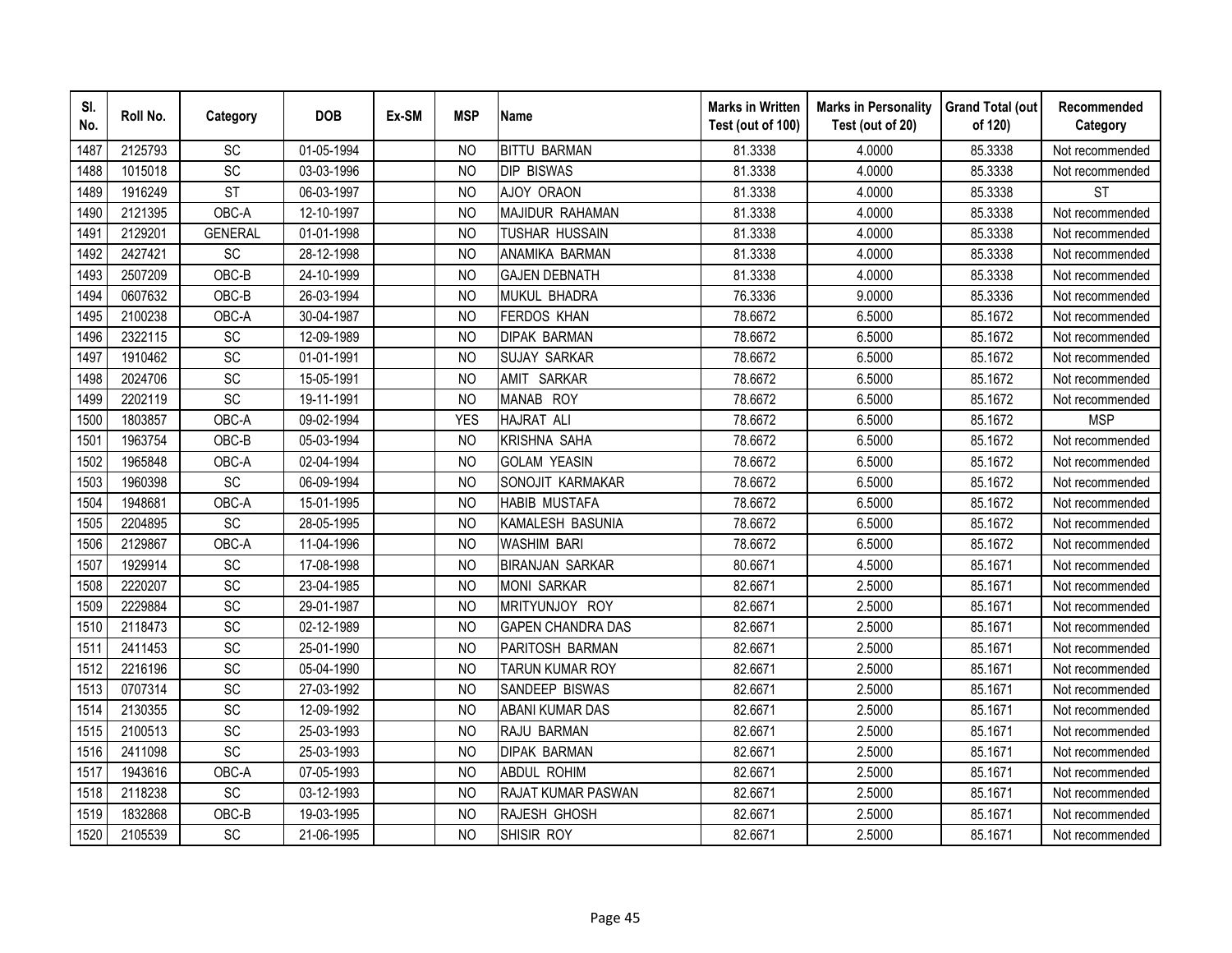| SI.<br>No. | Roll No. | Category        | <b>DOB</b> | Ex-SM | <b>MSP</b>     | <b>Name</b>              | <b>Marks in Written</b><br>Test (out of 100) | <b>Marks in Personality</b><br>Test (out of 20) | <b>Grand Total (out</b><br>of 120) | Recommended<br>Category |
|------------|----------|-----------------|------------|-------|----------------|--------------------------|----------------------------------------------|-------------------------------------------------|------------------------------------|-------------------------|
| 1487       | 2125793  | SC              | 01-05-1994 |       | N <sub>O</sub> | <b>BITTU BARMAN</b>      | 81.3338                                      | 4.0000                                          | 85.3338                            | Not recommended         |
| 1488       | 1015018  | $\overline{SC}$ | 03-03-1996 |       | N <sub>O</sub> | <b>DIP BISWAS</b>        | 81.3338                                      | 4.0000                                          | 85.3338                            | Not recommended         |
| 1489       | 1916249  | <b>ST</b>       | 06-03-1997 |       | <b>NO</b>      | AJOY ORAON               | 81.3338                                      | 4.0000                                          | 85.3338                            | <b>ST</b>               |
| 1490       | 2121395  | OBC-A           | 12-10-1997 |       | <b>NO</b>      | MAJIDUR RAHAMAN          | 81.3338                                      | 4.0000                                          | 85.3338                            | Not recommended         |
| 1491       | 2129201  | <b>GENERAL</b>  | 01-01-1998 |       | N <sub>O</sub> | TUSHAR HUSSAIN           | 81.3338                                      | 4.0000                                          | 85.3338                            | Not recommended         |
| 1492       | 2427421  | SC              | 28-12-1998 |       | N <sub>O</sub> | ANAMIKA BARMAN           | 81.3338                                      | 4.0000                                          | 85.3338                            | Not recommended         |
| 1493       | 2507209  | OBC-B           | 24-10-1999 |       | <sub>NO</sub>  | <b>GAJEN DEBNATH</b>     | 81.3338                                      | 4.0000                                          | 85.3338                            | Not recommended         |
| 1494       | 0607632  | OBC-B           | 26-03-1994 |       | <b>NO</b>      | MUKUL BHADRA             | 76.3336                                      | 9.0000                                          | 85.3336                            | Not recommended         |
| 1495       | 2100238  | OBC-A           | 30-04-1987 |       | N <sub>O</sub> | <b>FERDOS KHAN</b>       | 78.6672                                      | 6.5000                                          | 85.1672                            | Not recommended         |
| 1496       | 2322115  | SC              | 12-09-1989 |       | N <sub>O</sub> | <b>DIPAK BARMAN</b>      | 78.6672                                      | 6.5000                                          | 85.1672                            | Not recommended         |
| 1497       | 1910462  | SC              | 01-01-1991 |       | <b>NO</b>      | <b>SUJAY SARKAR</b>      | 78.6672                                      | 6.5000                                          | 85.1672                            | Not recommended         |
| 1498       | 2024706  | SC              | 15-05-1991 |       | <b>NO</b>      | AMIT SARKAR              | 78.6672                                      | 6.5000                                          | 85.1672                            | Not recommended         |
| 1499       | 2202119  | SC              | 19-11-1991 |       | <b>NO</b>      | MANAB ROY                | 78.6672                                      | 6.5000                                          | 85.1672                            | Not recommended         |
| 1500       | 1803857  | OBC-A           | 09-02-1994 |       | <b>YES</b>     | <b>HAJRAT ALI</b>        | 78.6672                                      | 6.5000                                          | 85.1672                            | <b>MSP</b>              |
| 1501       | 1963754  | OBC-B           | 05-03-1994 |       | <b>NO</b>      | <b>KRISHNA SAHA</b>      | 78.6672                                      | 6.5000                                          | 85.1672                            | Not recommended         |
| 1502       | 1965848  | OBC-A           | 02-04-1994 |       | <b>NO</b>      | <b>GOLAM YEASIN</b>      | 78.6672                                      | 6.5000                                          | 85.1672                            | Not recommended         |
| 1503       | 1960398  | SC              | 06-09-1994 |       | <b>NO</b>      | SONOJIT KARMAKAR         | 78.6672                                      | 6.5000                                          | 85.1672                            | Not recommended         |
| 1504       | 1948681  | OBC-A           | 15-01-1995 |       | N <sub>O</sub> | <b>HABIB MUSTAFA</b>     | 78.6672                                      | 6.5000                                          | 85.1672                            | Not recommended         |
| 1505       | 2204895  | SC              | 28-05-1995 |       | <b>NO</b>      | KAMALESH BASUNIA         | 78.6672                                      | 6.5000                                          | 85.1672                            | Not recommended         |
| 1506       | 2129867  | OBC-A           | 11-04-1996 |       | <b>NO</b>      | <b>WASHIM BARI</b>       | 78.6672                                      | 6.5000                                          | 85.1672                            | Not recommended         |
| 1507       | 1929914  | SC              | 17-08-1998 |       | N <sub>O</sub> | <b>BIRANJAN SARKAR</b>   | 80.6671                                      | 4.5000                                          | 85.1671                            | Not recommended         |
| 1508       | 2220207  | $\overline{SC}$ | 23-04-1985 |       | N <sub>O</sub> | <b>MONI SARKAR</b>       | 82.6671                                      | 2.5000                                          | 85.1671                            | Not recommended         |
| 1509       | 2229884  | SC              | 29-01-1987 |       | N <sub>O</sub> | MRITYUNJOY ROY           | 82.6671                                      | 2.5000                                          | 85.1671                            | Not recommended         |
| 1510       | 2118473  | SC              | 02-12-1989 |       | <b>NO</b>      | <b>GAPEN CHANDRA DAS</b> | 82.6671                                      | 2.5000                                          | 85.1671                            | Not recommended         |
| 1511       | 2411453  | SC              | 25-01-1990 |       | <b>NO</b>      | PARITOSH BARMAN          | 82.6671                                      | 2.5000                                          | 85.1671                            | Not recommended         |
| 1512       | 2216196  | SC              | 05-04-1990 |       | N <sub>O</sub> | TARUN KUMAR ROY          | 82.6671                                      | 2.5000                                          | 85.1671                            | Not recommended         |
| 1513       | 0707314  | SC              | 27-03-1992 |       | N <sub>O</sub> | SANDEEP BISWAS           | 82.6671                                      | 2.5000                                          | 85.1671                            | Not recommended         |
| 1514       | 2130355  | SC              | 12-09-1992 |       | <sub>NO</sub>  | <b>ABANI KUMAR DAS</b>   | 82.6671                                      | 2.5000                                          | 85.1671                            | Not recommended         |
| 1515       | 2100513  | SC              | 25-03-1993 |       | <b>NO</b>      | RAJU BARMAN              | 82.6671                                      | 2.5000                                          | 85.1671                            | Not recommended         |
| 1516       | 2411098  | SC              | 25-03-1993 |       | N <sub>O</sub> | <b>DIPAK BARMAN</b>      | 82.6671                                      | 2.5000                                          | 85.1671                            | Not recommended         |
| 1517       | 1943616  | OBC-A           | 07-05-1993 |       | N <sub>O</sub> | <b>ABDUL ROHIM</b>       | 82.6671                                      | 2.5000                                          | 85.1671                            | Not recommended         |
| 1518       | 2118238  | SC              | 03-12-1993 |       | N <sub>O</sub> | RAJAT KUMAR PASWAN       | 82.6671                                      | 2.5000                                          | 85.1671                            | Not recommended         |
| 1519       | 1832868  | OBC-B           | 19-03-1995 |       | <b>NO</b>      | RAJESH GHOSH             | 82.6671                                      | 2.5000                                          | 85.1671                            | Not recommended         |
| 1520       | 2105539  | <b>SC</b>       | 21-06-1995 |       | <b>NO</b>      | SHISIR ROY               | 82.6671                                      | 2.5000                                          | 85.1671                            | Not recommended         |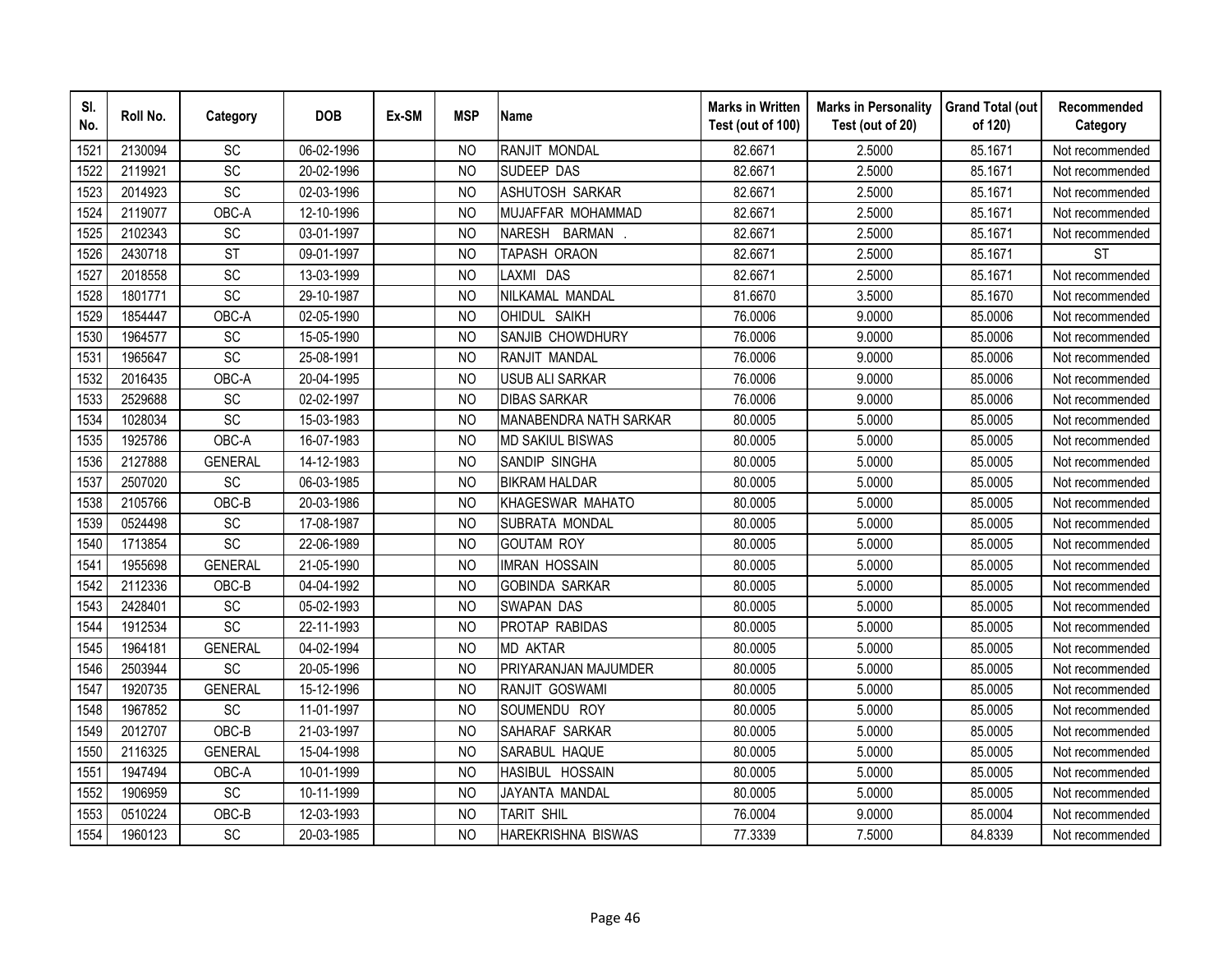| SI.<br>No. | Roll No. | Category        | <b>DOB</b> | Ex-SM | <b>MSP</b>     | <b>Name</b>               | <b>Marks in Written</b><br>Test (out of 100) | <b>Marks in Personality</b><br>Test (out of 20) | <b>Grand Total (out</b><br>of 120) | Recommended<br>Category |
|------------|----------|-----------------|------------|-------|----------------|---------------------------|----------------------------------------------|-------------------------------------------------|------------------------------------|-------------------------|
| 1521       | 2130094  | SC              | 06-02-1996 |       | N <sub>O</sub> | RANJIT MONDAL             | 82.6671                                      | 2.5000                                          | 85.1671                            | Not recommended         |
| 1522       | 2119921  | $\overline{SC}$ | 20-02-1996 |       | <b>NO</b>      | SUDEEP DAS                | 82.6671                                      | 2.5000                                          | 85.1671                            | Not recommended         |
| 1523       | 2014923  | SC              | 02-03-1996 |       | N <sub>O</sub> | ASHUTOSH SARKAR           | 82.6671                                      | 2.5000                                          | 85.1671                            | Not recommended         |
| 1524       | 2119077  | OBC-A           | 12-10-1996 |       | N <sub>O</sub> | MUJAFFAR MOHAMMAD         | 82.6671                                      | 2.5000                                          | 85.1671                            | Not recommended         |
| 1525       | 2102343  | SC              | 03-01-1997 |       | <b>NO</b>      | NARESH BARMAN             | 82.6671                                      | 2.5000                                          | 85.1671                            | Not recommended         |
| 1526       | 2430718  | <b>ST</b>       | 09-01-1997 |       | <sub>NO</sub>  | TAPASH ORAON              | 82.6671                                      | 2.5000                                          | 85.1671                            | <b>ST</b>               |
| 1527       | 2018558  | SC              | 13-03-1999 |       | N <sub>O</sub> | LAXMI DAS                 | 82.6671                                      | 2.5000                                          | 85.1671                            | Not recommended         |
| 1528       | 1801771  | SC              | 29-10-1987 |       | N <sub>O</sub> | NILKAMAL MANDAL           | 81.6670                                      | 3.5000                                          | 85.1670                            | Not recommended         |
| 1529       | 1854447  | OBC-A           | 02-05-1990 |       | <sub>NO</sub>  | OHIDUL SAIKH              | 76.0006                                      | 9.0000                                          | 85.0006                            | Not recommended         |
| 1530       | 1964577  | SC              | 15-05-1990 |       | <b>NO</b>      | SANJIB CHOWDHURY          | 76.0006                                      | 9.0000                                          | 85.0006                            | Not recommended         |
| 1531       | 1965647  | $\overline{SC}$ | 25-08-1991 |       | <b>NO</b>      | RANJIT MANDAL             | 76.0006                                      | 9.0000                                          | 85.0006                            | Not recommended         |
| 1532       | 2016435  | OBC-A           | 20-04-1995 |       | <b>NO</b>      | <b>USUB ALI SARKAR</b>    | 76.0006                                      | 9.0000                                          | 85.0006                            | Not recommended         |
| 1533       | 2529688  | SC              | 02-02-1997 |       | <b>NO</b>      | <b>DIBAS SARKAR</b>       | 76.0006                                      | 9.0000                                          | 85.0006                            | Not recommended         |
| 1534       | 1028034  | SC              | 15-03-1983 |       | N <sub>O</sub> | MANABENDRA NATH SARKAR    | 80.0005                                      | 5.0000                                          | 85.0005                            | Not recommended         |
| 1535       | 1925786  | OBC-A           | 16-07-1983 |       | N <sub>O</sub> | <b>MD SAKIUL BISWAS</b>   | 80.0005                                      | 5.0000                                          | 85.0005                            | Not recommended         |
| 1536       | 2127888  | <b>GENERAL</b>  | 14-12-1983 |       | <b>NO</b>      | SANDIP SINGHA             | 80.0005                                      | 5.0000                                          | 85.0005                            | Not recommended         |
| 1537       | 2507020  | SC              | 06-03-1985 |       | <b>NO</b>      | <b>BIKRAM HALDAR</b>      | 80.0005                                      | 5.0000                                          | 85.0005                            | Not recommended         |
| 1538       | 2105766  | OBC-B           | 20-03-1986 |       | N <sub>O</sub> | KHAGESWAR MAHATO          | 80.0005                                      | 5.0000                                          | 85.0005                            | Not recommended         |
| 1539       | 0524498  | SC              | 17-08-1987 |       | <b>NO</b>      | SUBRATA MONDAL            | 80.0005                                      | 5.0000                                          | 85.0005                            | Not recommended         |
| 1540       | 1713854  | SC              | 22-06-1989 |       | N <sub>O</sub> | <b>GOUTAM ROY</b>         | 80.0005                                      | 5.0000                                          | 85.0005                            | Not recommended         |
| 1541       | 1955698  | <b>GENERAL</b>  | 21-05-1990 |       | N <sub>O</sub> | <b>IMRAN HOSSAIN</b>      | 80.0005                                      | 5.0000                                          | 85.0005                            | Not recommended         |
| 1542       | 2112336  | OBC-B           | 04-04-1992 |       | N <sub>O</sub> | <b>GOBINDA SARKAR</b>     | 80.0005                                      | 5.0000                                          | 85.0005                            | Not recommended         |
| 1543       | 2428401  | SC              | 05-02-1993 |       | <b>NO</b>      | <b>SWAPAN DAS</b>         | 80.0005                                      | 5.0000                                          | 85.0005                            | Not recommended         |
| 1544       | 1912534  | SC              | 22-11-1993 |       | <b>NO</b>      | PROTAP RABIDAS            | 80.0005                                      | 5.0000                                          | 85.0005                            | Not recommended         |
| 1545       | 1964181  | <b>GENERAL</b>  | 04-02-1994 |       | N <sub>O</sub> | <b>MD AKTAR</b>           | 80.0005                                      | 5.0000                                          | 85.0005                            | Not recommended         |
| 1546       | 2503944  | SC              | 20-05-1996 |       | <b>NO</b>      | PRIYARANJAN MAJUMDER      | 80.0005                                      | 5.0000                                          | 85.0005                            | Not recommended         |
| 1547       | 1920735  | <b>GENERAL</b>  | 15-12-1996 |       | <b>NO</b>      | RANJIT GOSWAMI            | 80.0005                                      | 5.0000                                          | 85.0005                            | Not recommended         |
| 1548       | 1967852  | SC              | 11-01-1997 |       | N <sub>O</sub> | SOUMENDU ROY              | 80.0005                                      | 5.0000                                          | 85.0005                            | Not recommended         |
| 1549       | 2012707  | OBC-B           | 21-03-1997 |       | <b>NO</b>      | SAHARAF SARKAR            | 80.0005                                      | 5.0000                                          | 85.0005                            | Not recommended         |
| 1550       | 2116325  | <b>GENERAL</b>  | 15-04-1998 |       | <b>NO</b>      | SARABUL HAQUE             | 80.0005                                      | 5.0000                                          | 85.0005                            | Not recommended         |
| 1551       | 1947494  | OBC-A           | 10-01-1999 |       | <b>NO</b>      | HASIBUL HOSSAIN           | 80.0005                                      | 5.0000                                          | 85.0005                            | Not recommended         |
| 1552       | 1906959  | <b>SC</b>       | 10-11-1999 |       | <b>NO</b>      | JAYANTA MANDAL            | 80.0005                                      | 5.0000                                          | 85.0005                            | Not recommended         |
| 1553       | 0510224  | OBC-B           | 12-03-1993 |       | <b>NO</b>      | TARIT SHIL                | 76.0004                                      | 9.0000                                          | 85.0004                            | Not recommended         |
| 1554       | 1960123  | SC              | 20-03-1985 |       | <b>NO</b>      | <b>HAREKRISHNA BISWAS</b> | 77.3339                                      | 7.5000                                          | 84.8339                            | Not recommended         |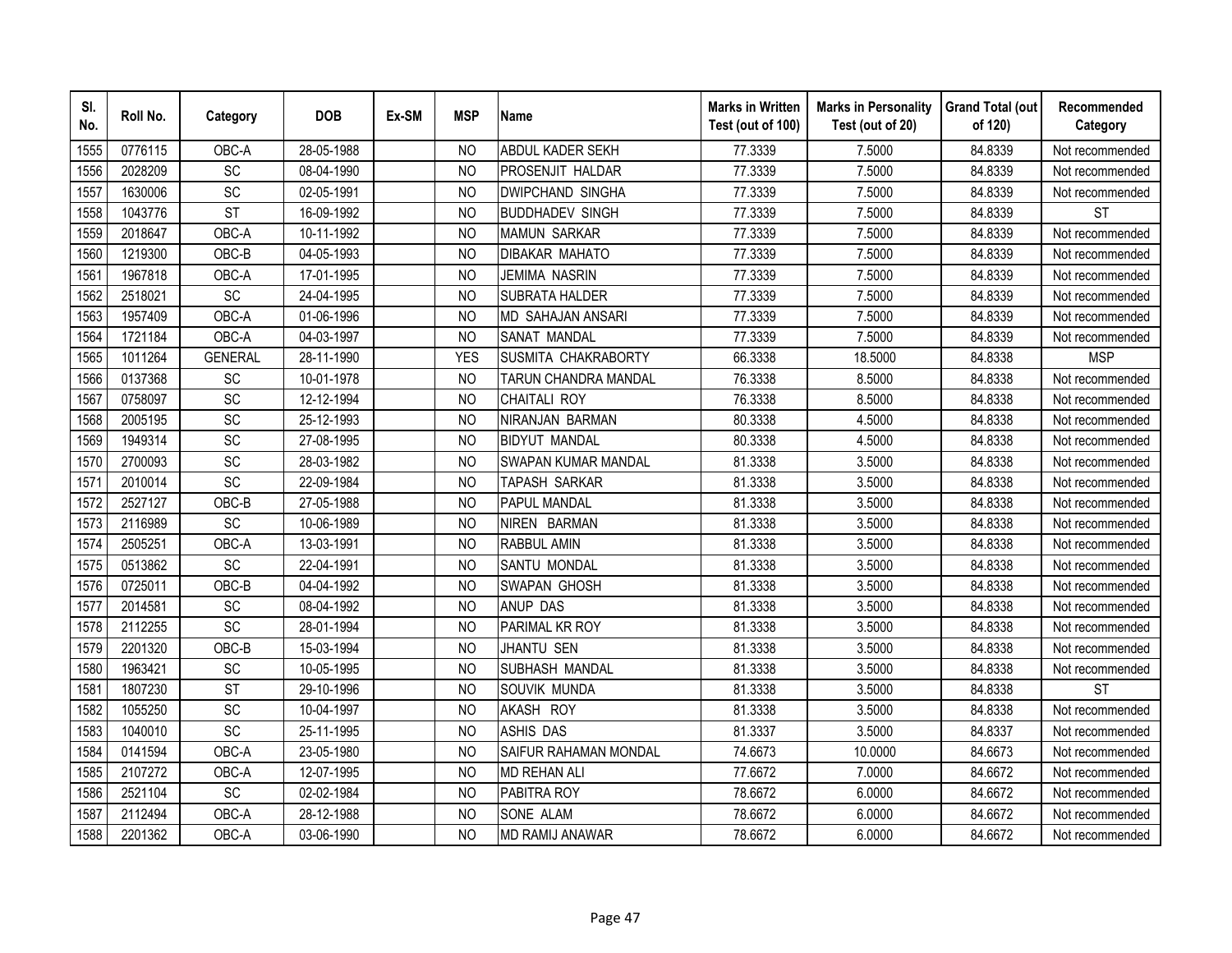| SI.<br>No. | Roll No. | Category               | <b>DOB</b> | Ex-SM | <b>MSP</b>     | <b>Name</b>                | <b>Marks in Written</b><br>Test (out of 100) | <b>Marks in Personality</b><br>Test (out of 20) | <b>Grand Total (out</b><br>of 120) | Recommended<br>Category |
|------------|----------|------------------------|------------|-------|----------------|----------------------------|----------------------------------------------|-------------------------------------------------|------------------------------------|-------------------------|
| 1555       | 0776115  | OBC-A                  | 28-05-1988 |       | <b>NO</b>      | ABDUL KADER SEKH           | 77.3339                                      | 7.5000                                          | 84.8339                            | Not recommended         |
| 1556       | 2028209  | $\overline{SC}$        | 08-04-1990 |       | N <sub>O</sub> | <b>PROSENJIT HALDAR</b>    | 77.3339                                      | 7.5000                                          | 84.8339                            | Not recommended         |
| 1557       | 1630006  | SC                     | 02-05-1991 |       | <b>NO</b>      | <b>DWIPCHAND SINGHA</b>    | 77.3339                                      | 7.5000                                          | 84.8339                            | Not recommended         |
| 1558       | 1043776  | <b>ST</b>              | 16-09-1992 |       | <sub>NO</sub>  | <b>BUDDHADEV SINGH</b>     | 77.3339                                      | 7.5000                                          | 84.8339                            | <b>ST</b>               |
| 1559       | 2018647  | OBC-A                  | 10-11-1992 |       | <b>NO</b>      | <b>MAMUN SARKAR</b>        | 77.3339                                      | 7.5000                                          | 84.8339                            | Not recommended         |
| 1560       | 1219300  | OBC-B                  | 04-05-1993 |       | N <sub>O</sub> | <b>DIBAKAR MAHATO</b>      | 77.3339                                      | 7.5000                                          | 84.8339                            | Not recommended         |
| 1561       | 1967818  | OBC-A                  | 17-01-1995 |       | <b>NO</b>      | JEMIMA NASRIN              | 77.3339                                      | 7.5000                                          | 84.8339                            | Not recommended         |
| 1562       | 2518021  | SC                     | 24-04-1995 |       | <sub>NO</sub>  | SUBRATA HALDER             | 77.3339                                      | 7.5000                                          | 84.8339                            | Not recommended         |
| 1563       | 1957409  | OBC-A                  | 01-06-1996 |       | <sub>NO</sub>  | <b>MD SAHAJAN ANSARI</b>   | 77.3339                                      | 7.5000                                          | 84.8339                            | Not recommended         |
| 1564       | 1721184  | OBC-A                  | 04-03-1997 |       | <b>NO</b>      | <b>SANAT MANDAL</b>        | 77.3339                                      | 7.5000                                          | 84.8339                            | Not recommended         |
| 1565       | 1011264  | <b>GENERAL</b>         | 28-11-1990 |       | <b>YES</b>     | SUSMITA CHAKRABORTY        | 66.3338                                      | 18.5000                                         | 84.8338                            | <b>MSP</b>              |
| 1566       | 0137368  | SC                     | 10-01-1978 |       | <b>NO</b>      | TARUN CHANDRA MANDAL       | 76.3338                                      | 8.5000                                          | 84.8338                            | Not recommended         |
| 1567       | 0758097  | SC                     | 12-12-1994 |       | <b>NO</b>      | CHAITALI ROY               | 76.3338                                      | 8.5000                                          | 84.8338                            | Not recommended         |
| 1568       | 2005195  | SC                     | 25-12-1993 |       | <b>NO</b>      | NIRANJAN BARMAN            | 80.3338                                      | 4.5000                                          | 84.8338                            | Not recommended         |
| 1569       | 1949314  | SC                     | 27-08-1995 |       | <b>NO</b>      | <b>BIDYUT MANDAL</b>       | 80.3338                                      | 4.5000                                          | 84.8338                            | Not recommended         |
| 1570       | 2700093  | SC                     | 28-03-1982 |       | <b>NO</b>      | <b>SWAPAN KUMAR MANDAL</b> | 81.3338                                      | 3.5000                                          | 84.8338                            | Not recommended         |
| 1571       | 2010014  | SC                     | 22-09-1984 |       | <b>NO</b>      | TAPASH SARKAR              | 81.3338                                      | 3.5000                                          | 84.8338                            | Not recommended         |
| 1572       | 2527127  | OBC-B                  | 27-05-1988 |       | N <sub>O</sub> | <b>PAPUL MANDAL</b>        | 81.3338                                      | 3.5000                                          | 84.8338                            | Not recommended         |
| 1573       | 2116989  | $\overline{SC}$        | 10-06-1989 |       | <b>NO</b>      | NIREN BARMAN               | 81.3338                                      | 3.5000                                          | 84.8338                            | Not recommended         |
| 1574       | 2505251  | OBC-A                  | 13-03-1991 |       | <b>NO</b>      | <b>RABBUL AMIN</b>         | 81.3338                                      | 3.5000                                          | 84.8338                            | Not recommended         |
| 1575       | 0513862  | $\overline{SC}$        | 22-04-1991 |       | <b>NO</b>      | <b>SANTU MONDAL</b>        | 81.3338                                      | 3.5000                                          | 84.8338                            | Not recommended         |
| 1576       | 0725011  | OBC-B                  | 04-04-1992 |       | <b>NO</b>      | <b>SWAPAN GHOSH</b>        | 81.3338                                      | 3.5000                                          | 84.8338                            | Not recommended         |
| 1577       | 2014581  | SC                     | 08-04-1992 |       | N <sub>O</sub> | <b>ANUP DAS</b>            | 81.3338                                      | 3.5000                                          | 84.8338                            | Not recommended         |
| 1578       | 2112255  | SC                     | 28-01-1994 |       | <b>NO</b>      | PARIMAL KR ROY             | 81.3338                                      | 3.5000                                          | 84.8338                            | Not recommended         |
| 1579       | 2201320  | OBC-B                  | 15-03-1994 |       | <b>NO</b>      | <b>JHANTU SEN</b>          | 81.3338                                      | 3.5000                                          | 84.8338                            | Not recommended         |
| 1580       | 1963421  | SC                     | 10-05-1995 |       | <b>NO</b>      | SUBHASH MANDAL             | 81.3338                                      | 3.5000                                          | 84.8338                            | Not recommended         |
| 1581       | 1807230  | $\overline{\text{ST}}$ | 29-10-1996 |       | N <sub>O</sub> | SOUVIK MUNDA               | 81.3338                                      | 3.5000                                          | 84.8338                            | <b>ST</b>               |
| 1582       | 1055250  | SC                     | 10-04-1997 |       | <b>NO</b>      | AKASH ROY                  | 81.3338                                      | 3.5000                                          | 84.8338                            | Not recommended         |
| 1583       | 1040010  | SC                     | 25-11-1995 |       | <b>NO</b>      | <b>ASHIS DAS</b>           | 81.3337                                      | 3.5000                                          | 84.8337                            | Not recommended         |
| 1584       | 0141594  | OBC-A                  | 23-05-1980 |       | <sub>NO</sub>  | SAIFUR RAHAMAN MONDAL      | 74.6673                                      | 10.0000                                         | 84.6673                            | Not recommended         |
| 1585       | 2107272  | OBC-A                  | 12-07-1995 |       | N <sub>O</sub> | <b>MD REHAN ALI</b>        | 77.6672                                      | 7.0000                                          | 84.6672                            | Not recommended         |
| 1586       | 2521104  | SC                     | 02-02-1984 |       | <b>NO</b>      | PABITRA ROY                | 78.6672                                      | 6.0000                                          | 84.6672                            | Not recommended         |
| 1587       | 2112494  | OBC-A                  | 28-12-1988 |       | <b>NO</b>      | <b>SONE ALAM</b>           | 78.6672                                      | 6.0000                                          | 84.6672                            | Not recommended         |
| 1588       | 2201362  | OBC-A                  | 03-06-1990 |       | <b>NO</b>      | <b>MD RAMIJ ANAWAR</b>     | 78.6672                                      | 6.0000                                          | 84.6672                            | Not recommended         |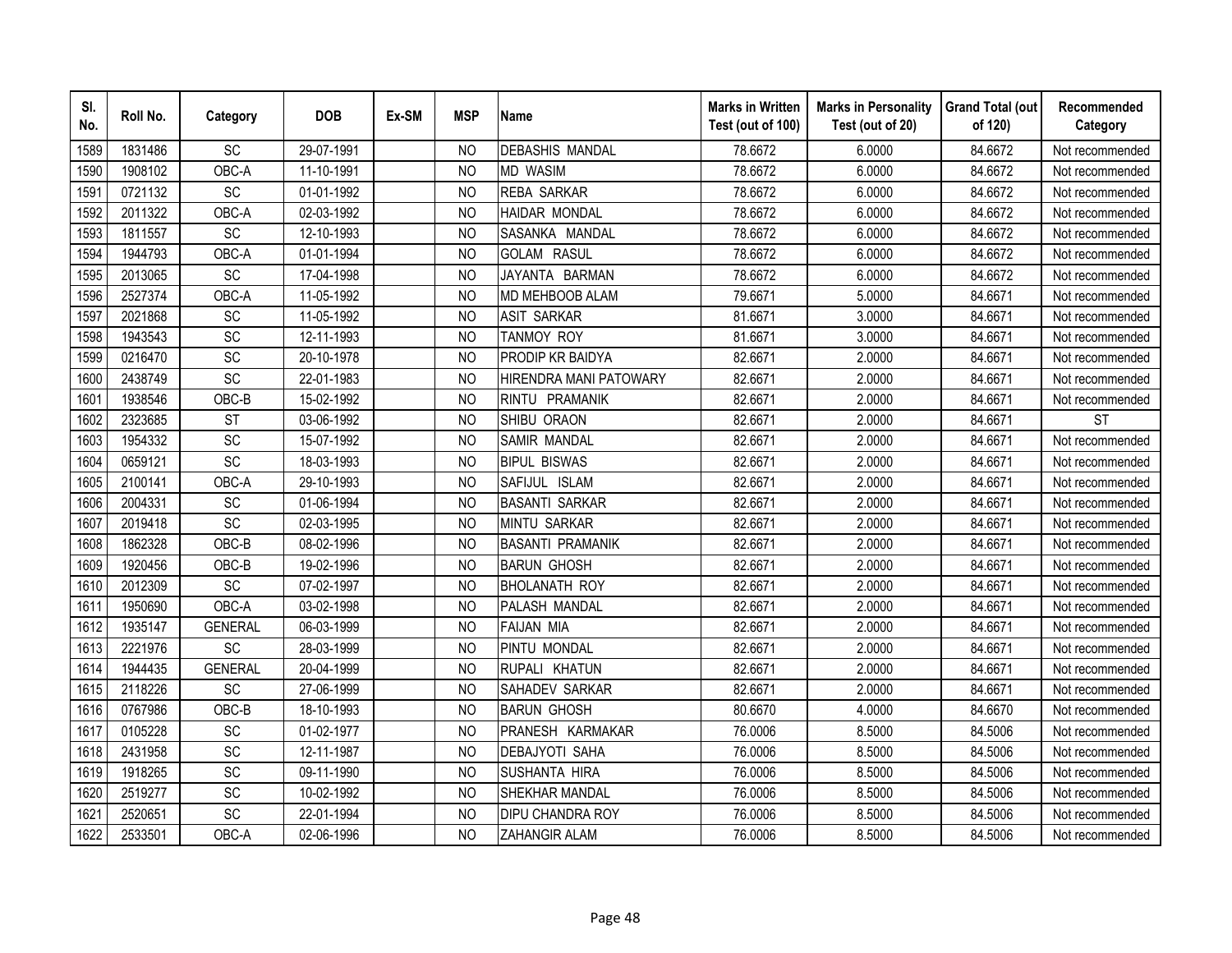| SI.<br>No. | Roll No. | Category        | <b>DOB</b> | Ex-SM | <b>MSP</b>     | <b>Name</b>             | <b>Marks in Written</b><br>Test (out of 100) | <b>Marks in Personality</b><br>Test (out of 20) | <b>Grand Total (out</b><br>of 120) | Recommended<br>Category |
|------------|----------|-----------------|------------|-------|----------------|-------------------------|----------------------------------------------|-------------------------------------------------|------------------------------------|-------------------------|
| 1589       | 1831486  | SC              | 29-07-1991 |       | <b>NO</b>      | <b>DEBASHIS MANDAL</b>  | 78.6672                                      | 6.0000                                          | 84.6672                            | Not recommended         |
| 1590       | 1908102  | OBC-A           | 11-10-1991 |       | N <sub>O</sub> | <b>MD WASIM</b>         | 78.6672                                      | 6.0000                                          | 84.6672                            | Not recommended         |
| 1591       | 0721132  | SC              | 01-01-1992 |       | <b>NO</b>      | <b>REBA SARKAR</b>      | 78.6672                                      | 6.0000                                          | 84.6672                            | Not recommended         |
| 1592       | 2011322  | OBC-A           | 02-03-1992 |       | <sub>NO</sub>  | <b>HAIDAR MONDAL</b>    | 78.6672                                      | 6.0000                                          | 84.6672                            | Not recommended         |
| 1593       | 1811557  | SC              | 12-10-1993 |       | <b>NO</b>      | SASANKA MANDAL          | 78.6672                                      | 6.0000                                          | 84.6672                            | Not recommended         |
| 1594       | 1944793  | OBC-A           | 01-01-1994 |       | N <sub>O</sub> | <b>GOLAM RASUL</b>      | 78.6672                                      | 6.0000                                          | 84.6672                            | Not recommended         |
| 1595       | 2013065  | SC              | 17-04-1998 |       | <b>NO</b>      | JAYANTA BARMAN          | 78.6672                                      | 6.0000                                          | 84.6672                            | Not recommended         |
| 1596       | 2527374  | OBC-A           | 11-05-1992 |       | <sub>NO</sub>  | MD MEHBOOB ALAM         | 79.6671                                      | 5.0000                                          | 84.6671                            | Not recommended         |
| 1597       | 2021868  | SC              | 11-05-1992 |       | <sub>NO</sub>  | <b>ASIT SARKAR</b>      | 81.6671                                      | 3.0000                                          | 84.6671                            | Not recommended         |
| 1598       | 1943543  | SC              | 12-11-1993 |       | N <sub>O</sub> | <b>TANMOY ROY</b>       | 81.6671                                      | 3.0000                                          | 84.6671                            | Not recommended         |
| 1599       | 0216470  | SC              | 20-10-1978 |       | <b>NO</b>      | <b>PRODIP KR BAIDYA</b> | 82.6671                                      | 2.0000                                          | 84.6671                            | Not recommended         |
| 1600       | 2438749  | SC              | 22-01-1983 |       | <b>NO</b>      | HIRENDRA MANI PATOWARY  | 82.6671                                      | 2.0000                                          | 84.6671                            | Not recommended         |
| 1601       | 1938546  | OBC-B           | 15-02-1992 |       | <b>NO</b>      | RINTU PRAMANIK          | 82.6671                                      | 2.0000                                          | 84.6671                            | Not recommended         |
| 1602       | 2323685  | <b>ST</b>       | 03-06-1992 |       | <b>NO</b>      | SHIBU ORAON             | 82.6671                                      | 2.0000                                          | 84.6671                            | <b>ST</b>               |
| 1603       | 1954332  | SC              | 15-07-1992 |       | <b>NO</b>      | SAMIR MANDAL            | 82.6671                                      | 2.0000                                          | 84.6671                            | Not recommended         |
| 1604       | 0659121  | SC              | 18-03-1993 |       | <b>NO</b>      | <b>BIPUL BISWAS</b>     | 82.6671                                      | 2.0000                                          | 84.6671                            | Not recommended         |
| 1605       | 2100141  | OBC-A           | 29-10-1993 |       | <b>NO</b>      | SAFIJUL ISLAM           | 82.6671                                      | 2.0000                                          | 84.6671                            | Not recommended         |
| 1606       | 2004331  | <b>SC</b>       | 01-06-1994 |       | N <sub>O</sub> | <b>BASANTI SARKAR</b>   | 82.6671                                      | 2.0000                                          | 84.6671                            | Not recommended         |
| 1607       | 2019418  | $\overline{SC}$ | 02-03-1995 |       | <b>NO</b>      | <b>MINTU SARKAR</b>     | 82.6671                                      | 2.0000                                          | 84.6671                            | Not recommended         |
| 1608       | 1862328  | OBC-B           | 08-02-1996 |       | <b>NO</b>      | <b>BASANTI PRAMANIK</b> | 82.6671                                      | 2.0000                                          | 84.6671                            | Not recommended         |
| 1609       | 1920456  | OBC-B           | 19-02-1996 |       | <b>NO</b>      | <b>BARUN GHOSH</b>      | 82.6671                                      | 2.0000                                          | 84.6671                            | Not recommended         |
| 1610       | 2012309  | SC              | 07-02-1997 |       | <b>NO</b>      | <b>BHOLANATH ROY</b>    | 82.6671                                      | 2.0000                                          | 84.6671                            | Not recommended         |
| 1611       | 1950690  | OBC-A           | 03-02-1998 |       | N <sub>O</sub> | PALASH MANDAL           | 82.6671                                      | 2.0000                                          | 84.6671                            | Not recommended         |
| 1612       | 1935147  | <b>GENERAL</b>  | 06-03-1999 |       | <b>NO</b>      | <b>FAIJAN MIA</b>       | 82.6671                                      | 2.0000                                          | 84.6671                            | Not recommended         |
| 1613       | 2221976  | SC              | 28-03-1999 |       | <b>NO</b>      | PINTU MONDAL            | 82.6671                                      | 2.0000                                          | 84.6671                            | Not recommended         |
| 1614       | 1944435  | <b>GENERAL</b>  | 20-04-1999 |       | <b>NO</b>      | RUPALI KHATUN           | 82.6671                                      | 2.0000                                          | 84.6671                            | Not recommended         |
| 1615       | 2118226  | <b>SC</b>       | 27-06-1999 |       | N <sub>O</sub> | SAHADEV SARKAR          | 82.6671                                      | 2.0000                                          | 84.6671                            | Not recommended         |
| 1616       | 0767986  | OBC-B           | 18-10-1993 |       | <sub>NO</sub>  | <b>BARUN GHOSH</b>      | 80.6670                                      | 4.0000                                          | 84.6670                            | Not recommended         |
| 1617       | 0105228  | SC              | 01-02-1977 |       | <b>NO</b>      | PRANESH KARMAKAR        | 76.0006                                      | 8.5000                                          | 84.5006                            | Not recommended         |
| 1618       | 2431958  | SC              | 12-11-1987 |       | N <sub>O</sub> | <b>DEBAJYOTI SAHA</b>   | 76.0006                                      | 8.5000                                          | 84.5006                            | Not recommended         |
| 1619       | 1918265  | SC              | 09-11-1990 |       | N <sub>O</sub> | <b>SUSHANTA HIRA</b>    | 76.0006                                      | 8.5000                                          | 84.5006                            | Not recommended         |
| 1620       | 2519277  | SC              | 10-02-1992 |       | <b>NO</b>      | SHEKHAR MANDAL          | 76.0006                                      | 8.5000                                          | 84.5006                            | Not recommended         |
| 1621       | 2520651  | SC              | 22-01-1994 |       | <b>NO</b>      | <b>DIPU CHANDRA ROY</b> | 76.0006                                      | 8.5000                                          | 84.5006                            | Not recommended         |
| 1622       | 2533501  | OBC-A           | 02-06-1996 |       | <b>NO</b>      | ZAHANGIR ALAM           | 76.0006                                      | 8.5000                                          | 84.5006                            | Not recommended         |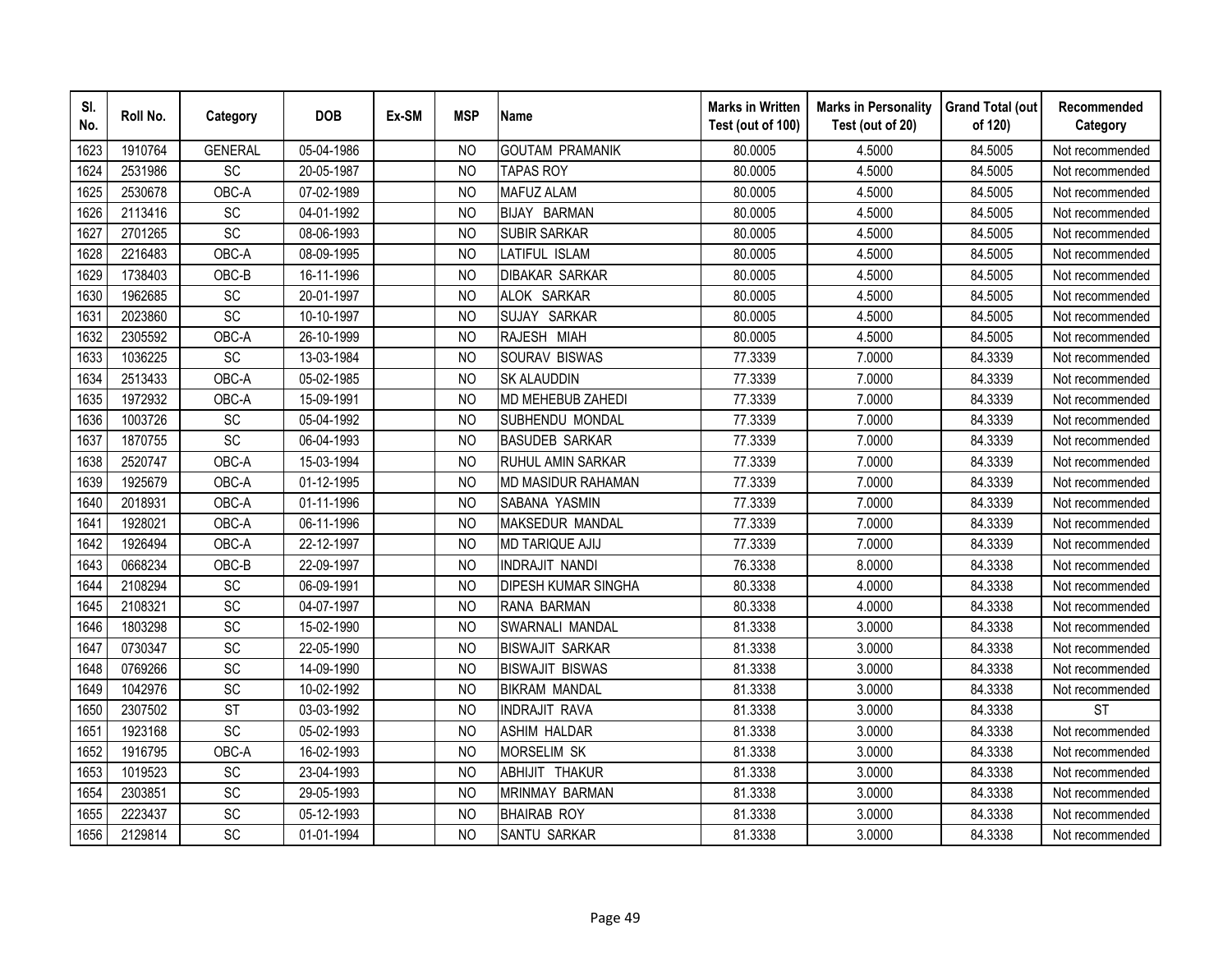| SI.<br>No. | Roll No. | Category       | <b>DOB</b> | Ex-SM | <b>MSP</b>     | <b>Name</b>                | <b>Marks in Written</b><br>Test (out of 100) | <b>Marks in Personality</b><br>Test (out of 20) | <b>Grand Total (out</b><br>of 120) | Recommended<br>Category |
|------------|----------|----------------|------------|-------|----------------|----------------------------|----------------------------------------------|-------------------------------------------------|------------------------------------|-------------------------|
| 1623       | 1910764  | <b>GENERAL</b> | 05-04-1986 |       | N <sub>O</sub> | <b>GOUTAM PRAMANIK</b>     | 80.0005                                      | 4.5000                                          | 84.5005                            | Not recommended         |
| 1624       | 2531986  | SC             | 20-05-1987 |       | <b>NO</b>      | <b>TAPAS ROY</b>           | 80.0005                                      | 4.5000                                          | 84.5005                            | Not recommended         |
| 1625       | 2530678  | OBC-A          | 07-02-1989 |       | <sub>NO</sub>  | <b>MAFUZ ALAM</b>          | 80.0005                                      | 4.5000                                          | 84.5005                            | Not recommended         |
| 1626       | 2113416  | SC             | 04-01-1992 |       | <b>NO</b>      | <b>BIJAY BARMAN</b>        | 80.0005                                      | 4.5000                                          | 84.5005                            | Not recommended         |
| 1627       | 2701265  | SC             | 08-06-1993 |       | N <sub>O</sub> | <b>SUBIR SARKAR</b>        | 80.0005                                      | 4.5000                                          | 84.5005                            | Not recommended         |
| 1628       | 2216483  | OBC-A          | 08-09-1995 |       | NO             | LATIFUL ISLAM              | 80.0005                                      | 4.5000                                          | 84.5005                            | Not recommended         |
| 1629       | 1738403  | OBC-B          | 16-11-1996 |       | <sub>NO</sub>  | <b>DIBAKAR SARKAR</b>      | 80.0005                                      | 4.5000                                          | 84.5005                            | Not recommended         |
| 1630       | 1962685  | SC             | 20-01-1997 |       | <b>NO</b>      | ALOK SARKAR                | 80.0005                                      | 4.5000                                          | 84.5005                            | Not recommended         |
| 1631       | 2023860  | SC             | 10-10-1997 |       | N <sub>O</sub> | SUJAY SARKAR               | 80.0005                                      | 4.5000                                          | 84.5005                            | Not recommended         |
| 1632       | 2305592  | OBC-A          | 26-10-1999 |       | <b>NO</b>      | RAJESH MIAH                | 80.0005                                      | 4.5000                                          | 84.5005                            | Not recommended         |
| 1633       | 1036225  | SC             | 13-03-1984 |       | <b>NO</b>      | SOURAV BISWAS              | 77.3339                                      | 7.0000                                          | 84.3339                            | Not recommended         |
| 1634       | 2513433  | OBC-A          | 05-02-1985 |       | <b>NO</b>      | <b>SK ALAUDDIN</b>         | 77.3339                                      | 7.0000                                          | 84.3339                            | Not recommended         |
| 1635       | 1972932  | OBC-A          | 15-09-1991 |       | N <sub>O</sub> | MD MEHEBUB ZAHEDI          | 77.3339                                      | 7.0000                                          | 84.3339                            | Not recommended         |
| 1636       | 1003726  | SC             | 05-04-1992 |       | <b>NO</b>      | SUBHENDU MONDAL            | 77.3339                                      | 7.0000                                          | 84.3339                            | Not recommended         |
| 1637       | 1870755  | SC             | 06-04-1993 |       | <b>NO</b>      | <b>BASUDEB SARKAR</b>      | 77.3339                                      | 7.0000                                          | 84.3339                            | Not recommended         |
| 1638       | 2520747  | OBC-A          | 15-03-1994 |       | <b>NO</b>      | <b>RUHUL AMIN SARKAR</b>   | 77.3339                                      | 7.0000                                          | 84.3339                            | Not recommended         |
| 1639       | 1925679  | OBC-A          | 01-12-1995 |       | <b>NO</b>      | MD MASIDUR RAHAMAN         | 77.3339                                      | 7.0000                                          | 84.3339                            | Not recommended         |
| 1640       | 2018931  | OBC-A          | 01-11-1996 |       | <b>NO</b>      | SABANA YASMIN              | 77.3339                                      | 7.0000                                          | 84.3339                            | Not recommended         |
| 1641       | 1928021  | OBC-A          | 06-11-1996 |       | N <sub>O</sub> | <b>MAKSEDUR MANDAL</b>     | 77.3339                                      | 7.0000                                          | 84.3339                            | Not recommended         |
| 1642       | 1926494  | OBC-A          | 22-12-1997 |       | N <sub>O</sub> | <b>MD TARIQUE AJIJ</b>     | 77.3339                                      | 7.0000                                          | 84.3339                            | Not recommended         |
| 1643       | 0668234  | OBC-B          | 22-09-1997 |       | <b>NO</b>      | <b>INDRAJIT NANDI</b>      | 76.3338                                      | 8.0000                                          | 84.3338                            | Not recommended         |
| 1644       | 2108294  | SC             | 06-09-1991 |       | <b>NO</b>      | <b>DIPESH KUMAR SINGHA</b> | 80.3338                                      | 4.0000                                          | 84.3338                            | Not recommended         |
| 1645       | 2108321  | <b>SC</b>      | 04-07-1997 |       | N <sub>O</sub> | <b>RANA BARMAN</b>         | 80.3338                                      | 4.0000                                          | 84.3338                            | Not recommended         |
| 1646       | 1803298  | SC             | 15-02-1990 |       | N <sub>O</sub> | SWARNALI MANDAL            | 81.3338                                      | 3.0000                                          | 84.3338                            | Not recommended         |
| 1647       | 0730347  | SC             | 22-05-1990 |       | <sub>NO</sub>  | <b>BISWAJIT SARKAR</b>     | 81.3338                                      | 3.0000                                          | 84.3338                            | Not recommended         |
| 1648       | 0769266  | SC             | 14-09-1990 |       | <b>NO</b>      | <b>BISWAJIT BISWAS</b>     | 81.3338                                      | 3.0000                                          | 84.3338                            | Not recommended         |
| 1649       | 1042976  | <b>SC</b>      | 10-02-1992 |       | N <sub>O</sub> | <b>BIKRAM MANDAL</b>       | 81.3338                                      | 3.0000                                          | 84.3338                            | Not recommended         |
| 1650       | 2307502  | <b>ST</b>      | 03-03-1992 |       | N <sub>O</sub> | <b>INDRAJIT RAVA</b>       | 81.3338                                      | 3.0000                                          | 84.3338                            | <b>ST</b>               |
| 1651       | 1923168  | SC             | 05-02-1993 |       | <b>NO</b>      | <b>ASHIM HALDAR</b>        | 81.3338                                      | 3.0000                                          | 84.3338                            | Not recommended         |
| 1652       | 1916795  | OBC-A          | 16-02-1993 |       | <b>NO</b>      | <b>MORSELIM SK</b>         | 81.3338                                      | 3.0000                                          | 84.3338                            | Not recommended         |
| 1653       | 1019523  | SC             | 23-04-1993 |       | N <sub>O</sub> | ABHIJIT THAKUR             | 81.3338                                      | 3.0000                                          | 84.3338                            | Not recommended         |
| 1654       | 2303851  | SC             | 29-05-1993 |       | <b>NO</b>      | <b>MRINMAY BARMAN</b>      | 81.3338                                      | 3.0000                                          | 84.3338                            | Not recommended         |
| 1655       | 2223437  | SC             | 05-12-1993 |       | <b>NO</b>      | <b>BHAIRAB ROY</b>         | 81.3338                                      | 3.0000                                          | 84.3338                            | Not recommended         |
| 1656       | 2129814  | SC             | 01-01-1994 |       | <b>NO</b>      | <b>SANTU SARKAR</b>        | 81.3338                                      | 3.0000                                          | 84.3338                            | Not recommended         |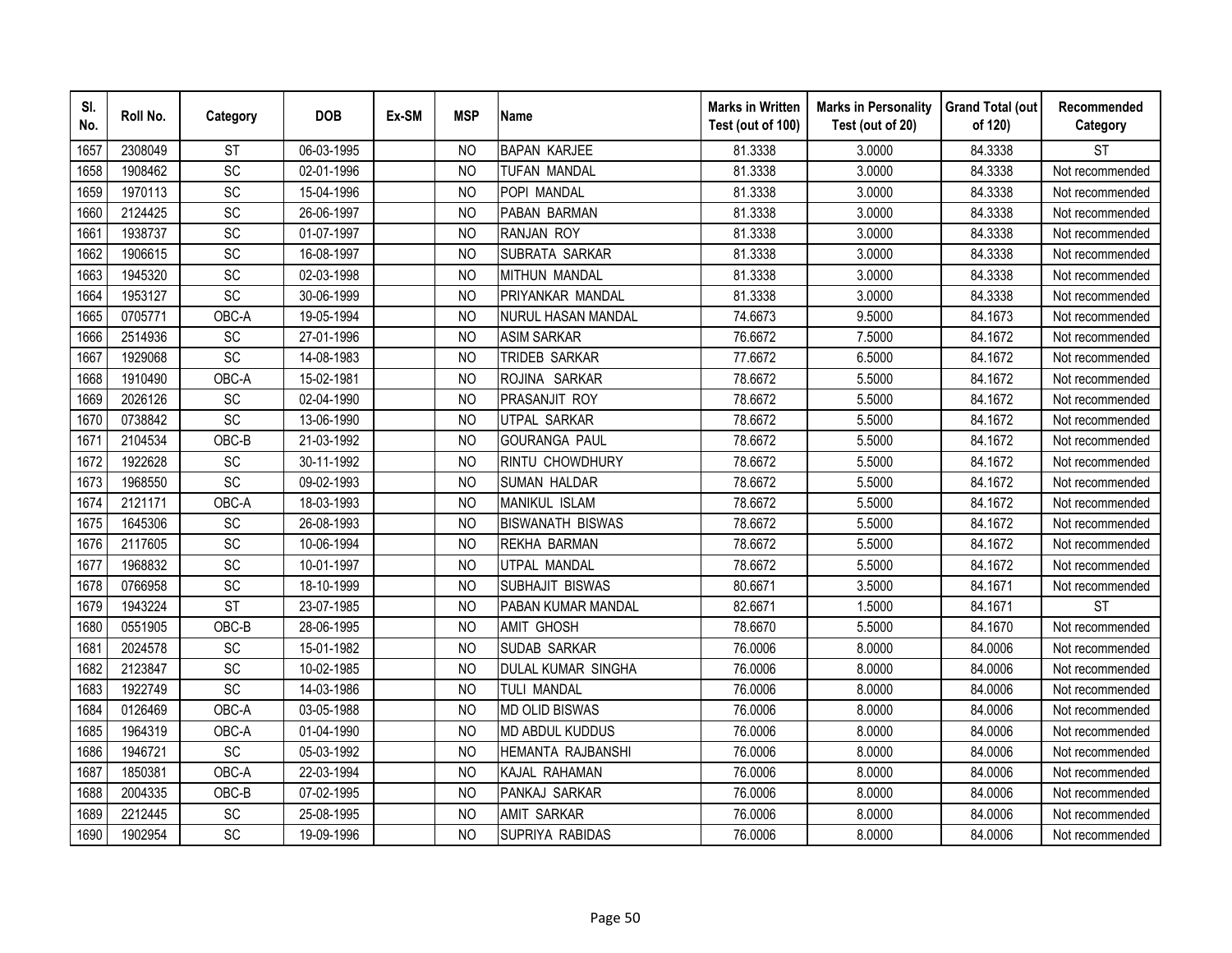| SI.<br>No. | Roll No. | Category        | <b>DOB</b> | Ex-SM | <b>MSP</b>     | <b>Name</b>               | <b>Marks in Written</b><br>Test (out of 100) | <b>Marks in Personality</b><br>Test (out of 20) | <b>Grand Total (out</b><br>of 120) | Recommended<br>Category |
|------------|----------|-----------------|------------|-------|----------------|---------------------------|----------------------------------------------|-------------------------------------------------|------------------------------------|-------------------------|
| 1657       | 2308049  | <b>ST</b>       | 06-03-1995 |       | N <sub>O</sub> | <b>BAPAN KARJEE</b>       | 81.3338                                      | 3.0000                                          | 84.3338                            | <b>ST</b>               |
| 1658       | 1908462  | $\overline{SC}$ | 02-01-1996 |       | <b>NO</b>      | TUFAN MANDAL              | 81.3338                                      | 3.0000                                          | 84.3338                            | Not recommended         |
| 1659       | 1970113  | SC              | 15-04-1996 |       | N <sub>O</sub> | POPI MANDAL               | 81.3338                                      | 3.0000                                          | 84.3338                            | Not recommended         |
| 1660       | 2124425  | <b>SC</b>       | 26-06-1997 |       | N <sub>O</sub> | PABAN BARMAN              | 81.3338                                      | 3.0000                                          | 84.3338                            | Not recommended         |
| 1661       | 1938737  | SC              | 01-07-1997 |       | <b>NO</b>      | <b>RANJAN ROY</b>         | 81.3338                                      | 3.0000                                          | 84.3338                            | Not recommended         |
| 1662       | 1906615  | SC              | 16-08-1997 |       | <sub>NO</sub>  | SUBRATA SARKAR            | 81.3338                                      | 3.0000                                          | 84.3338                            | Not recommended         |
| 1663       | 1945320  | <b>SC</b>       | 02-03-1998 |       | N <sub>O</sub> | <b>MITHUN MANDAL</b>      | 81.3338                                      | 3.0000                                          | 84.3338                            | Not recommended         |
| 1664       | 1953127  | SC              | 30-06-1999 |       | N <sub>O</sub> | PRIYANKAR MANDAL          | 81.3338                                      | 3.0000                                          | 84.3338                            | Not recommended         |
| 1665       | 0705771  | OBC-A           | 19-05-1994 |       | <sub>NO</sub>  | <b>NURUL HASAN MANDAL</b> | 74.6673                                      | 9.5000                                          | 84.1673                            | Not recommended         |
| 1666       | 2514936  | SC              | 27-01-1996 |       | <b>NO</b>      | <b>ASIM SARKAR</b>        | 76.6672                                      | 7.5000                                          | 84.1672                            | Not recommended         |
| 1667       | 1929068  | $\overline{SC}$ | 14-08-1983 |       | <b>NO</b>      | TRIDEB SARKAR             | 77.6672                                      | 6.5000                                          | 84.1672                            | Not recommended         |
| 1668       | 1910490  | OBC-A           | 15-02-1981 |       | <b>NO</b>      | ROJINA SARKAR             | 78.6672                                      | 5.5000                                          | 84.1672                            | Not recommended         |
| 1669       | 2026126  | SC              | 02-04-1990 |       | <b>NO</b>      | PRASANJIT ROY             | 78.6672                                      | 5.5000                                          | 84.1672                            | Not recommended         |
| 1670       | 0738842  | SC              | 13-06-1990 |       | <b>NO</b>      | <b>UTPAL SARKAR</b>       | 78.6672                                      | 5.5000                                          | 84.1672                            | Not recommended         |
| 1671       | 2104534  | OBC-B           | 21-03-1992 |       | N <sub>O</sub> | <b>GOURANGA PAUL</b>      | 78.6672                                      | 5.5000                                          | 84.1672                            | Not recommended         |
| 1672       | 1922628  | SC              | 30-11-1992 |       | <b>NO</b>      | RINTU CHOWDHURY           | 78.6672                                      | 5.5000                                          | 84.1672                            | Not recommended         |
| 1673       | 1968550  | SC              | 09-02-1993 |       | <b>NO</b>      | <b>SUMAN HALDAR</b>       | 78.6672                                      | 5.5000                                          | 84.1672                            | Not recommended         |
| 1674       | 2121171  | OBC-A           | 18-03-1993 |       | N <sub>O</sub> | <b>MANIKUL ISLAM</b>      | 78.6672                                      | 5.5000                                          | 84.1672                            | Not recommended         |
| 1675       | 1645306  | SC              | 26-08-1993 |       | <b>NO</b>      | <b>BISWANATH BISWAS</b>   | 78.6672                                      | 5.5000                                          | 84.1672                            | Not recommended         |
| 1676       | 2117605  | SC              | 10-06-1994 |       | N <sub>O</sub> | <b>REKHA BARMAN</b>       | 78.6672                                      | 5.5000                                          | 84.1672                            | Not recommended         |
| 1677       | 1968832  | $\overline{SC}$ | 10-01-1997 |       | <b>NO</b>      | UTPAL MANDAL              | 78.6672                                      | 5.5000                                          | 84.1672                            | Not recommended         |
| 1678       | 0766958  | SC              | 18-10-1999 |       | N <sub>O</sub> | SUBHAJIT BISWAS           | 80.6671                                      | 3.5000                                          | 84.1671                            | Not recommended         |
| 1679       | 1943224  | <b>ST</b>       | 23-07-1985 |       | <b>NO</b>      | PABAN KUMAR MANDAL        | 82.6671                                      | 1.5000                                          | 84.1671                            | <b>ST</b>               |
| 1680       | 0551905  | OBC-B           | 28-06-1995 |       | <b>NO</b>      | <b>AMIT GHOSH</b>         | 78.6670                                      | 5.5000                                          | 84.1670                            | Not recommended         |
| 1681       | 2024578  | SC              | 15-01-1982 |       | N <sub>O</sub> | <b>SUDAB SARKAR</b>       | 76.0006                                      | 8.0000                                          | 84.0006                            | Not recommended         |
| 1682       | 2123847  | SC              | 10-02-1985 |       | N <sub>O</sub> | DULAL KUMAR SINGHA        | 76.0006                                      | 8.0000                                          | 84.0006                            | Not recommended         |
| 1683       | 1922749  | SC              | 14-03-1986 |       | N <sub>O</sub> | TULI MANDAL               | 76.0006                                      | 8.0000                                          | 84.0006                            | Not recommended         |
| 1684       | 0126469  | OBC-A           | 03-05-1988 |       | N <sub>O</sub> | <b>MD OLID BISWAS</b>     | 76.0006                                      | 8.0000                                          | 84.0006                            | Not recommended         |
| 1685       | 1964319  | OBC-A           | 01-04-1990 |       | <b>NO</b>      | <b>MD ABDUL KUDDUS</b>    | 76.0006                                      | 8.0000                                          | 84.0006                            | Not recommended         |
| 1686       | 1946721  | SC              | 05-03-1992 |       | N <sub>O</sub> | HEMANTA RAJBANSHI         | 76.0006                                      | 8.0000                                          | 84.0006                            | Not recommended         |
| 1687       | 1850381  | OBC-A           | 22-03-1994 |       | <b>NO</b>      | KAJAL RAHAMAN             | 76.0006                                      | 8.0000                                          | 84.0006                            | Not recommended         |
| 1688       | 2004335  | OBC-B           | 07-02-1995 |       | N <sub>O</sub> | PANKAJ SARKAR             | 76.0006                                      | 8.0000                                          | 84.0006                            | Not recommended         |
| 1689       | 2212445  | SC              | 25-08-1995 |       | <b>NO</b>      | <b>AMIT SARKAR</b>        | 76.0006                                      | 8.0000                                          | 84.0006                            | Not recommended         |
| 1690       | 1902954  | SC              | 19-09-1996 |       | <b>NO</b>      | SUPRIYA RABIDAS           | 76.0006                                      | 8.0000                                          | 84.0006                            | Not recommended         |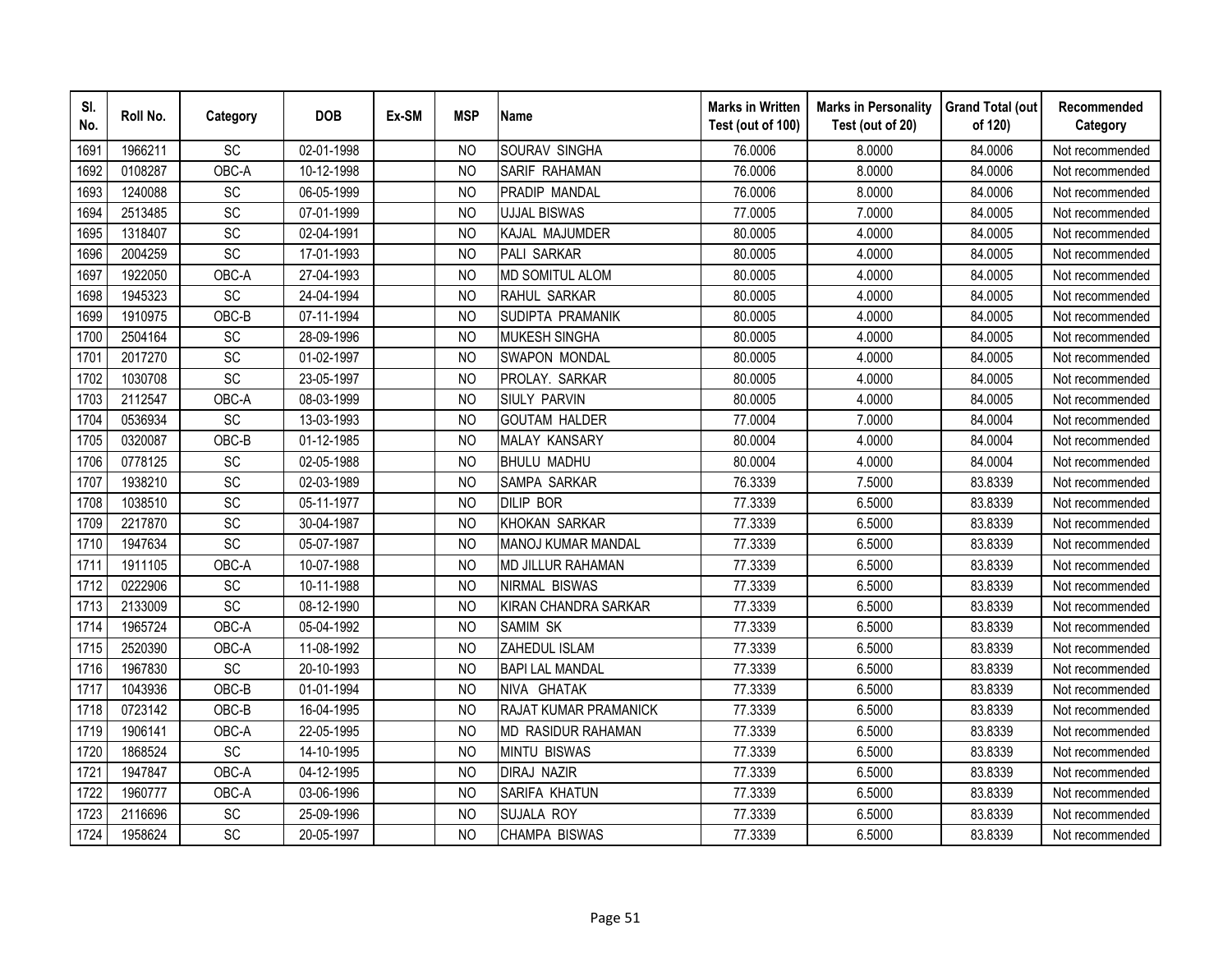| SI.<br>No. | Roll No. | Category        | <b>DOB</b> | Ex-SM | <b>MSP</b>     | <b>Name</b>               | <b>Marks in Written</b><br>Test (out of 100) | <b>Marks in Personality</b><br>Test (out of 20) | <b>Grand Total (out</b><br>of 120) | Recommended<br>Category |
|------------|----------|-----------------|------------|-------|----------------|---------------------------|----------------------------------------------|-------------------------------------------------|------------------------------------|-------------------------|
| 1691       | 1966211  | SC              | 02-01-1998 |       | N <sub>O</sub> | SOURAV SINGHA             | 76.0006                                      | 8.0000                                          | 84.0006                            | Not recommended         |
| 1692       | 0108287  | OBC-A           | 10-12-1998 |       | <b>NO</b>      | SARIF RAHAMAN             | 76.0006                                      | 8.0000                                          | 84.0006                            | Not recommended         |
| 1693       | 1240088  | SC              | 06-05-1999 |       | <b>NO</b>      | PRADIP MANDAL             | 76.0006                                      | 8.0000                                          | 84.0006                            | Not recommended         |
| 1694       | 2513485  | SC              | 07-01-1999 |       | <b>NO</b>      | <b>UJJAL BISWAS</b>       | 77.0005                                      | 7.0000                                          | 84.0005                            | Not recommended         |
| 1695       | 1318407  | SC              | 02-04-1991 |       | N <sub>O</sub> | KAJAL MAJUMDER            | 80.0005                                      | 4.0000                                          | 84.0005                            | Not recommended         |
| 1696       | 2004259  | SC              | 17-01-1993 |       | NO             | <b>PALI SARKAR</b>        | 80.0005                                      | 4.0000                                          | 84.0005                            | Not recommended         |
| 1697       | 1922050  | OBC-A           | 27-04-1993 |       | N <sub>O</sub> | <b>MD SOMITUL ALOM</b>    | 80.0005                                      | 4.0000                                          | 84.0005                            | Not recommended         |
| 1698       | 1945323  | SC              | 24-04-1994 |       | <b>NO</b>      | RAHUL SARKAR              | 80.0005                                      | 4.0000                                          | 84.0005                            | Not recommended         |
| 1699       | 1910975  | OBC-B           | 07-11-1994 |       | N <sub>O</sub> | SUDIPTA PRAMANIK          | 80.0005                                      | 4.0000                                          | 84.0005                            | Not recommended         |
| 1700       | 2504164  | SC              | 28-09-1996 |       | <b>NO</b>      | <b>MUKESH SINGHA</b>      | 80.0005                                      | 4.0000                                          | 84.0005                            | Not recommended         |
| 1701       | 2017270  | SC              | 01-02-1997 |       | <b>NO</b>      | <b>SWAPON MONDAL</b>      | 80.0005                                      | 4.0000                                          | 84.0005                            | Not recommended         |
| 1702       | 1030708  | SC              | 23-05-1997 |       | <b>NO</b>      | PROLAY. SARKAR            | 80.0005                                      | 4.0000                                          | 84.0005                            | Not recommended         |
| 1703       | 2112547  | OBC-A           | 08-03-1999 |       | <b>NO</b>      | <b>SIULY PARVIN</b>       | 80.0005                                      | 4.0000                                          | 84.0005                            | Not recommended         |
| 1704       | 0536934  | SC              | 13-03-1993 |       | <b>NO</b>      | <b>GOUTAM HALDER</b>      | 77.0004                                      | 7.0000                                          | 84.0004                            | Not recommended         |
| 1705       | 0320087  | OBC-B           | 01-12-1985 |       | <b>NO</b>      | <b>MALAY KANSARY</b>      | 80.0004                                      | 4.0000                                          | 84.0004                            | Not recommended         |
| 1706       | 0778125  | <b>SC</b>       | 02-05-1988 |       | <b>NO</b>      | <b>BHULU MADHU</b>        | 80.0004                                      | 4.0000                                          | 84.0004                            | Not recommended         |
| 1707       | 1938210  | SC              | 02-03-1989 |       | <b>NO</b>      | <b>SAMPA SARKAR</b>       | 76.3339                                      | 7.5000                                          | 83.8339                            | Not recommended         |
| 1708       | 1038510  | SC              | 05-11-1977 |       | <b>NO</b>      | <b>DILIP BOR</b>          | 77.3339                                      | 6.5000                                          | 83.8339                            | Not recommended         |
| 1709       | 2217870  | SC              | 30-04-1987 |       | N <sub>O</sub> | <b>KHOKAN SARKAR</b>      | 77.3339                                      | 6.5000                                          | 83.8339                            | Not recommended         |
| 1710       | 1947634  | $\overline{SC}$ | 05-07-1987 |       | N <sub>O</sub> | <b>MANOJ KUMAR MANDAL</b> | 77.3339                                      | 6.5000                                          | 83.8339                            | Not recommended         |
| 1711       | 1911105  | OBC-A           | 10-07-1988 |       | <b>NO</b>      | <b>MD JILLUR RAHAMAN</b>  | 77.3339                                      | 6.5000                                          | 83.8339                            | Not recommended         |
| 1712       | 0222906  | SC              | 10-11-1988 |       | <b>NO</b>      | <b>NIRMAL BISWAS</b>      | 77.3339                                      | 6.5000                                          | 83.8339                            | Not recommended         |
| 1713       | 2133009  | SC              | 08-12-1990 |       | <sub>NO</sub>  | KIRAN CHANDRA SARKAR      | 77.3339                                      | 6.5000                                          | 83.8339                            | Not recommended         |
| 1714       | 1965724  | OBC-A           | 05-04-1992 |       | N <sub>O</sub> | <b>SAMIM SK</b>           | 77.3339                                      | 6.5000                                          | 83.8339                            | Not recommended         |
| 1715       | 2520390  | OBC-A           | 11-08-1992 |       | <b>NO</b>      | ZAHEDUL ISLAM             | 77.3339                                      | 6.5000                                          | 83.8339                            | Not recommended         |
| 1716       | 1967830  | SC              | 20-10-1993 |       | <b>NO</b>      | <b>BAPI LAL MANDAL</b>    | 77.3339                                      | 6.5000                                          | 83.8339                            | Not recommended         |
| 1717       | 1043936  | OBC-B           | 01-01-1994 |       | N <sub>O</sub> | NIVA GHATAK               | 77.3339                                      | 6.5000                                          | 83.8339                            | Not recommended         |
| 1718       | 0723142  | OBC-B           | 16-04-1995 |       | N <sub>O</sub> | RAJAT KUMAR PRAMANICK     | 77.3339                                      | 6.5000                                          | 83.8339                            | Not recommended         |
| 1719       | 1906141  | OBC-A           | 22-05-1995 |       | <b>NO</b>      | MD RASIDUR RAHAMAN        | 77.3339                                      | 6.5000                                          | 83.8339                            | Not recommended         |
| 1720       | 1868524  | SC              | 14-10-1995 |       | N <sub>O</sub> | <b>MINTU BISWAS</b>       | 77.3339                                      | 6.5000                                          | 83.8339                            | Not recommended         |
| 1721       | 1947847  | OBC-A           | 04-12-1995 |       | N <sub>O</sub> | <b>DIRAJ NAZIR</b>        | 77.3339                                      | 6.5000                                          | 83.8339                            | Not recommended         |
| 1722       | 1960777  | OBC-A           | 03-06-1996 |       | <b>NO</b>      | SARIFA KHATUN             | 77.3339                                      | 6.5000                                          | 83.8339                            | Not recommended         |
| 1723       | 2116696  | SC              | 25-09-1996 |       | <b>NO</b>      | <b>SUJALA ROY</b>         | 77.3339                                      | 6.5000                                          | 83.8339                            | Not recommended         |
| 1724       | 1958624  | SC              | 20-05-1997 |       | <b>NO</b>      | <b>CHAMPA BISWAS</b>      | 77.3339                                      | 6.5000                                          | 83.8339                            | Not recommended         |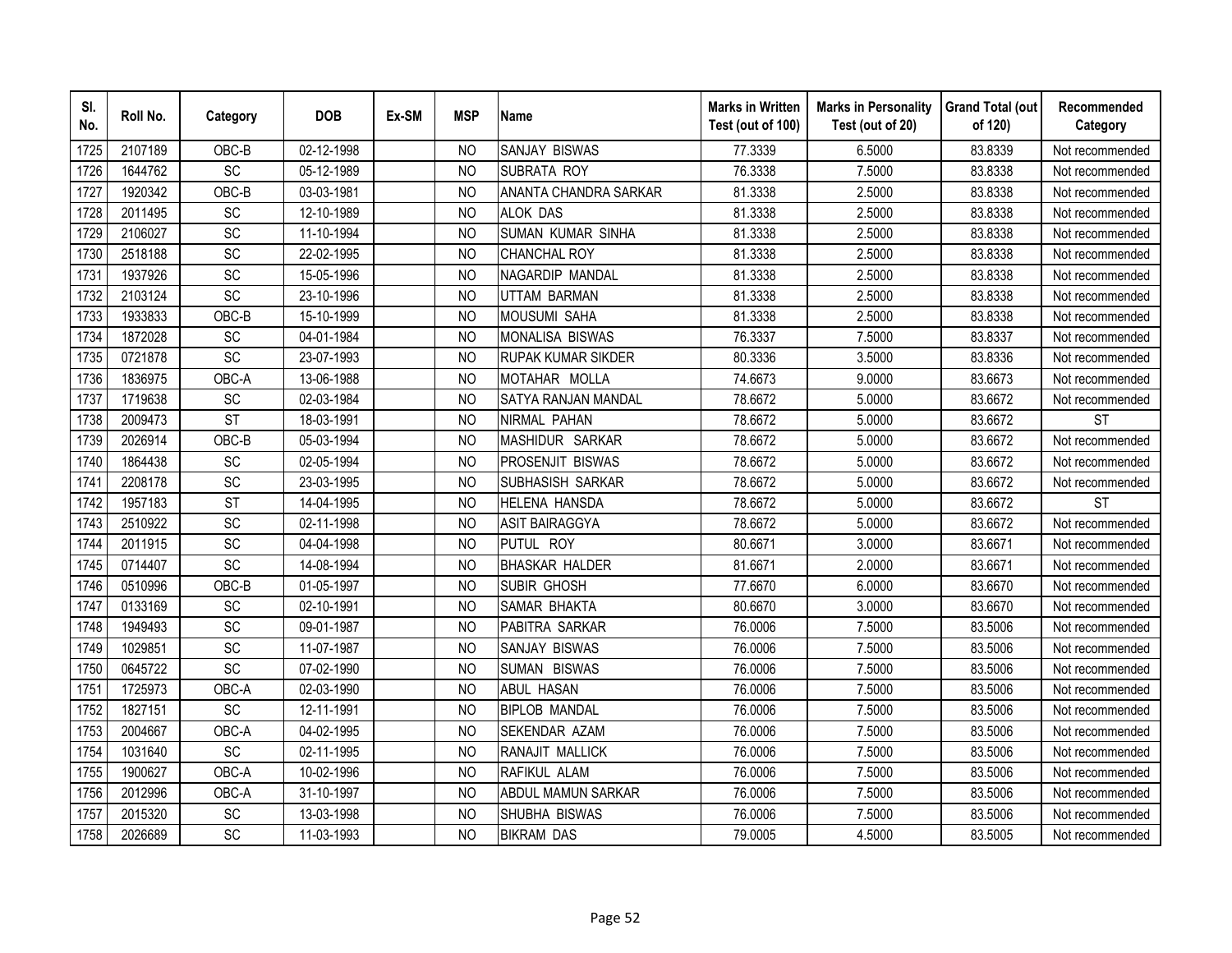| SI.<br>No. | Roll No. | Category        | <b>DOB</b> | Ex-SM | <b>MSP</b>     | <b>Name</b>                | <b>Marks in Written</b><br>Test (out of 100) | <b>Marks in Personality</b><br>Test (out of 20) | <b>Grand Total (out</b><br>of 120) | Recommended<br>Category |
|------------|----------|-----------------|------------|-------|----------------|----------------------------|----------------------------------------------|-------------------------------------------------|------------------------------------|-------------------------|
| 1725       | 2107189  | OBC-B           | 02-12-1998 |       | N <sub>O</sub> | <b>SANJAY BISWAS</b>       | 77.3339                                      | 6.5000                                          | 83.8339                            | Not recommended         |
| 1726       | 1644762  | SC              | 05-12-1989 |       | N <sub>O</sub> | <b>SUBRATA ROY</b>         | 76.3338                                      | 7.5000                                          | 83.8338                            | Not recommended         |
| 1727       | 1920342  | OBC-B           | 03-03-1981 |       | <b>NO</b>      | ANANTA CHANDRA SARKAR      | 81.3338                                      | 2.5000                                          | 83.8338                            | Not recommended         |
| 1728       | 2011495  | SC              | 12-10-1989 |       | <b>NO</b>      | <b>ALOK DAS</b>            | 81.3338                                      | 2.5000                                          | 83.8338                            | Not recommended         |
| 1729       | 2106027  | <b>SC</b>       | 11-10-1994 |       | <sub>NO</sub>  | SUMAN KUMAR SINHA          | 81.3338                                      | 2.5000                                          | 83.8338                            | Not recommended         |
| 1730       | 2518188  | SC              | 22-02-1995 |       | N <sub>O</sub> | <b>CHANCHAL ROY</b>        | 81.3338                                      | 2.5000                                          | 83.8338                            | Not recommended         |
| 1731       | 1937926  | SC              | 15-05-1996 |       | N <sub>O</sub> | NAGARDIP MANDAL            | 81.3338                                      | 2.5000                                          | 83.8338                            | Not recommended         |
| 1732       | 2103124  | SC              | 23-10-1996 |       | <b>NO</b>      | <b>UTTAM BARMAN</b>        | 81.3338                                      | 2.5000                                          | 83.8338                            | Not recommended         |
| 1733       | 1933833  | OBC-B           | 15-10-1999 |       | N <sub>O</sub> | <b>MOUSUMI SAHA</b>        | 81.3338                                      | 2.5000                                          | 83.8338                            | Not recommended         |
| 1734       | 1872028  | SC              | 04-01-1984 |       | N <sub>O</sub> | <b>MONALISA BISWAS</b>     | 76.3337                                      | 7.5000                                          | 83.8337                            | Not recommended         |
| 1735       | 0721878  | SC              | 23-07-1993 |       | NO             | <b>RUPAK KUMAR SIKDER</b>  | 80.3336                                      | 3.5000                                          | 83.8336                            | Not recommended         |
| 1736       | 1836975  | OBC-A           | 13-06-1988 |       | <b>NO</b>      | MOTAHAR MOLLA              | 74.6673                                      | 9.0000                                          | 83.6673                            | Not recommended         |
| 1737       | 1719638  | SC              | 02-03-1984 |       | <b>NO</b>      | <b>SATYA RANJAN MANDAL</b> | 78.6672                                      | 5.0000                                          | 83.6672                            | Not recommended         |
| 1738       | 2009473  | <b>ST</b>       | 18-03-1991 |       | <b>NO</b>      | NIRMAL PAHAN               | 78.6672                                      | 5.0000                                          | 83.6672                            | <b>ST</b>               |
| 1739       | 2026914  | OBC-B           | 05-03-1994 |       | <b>NO</b>      | MASHIDUR SARKAR            | 78.6672                                      | 5.0000                                          | 83.6672                            | Not recommended         |
| 1740       | 1864438  | SC              | 02-05-1994 |       | <b>NO</b>      | <b>PROSENJIT BISWAS</b>    | 78.6672                                      | 5.0000                                          | 83.6672                            | Not recommended         |
| 1741       | 2208178  | SC              | 23-03-1995 |       | <b>NO</b>      | SUBHASISH SARKAR           | 78.6672                                      | 5.0000                                          | 83.6672                            | Not recommended         |
| 1742       | 1957183  | <b>ST</b>       | 14-04-1995 |       | N <sub>O</sub> | <b>HELENA HANSDA</b>       | 78.6672                                      | 5.0000                                          | 83.6672                            | <b>ST</b>               |
| 1743       | 2510922  | <b>SC</b>       | 02-11-1998 |       | <b>NO</b>      | ASIT BAIRAGGYA             | 78.6672                                      | 5.0000                                          | 83.6672                            | Not recommended         |
| 1744       | 2011915  | SC              | 04-04-1998 |       | <b>NO</b>      | PUTUL ROY                  | 80.6671                                      | 3.0000                                          | 83.6671                            | Not recommended         |
| 1745       | 0714407  | $\overline{SC}$ | 14-08-1994 |       | <b>NO</b>      | <b>BHASKAR HALDER</b>      | 81.6671                                      | 2.0000                                          | 83.6671                            | Not recommended         |
| 1746       | 0510996  | OBC-B           | 01-05-1997 |       | N <sub>O</sub> | SUBIR GHOSH                | 77.6670                                      | 6.0000                                          | 83.6670                            | Not recommended         |
| 1747       | 0133169  | <b>SC</b>       | 02-10-1991 |       | N <sub>O</sub> | <b>SAMAR BHAKTA</b>        | 80.6670                                      | 3.0000                                          | 83.6670                            | Not recommended         |
| 1748       | 1949493  | SC              | 09-01-1987 |       | <b>NO</b>      | PABITRA SARKAR             | 76.0006                                      | 7.5000                                          | 83.5006                            | Not recommended         |
| 1749       | 1029851  | SC              | 11-07-1987 |       | <b>NO</b>      | SANJAY BISWAS              | 76.0006                                      | 7.5000                                          | 83.5006                            | Not recommended         |
| 1750       | 0645722  | <b>SC</b>       | 07-02-1990 |       | N <sub>O</sub> | SUMAN BISWAS               | 76.0006                                      | 7.5000                                          | 83.5006                            | Not recommended         |
| 1751       | 1725973  | OBC-A           | 02-03-1990 |       | N <sub>O</sub> | ABUL HASAN                 | 76.0006                                      | 7.5000                                          | 83.5006                            | Not recommended         |
| 1752       | 1827151  | <b>SC</b>       | 12-11-1991 |       | N <sub>O</sub> | <b>BIPLOB MANDAL</b>       | 76.0006                                      | 7.5000                                          | 83.5006                            | Not recommended         |
| 1753       | 2004667  | OBC-A           | 04-02-1995 |       | <b>NO</b>      | SEKENDAR AZAM              | 76.0006                                      | 7.5000                                          | 83.5006                            | Not recommended         |
| 1754       | 1031640  | <b>SC</b>       | 02-11-1995 |       | N <sub>O</sub> | RANAJIT MALLICK            | 76.0006                                      | 7.5000                                          | 83.5006                            | Not recommended         |
| 1755       | 1900627  | OBC-A           | 10-02-1996 |       | N <sub>O</sub> | RAFIKUL ALAM               | 76.0006                                      | 7.5000                                          | 83.5006                            | Not recommended         |
| 1756       | 2012996  | OBC-A           | 31-10-1997 |       | N <sub>O</sub> | ABDUL MAMUN SARKAR         | 76.0006                                      | 7.5000                                          | 83.5006                            | Not recommended         |
| 1757       | 2015320  | SC              | 13-03-1998 |       | <b>NO</b>      | SHUBHA BISWAS              | 76.0006                                      | 7.5000                                          | 83.5006                            | Not recommended         |
| 1758       | 2026689  | SC              | 11-03-1993 |       | <b>NO</b>      | <b>BIKRAM DAS</b>          | 79.0005                                      | 4.5000                                          | 83.5005                            | Not recommended         |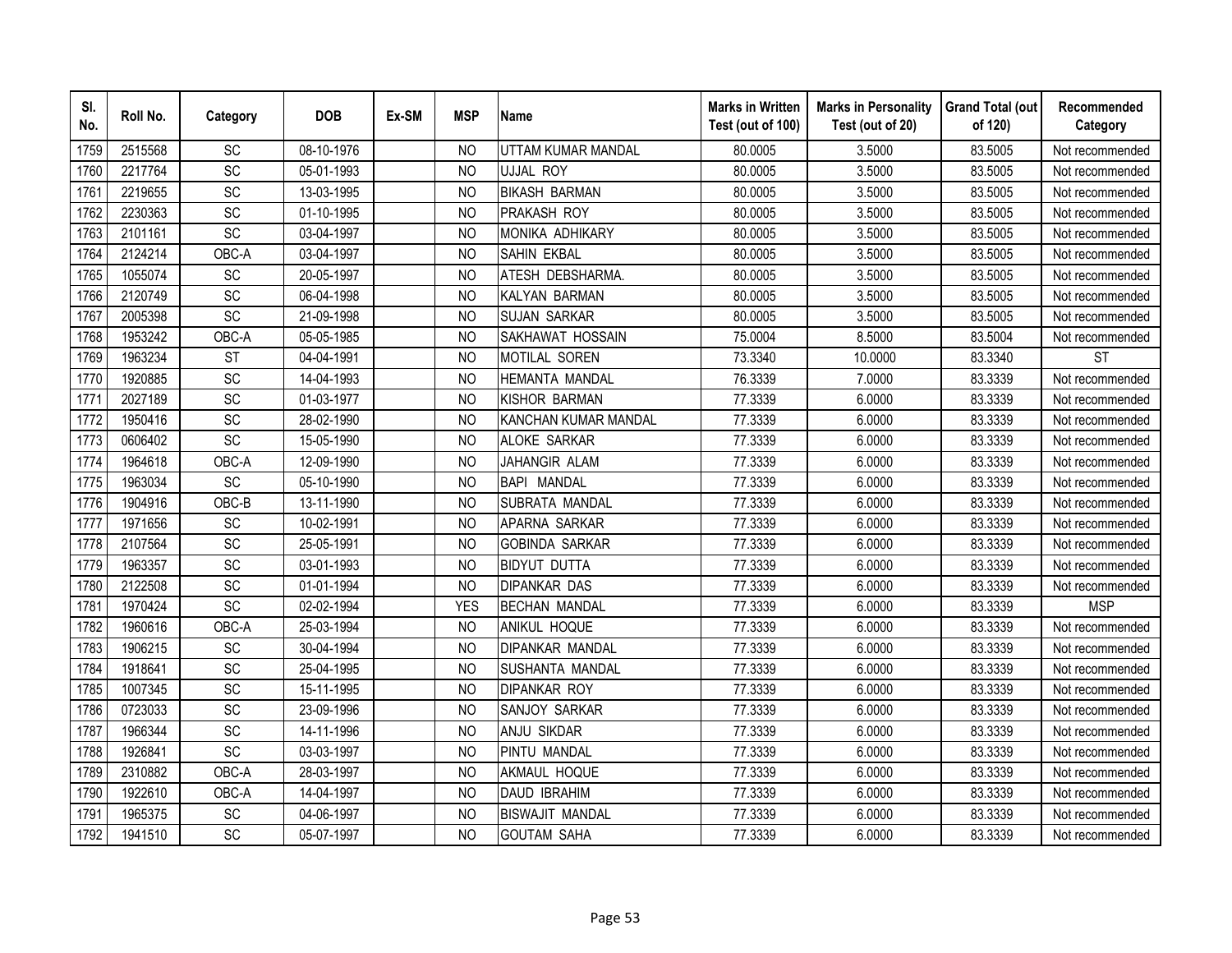| SI.<br>No. | Roll No. | Category        | <b>DOB</b> | Ex-SM | <b>MSP</b>     | <b>Name</b>                 | <b>Marks in Written</b><br>Test (out of 100) | <b>Marks in Personality</b><br>Test (out of 20) | <b>Grand Total (out</b><br>of 120) | Recommended<br>Category |
|------------|----------|-----------------|------------|-------|----------------|-----------------------------|----------------------------------------------|-------------------------------------------------|------------------------------------|-------------------------|
| 1759       | 2515568  | SC              | 08-10-1976 |       | N <sub>O</sub> | UTTAM KUMAR MANDAL          | 80.0005                                      | 3.5000                                          | 83.5005                            | Not recommended         |
| 1760       | 2217764  | $\overline{SC}$ | 05-01-1993 |       | <b>NO</b>      | UJJAL ROY                   | 80.0005                                      | 3.5000                                          | 83.5005                            | Not recommended         |
| 1761       | 2219655  | SC              | 13-03-1995 |       | N <sub>O</sub> | <b>BIKASH BARMAN</b>        | 80.0005                                      | 3.5000                                          | 83.5005                            | Not recommended         |
| 1762       | 2230363  | SC              | 01-10-1995 |       | N <sub>O</sub> | <b>PRAKASH ROY</b>          | 80.0005                                      | 3.5000                                          | 83.5005                            | Not recommended         |
| 1763       | 2101161  | SC              | 03-04-1997 |       | <b>NO</b>      | <b>MONIKA ADHIKARY</b>      | 80.0005                                      | 3.5000                                          | 83.5005                            | Not recommended         |
| 1764       | 2124214  | OBC-A           | 03-04-1997 |       | N <sub>O</sub> | <b>SAHIN EKBAL</b>          | 80.0005                                      | 3.5000                                          | 83.5005                            | Not recommended         |
| 1765       | 1055074  | SC              | 20-05-1997 |       | N <sub>O</sub> | ATESH DEBSHARMA.            | 80.0005                                      | 3.5000                                          | 83.5005                            | Not recommended         |
| 1766       | 2120749  | SC              | 06-04-1998 |       | N <sub>O</sub> | KALYAN BARMAN               | 80.0005                                      | 3.5000                                          | 83.5005                            | Not recommended         |
| 1767       | 2005398  | SC              | 21-09-1998 |       | N <sub>O</sub> | <b>SUJAN SARKAR</b>         | 80.0005                                      | 3.5000                                          | 83.5005                            | Not recommended         |
| 1768       | 1953242  | OBC-A           | 05-05-1985 |       | <b>NO</b>      | SAKHAWAT HOSSAIN            | 75.0004                                      | 8.5000                                          | 83.5004                            | Not recommended         |
| 1769       | 1963234  | <b>ST</b>       | 04-04-1991 |       | <b>NO</b>      | MOTILAL SOREN               | 73.3340                                      | 10.0000                                         | 83.3340                            | <b>ST</b>               |
| 1770       | 1920885  | SC              | 14-04-1993 |       | <b>NO</b>      | <b>HEMANTA MANDAL</b>       | 76.3339                                      | 7.0000                                          | 83.3339                            | Not recommended         |
| 1771       | 2027189  | SC              | 01-03-1977 |       | <b>NO</b>      | KISHOR BARMAN               | 77.3339                                      | 6.0000                                          | 83.3339                            | Not recommended         |
| 1772       | 1950416  | SC              | 28-02-1990 |       | <b>NO</b>      | <b>KANCHAN KUMAR MANDAL</b> | 77.3339                                      | 6.0000                                          | 83.3339                            | Not recommended         |
| 1773       | 0606402  | SC              | 15-05-1990 |       | N <sub>O</sub> | <b>ALOKE SARKAR</b>         | 77.3339                                      | 6.0000                                          | 83.3339                            | Not recommended         |
| 1774       | 1964618  | OBC-A           | 12-09-1990 |       | <b>NO</b>      | JAHANGIR ALAM               | 77.3339                                      | 6.0000                                          | 83.3339                            | Not recommended         |
| 1775       | 1963034  | SC              | 05-10-1990 |       | <b>NO</b>      | BAPI MANDAL                 | 77.3339                                      | 6.0000                                          | 83.3339                            | Not recommended         |
| 1776       | 1904916  | OBC-B           | 13-11-1990 |       | N <sub>O</sub> | SUBRATA MANDAL              | 77.3339                                      | 6.0000                                          | 83.3339                            | Not recommended         |
| 1777       | 1971656  | SC              | 10-02-1991 |       | <b>NO</b>      | APARNA SARKAR               | 77.3339                                      | 6.0000                                          | 83.3339                            | Not recommended         |
| 1778       | 2107564  | SC              | 25-05-1991 |       | N <sub>O</sub> | <b>GOBINDA SARKAR</b>       | 77.3339                                      | 6.0000                                          | 83.3339                            | Not recommended         |
| 1779       | 1963357  | $\overline{SC}$ | 03-01-1993 |       | N <sub>O</sub> | <b>BIDYUT DUTTA</b>         | 77.3339                                      | 6.0000                                          | 83.3339                            | Not recommended         |
| 1780       | 2122508  | SC              | 01-01-1994 |       | N <sub>O</sub> | <b>DIPANKAR DAS</b>         | 77.3339                                      | 6.0000                                          | 83.3339                            | Not recommended         |
| 1781       | 1970424  | SC              | 02-02-1994 |       | <b>YES</b>     | <b>BECHAN MANDAL</b>        | 77.3339                                      | 6.0000                                          | 83.3339                            | <b>MSP</b>              |
| 1782       | 1960616  | OBC-A           | 25-03-1994 |       | N <sub>O</sub> | ANIKUL HOQUE                | 77.3339                                      | 6.0000                                          | 83.3339                            | Not recommended         |
| 1783       | 1906215  | SC              | 30-04-1994 |       | N <sub>O</sub> | DIPANKAR MANDAL             | 77.3339                                      | 6.0000                                          | 83.3339                            | Not recommended         |
| 1784       | 1918641  | SC              | 25-04-1995 |       | N <sub>O</sub> | SUSHANTA MANDAL             | 77.3339                                      | 6.0000                                          | 83.3339                            | Not recommended         |
| 1785       | 1007345  | SC              | 15-11-1995 |       | <b>NO</b>      | <b>DIPANKAR ROY</b>         | 77.3339                                      | 6.0000                                          | 83.3339                            | Not recommended         |
| 1786       | 0723033  | SC              | 23-09-1996 |       | N <sub>O</sub> | SANJOY SARKAR               | 77.3339                                      | 6.0000                                          | 83.3339                            | Not recommended         |
| 1787       | 1966344  | SC              | 14-11-1996 |       | <b>NO</b>      | <b>ANJU SIKDAR</b>          | 77.3339                                      | 6.0000                                          | 83.3339                            | Not recommended         |
| 1788       | 1926841  | SC              | 03-03-1997 |       | <b>NO</b>      | <b>PINTU MANDAL</b>         | 77.3339                                      | 6.0000                                          | 83.3339                            | Not recommended         |
| 1789       | 2310882  | OBC-A           | 28-03-1997 |       | <b>NO</b>      | AKMAUL HOQUE                | 77.3339                                      | 6.0000                                          | 83.3339                            | Not recommended         |
| 1790       | 1922610  | OBC-A           | 14-04-1997 |       | N <sub>O</sub> | <b>DAUD IBRAHIM</b>         | 77.3339                                      | 6.0000                                          | 83.3339                            | Not recommended         |
| 1791       | 1965375  | SC              | 04-06-1997 |       | <b>NO</b>      | <b>BISWAJIT MANDAL</b>      | 77.3339                                      | 6.0000                                          | 83.3339                            | Not recommended         |
| 1792       | 1941510  | SC              | 05-07-1997 |       | <b>NO</b>      | <b>GOUTAM SAHA</b>          | 77.3339                                      | 6.0000                                          | 83.3339                            | Not recommended         |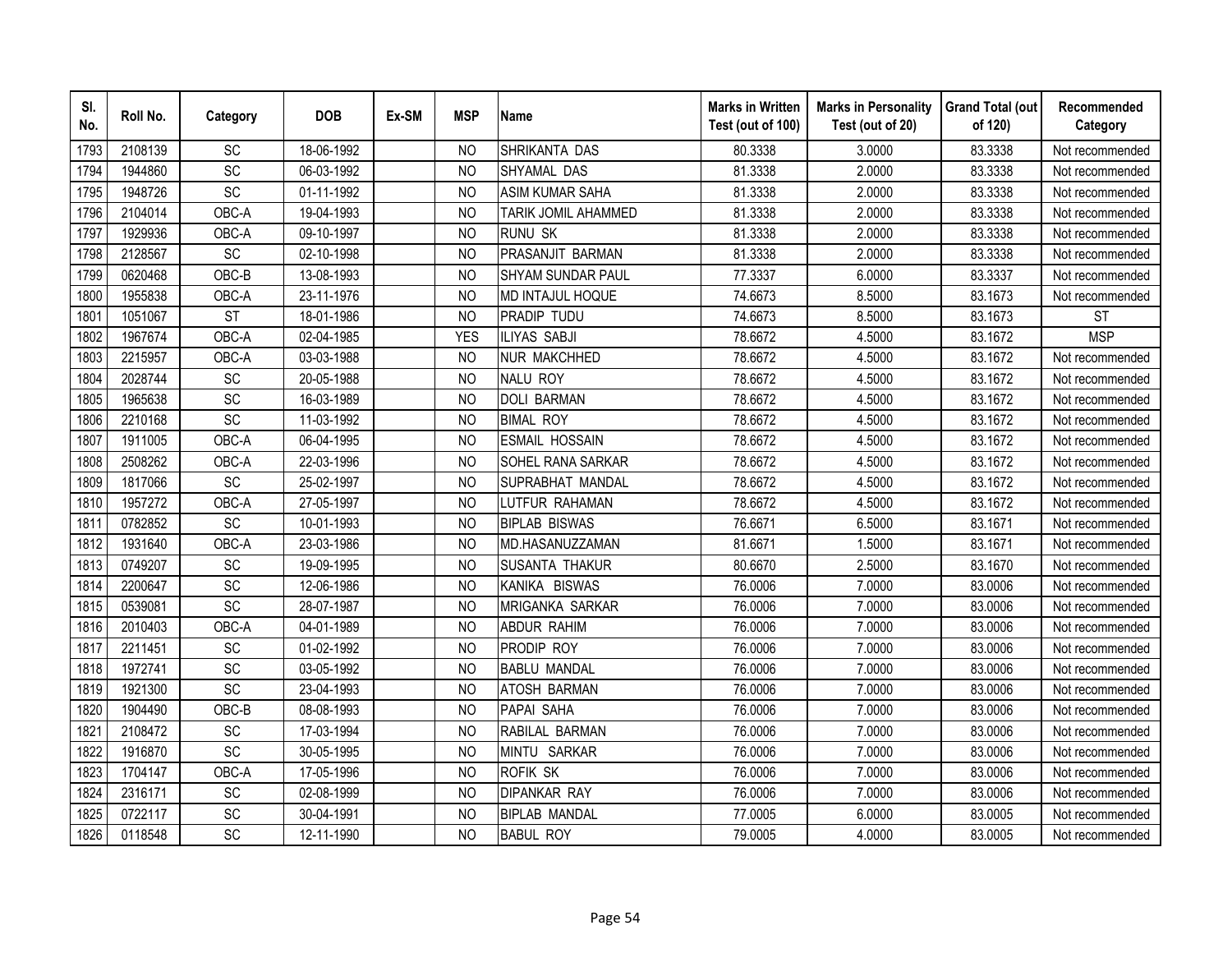| SI.<br>No. | Roll No. | Category        | <b>DOB</b> | Ex-SM | <b>MSP</b>     | <b>Name</b>              | <b>Marks in Written</b><br>Test (out of 100) | <b>Marks in Personality</b><br>Test (out of 20) | <b>Grand Total (out</b><br>of 120) | Recommended<br>Category |
|------------|----------|-----------------|------------|-------|----------------|--------------------------|----------------------------------------------|-------------------------------------------------|------------------------------------|-------------------------|
| 1793       | 2108139  | SC              | 18-06-1992 |       | <b>NO</b>      | SHRIKANTA DAS            | 80.3338                                      | 3.0000                                          | 83.3338                            | Not recommended         |
| 1794       | 1944860  | SC              | 06-03-1992 |       | N <sub>O</sub> | SHYAMAL DAS              | 81.3338                                      | 2.0000                                          | 83.3338                            | Not recommended         |
| 1795       | 1948726  | SC              | 01-11-1992 |       | N <sub>O</sub> | <b>ASIM KUMAR SAHA</b>   | 81.3338                                      | 2.0000                                          | 83.3338                            | Not recommended         |
| 1796       | 2104014  | OBC-A           | 19-04-1993 |       | <b>NO</b>      | TARIK JOMIL AHAMMED      | 81.3338                                      | 2.0000                                          | 83.3338                            | Not recommended         |
| 1797       | 1929936  | OBC-A           | 09-10-1997 |       | <b>NO</b>      | <b>RUNU SK</b>           | 81.3338                                      | 2.0000                                          | 83.3338                            | Not recommended         |
| 1798       | 2128567  | SC              | 02-10-1998 |       | <b>NO</b>      | PRASANJIT BARMAN         | 81.3338                                      | 2.0000                                          | 83.3338                            | Not recommended         |
| 1799       | 0620468  | OBC-B           | 13-08-1993 |       | N <sub>O</sub> | <b>SHYAM SUNDAR PAUL</b> | 77.3337                                      | 6.0000                                          | 83.3337                            | Not recommended         |
| 1800       | 1955838  | OBC-A           | 23-11-1976 |       | <b>NO</b>      | MD INTAJUL HOQUE         | 74.6673                                      | 8.5000                                          | 83.1673                            | Not recommended         |
| 1801       | 1051067  | <b>ST</b>       | 18-01-1986 |       | <b>NO</b>      | <b>PRADIP TUDU</b>       | 74.6673                                      | 8.5000                                          | 83.1673                            | <b>ST</b>               |
| 1802       | 1967674  | OBC-A           | 02-04-1985 |       | <b>YES</b>     | <b>ILIYAS SABJI</b>      | 78.6672                                      | 4.5000                                          | 83.1672                            | <b>MSP</b>              |
| 1803       | 2215957  | OBC-A           | 03-03-1988 |       | <b>NO</b>      | <b>NUR MAKCHHED</b>      | 78.6672                                      | 4.5000                                          | 83.1672                            | Not recommended         |
| 1804       | 2028744  | SC              | 20-05-1988 |       | <b>NO</b>      | <b>NALU ROY</b>          | 78.6672                                      | 4.5000                                          | 83.1672                            | Not recommended         |
| 1805       | 1965638  | SC              | 16-03-1989 |       | <b>NO</b>      | <b>DOLI BARMAN</b>       | 78.6672                                      | 4.5000                                          | 83.1672                            | Not recommended         |
| 1806       | 2210168  | SC              | 11-03-1992 |       | <b>NO</b>      | <b>BIMAL ROY</b>         | 78.6672                                      | 4.5000                                          | 83.1672                            | Not recommended         |
| 1807       | 1911005  | OBC-A           | 06-04-1995 |       | <b>NO</b>      | <b>ESMAIL HOSSAIN</b>    | 78.6672                                      | 4.5000                                          | 83.1672                            | Not recommended         |
| 1808       | 2508262  | OBC-A           | 22-03-1996 |       | <b>NO</b>      | SOHEL RANA SARKAR        | 78.6672                                      | 4.5000                                          | 83.1672                            | Not recommended         |
| 1809       | 1817066  | SC              | 25-02-1997 |       | <b>NO</b>      | SUPRABHAT MANDAL         | 78.6672                                      | 4.5000                                          | 83.1672                            | Not recommended         |
| 1810       | 1957272  | OBC-A           | 27-05-1997 |       | <b>NO</b>      | LUTFUR RAHAMAN           | 78.6672                                      | 4.5000                                          | 83.1672                            | Not recommended         |
| 1811       | 0782852  | SC              | 10-01-1993 |       | N <sub>O</sub> | <b>BIPLAB BISWAS</b>     | 76.6671                                      | 6.5000                                          | 83.1671                            | Not recommended         |
| 1812       | 1931640  | OBC-A           | 23-03-1986 |       | N <sub>O</sub> | MD.HASANUZZAMAN          | 81.6671                                      | 1.5000                                          | 83.1671                            | Not recommended         |
| 1813       | 0749207  | $\overline{SC}$ | 19-09-1995 |       | N <sub>O</sub> | <b>SUSANTA THAKUR</b>    | 80.6670                                      | 2.5000                                          | 83.1670                            | Not recommended         |
| 1814       | 2200647  | $\overline{SC}$ | 12-06-1986 |       | <b>NO</b>      | KANIKA BISWAS            | 76.0006                                      | 7.0000                                          | 83.0006                            | Not recommended         |
| 1815       | 0539081  | SC              | 28-07-1987 |       | <b>NO</b>      | <b>MRIGANKA SARKAR</b>   | 76.0006                                      | 7.0000                                          | 83.0006                            | Not recommended         |
| 1816       | 2010403  | OBC-A           | 04-01-1989 |       | N <sub>O</sub> | <b>ABDUR RAHIM</b>       | 76.0006                                      | 7.0000                                          | 83.0006                            | Not recommended         |
| 1817       | 2211451  | SC              | 01-02-1992 |       | N <sub>O</sub> | <b>PRODIP ROY</b>        | 76.0006                                      | 7.0000                                          | 83.0006                            | Not recommended         |
| 1818       | 1972741  | SC              | 03-05-1992 |       | N <sub>O</sub> | <b>BABLU MANDAL</b>      | 76.0006                                      | 7.0000                                          | 83.0006                            | Not recommended         |
| 1819       | 1921300  | $\overline{SC}$ | 23-04-1993 |       | <b>NO</b>      | <b>ATOSH BARMAN</b>      | 76.0006                                      | 7.0000                                          | 83.0006                            | Not recommended         |
| 1820       | 1904490  | OBC-B           | 08-08-1993 |       | N <sub>O</sub> | PAPAI SAHA               | 76.0006                                      | 7.0000                                          | 83.0006                            | Not recommended         |
| 1821       | 2108472  | SC              | 17-03-1994 |       | <b>NO</b>      | RABILAL BARMAN           | 76.0006                                      | 7.0000                                          | 83.0006                            | Not recommended         |
| 1822       | 1916870  | SC              | 30-05-1995 |       | N <sub>O</sub> | MINTU SARKAR             | 76.0006                                      | 7.0000                                          | 83.0006                            | Not recommended         |
| 1823       | 1704147  | OBC-A           | 17-05-1996 |       | <b>NO</b>      | ROFIK SK                 | 76.0006                                      | 7.0000                                          | 83.0006                            | Not recommended         |
| 1824       | 2316171  | SC              | 02-08-1999 |       | N <sub>O</sub> | <b>DIPANKAR RAY</b>      | 76.0006                                      | 7.0000                                          | 83.0006                            | Not recommended         |
| 1825       | 0722117  | SC              | 30-04-1991 |       | <b>NO</b>      | <b>BIPLAB MANDAL</b>     | 77.0005                                      | 6.0000                                          | 83.0005                            | Not recommended         |
| 1826       | 0118548  | SC              | 12-11-1990 |       | <b>NO</b>      | <b>BABUL ROY</b>         | 79.0005                                      | 4.0000                                          | 83.0005                            | Not recommended         |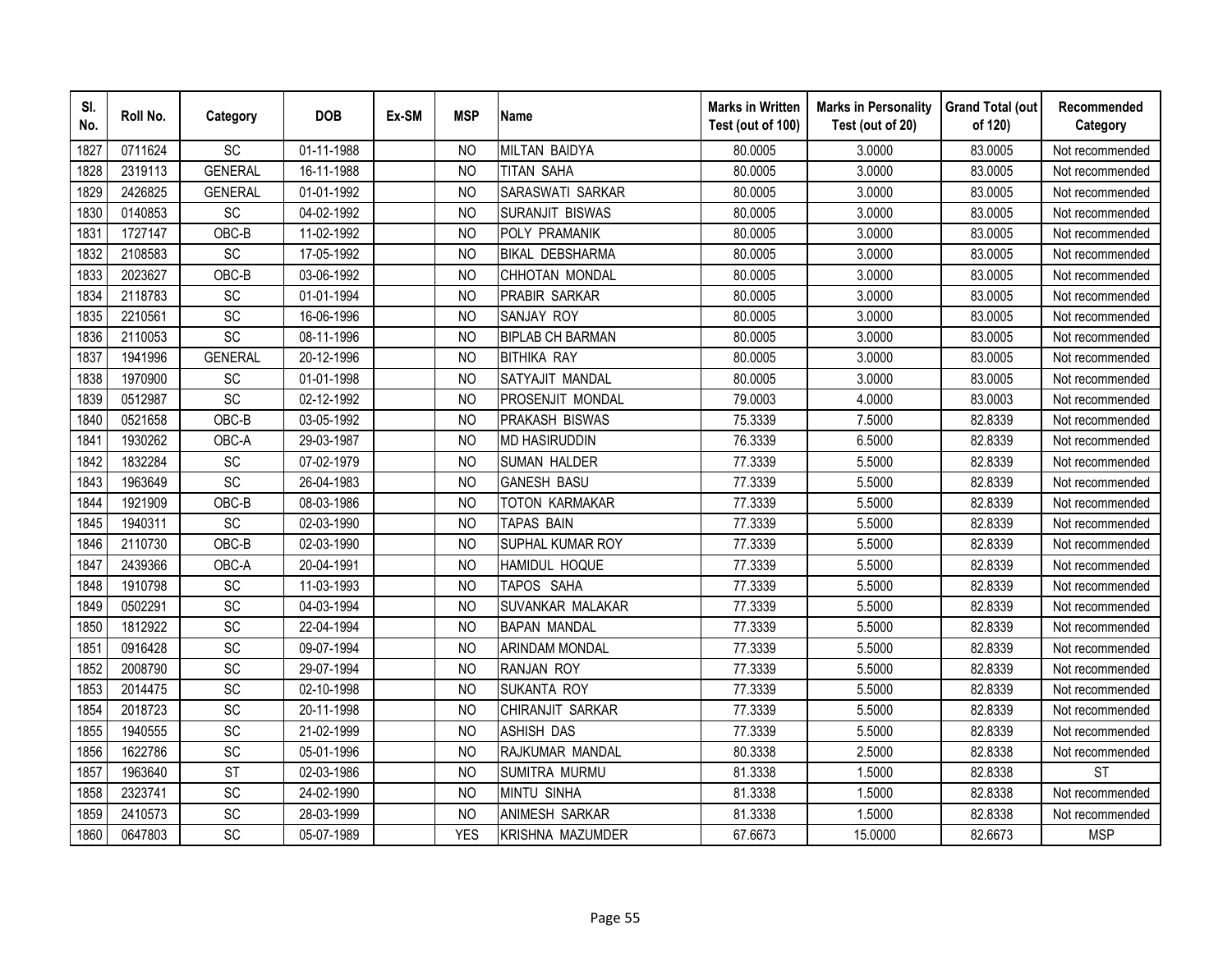| SI.<br>No. | Roll No. | Category        | <b>DOB</b> | Ex-SM | <b>MSP</b>     | <b>Name</b>             | <b>Marks in Written</b><br>Test (out of 100) | <b>Marks in Personality</b><br>Test (out of 20) | <b>Grand Total (out</b><br>of 120) | Recommended<br>Category |
|------------|----------|-----------------|------------|-------|----------------|-------------------------|----------------------------------------------|-------------------------------------------------|------------------------------------|-------------------------|
| 1827       | 0711624  | SC              | 01-11-1988 |       | N <sub>O</sub> | MILTAN BAIDYA           | 80.0005                                      | 3.0000                                          | 83.0005                            | Not recommended         |
| 1828       | 2319113  | <b>GENERAL</b>  | 16-11-1988 |       | <b>NO</b>      | TITAN SAHA              | 80.0005                                      | 3.0000                                          | 83.0005                            | Not recommended         |
| 1829       | 2426825  | <b>GENERAL</b>  | 01-01-1992 |       | N <sub>O</sub> | SARASWATI SARKAR        | 80.0005                                      | 3.0000                                          | 83.0005                            | Not recommended         |
| 1830       | 0140853  | SC              | 04-02-1992 |       | N <sub>O</sub> | <b>SURANJIT BISWAS</b>  | 80.0005                                      | 3.0000                                          | 83.0005                            | Not recommended         |
| 1831       | 1727147  | OBC-B           | 11-02-1992 |       | <b>NO</b>      | POLY PRAMANIK           | 80.0005                                      | 3.0000                                          | 83.0005                            | Not recommended         |
| 1832       | 2108583  | SC              | 17-05-1992 |       | N <sub>O</sub> | <b>BIKAL DEBSHARMA</b>  | 80.0005                                      | 3.0000                                          | 83.0005                            | Not recommended         |
| 1833       | 2023627  | OBC-B           | 03-06-1992 |       | N <sub>O</sub> | CHHOTAN MONDAL          | 80.0005                                      | 3.0000                                          | 83.0005                            | Not recommended         |
| 1834       | 2118783  | SC              | 01-01-1994 |       | N <sub>O</sub> | PRABIR SARKAR           | 80.0005                                      | 3.0000                                          | 83.0005                            | Not recommended         |
| 1835       | 2210561  | SC              | 16-06-1996 |       | <b>NO</b>      | <b>SANJAY ROY</b>       | 80.0005                                      | 3.0000                                          | 83.0005                            | Not recommended         |
| 1836       | 2110053  | SC              | 08-11-1996 |       | <b>NO</b>      | <b>BIPLAB CH BARMAN</b> | 80.0005                                      | 3.0000                                          | 83.0005                            | Not recommended         |
| 1837       | 1941996  | <b>GENERAL</b>  | 20-12-1996 |       | <b>NO</b>      | <b>BITHIKA RAY</b>      | 80.0005                                      | 3.0000                                          | 83.0005                            | Not recommended         |
| 1838       | 1970900  | SC              | 01-01-1998 |       | <b>NO</b>      | SATYAJIT MANDAL         | 80.0005                                      | 3.0000                                          | 83.0005                            | Not recommended         |
| 1839       | 0512987  | SC              | 02-12-1992 |       | <b>NO</b>      | <b>PROSENJIT MONDAL</b> | 79.0003                                      | 4.0000                                          | 83.0003                            | Not recommended         |
| 1840       | 0521658  | OBC-B           | 03-05-1992 |       | <b>NO</b>      | <b>PRAKASH BISWAS</b>   | 75.3339                                      | 7.5000                                          | 82.8339                            | Not recommended         |
| 1841       | 1930262  | OBC-A           | 29-03-1987 |       | N <sub>O</sub> | <b>MD HASIRUDDIN</b>    | 76.3339                                      | 6.5000                                          | 82.8339                            | Not recommended         |
| 1842       | 1832284  | SC              | 07-02-1979 |       | <b>NO</b>      | <b>SUMAN HALDER</b>     | 77.3339                                      | 5.5000                                          | 82.8339                            | Not recommended         |
| 1843       | 1963649  | SC              | 26-04-1983 |       | <b>NO</b>      | <b>GANESH BASU</b>      | 77.3339                                      | 5.5000                                          | 82.8339                            | Not recommended         |
| 1844       | 1921909  | OBC-B           | 08-03-1986 |       | N <sub>O</sub> | <b>TOTON KARMAKAR</b>   | 77.3339                                      | 5.5000                                          | 82.8339                            | Not recommended         |
| 1845       | 1940311  | $\overline{SC}$ | 02-03-1990 |       | <b>NO</b>      | <b>TAPAS BAIN</b>       | 77.3339                                      | 5.5000                                          | 82.8339                            | Not recommended         |
| 1846       | 2110730  | OBC-B           | 02-03-1990 |       | <b>NO</b>      | <b>SUPHAL KUMAR ROY</b> | 77.3339                                      | 5.5000                                          | 82.8339                            | Not recommended         |
| 1847       | 2439366  | OBC-A           | 20-04-1991 |       | <b>NO</b>      | <b>HAMIDUL HOQUE</b>    | 77.3339                                      | 5.5000                                          | 82.8339                            | Not recommended         |
| 1848       | 1910798  | SC              | 11-03-1993 |       | N <sub>O</sub> | TAPOS SAHA              | 77.3339                                      | 5.5000                                          | 82.8339                            | Not recommended         |
| 1849       | 0502291  | SC              | 04-03-1994 |       | <b>NO</b>      | SUVANKAR MALAKAR        | 77.3339                                      | 5.5000                                          | 82.8339                            | Not recommended         |
| 1850       | 1812922  | SC              | 22-04-1994 |       | <b>NO</b>      | <b>BAPAN MANDAL</b>     | 77.3339                                      | 5.5000                                          | 82.8339                            | Not recommended         |
| 1851       | 0916428  | SC              | 09-07-1994 |       | N <sub>O</sub> | <b>ARINDAM MONDAL</b>   | 77.3339                                      | 5.5000                                          | 82.8339                            | Not recommended         |
| 1852       | 2008790  | SC              | 29-07-1994 |       | <b>NO</b>      | <b>RANJAN ROY</b>       | 77.3339                                      | 5.5000                                          | 82.8339                            | Not recommended         |
| 1853       | 2014475  | SC              | 02-10-1998 |       | N <sub>O</sub> | <b>SUKANTA ROY</b>      | 77.3339                                      | 5.5000                                          | 82.8339                            | Not recommended         |
| 1854       | 2018723  | SC              | 20-11-1998 |       | N <sub>O</sub> | CHIRANJIT SARKAR        | 77.3339                                      | 5.5000                                          | 82.8339                            | Not recommended         |
| 1855       | 1940555  | SC              | 21-02-1999 |       | <b>NO</b>      | <b>ASHISH DAS</b>       | 77.3339                                      | 5.5000                                          | 82.8339                            | Not recommended         |
| 1856       | 1622786  | SC              | 05-01-1996 |       | N <sub>O</sub> | RAJKUMAR MANDAL         | 80.3338                                      | 2.5000                                          | 82.8338                            | Not recommended         |
| 1857       | 1963640  | <b>ST</b>       | 02-03-1986 |       | <b>NO</b>      | <b>SUMITRA MURMU</b>    | 81.3338                                      | 1.5000                                          | 82.8338                            | <b>ST</b>               |
| 1858       | 2323741  | SC              | 24-02-1990 |       | N <sub>O</sub> | <b>MINTU SINHA</b>      | 81.3338                                      | 1.5000                                          | 82.8338                            | Not recommended         |
| 1859       | 2410573  | SC              | 28-03-1999 |       | <b>NO</b>      | ANIMESH SARKAR          | 81.3338                                      | 1.5000                                          | 82.8338                            | Not recommended         |
| 1860       | 0647803  | SC              | 05-07-1989 |       | <b>YES</b>     | KRISHNA MAZUMDER        | 67.6673                                      | 15.0000                                         | 82.6673                            | <b>MSP</b>              |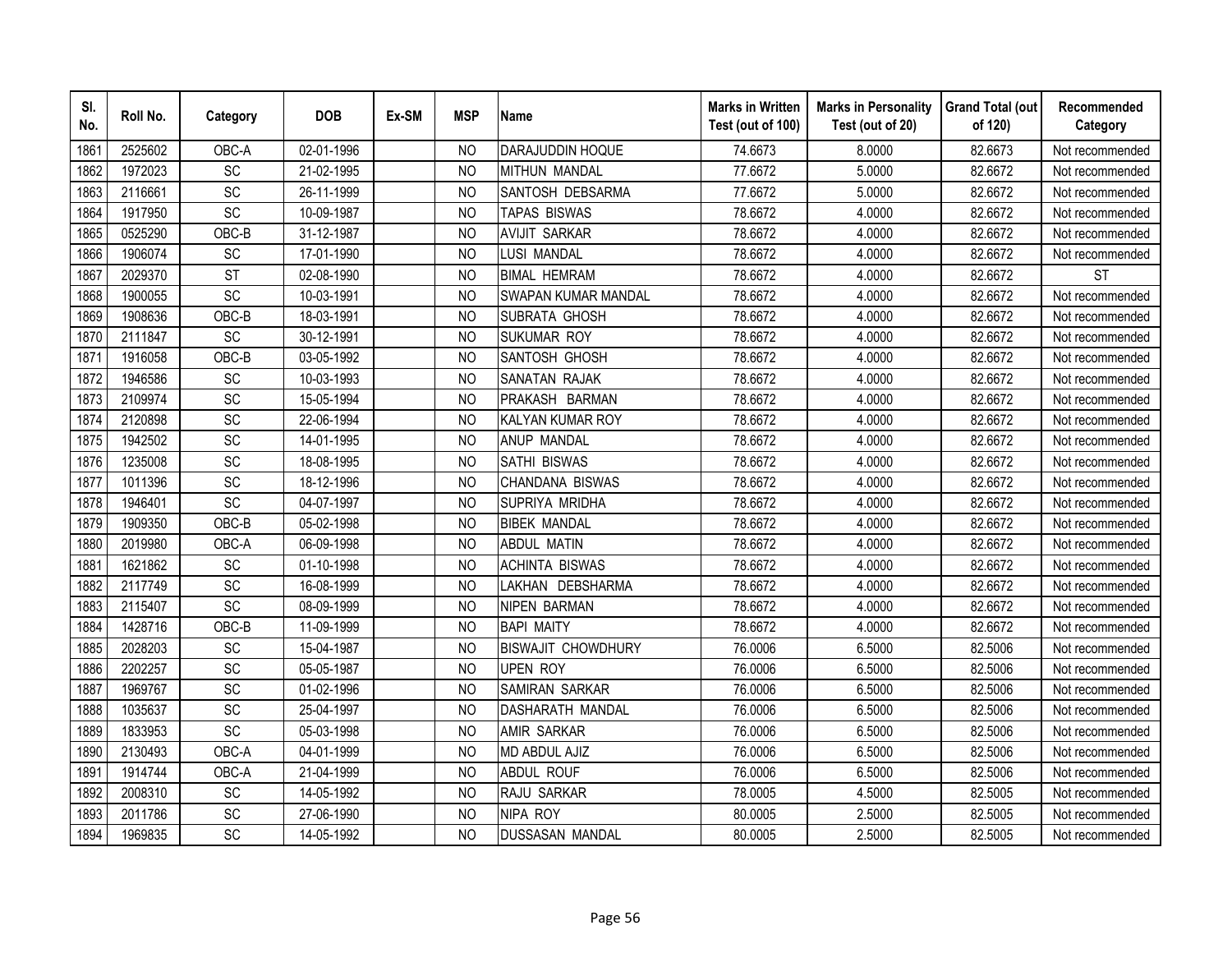| SI.<br>No. | Roll No. | Category        | <b>DOB</b> | Ex-SM | <b>MSP</b>     | <b>Name</b>               | <b>Marks in Written</b><br>Test (out of 100) | <b>Marks in Personality</b><br>Test (out of 20) | <b>Grand Total (out</b><br>of 120) | Recommended<br>Category |
|------------|----------|-----------------|------------|-------|----------------|---------------------------|----------------------------------------------|-------------------------------------------------|------------------------------------|-------------------------|
| 1861       | 2525602  | OBC-A           | 02-01-1996 |       | N <sub>O</sub> | DARAJUDDIN HOQUE          | 74.6673                                      | 8.0000                                          | 82.6673                            | Not recommended         |
| 1862       | 1972023  | $\overline{SC}$ | 21-02-1995 |       | <b>NO</b>      | <b>MITHUN MANDAL</b>      | 77.6672                                      | 5.0000                                          | 82.6672                            | Not recommended         |
| 1863       | 2116661  | SC              | 26-11-1999 |       | N <sub>O</sub> | SANTOSH DEBSARMA          | 77.6672                                      | 5.0000                                          | 82.6672                            | Not recommended         |
| 1864       | 1917950  | SC              | 10-09-1987 |       | N <sub>O</sub> | TAPAS BISWAS              | 78.6672                                      | 4.0000                                          | 82.6672                            | Not recommended         |
| 1865       | 0525290  | OBC-B           | 31-12-1987 |       | <b>NO</b>      | <b>AVIJIT SARKAR</b>      | 78.6672                                      | 4.0000                                          | 82.6672                            | Not recommended         |
| 1866       | 1906074  | SC              | 17-01-1990 |       | N <sub>O</sub> | LUSI MANDAL               | 78.6672                                      | 4.0000                                          | 82.6672                            | Not recommended         |
| 1867       | 2029370  | <b>ST</b>       | 02-08-1990 |       | N <sub>O</sub> | <b>BIMAL HEMRAM</b>       | 78.6672                                      | 4.0000                                          | 82.6672                            | <b>ST</b>               |
| 1868       | 1900055  | SC              | 10-03-1991 |       | N <sub>O</sub> | SWAPAN KUMAR MANDAL       | 78.6672                                      | 4.0000                                          | 82.6672                            | Not recommended         |
| 1869       | 1908636  | OBC-B           | 18-03-1991 |       | N <sub>O</sub> | SUBRATA GHOSH             | 78.6672                                      | 4.0000                                          | 82.6672                            | Not recommended         |
| 1870       | 2111847  | SC              | 30-12-1991 |       | <b>NO</b>      | <b>SUKUMAR ROY</b>        | 78.6672                                      | 4.0000                                          | 82.6672                            | Not recommended         |
| 1871       | 1916058  | OBC-B           | 03-05-1992 |       | <b>NO</b>      | SANTOSH GHOSH             | 78.6672                                      | 4.0000                                          | 82.6672                            | Not recommended         |
| 1872       | 1946586  | SC              | 10-03-1993 |       | <b>NO</b>      | <b>SANATAN RAJAK</b>      | 78.6672                                      | 4.0000                                          | 82.6672                            | Not recommended         |
| 1873       | 2109974  | SC              | 15-05-1994 |       | <b>NO</b>      | PRAKASH BARMAN            | 78.6672                                      | 4.0000                                          | 82.6672                            | Not recommended         |
| 1874       | 2120898  | SC              | 22-06-1994 |       | <b>NO</b>      | KALYAN KUMAR ROY          | 78.6672                                      | 4.0000                                          | 82.6672                            | Not recommended         |
| 1875       | 1942502  | SC              | 14-01-1995 |       | N <sub>O</sub> | ANUP MANDAL               | 78.6672                                      | 4.0000                                          | 82.6672                            | Not recommended         |
| 1876       | 1235008  | SC              | 18-08-1995 |       | <b>NO</b>      | SATHI BISWAS              | 78.6672                                      | 4.0000                                          | 82.6672                            | Not recommended         |
| 1877       | 1011396  | SC              | 18-12-1996 |       | <b>NO</b>      | CHANDANA BISWAS           | 78.6672                                      | 4.0000                                          | 82.6672                            | Not recommended         |
| 1878       | 1946401  | $\overline{SC}$ | 04-07-1997 |       | N <sub>O</sub> | SUPRIYA MRIDHA            | 78.6672                                      | 4.0000                                          | 82.6672                            | Not recommended         |
| 1879       | 1909350  | OBC-B           | 05-02-1998 |       | <b>NO</b>      | <b>BIBEK MANDAL</b>       | 78.6672                                      | 4.0000                                          | 82.6672                            | Not recommended         |
| 1880       | 2019980  | OBC-A           | 06-09-1998 |       | <b>NO</b>      | <b>ABDUL MATIN</b>        | 78.6672                                      | 4.0000                                          | 82.6672                            | Not recommended         |
| 1881       | 1621862  | SC              | 01-10-1998 |       | <b>NO</b>      | <b>ACHINTA BISWAS</b>     | 78.6672                                      | 4.0000                                          | 82.6672                            | Not recommended         |
| 1882       | 2117749  | SC              | 16-08-1999 |       | N <sub>O</sub> | LAKHAN DEBSHARMA          | 78.6672                                      | 4.0000                                          | 82.6672                            | Not recommended         |
| 1883       | 2115407  | SC              | 08-09-1999 |       | <b>NO</b>      | <b>NIPEN BARMAN</b>       | 78.6672                                      | 4.0000                                          | 82.6672                            | Not recommended         |
| 1884       | 1428716  | OBC-B           | 11-09-1999 |       | <b>NO</b>      | <b>BAPI MAITY</b>         | 78.6672                                      | 4.0000                                          | 82.6672                            | Not recommended         |
| 1885       | 2028203  | SC              | 15-04-1987 |       | N <sub>O</sub> | <b>BISWAJIT CHOWDHURY</b> | 76.0006                                      | 6.5000                                          | 82.5006                            | Not recommended         |
| 1886       | 2202257  | SC              | 05-05-1987 |       | <b>NO</b>      | <b>UPEN ROY</b>           | 76.0006                                      | 6.5000                                          | 82.5006                            | Not recommended         |
| 1887       | 1969767  | SC              | 01-02-1996 |       | N <sub>O</sub> | SAMIRAN SARKAR            | 76.0006                                      | 6.5000                                          | 82.5006                            | Not recommended         |
| 1888       | 1035637  | SC              | 25-04-1997 |       | N <sub>O</sub> | <b>DASHARATH MANDAL</b>   | 76.0006                                      | 6.5000                                          | 82.5006                            | Not recommended         |
| 1889       | 1833953  | SC              | 05-03-1998 |       | <b>NO</b>      | <b>AMIR SARKAR</b>        | 76.0006                                      | 6.5000                                          | 82.5006                            | Not recommended         |
| 1890       | 2130493  | OBC-A           | 04-01-1999 |       | <b>NO</b>      | MD ABDUL AJIZ             | 76.0006                                      | 6.5000                                          | 82.5006                            | Not recommended         |
| 1891       | 1914744  | OBC-A           | 21-04-1999 |       | <b>NO</b>      | <b>ABDUL ROUF</b>         | 76.0006                                      | 6.5000                                          | 82.5006                            | Not recommended         |
| 1892       | 2008310  | SC              | 14-05-1992 |       | <b>NO</b>      | RAJU SARKAR               | 78.0005                                      | 4.5000                                          | 82.5005                            | Not recommended         |
| 1893       | 2011786  | SC              | 27-06-1990 |       | <b>NO</b>      | NIPA ROY                  | 80.0005                                      | 2.5000                                          | 82.5005                            | Not recommended         |
| 1894       | 1969835  | SC              | 14-05-1992 |       | <b>NO</b>      | <b>DUSSASAN MANDAL</b>    | 80.0005                                      | 2.5000                                          | 82.5005                            | Not recommended         |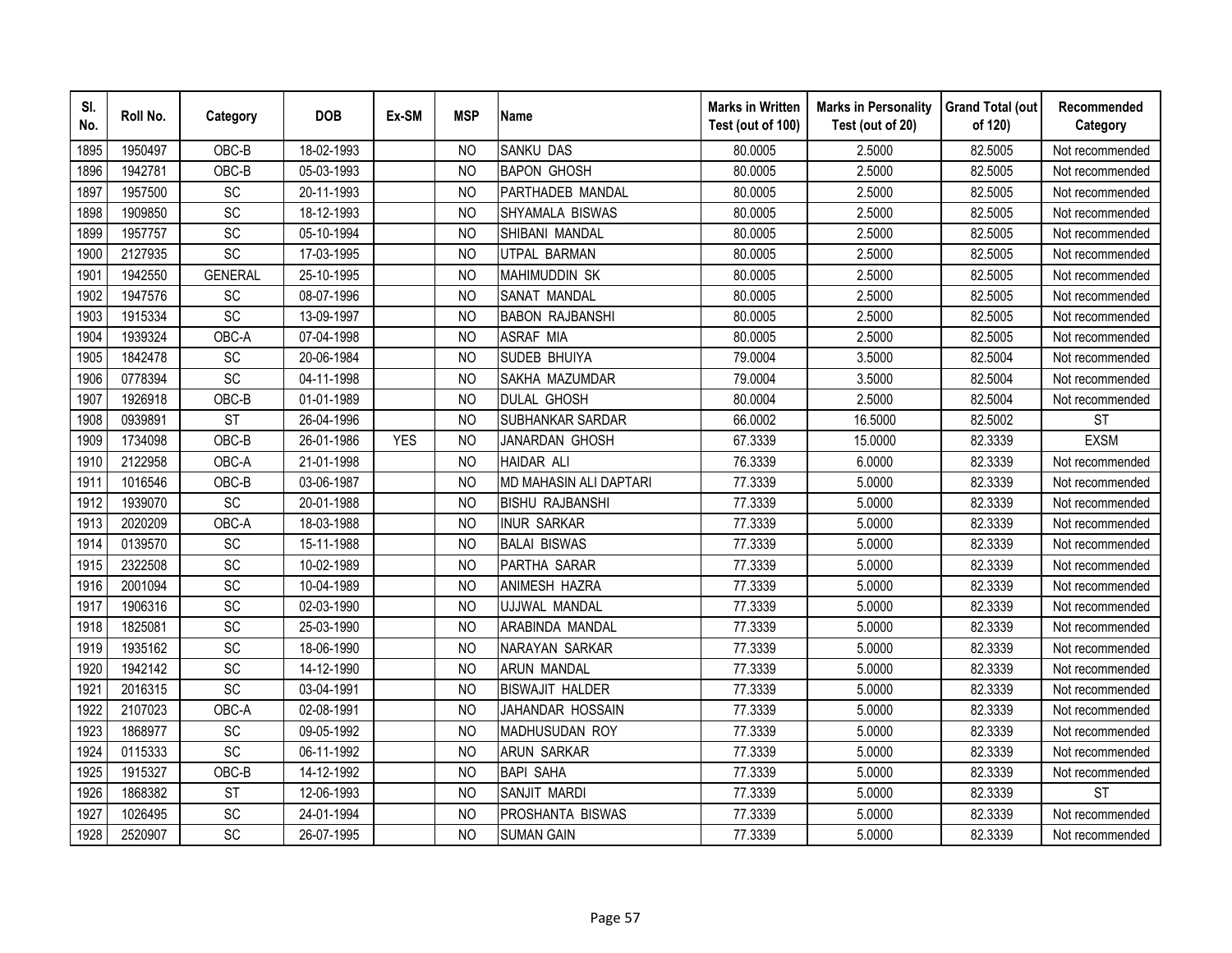| SI.<br>No. | Roll No. | Category       | <b>DOB</b> | Ex-SM      | <b>MSP</b>     | <b>Name</b>             | <b>Marks in Written</b><br>Test (out of 100) | <b>Marks in Personality</b><br>Test (out of 20) | <b>Grand Total (out</b><br>of 120) | Recommended<br>Category |
|------------|----------|----------------|------------|------------|----------------|-------------------------|----------------------------------------------|-------------------------------------------------|------------------------------------|-------------------------|
| 1895       | 1950497  | OBC-B          | 18-02-1993 |            | N <sub>O</sub> | <b>SANKU DAS</b>        | 80.0005                                      | 2.5000                                          | 82.5005                            | Not recommended         |
| 1896       | 1942781  | OBC-B          | 05-03-1993 |            | N <sub>O</sub> | <b>BAPON GHOSH</b>      | 80.0005                                      | 2.5000                                          | 82.5005                            | Not recommended         |
| 1897       | 1957500  | SC             | 20-11-1993 |            | <b>NO</b>      | PARTHADEB MANDAL        | 80.0005                                      | 2.5000                                          | 82.5005                            | Not recommended         |
| 1898       | 1909850  | SC             | 18-12-1993 |            | <b>NO</b>      | SHYAMALA BISWAS         | 80.0005                                      | 2.5000                                          | 82.5005                            | Not recommended         |
| 1899       | 1957757  | <b>SC</b>      | 05-10-1994 |            | N <sub>O</sub> | SHIBANI MANDAL          | 80.0005                                      | 2.5000                                          | 82.5005                            | Not recommended         |
| 1900       | 2127935  | SC             | 17-03-1995 |            | N <sub>O</sub> | UTPAL BARMAN            | 80.0005                                      | 2.5000                                          | 82.5005                            | Not recommended         |
| 1901       | 1942550  | <b>GENERAL</b> | 25-10-1995 |            | N <sub>O</sub> | <b>MAHIMUDDIN SK</b>    | 80.0005                                      | 2.5000                                          | 82.5005                            | Not recommended         |
| 1902       | 1947576  | SC             | 08-07-1996 |            | N <sub>O</sub> | SANAT MANDAL            | 80.0005                                      | 2.5000                                          | 82.5005                            | Not recommended         |
| 1903       | 1915334  | <b>SC</b>      | 13-09-1997 |            | N <sub>O</sub> | <b>BABON RAJBANSHI</b>  | 80.0005                                      | 2.5000                                          | 82.5005                            | Not recommended         |
| 1904       | 1939324  | OBC-A          | 07-04-1998 |            | N <sub>O</sub> | <b>ASRAF MIA</b>        | 80.0005                                      | 2.5000                                          | 82.5005                            | Not recommended         |
| 1905       | 1842478  | SC             | 20-06-1984 |            | <b>NO</b>      | <b>SUDEB BHUIYA</b>     | 79.0004                                      | 3.5000                                          | 82.5004                            | Not recommended         |
| 1906       | 0778394  | SC             | 04-11-1998 |            | <b>NO</b>      | SAKHA MAZUMDAR          | 79.0004                                      | 3.5000                                          | 82.5004                            | Not recommended         |
| 1907       | 1926918  | OBC-B          | 01-01-1989 |            | <b>NO</b>      | <b>DULAL GHOSH</b>      | 80.0004                                      | 2.5000                                          | 82.5004                            | Not recommended         |
| 1908       | 0939891  | <b>ST</b>      | 26-04-1996 |            | <b>NO</b>      | <b>SUBHANKAR SARDAR</b> | 66.0002                                      | 16.5000                                         | 82.5002                            | <b>ST</b>               |
| 1909       | 1734098  | OBC-B          | 26-01-1986 | <b>YES</b> | <b>NO</b>      | JANARDAN GHOSH          | 67.3339                                      | 15.0000                                         | 82.3339                            | <b>EXSM</b>             |
| 1910       | 2122958  | OBC-A          | 21-01-1998 |            | <b>NO</b>      | <b>HAIDAR ALI</b>       | 76.3339                                      | 6.0000                                          | 82.3339                            | Not recommended         |
| 1911       | 1016546  | OBC-B          | 03-06-1987 |            | <b>NO</b>      | MD MAHASIN ALI DAPTARI  | 77.3339                                      | 5.0000                                          | 82.3339                            | Not recommended         |
| 1912       | 1939070  | SC             | 20-01-1988 |            | N <sub>O</sub> | <b>BISHU RAJBANSHI</b>  | 77.3339                                      | 5.0000                                          | 82.3339                            | Not recommended         |
| 1913       | 2020209  | OBC-A          | 18-03-1988 |            | <b>NO</b>      | <b>INUR SARKAR</b>      | 77.3339                                      | 5.0000                                          | 82.3339                            | Not recommended         |
| 1914       | 0139570  | SC             | 15-11-1988 |            | <b>NO</b>      | <b>BALAI BISWAS</b>     | 77.3339                                      | 5.0000                                          | 82.3339                            | Not recommended         |
| 1915       | 2322508  | SC             | 10-02-1989 |            | <b>NO</b>      | PARTHA SARAR            | 77.3339                                      | 5.0000                                          | 82.3339                            | Not recommended         |
| 1916       | 2001094  | <b>SC</b>      | 10-04-1989 |            | N <sub>O</sub> | ANIMESH HAZRA           | 77.3339                                      | 5.0000                                          | 82.3339                            | Not recommended         |
| 1917       | 1906316  | SC             | 02-03-1990 |            | N <sub>O</sub> | UJJWAL MANDAL           | 77.3339                                      | 5.0000                                          | 82.3339                            | Not recommended         |
| 1918       | 1825081  | SC             | 25-03-1990 |            | N <sub>O</sub> | ARABINDA MANDAL         | 77.3339                                      | 5.0000                                          | 82.3339                            | Not recommended         |
| 1919       | 1935162  | SC             | 18-06-1990 |            | <b>NO</b>      | NARAYAN SARKAR          | 77.3339                                      | 5.0000                                          | 82.3339                            | Not recommended         |
| 1920       | 1942142  | SC             | 14-12-1990 |            | N <sub>O</sub> | ARUN MANDAL             | 77.3339                                      | 5.0000                                          | 82.3339                            | Not recommended         |
| 1921       | 2016315  | SC             | 03-04-1991 |            | N <sub>O</sub> | <b>BISWAJIT HALDER</b>  | 77.3339                                      | 5.0000                                          | 82.3339                            | Not recommended         |
| 1922       | 2107023  | OBC-A          | 02-08-1991 |            | N <sub>O</sub> | JAHANDAR HOSSAIN        | 77.3339                                      | 5.0000                                          | 82.3339                            | Not recommended         |
| 1923       | 1868977  | SC             | 09-05-1992 |            | <b>NO</b>      | MADHUSUDAN ROY          | 77.3339                                      | 5.0000                                          | 82.3339                            | Not recommended         |
| 1924       | 0115333  | <b>SC</b>      | 06-11-1992 |            | N <sub>O</sub> | <b>ARUN SARKAR</b>      | 77.3339                                      | 5.0000                                          | 82.3339                            | Not recommended         |
| 1925       | 1915327  | OBC-B          | 14-12-1992 |            | N <sub>O</sub> | <b>BAPI SAHA</b>        | 77.3339                                      | 5.0000                                          | 82.3339                            | Not recommended         |
| 1926       | 1868382  | <b>ST</b>      | 12-06-1993 |            | <b>NO</b>      | SANJIT MARDI            | 77.3339                                      | 5.0000                                          | 82.3339                            | <b>ST</b>               |
| 1927       | 1026495  | SC             | 24-01-1994 |            | <b>NO</b>      | PROSHANTA BISWAS        | 77.3339                                      | 5.0000                                          | 82.3339                            | Not recommended         |
| 1928       | 2520907  | SC             | 26-07-1995 |            | <b>NO</b>      | <b>SUMAN GAIN</b>       | 77.3339                                      | 5.0000                                          | 82.3339                            | Not recommended         |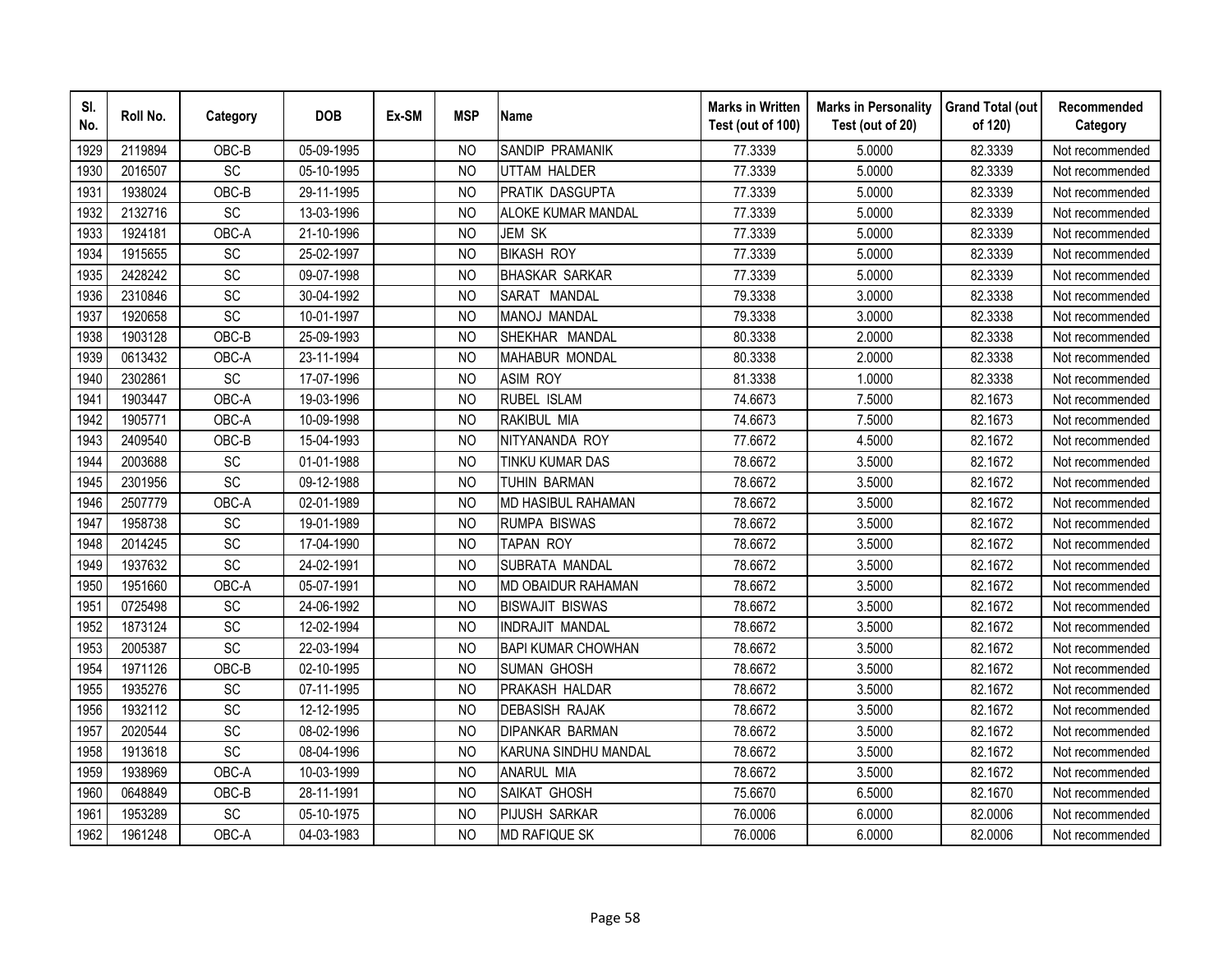| SI.<br>No. | Roll No. | Category        | <b>DOB</b> | Ex-SM | <b>MSP</b>     | <b>Name</b>               | <b>Marks in Written</b><br>Test (out of 100) | <b>Marks in Personality</b><br>Test (out of 20) | <b>Grand Total (out</b><br>of 120) | Recommended<br>Category |
|------------|----------|-----------------|------------|-------|----------------|---------------------------|----------------------------------------------|-------------------------------------------------|------------------------------------|-------------------------|
| 1929       | 2119894  | OBC-B           | 05-09-1995 |       | N <sub>O</sub> | SANDIP PRAMANIK           | 77.3339                                      | 5.0000                                          | 82.3339                            | Not recommended         |
| 1930       | 2016507  | $\overline{SC}$ | 05-10-1995 |       | <b>NO</b>      | <b>UTTAM HALDER</b>       | 77.3339                                      | 5.0000                                          | 82.3339                            | Not recommended         |
| 1931       | 1938024  | OBC-B           | 29-11-1995 |       | N <sub>O</sub> | PRATIK DASGUPTA           | 77.3339                                      | 5.0000                                          | 82.3339                            | Not recommended         |
| 1932       | 2132716  | SC              | 13-03-1996 |       | N <sub>O</sub> | <b>ALOKE KUMAR MANDAL</b> | 77.3339                                      | 5.0000                                          | 82.3339                            | Not recommended         |
| 1933       | 1924181  | OBC-A           | 21-10-1996 |       | <b>NO</b>      | JEM SK                    | 77.3339                                      | 5.0000                                          | 82.3339                            | Not recommended         |
| 1934       | 1915655  | SC              | 25-02-1997 |       | N <sub>O</sub> | <b>BIKASH ROY</b>         | 77.3339                                      | 5.0000                                          | 82.3339                            | Not recommended         |
| 1935       | 2428242  | <b>SC</b>       | 09-07-1998 |       | N <sub>O</sub> | <b>BHASKAR SARKAR</b>     | 77.3339                                      | 5.0000                                          | 82.3339                            | Not recommended         |
| 1936       | 2310846  | SC              | 30-04-1992 |       | N <sub>O</sub> | SARAT MANDAL              | 79.3338                                      | 3.0000                                          | 82.3338                            | Not recommended         |
| 1937       | 1920658  | SC              | 10-01-1997 |       | N <sub>O</sub> | MANOJ MANDAL              | 79.3338                                      | 3.0000                                          | 82.3338                            | Not recommended         |
| 1938       | 1903128  | OBC-B           | 25-09-1993 |       | <b>NO</b>      | SHEKHAR MANDAL            | 80.3338                                      | 2.0000                                          | 82.3338                            | Not recommended         |
| 1939       | 0613432  | OBC-A           | 23-11-1994 |       | <b>NO</b>      | <b>MAHABUR MONDAL</b>     | 80.3338                                      | 2.0000                                          | 82.3338                            | Not recommended         |
| 1940       | 2302861  | SC              | 17-07-1996 |       | <b>NO</b>      | <b>ASIM ROY</b>           | 81.3338                                      | 1.0000                                          | 82.3338                            | Not recommended         |
| 1941       | 1903447  | OBC-A           | 19-03-1996 |       | <b>NO</b>      | RUBEL ISLAM               | 74.6673                                      | 7.5000                                          | 82.1673                            | Not recommended         |
| 1942       | 1905771  | OBC-A           | 10-09-1998 |       | <b>NO</b>      | RAKIBUL MIA               | 74.6673                                      | 7.5000                                          | 82.1673                            | Not recommended         |
| 1943       | 2409540  | OBC-B           | 15-04-1993 |       | N <sub>O</sub> | NITYANANDA ROY            | 77.6672                                      | 4.5000                                          | 82.1672                            | Not recommended         |
| 1944       | 2003688  | SC              | 01-01-1988 |       | <b>NO</b>      | TINKU KUMAR DAS           | 78.6672                                      | 3.5000                                          | 82.1672                            | Not recommended         |
| 1945       | 2301956  | SC              | 09-12-1988 |       | <b>NO</b>      | <b>TUHIN BARMAN</b>       | 78.6672                                      | 3.5000                                          | 82.1672                            | Not recommended         |
| 1946       | 2507779  | OBC-A           | 02-01-1989 |       | N <sub>O</sub> | <b>MD HASIBUL RAHAMAN</b> | 78.6672                                      | 3.5000                                          | 82.1672                            | Not recommended         |
| 1947       | 1958738  | SC              | 19-01-1989 |       | <b>NO</b>      | <b>RUMPA BISWAS</b>       | 78.6672                                      | 3.5000                                          | 82.1672                            | Not recommended         |
| 1948       | 2014245  | SC              | 17-04-1990 |       | <b>NO</b>      | <b>TAPAN ROY</b>          | 78.6672                                      | 3.5000                                          | 82.1672                            | Not recommended         |
| 1949       | 1937632  | SC              | 24-02-1991 |       | <b>NO</b>      | SUBRATA MANDAL            | 78.6672                                      | 3.5000                                          | 82.1672                            | Not recommended         |
| 1950       | 1951660  | OBC-A           | 05-07-1991 |       | N <sub>O</sub> | <b>MD OBAIDUR RAHAMAN</b> | 78.6672                                      | 3.5000                                          | 82.1672                            | Not recommended         |
| 1951       | 0725498  | SC              | 24-06-1992 |       | <b>NO</b>      | <b>BISWAJIT BISWAS</b>    | 78.6672                                      | 3.5000                                          | 82.1672                            | Not recommended         |
| 1952       | 1873124  | SC              | 12-02-1994 |       | <b>NO</b>      | <b>INDRAJIT MANDAL</b>    | 78.6672                                      | 3.5000                                          | 82.1672                            | Not recommended         |
| 1953       | 2005387  | SC              | 22-03-1994 |       | N <sub>O</sub> | <b>BAPI KUMAR CHOWHAN</b> | 78.6672                                      | 3.5000                                          | 82.1672                            | Not recommended         |
| 1954       | 1971126  | OBC-B           | 02-10-1995 |       | N <sub>O</sub> | <b>SUMAN GHOSH</b>        | 78.6672                                      | 3.5000                                          | 82.1672                            | Not recommended         |
| 1955       | 1935276  | SC              | 07-11-1995 |       | <b>NO</b>      | PRAKASH HALDAR            | 78.6672                                      | 3.5000                                          | 82.1672                            | Not recommended         |
| 1956       | 1932112  | SC              | 12-12-1995 |       | N <sub>O</sub> | <b>DEBASISH RAJAK</b>     | 78.6672                                      | 3.5000                                          | 82.1672                            | Not recommended         |
| 1957       | 2020544  | SC              | 08-02-1996 |       | <b>NO</b>      | <b>DIPANKAR BARMAN</b>    | 78.6672                                      | 3.5000                                          | 82.1672                            | Not recommended         |
| 1958       | 1913618  | SC              | 08-04-1996 |       | N <sub>O</sub> | KARUNA SINDHU MANDAL      | 78.6672                                      | 3.5000                                          | 82.1672                            | Not recommended         |
| 1959       | 1938969  | OBC-A           | 10-03-1999 |       | <b>NO</b>      | <b>ANARUL MIA</b>         | 78.6672                                      | 3.5000                                          | 82.1672                            | Not recommended         |
| 1960       | 0648849  | OBC-B           | 28-11-1991 |       | <b>NO</b>      | SAIKAT GHOSH              | 75.6670                                      | 6.5000                                          | 82.1670                            | Not recommended         |
| 1961       | 1953289  | SC              | 05-10-1975 |       | <b>NO</b>      | PIJUSH SARKAR             | 76.0006                                      | 6.0000                                          | 82.0006                            | Not recommended         |
| 1962       | 1961248  | OBC-A           | 04-03-1983 |       | <b>NO</b>      | MD RAFIQUE SK             | 76.0006                                      | 6.0000                                          | 82.0006                            | Not recommended         |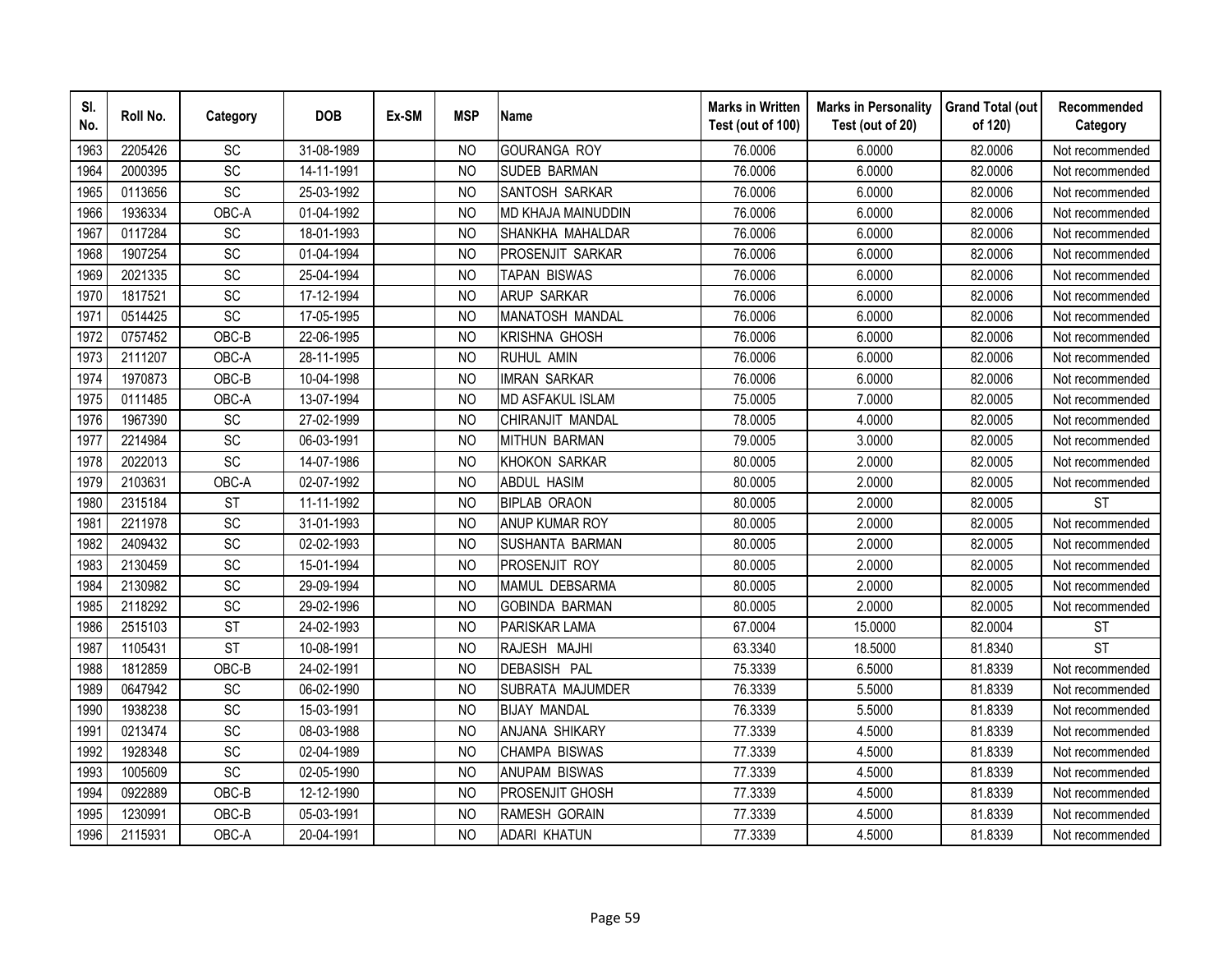| SI.<br>No. | Roll No. | Category        | <b>DOB</b> | Ex-SM | <b>MSP</b>     | <b>Name</b>             | <b>Marks in Written</b><br>Test (out of 100) | <b>Marks in Personality</b><br>Test (out of 20) | <b>Grand Total (out</b><br>of 120) | Recommended<br>Category |
|------------|----------|-----------------|------------|-------|----------------|-------------------------|----------------------------------------------|-------------------------------------------------|------------------------------------|-------------------------|
| 1963       | 2205426  | SC              | 31-08-1989 |       | N <sub>O</sub> | <b>GOURANGA ROY</b>     | 76.0006                                      | 6.0000                                          | 82.0006                            | Not recommended         |
| 1964       | 2000395  | SC              | 14-11-1991 |       | <b>NO</b>      | <b>SUDEB BARMAN</b>     | 76.0006                                      | 6.0000                                          | 82.0006                            | Not recommended         |
| 1965       | 0113656  | SC              | 25-03-1992 |       | N <sub>O</sub> | SANTOSH SARKAR          | 76.0006                                      | 6.0000                                          | 82.0006                            | Not recommended         |
| 1966       | 1936334  | OBC-A           | 01-04-1992 |       | N <sub>O</sub> | MD KHAJA MAINUDDIN      | 76.0006                                      | 6.0000                                          | 82.0006                            | Not recommended         |
| 1967       | 0117284  | SC              | 18-01-1993 |       | <b>NO</b>      | SHANKHA MAHALDAR        | 76.0006                                      | 6.0000                                          | 82.0006                            | Not recommended         |
| 1968       | 1907254  | SC              | 01-04-1994 |       | N <sub>O</sub> | PROSENJIT SARKAR        | 76.0006                                      | 6.0000                                          | 82.0006                            | Not recommended         |
| 1969       | 2021335  | SC              | 25-04-1994 |       | N <sub>O</sub> | TAPAN BISWAS            | 76.0006                                      | 6.0000                                          | 82.0006                            | Not recommended         |
| 1970       | 1817521  | SC              | 17-12-1994 |       | N <sub>O</sub> | <b>ARUP SARKAR</b>      | 76.0006                                      | 6.0000                                          | 82.0006                            | Not recommended         |
| 1971       | 0514425  | SC              | 17-05-1995 |       | N <sub>O</sub> | MANATOSH MANDAL         | 76.0006                                      | 6.0000                                          | 82.0006                            | Not recommended         |
| 1972       | 0757452  | OBC-B           | 22-06-1995 |       | <b>NO</b>      | <b>KRISHNA GHOSH</b>    | 76.0006                                      | 6.0000                                          | 82.0006                            | Not recommended         |
| 1973       | 2111207  | OBC-A           | 28-11-1995 |       | <b>NO</b>      | RUHUL AMIN              | 76.0006                                      | 6.0000                                          | 82.0006                            | Not recommended         |
| 1974       | 1970873  | OBC-B           | 10-04-1998 |       | <b>NO</b>      | <b>IMRAN SARKAR</b>     | 76.0006                                      | 6.0000                                          | 82.0006                            | Not recommended         |
| 1975       | 0111485  | OBC-A           | 13-07-1994 |       | <b>NO</b>      | <b>MD ASFAKUL ISLAM</b> | 75.0005                                      | 7.0000                                          | 82.0005                            | Not recommended         |
| 1976       | 1967390  | SC              | 27-02-1999 |       | <b>NO</b>      | CHIRANJIT MANDAL        | 78.0005                                      | 4.0000                                          | 82.0005                            | Not recommended         |
| 1977       | 2214984  | SC              | 06-03-1991 |       | N <sub>O</sub> | <b>MITHUN BARMAN</b>    | 79.0005                                      | 3.0000                                          | 82.0005                            | Not recommended         |
| 1978       | 2022013  | SC              | 14-07-1986 |       | <b>NO</b>      | <b>KHOKON SARKAR</b>    | 80.0005                                      | 2.0000                                          | 82.0005                            | Not recommended         |
| 1979       | 2103631  | OBC-A           | 02-07-1992 |       | <b>NO</b>      | <b>ABDUL HASIM</b>      | 80.0005                                      | 2.0000                                          | 82.0005                            | Not recommended         |
| 1980       | 2315184  | <b>ST</b>       | 11-11-1992 |       | N <sub>O</sub> | <b>BIPLAB ORAON</b>     | 80.0005                                      | 2.0000                                          | 82.0005                            | <b>ST</b>               |
| 1981       | 2211978  | $\overline{SC}$ | 31-01-1993 |       | <b>NO</b>      | ANUP KUMAR ROY          | 80.0005                                      | 2.0000                                          | 82.0005                            | Not recommended         |
| 1982       | 2409432  | SC              | 02-02-1993 |       | N <sub>O</sub> | <b>SUSHANTA BARMAN</b>  | 80.0005                                      | 2.0000                                          | 82.0005                            | Not recommended         |
| 1983       | 2130459  | $\overline{SC}$ | 15-01-1994 |       | <b>NO</b>      | PROSENJIT ROY           | 80.0005                                      | 2.0000                                          | 82.0005                            | Not recommended         |
| 1984       | 2130982  | SC              | 29-09-1994 |       | N <sub>O</sub> | MAMUL DEBSARMA          | 80.0005                                      | 2.0000                                          | 82.0005                            | Not recommended         |
| 1985       | 2118292  | SC              | 29-02-1996 |       | <b>NO</b>      | <b>GOBINDA BARMAN</b>   | 80.0005                                      | 2.0000                                          | 82.0005                            | Not recommended         |
| 1986       | 2515103  | <b>ST</b>       | 24-02-1993 |       | <b>NO</b>      | PARISKAR LAMA           | 67.0004                                      | 15.0000                                         | 82.0004                            | <b>ST</b>               |
| 1987       | 1105431  | <b>ST</b>       | 10-08-1991 |       | N <sub>O</sub> | RAJESH MAJHI            | 63.3340                                      | 18.5000                                         | 81.8340                            | <b>ST</b>               |
| 1988       | 1812859  | OBC-B           | 24-02-1991 |       | N <sub>O</sub> | DEBASISH PAL            | 75.3339                                      | 6.5000                                          | 81.8339                            | Not recommended         |
| 1989       | 0647942  | SC              | 06-02-1990 |       | N <sub>O</sub> | SUBRATA MAJUMDER        | 76.3339                                      | 5.5000                                          | 81.8339                            | Not recommended         |
| 1990       | 1938238  | SC              | 15-03-1991 |       | N <sub>O</sub> | <b>BIJAY MANDAL</b>     | 76.3339                                      | 5.5000                                          | 81.8339                            | Not recommended         |
| 1991       | 0213474  | SC              | 08-03-1988 |       | <b>NO</b>      | ANJANA SHIKARY          | 77.3339                                      | 4.5000                                          | 81.8339                            | Not recommended         |
| 1992       | 1928348  | SC              | 02-04-1989 |       | <b>NO</b>      | CHAMPA BISWAS           | 77.3339                                      | 4.5000                                          | 81.8339                            | Not recommended         |
| 1993       | 1005609  | SC              | 02-05-1990 |       | <b>NO</b>      | <b>ANUPAM BISWAS</b>    | 77.3339                                      | 4.5000                                          | 81.8339                            | Not recommended         |
| 1994       | 0922889  | OBC-B           | 12-12-1990 |       | N <sub>O</sub> | <b>PROSENJIT GHOSH</b>  | 77.3339                                      | 4.5000                                          | 81.8339                            | Not recommended         |
| 1995       | 1230991  | OBC-B           | 05-03-1991 |       | <b>NO</b>      | <b>RAMESH GORAIN</b>    | 77.3339                                      | 4.5000                                          | 81.8339                            | Not recommended         |
| 1996       | 2115931  | OBC-A           | 20-04-1991 |       | <b>NO</b>      | <b>ADARI KHATUN</b>     | 77.3339                                      | 4.5000                                          | 81.8339                            | Not recommended         |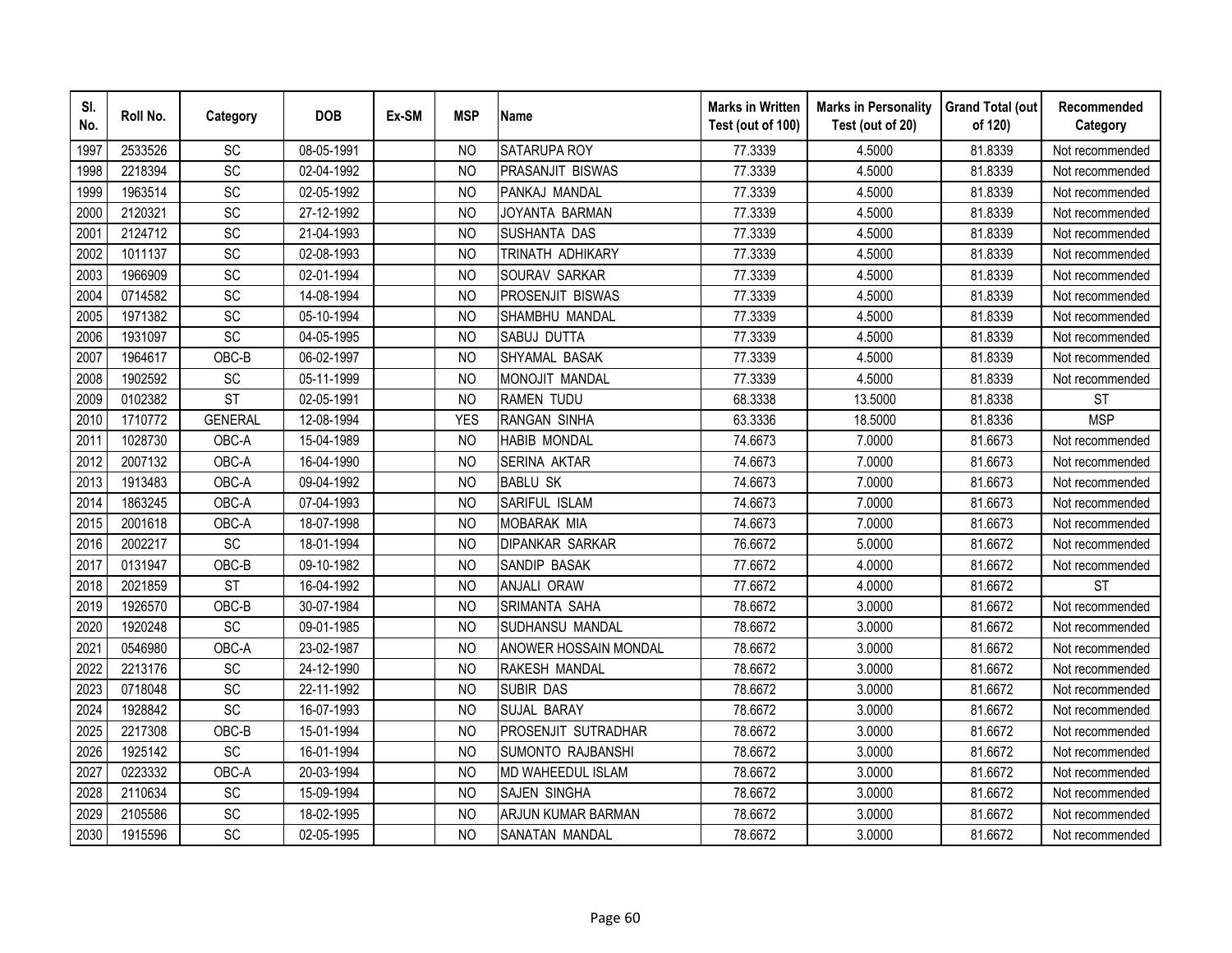| SI.<br>No. | Roll No. | Category       | <b>DOB</b> | Ex-SM | <b>MSP</b>     | <b>Name</b>              | <b>Marks in Written</b><br>Test (out of 100) | <b>Marks in Personality</b><br>Test (out of 20) | <b>Grand Total (out</b><br>of 120) | Recommended<br>Category |
|------------|----------|----------------|------------|-------|----------------|--------------------------|----------------------------------------------|-------------------------------------------------|------------------------------------|-------------------------|
| 1997       | 2533526  | <b>SC</b>      | 08-05-1991 |       | N <sub>O</sub> | <b>SATARUPA ROY</b>      | 77.3339                                      | 4.5000                                          | 81.8339                            | Not recommended         |
| 1998       | 2218394  | SC             | 02-04-1992 |       | N <sub>O</sub> | <b>PRASANJIT BISWAS</b>  | 77.3339                                      | 4.5000                                          | 81.8339                            | Not recommended         |
| 1999       | 1963514  | <b>SC</b>      | 02-05-1992 |       | <b>NO</b>      | PANKAJ MANDAL            | 77.3339                                      | 4.5000                                          | 81.8339                            | Not recommended         |
| 2000       | 2120321  | SC             | 27-12-1992 |       | <b>NO</b>      | JOYANTA BARMAN           | 77.3339                                      | 4.5000                                          | 81.8339                            | Not recommended         |
| 2001       | 2124712  | <b>SC</b>      | 21-04-1993 |       | N <sub>O</sub> | SUSHANTA DAS             | 77.3339                                      | 4.5000                                          | 81.8339                            | Not recommended         |
| 2002       | 1011137  | SC             | 02-08-1993 |       | N <sub>O</sub> | TRINATH ADHIKARY         | 77.3339                                      | 4.5000                                          | 81.8339                            | Not recommended         |
| 2003       | 1966909  | SC             | 02-01-1994 |       | N <sub>O</sub> | SOURAV SARKAR            | 77.3339                                      | 4.5000                                          | 81.8339                            | Not recommended         |
| 2004       | 0714582  | SC             | 14-08-1994 |       | <b>NO</b>      | PROSENJIT BISWAS         | 77.3339                                      | 4.5000                                          | 81.8339                            | Not recommended         |
| 2005       | 1971382  | <b>SC</b>      | 05-10-1994 |       | N <sub>O</sub> | SHAMBHU MANDAL           | 77.3339                                      | 4.5000                                          | 81.8339                            | Not recommended         |
| 2006       | 1931097  | SC             | 04-05-1995 |       | N <sub>O</sub> | SABUJ DUTTA              | 77.3339                                      | 4.5000                                          | 81.8339                            | Not recommended         |
| 2007       | 1964617  | OBC-B          | 06-02-1997 |       | <b>NO</b>      | SHYAMAL BASAK            | 77.3339                                      | 4.5000                                          | 81.8339                            | Not recommended         |
| 2008       | 1902592  | SC             | 05-11-1999 |       | <b>NO</b>      | MONOJIT MANDAL           | 77.3339                                      | 4.5000                                          | 81.8339                            | Not recommended         |
| 2009       | 0102382  | <b>ST</b>      | 02-05-1991 |       | <b>NO</b>      | <b>RAMEN TUDU</b>        | 68.3338                                      | 13.5000                                         | 81.8338                            | <b>ST</b>               |
| 2010       | 1710772  | <b>GENERAL</b> | 12-08-1994 |       | <b>YES</b>     | <b>RANGAN SINHA</b>      | 63.3336                                      | 18.5000                                         | 81.8336                            | <b>MSP</b>              |
| 2011       | 1028730  | OBC-A          | 15-04-1989 |       | <b>NO</b>      | <b>HABIB MONDAL</b>      | 74.6673                                      | 7.0000                                          | 81.6673                            | Not recommended         |
| 2012       | 2007132  | OBC-A          | 16-04-1990 |       | <b>NO</b>      | <b>SERINA AKTAR</b>      | 74.6673                                      | 7.0000                                          | 81.6673                            | Not recommended         |
| 2013       | 1913483  | OBC-A          | 09-04-1992 |       | <b>NO</b>      | <b>BABLU SK</b>          | 74.6673                                      | 7.0000                                          | 81.6673                            | Not recommended         |
| 2014       | 1863245  | OBC-A          | 07-04-1993 |       | <b>NO</b>      | SARIFUL ISLAM            | 74.6673                                      | 7.0000                                          | 81.6673                            | Not recommended         |
| 2015       | 2001618  | OBC-A          | 18-07-1998 |       | <b>NO</b>      | <b>MOBARAK MIA</b>       | 74.6673                                      | 7.0000                                          | 81.6673                            | Not recommended         |
| 2016       | 2002217  | SC             | 18-01-1994 |       | <b>NO</b>      | <b>DIPANKAR SARKAR</b>   | 76.6672                                      | 5.0000                                          | 81.6672                            | Not recommended         |
| 2017       | 0131947  | OBC-B          | 09-10-1982 |       | N <sub>O</sub> | SANDIP BASAK             | 77.6672                                      | 4.0000                                          | 81.6672                            | Not recommended         |
| 2018       | 2021859  | <b>ST</b>      | 16-04-1992 |       | N <sub>O</sub> | <b>ANJALI ORAW</b>       | 77.6672                                      | 4.0000                                          | 81.6672                            | <b>ST</b>               |
| 2019       | 1926570  | OBC-B          | 30-07-1984 |       | N <sub>O</sub> | <b>SRIMANTA SAHA</b>     | 78.6672                                      | 3.0000                                          | 81.6672                            | Not recommended         |
| 2020       | 1920248  | SC             | 09-01-1985 |       | N <sub>O</sub> | SUDHANSU MANDAL          | 78.6672                                      | 3.0000                                          | 81.6672                            | Not recommended         |
| 2021       | 0546980  | OBC-A          | 23-02-1987 |       | <b>NO</b>      | ANOWER HOSSAIN MONDAL    | 78.6672                                      | 3.0000                                          | 81.6672                            | Not recommended         |
| 2022       | 2213176  | SC             | 24-12-1990 |       | N <sub>O</sub> | RAKESH MANDAL            | 78.6672                                      | 3.0000                                          | 81.6672                            | Not recommended         |
| 2023       | 0718048  | SC             | 22-11-1992 |       | N <sub>O</sub> | <b>SUBIR DAS</b>         | 78.6672                                      | 3.0000                                          | 81.6672                            | Not recommended         |
| 2024       | 1928842  | SC             | 16-07-1993 |       | N <sub>O</sub> | SUJAL BARAY              | 78.6672                                      | 3.0000                                          | 81.6672                            | Not recommended         |
| 2025       | 2217308  | OBC-B          | 15-01-1994 |       | <b>NO</b>      | PROSENJIT SUTRADHAR      | 78.6672                                      | 3.0000                                          | 81.6672                            | Not recommended         |
| 2026       | 1925142  | <b>SC</b>      | 16-01-1994 |       | N <sub>O</sub> | <b>SUMONTO RAJBANSHI</b> | 78.6672                                      | 3.0000                                          | 81.6672                            | Not recommended         |
| 2027       | 0223332  | OBC-A          | 20-03-1994 |       | N <sub>O</sub> | MD WAHEEDUL ISLAM        | 78.6672                                      | 3.0000                                          | 81.6672                            | Not recommended         |
| 2028       | 2110634  | SC             | 15-09-1994 |       | N <sub>O</sub> | <b>SAJEN SINGHA</b>      | 78.6672                                      | 3.0000                                          | 81.6672                            | Not recommended         |
| 2029       | 2105586  | SC             | 18-02-1995 |       | <b>NO</b>      | ARJUN KUMAR BARMAN       | 78.6672                                      | 3.0000                                          | 81.6672                            | Not recommended         |
| 2030       | 1915596  | SC             | 02-05-1995 |       | <b>NO</b>      | <b>SANATAN MANDAL</b>    | 78.6672                                      | 3.0000                                          | 81.6672                            | Not recommended         |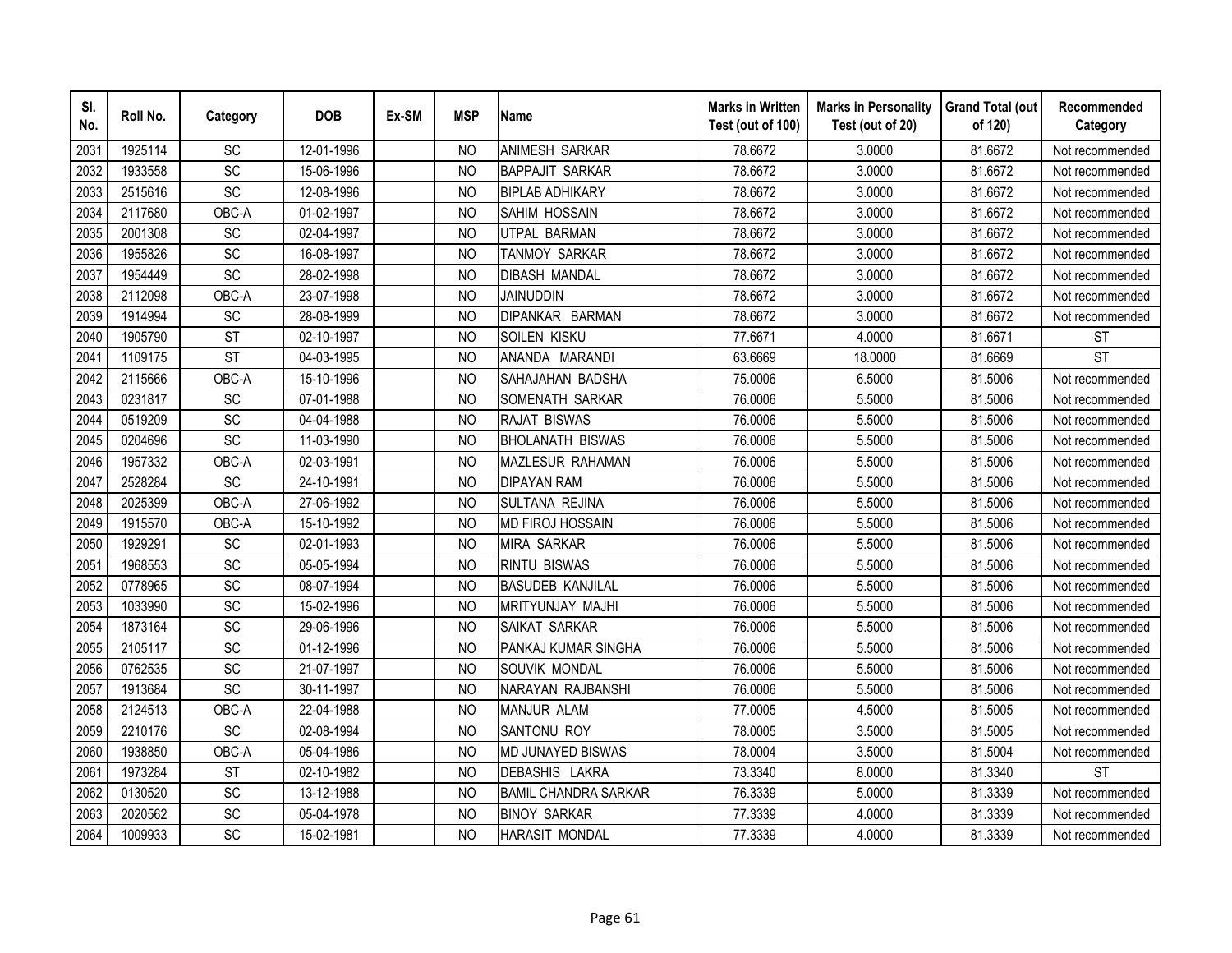| SI.<br>No. | Roll No. | Category        | <b>DOB</b> | Ex-SM | <b>MSP</b>     | <b>Name</b>                 | <b>Marks in Written</b><br>Test (out of 100) | <b>Marks in Personality</b><br>Test (out of 20) | <b>Grand Total (out</b><br>of 120) | Recommended<br>Category |
|------------|----------|-----------------|------------|-------|----------------|-----------------------------|----------------------------------------------|-------------------------------------------------|------------------------------------|-------------------------|
| 2031       | 1925114  | <b>SC</b>       | 12-01-1996 |       | <b>NO</b>      | ANIMESH SARKAR              | 78.6672                                      | 3.0000                                          | 81.6672                            | Not recommended         |
| 2032       | 1933558  | $\overline{SC}$ | 15-06-1996 |       | N <sub>O</sub> | <b>BAPPAJIT SARKAR</b>      | 78.6672                                      | 3.0000                                          | 81.6672                            | Not recommended         |
| 2033       | 2515616  | SC              | 12-08-1996 |       | <b>NO</b>      | <b>BIPLAB ADHIKARY</b>      | 78.6672                                      | 3.0000                                          | 81.6672                            | Not recommended         |
| 2034       | 2117680  | OBC-A           | 01-02-1997 |       | N <sub>O</sub> | SAHIM HOSSAIN               | 78.6672                                      | 3.0000                                          | 81.6672                            | Not recommended         |
| 2035       | 2001308  | SC              | 02-04-1997 |       | <b>NO</b>      | UTPAL BARMAN                | 78.6672                                      | 3.0000                                          | 81.6672                            | Not recommended         |
| 2036       | 1955826  | <b>SC</b>       | 16-08-1997 |       | N <sub>O</sub> | TANMOY SARKAR               | 78.6672                                      | 3.0000                                          | 81.6672                            | Not recommended         |
| 2037       | 1954449  | SC              | 28-02-1998 |       | <b>NO</b>      | <b>DIBASH MANDAL</b>        | 78.6672                                      | 3.0000                                          | 81.6672                            | Not recommended         |
| 2038       | 2112098  | OBC-A           | 23-07-1998 |       | <b>NO</b>      | <b>JAINUDDIN</b>            | 78.6672                                      | 3.0000                                          | 81.6672                            | Not recommended         |
| 2039       | 1914994  | SC              | 28-08-1999 |       | <sub>NO</sub>  | DIPANKAR BARMAN             | 78.6672                                      | 3.0000                                          | 81.6672                            | Not recommended         |
| 2040       | 1905790  | <b>ST</b>       | 02-10-1997 |       | N <sub>O</sub> | SOILEN KISKU                | 77.6671                                      | 4.0000                                          | 81.6671                            | <b>ST</b>               |
| 2041       | 1109175  | <b>ST</b>       | 04-03-1995 |       | <b>NO</b>      | ANANDA MARANDI              | 63.6669                                      | 18.0000                                         | 81.6669                            | $\overline{\text{ST}}$  |
| 2042       | 2115666  | OBC-A           | 15-10-1996 |       | <b>NO</b>      | SAHAJAHAN BADSHA            | 75.0006                                      | 6.5000                                          | 81.5006                            | Not recommended         |
| 2043       | 0231817  | SC              | 07-01-1988 |       | <b>NO</b>      | SOMENATH SARKAR             | 76.0006                                      | 5.5000                                          | 81.5006                            | Not recommended         |
| 2044       | 0519209  | SC              | 04-04-1988 |       | <b>NO</b>      | <b>RAJAT BISWAS</b>         | 76.0006                                      | 5.5000                                          | 81.5006                            | Not recommended         |
| 2045       | 0204696  | SC              | 11-03-1990 |       | <b>NO</b>      | <b>BHOLANATH BISWAS</b>     | 76.0006                                      | 5.5000                                          | 81.5006                            | Not recommended         |
| 2046       | 1957332  | OBC-A           | 02-03-1991 |       | <b>NO</b>      | <b>MAZLESUR RAHAMAN</b>     | 76.0006                                      | 5.5000                                          | 81.5006                            | Not recommended         |
| 2047       | 2528284  | SC              | 24-10-1991 |       | <b>NO</b>      | <b>DIPAYAN RAM</b>          | 76.0006                                      | 5.5000                                          | 81.5006                            | Not recommended         |
| 2048       | 2025399  | OBC-A           | 27-06-1992 |       | N <sub>O</sub> | <b>SULTANA REJINA</b>       | 76.0006                                      | 5.5000                                          | 81.5006                            | Not recommended         |
| 2049       | 1915570  | OBC-A           | 15-10-1992 |       | <b>NO</b>      | <b>MD FIROJ HOSSAIN</b>     | 76.0006                                      | 5.5000                                          | 81.5006                            | Not recommended         |
| 2050       | 1929291  | SC              | 02-01-1993 |       | <b>NO</b>      | <b>MIRA SARKAR</b>          | 76.0006                                      | 5.5000                                          | 81.5006                            | Not recommended         |
| 2051       | 1968553  | $\overline{SC}$ | 05-05-1994 |       | <b>NO</b>      | <b>RINTU BISWAS</b>         | 76.0006                                      | 5.5000                                          | 81.5006                            | Not recommended         |
| 2052       | 0778965  | SC              | 08-07-1994 |       | <b>NO</b>      | <b>BASUDEB KANJILAL</b>     | 76.0006                                      | 5.5000                                          | 81.5006                            | Not recommended         |
| 2053       | 1033990  | SC              | 15-02-1996 |       | N <sub>O</sub> | MRITYUNJAY MAJHI            | 76.0006                                      | 5.5000                                          | 81.5006                            | Not recommended         |
| 2054       | 1873164  | SC              | 29-06-1996 |       | <b>NO</b>      | SAIKAT SARKAR               | 76.0006                                      | 5.5000                                          | 81.5006                            | Not recommended         |
| 2055       | 2105117  | SC              | 01-12-1996 |       | <b>NO</b>      | PANKAJ KUMAR SINGHA         | 76.0006                                      | 5.5000                                          | 81.5006                            | Not recommended         |
| 2056       | 0762535  | <b>SC</b>       | 21-07-1997 |       | N <sub>O</sub> | SOUVIK MONDAL               | 76.0006                                      | 5.5000                                          | 81.5006                            | Not recommended         |
| 2057       | 1913684  | SC              | 30-11-1997 |       | N <sub>O</sub> | NARAYAN RAJBANSHI           | 76.0006                                      | 5.5000                                          | 81.5006                            | Not recommended         |
| 2058       | 2124513  | OBC-A           | 22-04-1988 |       | N <sub>O</sub> | <b>MANJUR ALAM</b>          | 77.0005                                      | 4.5000                                          | 81.5005                            | Not recommended         |
| 2059       | 2210176  | SC              | 02-08-1994 |       | <b>NO</b>      | SANTONU ROY                 | 78.0005                                      | 3.5000                                          | 81.5005                            | Not recommended         |
| 2060       | 1938850  | OBC-A           | 05-04-1986 |       | N <sub>O</sub> | <b>MD JUNAYED BISWAS</b>    | 78.0004                                      | 3.5000                                          | 81.5004                            | Not recommended         |
| 2061       | 1973284  | <b>ST</b>       | 02-10-1982 |       | N <sub>O</sub> | DEBASHIS LAKRA              | 73.3340                                      | 8.0000                                          | 81.3340                            | <b>ST</b>               |
| 2062       | 0130520  | SC              | 13-12-1988 |       | <b>NO</b>      | <b>BAMIL CHANDRA SARKAR</b> | 76.3339                                      | 5.0000                                          | 81.3339                            | Not recommended         |
| 2063       | 2020562  | SC              | 05-04-1978 |       | <b>NO</b>      | <b>BINOY SARKAR</b>         | 77.3339                                      | 4.0000                                          | 81.3339                            | Not recommended         |
| 2064       | 1009933  | SC              | 15-02-1981 |       | <b>NO</b>      | <b>HARASIT MONDAL</b>       | 77.3339                                      | 4.0000                                          | 81.3339                            | Not recommended         |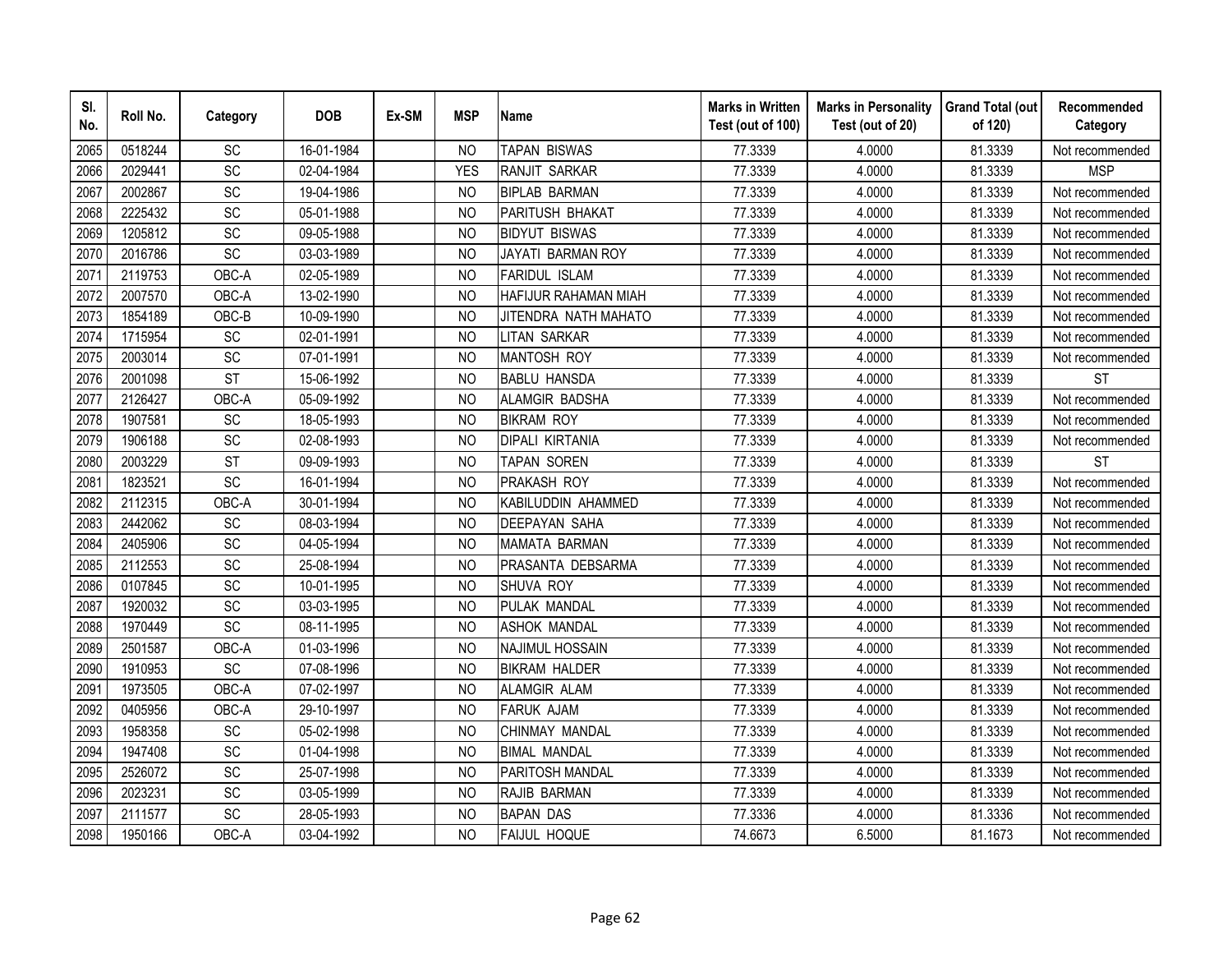| SI.<br>No. | Roll No. | Category        | <b>DOB</b> | Ex-SM | <b>MSP</b>     | <b>Name</b>            | <b>Marks in Written</b><br>Test (out of 100) | <b>Marks in Personality</b><br>Test (out of 20) | <b>Grand Total (out</b><br>of 120) | Recommended<br>Category |
|------------|----------|-----------------|------------|-------|----------------|------------------------|----------------------------------------------|-------------------------------------------------|------------------------------------|-------------------------|
| 2065       | 0518244  | <b>SC</b>       | 16-01-1984 |       | <b>NO</b>      | <b>TAPAN BISWAS</b>    | 77.3339                                      | 4.0000                                          | 81.3339                            | Not recommended         |
| 2066       | 2029441  | $\overline{SC}$ | 02-04-1984 |       | <b>YES</b>     | <b>RANJIT SARKAR</b>   | 77.3339                                      | 4.0000                                          | 81.3339                            | <b>MSP</b>              |
| 2067       | 2002867  | SC              | 19-04-1986 |       | <b>NO</b>      | <b>BIPLAB BARMAN</b>   | 77.3339                                      | 4.0000                                          | 81.3339                            | Not recommended         |
| 2068       | 2225432  | <b>SC</b>       | 05-01-1988 |       | N <sub>O</sub> | PARITUSH BHAKAT        | 77.3339                                      | 4.0000                                          | 81.3339                            | Not recommended         |
| 2069       | 1205812  | SC              | 09-05-1988 |       | NO             | <b>BIDYUT BISWAS</b>   | 77.3339                                      | 4.0000                                          | 81.3339                            | Not recommended         |
| 2070       | 2016786  | SC              | 03-03-1989 |       | N <sub>O</sub> | JAYATI BARMAN ROY      | 77.3339                                      | 4.0000                                          | 81.3339                            | Not recommended         |
| 2071       | 2119753  | OBC-A           | 02-05-1989 |       | <sub>NO</sub>  | <b>FARIDUL ISLAM</b>   | 77.3339                                      | 4.0000                                          | 81.3339                            | Not recommended         |
| 2072       | 2007570  | OBC-A           | 13-02-1990 |       | N <sub>O</sub> | HAFIJUR RAHAMAN MIAH   | 77.3339                                      | 4.0000                                          | 81.3339                            | Not recommended         |
| 2073       | 1854189  | OBC-B           | 10-09-1990 |       | <b>NO</b>      | JITENDRA NATH MAHATO   | 77.3339                                      | 4.0000                                          | 81.3339                            | Not recommended         |
| 2074       | 1715954  | SC              | 02-01-1991 |       | <b>NO</b>      | <b>LITAN SARKAR</b>    | 77.3339                                      | 4.0000                                          | 81.3339                            | Not recommended         |
| 2075       | 2003014  | <b>SC</b>       | 07-01-1991 |       | <b>NO</b>      | <b>MANTOSH ROY</b>     | 77.3339                                      | 4.0000                                          | 81.3339                            | Not recommended         |
| 2076       | 2001098  | <b>ST</b>       | 15-06-1992 |       | <b>NO</b>      | <b>BABLU HANSDA</b>    | 77.3339                                      | 4.0000                                          | 81.3339                            | <b>ST</b>               |
| 2077       | 2126427  | OBC-A           | 05-09-1992 |       | <b>NO</b>      | ALAMGIR BADSHA         | 77.3339                                      | 4.0000                                          | 81.3339                            | Not recommended         |
| 2078       | 1907581  | <b>SC</b>       | 18-05-1993 |       | <b>NO</b>      | <b>BIKRAM ROY</b>      | 77.3339                                      | 4.0000                                          | 81.3339                            | Not recommended         |
| 2079       | 1906188  | SC              | 02-08-1993 |       | N <sub>O</sub> | <b>DIPALI KIRTANIA</b> | 77.3339                                      | 4.0000                                          | 81.3339                            | Not recommended         |
| 2080       | 2003229  | <b>ST</b>       | 09-09-1993 |       | <b>NO</b>      | TAPAN SOREN            | 77.3339                                      | 4.0000                                          | 81.3339                            | <b>ST</b>               |
| 2081       | 1823521  | SC              | 16-01-1994 |       | <b>NO</b>      | PRAKASH ROY            | 77.3339                                      | 4.0000                                          | 81.3339                            | Not recommended         |
| 2082       | 2112315  | OBC-A           | 30-01-1994 |       | N <sub>O</sub> | KABILUDDIN AHAMMED     | 77.3339                                      | 4.0000                                          | 81.3339                            | Not recommended         |
| 2083       | 2442062  | SC              | 08-03-1994 |       | <b>NO</b>      | <b>DEEPAYAN SAHA</b>   | 77.3339                                      | 4.0000                                          | 81.3339                            | Not recommended         |
| 2084       | 2405906  | SC              | 04-05-1994 |       | N <sub>O</sub> | <b>MAMATA BARMAN</b>   | 77.3339                                      | 4.0000                                          | 81.3339                            | Not recommended         |
| 2085       | 2112553  | $\overline{SC}$ | 25-08-1994 |       | <b>NO</b>      | PRASANTA DEBSARMA      | 77.3339                                      | 4.0000                                          | 81.3339                            | Not recommended         |
| 2086       | 0107845  | SC              | 10-01-1995 |       | N <sub>O</sub> | SHUVA ROY              | 77.3339                                      | 4.0000                                          | 81.3339                            | Not recommended         |
| 2087       | 1920032  | SC              | 03-03-1995 |       | <b>NO</b>      | PULAK MANDAL           | 77.3339                                      | 4.0000                                          | 81.3339                            | Not recommended         |
| 2088       | 1970449  | SC              | 08-11-1995 |       | <b>NO</b>      | <b>ASHOK MANDAL</b>    | 77.3339                                      | 4.0000                                          | 81.3339                            | Not recommended         |
| 2089       | 2501587  | OBC-A           | 01-03-1996 |       | N <sub>O</sub> | <b>NAJIMUL HOSSAIN</b> | 77.3339                                      | 4.0000                                          | 81.3339                            | Not recommended         |
| 2090       | 1910953  | SC              | 07-08-1996 |       | N <sub>O</sub> | <b>BIKRAM HALDER</b>   | 77.3339                                      | 4.0000                                          | 81.3339                            | Not recommended         |
| 2091       | 1973505  | OBC-A           | 07-02-1997 |       | N <sub>O</sub> | ALAMGIR ALAM           | 77.3339                                      | 4.0000                                          | 81.3339                            | Not recommended         |
| 2092       | 0405956  | OBC-A           | 29-10-1997 |       | N <sub>O</sub> | <b>FARUK AJAM</b>      | 77.3339                                      | 4.0000                                          | 81.3339                            | Not recommended         |
| 2093       | 1958358  | SC              | 05-02-1998 |       | <b>NO</b>      | CHINMAY MANDAL         | 77.3339                                      | 4.0000                                          | 81.3339                            | Not recommended         |
| 2094       | 1947408  | SC              | 01-04-1998 |       | N <sub>O</sub> | <b>BIMAL MANDAL</b>    | 77.3339                                      | 4.0000                                          | 81.3339                            | Not recommended         |
| 2095       | 2526072  | SC              | 25-07-1998 |       | <b>NO</b>      | PARITOSH MANDAL        | 77.3339                                      | 4.0000                                          | 81.3339                            | Not recommended         |
| 2096       | 2023231  | <b>SC</b>       | 03-05-1999 |       | N <sub>O</sub> | RAJIB BARMAN           | 77.3339                                      | 4.0000                                          | 81.3339                            | Not recommended         |
| 2097       | 2111577  | SC              | 28-05-1993 |       | <b>NO</b>      | <b>BAPAN DAS</b>       | 77.3336                                      | 4.0000                                          | 81.3336                            | Not recommended         |
| 2098       | 1950166  | OBC-A           | 03-04-1992 |       | <b>NO</b>      | <b>FAIJUL HOQUE</b>    | 74.6673                                      | 6.5000                                          | 81.1673                            | Not recommended         |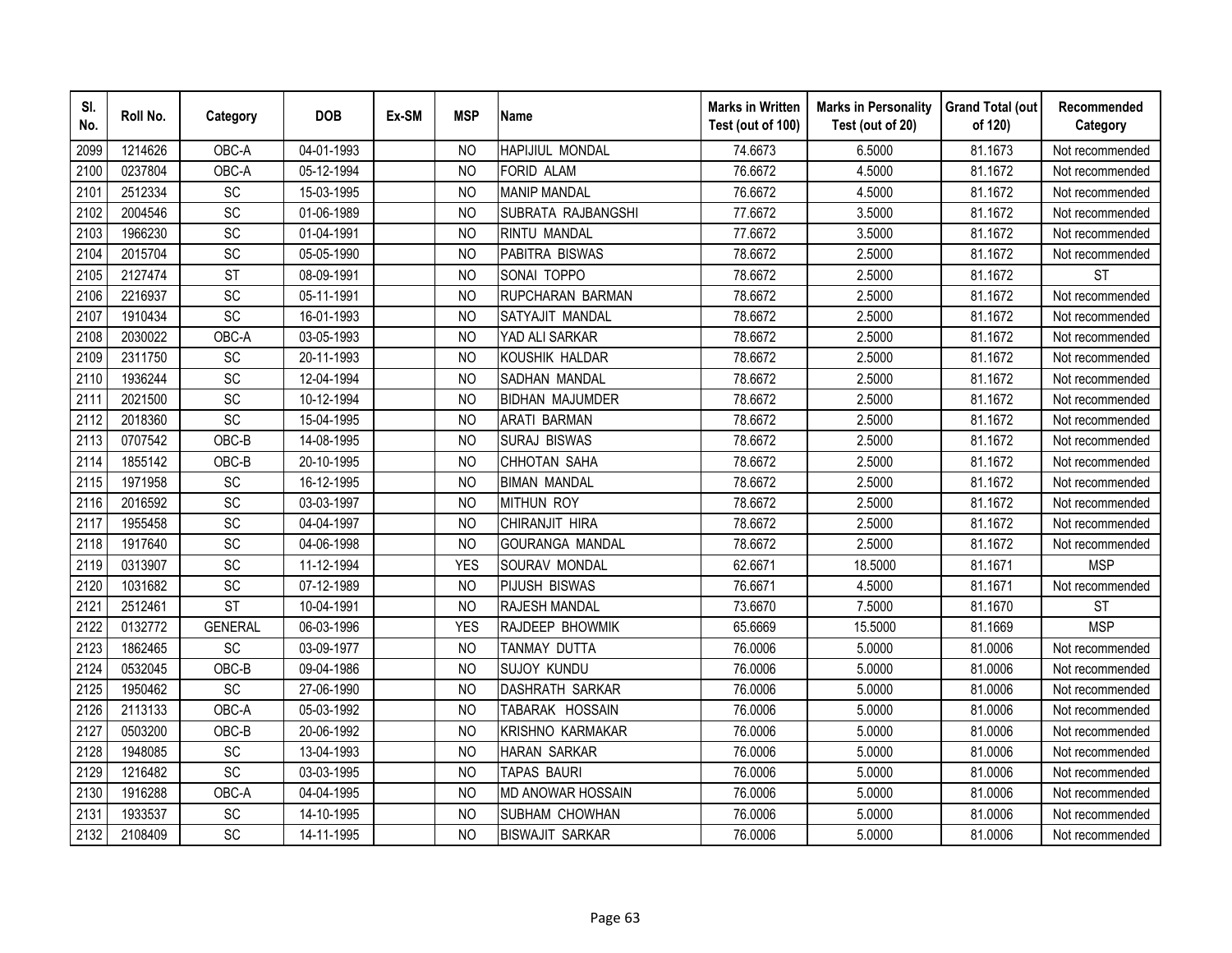| SI.<br>No. | Roll No. | Category        | <b>DOB</b> | Ex-SM | <b>MSP</b>     | <b>Name</b>            | <b>Marks in Written</b><br>Test (out of 100) | <b>Marks in Personality</b><br>Test (out of 20) | <b>Grand Total (out</b><br>of 120) | Recommended<br>Category |
|------------|----------|-----------------|------------|-------|----------------|------------------------|----------------------------------------------|-------------------------------------------------|------------------------------------|-------------------------|
| 2099       | 1214626  | OBC-A           | 04-01-1993 |       | N <sub>O</sub> | <b>HAPIJIUL MONDAL</b> | 74.6673                                      | 6.5000                                          | 81.1673                            | Not recommended         |
| 2100       | 0237804  | OBC-A           | 05-12-1994 |       | <b>NO</b>      | <b>FORID ALAM</b>      | 76.6672                                      | 4.5000                                          | 81.1672                            | Not recommended         |
| 2101       | 2512334  | SC              | 15-03-1995 |       | N <sub>O</sub> | <b>MANIP MANDAL</b>    | 76.6672                                      | 4.5000                                          | 81.1672                            | Not recommended         |
| 2102       | 2004546  | SC              | 01-06-1989 |       | <b>NO</b>      | SUBRATA RAJBANGSHI     | 77.6672                                      | 3.5000                                          | 81.1672                            | Not recommended         |
| 2103       | 1966230  | SC              | 01-04-1991 |       | <b>NO</b>      | <b>RINTU MANDAL</b>    | 77.6672                                      | 3.5000                                          | 81.1672                            | Not recommended         |
| 2104       | 2015704  | SC              | 05-05-1990 |       | NO             | PABITRA BISWAS         | 78.6672                                      | 2.5000                                          | 81.1672                            | Not recommended         |
| 2105       | 2127474  | <b>ST</b>       | 08-09-1991 |       | N <sub>O</sub> | SONAI TOPPO            | 78.6672                                      | 2.5000                                          | 81.1672                            | <b>ST</b>               |
| 2106       | 2216937  | SC              | 05-11-1991 |       | <b>NO</b>      | RUPCHARAN BARMAN       | 78.6672                                      | 2.5000                                          | 81.1672                            | Not recommended         |
| 2107       | 1910434  | SC              | 16-01-1993 |       | <b>NO</b>      | SATYAJIT MANDAL        | 78.6672                                      | 2.5000                                          | 81.1672                            | Not recommended         |
| 2108       | 2030022  | OBC-A           | 03-05-1993 |       | <b>NO</b>      | YAD ALI SARKAR         | 78.6672                                      | 2.5000                                          | 81.1672                            | Not recommended         |
| 2109       | 2311750  | SC              | 20-11-1993 |       | <b>NO</b>      | KOUSHIK HALDAR         | 78.6672                                      | 2.5000                                          | 81.1672                            | Not recommended         |
| 2110       | 1936244  | SC              | 12-04-1994 |       | <b>NO</b>      | SADHAN MANDAL          | 78.6672                                      | 2.5000                                          | 81.1672                            | Not recommended         |
| 2111       | 2021500  | SC              | 10-12-1994 |       | <b>NO</b>      | <b>BIDHAN MAJUMDER</b> | 78.6672                                      | 2.5000                                          | 81.1672                            | Not recommended         |
| 2112       | 2018360  | SC              | 15-04-1995 |       | <b>NO</b>      | <b>ARATI BARMAN</b>    | 78.6672                                      | 2.5000                                          | 81.1672                            | Not recommended         |
| 2113       | 0707542  | OBC-B           | 14-08-1995 |       | <b>NO</b>      | <b>SURAJ BISWAS</b>    | 78.6672                                      | 2.5000                                          | 81.1672                            | Not recommended         |
| 2114       | 1855142  | OBC-B           | 20-10-1995 |       | <b>NO</b>      | CHHOTAN SAHA           | 78.6672                                      | 2.5000                                          | 81.1672                            | Not recommended         |
| 2115       | 1971958  | SC              | 16-12-1995 |       | <b>NO</b>      | <b>BIMAN MANDAL</b>    | 78.6672                                      | 2.5000                                          | 81.1672                            | Not recommended         |
| 2116       | 2016592  | SC              | 03-03-1997 |       | <b>NO</b>      | <b>MITHUN ROY</b>      | 78.6672                                      | 2.5000                                          | 81.1672                            | Not recommended         |
| 2117       | 1955458  | SC              | 04-04-1997 |       | <b>NO</b>      | CHIRANJIT HIRA         | 78.6672                                      | 2.5000                                          | 81.1672                            | Not recommended         |
| 2118       | 1917640  | SC              | 04-06-1998 |       | <b>NO</b>      | <b>GOURANGA MANDAL</b> | 78.6672                                      | 2.5000                                          | 81.1672                            | Not recommended         |
| 2119       | 0313907  | SC              | 11-12-1994 |       | <b>YES</b>     | SOURAV MONDAL          | 62.6671                                      | 18.5000                                         | 81.1671                            | <b>MSP</b>              |
| 2120       | 1031682  | $\overline{SC}$ | 07-12-1989 |       | <b>NO</b>      | <b>PIJUSH BISWAS</b>   | 76.6671                                      | 4.5000                                          | 81.1671                            | Not recommended         |
| 2121       | 2512461  | <b>ST</b>       | 10-04-1991 |       | <b>NO</b>      | <b>RAJESH MANDAL</b>   | 73.6670                                      | 7.5000                                          | 81.1670                            | <b>ST</b>               |
| 2122       | 0132772  | <b>GENERAL</b>  | 06-03-1996 |       | <b>YES</b>     | RAJDEEP BHOWMIK        | 65.6669                                      | 15.5000                                         | 81.1669                            | <b>MSP</b>              |
| 2123       | 1862465  | SC              | 03-09-1977 |       | <b>NO</b>      | TANMAY DUTTA           | 76.0006                                      | 5.0000                                          | 81.0006                            | Not recommended         |
| 2124       | 0532045  | OBC-B           | 09-04-1986 |       | <b>NO</b>      | <b>SUJOY KUNDU</b>     | 76.0006                                      | 5.0000                                          | 81.0006                            | Not recommended         |
| 2125       | 1950462  | SC              | 27-06-1990 |       | NO             | <b>DASHRATH SARKAR</b> | 76.0006                                      | 5.0000                                          | 81.0006                            | Not recommended         |
| 2126       | 2113133  | OBC-A           | 05-03-1992 |       | N <sub>O</sub> | TABARAK HOSSAIN        | 76.0006                                      | 5.0000                                          | 81.0006                            | Not recommended         |
| 2127       | 0503200  | OBC-B           | 20-06-1992 |       | <b>NO</b>      | KRISHNO KARMAKAR       | 76.0006                                      | 5.0000                                          | 81.0006                            | Not recommended         |
| 2128       | 1948085  | SC              | 13-04-1993 |       | <b>NO</b>      | <b>HARAN SARKAR</b>    | 76.0006                                      | 5.0000                                          | 81.0006                            | Not recommended         |
| 2129       | 1216482  | SC              | 03-03-1995 |       | <b>NO</b>      | <b>TAPAS BAURI</b>     | 76.0006                                      | 5.0000                                          | 81.0006                            | Not recommended         |
| 2130       | 1916288  | OBC-A           | 04-04-1995 |       | N <sub>O</sub> | MD ANOWAR HOSSAIN      | 76.0006                                      | 5.0000                                          | 81.0006                            | Not recommended         |
| 2131       | 1933537  | SC              | 14-10-1995 |       | <b>NO</b>      | SUBHAM CHOWHAN         | 76.0006                                      | 5.0000                                          | 81.0006                            | Not recommended         |
| 2132       | 2108409  | SC              | 14-11-1995 |       | <b>NO</b>      | <b>BISWAJIT SARKAR</b> | 76.0006                                      | 5.0000                                          | 81.0006                            | Not recommended         |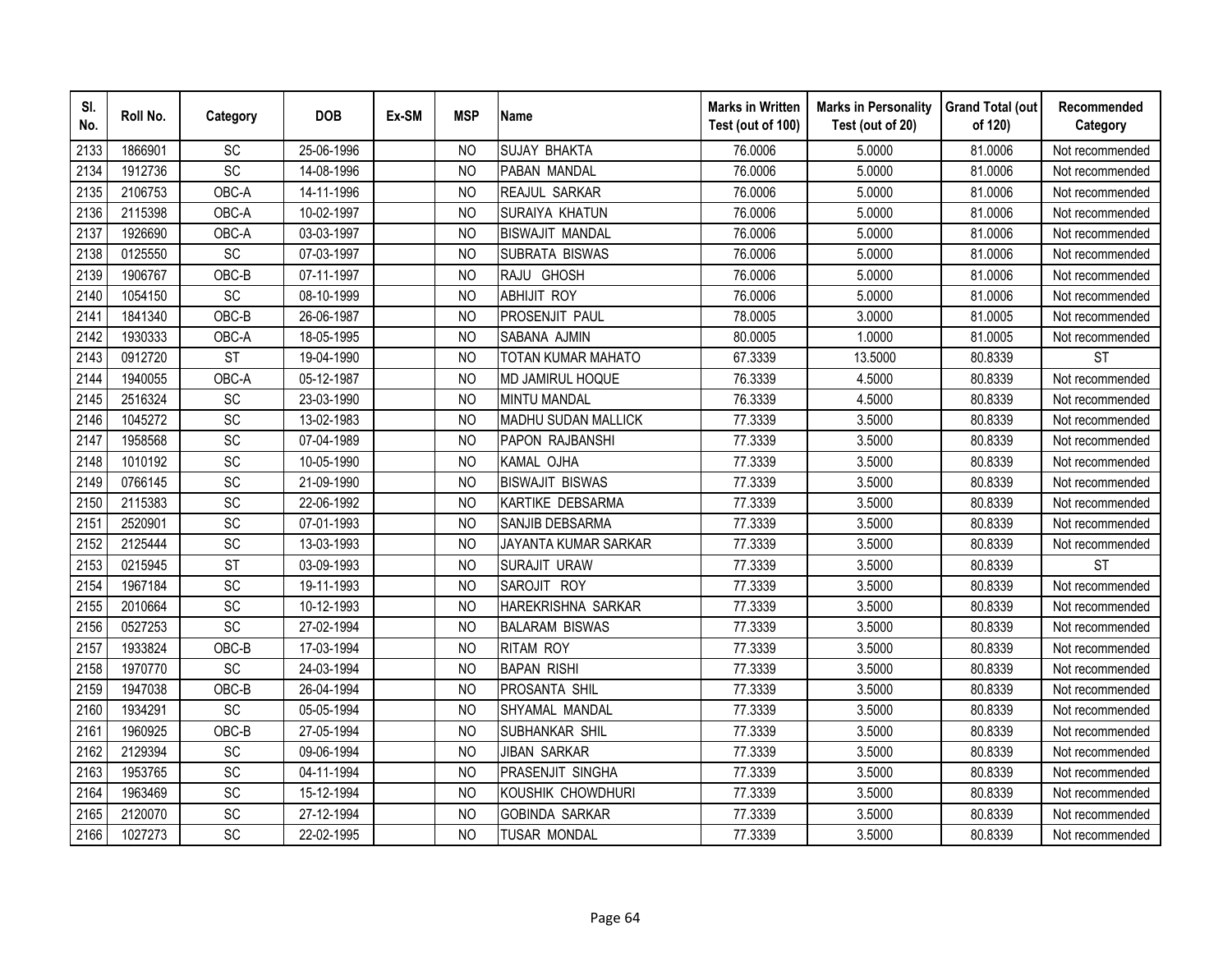| SI.<br>No. | Roll No. | Category               | <b>DOB</b> | Ex-SM | <b>MSP</b>     | <b>Name</b>                 | <b>Marks in Written</b><br>Test (out of 100) | <b>Marks in Personality</b><br>Test (out of 20) | <b>Grand Total (out</b><br>of 120) | Recommended<br>Category |
|------------|----------|------------------------|------------|-------|----------------|-----------------------------|----------------------------------------------|-------------------------------------------------|------------------------------------|-------------------------|
| 2133       | 1866901  | SC                     | 25-06-1996 |       | N <sub>O</sub> | <b>SUJAY BHAKTA</b>         | 76.0006                                      | 5.0000                                          | 81.0006                            | Not recommended         |
| 2134       | 1912736  | $\overline{SC}$        | 14-08-1996 |       | <b>NO</b>      | PABAN MANDAL                | 76.0006                                      | 5.0000                                          | 81.0006                            | Not recommended         |
| 2135       | 2106753  | OBC-A                  | 14-11-1996 |       | <b>NO</b>      | REAJUL SARKAR               | 76.0006                                      | 5.0000                                          | 81.0006                            | Not recommended         |
| 2136       | 2115398  | OBC-A                  | 10-02-1997 |       | <b>NO</b>      | SURAIYA KHATUN              | 76.0006                                      | 5.0000                                          | 81.0006                            | Not recommended         |
| 2137       | 1926690  | OBC-A                  | 03-03-1997 |       | N <sub>O</sub> | <b>BISWAJIT MANDAL</b>      | 76.0006                                      | 5.0000                                          | 81.0006                            | Not recommended         |
| 2138       | 0125550  | SC                     | 07-03-1997 |       | NO             | SUBRATA BISWAS              | 76.0006                                      | 5.0000                                          | 81.0006                            | Not recommended         |
| 2139       | 1906767  | OBC-B                  | 07-11-1997 |       | N <sub>O</sub> | RAJU GHOSH                  | 76.0006                                      | 5.0000                                          | 81.0006                            | Not recommended         |
| 2140       | 1054150  | SC                     | 08-10-1999 |       | <b>NO</b>      | <b>ABHIJIT ROY</b>          | 76.0006                                      | 5.0000                                          | 81.0006                            | Not recommended         |
| 2141       | 1841340  | OBC-B                  | 26-06-1987 |       | N <sub>O</sub> | PROSENJIT PAUL              | 78.0005                                      | 3.0000                                          | 81.0005                            | Not recommended         |
| 2142       | 1930333  | OBC-A                  | 18-05-1995 |       | <b>NO</b>      | SABANA AJMIN                | 80.0005                                      | 1.0000                                          | 81.0005                            | Not recommended         |
| 2143       | 0912720  | <b>ST</b>              | 19-04-1990 |       | <b>NO</b>      | TOTAN KUMAR MAHATO          | 67.3339                                      | 13.5000                                         | 80.8339                            | <b>ST</b>               |
| 2144       | 1940055  | OBC-A                  | 05-12-1987 |       | <b>NO</b>      | MD JAMIRUL HOQUE            | 76.3339                                      | 4.5000                                          | 80.8339                            | Not recommended         |
| 2145       | 2516324  | SC                     | 23-03-1990 |       | N <sub>O</sub> | <b>MINTU MANDAL</b>         | 76.3339                                      | 4.5000                                          | 80.8339                            | Not recommended         |
| 2146       | 1045272  | SC                     | 13-02-1983 |       | <b>NO</b>      | MADHU SUDAN MALLICK         | 77.3339                                      | 3.5000                                          | 80.8339                            | Not recommended         |
| 2147       | 1958568  | SC                     | 07-04-1989 |       | <b>NO</b>      | PAPON RAJBANSHI             | 77.3339                                      | 3.5000                                          | 80.8339                            | Not recommended         |
| 2148       | 1010192  | <b>SC</b>              | 10-05-1990 |       | <b>NO</b>      | KAMAL OJHA                  | 77.3339                                      | 3.5000                                          | 80.8339                            | Not recommended         |
| 2149       | 0766145  | SC                     | 21-09-1990 |       | <b>NO</b>      | <b>BISWAJIT BISWAS</b>      | 77.3339                                      | 3.5000                                          | 80.8339                            | Not recommended         |
| 2150       | 2115383  | SC                     | 22-06-1992 |       | <b>NO</b>      | KARTIKE DEBSARMA            | 77.3339                                      | 3.5000                                          | 80.8339                            | Not recommended         |
| 2151       | 2520901  | SC                     | 07-01-1993 |       | N <sub>O</sub> | SANJIB DEBSARMA             | 77.3339                                      | 3.5000                                          | 80.8339                            | Not recommended         |
| 2152       | 2125444  | <b>SC</b>              | 13-03-1993 |       | N <sub>O</sub> | <b>JAYANTA KUMAR SARKAR</b> | 77.3339                                      | 3.5000                                          | 80.8339                            | Not recommended         |
| 2153       | 0215945  | $\overline{\text{ST}}$ | 03-09-1993 |       | <b>NO</b>      | <b>SURAJIT URAW</b>         | 77.3339                                      | 3.5000                                          | 80.8339                            | <b>ST</b>               |
| 2154       | 1967184  | SC                     | 19-11-1993 |       | <b>NO</b>      | SAROJIT ROY                 | 77.3339                                      | 3.5000                                          | 80.8339                            | Not recommended         |
| 2155       | 2010664  | <b>SC</b>              | 10-12-1993 |       | <sub>NO</sub>  | <b>HAREKRISHNA SARKAR</b>   | 77.3339                                      | 3.5000                                          | 80.8339                            | Not recommended         |
| 2156       | 0527253  | SC                     | 27-02-1994 |       | N <sub>O</sub> | <b>BALARAM BISWAS</b>       | 77.3339                                      | 3.5000                                          | 80.8339                            | Not recommended         |
| 2157       | 1933824  | OBC-B                  | 17-03-1994 |       | N <sub>O</sub> | <b>RITAM ROY</b>            | 77.3339                                      | 3.5000                                          | 80.8339                            | Not recommended         |
| 2158       | 1970770  | SC                     | 24-03-1994 |       | <b>NO</b>      | <b>BAPAN RISHI</b>          | 77.3339                                      | 3.5000                                          | 80.8339                            | Not recommended         |
| 2159       | 1947038  | OBC-B                  | 26-04-1994 |       | N <sub>O</sub> | PROSANTA SHIL               | 77.3339                                      | 3.5000                                          | 80.8339                            | Not recommended         |
| 2160       | 1934291  | <b>SC</b>              | 05-05-1994 |       | N <sub>O</sub> | SHYAMAL MANDAL              | 77.3339                                      | 3.5000                                          | 80.8339                            | Not recommended         |
| 2161       | 1960925  | OBC-B                  | 27-05-1994 |       | <b>NO</b>      | SUBHANKAR SHIL              | 77.3339                                      | 3.5000                                          | 80.8339                            | Not recommended         |
| 2162       | 2129394  | SC                     | 09-06-1994 |       | <b>NO</b>      | <b>JIBAN SARKAR</b>         | 77.3339                                      | 3.5000                                          | 80.8339                            | Not recommended         |
| 2163       | 1953765  | <b>SC</b>              | 04-11-1994 |       | N <sub>O</sub> | PRASENJIT SINGHA            | 77.3339                                      | 3.5000                                          | 80.8339                            | Not recommended         |
| 2164       | 1963469  | SC                     | 15-12-1994 |       | <b>NO</b>      | KOUSHIK CHOWDHURI           | 77.3339                                      | 3.5000                                          | 80.8339                            | Not recommended         |
| 2165       | 2120070  | SC                     | 27-12-1994 |       | <b>NO</b>      | <b>GOBINDA SARKAR</b>       | 77.3339                                      | 3.5000                                          | 80.8339                            | Not recommended         |
| 2166       | 1027273  | SC                     | 22-02-1995 |       | <b>NO</b>      | <b>TUSAR MONDAL</b>         | 77.3339                                      | 3.5000                                          | 80.8339                            | Not recommended         |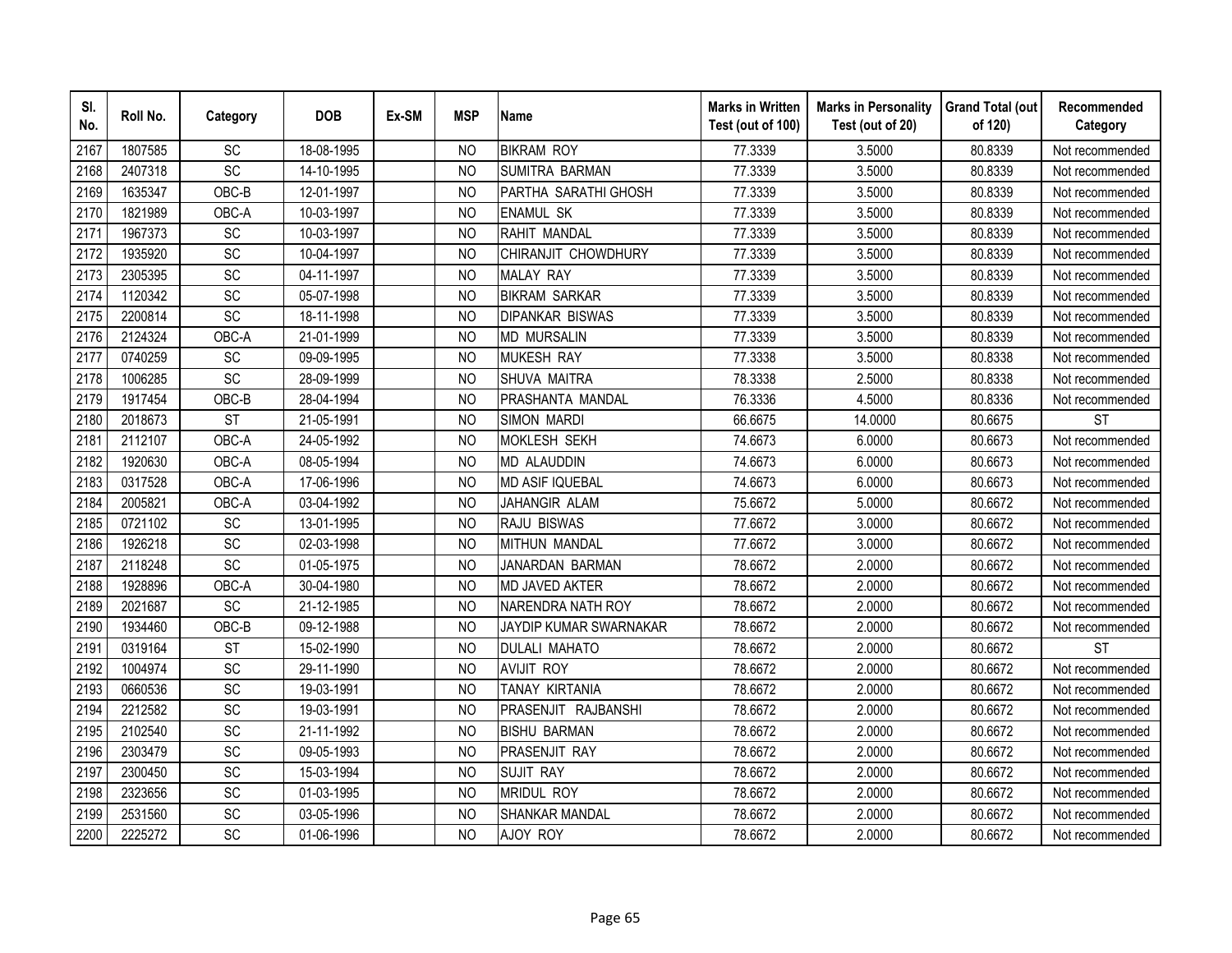| SI.<br>No. | Roll No. | Category        | <b>DOB</b> | Ex-SM | <b>MSP</b>     | <b>Name</b>            | <b>Marks in Written</b><br>Test (out of 100) | <b>Marks in Personality</b><br>Test (out of 20) | <b>Grand Total (out</b><br>of 120) | Recommended<br>Category |
|------------|----------|-----------------|------------|-------|----------------|------------------------|----------------------------------------------|-------------------------------------------------|------------------------------------|-------------------------|
| 2167       | 1807585  | SC              | 18-08-1995 |       | N <sub>O</sub> | <b>BIKRAM ROY</b>      | 77.3339                                      | 3.5000                                          | 80.8339                            | Not recommended         |
| 2168       | 2407318  | $\overline{SC}$ | 14-10-1995 |       | <b>NO</b>      | <b>SUMITRA BARMAN</b>  | 77.3339                                      | 3.5000                                          | 80.8339                            | Not recommended         |
| 2169       | 1635347  | OBC-B           | 12-01-1997 |       | <b>NO</b>      | PARTHA SARATHI GHOSH   | 77.3339                                      | 3.5000                                          | 80.8339                            | Not recommended         |
| 2170       | 1821989  | OBC-A           | 10-03-1997 |       | <b>NO</b>      | <b>ENAMUL SK</b>       | 77.3339                                      | 3.5000                                          | 80.8339                            | Not recommended         |
| 2171       | 1967373  | SC              | 10-03-1997 |       | N <sub>O</sub> | RAHIT MANDAL           | 77.3339                                      | 3.5000                                          | 80.8339                            | Not recommended         |
| 2172       | 1935920  | SC              | 10-04-1997 |       | <b>NO</b>      | CHIRANJIT CHOWDHURY    | 77.3339                                      | 3.5000                                          | 80.8339                            | Not recommended         |
| 2173       | 2305395  | SC              | 04-11-1997 |       | N <sub>O</sub> | <b>MALAY RAY</b>       | 77.3339                                      | 3.5000                                          | 80.8339                            | Not recommended         |
| 2174       | 1120342  | SC              | 05-07-1998 |       | <b>NO</b>      | <b>BIKRAM SARKAR</b>   | 77.3339                                      | 3.5000                                          | 80.8339                            | Not recommended         |
| 2175       | 2200814  | SC              | 18-11-1998 |       | N <sub>O</sub> | <b>DIPANKAR BISWAS</b> | 77.3339                                      | 3.5000                                          | 80.8339                            | Not recommended         |
| 2176       | 2124324  | OBC-A           | 21-01-1999 |       | <b>NO</b>      | <b>MD MURSALIN</b>     | 77.3339                                      | 3.5000                                          | 80.8339                            | Not recommended         |
| 2177       | 0740259  | SC              | 09-09-1995 |       | <b>NO</b>      | <b>MUKESH RAY</b>      | 77.3338                                      | 3.5000                                          | 80.8338                            | Not recommended         |
| 2178       | 1006285  | SC              | 28-09-1999 |       | <b>NO</b>      | SHUVA MAITRA           | 78.3338                                      | 2.5000                                          | 80.8338                            | Not recommended         |
| 2179       | 1917454  | OBC-B           | 28-04-1994 |       | <b>NO</b>      | PRASHANTA MANDAL       | 76.3336                                      | 4.5000                                          | 80.8336                            | Not recommended         |
| 2180       | 2018673  | <b>ST</b>       | 21-05-1991 |       | <b>NO</b>      | <b>SIMON MARDI</b>     | 66.6675                                      | 14.0000                                         | 80.6675                            | <b>ST</b>               |
| 2181       | 2112107  | OBC-A           | 24-05-1992 |       | <b>NO</b>      | <b>MOKLESH SEKH</b>    | 74.6673                                      | 6.0000                                          | 80.6673                            | Not recommended         |
| 2182       | 1920630  | OBC-A           | 08-05-1994 |       | <b>NO</b>      | <b>MD ALAUDDIN</b>     | 74.6673                                      | 6.0000                                          | 80.6673                            | Not recommended         |
| 2183       | 0317528  | OBC-A           | 17-06-1996 |       | <b>NO</b>      | <b>MD ASIF IQUEBAL</b> | 74.6673                                      | 6.0000                                          | 80.6673                            | Not recommended         |
| 2184       | 2005821  | OBC-A           | 03-04-1992 |       | <b>NO</b>      | JAHANGIR ALAM          | 75.6672                                      | 5.0000                                          | 80.6672                            | Not recommended         |
| 2185       | 0721102  | SC              | 13-01-1995 |       | N <sub>O</sub> | RAJU BISWAS            | 77.6672                                      | 3.0000                                          | 80.6672                            | Not recommended         |
| 2186       | 1926218  | SC              | 02-03-1998 |       | N <sub>O</sub> | <b>MITHUN MANDAL</b>   | 77.6672                                      | 3.0000                                          | 80.6672                            | Not recommended         |
| 2187       | 2118248  | SC              | 01-05-1975 |       | <b>NO</b>      | JANARDAN BARMAN        | 78.6672                                      | 2.0000                                          | 80.6672                            | Not recommended         |
| 2188       | 1928896  | OBC-A           | 30-04-1980 |       | <b>NO</b>      | MD JAVED AKTER         | 78.6672                                      | 2.0000                                          | 80.6672                            | Not recommended         |
| 2189       | 2021687  | <b>SC</b>       | 21-12-1985 |       | <sub>NO</sub>  | NARENDRA NATH ROY      | 78.6672                                      | 2.0000                                          | 80.6672                            | Not recommended         |
| 2190       | 1934460  | OBC-B           | 09-12-1988 |       | N <sub>O</sub> | JAYDIP KUMAR SWARNAKAR | 78.6672                                      | 2.0000                                          | 80.6672                            | Not recommended         |
| 2191       | 0319164  | <b>ST</b>       | 15-02-1990 |       | N <sub>O</sub> | <b>DULALI MAHATO</b>   | 78.6672                                      | 2.0000                                          | 80.6672                            | <b>ST</b>               |
| 2192       | 1004974  | SC              | 29-11-1990 |       | <b>NO</b>      | <b>AVIJIT ROY</b>      | 78.6672                                      | 2.0000                                          | 80.6672                            | Not recommended         |
| 2193       | 0660536  | <b>SC</b>       | 19-03-1991 |       | N <sub>O</sub> | TANAY KIRTANIA         | 78.6672                                      | 2.0000                                          | 80.6672                            | Not recommended         |
| 2194       | 2212582  | SC              | 19-03-1991 |       | N <sub>O</sub> | PRASENJIT RAJBANSHI    | 78.6672                                      | 2.0000                                          | 80.6672                            | Not recommended         |
| 2195       | 2102540  | SC              | 21-11-1992 |       | N <sub>O</sub> | <b>BISHU BARMAN</b>    | 78.6672                                      | 2.0000                                          | 80.6672                            | Not recommended         |
| 2196       | 2303479  | SC              | 09-05-1993 |       | N <sub>O</sub> | PRASENJIT RAY          | 78.6672                                      | 2.0000                                          | 80.6672                            | Not recommended         |
| 2197       | 2300450  | <b>SC</b>       | 15-03-1994 |       | N <sub>O</sub> | <b>SUJIT RAY</b>       | 78.6672                                      | 2.0000                                          | 80.6672                            | Not recommended         |
| 2198       | 2323656  | SC              | 01-03-1995 |       | <b>NO</b>      | <b>MRIDUL ROY</b>      | 78.6672                                      | 2.0000                                          | 80.6672                            | Not recommended         |
| 2199       | 2531560  | SC              | 03-05-1996 |       | <b>NO</b>      | <b>SHANKAR MANDAL</b>  | 78.6672                                      | 2.0000                                          | 80.6672                            | Not recommended         |
| 2200       | 2225272  | SC              | 01-06-1996 |       | <b>NO</b>      | AJOY ROY               | 78.6672                                      | 2.0000                                          | 80.6672                            | Not recommended         |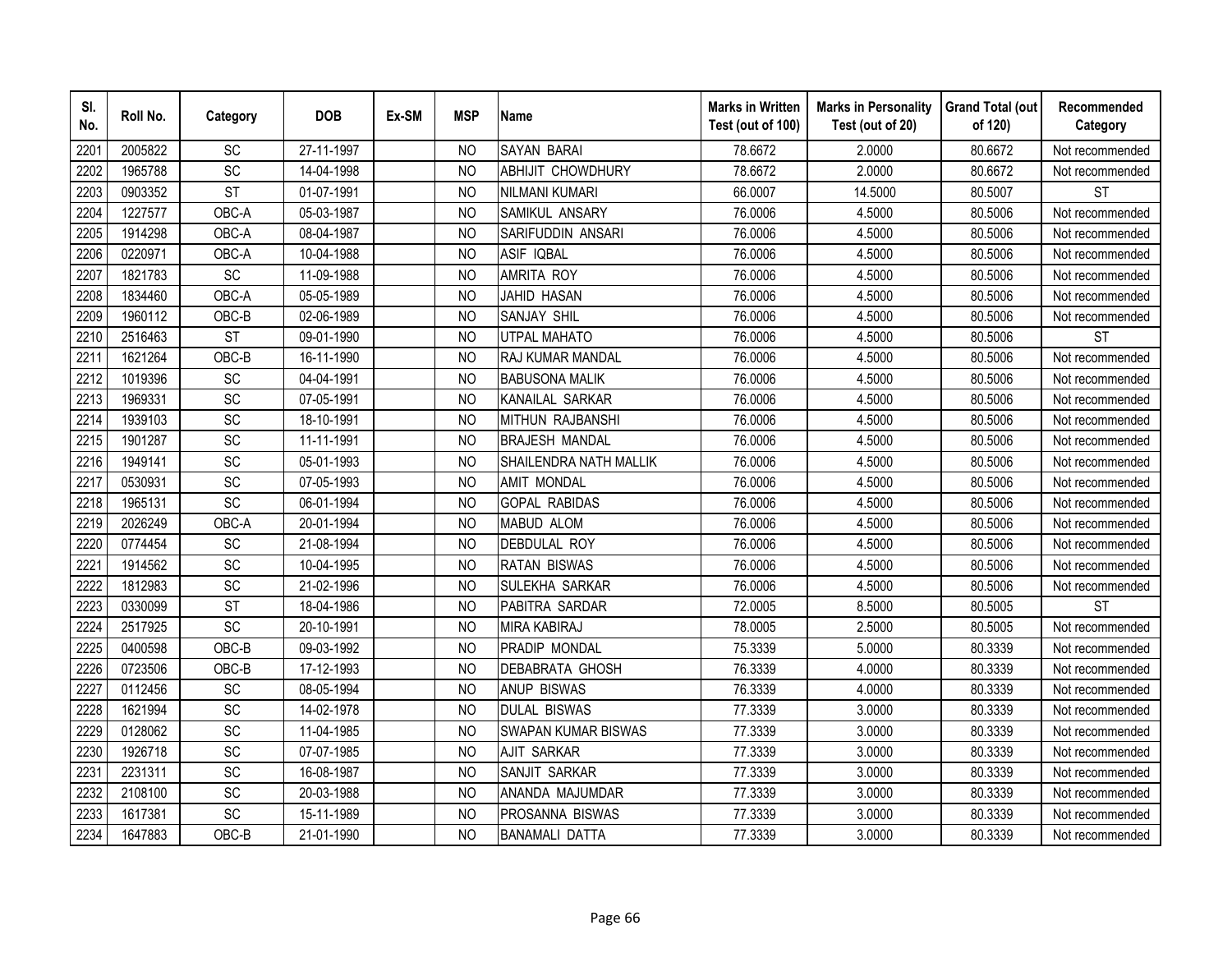| SI.<br>No. | Roll No. | Category        | <b>DOB</b> | Ex-SM | <b>MSP</b>     | <b>Name</b>                | <b>Marks in Written</b><br>Test (out of 100) | <b>Marks in Personality</b><br>Test (out of 20) | <b>Grand Total (out</b><br>of 120) | Recommended<br>Category |
|------------|----------|-----------------|------------|-------|----------------|----------------------------|----------------------------------------------|-------------------------------------------------|------------------------------------|-------------------------|
| 220'       | 2005822  | <b>SC</b>       | 27-11-1997 |       | N <sub>O</sub> | <b>SAYAN BARAI</b>         | 78.6672                                      | 2.0000                                          | 80.6672                            | Not recommended         |
| 2202       | 1965788  | $\overline{SC}$ | 14-04-1998 |       | <b>NO</b>      | <b>ABHIJIT CHOWDHURY</b>   | 78.6672                                      | 2.0000                                          | 80.6672                            | Not recommended         |
| 2203       | 0903352  | <b>ST</b>       | 01-07-1991 |       | N <sub>O</sub> | NILMANI KUMARI             | 66.0007                                      | 14.5000                                         | 80.5007                            | <b>ST</b>               |
| 2204       | 1227577  | OBC-A           | 05-03-1987 |       | <b>NO</b>      | SAMIKUL ANSARY             | 76.0006                                      | 4.5000                                          | 80.5006                            | Not recommended         |
| 2205       | 1914298  | OBC-A           | 08-04-1987 |       | <b>NO</b>      | SARIFUDDIN ANSARI          | 76.0006                                      | 4.5000                                          | 80.5006                            | Not recommended         |
| 2206       | 0220971  | OBC-A           | 10-04-1988 |       | NO             | <b>ASIF IQBAL</b>          | 76.0006                                      | 4.5000                                          | 80.5006                            | Not recommended         |
| 2207       | 1821783  | SC              | 11-09-1988 |       | <b>NO</b>      | <b>AMRITA ROY</b>          | 76.0006                                      | 4.5000                                          | 80.5006                            | Not recommended         |
| 2208       | 1834460  | OBC-A           | 05-05-1989 |       | <b>NO</b>      | <b>JAHID HASAN</b>         | 76.0006                                      | 4.5000                                          | 80.5006                            | Not recommended         |
| 2209       | 1960112  | OBC-B           | 02-06-1989 |       | <b>NO</b>      | <b>SANJAY SHIL</b>         | 76.0006                                      | 4.5000                                          | 80.5006                            | Not recommended         |
| 2210       | 2516463  | <b>ST</b>       | 09-01-1990 |       | <b>NO</b>      | <b>UTPAL MAHATO</b>        | 76.0006                                      | 4.5000                                          | 80.5006                            | <b>ST</b>               |
| 2211       | 1621264  | OBC-B           | 16-11-1990 |       | <b>NO</b>      | RAJ KUMAR MANDAL           | 76.0006                                      | 4.5000                                          | 80.5006                            | Not recommended         |
| 2212       | 1019396  | SC              | 04-04-1991 |       | <b>NO</b>      | <b>BABUSONA MALIK</b>      | 76.0006                                      | 4.5000                                          | 80.5006                            | Not recommended         |
| 2213       | 1969331  | SC              | 07-05-1991 |       | <b>NO</b>      | KANAILAL SARKAR            | 76.0006                                      | 4.5000                                          | 80.5006                            | Not recommended         |
| 2214       | 1939103  | SC              | 18-10-1991 |       | <b>NO</b>      | MITHUN RAJBANSHI           | 76.0006                                      | 4.5000                                          | 80.5006                            | Not recommended         |
| 2215       | 1901287  | SC              | 11-11-1991 |       | <b>NO</b>      | <b>BRAJESH MANDAL</b>      | 76.0006                                      | 4.5000                                          | 80.5006                            | Not recommended         |
| 2216       | 1949141  | SC              | 05-01-1993 |       | <b>NO</b>      | SHAILENDRA NATH MALLIK     | 76.0006                                      | 4.5000                                          | 80.5006                            | Not recommended         |
| 2217       | 0530931  | SC              | 07-05-1993 |       | <b>NO</b>      | <b>AMIT MONDAL</b>         | 76.0006                                      | 4.5000                                          | 80.5006                            | Not recommended         |
| 2218       | 1965131  | SC              | 06-01-1994 |       | <b>NO</b>      | <b>GOPAL RABIDAS</b>       | 76.0006                                      | 4.5000                                          | 80.5006                            | Not recommended         |
| 2219       | 2026249  | OBC-A           | 20-01-1994 |       | N <sub>O</sub> | <b>MABUD ALOM</b>          | 76.0006                                      | 4.5000                                          | 80.5006                            | Not recommended         |
| 2220       | 0774454  | SC              | 21-08-1994 |       | <b>NO</b>      | <b>DEBDULAL ROY</b>        | 76.0006                                      | 4.5000                                          | 80.5006                            | Not recommended         |
| 222        | 1914562  | $\overline{SC}$ | 10-04-1995 |       | <b>NO</b>      | <b>RATAN BISWAS</b>        | 76.0006                                      | 4.5000                                          | 80.5006                            | Not recommended         |
| 2222       | 1812983  | SC              | 21-02-1996 |       | <b>NO</b>      | <b>SULEKHA SARKAR</b>      | 76.0006                                      | 4.5000                                          | 80.5006                            | Not recommended         |
| 2223       | 0330099  | <b>ST</b>       | 18-04-1986 |       | <b>NO</b>      | PABITRA SARDAR             | 72.0005                                      | 8.5000                                          | 80.5005                            | <b>ST</b>               |
| 2224       | 2517925  | SC              | 20-10-1991 |       | <b>NO</b>      | <b>MIRA KABIRAJ</b>        | 78.0005                                      | 2.5000                                          | 80.5005                            | Not recommended         |
| 2225       | 0400598  | OBC-B           | 09-03-1992 |       | <b>NO</b>      | PRADIP MONDAL              | 75.3339                                      | 5.0000                                          | 80.3339                            | Not recommended         |
| 2226       | 0723506  | OBC-B           | 17-12-1993 |       | <b>NO</b>      | <b>DEBABRATA GHOSH</b>     | 76.3339                                      | 4.0000                                          | 80.3339                            | Not recommended         |
| 2227       | 0112456  | SC              | 08-05-1994 |       | <b>NO</b>      | <b>ANUP BISWAS</b>         | 76.3339                                      | 4.0000                                          | 80.3339                            | Not recommended         |
| 2228       | 1621994  | SC              | 14-02-1978 |       | NO             | <b>DULAL BISWAS</b>        | 77.3339                                      | 3.0000                                          | 80.3339                            | Not recommended         |
| 2229       | 0128062  | SC              | 11-04-1985 |       | N <sub>O</sub> | <b>SWAPAN KUMAR BISWAS</b> | 77.3339                                      | 3.0000                                          | 80.3339                            | Not recommended         |
| 2230       | 1926718  | SC              | 07-07-1985 |       | <b>NO</b>      | <b>AJIT SARKAR</b>         | 77.3339                                      | 3.0000                                          | 80.3339                            | Not recommended         |
| 2231       | 2231311  | SC              | 16-08-1987 |       | <b>NO</b>      | SANJIT SARKAR              | 77.3339                                      | 3.0000                                          | 80.3339                            | Not recommended         |
| 2232       | 2108100  | SC              | 20-03-1988 |       | <b>NO</b>      | ANANDA MAJUMDAR            | 77.3339                                      | 3.0000                                          | 80.3339                            | Not recommended         |
| 2233       | 1617381  | SC              | 15-11-1989 |       | <b>NO</b>      | PROSANNA BISWAS            | 77.3339                                      | 3.0000                                          | 80.3339                            | Not recommended         |
| 2234       | 1647883  | OBC-B           | 21-01-1990 |       | <b>NO</b>      | <b>BANAMALI DATTA</b>      | 77.3339                                      | 3.0000                                          | 80.3339                            | Not recommended         |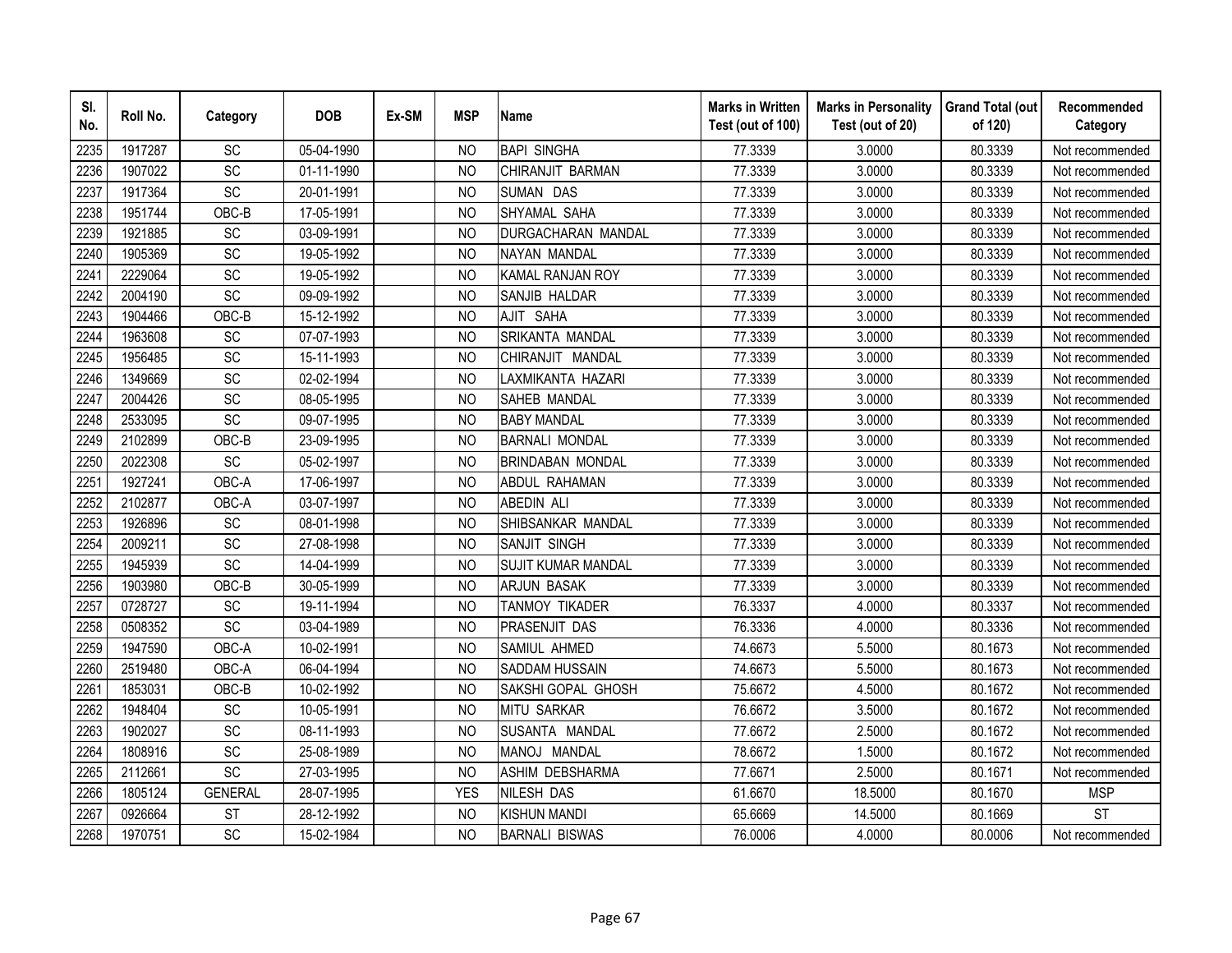| SI.<br>No. | Roll No. | Category        | <b>DOB</b> | Ex-SM | <b>MSP</b>     | <b>Name</b>               | <b>Marks in Written</b><br>Test (out of 100) | <b>Marks in Personality</b><br>Test (out of 20) | <b>Grand Total (out</b><br>of 120) | Recommended<br>Category |
|------------|----------|-----------------|------------|-------|----------------|---------------------------|----------------------------------------------|-------------------------------------------------|------------------------------------|-------------------------|
| 2235       | 1917287  | SC              | 05-04-1990 |       | N <sub>O</sub> | <b>BAPI SINGHA</b>        | 77.3339                                      | 3.0000                                          | 80.3339                            | Not recommended         |
| 2236       | 1907022  | $\overline{SC}$ | 01-11-1990 |       | <b>NO</b>      | CHIRANJIT BARMAN          | 77.3339                                      | 3.0000                                          | 80.3339                            | Not recommended         |
| 2237       | 1917364  | SC              | 20-01-1991 |       | N <sub>O</sub> | SUMAN DAS                 | 77.3339                                      | 3.0000                                          | 80.3339                            | Not recommended         |
| 2238       | 1951744  | $OBC-B$         | 17-05-1991 |       | <b>NO</b>      | SHYAMAL SAHA              | 77.3339                                      | 3.0000                                          | 80.3339                            | Not recommended         |
| 2239       | 1921885  | SC              | 03-09-1991 |       | <b>NO</b>      | DURGACHARAN MANDAL        | 77.3339                                      | 3.0000                                          | 80.3339                            | Not recommended         |
| 2240       | 1905369  | SC              | 19-05-1992 |       | NO             | NAYAN MANDAL              | 77.3339                                      | 3.0000                                          | 80.3339                            | Not recommended         |
| 2241       | 2229064  | SC              | 19-05-1992 |       | N <sub>O</sub> | KAMAL RANJAN ROY          | 77.3339                                      | 3.0000                                          | 80.3339                            | Not recommended         |
| 2242       | 2004190  | SC              | 09-09-1992 |       | <b>NO</b>      | SANJIB HALDAR             | 77.3339                                      | 3.0000                                          | 80.3339                            | Not recommended         |
| 2243       | 1904466  | OBC-B           | 15-12-1992 |       | <b>NO</b>      | AJIT SAHA                 | 77.3339                                      | 3.0000                                          | 80.3339                            | Not recommended         |
| 2244       | 1963608  | SC              | 07-07-1993 |       | <b>NO</b>      | SRIKANTA MANDAL           | 77.3339                                      | 3.0000                                          | 80.3339                            | Not recommended         |
| 2245       | 1956485  | SC              | 15-11-1993 |       | <b>NO</b>      | CHIRANJIT MANDAL          | 77.3339                                      | 3.0000                                          | 80.3339                            | Not recommended         |
| 2246       | 1349669  | SC              | 02-02-1994 |       | <b>NO</b>      | LAXMIKANTA HAZARI         | 77.3339                                      | 3.0000                                          | 80.3339                            | Not recommended         |
| 2247       | 2004426  | SC              | 08-05-1995 |       | <b>NO</b>      | <b>SAHEB MANDAL</b>       | 77.3339                                      | 3.0000                                          | 80.3339                            | Not recommended         |
| 2248       | 2533095  | SC              | 09-07-1995 |       | <b>NO</b>      | <b>BABY MANDAL</b>        | 77.3339                                      | 3.0000                                          | 80.3339                            | Not recommended         |
| 2249       | 2102899  | OBC-B           | 23-09-1995 |       | <b>NO</b>      | <b>BARNALI MONDAL</b>     | 77.3339                                      | 3.0000                                          | 80.3339                            | Not recommended         |
| 2250       | 2022308  | SC              | 05-02-1997 |       | <b>NO</b>      | <b>BRINDABAN MONDAL</b>   | 77.3339                                      | 3.0000                                          | 80.3339                            | Not recommended         |
| 2251       | 1927241  | OBC-A           | 17-06-1997 |       | <b>NO</b>      | ABDUL RAHAMAN             | 77.3339                                      | 3.0000                                          | 80.3339                            | Not recommended         |
| 2252       | 2102877  | OBC-A           | 03-07-1997 |       | <b>NO</b>      | <b>ABEDIN ALI</b>         | 77.3339                                      | 3.0000                                          | 80.3339                            | Not recommended         |
| 2253       | 1926896  | SC              | 08-01-1998 |       | <b>NO</b>      | SHIBSANKAR MANDAL         | 77.3339                                      | 3.0000                                          | 80.3339                            | Not recommended         |
| 2254       | 2009211  | SC              | 27-08-1998 |       | <b>NO</b>      | <b>SANJIT SINGH</b>       | 77.3339                                      | 3.0000                                          | 80.3339                            | Not recommended         |
| 2255       | 1945939  | SC              | 14-04-1999 |       | <b>NO</b>      | <b>SUJIT KUMAR MANDAL</b> | 77.3339                                      | 3.0000                                          | 80.3339                            | Not recommended         |
| 2256       | 1903980  | OBC-B           | 30-05-1999 |       | <b>NO</b>      | <b>ARJUN BASAK</b>        | 77.3339                                      | 3.0000                                          | 80.3339                            | Not recommended         |
| 2257       | 0728727  | SC              | 19-11-1994 |       | <b>NO</b>      | TANMOY TIKADER            | 76.3337                                      | 4.0000                                          | 80.3337                            | Not recommended         |
| 2258       | 0508352  | $\overline{SC}$ | 03-04-1989 |       | <b>NO</b>      | PRASENJIT DAS             | 76.3336                                      | 4.0000                                          | 80.3336                            | Not recommended         |
| 2259       | 1947590  | OBC-A           | 10-02-1991 |       | <b>NO</b>      | SAMIUL AHMED              | 74.6673                                      | 5.5000                                          | 80.1673                            | Not recommended         |
| 2260       | 2519480  | OBC-A           | 06-04-1994 |       | <b>NO</b>      | SADDAM HUSSAIN            | 74.6673                                      | 5.5000                                          | 80.1673                            | Not recommended         |
| 2261       | 1853031  | OBC-B           | 10-02-1992 |       | NO             | SAKSHI GOPAL GHOSH        | 75.6672                                      | 4.5000                                          | 80.1672                            | Not recommended         |
| 2262       | 1948404  | SC              | 10-05-1991 |       | NO             | <b>MITU SARKAR</b>        | 76.6672                                      | 3.5000                                          | 80.1672                            | Not recommended         |
| 2263       | 1902027  | SC              | 08-11-1993 |       | N <sub>O</sub> | SUSANTA MANDAL            | 77.6672                                      | 2.5000                                          | 80.1672                            | Not recommended         |
| 2264       | 1808916  | SC              | 25-08-1989 |       | <b>NO</b>      | MANOJ MANDAL              | 78.6672                                      | 1.5000                                          | 80.1672                            | Not recommended         |
| 2265       | 2112661  | SC              | 27-03-1995 |       | <b>NO</b>      | <b>ASHIM DEBSHARMA</b>    | 77.6671                                      | 2.5000                                          | 80.1671                            | Not recommended         |
| 2266       | 1805124  | <b>GENERAL</b>  | 28-07-1995 |       | <b>YES</b>     | <b>NILESH DAS</b>         | 61.6670                                      | 18.5000                                         | 80.1670                            | <b>MSP</b>              |
| 2267       | 0926664  | <b>ST</b>       | 28-12-1992 |       | <b>NO</b>      | <b>KISHUN MANDI</b>       | 65.6669                                      | 14.5000                                         | 80.1669                            | <b>ST</b>               |
| 2268       | 1970751  | SC              | 15-02-1984 |       | <b>NO</b>      | <b>BARNALI BISWAS</b>     | 76.0006                                      | 4.0000                                          | 80.0006                            | Not recommended         |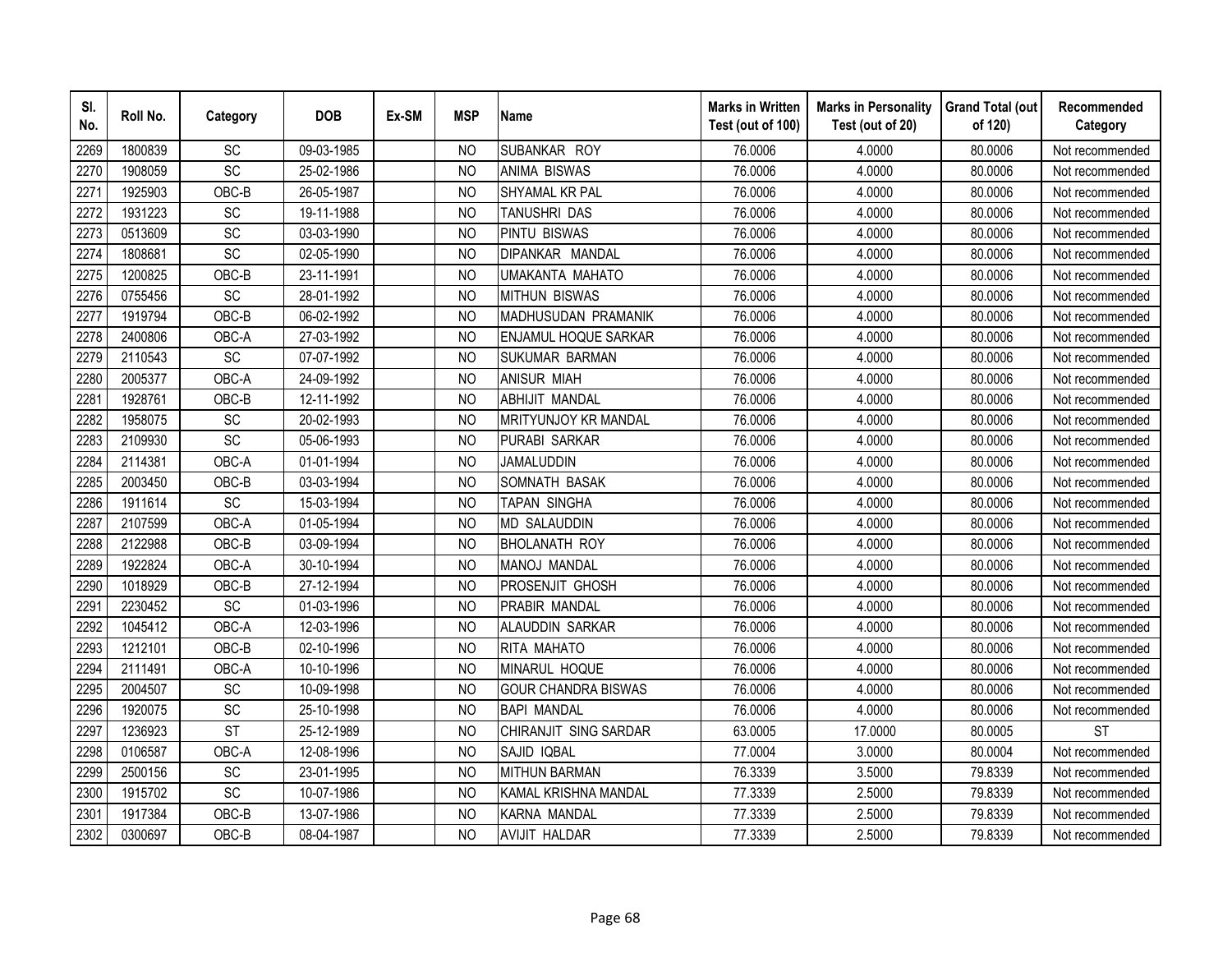| SI.<br>No. | Roll No. | Category  | <b>DOB</b> | Ex-SM | <b>MSP</b>     | <b>Name</b>                 | <b>Marks in Written</b><br>Test (out of 100) | <b>Marks in Personality</b><br>Test (out of 20) | <b>Grand Total (out</b><br>of 120) | Recommended<br>Category |
|------------|----------|-----------|------------|-------|----------------|-----------------------------|----------------------------------------------|-------------------------------------------------|------------------------------------|-------------------------|
| 2269       | 1800839  | SC        | 09-03-1985 |       | <b>NO</b>      | SUBANKAR ROY                | 76.0006                                      | 4.0000                                          | 80.0006                            | Not recommended         |
| 2270       | 1908059  | SC        | 25-02-1986 |       | N <sub>O</sub> | <b>ANIMA BISWAS</b>         | 76.0006                                      | 4.0000                                          | 80.0006                            | Not recommended         |
| 2271       | 1925903  | OBC-B     | 26-05-1987 |       | <b>NO</b>      | SHYAMAL KR PAL              | 76.0006                                      | 4.0000                                          | 80.0006                            | Not recommended         |
| 2272       | 1931223  | SC        | 19-11-1988 |       | N <sub>O</sub> | TANUSHRI DAS                | 76.0006                                      | 4.0000                                          | 80.0006                            | Not recommended         |
| 2273       | 0513609  | SC        | 03-03-1990 |       | <b>NO</b>      | <b>PINTU BISWAS</b>         | 76.0006                                      | 4.0000                                          | 80.0006                            | Not recommended         |
| 2274       | 1808681  | SC        | 02-05-1990 |       | <b>NO</b>      | DIPANKAR MANDAL             | 76.0006                                      | 4.0000                                          | 80.0006                            | Not recommended         |
| 2275       | 1200825  | OBC-B     | 23-11-1991 |       | <b>NO</b>      | <b>UMAKANTA MAHATO</b>      | 76.0006                                      | 4.0000                                          | 80.0006                            | Not recommended         |
| 2276       | 0755456  | SC        | 28-01-1992 |       | <b>NO</b>      | <b>MITHUN BISWAS</b>        | 76.0006                                      | 4.0000                                          | 80.0006                            | Not recommended         |
| 2277       | 1919794  | OBC-B     | 06-02-1992 |       | N <sub>O</sub> | MADHUSUDAN PRAMANIK         | 76.0006                                      | 4.0000                                          | 80.0006                            | Not recommended         |
| 2278       | 2400806  | OBC-A     | 27-03-1992 |       | <b>NO</b>      | <b>ENJAMUL HOQUE SARKAR</b> | 76.0006                                      | 4.0000                                          | 80.0006                            | Not recommended         |
| 2279       | 2110543  | SC        | 07-07-1992 |       | <b>NO</b>      | <b>SUKUMAR BARMAN</b>       | 76.0006                                      | 4.0000                                          | 80.0006                            | Not recommended         |
| 2280       | 2005377  | OBC-A     | 24-09-1992 |       | <b>NO</b>      | <b>ANISUR MIAH</b>          | 76.0006                                      | 4.0000                                          | 80.0006                            | Not recommended         |
| 2281       | 1928761  | OBC-B     | 12-11-1992 |       | <b>NO</b>      | <b>ABHIJIT MANDAL</b>       | 76.0006                                      | 4.0000                                          | 80.0006                            | Not recommended         |
| 2282       | 1958075  | SC        | 20-02-1993 |       | <b>NO</b>      | <b>MRITYUNJOY KR MANDAL</b> | 76.0006                                      | 4.0000                                          | 80.0006                            | Not recommended         |
| 2283       | 2109930  | SC        | 05-06-1993 |       | <b>NO</b>      | PURABI SARKAR               | 76.0006                                      | 4.0000                                          | 80.0006                            | Not recommended         |
| 2284       | 2114381  | OBC-A     | 01-01-1994 |       | <b>NO</b>      | <b>JAMALUDDIN</b>           | 76.0006                                      | 4.0000                                          | 80.0006                            | Not recommended         |
| 2285       | 2003450  | OBC-B     | 03-03-1994 |       | <b>NO</b>      | SOMNATH BASAK               | 76.0006                                      | 4.0000                                          | 80.0006                            | Not recommended         |
| 2286       | 1911614  | SC        | 15-03-1994 |       | N <sub>O</sub> | <b>TAPAN SINGHA</b>         | 76.0006                                      | 4.0000                                          | 80.0006                            | Not recommended         |
| 2287       | 2107599  | OBC-A     | 01-05-1994 |       | N <sub>O</sub> | <b>MD SALAUDDIN</b>         | 76.0006                                      | 4.0000                                          | 80.0006                            | Not recommended         |
| 2288       | 2122988  | OBC-B     | 03-09-1994 |       | N <sub>O</sub> | <b>BHOLANATH ROY</b>        | 76.0006                                      | 4.0000                                          | 80.0006                            | Not recommended         |
| 2289       | 1922824  | OBC-A     | 30-10-1994 |       | <b>NO</b>      | <b>MANOJ MANDAL</b>         | 76.0006                                      | 4.0000                                          | 80.0006                            | Not recommended         |
| 2290       | 1018929  | OBC-B     | 27-12-1994 |       | <b>NO</b>      | <b>PROSENJIT GHOSH</b>      | 76.0006                                      | 4.0000                                          | 80.0006                            | Not recommended         |
| 2291       | 2230452  | SC        | 01-03-1996 |       | N <sub>O</sub> | PRABIR MANDAL               | 76.0006                                      | 4.0000                                          | 80.0006                            | Not recommended         |
| 2292       | 1045412  | OBC-A     | 12-03-1996 |       | <b>NO</b>      | ALAUDDIN SARKAR             | 76.0006                                      | 4.0000                                          | 80.0006                            | Not recommended         |
| 2293       | 1212101  | OBC-B     | 02-10-1996 |       | <b>NO</b>      | RITA MAHATO                 | 76.0006                                      | 4.0000                                          | 80.0006                            | Not recommended         |
| 2294       | 2111491  | OBC-A     | 10-10-1996 |       | <b>NO</b>      | MINARUL HOQUE               | 76.0006                                      | 4.0000                                          | 80.0006                            | Not recommended         |
| 2295       | 2004507  | SC        | 10-09-1998 |       | N <sub>O</sub> | <b>GOUR CHANDRA BISWAS</b>  | 76.0006                                      | 4.0000                                          | 80.0006                            | Not recommended         |
| 2296       | 1920075  | SC        | 25-10-1998 |       | N <sub>O</sub> | <b>BAPI MANDAL</b>          | 76.0006                                      | 4.0000                                          | 80.0006                            | Not recommended         |
| 2297       | 1236923  | <b>ST</b> | 25-12-1989 |       | <b>NO</b>      | CHIRANJIT SING SARDAR       | 63.0005                                      | 17.0000                                         | 80.0005                            | <b>ST</b>               |
| 2298       | 0106587  | OBC-A     | 12-08-1996 |       | <b>NO</b>      | SAJID IQBAL                 | 77.0004                                      | 3.0000                                          | 80.0004                            | Not recommended         |
| 2299       | 2500156  | SC        | 23-01-1995 |       | <b>NO</b>      | <b>MITHUN BARMAN</b>        | 76.3339                                      | 3.5000                                          | 79.8339                            | Not recommended         |
| 2300       | 1915702  | SC        | 10-07-1986 |       | N <sub>O</sub> | KAMAL KRISHNA MANDAL        | 77.3339                                      | 2.5000                                          | 79.8339                            | Not recommended         |
| 2301       | 1917384  | OBC-B     | 13-07-1986 |       | <b>NO</b>      | <b>KARNA MANDAL</b>         | 77.3339                                      | 2.5000                                          | 79.8339                            | Not recommended         |
| 2302       | 0300697  | OBC-B     | 08-04-1987 |       | <b>NO</b>      | <b>AVIJIT HALDAR</b>        | 77.3339                                      | 2.5000                                          | 79.8339                            | Not recommended         |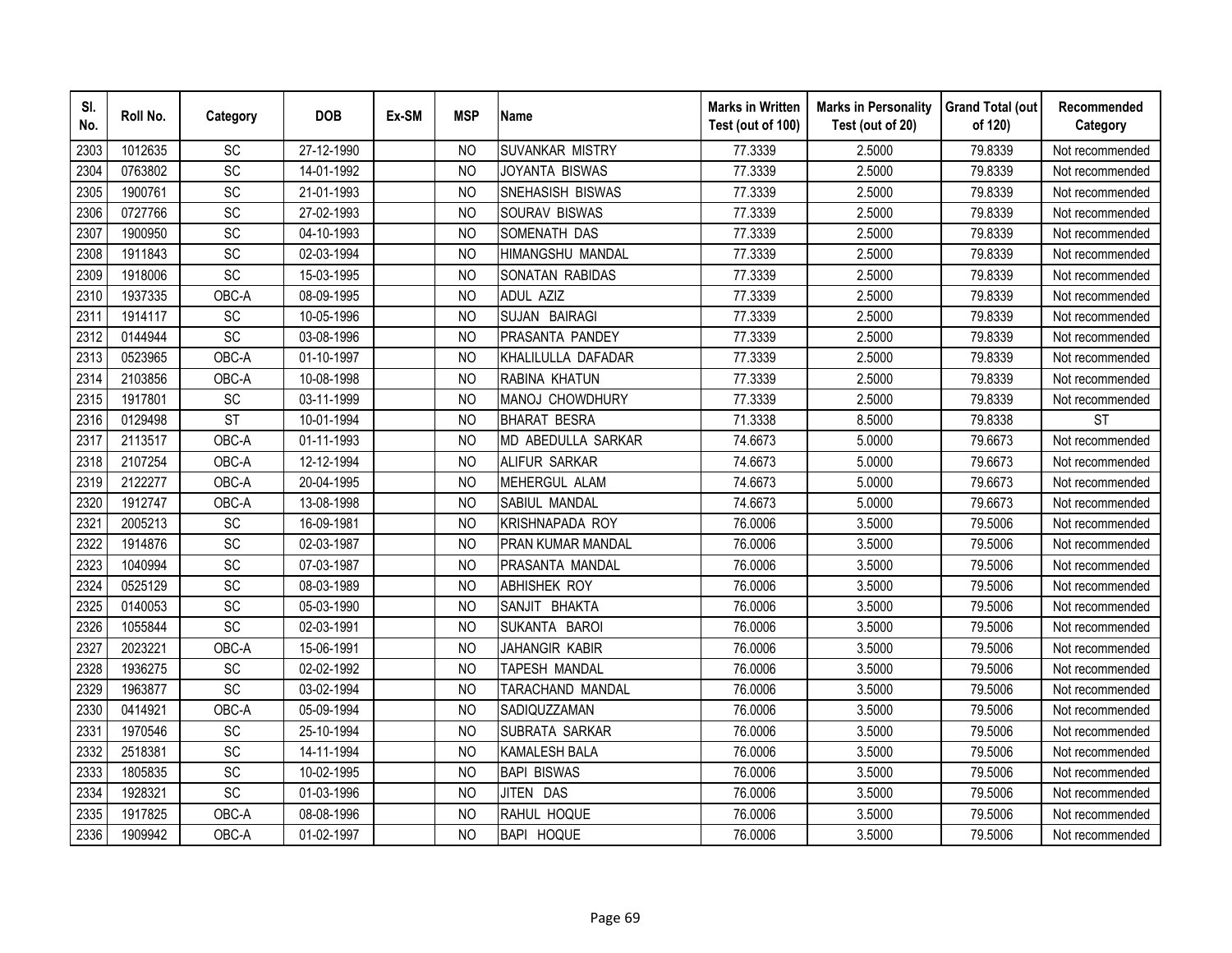| SI.<br>No. | Roll No. | Category        | <b>DOB</b> | Ex-SM | <b>MSP</b>     | <b>Name</b>            | <b>Marks in Written</b><br>Test (out of 100) | <b>Marks in Personality</b><br>Test (out of 20) | <b>Grand Total (out</b><br>of 120) | Recommended<br>Category |
|------------|----------|-----------------|------------|-------|----------------|------------------------|----------------------------------------------|-------------------------------------------------|------------------------------------|-------------------------|
| 2303       | 1012635  | <b>SC</b>       | 27-12-1990 |       | <b>NO</b>      | <b>SUVANKAR MISTRY</b> | 77.3339                                      | 2.5000                                          | 79.8339                            | Not recommended         |
| 2304       | 0763802  | $\overline{SC}$ | 14-01-1992 |       | N <sub>O</sub> | JOYANTA BISWAS         | 77.3339                                      | 2.5000                                          | 79.8339                            | Not recommended         |
| 2305       | 1900761  | SC              | 21-01-1993 |       | NO             | SNEHASISH BISWAS       | 77.3339                                      | 2.5000                                          | 79.8339                            | Not recommended         |
| 2306       | 0727766  | SC              | 27-02-1993 |       | <b>NO</b>      | SOURAV BISWAS          | 77.3339                                      | 2.5000                                          | 79.8339                            | Not recommended         |
| 2307       | 1900950  | SC              | 04-10-1993 |       | <b>NO</b>      | SOMENATH DAS           | 77.3339                                      | 2.5000                                          | 79.8339                            | Not recommended         |
| 2308       | 1911843  | SC              | 02-03-1994 |       | <b>NO</b>      | HIMANGSHU MANDAL       | 77.3339                                      | 2.5000                                          | 79.8339                            | Not recommended         |
| 2309       | 1918006  | SC              | 15-03-1995 |       | NO             | SONATAN RABIDAS        | 77.3339                                      | 2.5000                                          | 79.8339                            | Not recommended         |
| 2310       | 1937335  | OBC-A           | 08-09-1995 |       | <b>NO</b>      | <b>ADUL AZIZ</b>       | 77.3339                                      | 2.5000                                          | 79.8339                            | Not recommended         |
| 2311       | 1914117  | SC              | 10-05-1996 |       | N <sub>O</sub> | SUJAN BAIRAGI          | 77.3339                                      | 2.5000                                          | 79.8339                            | Not recommended         |
| 2312       | 0144944  | $\overline{SC}$ | 03-08-1996 |       | <b>NO</b>      | PRASANTA PANDEY        | 77.3339                                      | 2.5000                                          | 79.8339                            | Not recommended         |
| 2313       | 0523965  | OBC-A           | 01-10-1997 |       | <b>NO</b>      | KHALILULLA DAFADAR     | 77.3339                                      | 2.5000                                          | 79.8339                            | Not recommended         |
| 2314       | 2103856  | OBC-A           | 10-08-1998 |       | <b>NO</b>      | RABINA KHATUN          | 77.3339                                      | 2.5000                                          | 79.8339                            | Not recommended         |
| 2315       | 1917801  | SC              | 03-11-1999 |       | <b>NO</b>      | MANOJ CHOWDHURY        | 77.3339                                      | 2.5000                                          | 79.8339                            | Not recommended         |
| 2316       | 0129498  | <b>ST</b>       | 10-01-1994 |       | <b>NO</b>      | <b>BHARAT BESRA</b>    | 71.3338                                      | 8.5000                                          | 79.8338                            | <b>ST</b>               |
| 2317       | 2113517  | OBC-A           | 01-11-1993 |       | <b>NO</b>      | MD ABEDULLA SARKAR     | 74.6673                                      | 5.0000                                          | 79.6673                            | Not recommended         |
| 2318       | 2107254  | OBC-A           | 12-12-1994 |       | <b>NO</b>      | <b>ALIFUR SARKAR</b>   | 74.6673                                      | 5.0000                                          | 79.6673                            | Not recommended         |
| 2319       | 2122277  | OBC-A           | 20-04-1995 |       | <b>NO</b>      | MEHERGUL ALAM          | 74.6673                                      | 5.0000                                          | 79.6673                            | Not recommended         |
| 2320       | 1912747  | OBC-A           | 13-08-1998 |       | <b>NO</b>      | SABIUL MANDAL          | 74.6673                                      | 5.0000                                          | 79.6673                            | Not recommended         |
| 2321       | 2005213  | $\overline{SC}$ | 16-09-1981 |       | <b>NO</b>      | <b>KRISHNAPADA ROY</b> | 76.0006                                      | 3.5000                                          | 79.5006                            | Not recommended         |
| 2322       | 1914876  | SC              | 02-03-1987 |       | <b>NO</b>      | PRAN KUMAR MANDAL      | 76.0006                                      | 3.5000                                          | 79.5006                            | Not recommended         |
| 2323       | 1040994  | $\overline{SC}$ | 07-03-1987 |       | <b>NO</b>      | PRASANTA MANDAL        | 76.0006                                      | 3.5000                                          | 79.5006                            | Not recommended         |
| 2324       | 0525129  | SC              | 08-03-1989 |       | <b>NO</b>      | <b>ABHISHEK ROY</b>    | 76.0006                                      | 3.5000                                          | 79.5006                            | Not recommended         |
| 2325       | 0140053  | SC              | 05-03-1990 |       | <b>NO</b>      | SANJIT BHAKTA          | 76.0006                                      | 3.5000                                          | 79.5006                            | Not recommended         |
| 2326       | 1055844  | SC              | 02-03-1991 |       | <b>NO</b>      | SUKANTA BAROI          | 76.0006                                      | 3.5000                                          | 79.5006                            | Not recommended         |
| 2327       | 2023221  | OBC-A           | 15-06-1991 |       | <b>NO</b>      | JAHANGIR KABIR         | 76.0006                                      | 3.5000                                          | 79.5006                            | Not recommended         |
| 2328       | 1936275  | <b>SC</b>       | 02-02-1992 |       | <b>NO</b>      | TAPESH MANDAL          | 76.0006                                      | 3.5000                                          | 79.5006                            | Not recommended         |
| 2329       | 1963877  | SC              | 03-02-1994 |       | NO             | TARACHAND MANDAL       | 76.0006                                      | 3.5000                                          | 79.5006                            | Not recommended         |
| 2330       | 0414921  | OBC-A           | 05-09-1994 |       | N <sub>O</sub> | SADIQUZZAMAN           | 76.0006                                      | 3.5000                                          | 79.5006                            | Not recommended         |
| 2331       | 1970546  | SC              | 25-10-1994 |       | <b>NO</b>      | SUBRATA SARKAR         | 76.0006                                      | 3.5000                                          | 79.5006                            | Not recommended         |
| 2332       | 2518381  | SC              | 14-11-1994 |       | <b>NO</b>      | <b>KAMALESH BALA</b>   | 76.0006                                      | 3.5000                                          | 79.5006                            | Not recommended         |
| 2333       | 1805835  | SC              | 10-02-1995 |       | <b>NO</b>      | <b>BAPI BISWAS</b>     | 76.0006                                      | 3.5000                                          | 79.5006                            | Not recommended         |
| 2334       | 1928321  | SC              | 01-03-1996 |       | <b>NO</b>      | JITEN DAS              | 76.0006                                      | 3.5000                                          | 79.5006                            | Not recommended         |
| 2335       | 1917825  | OBC-A           | 08-08-1996 |       | <b>NO</b>      | RAHUL HOQUE            | 76.0006                                      | 3.5000                                          | 79.5006                            | Not recommended         |
| 2336       | 1909942  | OBC-A           | 01-02-1997 |       | <b>NO</b>      | <b>BAPI HOQUE</b>      | 76.0006                                      | 3.5000                                          | 79.5006                            | Not recommended         |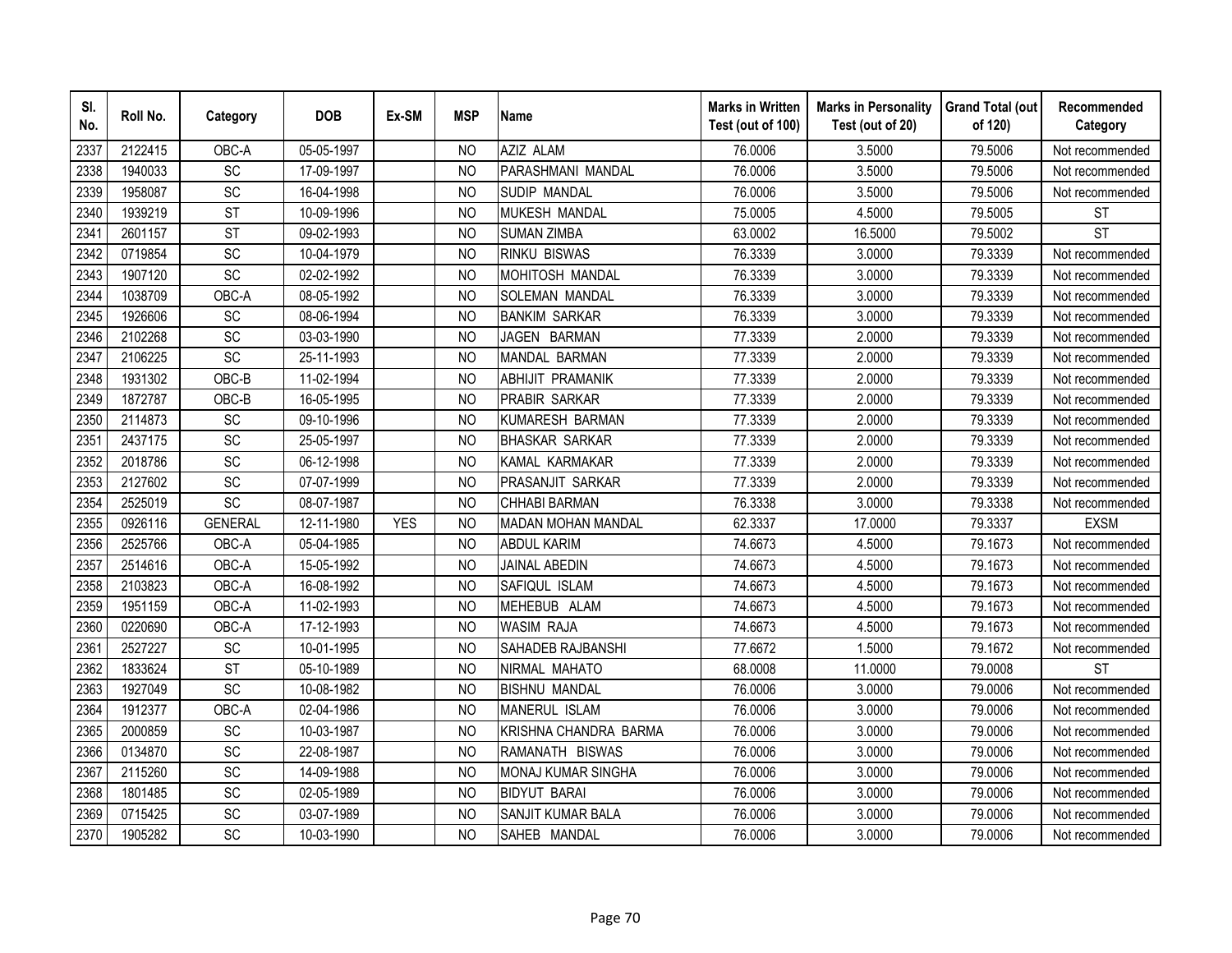| SI.<br>No. | Roll No. | Category        | <b>DOB</b> | Ex-SM      | <b>MSP</b>     | <b>Name</b>               | <b>Marks in Written</b><br>Test (out of 100) | <b>Marks in Personality</b><br>Test (out of 20) | <b>Grand Total (out</b><br>of 120) | Recommended<br>Category |
|------------|----------|-----------------|------------|------------|----------------|---------------------------|----------------------------------------------|-------------------------------------------------|------------------------------------|-------------------------|
| 2337       | 2122415  | OBC-A           | 05-05-1997 |            | N <sub>O</sub> | AZIZ ALAM                 | 76.0006                                      | 3.5000                                          | 79.5006                            | Not recommended         |
| 2338       | 1940033  | $\overline{SC}$ | 17-09-1997 |            | N <sub>O</sub> | PARASHMANI MANDAL         | 76.0006                                      | 3.5000                                          | 79.5006                            | Not recommended         |
| 2339       | 1958087  | SC              | 16-04-1998 |            | N <sub>O</sub> | SUDIP MANDAL              | 76.0006                                      | 3.5000                                          | 79.5006                            | Not recommended         |
| 2340       | 1939219  | <b>ST</b>       | 10-09-1996 |            | <b>NO</b>      | MUKESH MANDAL             | 75.0005                                      | 4.5000                                          | 79.5005                            | <b>ST</b>               |
| 2341       | 2601157  | <b>ST</b>       | 09-02-1993 |            | <b>NO</b>      | <b>SUMAN ZIMBA</b>        | 63.0002                                      | 16.5000                                         | 79.5002                            | <b>ST</b>               |
| 2342       | 0719854  | SC              | 10-04-1979 |            | NO             | <b>RINKU BISWAS</b>       | 76.3339                                      | 3.0000                                          | 79.3339                            | Not recommended         |
| 2343       | 1907120  | SC              | 02-02-1992 |            | N <sub>O</sub> | MOHITOSH MANDAL           | 76.3339                                      | 3.0000                                          | 79.3339                            | Not recommended         |
| 2344       | 1038709  | OBC-A           | 08-05-1992 |            | N <sub>O</sub> | SOLEMAN MANDAL            | 76.3339                                      | 3.0000                                          | 79.3339                            | Not recommended         |
| 2345       | 1926606  | <b>SC</b>       | 08-06-1994 |            | <b>NO</b>      | <b>BANKIM SARKAR</b>      | 76.3339                                      | 3.0000                                          | 79.3339                            | Not recommended         |
| 2346       | 2102268  | <b>SC</b>       | 03-03-1990 |            | <b>NO</b>      | JAGEN BARMAN              | 77.3339                                      | 2.0000                                          | 79.3339                            | Not recommended         |
| 2347       | 2106225  | SC              | 25-11-1993 |            | <b>NO</b>      | MANDAL BARMAN             | 77.3339                                      | 2.0000                                          | 79.3339                            | Not recommended         |
| 2348       | 1931302  | OBC-B           | 11-02-1994 |            | <b>NO</b>      | <b>ABHIJIT PRAMANIK</b>   | 77.3339                                      | 2.0000                                          | 79.3339                            | Not recommended         |
| 2349       | 1872787  | OBC-B           | 16-05-1995 |            | <b>NO</b>      | <b>PRABIR SARKAR</b>      | 77.3339                                      | 2.0000                                          | 79.3339                            | Not recommended         |
| 2350       | 2114873  | <b>SC</b>       | 09-10-1996 |            | <b>NO</b>      | KUMARESH BARMAN           | 77.3339                                      | 2.0000                                          | 79.3339                            | Not recommended         |
| 2351       | 2437175  | SC              | 25-05-1997 |            | <b>NO</b>      | <b>BHASKAR SARKAR</b>     | 77.3339                                      | 2.0000                                          | 79.3339                            | Not recommended         |
| 2352       | 2018786  | SC              | 06-12-1998 |            | <b>NO</b>      | KAMAL KARMAKAR            | 77.3339                                      | 2.0000                                          | 79.3339                            | Not recommended         |
| 2353       | 2127602  | SC              | 07-07-1999 |            | <b>NO</b>      | PRASANJIT SARKAR          | 77.3339                                      | 2.0000                                          | 79.3339                            | Not recommended         |
| 2354       | 2525019  | SC              | 08-07-1987 |            | N <sub>O</sub> | <b>CHHABI BARMAN</b>      | 76.3338                                      | 3.0000                                          | 79.3338                            | Not recommended         |
| 2355       | 0926116  | <b>GENERAL</b>  | 12-11-1980 | <b>YES</b> | <b>NO</b>      | <b>MADAN MOHAN MANDAL</b> | 62.3337                                      | 17.0000                                         | 79.3337                            | <b>EXSM</b>             |
| 2356       | 2525766  | OBC-A           | 05-04-1985 |            | <b>NO</b>      | <b>ABDUL KARIM</b>        | 74.6673                                      | 4.5000                                          | 79.1673                            | Not recommended         |
| 2357       | 2514616  | OBC-A           | 15-05-1992 |            | N <sub>O</sub> | <b>JAINAL ABEDIN</b>      | 74.6673                                      | 4.5000                                          | 79.1673                            | Not recommended         |
| 2358       | 2103823  | OBC-A           | 16-08-1992 |            | <b>NO</b>      | SAFIQUL ISLAM             | 74.6673                                      | 4.5000                                          | 79.1673                            | Not recommended         |
| 2359       | 1951159  | OBC-A           | 11-02-1993 |            | <b>NO</b>      | MEHEBUB ALAM              | 74.6673                                      | 4.5000                                          | 79.1673                            | Not recommended         |
| 2360       | 0220690  | OBC-A           | 17-12-1993 |            | <b>NO</b>      | <b>WASIM RAJA</b>         | 74.6673                                      | 4.5000                                          | 79.1673                            | Not recommended         |
| 2361       | 2527227  | SC              | 10-01-1995 |            | <b>NO</b>      | SAHADEB RAJBANSHI         | 77.6672                                      | 1.5000                                          | 79.1672                            | Not recommended         |
| 2362       | 1833624  | <b>ST</b>       | 05-10-1989 |            | <b>NO</b>      | NIRMAL MAHATO             | 68.0008                                      | 11.0000                                         | 79.0008                            | <b>ST</b>               |
| 2363       | 1927049  | SC              | 10-08-1982 |            | NO             | <b>BISHNU MANDAL</b>      | 76.0006                                      | 3.0000                                          | 79.0006                            | Not recommended         |
| 2364       | 1912377  | OBC-A           | 02-04-1986 |            | N <sub>O</sub> | MANERUL ISLAM             | 76.0006                                      | 3.0000                                          | 79.0006                            | Not recommended         |
| 2365       | 2000859  | SC              | 10-03-1987 |            | <b>NO</b>      | KRISHNA CHANDRA BARMA     | 76.0006                                      | 3.0000                                          | 79.0006                            | Not recommended         |
| 2366       | 0134870  | <b>SC</b>       | 22-08-1987 |            | <b>NO</b>      | RAMANATH BISWAS           | 76.0006                                      | 3.0000                                          | 79.0006                            | Not recommended         |
| 2367       | 2115260  | SC              | 14-09-1988 |            | <b>NO</b>      | <b>MONAJ KUMAR SINGHA</b> | 76.0006                                      | 3.0000                                          | 79.0006                            | Not recommended         |
| 2368       | 1801485  | SC              | 02-05-1989 |            | N <sub>O</sub> | <b>BIDYUT BARAI</b>       | 76.0006                                      | 3.0000                                          | 79.0006                            | Not recommended         |
| 2369       | 0715425  | SC              | 03-07-1989 |            | <b>NO</b>      | SANJIT KUMAR BALA         | 76.0006                                      | 3.0000                                          | 79.0006                            | Not recommended         |
| 2370       | 1905282  | SC              | 10-03-1990 |            | <b>NO</b>      | SAHEB MANDAL              | 76.0006                                      | 3.0000                                          | 79.0006                            | Not recommended         |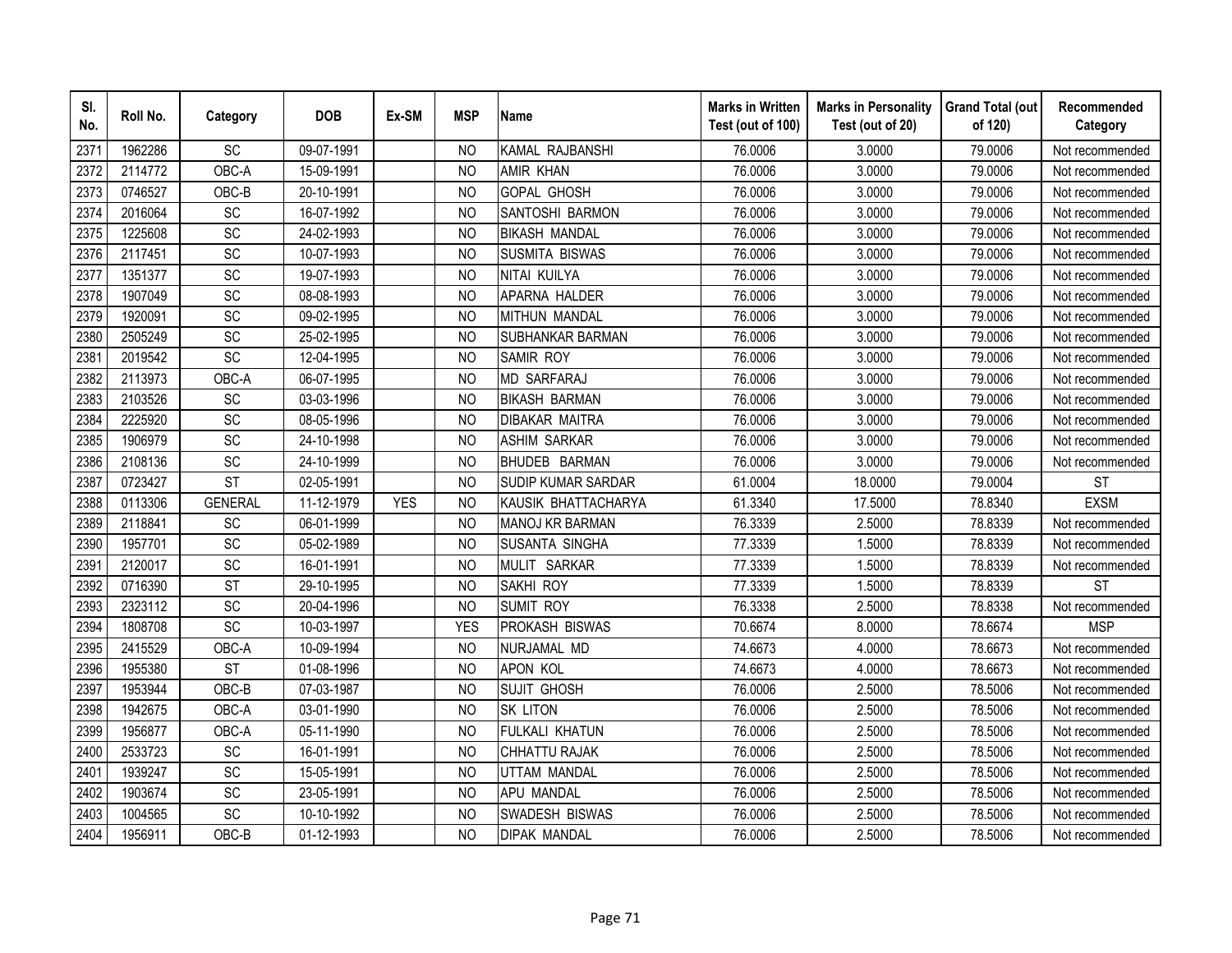| SI.<br>No. | Roll No. | Category        | <b>DOB</b> | Ex-SM      | <b>MSP</b>     | <b>Name</b>            | <b>Marks in Written</b><br>Test (out of 100) | <b>Marks in Personality</b><br>Test (out of 20) | <b>Grand Total (out</b><br>of 120) | Recommended<br>Category |
|------------|----------|-----------------|------------|------------|----------------|------------------------|----------------------------------------------|-------------------------------------------------|------------------------------------|-------------------------|
| 2371       | 1962286  | SC              | 09-07-1991 |            | N <sub>O</sub> | KAMAL RAJBANSHI        | 76.0006                                      | 3.0000                                          | 79.0006                            | Not recommended         |
| 2372       | 2114772  | OBC-A           | 15-09-1991 |            | <b>NO</b>      | <b>AMIR KHAN</b>       | 76.0006                                      | 3.0000                                          | 79.0006                            | Not recommended         |
| 2373       | 0746527  | OBC-B           | 20-10-1991 |            | N <sub>O</sub> | <b>GOPAL GHOSH</b>     | 76.0006                                      | 3.0000                                          | 79.0006                            | Not recommended         |
| 2374       | 2016064  | SC              | 16-07-1992 |            | <b>NO</b>      | SANTOSHI BARMON        | 76.0006                                      | 3.0000                                          | 79.0006                            | Not recommended         |
| 2375       | 1225608  | SC              | 24-02-1993 |            | <b>NO</b>      | <b>BIKASH MANDAL</b>   | 76.0006                                      | 3.0000                                          | 79.0006                            | Not recommended         |
| 2376       | 2117451  | SC              | 10-07-1993 |            | N <sub>O</sub> | <b>SUSMITA BISWAS</b>  | 76.0006                                      | 3.0000                                          | 79.0006                            | Not recommended         |
| 2377       | 1351377  | SC              | 19-07-1993 |            | <b>NO</b>      | NITAI KUILYA           | 76.0006                                      | 3.0000                                          | 79.0006                            | Not recommended         |
| 2378       | 1907049  | SC              | 08-08-1993 |            | <b>NO</b>      | APARNA HALDER          | 76.0006                                      | 3.0000                                          | 79.0006                            | Not recommended         |
| 2379       | 1920091  | SC              | 09-02-1995 |            | <b>NO</b>      | <b>MITHUN MANDAL</b>   | 76.0006                                      | 3.0000                                          | 79.0006                            | Not recommended         |
| 2380       | 2505249  | SC              | 25-02-1995 |            | <b>NO</b>      | SUBHANKAR BARMAN       | 76.0006                                      | 3.0000                                          | 79.0006                            | Not recommended         |
| 2381       | 2019542  | $\overline{SC}$ | 12-04-1995 |            | <b>NO</b>      | <b>SAMIR ROY</b>       | 76.0006                                      | 3.0000                                          | 79.0006                            | Not recommended         |
| 2382       | 2113973  | OBC-A           | 06-07-1995 |            | <b>NO</b>      | <b>MD SARFARAJ</b>     | 76.0006                                      | 3.0000                                          | 79.0006                            | Not recommended         |
| 2383       | 2103526  | SC              | 03-03-1996 |            | <b>NO</b>      | <b>BIKASH BARMAN</b>   | 76.0006                                      | 3.0000                                          | 79.0006                            | Not recommended         |
| 2384       | 2225920  | SC              | 08-05-1996 |            | <b>NO</b>      | <b>DIBAKAR MAITRA</b>  | 76.0006                                      | 3.0000                                          | 79.0006                            | Not recommended         |
| 2385       | 1906979  | SC              | 24-10-1998 |            | <b>NO</b>      | <b>ASHIM SARKAR</b>    | 76.0006                                      | 3.0000                                          | 79.0006                            | Not recommended         |
| 2386       | 2108136  | SC              | 24-10-1999 |            | <b>NO</b>      | BHUDEB BARMAN          | 76.0006                                      | 3.0000                                          | 79.0006                            | Not recommended         |
| 2387       | 0723427  | <b>ST</b>       | 02-05-1991 |            | N <sub>O</sub> | SUDIP KUMAR SARDAR     | 61.0004                                      | 18.0000                                         | 79.0004                            | <b>ST</b>               |
| 2388       | 0113306  | <b>GENERAL</b>  | 11-12-1979 | <b>YES</b> | <b>NO</b>      | KAUSIK BHATTACHARYA    | 61.3340                                      | 17.5000                                         | 78.8340                            | <b>EXSM</b>             |
| 2389       | 2118841  | SC              | 06-01-1999 |            | <b>NO</b>      | <b>MANOJ KR BARMAN</b> | 76.3339                                      | 2.5000                                          | 78.8339                            | Not recommended         |
| 2390       | 1957701  | SC              | 05-02-1989 |            | N <sub>O</sub> | <b>SUSANTA SINGHA</b>  | 77.3339                                      | 1.5000                                          | 78.8339                            | Not recommended         |
| 2391       | 2120017  | $\overline{SC}$ | 16-01-1991 |            | <b>NO</b>      | MULIT SARKAR           | 77.3339                                      | 1.5000                                          | 78.8339                            | Not recommended         |
| 2392       | 0716390  | <b>ST</b>       | 29-10-1995 |            | <b>NO</b>      | <b>SAKHI ROY</b>       | 77.3339                                      | 1.5000                                          | 78.8339                            | <b>ST</b>               |
| 2393       | 2323112  | SC              | 20-04-1996 |            | <b>NO</b>      | <b>SUMIT ROY</b>       | 76.3338                                      | 2.5000                                          | 78.8338                            | Not recommended         |
| 2394       | 1808708  | SC              | 10-03-1997 |            | <b>YES</b>     | PROKASH BISWAS         | 70.6674                                      | 8.0000                                          | 78.6674                            | <b>MSP</b>              |
| 2395       | 2415529  | OBC-A           | 10-09-1994 |            | <b>NO</b>      | NURJAMAL MD            | 74.6673                                      | 4.0000                                          | 78.6673                            | Not recommended         |
| 2396       | 1955380  | <b>ST</b>       | 01-08-1996 |            | N <sub>O</sub> | <b>APON KOL</b>        | 74.6673                                      | 4.0000                                          | 78.6673                            | Not recommended         |
| 2397       | 1953944  | OBC-B           | 07-03-1987 |            | N <sub>O</sub> | <b>SUJIT GHOSH</b>     | 76.0006                                      | 2.5000                                          | 78.5006                            | Not recommended         |
| 2398       | 1942675  | OBC-A           | 03-01-1990 |            | <b>NO</b>      | <b>SK LITON</b>        | 76.0006                                      | 2.5000                                          | 78.5006                            | Not recommended         |
| 2399       | 1956877  | OBC-A           | 05-11-1990 |            | <b>NO</b>      | FULKALI KHATUN         | 76.0006                                      | 2.5000                                          | 78.5006                            | Not recommended         |
| 2400       | 2533723  | SC              | 16-01-1991 |            | <b>NO</b>      | <b>CHHATTU RAJAK</b>   | 76.0006                                      | 2.5000                                          | 78.5006                            | Not recommended         |
| 2401       | 1939247  | SC              | 15-05-1991 |            | <b>NO</b>      | <b>UTTAM MANDAL</b>    | 76.0006                                      | 2.5000                                          | 78.5006                            | Not recommended         |
| 2402       | 1903674  | SC              | 23-05-1991 |            | N <sub>O</sub> | <b>APU MANDAL</b>      | 76.0006                                      | 2.5000                                          | 78.5006                            | Not recommended         |
| 2403       | 1004565  | SC              | 10-10-1992 |            | <b>NO</b>      | SWADESH BISWAS         | 76.0006                                      | 2.5000                                          | 78.5006                            | Not recommended         |
| 2404       | 1956911  | $OBC-B$         | 01-12-1993 |            | <b>NO</b>      | <b>DIPAK MANDAL</b>    | 76.0006                                      | 2.5000                                          | 78.5006                            | Not recommended         |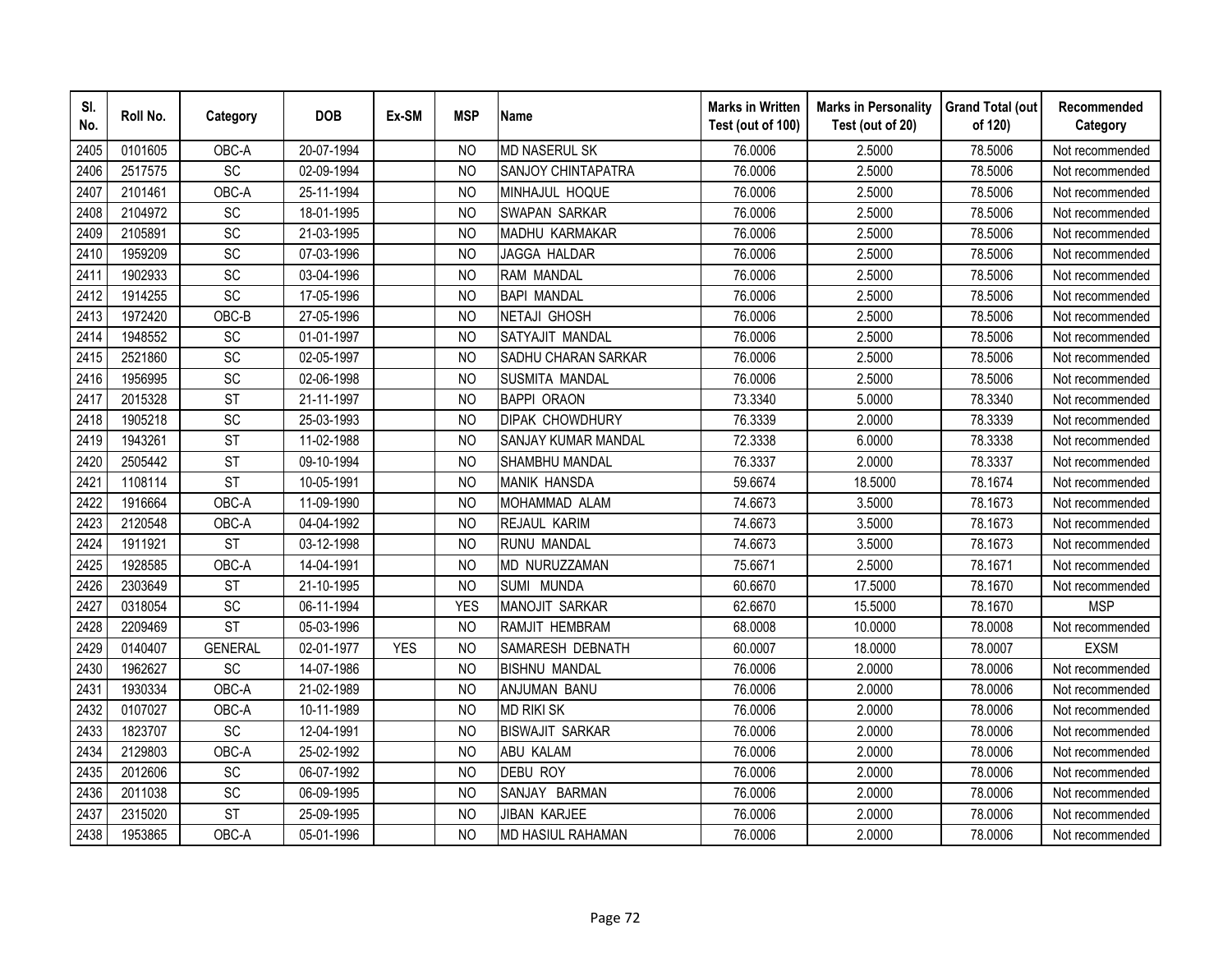| SI.<br>No. | Roll No. | Category        | <b>DOB</b> | Ex-SM      | <b>MSP</b>     | <b>Name</b>                | <b>Marks in Written</b><br>Test (out of 100) | <b>Marks in Personality</b><br>Test (out of 20) | <b>Grand Total (out</b><br>of 120) | Recommended<br>Category |
|------------|----------|-----------------|------------|------------|----------------|----------------------------|----------------------------------------------|-------------------------------------------------|------------------------------------|-------------------------|
| 2405       | 0101605  | OBC-A           | 20-07-1994 |            | N <sub>O</sub> | <b>MD NASERUL SK</b>       | 76.0006                                      | 2.5000                                          | 78.5006                            | Not recommended         |
| 2406       | 2517575  | $\overline{SC}$ | 02-09-1994 |            | <b>NO</b>      | SANJOY CHINTAPATRA         | 76.0006                                      | 2.5000                                          | 78.5006                            | Not recommended         |
| 2407       | 2101461  | OBC-A           | 25-11-1994 |            | N <sub>O</sub> | MINHAJUL HOQUE             | 76.0006                                      | 2.5000                                          | 78.5006                            | Not recommended         |
| 2408       | 2104972  | <b>SC</b>       | 18-01-1995 |            | N <sub>O</sub> | SWAPAN SARKAR              | 76.0006                                      | 2.5000                                          | 78.5006                            | Not recommended         |
| 2409       | 2105891  | SC              | 21-03-1995 |            | <b>NO</b>      | MADHU KARMAKAR             | 76.0006                                      | 2.5000                                          | 78.5006                            | Not recommended         |
| 2410       | 1959209  | SC              | 07-03-1996 |            | N <sub>O</sub> | JAGGA HALDAR               | 76.0006                                      | 2.5000                                          | 78.5006                            | Not recommended         |
| 2411       | 1902933  | <b>SC</b>       | 03-04-1996 |            | N <sub>O</sub> | <b>RAM MANDAL</b>          | 76.0006                                      | 2.5000                                          | 78.5006                            | Not recommended         |
| 2412       | 1914255  | SC              | 17-05-1996 |            | N <sub>O</sub> | <b>BAPI MANDAL</b>         | 76.0006                                      | 2.5000                                          | 78.5006                            | Not recommended         |
| 2413       | 1972420  | OBC-B           | 27-05-1996 |            | <b>NO</b>      | <b>NETAJI GHOSH</b>        | 76.0006                                      | 2.5000                                          | 78.5006                            | Not recommended         |
| 2414       | 1948552  | SC              | 01-01-1997 |            | <b>NO</b>      | SATYAJIT MANDAL            | 76.0006                                      | 2.5000                                          | 78.5006                            | Not recommended         |
| 2415       | 2521860  | <b>SC</b>       | 02-05-1997 |            | <b>NO</b>      | SADHU CHARAN SARKAR        | 76.0006                                      | 2.5000                                          | 78.5006                            | Not recommended         |
| 2416       | 1956995  | <b>SC</b>       | 02-06-1998 |            | <b>NO</b>      | <b>SUSMITA MANDAL</b>      | 76.0006                                      | 2.5000                                          | 78.5006                            | Not recommended         |
| 2417       | 2015328  | <b>ST</b>       | 21-11-1997 |            | <b>NO</b>      | <b>BAPPI ORAON</b>         | 73.3340                                      | 5.0000                                          | 78.3340                            | Not recommended         |
| 2418       | 1905218  | <b>SC</b>       | 25-03-1993 |            | <b>NO</b>      | <b>DIPAK CHOWDHURY</b>     | 76.3339                                      | 2.0000                                          | 78.3339                            | Not recommended         |
| 2419       | 1943261  | <b>ST</b>       | 11-02-1988 |            | N <sub>O</sub> | <b>SANJAY KUMAR MANDAL</b> | 72.3338                                      | 6.0000                                          | 78.3338                            | Not recommended         |
| 2420       | 2505442  | <b>ST</b>       | 09-10-1994 |            | <b>NO</b>      | SHAMBHU MANDAL             | 76.3337                                      | 2.0000                                          | 78.3337                            | Not recommended         |
| 2421       | 1108114  | <b>ST</b>       | 10-05-1991 |            | N <sub>O</sub> | <b>MANIK HANSDA</b>        | 59.6674                                      | 18.5000                                         | 78.1674                            | Not recommended         |
| 2422       | 1916664  | OBC-A           | 11-09-1990 |            | N <sub>O</sub> | MOHAMMAD ALAM              | 74.6673                                      | 3.5000                                          | 78.1673                            | Not recommended         |
| 2423       | 2120548  | OBC-A           | 04-04-1992 |            | <b>NO</b>      | REJAUL KARIM               | 74.6673                                      | 3.5000                                          | 78.1673                            | Not recommended         |
| 2424       | 1911921  | <b>ST</b>       | 03-12-1998 |            | N <sub>O</sub> | <b>RUNU MANDAL</b>         | 74.6673                                      | 3.5000                                          | 78.1673                            | Not recommended         |
| 2425       | 1928585  | OBC-A           | 14-04-1991 |            | <b>NO</b>      | MD NURUZZAMAN              | 75.6671                                      | 2.5000                                          | 78.1671                            | Not recommended         |
| 2426       | 2303649  | <b>ST</b>       | 21-10-1995 |            | N <sub>O</sub> | SUMI MUNDA                 | 60.6670                                      | 17.5000                                         | 78.1670                            | Not recommended         |
| 2427       | 0318054  | SC              | 06-11-1994 |            | <b>YES</b>     | <b>MANOJIT SARKAR</b>      | 62.6670                                      | 15.5000                                         | 78.1670                            | <b>MSP</b>              |
| 2428       | 2209469  | <b>ST</b>       | 05-03-1996 |            | <b>NO</b>      | RAMJIT HEMBRAM             | 68.0008                                      | 10.0000                                         | 78.0008                            | Not recommended         |
| 2429       | 0140407  | <b>GENERAL</b>  | 02-01-1977 | <b>YES</b> | N <sub>O</sub> | SAMARESH DEBNATH           | 60.0007                                      | 18.0000                                         | 78.0007                            | <b>EXSM</b>             |
| 2430       | 1962627  | SC              | 14-07-1986 |            | N <sub>O</sub> | <b>BISHNU MANDAL</b>       | 76.0006                                      | 2.0000                                          | 78.0006                            | Not recommended         |
| 2431       | 1930334  | OBC-A           | 21-02-1989 |            | N <sub>O</sub> | ANJUMAN BANU               | 76.0006                                      | 2.0000                                          | 78.0006                            | Not recommended         |
| 2432       | 0107027  | OBC-A           | 10-11-1989 |            | N <sub>O</sub> | <b>MD RIKI SK</b>          | 76.0006                                      | 2.0000                                          | 78.0006                            | Not recommended         |
| 2433       | 1823707  | SC              | 12-04-1991 |            | <b>NO</b>      | <b>BISWAJIT SARKAR</b>     | 76.0006                                      | 2.0000                                          | 78.0006                            | Not recommended         |
| 2434       | 2129803  | OBC-A           | 25-02-1992 |            | N <sub>O</sub> | <b>ABU KALAM</b>           | 76.0006                                      | 2.0000                                          | 78.0006                            | Not recommended         |
| 2435       | 2012606  | SC              | 06-07-1992 |            | <b>NO</b>      | <b>DEBU ROY</b>            | 76.0006                                      | 2.0000                                          | 78.0006                            | Not recommended         |
| 2436       | 2011038  | <b>SC</b>       | 06-09-1995 |            | <b>NO</b>      | SANJAY BARMAN              | 76.0006                                      | 2.0000                                          | 78.0006                            | Not recommended         |
| 2437       | 2315020  | <b>ST</b>       | 25-09-1995 |            | <b>NO</b>      | <b>JIBAN KARJEE</b>        | 76.0006                                      | 2.0000                                          | 78.0006                            | Not recommended         |
| 2438       | 1953865  | OBC-A           | 05-01-1996 |            | <b>NO</b>      | MD HASIUL RAHAMAN          | 76.0006                                      | 2.0000                                          | 78.0006                            | Not recommended         |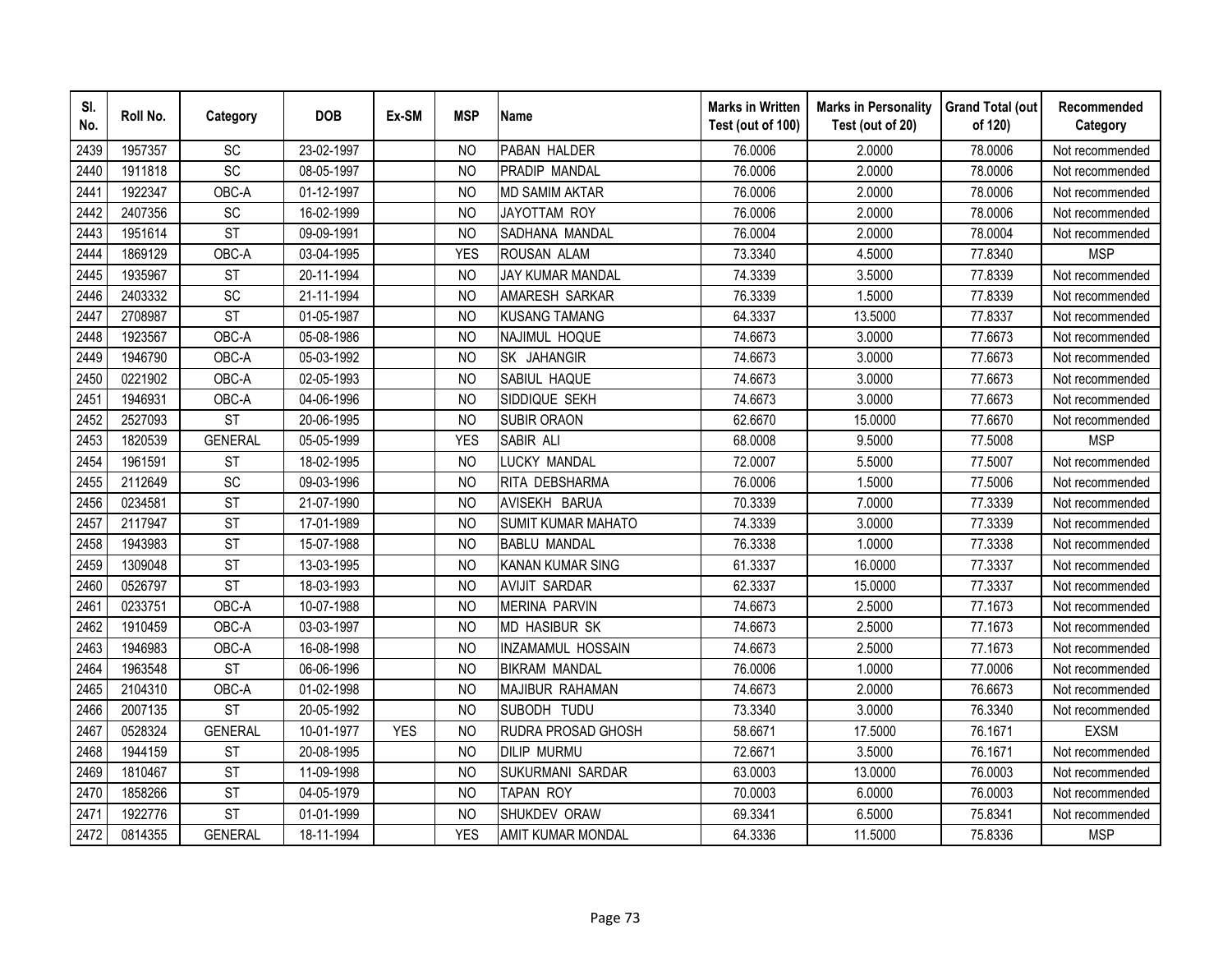| SI.<br>No. | Roll No. | Category        | <b>DOB</b> | Ex-SM      | <b>MSP</b>     | <b>Name</b>               | <b>Marks in Written</b><br>Test (out of 100) | <b>Marks in Personality</b><br>Test (out of 20) | <b>Grand Total (out</b><br>of 120) | Recommended<br>Category |
|------------|----------|-----------------|------------|------------|----------------|---------------------------|----------------------------------------------|-------------------------------------------------|------------------------------------|-------------------------|
| 2439       | 1957357  | <b>SC</b>       | 23-02-1997 |            | N <sub>O</sub> | PABAN HALDER              | 76.0006                                      | 2.0000                                          | 78.0006                            | Not recommended         |
| 2440       | 1911818  | $\overline{SC}$ | 08-05-1997 |            | N <sub>O</sub> | PRADIP MANDAL             | 76.0006                                      | 2.0000                                          | 78.0006                            | Not recommended         |
| 2441       | 1922347  | OBC-A           | 01-12-1997 |            | <b>NO</b>      | <b>MD SAMIM AKTAR</b>     | 76.0006                                      | 2.0000                                          | 78.0006                            | Not recommended         |
| 2442       | 2407356  | SC              | 16-02-1999 |            | <b>NO</b>      | JAYOTTAM ROY              | 76.0006                                      | 2.0000                                          | 78.0006                            | Not recommended         |
| 2443       | 1951614  | <b>ST</b>       | 09-09-1991 |            | N <sub>O</sub> | SADHANA MANDAL            | 76.0004                                      | 2.0000                                          | 78.0004                            | Not recommended         |
| 2444       | 1869129  | OBC-A           | 03-04-1995 |            | <b>YES</b>     | <b>ROUSAN ALAM</b>        | 73.3340                                      | 4.5000                                          | 77.8340                            | <b>MSP</b>              |
| 2445       | 1935967  | <b>ST</b>       | 20-11-1994 |            | <b>NO</b>      | JAY KUMAR MANDAL          | 74.3339                                      | 3.5000                                          | 77.8339                            | Not recommended         |
| 2446       | 2403332  | SC              | 21-11-1994 |            | <b>NO</b>      | AMARESH SARKAR            | 76.3339                                      | 1.5000                                          | 77.8339                            | Not recommended         |
| 2447       | 2708987  | <b>ST</b>       | 01-05-1987 |            | N <sub>O</sub> | <b>KUSANG TAMANG</b>      | 64.3337                                      | 13.5000                                         | 77.8337                            | Not recommended         |
| 2448       | 1923567  | OBC-A           | 05-08-1986 |            | N <sub>O</sub> | NAJIMUL HOQUE             | 74.6673                                      | 3.0000                                          | 77.6673                            | Not recommended         |
| 2449       | 1946790  | OBC-A           | 05-03-1992 |            | <b>NO</b>      | SK JAHANGIR               | 74.6673                                      | 3.0000                                          | 77.6673                            | Not recommended         |
| 2450       | 0221902  | OBC-A           | 02-05-1993 |            | <b>NO</b>      | SABIUL HAQUE              | 74.6673                                      | 3.0000                                          | 77.6673                            | Not recommended         |
| 2451       | 1946931  | OBC-A           | 04-06-1996 |            | <b>NO</b>      | SIDDIQUE SEKH             | 74.6673                                      | 3.0000                                          | 77.6673                            | Not recommended         |
| 2452       | 2527093  | <b>ST</b>       | 20-06-1995 |            | <b>NO</b>      | <b>SUBIR ORAON</b>        | 62.6670                                      | 15.0000                                         | 77.6670                            | Not recommended         |
| 2453       | 1820539  | <b>GENERAL</b>  | 05-05-1999 |            | <b>YES</b>     | <b>SABIR ALI</b>          | 68.0008                                      | 9.5000                                          | 77.5008                            | <b>MSP</b>              |
| 2454       | 1961591  | <b>ST</b>       | 18-02-1995 |            | <b>NO</b>      | LUCKY MANDAL              | 72.0007                                      | 5.5000                                          | 77.5007                            | Not recommended         |
| 2455       | 2112649  | SC              | 09-03-1996 |            | <b>NO</b>      | RITA DEBSHARMA            | 76.0006                                      | 1.5000                                          | 77.5006                            | Not recommended         |
| 2456       | 0234581  | <b>ST</b>       | 21-07-1990 |            | <b>NO</b>      | AVISEKH BARUA             | 70.3339                                      | 7.0000                                          | 77.3339                            | Not recommended         |
| 2457       | 2117947  | <b>ST</b>       | 17-01-1989 |            | <b>NO</b>      | <b>SUMIT KUMAR MAHATO</b> | 74.3339                                      | 3.0000                                          | 77.3339                            | Not recommended         |
| 2458       | 1943983  | <b>ST</b>       | 15-07-1988 |            | <b>NO</b>      | <b>BABLU MANDAL</b>       | 76.3338                                      | 1.0000                                          | 77.3338                            | Not recommended         |
| 2459       | 1309048  | <b>ST</b>       | 13-03-1995 |            | <b>NO</b>      | <b>KANAN KUMAR SING</b>   | 61.3337                                      | 16.0000                                         | 77.3337                            | Not recommended         |
| 2460       | 0526797  | <b>ST</b>       | 18-03-1993 |            | N <sub>O</sub> | <b>AVIJIT SARDAR</b>      | 62.3337                                      | 15.0000                                         | 77.3337                            | Not recommended         |
| 2461       | 0233751  | OBC-A           | 10-07-1988 |            | N <sub>O</sub> | <b>MERINA PARVIN</b>      | 74.6673                                      | 2.5000                                          | 77.1673                            | Not recommended         |
| 2462       | 1910459  | OBC-A           | 03-03-1997 |            | <b>NO</b>      | <b>MD HASIBUR SK</b>      | 74.6673                                      | 2.5000                                          | 77.1673                            | Not recommended         |
| 2463       | 1946983  | OBC-A           | 16-08-1998 |            | <b>NO</b>      | INZAMAMUL HOSSAIN         | 74.6673                                      | 2.5000                                          | 77.1673                            | Not recommended         |
| 2464       | 1963548  | <b>ST</b>       | 06-06-1996 |            | N <sub>O</sub> | <b>BIKRAM MANDAL</b>      | 76.0006                                      | 1.0000                                          | 77.0006                            | Not recommended         |
| 2465       | 2104310  | OBC-A           | 01-02-1998 |            | N <sub>O</sub> | MAJIBUR RAHAMAN           | 74.6673                                      | 2.0000                                          | 76.6673                            | Not recommended         |
| 2466       | 2007135  | <b>ST</b>       | 20-05-1992 |            | <sub>NO</sub>  | SUBODH TUDU               | 73.3340                                      | 3.0000                                          | 76.3340                            | Not recommended         |
| 2467       | 0528324  | <b>GENERAL</b>  | 10-01-1977 | <b>YES</b> | <sub>NO</sub>  | RUDRA PROSAD GHOSH        | 58.6671                                      | 17.5000                                         | 76.1671                            | <b>EXSM</b>             |
| 2468       | 1944159  | <b>ST</b>       | 20-08-1995 |            | N <sub>O</sub> | <b>DILIP MURMU</b>        | 72.6671                                      | 3.5000                                          | 76.1671                            | Not recommended         |
| 2469       | 1810467  | <b>ST</b>       | 11-09-1998 |            | N <sub>O</sub> | SUKURMANI SARDAR          | 63.0003                                      | 13.0000                                         | 76.0003                            | Not recommended         |
| 2470       | 1858266  | <b>ST</b>       | 04-05-1979 |            | N <sub>O</sub> | <b>TAPAN ROY</b>          | 70.0003                                      | 6.0000                                          | 76.0003                            | Not recommended         |
| 2471       | 1922776  | <b>ST</b>       | 01-01-1999 |            | <b>NO</b>      | SHUKDEV ORAW              | 69.3341                                      | 6.5000                                          | 75.8341                            | Not recommended         |
| 2472       | 0814355  | <b>GENERAL</b>  | 18-11-1994 |            | <b>YES</b>     | <b>AMIT KUMAR MONDAL</b>  | 64.3336                                      | 11.5000                                         | 75.8336                            | <b>MSP</b>              |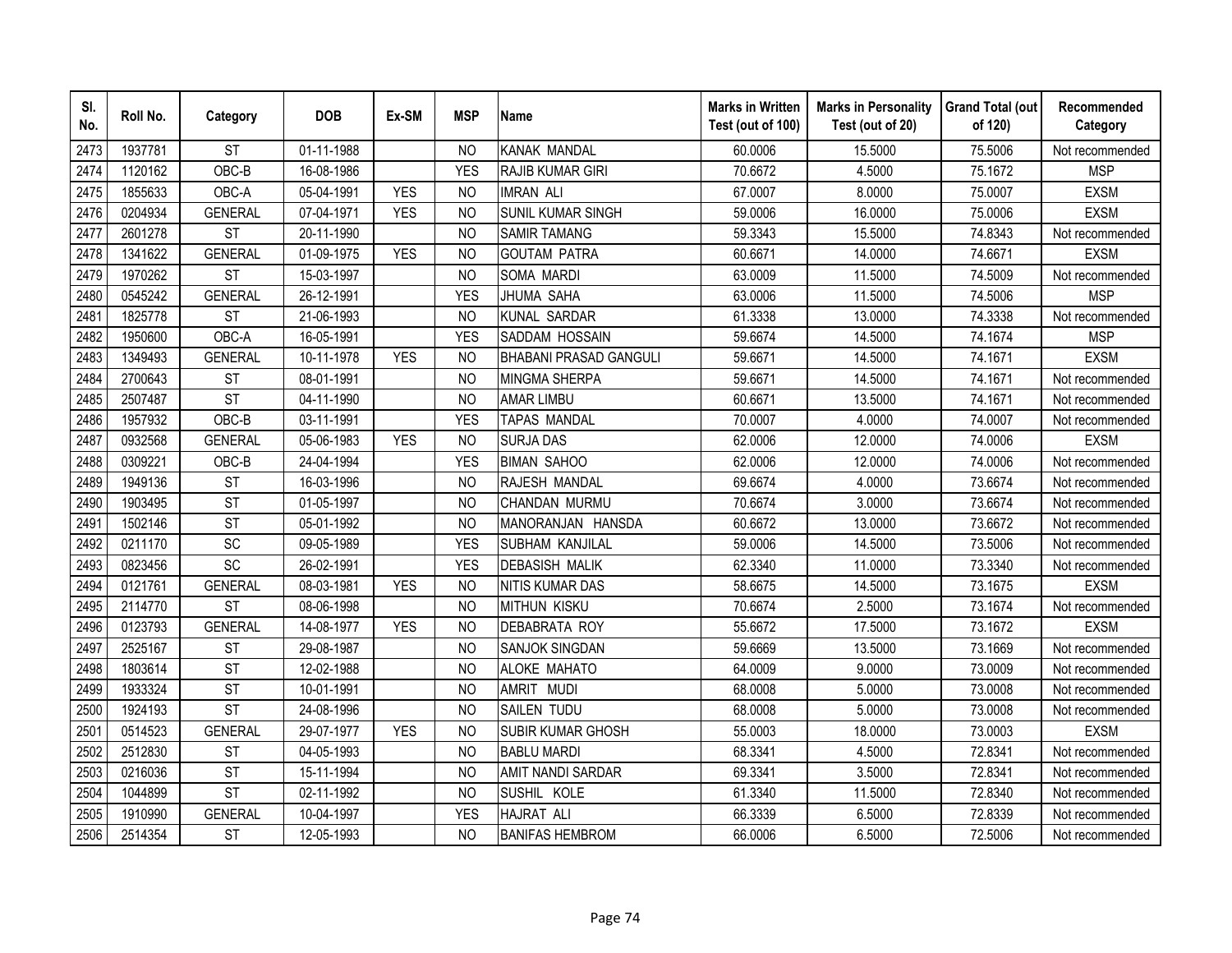| SI.<br>No. | Roll No. | Category       | <b>DOB</b>               | Ex-SM      | <b>MSP</b>     | <b>Name</b>                   | <b>Marks in Written</b><br>Test (out of 100) | <b>Marks in Personality</b><br>Test (out of 20) | <b>Grand Total (out</b><br>of 120) | Recommended<br>Category |
|------------|----------|----------------|--------------------------|------------|----------------|-------------------------------|----------------------------------------------|-------------------------------------------------|------------------------------------|-------------------------|
| 2473       | 1937781  | <b>ST</b>      | 01-11-1988               |            | <b>NO</b>      | <b>KANAK MANDAL</b>           | 60.0006                                      | 15.5000                                         | 75.5006                            | Not recommended         |
| 2474       | 1120162  | OBC-B          | 16-08-1986               |            | <b>YES</b>     | <b>RAJIB KUMAR GIRI</b>       | 70.6672                                      | 4.5000                                          | 75.1672                            | <b>MSP</b>              |
| 2475       | 1855633  | OBC-A          | 05-04-1991               | <b>YES</b> | <b>NO</b>      | <b>IMRAN ALI</b>              | 67.0007                                      | 8.0000                                          | 75.0007                            | <b>EXSM</b>             |
| 2476       | 0204934  | <b>GENERAL</b> | 07-04-1971               | <b>YES</b> | N <sub>O</sub> | SUNIL KUMAR SINGH             | 59.0006                                      | 16.0000                                         | 75.0006                            | <b>EXSM</b>             |
| 2477       | 2601278  | <b>ST</b>      | 20-11-1990               |            | N <sub>O</sub> | <b>SAMIR TAMANG</b>           | 59.3343                                      | 15.5000                                         | 74.8343                            | Not recommended         |
| 2478       | 1341622  | <b>GENERAL</b> | 01-09-1975               | <b>YES</b> | <b>NO</b>      | <b>GOUTAM PATRA</b>           | 60.6671                                      | 14.0000                                         | 74.6671                            | <b>EXSM</b>             |
| 2479       | 1970262  | <b>ST</b>      | 15-03-1997               |            | <sub>NO</sub>  | SOMA MARDI                    | 63.0009                                      | 11.5000                                         | 74.5009                            | Not recommended         |
| 2480       | 0545242  | <b>GENERAL</b> | 26-12-1991               |            | <b>YES</b>     | JHUMA SAHA                    | 63.0006                                      | 11.5000                                         | 74.5006                            | <b>MSP</b>              |
| 2481       | 1825778  | <b>ST</b>      | 21-06-1993               |            | N <sub>O</sub> | <b>KUNAL SARDAR</b>           | 61.3338                                      | 13.0000                                         | 74.3338                            | Not recommended         |
| 2482       | 1950600  | OBC-A          | 16-05-1991               |            | <b>YES</b>     | SADDAM HOSSAIN                | 59.6674                                      | 14.5000                                         | 74.1674                            | <b>MSP</b>              |
| 2483       | 1349493  | <b>GENERAL</b> | 10-11-1978               | <b>YES</b> | N <sub>O</sub> | <b>BHABANI PRASAD GANGULI</b> | 59.6671                                      | 14.5000                                         | 74.1671                            | <b>EXSM</b>             |
| 2484       | 2700643  | <b>ST</b>      | 08-01-1991               |            | <b>NO</b>      | <b>MINGMA SHERPA</b>          | 59.6671                                      | 14.5000                                         | 74.1671                            | Not recommended         |
| 2485       | 2507487  | <b>ST</b>      | 04-11-1990               |            | <b>NO</b>      | <b>AMAR LIMBU</b>             | 60.6671                                      | 13.5000                                         | 74.1671                            | Not recommended         |
| 2486       | 1957932  | OBC-B          | 03-11-1991               |            | <b>YES</b>     | <b>TAPAS MANDAL</b>           | 70.0007                                      | 4.0000                                          | 74.0007                            | Not recommended         |
| 2487       | 0932568  | <b>GENERAL</b> | 05-06-1983               | <b>YES</b> | <b>NO</b>      | <b>SURJA DAS</b>              | 62.0006                                      | 12.0000                                         | 74.0006                            | <b>EXSM</b>             |
| 2488       | 0309221  | OBC-B          | 24-04-1994               |            | <b>YES</b>     | <b>BIMAN SAHOO</b>            | 62.0006                                      | 12.0000                                         | 74.0006                            | Not recommended         |
| 2489       | 1949136  | <b>ST</b>      | 16-03-1996               |            | <b>NO</b>      | RAJESH MANDAL                 | 69.6674                                      | 4.0000                                          | 73.6674                            | Not recommended         |
| 2490       | 1903495  | <b>ST</b>      | 01-05-1997               |            | <b>NO</b>      | CHANDAN MURMU                 | 70.6674                                      | 3.0000                                          | 73.6674                            | Not recommended         |
| 2491       | 1502146  | <b>ST</b>      | 05-01-1992               |            | N <sub>O</sub> | MANORANJAN HANSDA             | 60.6672                                      | 13.0000                                         | 73.6672                            | Not recommended         |
| 2492       | 0211170  | <b>SC</b>      | 09-05-1989               |            | <b>YES</b>     | SUBHAM KANJILAL               | 59.0006                                      | 14.5000                                         | 73.5006                            | Not recommended         |
| 2493       | 0823456  | SC             | $\overline{26}$ -02-1991 |            | <b>YES</b>     | <b>DEBASISH MALIK</b>         | 62.3340                                      | 11.0000                                         | 73.3340                            | Not recommended         |
| 2494       | 0121761  | <b>GENERAL</b> | 08-03-1981               | <b>YES</b> | <b>NO</b>      | <b>NITIS KUMAR DAS</b>        | 58.6675                                      | 14.5000                                         | 73.1675                            | <b>EXSM</b>             |
| 2495       | 2114770  | <b>ST</b>      | 08-06-1998               |            | N <sub>O</sub> | <b>MITHUN KISKU</b>           | 70.6674                                      | 2.5000                                          | 73.1674                            | Not recommended         |
| 2496       | 0123793  | <b>GENERAL</b> | 14-08-1977               | <b>YES</b> | N <sub>O</sub> | <b>DEBABRATA ROY</b>          | 55.6672                                      | 17.5000                                         | 73.1672                            | <b>EXSM</b>             |
| 2497       | 2525167  | <b>ST</b>      | 29-08-1987               |            | <b>NO</b>      | SANJOK SINGDAN                | 59.6669                                      | 13.5000                                         | 73.1669                            | Not recommended         |
| 2498       | 1803614  | <b>ST</b>      | 12-02-1988               |            | <b>NO</b>      | ALOKE MAHATO                  | 64.0009                                      | 9.0000                                          | 73.0009                            | Not recommended         |
| 2499       | 1933324  | <b>ST</b>      | 10-01-1991               |            | N <sub>O</sub> | AMRIT MUDI                    | 68.0008                                      | 5.0000                                          | 73.0008                            | Not recommended         |
| 2500       | 1924193  | <b>ST</b>      | 24-08-1996               |            | N <sub>O</sub> | SAILEN TUDU                   | 68.0008                                      | 5.0000                                          | 73.0008                            | Not recommended         |
| 2501       | 0514523  | <b>GENERAL</b> | 29-07-1977               | <b>YES</b> | <b>NO</b>      | SUBIR KUMAR GHOSH             | 55.0003                                      | 18.0000                                         | 73.0003                            | <b>EXSM</b>             |
| 2502       | 2512830  | <b>ST</b>      | 04-05-1993               |            | N <sub>O</sub> | <b>BABLU MARDI</b>            | 68.3341                                      | 4.5000                                          | 72.8341                            | Not recommended         |
| 2503       | 0216036  | <b>ST</b>      | 15-11-1994               |            | N <sub>O</sub> | <b>AMIT NANDI SARDAR</b>      | 69.3341                                      | 3.5000                                          | 72.8341                            | Not recommended         |
| 2504       | 1044899  | <b>ST</b>      | 02-11-1992               |            | <b>NO</b>      | SUSHIL KOLE                   | 61.3340                                      | 11.5000                                         | 72.8340                            | Not recommended         |
| 2505       | 1910990  | <b>GENERAL</b> | 10-04-1997               |            | <b>YES</b>     | <b>HAJRAT ALI</b>             | 66.3339                                      | 6.5000                                          | 72.8339                            | Not recommended         |
| 2506       | 2514354  | <b>ST</b>      | 12-05-1993               |            | <b>NO</b>      | <b>BANIFAS HEMBROM</b>        | 66.0006                                      | 6.5000                                          | 72.5006                            | Not recommended         |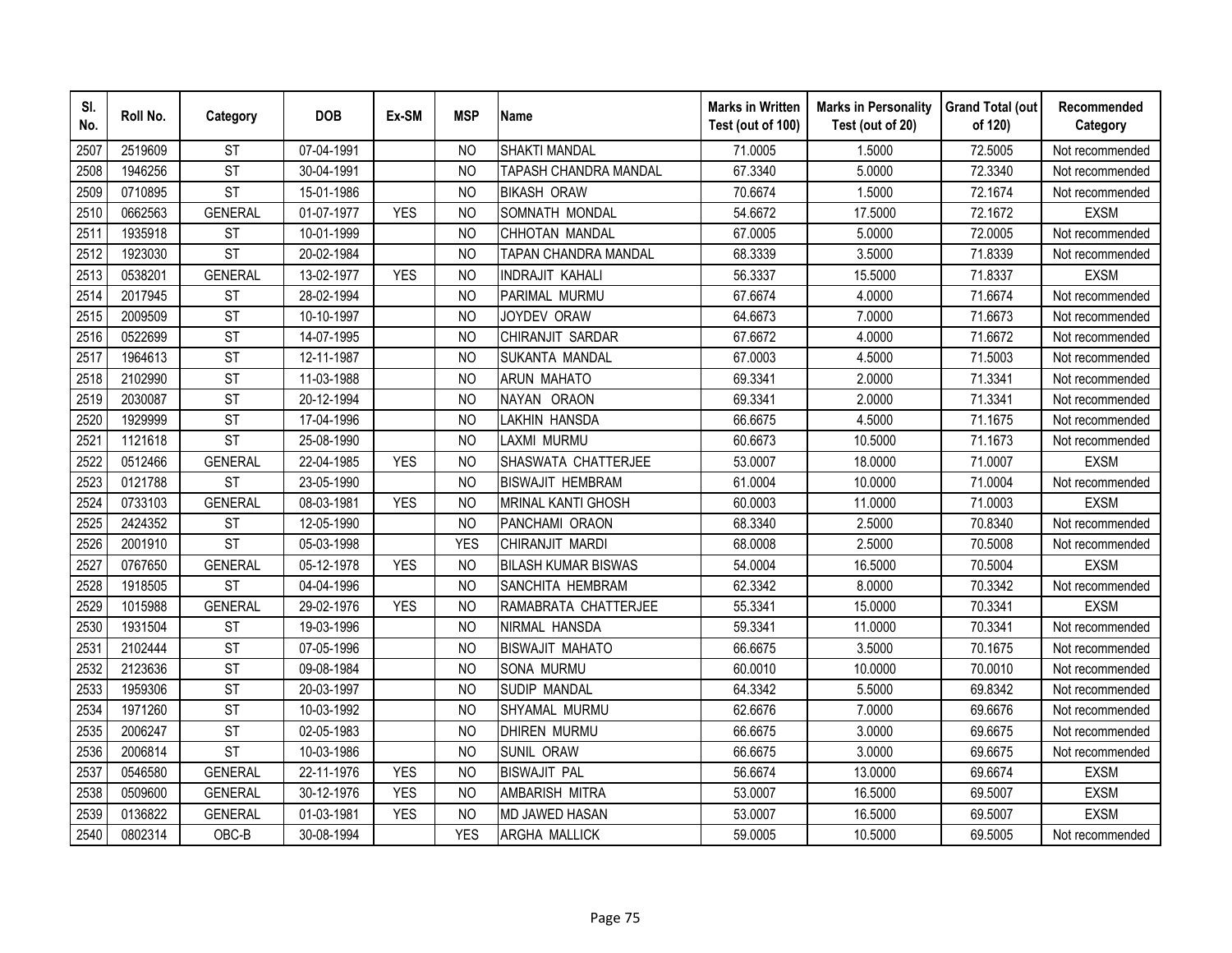| SI.<br>No. | Roll No. | Category               | <b>DOB</b> | Ex-SM      | <b>MSP</b>     | <b>Name</b>                  | <b>Marks in Written</b><br>Test (out of 100) | <b>Marks in Personality</b><br>Test (out of 20) | <b>Grand Total (out</b><br>of 120) | Recommended<br>Category |
|------------|----------|------------------------|------------|------------|----------------|------------------------------|----------------------------------------------|-------------------------------------------------|------------------------------------|-------------------------|
| 2507       | 2519609  | <b>ST</b>              | 07-04-1991 |            | N <sub>O</sub> | <b>SHAKTI MANDAL</b>         | 71.0005                                      | 1.5000                                          | 72.5005                            | Not recommended         |
| 2508       | 1946256  | $\overline{\text{ST}}$ | 30-04-1991 |            | <b>NO</b>      | <b>TAPASH CHANDRA MANDAL</b> | 67.3340                                      | 5.0000                                          | 72.3340                            | Not recommended         |
| 2509       | 0710895  | <b>ST</b>              | 15-01-1986 |            | N <sub>O</sub> | <b>BIKASH ORAW</b>           | 70.6674                                      | 1.5000                                          | 72.1674                            | Not recommended         |
| 2510       | 0662563  | <b>GENERAL</b>         | 01-07-1977 | <b>YES</b> | <b>NO</b>      | SOMNATH MONDAL               | 54.6672                                      | 17.5000                                         | 72.1672                            | <b>EXSM</b>             |
| 2511       | 1935918  | <b>ST</b>              | 10-01-1999 |            | <b>NO</b>      | CHHOTAN MANDAL               | 67.0005                                      | 5.0000                                          | 72.0005                            | Not recommended         |
| 2512       | 1923030  | <b>ST</b>              | 20-02-1984 |            | N <sub>O</sub> | TAPAN CHANDRA MANDAL         | 68.3339                                      | 3.5000                                          | 71.8339                            | Not recommended         |
| 2513       | 0538201  | <b>GENERAL</b>         | 13-02-1977 | <b>YES</b> | NO             | <b>INDRAJIT KAHALI</b>       | 56.3337                                      | 15.5000                                         | 71.8337                            | <b>EXSM</b>             |
| 2514       | 2017945  | <b>ST</b>              | 28-02-1994 |            | <b>NO</b>      | PARIMAL MURMU                | 67.6674                                      | 4.0000                                          | 71.6674                            | Not recommended         |
| 2515       | 2009509  | <b>ST</b>              | 10-10-1997 |            | <b>NO</b>      | JOYDEV ORAW                  | 64.6673                                      | 7.0000                                          | 71.6673                            | Not recommended         |
| 2516       | 0522699  | <b>ST</b>              | 14-07-1995 |            | <b>NO</b>      | CHIRANJIT SARDAR             | 67.6672                                      | 4.0000                                          | 71.6672                            | Not recommended         |
| 2517       | 1964613  | <b>ST</b>              | 12-11-1987 |            | <b>NO</b>      | SUKANTA MANDAL               | 67.0003                                      | 4.5000                                          | 71.5003                            | Not recommended         |
| 2518       | 2102990  | <b>ST</b>              | 11-03-1988 |            | <b>NO</b>      | <b>ARUN MAHATO</b>           | 69.3341                                      | 2.0000                                          | 71.3341                            | Not recommended         |
| 2519       | 2030087  | <b>ST</b>              | 20-12-1994 |            | <b>NO</b>      | NAYAN ORAON                  | 69.3341                                      | 2.0000                                          | 71.3341                            | Not recommended         |
| 2520       | 1929999  | <b>ST</b>              | 17-04-1996 |            | <b>NO</b>      | LAKHIN HANSDA                | 66.6675                                      | 4.5000                                          | 71.1675                            | Not recommended         |
| 2521       | 1121618  | <b>ST</b>              | 25-08-1990 |            | N <sub>O</sub> | LAXMI MURMU                  | 60.6673                                      | 10.5000                                         | 71.1673                            | Not recommended         |
| 2522       | 0512466  | <b>GENERAL</b>         | 22-04-1985 | <b>YES</b> | <b>NO</b>      | SHASWATA CHATTERJEE          | 53.0007                                      | 18.0000                                         | 71.0007                            | <b>EXSM</b>             |
| 2523       | 0121788  | <b>ST</b>              | 23-05-1990 |            | N <sub>O</sub> | <b>BISWAJIT HEMBRAM</b>      | 61.0004                                      | 10.0000                                         | 71.0004                            | Not recommended         |
| 2524       | 0733103  | <b>GENERAL</b>         | 08-03-1981 | <b>YES</b> | N <sub>O</sub> | <b>MRINAL KANTI GHOSH</b>    | 60.0003                                      | 11.0000                                         | 71.0003                            | <b>EXSM</b>             |
| 2525       | 2424352  | <b>ST</b>              | 12-05-1990 |            | <b>NO</b>      | PANCHAMI ORAON               | 68.3340                                      | 2.5000                                          | 70.8340                            | Not recommended         |
| 2526       | 2001910  | <b>ST</b>              | 05-03-1998 |            | <b>YES</b>     | CHIRANJIT MARDI              | 68.0008                                      | 2.5000                                          | 70.5008                            | Not recommended         |
| 2527       | 0767650  | <b>GENERAL</b>         | 05-12-1978 | <b>YES</b> | <b>NO</b>      | <b>BILASH KUMAR BISWAS</b>   | 54.0004                                      | 16.5000                                         | 70.5004                            | <b>EXSM</b>             |
| 2528       | 1918505  | <b>ST</b>              | 04-04-1996 |            | N <sub>O</sub> | SANCHITA HEMBRAM             | 62.3342                                      | 8.0000                                          | 70.3342                            | Not recommended         |
| 2529       | 1015988  | <b>GENERAL</b>         | 29-02-1976 | <b>YES</b> | <b>NO</b>      | RAMABRATA CHATTERJEE         | 55.3341                                      | 15.0000                                         | 70.3341                            | <b>EXSM</b>             |
| 2530       | 1931504  | <b>ST</b>              | 19-03-1996 |            | N <sub>O</sub> | NIRMAL HANSDA                | 59.3341                                      | 11.0000                                         | 70.3341                            | Not recommended         |
| 2531       | 2102444  | <b>ST</b>              | 07-05-1996 |            | <b>NO</b>      | <b>BISWAJIT MAHATO</b>       | 66.6675                                      | 3.5000                                          | 70.1675                            | Not recommended         |
| 2532       | 2123636  | <b>ST</b>              | 09-08-1984 |            | N <sub>O</sub> | <b>SONA MURMU</b>            | 60.0010                                      | 10.0000                                         | 70.0010                            | Not recommended         |
| 2533       | 1959306  | <b>ST</b>              | 20-03-1997 |            | N <sub>O</sub> | SUDIP MANDAL                 | 64.3342                                      | 5.5000                                          | 69.8342                            | Not recommended         |
| 2534       | 1971260  | <b>ST</b>              | 10-03-1992 |            | <b>NO</b>      | SHYAMAL MURMU                | 62.6676                                      | 7.0000                                          | 69.6676                            | Not recommended         |
| 2535       | 2006247  | <b>ST</b>              | 02-05-1983 |            | <b>NO</b>      | <b>DHIREN MURMU</b>          | 66.6675                                      | 3.0000                                          | 69.6675                            | Not recommended         |
| 2536       | 2006814  | <b>ST</b>              | 10-03-1986 |            | <b>NO</b>      | SUNIL ORAW                   | 66.6675                                      | 3.0000                                          | 69.6675                            | Not recommended         |
| 2537       | 0546580  | <b>GENERAL</b>         | 22-11-1976 | <b>YES</b> | <b>NO</b>      | <b>BISWAJIT PAL</b>          | 56.6674                                      | 13.0000                                         | 69.6674                            | <b>EXSM</b>             |
| 2538       | 0509600  | <b>GENERAL</b>         | 30-12-1976 | <b>YES</b> | <b>NO</b>      | AMBARISH MITRA               | 53.0007                                      | 16.5000                                         | 69.5007                            | <b>EXSM</b>             |
| 2539       | 0136822  | <b>GENERAL</b>         | 01-03-1981 | <b>YES</b> | <b>NO</b>      | <b>MD JAWED HASAN</b>        | 53.0007                                      | 16.5000                                         | 69.5007                            | <b>EXSM</b>             |
| 2540       | 0802314  | $OBC-B$                | 30-08-1994 |            | <b>YES</b>     | ARGHA MALLICK                | 59.0005                                      | 10.5000                                         | 69.5005                            | Not recommended         |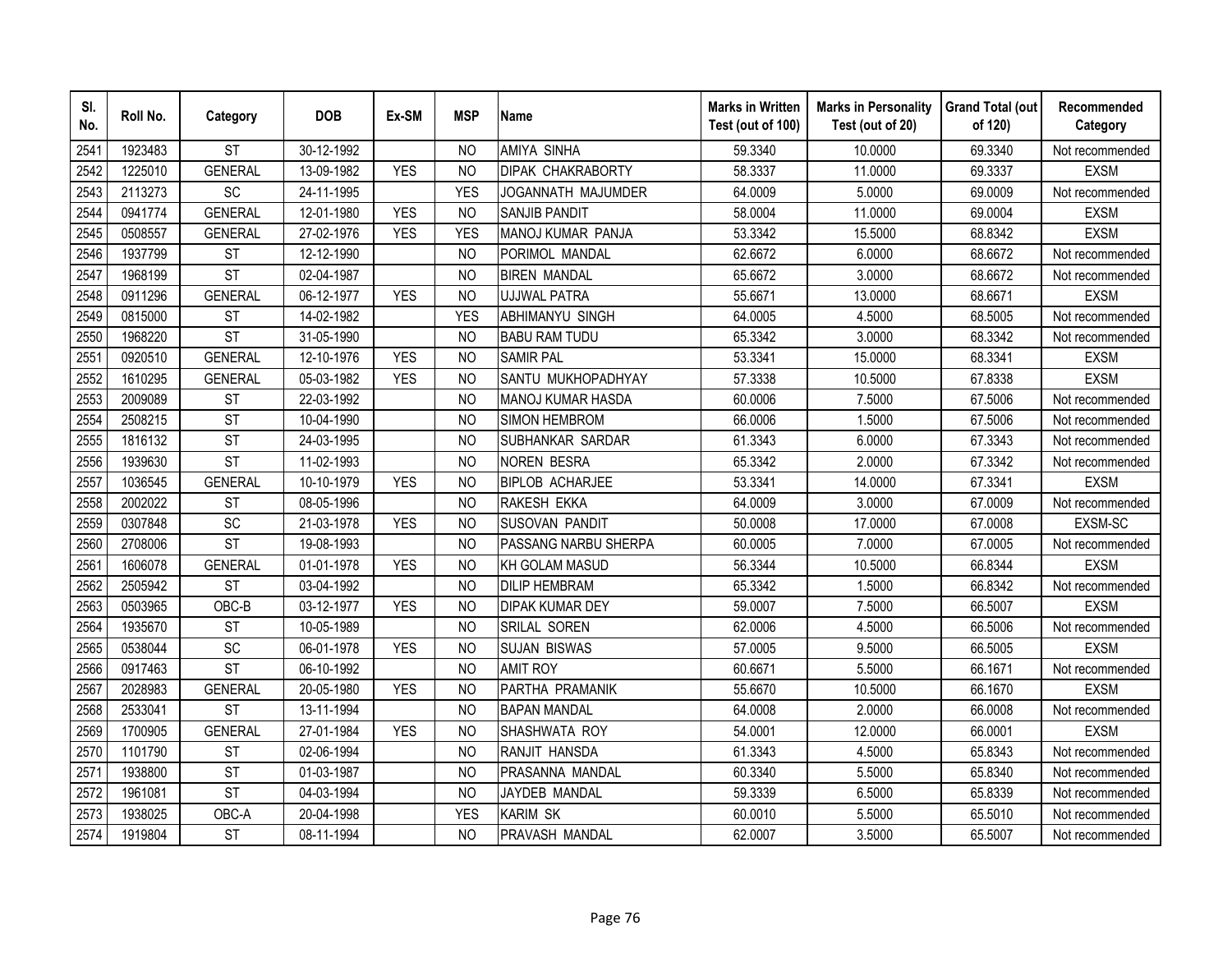| SI.<br>No. | Roll No. | Category               | <b>DOB</b> | Ex-SM      | <b>MSP</b>     | <b>Name</b>              | <b>Marks in Written</b><br>Test (out of 100) | <b>Marks in Personality</b><br>Test (out of 20) | <b>Grand Total (out</b><br>of 120) | Recommended<br>Category |
|------------|----------|------------------------|------------|------------|----------------|--------------------------|----------------------------------------------|-------------------------------------------------|------------------------------------|-------------------------|
| 2541       | 1923483  | <b>ST</b>              | 30-12-1992 |            | <b>NO</b>      | <b>AMIYA SINHA</b>       | 59.3340                                      | 10.0000                                         | 69.3340                            | Not recommended         |
| 2542       | 1225010  | <b>GENERAL</b>         | 13-09-1982 | <b>YES</b> | <b>NO</b>      | <b>DIPAK CHAKRABORTY</b> | 58.3337                                      | 11.0000                                         | 69.3337                            | <b>EXSM</b>             |
| 2543       | 2113273  | SC                     | 24-11-1995 |            | <b>YES</b>     | JOGANNATH MAJUMDER       | 64.0009                                      | 5.0000                                          | 69.0009                            | Not recommended         |
| 2544       | 0941774  | <b>GENERAL</b>         | 12-01-1980 | <b>YES</b> | N <sub>O</sub> | <b>SANJIB PANDIT</b>     | 58.0004                                      | 11.0000                                         | 69.0004                            | <b>EXSM</b>             |
| 2545       | 0508557  | <b>GENERAL</b>         | 27-02-1976 | <b>YES</b> | <b>YES</b>     | MANOJ KUMAR PANJA        | 53.3342                                      | 15.5000                                         | 68.8342                            | <b>EXSM</b>             |
| 2546       | 1937799  | <b>ST</b>              | 12-12-1990 |            | N <sub>O</sub> | PORIMOL MANDAL           | 62.6672                                      | 6.0000                                          | 68.6672                            | Not recommended         |
| 2547       | 1968199  | <b>ST</b>              | 02-04-1987 |            | <b>NO</b>      | <b>BIREN MANDAL</b>      | 65.6672                                      | 3.0000                                          | 68.6672                            | Not recommended         |
| 2548       | 0911296  | <b>GENERAL</b>         | 06-12-1977 | <b>YES</b> | <b>NO</b>      | <b>UJJWAL PATRA</b>      | 55.6671                                      | 13.0000                                         | 68.6671                            | <b>EXSM</b>             |
| 2549       | 0815000  | <b>ST</b>              | 14-02-1982 |            | <b>YES</b>     | <b>ABHIMANYU SINGH</b>   | 64.0005                                      | 4.5000                                          | 68.5005                            | Not recommended         |
| 2550       | 1968220  | <b>ST</b>              | 31-05-1990 |            | N <sub>O</sub> | <b>BABU RAM TUDU</b>     | 65.3342                                      | 3.0000                                          | 68.3342                            | Not recommended         |
| 2551       | 0920510  | <b>GENERAL</b>         | 12-10-1976 | <b>YES</b> | <b>NO</b>      | <b>SAMIR PAL</b>         | 53.3341                                      | 15.0000                                         | 68.3341                            | <b>EXSM</b>             |
| 2552       | 1610295  | <b>GENERAL</b>         | 05-03-1982 | <b>YES</b> | <b>NO</b>      | SANTU MUKHOPADHYAY       | 57.3338                                      | 10.5000                                         | 67.8338                            | <b>EXSM</b>             |
| 2553       | 2009089  | <b>ST</b>              | 22-03-1992 |            | <b>NO</b>      | MANOJ KUMAR HASDA        | 60.0006                                      | 7.5000                                          | 67.5006                            | Not recommended         |
| 2554       | 2508215  | <b>ST</b>              | 10-04-1990 |            | <b>NO</b>      | <b>SIMON HEMBROM</b>     | 66.0006                                      | 1.5000                                          | 67.5006                            | Not recommended         |
| 2555       | 1816132  | <b>ST</b>              | 24-03-1995 |            | <b>NO</b>      | SUBHANKAR SARDAR         | 61.3343                                      | 6.0000                                          | 67.3343                            | Not recommended         |
| 2556       | 1939630  | $\overline{\text{ST}}$ | 11-02-1993 |            | <b>NO</b>      | <b>NOREN BESRA</b>       | 65.3342                                      | 2.0000                                          | 67.3342                            | Not recommended         |
| 2557       | 1036545  | <b>GENERAL</b>         | 10-10-1979 | <b>YES</b> | N <sub>O</sub> | <b>BIPLOB ACHARJEE</b>   | 53.3341                                      | 14.0000                                         | 67.3341                            | <b>EXSM</b>             |
| 2558       | 2002022  | <b>ST</b>              | 08-05-1996 |            | N <sub>O</sub> | RAKESH EKKA              | 64.0009                                      | 3.0000                                          | 67.0009                            | Not recommended         |
| 2559       | 0307848  | $\overline{SC}$        | 21-03-1978 | <b>YES</b> | <b>NO</b>      | <b>SUSOVAN PANDIT</b>    | 50.0008                                      | 17.0000                                         | 67.0008                            | EXSM-SC                 |
| 2560       | 2708006  | <b>ST</b>              | 19-08-1993 |            | N <sub>O</sub> | PASSANG NARBU SHERPA     | 60.0005                                      | 7.0000                                          | 67.0005                            | Not recommended         |
| 2561       | 1606078  | <b>GENERAL</b>         | 01-01-1978 | <b>YES</b> | <b>NO</b>      | <b>KH GOLAM MASUD</b>    | 56.3344                                      | 10.5000                                         | 66.8344                            | <b>EXSM</b>             |
| 2562       | 2505942  | <b>ST</b>              | 03-04-1992 |            | N <sub>O</sub> | <b>DILIP HEMBRAM</b>     | 65.3342                                      | 1.5000                                          | 66.8342                            | Not recommended         |
| 2563       | 0503965  | $OBC-B$                | 03-12-1977 | <b>YES</b> | N <sub>O</sub> | <b>DIPAK KUMAR DEY</b>   | 59.0007                                      | 7.5000                                          | 66.5007                            | <b>EXSM</b>             |
| 2564       | 1935670  | <b>ST</b>              | 10-05-1989 |            | N <sub>O</sub> | SRILAL SOREN             | 62.0006                                      | 4.5000                                          | 66.5006                            | Not recommended         |
| 2565       | 0538044  | SC                     | 06-01-1978 | <b>YES</b> | <b>NO</b>      | <b>SUJAN BISWAS</b>      | 57.0005                                      | 9.5000                                          | 66.5005                            | <b>EXSM</b>             |
| 2566       | 0917463  | $\overline{\text{ST}}$ | 06-10-1992 |            | N <sub>O</sub> | <b>AMIT ROY</b>          | 60.6671                                      | 5.5000                                          | 66.1671                            | Not recommended         |
| 2567       | 2028983  | <b>GENERAL</b>         | 20-05-1980 | <b>YES</b> | N <sub>O</sub> | PARTHA PRAMANIK          | 55.6670                                      | 10.5000                                         | 66.1670                            | <b>EXSM</b>             |
| 2568       | 2533041  | <b>ST</b>              | 13-11-1994 |            | N <sub>O</sub> | <b>BAPAN MANDAL</b>      | 64.0008                                      | 2.0000                                          | 66.0008                            | Not recommended         |
| 2569       | 1700905  | <b>GENERAL</b>         | 27-01-1984 | <b>YES</b> | <b>NO</b>      | SHASHWATA ROY            | 54.0001                                      | 12.0000                                         | 66.0001                            | <b>EXSM</b>             |
| 2570       | 1101790  | <b>ST</b>              | 02-06-1994 |            | N <sub>O</sub> | RANJIT HANSDA            | 61.3343                                      | 4.5000                                          | 65.8343                            | Not recommended         |
| 2571       | 1938800  | <b>ST</b>              | 01-03-1987 |            | <b>NO</b>      | PRASANNA MANDAL          | 60.3340                                      | 5.5000                                          | 65.8340                            | Not recommended         |
| 2572       | 1961081  | <b>ST</b>              | 04-03-1994 |            | N <sub>O</sub> | JAYDEB MANDAL            | 59.3339                                      | 6.5000                                          | 65.8339                            | Not recommended         |
| 2573       | 1938025  | OBC-A                  | 20-04-1998 |            | <b>YES</b>     | <b>KARIM SK</b>          | 60.0010                                      | 5.5000                                          | 65.5010                            | Not recommended         |
| 2574       | 1919804  | <b>ST</b>              | 08-11-1994 |            | <b>NO</b>      | PRAVASH MANDAL           | 62.0007                                      | 3.5000                                          | 65.5007                            | Not recommended         |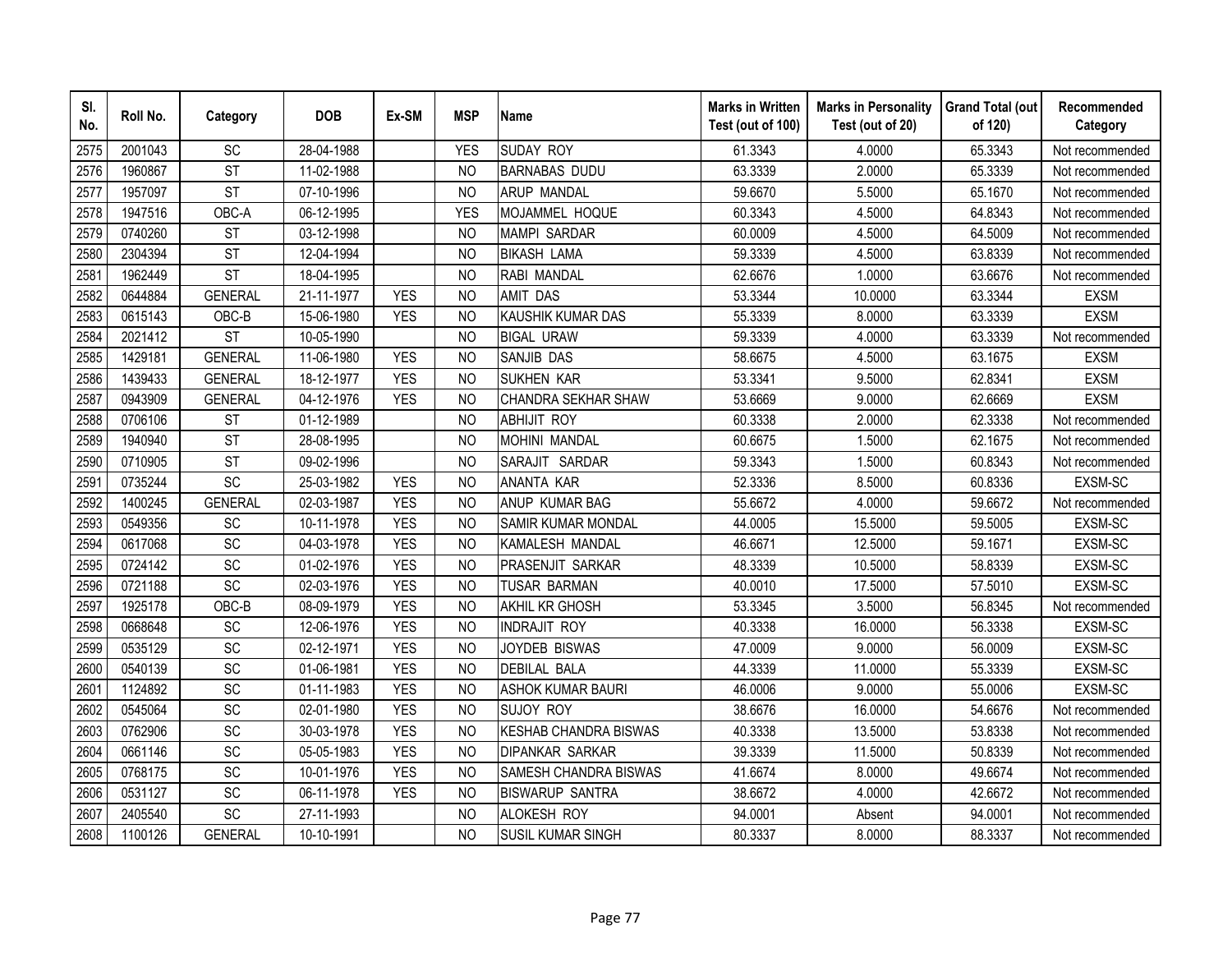| SI.<br>No. | Roll No. | Category               | <b>DOB</b> | Ex-SM      | <b>MSP</b>     | <b>Name</b>                  | <b>Marks in Written</b><br>Test (out of 100) | <b>Marks in Personality</b><br>Test (out of 20) | <b>Grand Total (out</b><br>of 120) | Recommended<br>Category |
|------------|----------|------------------------|------------|------------|----------------|------------------------------|----------------------------------------------|-------------------------------------------------|------------------------------------|-------------------------|
| 2575       | 2001043  | SC                     | 28-04-1988 |            | <b>YES</b>     | <b>SUDAY ROY</b>             | 61.3343                                      | 4.0000                                          | 65.3343                            | Not recommended         |
| 2576       | 1960867  | $\overline{\text{ST}}$ | 11-02-1988 |            | <b>NO</b>      | <b>BARNABAS DUDU</b>         | 63.3339                                      | 2.0000                                          | 65.3339                            | Not recommended         |
| 2577       | 1957097  | <b>ST</b>              | 07-10-1996 |            | <b>NO</b>      | <b>ARUP MANDAL</b>           | 59.6670                                      | 5.5000                                          | 65.1670                            | Not recommended         |
| 2578       | 1947516  | OBC-A                  | 06-12-1995 |            | <b>YES</b>     | MOJAMMEL HOQUE               | 60.3343                                      | 4.5000                                          | 64.8343                            | Not recommended         |
| 2579       | 0740260  | <b>ST</b>              | 03-12-1998 |            | <b>NO</b>      | <b>MAMPI SARDAR</b>          | 60.0009                                      | 4.5000                                          | 64.5009                            | Not recommended         |
| 2580       | 2304394  | <b>ST</b>              | 12-04-1994 |            | N <sub>O</sub> | <b>BIKASH LAMA</b>           | 59.3339                                      | 4.5000                                          | 63.8339                            | Not recommended         |
| 2581       | 1962449  | <b>ST</b>              | 18-04-1995 |            | N <sub>O</sub> | RABI MANDAL                  | 62.6676                                      | 1.0000                                          | 63.6676                            | Not recommended         |
| 2582       | 0644884  | <b>GENERAL</b>         | 21-11-1977 | <b>YES</b> | <b>NO</b>      | <b>AMIT DAS</b>              | 53.3344                                      | 10.0000                                         | 63.3344                            | <b>EXSM</b>             |
| 2583       | 0615143  | OBC-B                  | 15-06-1980 | <b>YES</b> | <b>NO</b>      | <b>KAUSHIK KUMAR DAS</b>     | 55.3339                                      | 8.0000                                          | 63.3339                            | <b>EXSM</b>             |
| 2584       | 2021412  | <b>ST</b>              | 10-05-1990 |            | N <sub>O</sub> | <b>BIGAL URAW</b>            | 59.3339                                      | 4.0000                                          | 63.3339                            | Not recommended         |
| 2585       | 1429181  | <b>GENERAL</b>         | 11-06-1980 | <b>YES</b> | <b>NO</b>      | <b>SANJIB DAS</b>            | 58.6675                                      | 4.5000                                          | 63.1675                            | <b>EXSM</b>             |
| 2586       | 1439433  | <b>GENERAL</b>         | 18-12-1977 | <b>YES</b> | <b>NO</b>      | <b>SUKHEN KAR</b>            | 53.3341                                      | 9.5000                                          | 62.8341                            | <b>EXSM</b>             |
| 2587       | 0943909  | <b>GENERAL</b>         | 04-12-1976 | <b>YES</b> | <b>NO</b>      | CHANDRA SEKHAR SHAW          | 53.6669                                      | 9.0000                                          | 62.6669                            | <b>EXSM</b>             |
| 2588       | 0706106  | <b>ST</b>              | 01-12-1989 |            | <b>NO</b>      | <b>ABHIJIT ROY</b>           | 60.3338                                      | 2.0000                                          | 62.3338                            | Not recommended         |
| 2589       | 1940940  | <b>ST</b>              | 28-08-1995 |            | <b>NO</b>      | MOHINI MANDAL                | 60.6675                                      | 1.5000                                          | 62.1675                            | Not recommended         |
| 2590       | 0710905  | <b>ST</b>              | 09-02-1996 |            | <b>NO</b>      | SARAJIT SARDAR               | 59.3343                                      | 1.5000                                          | 60.8343                            | Not recommended         |
| 2591       | 0735244  | SC                     | 25-03-1982 | <b>YES</b> | <b>NO</b>      | <b>ANANTA KAR</b>            | 52.3336                                      | 8.5000                                          | 60.8336                            | EXSM-SC                 |
| 2592       | 1400245  | <b>GENERAL</b>         | 02-03-1987 | <b>YES</b> | N <sub>O</sub> | ANUP KUMAR BAG               | 55.6672                                      | 4.0000                                          | 59.6672                            | Not recommended         |
| 2593       | 0549356  | SC                     | 10-11-1978 | <b>YES</b> | <b>NO</b>      | <b>SAMIR KUMAR MONDAL</b>    | 44.0005                                      | 15.5000                                         | 59.5005                            | EXSM-SC                 |
| 2594       | 0617068  | SC                     | 04-03-1978 | <b>YES</b> | N <sub>O</sub> | KAMALESH MANDAL              | 46.6671                                      | 12.5000                                         | 59.1671                            | EXSM-SC                 |
| 2595       | 0724142  | $\overline{SC}$        | 01-02-1976 | <b>YES</b> | <b>NO</b>      | <b>PRASENJIT SARKAR</b>      | 48.3339                                      | 10.5000                                         | 58.8339                            | EXSM-SC                 |
| 2596       | 0721188  | $\overline{SC}$        | 02-03-1976 | <b>YES</b> | N <sub>O</sub> | <b>TUSAR BARMAN</b>          | 40.0010                                      | 17.5000                                         | 57.5010                            | EXSM-SC                 |
| 2597       | 1925178  | $OBC-B$                | 08-09-1979 | <b>YES</b> | <b>NO</b>      | AKHIL KR GHOSH               | 53.3345                                      | 3.5000                                          | 56.8345                            | Not recommended         |
| 2598       | 0668648  | SC                     | 12-06-1976 | <b>YES</b> | <b>NO</b>      | <b>INDRAJIT ROY</b>          | 40.3338                                      | 16.0000                                         | 56.3338                            | EXSM-SC                 |
| 2599       | 0535129  | SC                     | 02-12-1971 | <b>YES</b> | <b>NO</b>      | JOYDEB BISWAS                | 47.0009                                      | 9.0000                                          | 56.0009                            | EXSM-SC                 |
| 2600       | 0540139  | SC                     | 01-06-1981 | <b>YES</b> | N <sub>O</sub> | <b>DEBILAL BALA</b>          | 44.3339                                      | 11.0000                                         | 55.3339                            | EXSM-SC                 |
| 2601       | 1124892  | SC                     | 01-11-1983 | <b>YES</b> | N <sub>O</sub> | <b>ASHOK KUMAR BAURI</b>     | 46.0006                                      | 9.0000                                          | 55.0006                            | EXSM-SC                 |
| 2602       | 0545064  | SC                     | 02-01-1980 | <b>YES</b> | N <sub>O</sub> | <b>SUJOY ROY</b>             | 38.6676                                      | 16.0000                                         | 54.6676                            | Not recommended         |
| 2603       | 0762906  | SC                     | 30-03-1978 | <b>YES</b> | <b>NO</b>      | <b>KESHAB CHANDRA BISWAS</b> | 40.3338                                      | 13.5000                                         | 53.8338                            | Not recommended         |
| 2604       | 0661146  | SC                     | 05-05-1983 | <b>YES</b> | N <sub>O</sub> | <b>DIPANKAR SARKAR</b>       | 39.3339                                      | 11.5000                                         | 50.8339                            | Not recommended         |
| 2605       | 0768175  | SC                     | 10-01-1976 | <b>YES</b> | <b>NO</b>      | SAMESH CHANDRA BISWAS        | 41.6674                                      | 8.0000                                          | 49.6674                            | Not recommended         |
| 2606       | 0531127  | SC                     | 06-11-1978 | <b>YES</b> | N <sub>O</sub> | <b>BISWARUP SANTRA</b>       | 38.6672                                      | 4.0000                                          | 42.6672                            | Not recommended         |
| 2607       | 2405540  | SC                     | 27-11-1993 |            | <b>NO</b>      | ALOKESH ROY                  | 94.0001                                      | Absent                                          | 94.0001                            | Not recommended         |
| 2608       | 1100126  | <b>GENERAL</b>         | 10-10-1991 |            | <b>NO</b>      | <b>SUSIL KUMAR SINGH</b>     | 80.3337                                      | 8.0000                                          | 88.3337                            | Not recommended         |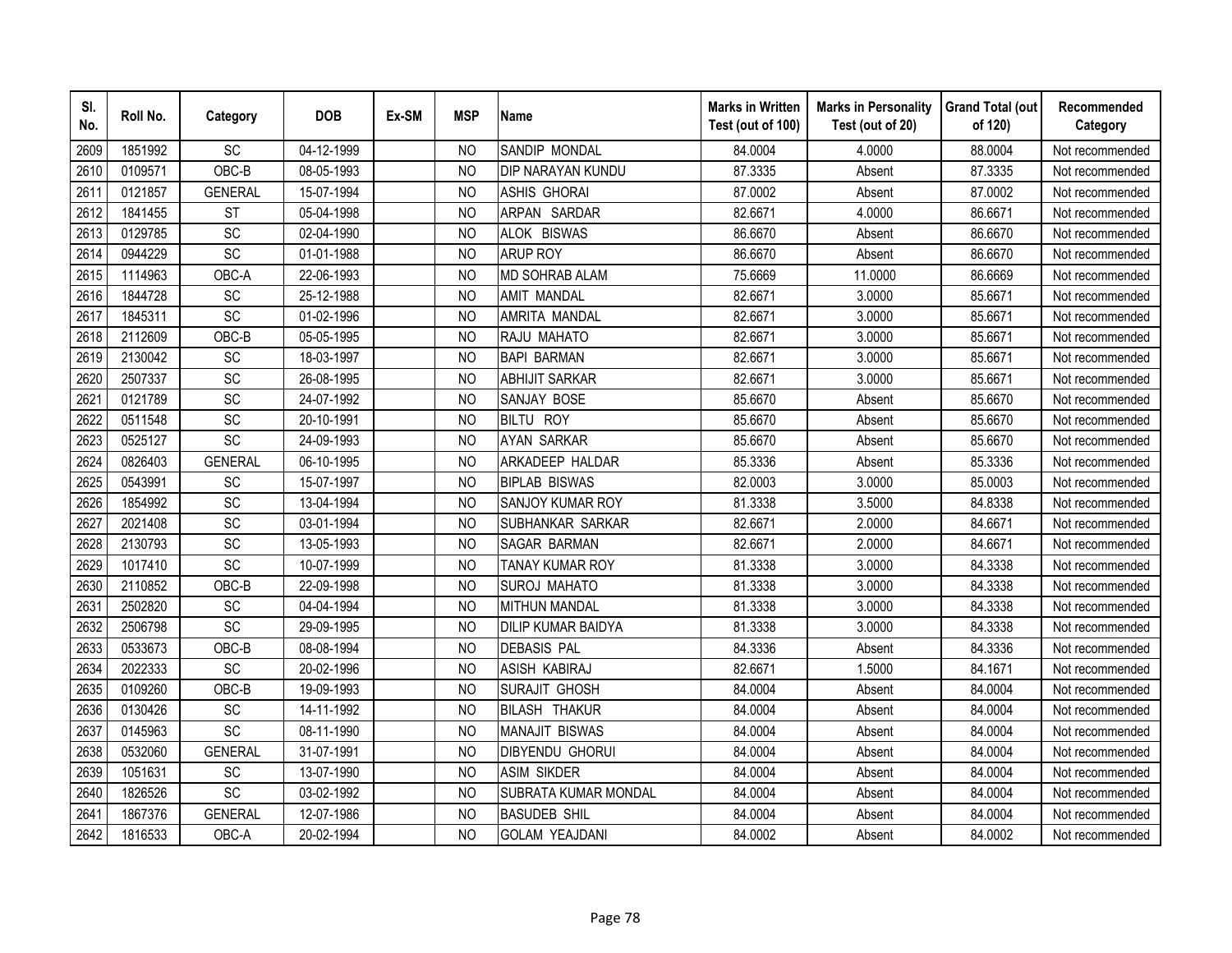| SI.<br>No. | Roll No. | Category        | <b>DOB</b> | Ex-SM | <b>MSP</b>     | <b>Name</b>               | <b>Marks in Written</b><br>Test (out of 100) | <b>Marks in Personality</b><br>Test (out of 20) | <b>Grand Total (out</b><br>of 120) | Recommended<br>Category |
|------------|----------|-----------------|------------|-------|----------------|---------------------------|----------------------------------------------|-------------------------------------------------|------------------------------------|-------------------------|
| 2609       | 1851992  | SC              | 04-12-1999 |       | <b>NO</b>      | SANDIP MONDAL             | 84.0004                                      | 4.0000                                          | 88.0004                            | Not recommended         |
| 2610       | 0109571  | OBC-B           | 08-05-1993 |       | N <sub>O</sub> | DIP NARAYAN KUNDU         | 87.3335                                      | Absent                                          | 87.3335                            | Not recommended         |
| 2611       | 0121857  | <b>GENERAL</b>  | 15-07-1994 |       | N <sub>O</sub> | <b>ASHIS GHORAI</b>       | 87.0002                                      | Absent                                          | 87.0002                            | Not recommended         |
| 2612       | 1841455  | <b>ST</b>       | 05-04-1998 |       | <b>NO</b>      | ARPAN SARDAR              | 82.6671                                      | 4.0000                                          | 86.6671                            | Not recommended         |
| 2613       | 0129785  | SC              | 02-04-1990 |       | <b>NO</b>      | ALOK BISWAS               | 86.6670                                      | Absent                                          | 86.6670                            | Not recommended         |
| 2614       | 0944229  | SC              | 01-01-1988 |       | NO             | <b>ARUP ROY</b>           | 86.6670                                      | Absent                                          | 86.6670                            | Not recommended         |
| 2615       | 1114963  | OBC-A           | 22-06-1993 |       | N <sub>O</sub> | MD SOHRAB ALAM            | 75.6669                                      | 11.0000                                         | 86.6669                            | Not recommended         |
| 2616       | 1844728  | SC              | 25-12-1988 |       | <b>NO</b>      | <b>AMIT MANDAL</b>        | 82.6671                                      | 3.0000                                          | 85.6671                            | Not recommended         |
| 2617       | 1845311  | SC              | 01-02-1996 |       | <b>NO</b>      | AMRITA MANDAL             | 82.6671                                      | 3.0000                                          | 85.6671                            | Not recommended         |
| 2618       | 2112609  | OBC-B           | 05-05-1995 |       | <b>NO</b>      | RAJU MAHATO               | 82.6671                                      | 3.0000                                          | 85.6671                            | Not recommended         |
| 2619       | 2130042  | SC              | 18-03-1997 |       | <b>NO</b>      | <b>BAPI BARMAN</b>        | 82.6671                                      | 3.0000                                          | 85.6671                            | Not recommended         |
| 2620       | 2507337  | SC              | 26-08-1995 |       | <b>NO</b>      | <b>ABHIJIT SARKAR</b>     | 82.6671                                      | 3.0000                                          | 85.6671                            | Not recommended         |
| 2621       | 0121789  | SC              | 24-07-1992 |       | <b>NO</b>      | <b>SANJAY BOSE</b>        | 85.6670                                      | Absent                                          | 85.6670                            | Not recommended         |
| 2622       | 0511548  | SC              | 20-10-1991 |       | <b>NO</b>      | <b>BILTU ROY</b>          | 85.6670                                      | Absent                                          | 85.6670                            | Not recommended         |
| 2623       | 0525127  | SC              | 24-09-1993 |       | <b>NO</b>      | <b>AYAN SARKAR</b>        | 85.6670                                      | Absent                                          | 85.6670                            | Not recommended         |
| 2624       | 0826403  | <b>GENERAL</b>  | 06-10-1995 |       | <b>NO</b>      | ARKADEEP HALDAR           | 85.3336                                      | Absent                                          | 85.3336                            | Not recommended         |
| 2625       | 0543991  | <b>SC</b>       | 15-07-1997 |       | <b>NO</b>      | <b>BIPLAB BISWAS</b>      | 82.0003                                      | 3.0000                                          | 85.0003                            | Not recommended         |
| 2626       | 1854992  | SC              | 13-04-1994 |       | <b>NO</b>      | <b>SANJOY KUMAR ROY</b>   | 81.3338                                      | 3.5000                                          | 84.8338                            | Not recommended         |
| 2627       | 2021408  | SC              | 03-01-1994 |       | N <sub>O</sub> | SUBHANKAR SARKAR          | 82.6671                                      | 2.0000                                          | 84.6671                            | Not recommended         |
| 2628       | 2130793  | SC              | 13-05-1993 |       | <b>NO</b>      | <b>SAGAR BARMAN</b>       | 82.6671                                      | 2.0000                                          | 84.6671                            | Not recommended         |
| 2629       | 1017410  | $\overline{SC}$ | 10-07-1999 |       | <b>NO</b>      | <b>TANAY KUMAR ROY</b>    | 81.3338                                      | 3.0000                                          | 84.3338                            | Not recommended         |
| 2630       | 2110852  | OBC-B           | 22-09-1998 |       | N <sub>O</sub> | <b>SUROJ MAHATO</b>       | 81.3338                                      | 3.0000                                          | 84.3338                            | Not recommended         |
| 2631       | 2502820  | SC              | 04-04-1994 |       | <b>NO</b>      | <b>MITHUN MANDAL</b>      | 81.3338                                      | 3.0000                                          | 84.3338                            | Not recommended         |
| 2632       | 2506798  | SC              | 29-09-1995 |       | <b>NO</b>      | <b>DILIP KUMAR BAIDYA</b> | 81.3338                                      | 3.0000                                          | 84.3338                            | Not recommended         |
| 2633       | 0533673  | OBC-B           | 08-08-1994 |       | NO             | <b>DEBASIS PAL</b>        | 84.3336                                      | Absent                                          | 84.3336                            | Not recommended         |
| 2634       | 2022333  | SC              | 20-02-1996 |       | N <sub>O</sub> | ASISH KABIRAJ             | 82.6671                                      | 1.5000                                          | 84.1671                            | Not recommended         |
| 2635       | 0109260  | OBC-B           | 19-09-1993 |       | <b>NO</b>      | <b>SURAJIT GHOSH</b>      | 84.0004                                      | Absent                                          | 84.0004                            | Not recommended         |
| 2636       | 0130426  | SC              | 14-11-1992 |       | <b>NO</b>      | <b>BILASH THAKUR</b>      | 84.0004                                      | Absent                                          | 84.0004                            | Not recommended         |
| 2637       | 0145963  | SC              | 08-11-1990 |       | <b>NO</b>      | <b>MANAJIT BISWAS</b>     | 84.0004                                      | Absent                                          | 84.0004                            | Not recommended         |
| 2638       | 0532060  | <b>GENERAL</b>  | 31-07-1991 |       | <b>NO</b>      | <b>DIBYENDU GHORUI</b>    | 84.0004                                      | Absent                                          | 84.0004                            | Not recommended         |
| 2639       | 1051631  | SC              | 13-07-1990 |       | <b>NO</b>      | <b>ASIM SIKDER</b>        | 84.0004                                      | Absent                                          | 84.0004                            | Not recommended         |
| 2640       | 1826526  | SC              | 03-02-1992 |       | <b>NO</b>      | SUBRATA KUMAR MONDAL      | 84.0004                                      | Absent                                          | 84.0004                            | Not recommended         |
| 2641       | 1867376  | <b>GENERAL</b>  | 12-07-1986 |       | <b>NO</b>      | <b>BASUDEB SHIL</b>       | 84.0004                                      | Absent                                          | 84.0004                            | Not recommended         |
| 2642       | 1816533  | OBC-A           | 20-02-1994 |       | <b>NO</b>      | <b>GOLAM YEAJDANI</b>     | 84.0002                                      | Absent                                          | 84.0002                            | Not recommended         |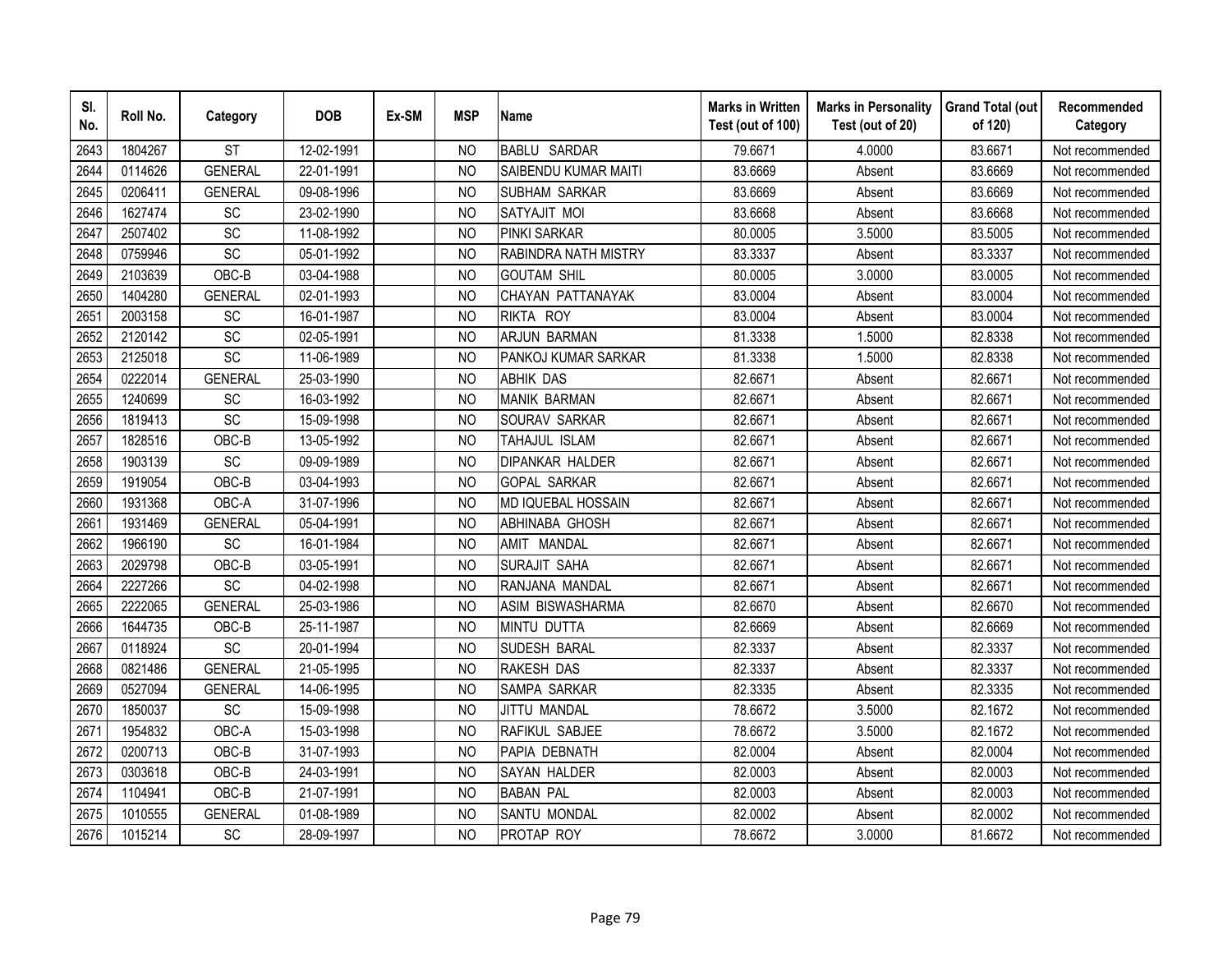| SI.<br>No. | Roll No. | Category       | <b>DOB</b> | Ex-SM | <b>MSP</b>     | <b>Name</b>               | <b>Marks in Written</b><br>Test (out of 100) | <b>Marks in Personality</b><br>Test (out of 20) | <b>Grand Total (out</b><br>of 120) | Recommended<br>Category |
|------------|----------|----------------|------------|-------|----------------|---------------------------|----------------------------------------------|-------------------------------------------------|------------------------------------|-------------------------|
| 2643       | 1804267  | <b>ST</b>      | 12-02-1991 |       | N <sub>O</sub> | <b>BABLU SARDAR</b>       | 79.6671                                      | 4.0000                                          | 83.6671                            | Not recommended         |
| 2644       | 0114626  | <b>GENERAL</b> | 22-01-1991 |       | <b>NO</b>      | SAIBENDU KUMAR MAITI      | 83.6669                                      | Absent                                          | 83.6669                            | Not recommended         |
| 2645       | 0206411  | <b>GENERAL</b> | 09-08-1996 |       | N <sub>O</sub> | <b>SUBHAM SARKAR</b>      | 83.6669                                      | Absent                                          | 83.6669                            | Not recommended         |
| 2646       | 1627474  | SC             | 23-02-1990 |       | <b>NO</b>      | SATYAJIT MOI              | 83.6668                                      | Absent                                          | 83.6668                            | Not recommended         |
| 2647       | 2507402  | SC             | 11-08-1992 |       | <b>NO</b>      | <b>PINKI SARKAR</b>       | 80.0005                                      | 3.5000                                          | 83.5005                            | Not recommended         |
| 2648       | 0759946  | SC             | 05-01-1992 |       | N <sub>O</sub> | RABINDRA NATH MISTRY      | 83.3337                                      | Absent                                          | 83.3337                            | Not recommended         |
| 2649       | 2103639  | OBC-B          | 03-04-1988 |       | <b>NO</b>      | <b>GOUTAM SHIL</b>        | 80.0005                                      | 3.0000                                          | 83.0005                            | Not recommended         |
| 2650       | 1404280  | <b>GENERAL</b> | 02-01-1993 |       | <b>NO</b>      | CHAYAN PATTANAYAK         | 83.0004                                      | Absent                                          | 83.0004                            | Not recommended         |
| 2651       | 2003158  | SC             | 16-01-1987 |       | <b>NO</b>      | RIKTA ROY                 | 83.0004                                      | Absent                                          | 83.0004                            | Not recommended         |
| 2652       | 2120142  | SC             | 02-05-1991 |       | N <sub>O</sub> | <b>ARJUN BARMAN</b>       | 81.3338                                      | 1.5000                                          | 82.8338                            | Not recommended         |
| 2653       | 2125018  | SC             | 11-06-1989 |       | <b>NO</b>      | PANKOJ KUMAR SARKAR       | 81.3338                                      | 1.5000                                          | 82.8338                            | Not recommended         |
| 2654       | 0222014  | <b>GENERAL</b> | 25-03-1990 |       | <b>NO</b>      | <b>ABHIK DAS</b>          | 82.6671                                      | Absent                                          | 82.6671                            | Not recommended         |
| 2655       | 1240699  | SC             | 16-03-1992 |       | <b>NO</b>      | <b>MANIK BARMAN</b>       | 82.6671                                      | Absent                                          | 82.6671                            | Not recommended         |
| 2656       | 1819413  | SC             | 15-09-1998 |       | <b>NO</b>      | SOURAV SARKAR             | 82.6671                                      | Absent                                          | 82.6671                            | Not recommended         |
| 2657       | 1828516  | OBC-B          | 13-05-1992 |       | <b>NO</b>      | TAHAJUL ISLAM             | 82.6671                                      | Absent                                          | 82.6671                            | Not recommended         |
| 2658       | 1903139  | SC             | 09-09-1989 |       | N <sub>O</sub> | <b>DIPANKAR HALDER</b>    | 82.6671                                      | Absent                                          | 82.6671                            | Not recommended         |
| 2659       | 1919054  | OBC-B          | 03-04-1993 |       | N <sub>O</sub> | <b>GOPAL SARKAR</b>       | 82.6671                                      | Absent                                          | 82.6671                            | Not recommended         |
| 2660       | 1931368  | OBC-A          | 31-07-1996 |       | <b>NO</b>      | <b>MD IQUEBAL HOSSAIN</b> | 82.6671                                      | Absent                                          | 82.6671                            | Not recommended         |
| 2661       | 1931469  | <b>GENERAL</b> | 05-04-1991 |       | <b>NO</b>      | ABHINABA GHOSH            | 82.6671                                      | Absent                                          | 82.6671                            | Not recommended         |
| 2662       | 1966190  | SC             | 16-01-1984 |       | <b>NO</b>      | AMIT MANDAL               | 82.6671                                      | Absent                                          | 82.6671                            | Not recommended         |
| 2663       | 2029798  | OBC-B          | 03-05-1991 |       | <b>NO</b>      | SURAJIT SAHA              | 82.6671                                      | Absent                                          | 82.6671                            | Not recommended         |
| 2664       | 2227266  | SC             | 04-02-1998 |       | <b>NO</b>      | RANJANA MANDAL            | 82.6671                                      | Absent                                          | 82.6671                            | Not recommended         |
| 2665       | 2222065  | <b>GENERAL</b> | 25-03-1986 |       | <b>NO</b>      | ASIM BISWASHARMA          | 82.6670                                      | Absent                                          | 82.6670                            | Not recommended         |
| 2666       | 1644735  | OBC-B          | 25-11-1987 |       | <b>NO</b>      | <b>MINTU DUTTA</b>        | 82.6669                                      | Absent                                          | 82.6669                            | Not recommended         |
| 2667       | 0118924  | SC             | 20-01-1994 |       | <b>NO</b>      | <b>SUDESH BARAL</b>       | 82.3337                                      | Absent                                          | 82.3337                            | Not recommended         |
| 2668       | 0821486  | <b>GENERAL</b> | 21-05-1995 |       | N <sub>O</sub> | RAKESH DAS                | 82.3337                                      | Absent                                          | 82.3337                            | Not recommended         |
| 2669       | 0527094  | <b>GENERAL</b> | 14-06-1995 |       | N <sub>O</sub> | SAMPA SARKAR              | 82.3335                                      | Absent                                          | 82.3335                            | Not recommended         |
| 2670       | 1850037  | <b>SC</b>      | 15-09-1998 |       | <b>NO</b>      | JITTU MANDAL              | 78.6672                                      | 3.5000                                          | 82.1672                            | Not recommended         |
| 2671       | 1954832  | OBC-A          | 15-03-1998 |       | <b>NO</b>      | RAFIKUL SABJEE            | 78.6672                                      | 3.5000                                          | 82.1672                            | Not recommended         |
| 2672       | 0200713  | OBC-B          | 31-07-1993 |       | N <sub>O</sub> | PAPIA DEBNATH             | 82.0004                                      | Absent                                          | 82.0004                            | Not recommended         |
| 2673       | 0303618  | OBC-B          | 24-03-1991 |       | <b>NO</b>      | <b>SAYAN HALDER</b>       | 82.0003                                      | Absent                                          | 82.0003                            | Not recommended         |
| 2674       | 1104941  | OBC-B          | 21-07-1991 |       | <b>NO</b>      | <b>BABAN PAL</b>          | 82.0003                                      | Absent                                          | 82.0003                            | Not recommended         |
| 2675       | 1010555  | <b>GENERAL</b> | 01-08-1989 |       | <b>NO</b>      | SANTU MONDAL              | 82.0002                                      | Absent                                          | 82.0002                            | Not recommended         |
| 2676       | 1015214  | SC             | 28-09-1997 |       | <b>NO</b>      | PROTAP ROY                | 78.6672                                      | 3.0000                                          | 81.6672                            | Not recommended         |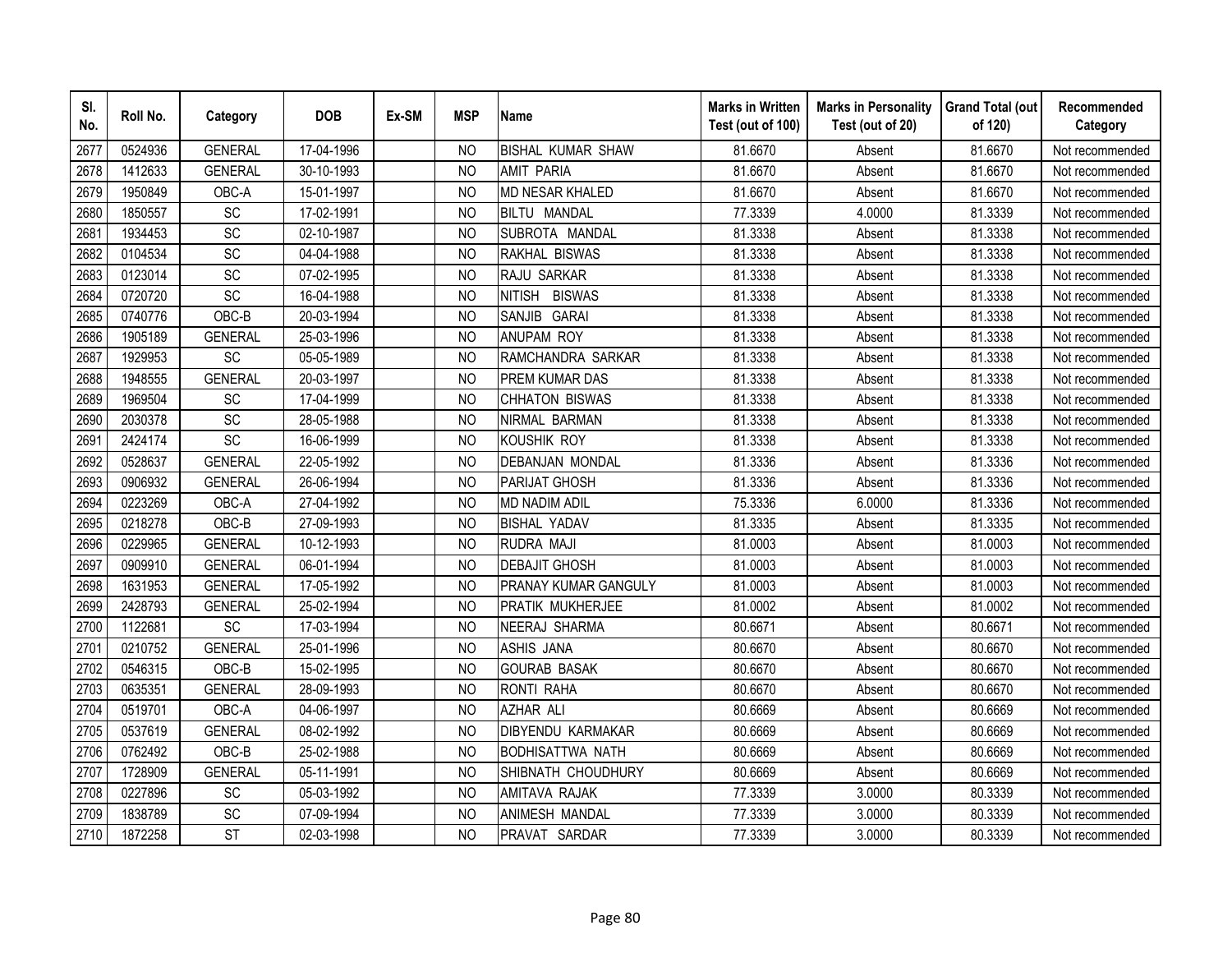| SI.<br>No. | Roll No. | Category       | <b>DOB</b> | Ex-SM | <b>MSP</b>     | <b>Name</b>                 | <b>Marks in Written</b><br>Test (out of 100) | <b>Marks in Personality</b><br>Test (out of 20) | <b>Grand Total (out</b><br>of 120) | Recommended<br>Category |
|------------|----------|----------------|------------|-------|----------------|-----------------------------|----------------------------------------------|-------------------------------------------------|------------------------------------|-------------------------|
| 2677       | 0524936  | <b>GENERAL</b> | 17-04-1996 |       | N <sub>O</sub> | <b>BISHAL KUMAR SHAW</b>    | 81.6670                                      | Absent                                          | 81.6670                            | Not recommended         |
| 2678       | 1412633  | <b>GENERAL</b> | 30-10-1993 |       | <b>NO</b>      | <b>AMIT PARIA</b>           | 81.6670                                      | Absent                                          | 81.6670                            | Not recommended         |
| 2679       | 1950849  | OBC-A          | 15-01-1997 |       | N <sub>O</sub> | MD NESAR KHALED             | 81.6670                                      | Absent                                          | 81.6670                            | Not recommended         |
| 2680       | 1850557  | SC             | 17-02-1991 |       | <b>NO</b>      | <b>BILTU MANDAL</b>         | 77.3339                                      | 4.0000                                          | 81.3339                            | Not recommended         |
| 2681       | 1934453  | <b>SC</b>      | 02-10-1987 |       | <b>NO</b>      | SUBROTA MANDAL              | 81.3338                                      | Absent                                          | 81.3338                            | Not recommended         |
| 2682       | 0104534  | SC             | 04-04-1988 |       | NO             | RAKHAL BISWAS               | 81.3338                                      | Absent                                          | 81.3338                            | Not recommended         |
| 2683       | 0123014  | SC             | 07-02-1995 |       | N <sub>O</sub> | RAJU SARKAR                 | 81.3338                                      | Absent                                          | 81.3338                            | Not recommended         |
| 2684       | 0720720  | SC             | 16-04-1988 |       | <b>NO</b>      | <b>BISWAS</b><br>nitish     | 81.3338                                      | Absent                                          | 81.3338                            | Not recommended         |
| 2685       | 0740776  | OBC-B          | 20-03-1994 |       | <b>NO</b>      | SANJIB GARAI                | 81.3338                                      | Absent                                          | 81.3338                            | Not recommended         |
| 2686       | 1905189  | <b>GENERAL</b> | 25-03-1996 |       | <b>NO</b>      | <b>ANUPAM ROY</b>           | 81.3338                                      | Absent                                          | 81.3338                            | Not recommended         |
| 2687       | 1929953  | SC             | 05-05-1989 |       | <b>NO</b>      | RAMCHANDRA SARKAR           | 81.3338                                      | Absent                                          | 81.3338                            | Not recommended         |
| 2688       | 1948555  | <b>GENERAL</b> | 20-03-1997 |       | <b>NO</b>      | PREM KUMAR DAS              | 81.3338                                      | Absent                                          | 81.3338                            | Not recommended         |
| 2689       | 1969504  | <b>SC</b>      | 17-04-1999 |       | <b>NO</b>      | <b>CHHATON BISWAS</b>       | 81.3338                                      | Absent                                          | 81.3338                            | Not recommended         |
| 2690       | 2030378  | <b>SC</b>      | 28-05-1988 |       | <b>NO</b>      | NIRMAL BARMAN               | 81.3338                                      | Absent                                          | 81.3338                            | Not recommended         |
| 2691       | 2424174  | SC             | 16-06-1999 |       | <b>NO</b>      | <b>KOUSHIK ROY</b>          | 81.3338                                      | Absent                                          | 81.3338                            | Not recommended         |
| 2692       | 0528637  | <b>GENERAL</b> | 22-05-1992 |       | <b>NO</b>      | <b>DEBANJAN MONDAL</b>      | 81.3336                                      | Absent                                          | 81.3336                            | Not recommended         |
| 2693       | 0906932  | <b>GENERAL</b> | 26-06-1994 |       | <b>NO</b>      | <b>PARIJAT GHOSH</b>        | 81.3336                                      | Absent                                          | 81.3336                            | Not recommended         |
| 2694       | 0223269  | OBC-A          | 27-04-1992 |       | <b>NO</b>      | <b>MD NADIM ADIL</b>        | 75.3336                                      | 6.0000                                          | 81.3336                            | Not recommended         |
| 2695       | 0218278  | OBC-B          | 27-09-1993 |       | <b>NO</b>      | <b>BISHAL YADAV</b>         | 81.3335                                      | Absent                                          | 81.3335                            | Not recommended         |
| 2696       | 0229965  | <b>GENERAL</b> | 10-12-1993 |       | <b>NO</b>      | RUDRA MAJI                  | 81.0003                                      | Absent                                          | 81.0003                            | Not recommended         |
| 2697       | 0909910  | <b>GENERAL</b> | 06-01-1994 |       | N <sub>O</sub> | <b>DEBAJIT GHOSH</b>        | 81.0003                                      | Absent                                          | 81.0003                            | Not recommended         |
| 2698       | 1631953  | <b>GENERAL</b> | 17-05-1992 |       | <b>NO</b>      | <b>PRANAY KUMAR GANGULY</b> | 81.0003                                      | Absent                                          | 81.0003                            | Not recommended         |
| 2699       | 2428793  | <b>GENERAL</b> | 25-02-1994 |       | <b>NO</b>      | PRATIK MUKHERJEE            | 81.0002                                      | Absent                                          | 81.0002                            | Not recommended         |
| 2700       | 1122681  | SC             | 17-03-1994 |       | N <sub>O</sub> | <b>NEERAJ SHARMA</b>        | 80.6671                                      | Absent                                          | 80.6671                            | Not recommended         |
| 2701       | 0210752  | <b>GENERAL</b> | 25-01-1996 |       | <b>NO</b>      | ASHIS JANA                  | 80.6670                                      | Absent                                          | 80.6670                            | Not recommended         |
| 2702       | 0546315  | OBC-B          | 15-02-1995 |       | <b>NO</b>      | <b>GOURAB BASAK</b>         | 80.6670                                      | Absent                                          | 80.6670                            | Not recommended         |
| 2703       | 0635351  | <b>GENERAL</b> | 28-09-1993 |       | NO             | RONTI RAHA                  | 80.6670                                      | Absent                                          | 80.6670                            | Not recommended         |
| 2704       | 0519701  | OBC-A          | 04-06-1997 |       | N <sub>O</sub> | <b>AZHAR ALI</b>            | 80.6669                                      | Absent                                          | 80.6669                            | Not recommended         |
| 2705       | 0537619  | <b>GENERAL</b> | 08-02-1992 |       | N <sub>O</sub> | <b>DIBYENDU KARMAKAR</b>    | 80.6669                                      | Absent                                          | 80.6669                            | Not recommended         |
| 2706       | 0762492  | OBC-B          | 25-02-1988 |       | <b>NO</b>      | <b>BODHISATTWA NATH</b>     | 80.6669                                      | Absent                                          | 80.6669                            | Not recommended         |
| 2707       | 1728909  | <b>GENERAL</b> | 05-11-1991 |       | <b>NO</b>      | SHIBNATH CHOUDHURY          | 80.6669                                      | Absent                                          | 80.6669                            | Not recommended         |
| 2708       | 0227896  | SC             | 05-03-1992 |       | N <sub>O</sub> | AMITAVA RAJAK               | 77.3339                                      | 3.0000                                          | 80.3339                            | Not recommended         |
| 2709       | 1838789  | SC             | 07-09-1994 |       | <b>NO</b>      | <b>ANIMESH MANDAL</b>       | 77.3339                                      | 3.0000                                          | 80.3339                            | Not recommended         |
| 2710       | 1872258  | <b>ST</b>      | 02-03-1998 |       | <b>NO</b>      | PRAVAT SARDAR               | 77.3339                                      | 3.0000                                          | 80.3339                            | Not recommended         |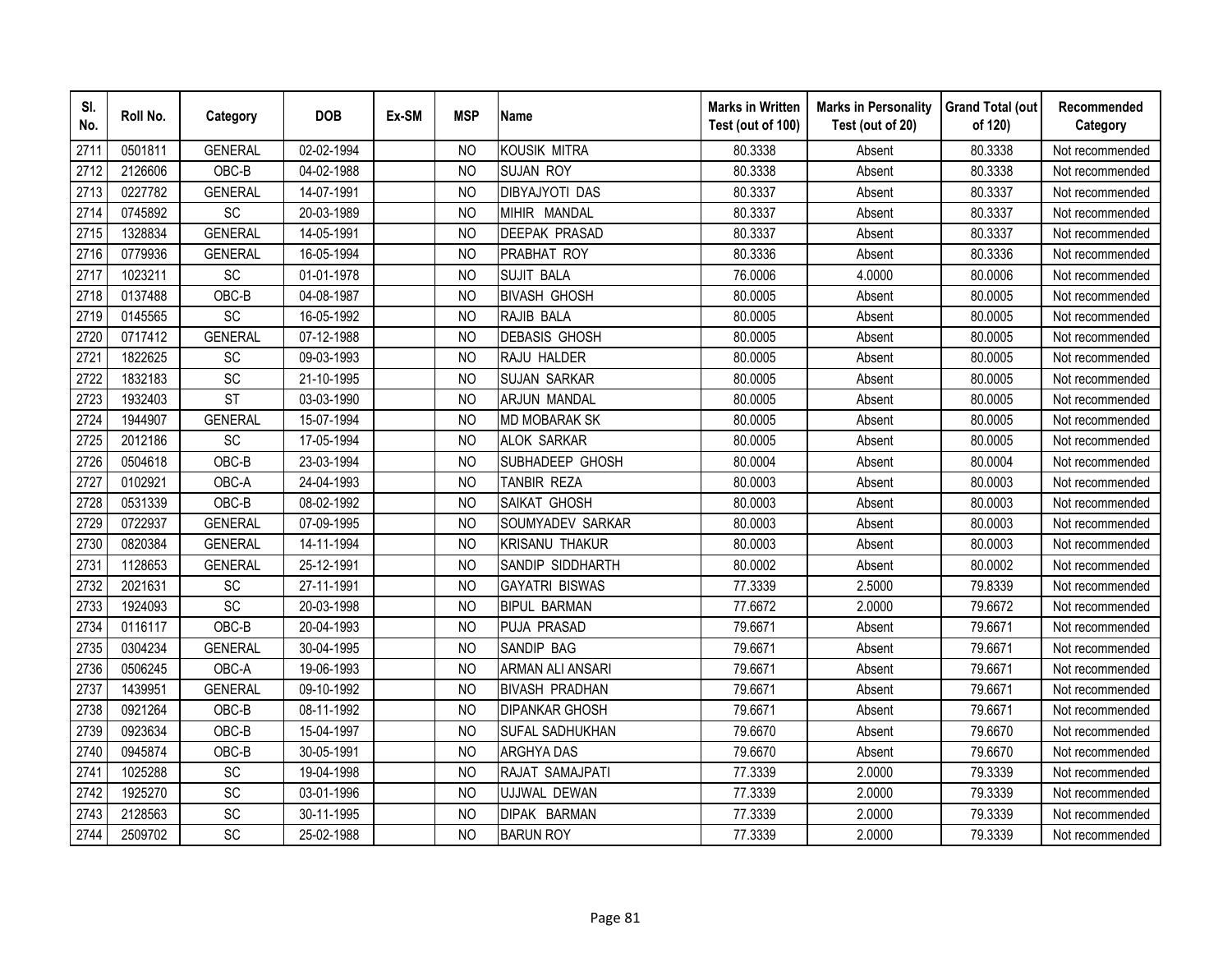| SI.<br>No. | Roll No. | Category       | <b>DOB</b> | Ex-SM | <b>MSP</b>     | <b>Name</b>             | <b>Marks in Written</b><br>Test (out of 100) | <b>Marks in Personality</b><br>Test (out of 20) | <b>Grand Total (out</b><br>of 120) | Recommended<br>Category |
|------------|----------|----------------|------------|-------|----------------|-------------------------|----------------------------------------------|-------------------------------------------------|------------------------------------|-------------------------|
| 2711       | 0501811  | <b>GENERAL</b> | 02-02-1994 |       | N <sub>O</sub> | <b>KOUSIK MITRA</b>     | 80.3338                                      | Absent                                          | 80.3338                            | Not recommended         |
| 2712       | 2126606  | OBC-B          | 04-02-1988 |       | <b>NO</b>      | <b>SUJAN ROY</b>        | 80.3338                                      | Absent                                          | 80.3338                            | Not recommended         |
| 2713       | 0227782  | <b>GENERAL</b> | 14-07-1991 |       | <b>NO</b>      | <b>DIBYAJYOTI DAS</b>   | 80.3337                                      | Absent                                          | 80.3337                            | Not recommended         |
| 2714       | 0745892  | SC             | 20-03-1989 |       | <b>NO</b>      | MIHIR MANDAL            | 80.3337                                      | Absent                                          | 80.3337                            | Not recommended         |
| 2715       | 1328834  | <b>GENERAL</b> | 14-05-1991 |       | <b>NO</b>      | <b>DEEPAK PRASAD</b>    | 80.3337                                      | Absent                                          | 80.3337                            | Not recommended         |
| 2716       | 0779936  | <b>GENERAL</b> | 16-05-1994 |       | <b>NO</b>      | PRABHAT ROY             | 80.3336                                      | Absent                                          | 80.3336                            | Not recommended         |
| 2717       | 1023211  | SC             | 01-01-1978 |       | N <sub>O</sub> | <b>SUJIT BALA</b>       | 76.0006                                      | 4.0000                                          | 80.0006                            | Not recommended         |
| 2718       | 0137488  | OBC-B          | 04-08-1987 |       | <b>NO</b>      | <b>BIVASH GHOSH</b>     | 80.0005                                      | Absent                                          | 80.0005                            | Not recommended         |
| 2719       | 0145565  | SC             | 16-05-1992 |       | <b>NO</b>      | RAJIB BALA              | 80.0005                                      | Absent                                          | 80.0005                            | Not recommended         |
| 2720       | 0717412  | <b>GENERAL</b> | 07-12-1988 |       | <b>NO</b>      | <b>DEBASIS GHOSH</b>    | 80.0005                                      | Absent                                          | 80.0005                            | Not recommended         |
| 2721       | 1822625  | SC             | 09-03-1993 |       | <b>NO</b>      | RAJU HALDER             | 80.0005                                      | Absent                                          | 80.0005                            | Not recommended         |
| 2722       | 1832183  | SC             | 21-10-1995 |       | <b>NO</b>      | <b>SUJAN SARKAR</b>     | 80.0005                                      | Absent                                          | 80.0005                            | Not recommended         |
| 2723       | 1932403  | <b>ST</b>      | 03-03-1990 |       | <b>NO</b>      | <b>ARJUN MANDAL</b>     | 80.0005                                      | Absent                                          | 80.0005                            | Not recommended         |
| 2724       | 1944907  | <b>GENERAL</b> | 15-07-1994 |       | <b>NO</b>      | <b>MD MOBARAK SK</b>    | 80.0005                                      | Absent                                          | 80.0005                            | Not recommended         |
| 2725       | 2012186  | SC             | 17-05-1994 |       | <b>NO</b>      | <b>ALOK SARKAR</b>      | 80.0005                                      | Absent                                          | 80.0005                            | Not recommended         |
| 2726       | 0504618  | OBC-B          | 23-03-1994 |       | <b>NO</b>      | SUBHADEEP GHOSH         | 80.0004                                      | Absent                                          | 80.0004                            | Not recommended         |
| 2727       | 0102921  | OBC-A          | 24-04-1993 |       | <b>NO</b>      | <b>TANBIR REZA</b>      | 80.0003                                      | Absent                                          | 80.0003                            | Not recommended         |
| 2728       | 0531339  | OBC-B          | 08-02-1992 |       | <b>NO</b>      | SAIKAT GHOSH            | 80.0003                                      | Absent                                          | 80.0003                            | Not recommended         |
| 2729       | 0722937  | <b>GENERAL</b> | 07-09-1995 |       | <b>NO</b>      | SOUMYADEV SARKAR        | 80.0003                                      | Absent                                          | 80.0003                            | Not recommended         |
| 2730       | 0820384  | <b>GENERAL</b> | 14-11-1994 |       | <b>NO</b>      | <b>KRISANU THAKUR</b>   | 80.0003                                      | Absent                                          | 80.0003                            | Not recommended         |
| 2731       | 1128653  | <b>GENERAL</b> | 25-12-1991 |       | N <sub>O</sub> | SANDIP SIDDHARTH        | 80.0002                                      | Absent                                          | 80.0002                            | Not recommended         |
| 2732       | 2021631  | <b>SC</b>      | 27-11-1991 |       | <b>NO</b>      | <b>GAYATRI BISWAS</b>   | 77.3339                                      | 2.5000                                          | 79.8339                            | Not recommended         |
| 2733       | 1924093  | SC             | 20-03-1998 |       | <b>NO</b>      | <b>BIPUL BARMAN</b>     | 77.6672                                      | 2.0000                                          | 79.6672                            | Not recommended         |
| 2734       | 0116117  | OBC-B          | 20-04-1993 |       | N <sub>O</sub> | PUJA PRASAD             | 79.6671                                      | Absent                                          | 79.6671                            | Not recommended         |
| 2735       | 0304234  | <b>GENERAL</b> | 30-04-1995 |       | <b>NO</b>      | SANDIP BAG              | 79.6671                                      | Absent                                          | 79.6671                            | Not recommended         |
| 2736       | 0506245  | OBC-A          | 19-06-1993 |       | <b>NO</b>      | <b>ARMAN ALI ANSARI</b> | 79.6671                                      | Absent                                          | 79.6671                            | Not recommended         |
| 2737       | 1439951  | <b>GENERAL</b> | 09-10-1992 |       | NO             | <b>BIVASH PRADHAN</b>   | 79.6671                                      | Absent                                          | 79.6671                            | Not recommended         |
| 2738       | 0921264  | OBC-B          | 08-11-1992 |       | N <sub>O</sub> | <b>DIPANKAR GHOSH</b>   | 79.6671                                      | Absent                                          | 79.6671                            | Not recommended         |
| 2739       | 0923634  | OBC-B          | 15-04-1997 |       | <b>NO</b>      | SUFAL SADHUKHAN         | 79.6670                                      | Absent                                          | 79.6670                            | Not recommended         |
| 2740       | 0945874  | OBC-B          | 30-05-1991 |       | <b>NO</b>      | <b>ARGHYA DAS</b>       | 79.6670                                      | Absent                                          | 79.6670                            | Not recommended         |
| 2741       | 1025288  | SC             | 19-04-1998 |       | <b>NO</b>      | RAJAT SAMAJPATI         | 77.3339                                      | 2.0000                                          | 79.3339                            | Not recommended         |
| 2742       | 1925270  | SC             | 03-01-1996 |       | N <sub>O</sub> | UJJWAL DEWAN            | 77.3339                                      | 2.0000                                          | 79.3339                            | Not recommended         |
| 2743       | 2128563  | SC             | 30-11-1995 |       | <b>NO</b>      | DIPAK BARMAN            | 77.3339                                      | 2.0000                                          | 79.3339                            | Not recommended         |
| 2744       | 2509702  | SC             | 25-02-1988 |       | <b>NO</b>      | <b>BARUN ROY</b>        | 77.3339                                      | 2.0000                                          | 79.3339                            | Not recommended         |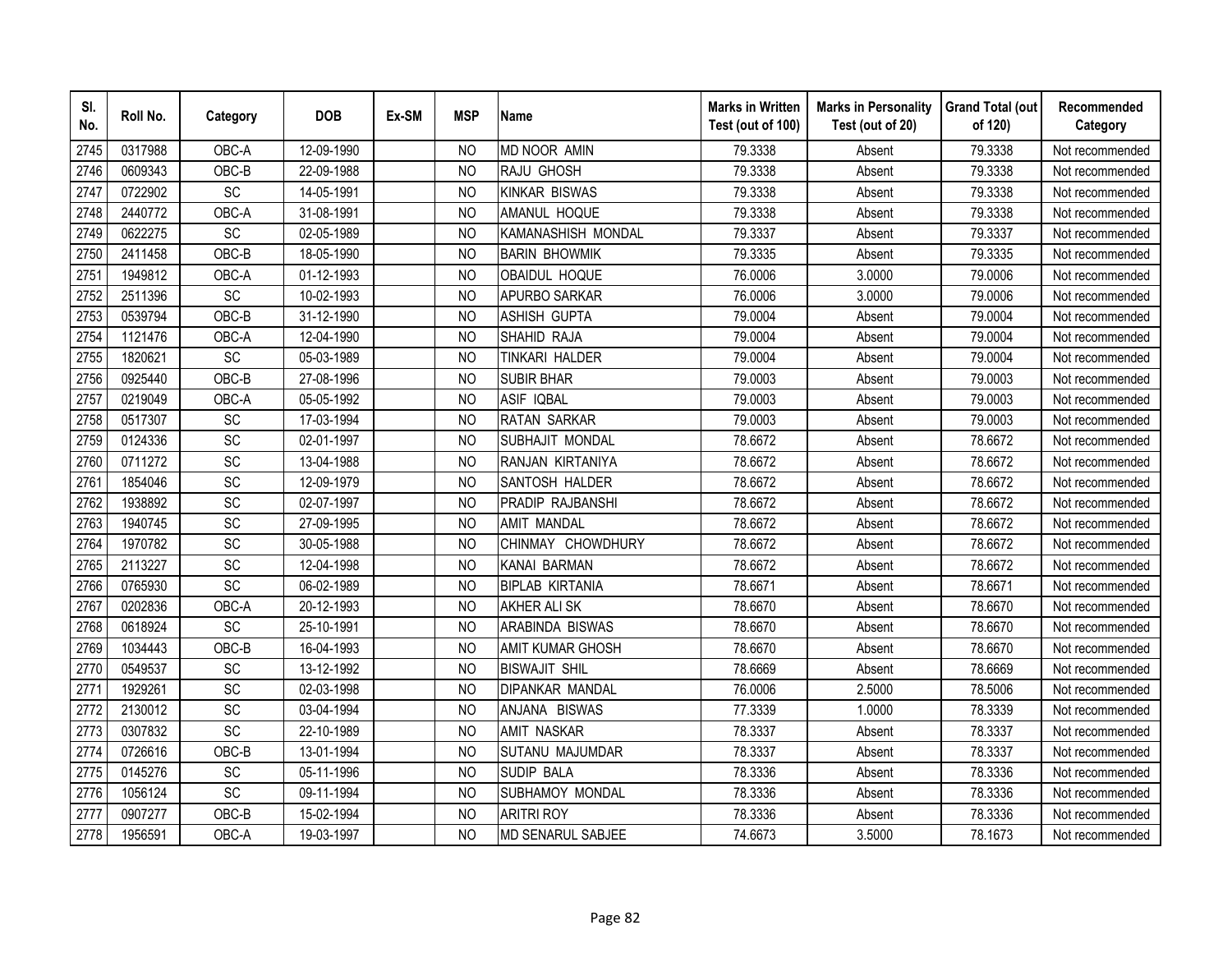| SI.<br>No. | Roll No. | Category        | <b>DOB</b> | Ex-SM | <b>MSP</b>     | <b>Name</b>             | <b>Marks in Written</b><br>Test (out of 100) | <b>Marks in Personality</b><br>Test (out of 20) | <b>Grand Total (out</b><br>of 120) | Recommended<br>Category |
|------------|----------|-----------------|------------|-------|----------------|-------------------------|----------------------------------------------|-------------------------------------------------|------------------------------------|-------------------------|
| 2745       | 0317988  | OBC-A           | 12-09-1990 |       | N <sub>O</sub> | <b>MD NOOR AMIN</b>     | 79.3338                                      | Absent                                          | 79.3338                            | Not recommended         |
| 2746       | 0609343  | OBC-B           | 22-09-1988 |       | <b>NO</b>      | RAJU GHOSH              | 79.3338                                      | Absent                                          | 79.3338                            | Not recommended         |
| 2747       | 0722902  | SC              | 14-05-1991 |       | N <sub>O</sub> | <b>KINKAR BISWAS</b>    | 79.3338                                      | Absent                                          | 79.3338                            | Not recommended         |
| 2748       | 2440772  | OBC-A           | 31-08-1991 |       | <b>NO</b>      | AMANUL HOQUE            | 79.3338                                      | Absent                                          | 79.3338                            | Not recommended         |
| 2749       | 0622275  | SC              | 02-05-1989 |       | <b>NO</b>      | KAMANASHISH MONDAL      | 79.3337                                      | Absent                                          | 79.3337                            | Not recommended         |
| 2750       | 2411458  | OBC-B           | 18-05-1990 |       | NO             | <b>BARIN BHOWMIK</b>    | 79.3335                                      | Absent                                          | 79.3335                            | Not recommended         |
| 2751       | 1949812  | OBC-A           | 01-12-1993 |       | <b>NO</b>      | <b>OBAIDUL HOQUE</b>    | 76.0006                                      | 3.0000                                          | 79.0006                            | Not recommended         |
| 2752       | 2511396  | SC              | 10-02-1993 |       | <b>NO</b>      | APURBO SARKAR           | 76.0006                                      | 3.0000                                          | 79.0006                            | Not recommended         |
| 2753       | 0539794  | OBC-B           | 31-12-1990 |       | <b>NO</b>      | <b>ASHISH GUPTA</b>     | 79.0004                                      | Absent                                          | 79.0004                            | Not recommended         |
| 2754       | 1121476  | OBC-A           | 12-04-1990 |       | <b>NO</b>      | SHAHID RAJA             | 79.0004                                      | Absent                                          | 79.0004                            | Not recommended         |
| 2755       | 1820621  | SC              | 05-03-1989 |       | N <sub>O</sub> | TINKARI HALDER          | 79.0004                                      | Absent                                          | 79.0004                            | Not recommended         |
| 2756       | 0925440  | OBC-B           | 27-08-1996 |       | <b>NO</b>      | <b>SUBIR BHAR</b>       | 79.0003                                      | Absent                                          | 79.0003                            | Not recommended         |
| 2757       | 0219049  | OBC-A           | 05-05-1992 |       | <b>NO</b>      | <b>ASIF IQBAL</b>       | 79.0003                                      | Absent                                          | 79.0003                            | Not recommended         |
| 2758       | 0517307  | SC              | 17-03-1994 |       | <b>NO</b>      | <b>RATAN SARKAR</b>     | 79.0003                                      | Absent                                          | 79.0003                            | Not recommended         |
| 2759       | 0124336  | SC              | 02-01-1997 |       | <b>NO</b>      | SUBHAJIT MONDAL         | 78.6672                                      | Absent                                          | 78.6672                            | Not recommended         |
| 2760       | 0711272  | SC              | 13-04-1988 |       | <b>NO</b>      | RANJAN KIRTANIYA        | 78.6672                                      | Absent                                          | 78.6672                            | Not recommended         |
| 2761       | 1854046  | SC              | 12-09-1979 |       | <b>NO</b>      | SANTOSH HALDER          | 78.6672                                      | Absent                                          | 78.6672                            | Not recommended         |
| 2762       | 1938892  | SC              | 02-07-1997 |       | N <sub>O</sub> | PRADIP RAJBANSHI        | 78.6672                                      | Absent                                          | 78.6672                            | Not recommended         |
| 2763       | 1940745  | SC              | 27-09-1995 |       | <b>NO</b>      | <b>AMIT MANDAL</b>      | 78.6672                                      | Absent                                          | 78.6672                            | Not recommended         |
| 2764       | 1970782  | SC              | 30-05-1988 |       | <b>NO</b>      | CHINMAY CHOWDHURY       | 78.6672                                      | Absent                                          | 78.6672                            | Not recommended         |
| 2765       | 2113227  | $\overline{SC}$ | 12-04-1998 |       | <b>NO</b>      | KANAI BARMAN            | 78.6672                                      | Absent                                          | 78.6672                            | Not recommended         |
| 2766       | 0765930  | $\overline{SC}$ | 06-02-1989 |       | <b>NO</b>      | <b>BIPLAB KIRTANIA</b>  | 78.6671                                      | Absent                                          | 78.6671                            | Not recommended         |
| 2767       | 0202836  | OBC-A           | 20-12-1993 |       | <b>NO</b>      | <b>AKHER ALI SK</b>     | 78.6670                                      | Absent                                          | 78.6670                            | Not recommended         |
| 2768       | 0618924  | SC              | 25-10-1991 |       | <b>NO</b>      | ARABINDA BISWAS         | 78.6670                                      | Absent                                          | 78.6670                            | Not recommended         |
| 2769       | 1034443  | OBC-B           | 16-04-1993 |       | N <sub>O</sub> | <b>AMIT KUMAR GHOSH</b> | 78.6670                                      | Absent                                          | 78.6670                            | Not recommended         |
| 2770       | 0549537  | SC              | 13-12-1992 |       | <b>NO</b>      | <b>BISWAJIT SHIL</b>    | 78.6669                                      | Absent                                          | 78.6669                            | Not recommended         |
| 2771       | 1929261  | SC              | 02-03-1998 |       | <b>NO</b>      | <b>DIPANKAR MANDAL</b>  | 76.0006                                      | 2.5000                                          | 78.5006                            | Not recommended         |
| 2772       | 2130012  | SC              | 03-04-1994 |       | NO             | ANJANA BISWAS           | 77.3339                                      | 1.0000                                          | 78.3339                            | Not recommended         |
| 2773       | 0307832  | SC              | 22-10-1989 |       | <b>NO</b>      | <b>AMIT NASKAR</b>      | 78.3337                                      | Absent                                          | 78.3337                            | Not recommended         |
| 2774       | 0726616  | OBC-B           | 13-01-1994 |       | N <sub>O</sub> | SUTANU MAJUMDAR         | 78.3337                                      | Absent                                          | 78.3337                            | Not recommended         |
| 2775       | 0145276  | <b>SC</b>       | 05-11-1996 |       | <b>NO</b>      | <b>SUDIP BALA</b>       | 78.3336                                      | Absent                                          | 78.3336                            | Not recommended         |
| 2776       | 1056124  | $\overline{SC}$ | 09-11-1994 |       | <b>NO</b>      | SUBHAMOY MONDAL         | 78.3336                                      | Absent                                          | 78.3336                            | Not recommended         |
| 2777       | 0907277  | OBC-B           | 15-02-1994 |       | <b>NO</b>      | <b>ARITRI ROY</b>       | 78.3336                                      | Absent                                          | 78.3336                            | Not recommended         |
| 2778       | 1956591  | OBC-A           | 19-03-1997 |       | <b>NO</b>      | MD SENARUL SABJEE       | 74.6673                                      | 3.5000                                          | 78.1673                            | Not recommended         |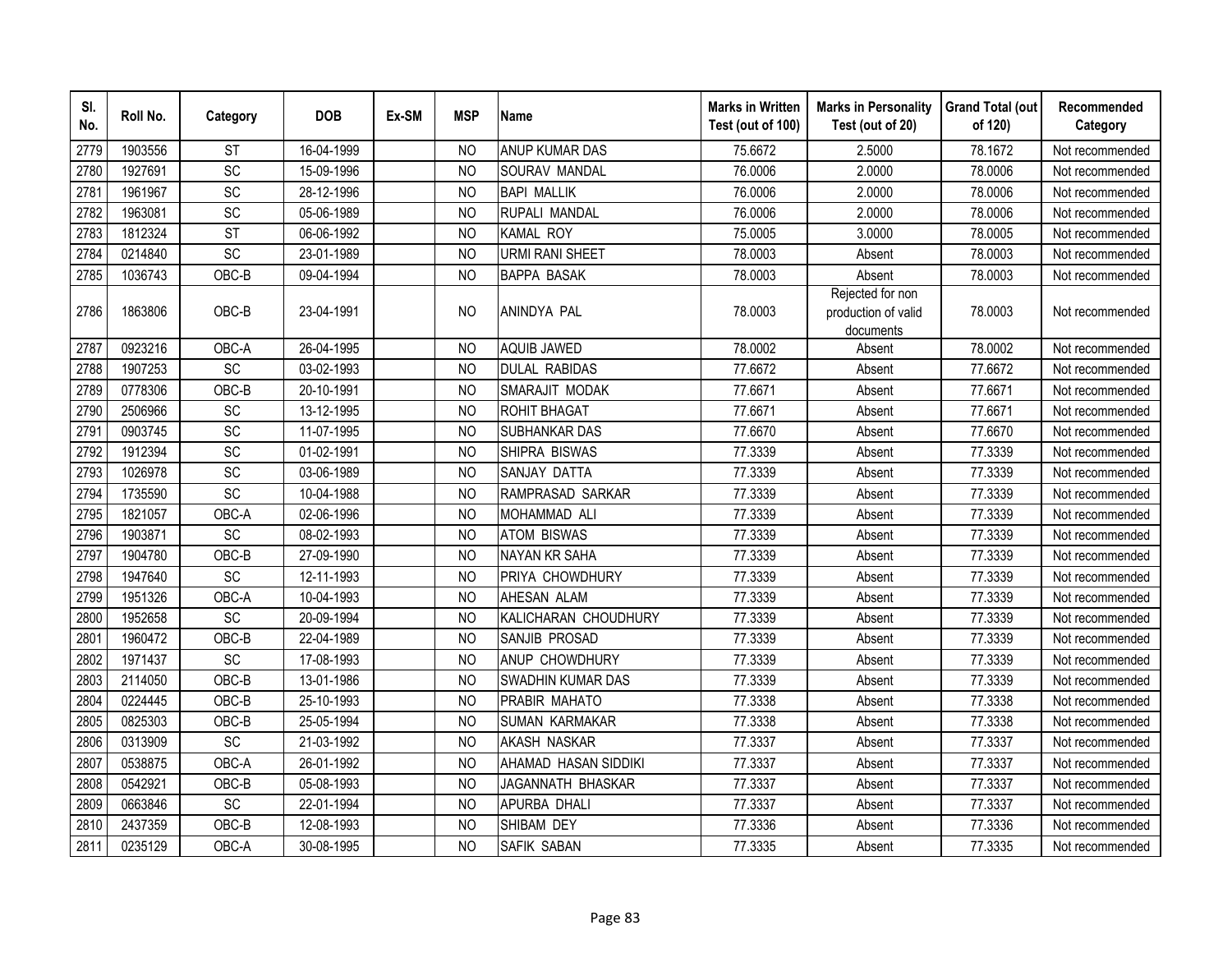| SI.<br>No. | Roll No. | Category        | <b>DOB</b> | Ex-SM | <b>MSP</b>     | <b>Name</b>            | <b>Marks in Written</b><br>Test (out of 100) | <b>Marks in Personality</b><br>Test (out of 20)      | <b>Grand Total (out</b><br>of 120) | Recommended<br>Category |
|------------|----------|-----------------|------------|-------|----------------|------------------------|----------------------------------------------|------------------------------------------------------|------------------------------------|-------------------------|
| 2779       | 1903556  | <b>ST</b>       | 16-04-1999 |       | <b>NO</b>      | <b>ANUP KUMAR DAS</b>  | 75.6672                                      | 2.5000                                               | 78.1672                            | Not recommended         |
| 2780       | 1927691  | SC              | 15-09-1996 |       | <b>NO</b>      | <b>SOURAV MANDAL</b>   | 76.0006                                      | 2.0000                                               | 78.0006                            | Not recommended         |
| 2781       | 1961967  | SC              | 28-12-1996 |       | N <sub>O</sub> | <b>BAPI MALLIK</b>     | 76.0006                                      | 2.0000                                               | 78.0006                            | Not recommended         |
| 2782       | 1963081  | SC              | 05-06-1989 |       | <b>NO</b>      | RUPALI MANDAL          | 76.0006                                      | 2.0000                                               | 78.0006                            | Not recommended         |
| 2783       | 1812324  | <b>ST</b>       | 06-06-1992 |       | <b>NO</b>      | <b>KAMAL ROY</b>       | 75.0005                                      | 3.0000                                               | 78.0005                            | Not recommended         |
| 2784       | 0214840  | SC              | 23-01-1989 |       | N <sub>O</sub> | <b>URMI RANI SHEET</b> | 78.0003                                      | Absent                                               | 78.0003                            | Not recommended         |
| 2785       | 1036743  | OBC-B           | 09-04-1994 |       | N <sub>O</sub> | <b>BAPPA BASAK</b>     | 78.0003                                      | Absent                                               | 78.0003                            | Not recommended         |
| 2786       | 1863806  | OBC-B           | 23-04-1991 |       | <b>NO</b>      | ANINDYA PAL            | 78.0003                                      | Rejected for non<br>production of valid<br>documents | 78.0003                            | Not recommended         |
| 2787       | 0923216  | OBC-A           | 26-04-1995 |       | <b>NO</b>      | <b>AQUIB JAWED</b>     | 78.0002                                      | Absent                                               | 78.0002                            | Not recommended         |
| 2788       | 1907253  | $\overline{SC}$ | 03-02-1993 |       | <b>NO</b>      | <b>DULAL RABIDAS</b>   | 77.6672                                      | Absent                                               | 77.6672                            | Not recommended         |
| 2789       | 0778306  | $OBC-B$         | 20-10-1991 |       | <b>NO</b>      | SMARAJIT MODAK         | 77.6671                                      | Absent                                               | 77.6671                            | Not recommended         |
| 2790       | 2506966  | SC              | 13-12-1995 |       | N <sub>O</sub> | ROHIT BHAGAT           | 77.6671                                      | Absent                                               | 77.6671                            | Not recommended         |
| 2791       | 0903745  | SC              | 11-07-1995 |       | N <sub>O</sub> | SUBHANKAR DAS          | 77.6670                                      | Absent                                               | 77.6670                            | Not recommended         |
| 2792       | 1912394  | SC              | 01-02-1991 |       | <b>NO</b>      | SHIPRA BISWAS          | 77.3339                                      | Absent                                               | 77.3339                            | Not recommended         |
| 2793       | 1026978  | SC              | 03-06-1989 |       | <b>NO</b>      | SANJAY DATTA           | 77.3339                                      | Absent                                               | 77.3339                            | Not recommended         |
| 2794       | 1735590  | SC              | 10-04-1988 |       | N <sub>O</sub> | RAMPRASAD SARKAR       | 77.3339                                      | Absent                                               | 77.3339                            | Not recommended         |
| 2795       | 1821057  | OBC-A           | 02-06-1996 |       | N <sub>O</sub> | MOHAMMAD ALI           | 77.3339                                      | Absent                                               | 77.3339                            | Not recommended         |
| 2796       | 1903871  | SC              | 08-02-1993 |       | <b>NO</b>      | <b>ATOM BISWAS</b>     | 77.3339                                      | Absent                                               | 77.3339                            | Not recommended         |
| 2797       | 1904780  | OBC-B           | 27-09-1990 |       | <b>NO</b>      | <b>NAYAN KR SAHA</b>   | 77.3339                                      | Absent                                               | 77.3339                            | Not recommended         |
| 2798       | 1947640  | SC              | 12-11-1993 |       | N <sub>O</sub> | PRIYA CHOWDHURY        | 77.3339                                      | Absent                                               | 77.3339                            | Not recommended         |
| 2799       | 1951326  | OBC-A           | 10-04-1993 |       | <b>NO</b>      | AHESAN ALAM            | 77.3339                                      | Absent                                               | 77.3339                            | Not recommended         |
| 2800       | 1952658  | SC              | 20-09-1994 |       | N <sub>O</sub> | KALICHARAN CHOUDHURY   | 77.3339                                      | Absent                                               | 77.3339                            | Not recommended         |
| 2801       | 1960472  | OBC-B           | 22-04-1989 |       | <b>NO</b>      | SANJIB PROSAD          | 77.3339                                      | Absent                                               | 77.3339                            | Not recommended         |
| 2802       | 1971437  | SC              | 17-08-1993 |       | <b>NO</b>      | ANUP CHOWDHURY         | 77.3339                                      | Absent                                               | 77.3339                            | Not recommended         |
| 2803       | 2114050  | OBC-B           | 13-01-1986 |       | <b>NO</b>      | SWADHIN KUMAR DAS      | 77.3339                                      | Absent                                               | 77.3339                            | Not recommended         |
| 2804       | 0224445  | OBC-B           | 25-10-1993 |       | <b>NO</b>      | PRABIR MAHATO          | 77.3338                                      | Absent                                               | 77.3338                            | Not recommended         |
| 2805       | 0825303  | OBC-B           | 25-05-1994 |       | <b>NO</b>      | <b>SUMAN KARMAKAR</b>  | 77.3338                                      | Absent                                               | 77.3338                            | Not recommended         |
| 2806       | 0313909  | SC              | 21-03-1992 |       | <b>NO</b>      | <b>AKASH NASKAR</b>    | 77.3337                                      | Absent                                               | 77.3337                            | Not recommended         |
| 2807       | 0538875  | OBC-A           | 26-01-1992 |       | <b>NO</b>      | AHAMAD HASAN SIDDIKI   | 77.3337                                      | Absent                                               | 77.3337                            | Not recommended         |
| 2808       | 0542921  | OBC-B           | 05-08-1993 |       | <b>NO</b>      | JAGANNATH BHASKAR      | 77.3337                                      | Absent                                               | 77.3337                            | Not recommended         |
| 2809       | 0663846  | SC              | 22-01-1994 |       | <b>NO</b>      | APURBA DHALI           | 77.3337                                      | Absent                                               | 77.3337                            | Not recommended         |
| 2810       | 2437359  | OBC-B           | 12-08-1993 |       | <b>NO</b>      | SHIBAM DEY             | 77.3336                                      | Absent                                               | 77.3336                            | Not recommended         |
| 2811       | 0235129  | OBC-A           | 30-08-1995 |       | <b>NO</b>      | SAFIK SABAN            | 77.3335                                      | Absent                                               | 77.3335                            | Not recommended         |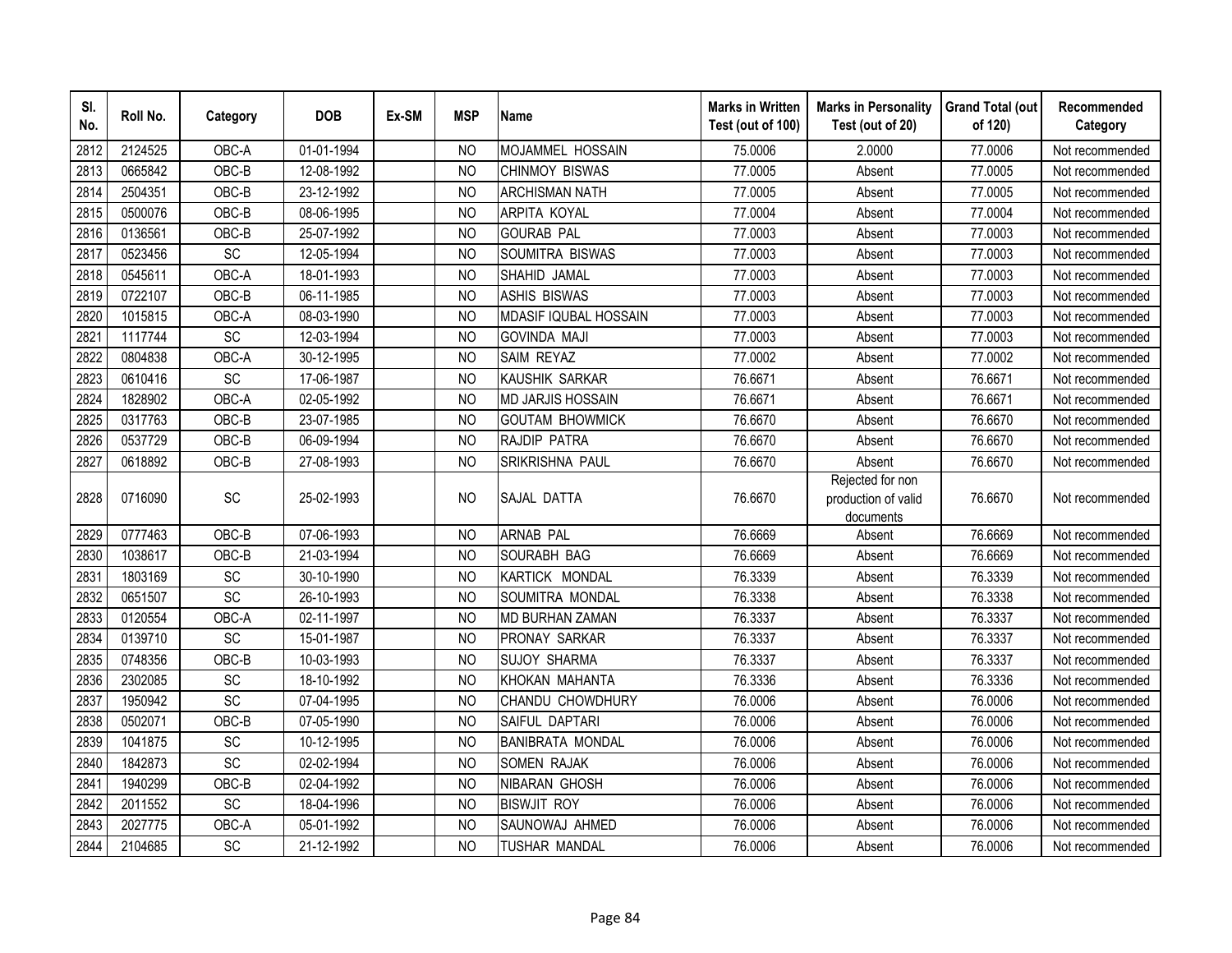| SI.<br>No. | Roll No. | Category | <b>DOB</b> | Ex-SM | <b>MSP</b>     | <b>Name</b>              | <b>Marks in Written</b><br>Test (out of 100) | <b>Marks in Personality</b><br>Test (out of 20)      | <b>Grand Total (out</b><br>of 120) | Recommended<br>Category |
|------------|----------|----------|------------|-------|----------------|--------------------------|----------------------------------------------|------------------------------------------------------|------------------------------------|-------------------------|
| 2812       | 2124525  | OBC-A    | 01-01-1994 |       | N <sub>O</sub> | MOJAMMEL HOSSAIN         | 75,0006                                      | 2.0000                                               | 77.0006                            | Not recommended         |
| 2813       | 0665842  | OBC-B    | 12-08-1992 |       | <b>NO</b>      | <b>CHINMOY BISWAS</b>    | 77.0005                                      | Absent                                               | 77.0005                            | Not recommended         |
| 2814       | 2504351  | OBC-B    | 23-12-1992 |       | <b>NO</b>      | <b>ARCHISMAN NATH</b>    | 77.0005                                      | Absent                                               | 77.0005                            | Not recommended         |
| 2815       | 0500076  | OBC-B    | 08-06-1995 |       | <b>NO</b>      | <b>ARPITA KOYAL</b>      | 77.0004                                      | Absent                                               | 77.0004                            | Not recommended         |
| 2816       | 0136561  | OBC-B    | 25-07-1992 |       | <b>NO</b>      | <b>GOURAB PAL</b>        | 77.0003                                      | Absent                                               | 77.0003                            | Not recommended         |
| 2817       | 0523456  | SC       | 12-05-1994 |       | <b>NO</b>      | SOUMITRA BISWAS          | 77.0003                                      | Absent                                               | 77.0003                            | Not recommended         |
| 2818       | 0545611  | OBC-A    | 18-01-1993 |       | <b>NO</b>      | SHAHID JAMAL             | 77.0003                                      | Absent                                               | 77.0003                            | Not recommended         |
| 2819       | 0722107  | OBC-B    | 06-11-1985 |       | <b>NO</b>      | <b>ASHIS BISWAS</b>      | 77.0003                                      | Absent                                               | 77.0003                            | Not recommended         |
| 2820       | 1015815  | OBC-A    | 08-03-1990 |       | <b>NO</b>      | MDASIF IQUBAL HOSSAIN    | 77.0003                                      | Absent                                               | 77.0003                            | Not recommended         |
| 2821       | 1117744  | SC       | 12-03-1994 |       | <b>NO</b>      | <b>GOVINDA MAJI</b>      | 77.0003                                      | Absent                                               | 77.0003                            | Not recommended         |
| 2822       | 0804838  | OBC-A    | 30-12-1995 |       | <b>NO</b>      | SAIM REYAZ               | 77.0002                                      | Absent                                               | 77.0002                            | Not recommended         |
| 2823       | 0610416  | SC       | 17-06-1987 |       | N <sub>O</sub> | KAUSHIK SARKAR           | 76.6671                                      | Absent                                               | 76.6671                            | Not recommended         |
| 2824       | 1828902  | OBC-A    | 02-05-1992 |       | N <sub>O</sub> | <b>MD JARJIS HOSSAIN</b> | 76.6671                                      | Absent                                               | 76.6671                            | Not recommended         |
| 2825       | 0317763  | OBC-B    | 23-07-1985 |       | <b>NO</b>      | <b>GOUTAM BHOWMICK</b>   | 76.6670                                      | Absent                                               | 76.6670                            | Not recommended         |
| 2826       | 0537729  | OBC-B    | 06-09-1994 |       | <b>NO</b>      | <b>RAJDIP PATRA</b>      | 76.6670                                      | Absent                                               | 76.6670                            | Not recommended         |
| 2827       | 0618892  | OBC-B    | 27-08-1993 |       | <b>NO</b>      | SRIKRISHNA PAUL          | 76.6670                                      | Absent                                               | 76.6670                            | Not recommended         |
| 2828       | 0716090  | SC       | 25-02-1993 |       | <b>NO</b>      | SAJAL DATTA              | 76.6670                                      | Rejected for non<br>production of valid<br>documents | 76.6670                            | Not recommended         |
| 2829       | 0777463  | OBC-B    | 07-06-1993 |       | <b>NO</b>      | <b>ARNAB PAL</b>         | 76.6669                                      | Absent                                               | 76.6669                            | Not recommended         |
| 2830       | 1038617  | OBC-B    | 21-03-1994 |       | N <sub>O</sub> | SOURABH BAG              | 76.6669                                      | Absent                                               | 76.6669                            | Not recommended         |
| 2831       | 1803169  | SC       | 30-10-1990 |       | N <sub>O</sub> | KARTICK MONDAL           | 76.3339                                      | Absent                                               | 76.3339                            | Not recommended         |
| 2832       | 0651507  | SC       | 26-10-1993 |       | <b>NO</b>      | SOUMITRA MONDAL          | 76.3338                                      | Absent                                               | 76.3338                            | Not recommended         |
| 2833       | 0120554  | OBC-A    | 02-11-1997 |       | <b>NO</b>      | <b>MD BURHAN ZAMAN</b>   | 76.3337                                      | Absent                                               | 76.3337                            | Not recommended         |
| 2834       | 0139710  | SC       | 15-01-1987 |       | N <sub>O</sub> | PRONAY SARKAR            | 76.3337                                      | Absent                                               | 76.3337                            | Not recommended         |
| 2835       | 0748356  | OBC-B    | 10-03-1993 |       | <b>NO</b>      | <b>SUJOY SHARMA</b>      | 76.3337                                      | Absent                                               | 76.3337                            | Not recommended         |
| 2836       | 2302085  | SC       | 18-10-1992 |       | N <sub>O</sub> | KHOKAN MAHANTA           | 76.3336                                      | Absent                                               | 76.3336                            | Not recommended         |
| 2837       | 1950942  | SC       | 07-04-1995 |       | <b>NO</b>      | CHANDU CHOWDHURY         | 76.0006                                      | Absent                                               | 76.0006                            | Not recommended         |
| 2838       | 0502071  | OBC-B    | 07-05-1990 |       | <b>NO</b>      | SAIFUL DAPTARI           | 76.0006                                      | Absent                                               | 76.0006                            | Not recommended         |
| 2839       | 1041875  | SC       | 10-12-1995 |       | <b>NO</b>      | <b>BANIBRATA MONDAL</b>  | 76.0006                                      | Absent                                               | 76.0006                            | Not recommended         |
| 2840       | 1842873  | SC       | 02-02-1994 |       | <b>NO</b>      | <b>SOMEN RAJAK</b>       | 76.0006                                      | Absent                                               | 76.0006                            | Not recommended         |
| 2841       | 1940299  | OBC-B    | 02-04-1992 |       | <b>NO</b>      | <b>NIBARAN GHOSH</b>     | 76.0006                                      | Absent                                               | 76.0006                            | Not recommended         |
| 2842       | 2011552  | SC       | 18-04-1996 |       | <b>NO</b>      | <b>BISWJIT ROY</b>       | 76.0006                                      | Absent                                               | 76.0006                            | Not recommended         |
| 2843       | 2027775  | OBC-A    | 05-01-1992 |       | <b>NO</b>      | SAUNOWAJ AHMED           | 76.0006                                      | Absent                                               | 76.0006                            | Not recommended         |
| 2844       | 2104685  | SC       | 21-12-1992 |       | <b>NO</b>      | <b>TUSHAR MANDAL</b>     | 76.0006                                      | Absent                                               | 76.0006                            | Not recommended         |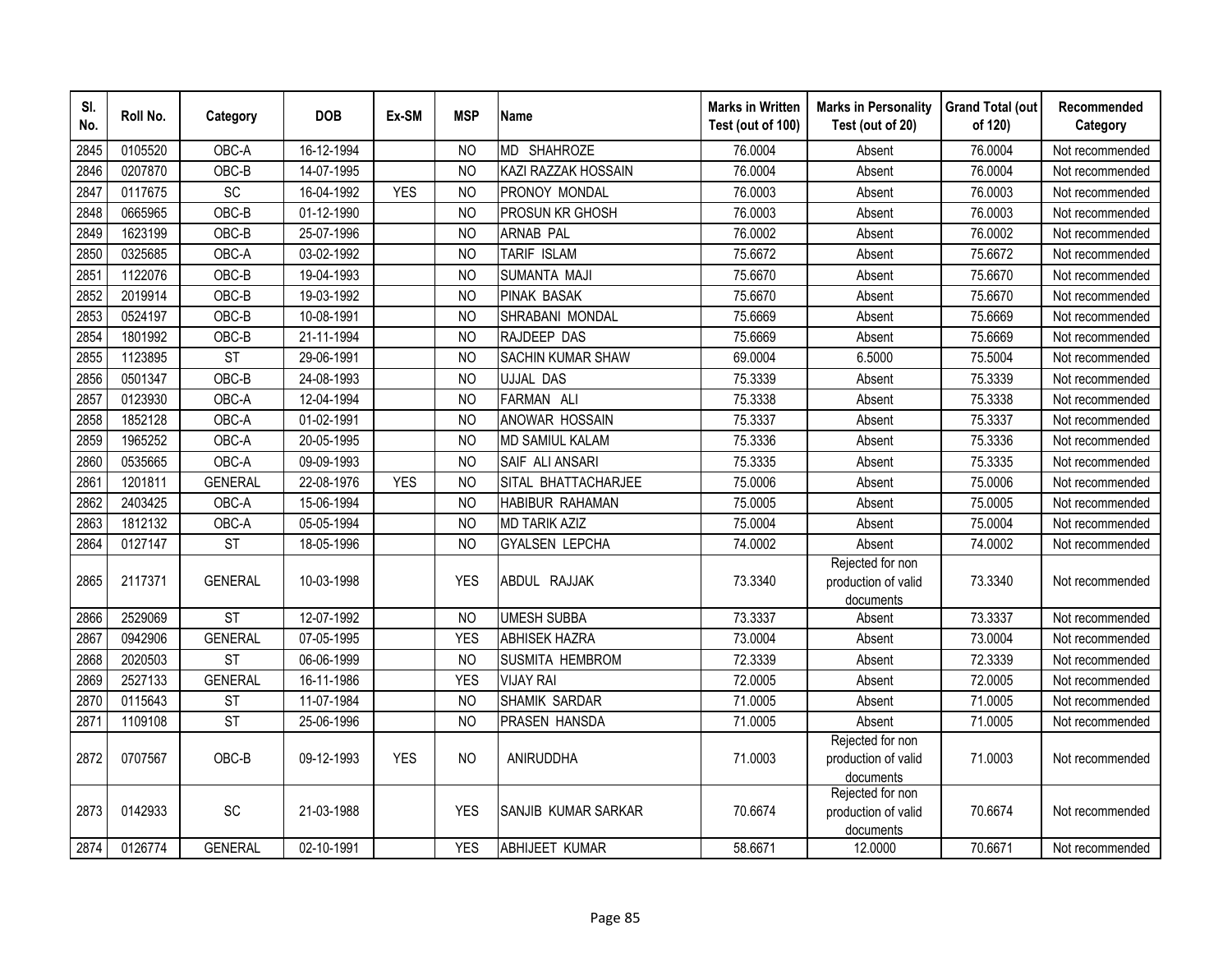| SI.<br>No. | Roll No. | Category       | <b>DOB</b> | Ex-SM      | <b>MSP</b>     | <b>Name</b>                | <b>Marks in Written</b><br>Test (out of 100) | <b>Marks in Personality</b><br>Test (out of 20)      | <b>Grand Total (out</b><br>of 120) | Recommended<br>Category |
|------------|----------|----------------|------------|------------|----------------|----------------------------|----------------------------------------------|------------------------------------------------------|------------------------------------|-------------------------|
| 2845       | 0105520  | OBC-A          | 16-12-1994 |            | N <sub>O</sub> | MD SHAHROZE                | 76.0004                                      | Absent                                               | 76.0004                            | Not recommended         |
| 2846       | 0207870  | OBC-B          | 14-07-1995 |            | <b>NO</b>      | KAZI RAZZAK HOSSAIN        | 76.0004                                      | Absent                                               | 76.0004                            | Not recommended         |
| 2847       | 0117675  | SC             | 16-04-1992 | <b>YES</b> | <b>NO</b>      | PRONOY MONDAL              | 76.0003                                      | Absent                                               | 76.0003                            | Not recommended         |
| 2848       | 0665965  | OBC-B          | 01-12-1990 |            | <b>NO</b>      | PROSUN KR GHOSH            | 76.0003                                      | Absent                                               | 76.0003                            | Not recommended         |
| 2849       | 1623199  | OBC-B          | 25-07-1996 |            | <b>NO</b>      | <b>ARNAB PAL</b>           | 76.0002                                      | Absent                                               | 76.0002                            | Not recommended         |
| 2850       | 0325685  | OBC-A          | 03-02-1992 |            | <b>NO</b>      | TARIF ISLAM                | 75.6672                                      | Absent                                               | 75.6672                            | Not recommended         |
| 2851       | 1122076  | OBC-B          | 19-04-1993 |            | <b>NO</b>      | SUMANTA MAJI               | 75.6670                                      | Absent                                               | 75.6670                            | Not recommended         |
| 2852       | 2019914  | OBC-B          | 19-03-1992 |            | <b>NO</b>      | <b>PINAK BASAK</b>         | 75.6670                                      | Absent                                               | 75.6670                            | Not recommended         |
| 2853       | 0524197  | OBC-B          | 10-08-1991 |            | <b>NO</b>      | SHRABANI MONDAL            | 75.6669                                      | Absent                                               | 75.6669                            | Not recommended         |
| 2854       | 1801992  | OBC-B          | 21-11-1994 |            | <b>NO</b>      | RAJDEEP DAS                | 75.6669                                      | Absent                                               | 75.6669                            | Not recommended         |
| 2855       | 1123895  | ST             | 29-06-1991 |            | <b>NO</b>      | <b>SACHIN KUMAR SHAW</b>   | 69.0004                                      | 6.5000                                               | 75.5004                            | Not recommended         |
| 2856       | 0501347  | OBC-B          | 24-08-1993 |            | N <sub>O</sub> | <b>UJJAL DAS</b>           | 75.3339                                      | Absent                                               | 75.3339                            | Not recommended         |
| 2857       | 0123930  | OBC-A          | 12-04-1994 |            | <b>NO</b>      | FARMAN ALI                 | 75.3338                                      | Absent                                               | 75.3338                            | Not recommended         |
| 2858       | 1852128  | OBC-A          | 01-02-1991 |            | N <sub>O</sub> | ANOWAR HOSSAIN             | 75.3337                                      | Absent                                               | 75.3337                            | Not recommended         |
| 2859       | 1965252  | OBC-A          | 20-05-1995 |            | N <sub>O</sub> | <b>MD SAMIUL KALAM</b>     | 75.3336                                      | Absent                                               | 75.3336                            | Not recommended         |
| 2860       | 0535665  | OBC-A          | 09-09-1993 |            | N <sub>O</sub> | SAIF ALI ANSARI            | 75.3335                                      | Absent                                               | 75.3335                            | Not recommended         |
| 2861       | 1201811  | <b>GENERAL</b> | 22-08-1976 | <b>YES</b> | <b>NO</b>      | SITAL BHATTACHARJEE        | 75.0006                                      | Absent                                               | 75.0006                            | Not recommended         |
| 2862       | 2403425  | OBC-A          | 15-06-1994 |            | <b>NO</b>      | <b>HABIBUR RAHAMAN</b>     | 75.0005                                      | Absent                                               | 75.0005                            | Not recommended         |
| 2863       | 1812132  | OBC-A          | 05-05-1994 |            | <sub>NO</sub>  | <b>MD TARIK AZIZ</b>       | 75.0004                                      | Absent                                               | 75.0004                            | Not recommended         |
| 2864       | 0127147  | <b>ST</b>      | 18-05-1996 |            | <b>NO</b>      | <b>GYALSEN LEPCHA</b>      | 74.0002                                      | Absent                                               | 74.0002                            | Not recommended         |
| 2865       | 2117371  | <b>GENERAL</b> | 10-03-1998 |            | <b>YES</b>     | ABDUL RAJJAK               | 73.3340                                      | Rejected for non<br>production of valid<br>documents | 73.3340                            | Not recommended         |
| 2866       | 2529069  | <b>ST</b>      | 12-07-1992 |            | <b>NO</b>      | <b>UMESH SUBBA</b>         | 73.3337                                      | Absent                                               | 73.3337                            | Not recommended         |
| 2867       | 0942906  | <b>GENERAL</b> | 07-05-1995 |            | <b>YES</b>     | <b>ABHISEK HAZRA</b>       | 73.0004                                      | Absent                                               | 73.0004                            | Not recommended         |
| 2868       | 2020503  | <b>ST</b>      | 06-06-1999 |            | N <sub>O</sub> | SUSMITA HEMBROM            | 72.3339                                      | Absent                                               | 72.3339                            | Not recommended         |
| 2869       | 2527133  | <b>GENERAL</b> | 16-11-1986 |            | <b>YES</b>     | <b>VIJAY RAI</b>           | 72.0005                                      | Absent                                               | 72.0005                            | Not recommended         |
| 2870       | 0115643  | <b>ST</b>      | 11-07-1984 |            | N <sub>O</sub> | <b>SHAMIK SARDAR</b>       | 71.0005                                      | Absent                                               | 71.0005                            | Not recommended         |
| 2871       | 1109108  | <b>ST</b>      | 25-06-1996 |            | N <sub>O</sub> | PRASEN HANSDA              | 71.0005                                      | Absent                                               | 71.0005                            | Not recommended         |
| 2872       | 0707567  | OBC-B          | 09-12-1993 | <b>YES</b> | NO.            | ANIRUDDHA                  | 71.0003                                      | Rejected for non<br>production of valid<br>documents | 71.0003                            | Not recommended         |
| 2873       | 0142933  | SC             | 21-03-1988 |            | <b>YES</b>     | <b>SANJIB KUMAR SARKAR</b> | 70.6674                                      | Rejected for non<br>production of valid<br>documents | 70.6674                            | Not recommended         |
| 2874       | 0126774  | <b>GENERAL</b> | 02-10-1991 |            | <b>YES</b>     | <b>ABHIJEET KUMAR</b>      | 58.6671                                      | 12.0000                                              | 70.6671                            | Not recommended         |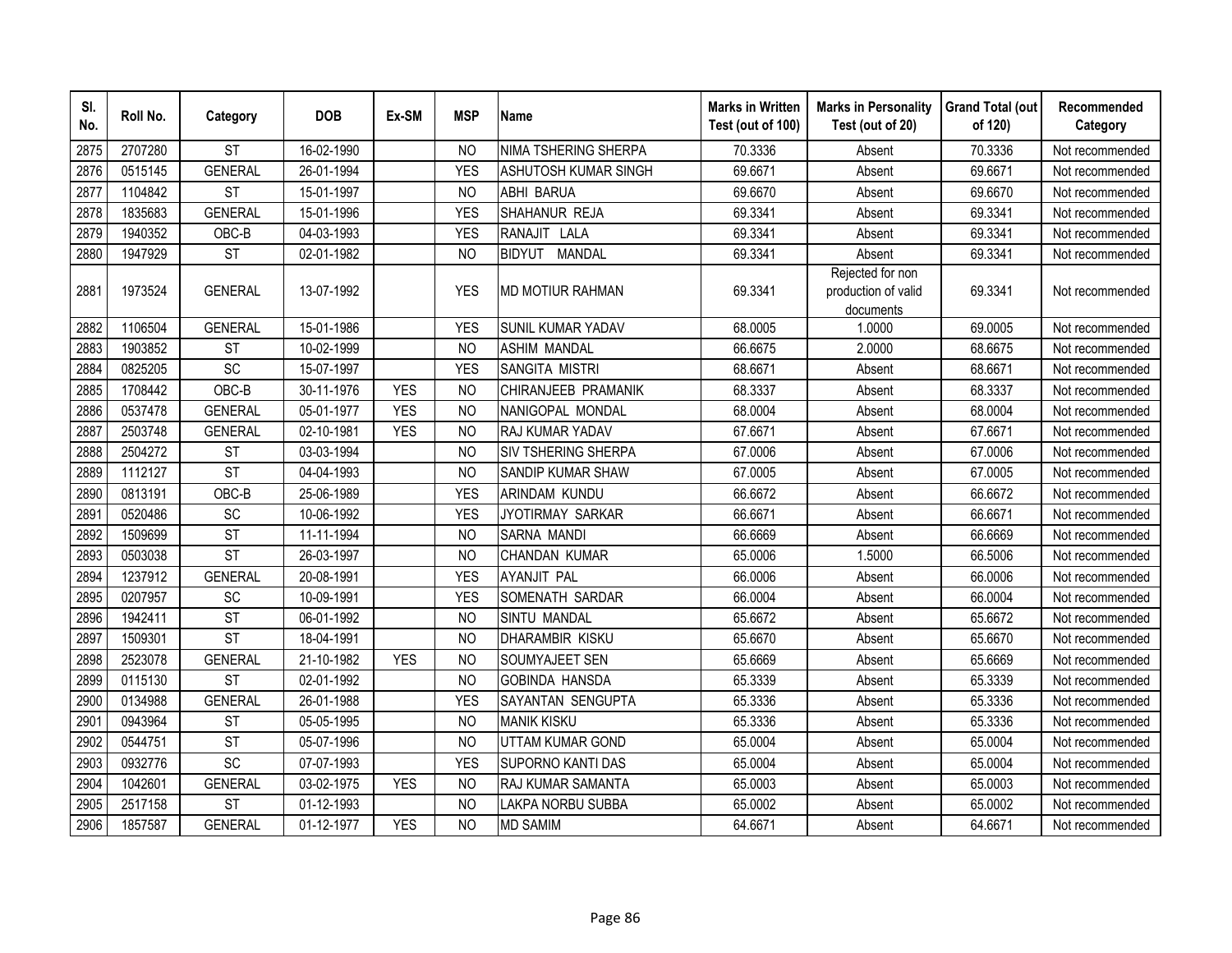| SI.<br>No. | Roll No. | Category               | <b>DOB</b> | Ex-SM      | <b>MSP</b>     | <b>Name</b>                    | <b>Marks in Written</b><br>Test (out of 100) | <b>Marks in Personality</b><br>Test (out of 20)      | <b>Grand Total (out</b><br>of 120) | Recommended<br>Category |
|------------|----------|------------------------|------------|------------|----------------|--------------------------------|----------------------------------------------|------------------------------------------------------|------------------------------------|-------------------------|
| 2875       | 2707280  | <b>ST</b>              | 16-02-1990 |            | N <sub>O</sub> | NIMA TSHERING SHERPA           | 70.3336                                      | Absent                                               | 70.3336                            | Not recommended         |
| 2876       | 0515145  | <b>GENERAL</b>         | 26-01-1994 |            | <b>YES</b>     | ASHUTOSH KUMAR SINGH           | 69.6671                                      | Absent                                               | 69.6671                            | Not recommended         |
| 2877       | 1104842  | <b>ST</b>              | 15-01-1997 |            | <b>NO</b>      | <b>ABHI BARUA</b>              | 69.6670                                      | Absent                                               | 69.6670                            | Not recommended         |
| 2878       | 1835683  | <b>GENERAL</b>         | 15-01-1996 |            | <b>YES</b>     | SHAHANUR REJA                  | 69.3341                                      | Absent                                               | 69.3341                            | Not recommended         |
| 2879       | 1940352  | OBC-B                  | 04-03-1993 |            | <b>YES</b>     | RANAJIT LALA                   | 69.3341                                      | Absent                                               | 69.3341                            | Not recommended         |
| 2880       | 1947929  | <b>ST</b>              | 02-01-1982 |            | <b>NO</b>      | <b>BIDYUT</b><br><b>MANDAL</b> | 69.3341                                      | Absent                                               | 69.3341                            | Not recommended         |
| 2881       | 1973524  | <b>GENERAL</b>         | 13-07-1992 |            | <b>YES</b>     | <b>MD MOTIUR RAHMAN</b>        | 69.3341                                      | Rejected for non<br>production of valid<br>documents | 69.3341                            | Not recommended         |
| 2882       | 1106504  | <b>GENERAL</b>         | 15-01-1986 |            | <b>YES</b>     | SUNIL KUMAR YADAV              | 68.0005                                      | 1.0000                                               | 69.0005                            | Not recommended         |
| 2883       | 1903852  | <b>ST</b>              | 10-02-1999 |            | <b>NO</b>      | <b>ASHIM MANDAL</b>            | 66.6675                                      | 2.0000                                               | 68.6675                            | Not recommended         |
| 2884       | 0825205  | SC                     | 15-07-1997 |            | <b>YES</b>     | SANGITA MISTRI                 | 68.6671                                      | Absent                                               | 68.6671                            | Not recommended         |
| 2885       | 1708442  | OBC-B                  | 30-11-1976 | <b>YES</b> | <b>NO</b>      | CHIRANJEEB PRAMANIK            | 68.3337                                      | Absent                                               | 68.3337                            | Not recommended         |
| 2886       | 0537478  | <b>GENERAL</b>         | 05-01-1977 | <b>YES</b> | <b>NO</b>      | NANIGOPAL MONDAL               | 68.0004                                      | Absent                                               | 68.0004                            | Not recommended         |
| 2887       | 2503748  | <b>GENERAL</b>         | 02-10-1981 | <b>YES</b> | <b>NO</b>      | RAJ KUMAR YADAV                | 67.6671                                      | Absent                                               | 67.6671                            | Not recommended         |
| 2888       | 2504272  | <b>ST</b>              | 03-03-1994 |            | NO             | SIV TSHERING SHERPA            | 67.0006                                      | Absent                                               | 67.0006                            | Not recommended         |
| 2889       | 1112127  | <b>ST</b>              | 04-04-1993 |            | <b>NO</b>      | <b>SANDIP KUMAR SHAW</b>       | 67.0005                                      | Absent                                               | 67.0005                            | Not recommended         |
| 2890       | 0813191  | OBC-B                  | 25-06-1989 |            | <b>YES</b>     | ARINDAM KUNDU                  | 66.6672                                      | Absent                                               | 66.6672                            | Not recommended         |
| 289        | 0520486  | SC                     | 10-06-1992 |            | <b>YES</b>     | JYOTIRMAY SARKAR               | 66.6671                                      | Absent                                               | 66.6671                            | Not recommended         |
| 2892       | 1509699  | <b>ST</b>              | 11-11-1994 |            | <b>NO</b>      | <b>SARNA MANDI</b>             | 66.6669                                      | Absent                                               | 66.6669                            | Not recommended         |
| 2893       | 0503038  | <b>ST</b>              | 26-03-1997 |            | <b>NO</b>      | <b>CHANDAN KUMAR</b>           | 65.0006                                      | 1.5000                                               | 66.5006                            | Not recommended         |
| 2894       | 1237912  | <b>GENERAL</b>         | 20-08-1991 |            | <b>YES</b>     | <b>AYANJIT PAL</b>             | 66.0006                                      | Absent                                               | 66.0006                            | Not recommended         |
| 2895       | 0207957  | <b>SC</b>              | 10-09-1991 |            | <b>YES</b>     | <b>SOMENATH SARDAR</b>         | 66.0004                                      | Absent                                               | 66.0004                            | Not recommended         |
| 2896       | 1942411  | <b>ST</b>              | 06-01-1992 |            | <b>NO</b>      | <b>SINTU MANDAL</b>            | 65.6672                                      | Absent                                               | 65.6672                            | Not recommended         |
| 2897       | 1509301  | $\overline{\text{ST}}$ | 18-04-1991 |            | <b>NO</b>      | <b>DHARAMBIR KISKU</b>         | 65.6670                                      | Absent                                               | 65.6670                            | Not recommended         |
| 2898       | 2523078  | <b>GENERAL</b>         | 21-10-1982 | <b>YES</b> | <b>NO</b>      | SOUMYAJEET SEN                 | 65.6669                                      | Absent                                               | 65.6669                            | Not recommended         |
| 2899       | 0115130  | <b>ST</b>              | 02-01-1992 |            | <b>NO</b>      | <b>GOBINDA HANSDA</b>          | 65.3339                                      | Absent                                               | 65.3339                            | Not recommended         |
| 2900       | 0134988  | <b>GENERAL</b>         | 26-01-1988 |            | <b>YES</b>     | SAYANTAN SENGUPTA              | 65.3336                                      | Absent                                               | 65.3336                            | Not recommended         |
| 2901       | 0943964  | <b>ST</b>              | 05-05-1995 |            | <b>NO</b>      | <b>MANIK KISKU</b>             | 65.3336                                      | Absent                                               | 65.3336                            | Not recommended         |
| 2902       | 0544751  | <b>ST</b>              | 05-07-1996 |            | <b>NO</b>      | UTTAM KUMAR GOND               | 65.0004                                      | Absent                                               | 65.0004                            | Not recommended         |
| 2903       | 0932776  | SC                     | 07-07-1993 |            | <b>YES</b>     | <b>SUPORNO KANTI DAS</b>       | 65.0004                                      | Absent                                               | 65.0004                            | Not recommended         |
| 2904       | 1042601  | <b>GENERAL</b>         | 03-02-1975 | <b>YES</b> | <b>NO</b>      | RAJ KUMAR SAMANTA              | 65.0003                                      | Absent                                               | 65.0003                            | Not recommended         |
| 2905       | 2517158  | <b>ST</b>              | 01-12-1993 |            | <b>NO</b>      | LAKPA NORBU SUBBA              | 65.0002                                      | Absent                                               | 65.0002                            | Not recommended         |
| 2906       | 1857587  | <b>GENERAL</b>         | 01-12-1977 | <b>YES</b> | <b>NO</b>      | <b>MD SAMIM</b>                | 64.6671                                      | Absent                                               | 64.6671                            | Not recommended         |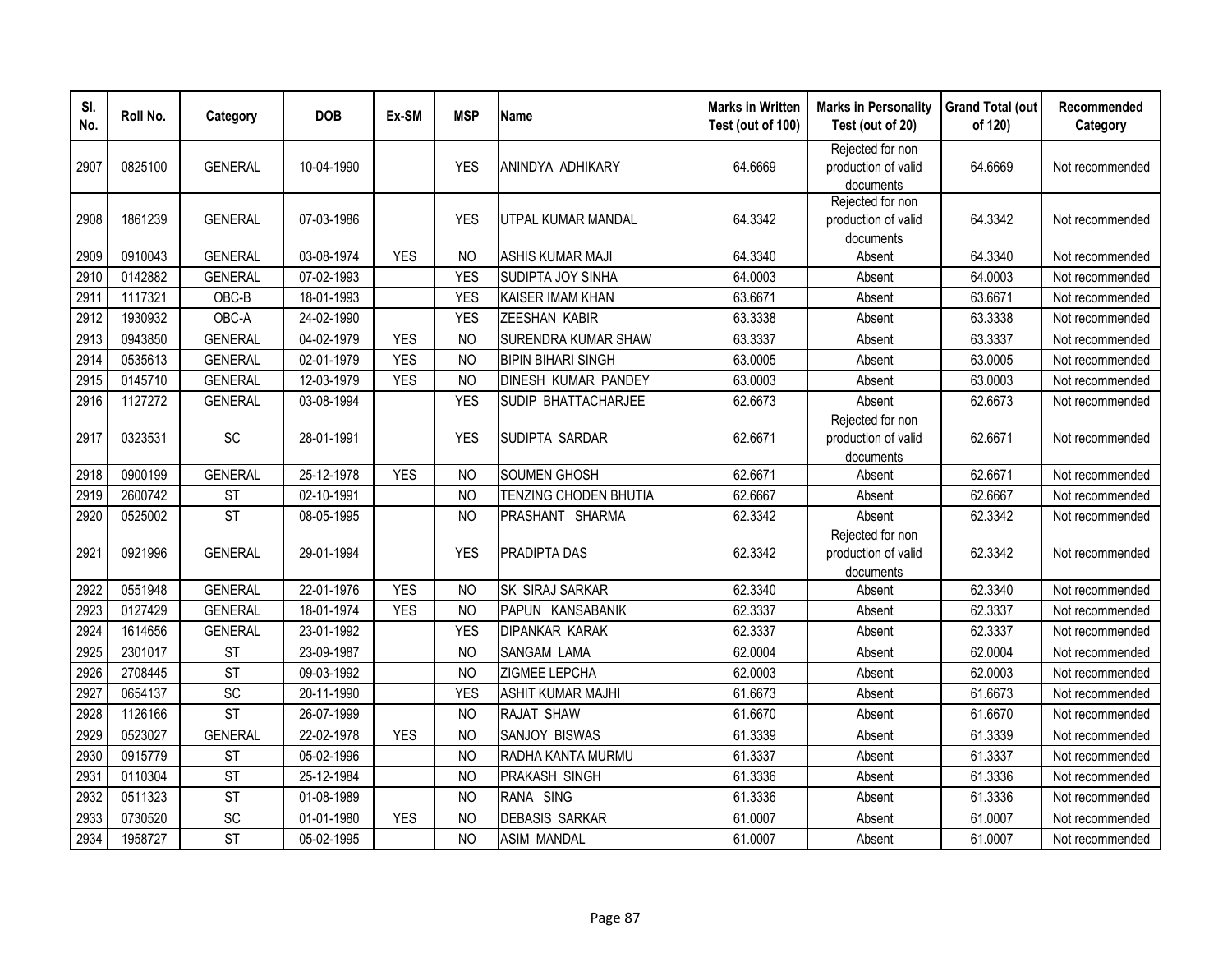| SI.<br>No. | Roll No. | Category       | <b>DOB</b> | Ex-SM      | <b>MSP</b>     | <b>Name</b>               | <b>Marks in Written</b><br>Test (out of 100) | <b>Marks in Personality</b><br>Test (out of 20)      | <b>Grand Total (out</b><br>of 120) | Recommended<br>Category |
|------------|----------|----------------|------------|------------|----------------|---------------------------|----------------------------------------------|------------------------------------------------------|------------------------------------|-------------------------|
| 2907       | 0825100  | <b>GENERAL</b> | 10-04-1990 |            | <b>YES</b>     | ANINDYA ADHIKARY          | 64.6669                                      | Rejected for non<br>production of valid<br>documents | 64.6669                            | Not recommended         |
| 2908       | 1861239  | <b>GENERAL</b> | 07-03-1986 |            | <b>YES</b>     | UTPAL KUMAR MANDAL        | 64.3342                                      | Rejected for non<br>production of valid<br>documents | 64.3342                            | Not recommended         |
| 2909       | 0910043  | <b>GENERAL</b> | 03-08-1974 | <b>YES</b> | <b>NO</b>      | <b>ASHIS KUMAR MAJI</b>   | 64.3340                                      | Absent                                               | 64.3340                            | Not recommended         |
| 2910       | 0142882  | <b>GENERAL</b> | 07-02-1993 |            | <b>YES</b>     | SUDIPTA JOY SINHA         | 64.0003                                      | Absent                                               | 64.0003                            | Not recommended         |
| 2911       | 1117321  | OBC-B          | 18-01-1993 |            | <b>YES</b>     | KAISER IMAM KHAN          | 63.6671                                      | Absent                                               | 63.6671                            | Not recommended         |
| 2912       | 1930932  | OBC-A          | 24-02-1990 |            | <b>YES</b>     | <b>ZEESHAN KABIR</b>      | 63.3338                                      | Absent                                               | 63.3338                            | Not recommended         |
| 2913       | 0943850  | <b>GENERAL</b> | 04-02-1979 | <b>YES</b> | N <sub>O</sub> | SURENDRA KUMAR SHAW       | 63.3337                                      | Absent                                               | 63.3337                            | Not recommended         |
| 2914       | 0535613  | <b>GENERAL</b> | 02-01-1979 | <b>YES</b> | N <sub>O</sub> | <b>BIPIN BIHARI SINGH</b> | 63.0005                                      | Absent                                               | 63.0005                            | Not recommended         |
| 2915       | 0145710  | <b>GENERAL</b> | 12-03-1979 | <b>YES</b> | N <sub>O</sub> | DINESH KUMAR PANDEY       | 63.0003                                      | Absent                                               | 63.0003                            | Not recommended         |
| 2916       | 1127272  | <b>GENERAL</b> | 03-08-1994 |            | <b>YES</b>     | SUDIP BHATTACHARJEE       | 62.6673                                      | Absent                                               | 62.6673                            | Not recommended         |
| 2917       | 0323531  | SC             | 28-01-1991 |            | <b>YES</b>     | SUDIPTA SARDAR            | 62.6671                                      | Rejected for non<br>production of valid<br>documents | 62.6671                            | Not recommended         |
| 2918       | 0900199  | <b>GENERAL</b> | 25-12-1978 | <b>YES</b> | <b>NO</b>      | <b>SOUMEN GHOSH</b>       | 62.6671                                      | Absent                                               | 62.6671                            | Not recommended         |
| 2919       | 2600742  | <b>ST</b>      | 02-10-1991 |            | N <sub>O</sub> | TENZING CHODEN BHUTIA     | 62.6667                                      | Absent                                               | 62.6667                            | Not recommended         |
| 2920       | 0525002  | <b>ST</b>      | 08-05-1995 |            | N <sub>O</sub> | PRASHANT SHARMA           | 62.3342                                      | Absent                                               | 62.3342                            | Not recommended         |
| 2921       | 0921996  | <b>GENERAL</b> | 29-01-1994 |            | <b>YES</b>     | PRADIPTA DAS              | 62.3342                                      | Rejected for non<br>production of valid<br>documents | 62.3342                            | Not recommended         |
| 2922       | 0551948  | <b>GENERAL</b> | 22-01-1976 | <b>YES</b> | <b>NO</b>      | <b>SK SIRAJ SARKAR</b>    | 62.3340                                      | Absent                                               | 62.3340                            | Not recommended         |
| 2923       | 0127429  | <b>GENERAL</b> | 18-01-1974 | <b>YES</b> | <b>NO</b>      | PAPUN KANSABANIK          | 62.3337                                      | Absent                                               | 62.3337                            | Not recommended         |
| 2924       | 1614656  | <b>GENERAL</b> | 23-01-1992 |            | <b>YES</b>     | <b>DIPANKAR KARAK</b>     | 62.3337                                      | Absent                                               | 62.3337                            | Not recommended         |
| 2925       | 2301017  | <b>ST</b>      | 23-09-1987 |            | <b>NO</b>      | <b>SANGAM LAMA</b>        | 62.0004                                      | Absent                                               | 62.0004                            | Not recommended         |
| 2926       | 2708445  | <b>ST</b>      | 09-03-1992 |            | <b>NO</b>      | ZIGMEE LEPCHA             | 62.0003                                      | Absent                                               | 62.0003                            | Not recommended         |
| 2927       | 0654137  | SC             | 20-11-1990 |            | <b>YES</b>     | <b>ASHIT KUMAR MAJHI</b>  | 61.6673                                      | Absent                                               | 61.6673                            | Not recommended         |
| 2928       | 1126166  | <b>ST</b>      | 26-07-1999 |            | <b>NO</b>      | RAJAT SHAW                | 61.6670                                      | Absent                                               | 61.6670                            | Not recommended         |
| 2929       | 0523027  | <b>GENERAL</b> | 22-02-1978 | <b>YES</b> | N <sub>O</sub> | SANJOY BISWAS             | 61.3339                                      | Absent                                               | 61.3339                            | Not recommended         |
| 2930       | 0915779  | <b>ST</b>      | 05-02-1996 |            | N <sub>O</sub> | RADHA KANTA MURMU         | 61.3337                                      | Absent                                               | 61.3337                            | Not recommended         |
| 2931       | 0110304  | <b>ST</b>      | 25-12-1984 |            | <b>NO</b>      | PRAKASH SINGH             | 61.3336                                      | Absent                                               | 61.3336                            | Not recommended         |
| 2932       | 0511323  | <b>ST</b>      | 01-08-1989 |            | <b>NO</b>      | RANA SING                 | 61.3336                                      | Absent                                               | 61.3336                            | Not recommended         |
| 2933       | 0730520  | SC             | 01-01-1980 | <b>YES</b> | N <sub>O</sub> | <b>DEBASIS SARKAR</b>     | 61.0007                                      | Absent                                               | 61.0007                            | Not recommended         |
| 2934       | 1958727  | <b>ST</b>      | 05-02-1995 |            | <b>NO</b>      | <b>ASIM MANDAL</b>        | 61.0007                                      | Absent                                               | 61.0007                            | Not recommended         |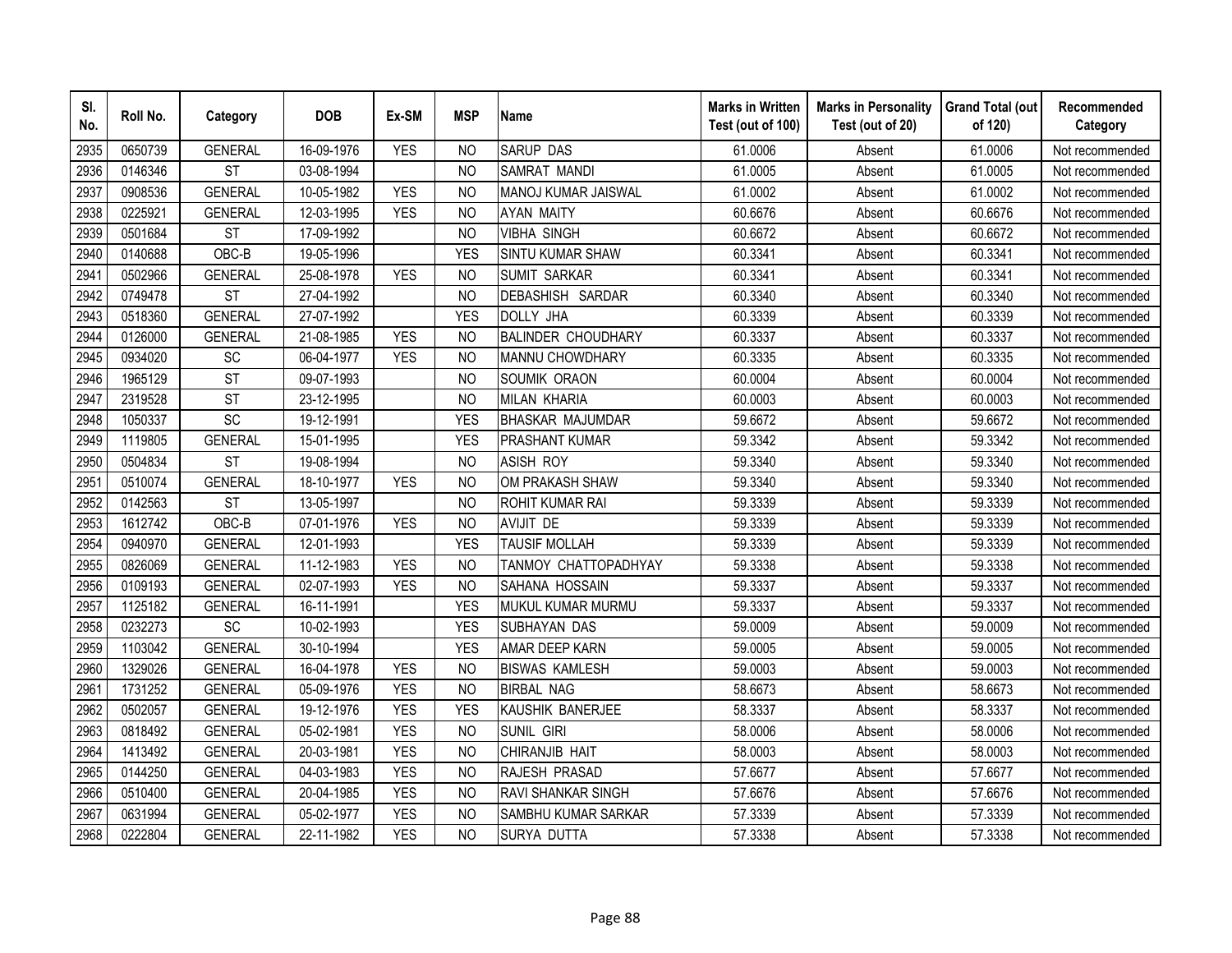| SI.<br>No. | Roll No. | Category       | <b>DOB</b> | Ex-SM      | <b>MSP</b>     | <b>Name</b>               | <b>Marks in Written</b><br>Test (out of 100) | <b>Marks in Personality</b><br>Test (out of 20) | <b>Grand Total (out</b><br>of 120) | Recommended<br>Category |
|------------|----------|----------------|------------|------------|----------------|---------------------------|----------------------------------------------|-------------------------------------------------|------------------------------------|-------------------------|
| 2935       | 0650739  | <b>GENERAL</b> | 16-09-1976 | <b>YES</b> | N <sub>O</sub> | <b>SARUP DAS</b>          | 61.0006                                      | Absent                                          | 61.0006                            | Not recommended         |
| 2936       | 0146346  | <b>ST</b>      | 03-08-1994 |            | <b>NO</b>      | SAMRAT MANDI              | 61.0005                                      | Absent                                          | 61.0005                            | Not recommended         |
| 2937       | 0908536  | <b>GENERAL</b> | 10-05-1982 | <b>YES</b> | N <sub>O</sub> | MANOJ KUMAR JAISWAL       | 61.0002                                      | Absent                                          | 61.0002                            | Not recommended         |
| 2938       | 0225921  | <b>GENERAL</b> | 12-03-1995 | <b>YES</b> | <b>NO</b>      | <b>AYAN MAITY</b>         | 60.6676                                      | Absent                                          | 60.6676                            | Not recommended         |
| 2939       | 0501684  | <b>ST</b>      | 17-09-1992 |            | <b>NO</b>      | <b>VIBHA SINGH</b>        | 60.6672                                      | Absent                                          | 60.6672                            | Not recommended         |
| 2940       | 0140688  | OBC-B          | 19-05-1996 |            | <b>YES</b>     | SINTU KUMAR SHAW          | 60.3341                                      | Absent                                          | 60.3341                            | Not recommended         |
| 2941       | 0502966  | <b>GENERAL</b> | 25-08-1978 | <b>YES</b> | NO             | <b>SUMIT SARKAR</b>       | 60.3341                                      | Absent                                          | 60.3341                            | Not recommended         |
| 2942       | 0749478  | <b>ST</b>      | 27-04-1992 |            | <b>NO</b>      | DEBASHISH SARDAR          | 60.3340                                      | Absent                                          | 60.3340                            | Not recommended         |
| 2943       | 0518360  | <b>GENERAL</b> | 27-07-1992 |            | <b>YES</b>     | <b>DOLLY JHA</b>          | 60.3339                                      | Absent                                          | 60.3339                            | Not recommended         |
| 2944       | 0126000  | <b>GENERAL</b> | 21-08-1985 | <b>YES</b> | N <sub>O</sub> | <b>BALINDER CHOUDHARY</b> | 60.3337                                      | Absent                                          | 60.3337                            | Not recommended         |
| 2945       | 0934020  | SC             | 06-04-1977 | <b>YES</b> | <b>NO</b>      | MANNU CHOWDHARY           | 60.3335                                      | Absent                                          | 60.3335                            | Not recommended         |
| 2946       | 1965129  | <b>ST</b>      | 09-07-1993 |            | <b>NO</b>      | SOUMIK ORAON              | 60.0004                                      | Absent                                          | 60.0004                            | Not recommended         |
| 2947       | 2319528  | <b>ST</b>      | 23-12-1995 |            | <b>NO</b>      | <b>MILAN KHARIA</b>       | 60.0003                                      | Absent                                          | 60.0003                            | Not recommended         |
| 2948       | 1050337  | SC             | 19-12-1991 |            | <b>YES</b>     | <b>BHASKAR MAJUMDAR</b>   | 59.6672                                      | Absent                                          | 59.6672                            | Not recommended         |
| 2949       | 1119805  | <b>GENERAL</b> | 15-01-1995 |            | <b>YES</b>     | <b>PRASHANT KUMAR</b>     | 59.3342                                      | Absent                                          | 59.3342                            | Not recommended         |
| 2950       | 0504834  | <b>ST</b>      | 19-08-1994 |            | <b>NO</b>      | <b>ASISH ROY</b>          | 59.3340                                      | Absent                                          | 59.3340                            | Not recommended         |
| 2951       | 0510074  | <b>GENERAL</b> | 18-10-1977 | <b>YES</b> | N <sub>O</sub> | OM PRAKASH SHAW           | 59.3340                                      | Absent                                          | 59.3340                            | Not recommended         |
| 2952       | 0142563  | <b>ST</b>      | 13-05-1997 |            | N <sub>O</sub> | <b>ROHIT KUMAR RAI</b>    | 59.3339                                      | Absent                                          | 59.3339                            | Not recommended         |
| 2953       | 1612742  | OBC-B          | 07-01-1976 | <b>YES</b> | <b>NO</b>      | <b>AVIJIT DE</b>          | 59.3339                                      | Absent                                          | 59.3339                            | Not recommended         |
| 2954       | 0940970  | <b>GENERAL</b> | 12-01-1993 |            | <b>YES</b>     | <b>TAUSIF MOLLAH</b>      | 59.3339                                      | Absent                                          | 59.3339                            | Not recommended         |
| 2955       | 0826069  | <b>GENERAL</b> | 11-12-1983 | <b>YES</b> | <b>NO</b>      | TANMOY CHATTOPADHYAY      | 59.3338                                      | Absent                                          | 59.3338                            | Not recommended         |
| 2956       | 0109193  | <b>GENERAL</b> | 02-07-1993 | <b>YES</b> | N <sub>O</sub> | SAHANA HOSSAIN            | 59.3337                                      | Absent                                          | 59.3337                            | Not recommended         |
| 2957       | 1125182  | <b>GENERAL</b> | 16-11-1991 |            | <b>YES</b>     | MUKUL KUMAR MURMU         | 59.3337                                      | Absent                                          | 59.3337                            | Not recommended         |
| 2958       | 0232273  | SC             | 10-02-1993 |            | <b>YES</b>     | SUBHAYAN DAS              | 59.0009                                      | Absent                                          | 59.0009                            | Not recommended         |
| 2959       | 1103042  | <b>GENERAL</b> | 30-10-1994 |            | <b>YES</b>     | AMAR DEEP KARN            | 59.0005                                      | Absent                                          | 59.0005                            | Not recommended         |
| 2960       | 1329026  | <b>GENERAL</b> | 16-04-1978 | <b>YES</b> | <b>NO</b>      | <b>BISWAS KAMLESH</b>     | 59.0003                                      | Absent                                          | 59.0003                            | Not recommended         |
| 2961       | 1731252  | <b>GENERAL</b> | 05-09-1976 | <b>YES</b> | <b>NO</b>      | <b>BIRBAL NAG</b>         | 58.6673                                      | Absent                                          | 58.6673                            | Not recommended         |
| 2962       | 0502057  | <b>GENERAL</b> | 19-12-1976 | <b>YES</b> | <b>YES</b>     | KAUSHIK BANERJEE          | 58.3337                                      | Absent                                          | 58.3337                            | Not recommended         |
| 2963       | 0818492  | <b>GENERAL</b> | 05-02-1981 | <b>YES</b> | <b>NO</b>      | <b>SUNIL GIRI</b>         | 58.0006                                      | Absent                                          | 58.0006                            | Not recommended         |
| 2964       | 1413492  | <b>GENERAL</b> | 20-03-1981 | <b>YES</b> | N <sub>O</sub> | CHIRANJIB HAIT            | 58.0003                                      | Absent                                          | 58.0003                            | Not recommended         |
| 2965       | 0144250  | <b>GENERAL</b> | 04-03-1983 | <b>YES</b> | <b>NO</b>      | RAJESH PRASAD             | 57.6677                                      | Absent                                          | 57.6677                            | Not recommended         |
| 2966       | 0510400  | <b>GENERAL</b> | 20-04-1985 | <b>YES</b> | <b>NO</b>      | RAVI SHANKAR SINGH        | 57.6676                                      | Absent                                          | 57.6676                            | Not recommended         |
| 2967       | 0631994  | <b>GENERAL</b> | 05-02-1977 | <b>YES</b> | <b>NO</b>      | SAMBHU KUMAR SARKAR       | 57.3339                                      | Absent                                          | 57.3339                            | Not recommended         |
| 2968       | 0222804  | <b>GENERAL</b> | 22-11-1982 | <b>YES</b> | <b>NO</b>      | SURYA DUTTA               | 57.3338                                      | Absent                                          | 57.3338                            | Not recommended         |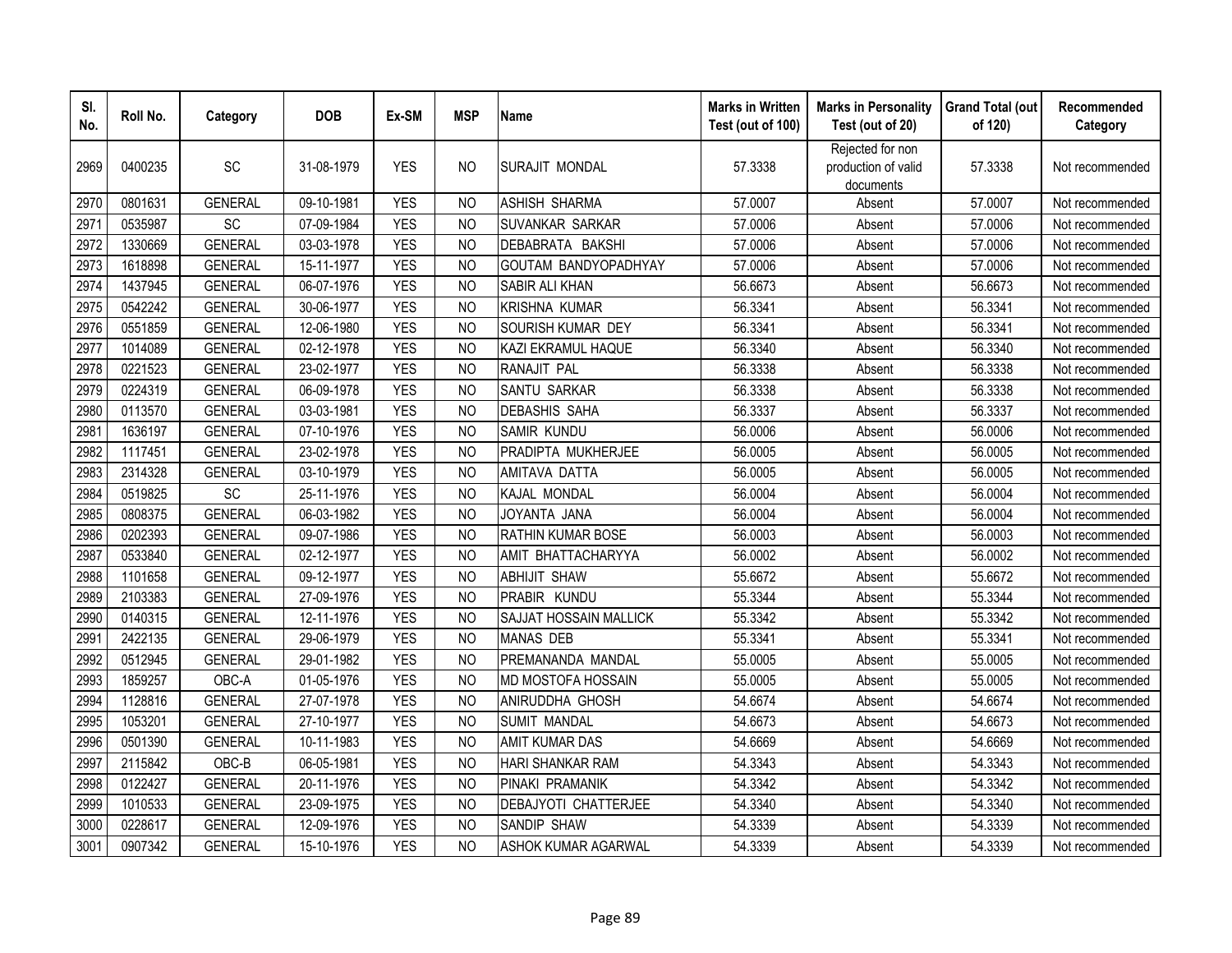| SI.<br>No. | Roll No. | Category       | <b>DOB</b> | Ex-SM      | <b>MSP</b>     | <b>Name</b>            | <b>Marks in Written</b><br>Test (out of 100) | <b>Marks in Personality</b><br>Test (out of 20)      | <b>Grand Total (out</b><br>of 120) | Recommended<br>Category |
|------------|----------|----------------|------------|------------|----------------|------------------------|----------------------------------------------|------------------------------------------------------|------------------------------------|-------------------------|
| 2969       | 0400235  | SC             | 31-08-1979 | <b>YES</b> | N <sub>O</sub> | SURAJIT MONDAL         | 57.3338                                      | Rejected for non<br>production of valid<br>documents | 57.3338                            | Not recommended         |
| 2970       | 0801631  | <b>GENERAL</b> | 09-10-1981 | <b>YES</b> | <b>NO</b>      | <b>ASHISH SHARMA</b>   | 57.0007                                      | Absent                                               | 57.0007                            | Not recommended         |
| 2971       | 0535987  | SC             | 07-09-1984 | <b>YES</b> | N <sub>O</sub> | SUVANKAR SARKAR        | 57.0006                                      | Absent                                               | 57.0006                            | Not recommended         |
| 2972       | 1330669  | <b>GENERAL</b> | 03-03-1978 | <b>YES</b> | <b>NO</b>      | DEBABRATA BAKSHI       | 57.0006                                      | Absent                                               | 57.0006                            | Not recommended         |
| 2973       | 1618898  | <b>GENERAL</b> | 15-11-1977 | <b>YES</b> | <b>NO</b>      | GOUTAM BANDYOPADHYAY   | 57.0006                                      | Absent                                               | 57.0006                            | Not recommended         |
| 2974       | 1437945  | <b>GENERAL</b> | 06-07-1976 | <b>YES</b> | <b>NO</b>      | <b>SABIR ALI KHAN</b>  | 56.6673                                      | Absent                                               | 56.6673                            | Not recommended         |
| 2975       | 0542242  | <b>GENERAL</b> | 30-06-1977 | <b>YES</b> | <b>NO</b>      | <b>KRISHNA KUMAR</b>   | 56.3341                                      | Absent                                               | 56.3341                            | Not recommended         |
| 2976       | 0551859  | <b>GENERAL</b> | 12-06-1980 | <b>YES</b> | <b>NO</b>      | SOURISH KUMAR DEY      | 56.3341                                      | Absent                                               | 56.3341                            | Not recommended         |
| 2977       | 1014089  | <b>GENERAL</b> | 02-12-1978 | <b>YES</b> | <b>NO</b>      | KAZI EKRAMUL HAQUE     | 56.3340                                      | Absent                                               | 56.3340                            | Not recommended         |
| 2978       | 0221523  | <b>GENERAL</b> | 23-02-1977 | <b>YES</b> | N <sub>O</sub> | RANAJIT PAL            | 56.3338                                      | Absent                                               | 56.3338                            | Not recommended         |
| 2979       | 0224319  | <b>GENERAL</b> | 06-09-1978 | <b>YES</b> | N <sub>O</sub> | SANTU SARKAR           | 56.3338                                      | Absent                                               | 56.3338                            | Not recommended         |
| 2980       | 0113570  | <b>GENERAL</b> | 03-03-1981 | <b>YES</b> | NO             | <b>DEBASHIS SAHA</b>   | 56.3337                                      | Absent                                               | 56.3337                            | Not recommended         |
| 2981       | 1636197  | <b>GENERAL</b> | 07-10-1976 | <b>YES</b> | <b>NO</b>      | SAMIR KUNDU            | 56.0006                                      | Absent                                               | 56.0006                            | Not recommended         |
| 2982       | 1117451  | <b>GENERAL</b> | 23-02-1978 | <b>YES</b> | N <sub>O</sub> | PRADIPTA MUKHERJEE     | 56.0005                                      | Absent                                               | 56.0005                            | Not recommended         |
| 2983       | 2314328  | <b>GENERAL</b> | 03-10-1979 | <b>YES</b> | N <sub>O</sub> | AMITAVA DATTA          | 56.0005                                      | Absent                                               | 56.0005                            | Not recommended         |
| 2984       | 0519825  | SC             | 25-11-1976 | <b>YES</b> | <b>NO</b>      | KAJAL MONDAL           | 56.0004                                      | Absent                                               | 56.0004                            | Not recommended         |
| 2985       | 0808375  | <b>GENERAL</b> | 06-03-1982 | <b>YES</b> | N <sub>O</sub> | JOYANTA JANA           | 56.0004                                      | Absent                                               | 56.0004                            | Not recommended         |
| 2986       | 0202393  | <b>GENERAL</b> | 09-07-1986 | <b>YES</b> | N <sub>O</sub> | RATHIN KUMAR BOSE      | 56.0003                                      | Absent                                               | 56.0003                            | Not recommended         |
| 2987       | 0533840  | <b>GENERAL</b> | 02-12-1977 | <b>YES</b> | <b>NO</b>      | AMIT BHATTACHARYYA     | 56.0002                                      | Absent                                               | 56.0002                            | Not recommended         |
| 2988       | 1101658  | <b>GENERAL</b> | 09-12-1977 | <b>YES</b> | N <sub>O</sub> | <b>ABHIJIT SHAW</b>    | 55.6672                                      | Absent                                               | 55.6672                            | Not recommended         |
| 2989       | 2103383  | <b>GENERAL</b> | 27-09-1976 | <b>YES</b> | <b>NO</b>      | PRABIR KUNDU           | 55.3344                                      | Absent                                               | 55.3344                            | Not recommended         |
| 2990       | 0140315  | <b>GENERAL</b> | 12-11-1976 | <b>YES</b> | <b>NO</b>      | SAJJAT HOSSAIN MALLICK | 55.3342                                      | Absent                                               | 55.3342                            | Not recommended         |
| 2991       | 2422135  | <b>GENERAL</b> | 29-06-1979 | <b>YES</b> | <b>NO</b>      | <b>MANAS DEB</b>       | 55.3341                                      | Absent                                               | 55.3341                            | Not recommended         |
| 2992       | 0512945  | <b>GENERAL</b> | 29-01-1982 | <b>YES</b> | <b>NO</b>      | PREMANANDA MANDAL      | 55.0005                                      | Absent                                               | 55.0005                            | Not recommended         |
| 2993       | 1859257  | OBC-A          | 01-05-1976 | <b>YES</b> | <b>NO</b>      | MD MOSTOFA HOSSAIN     | 55.0005                                      | Absent                                               | 55.0005                            | Not recommended         |
| 2994       | 1128816  | <b>GENERAL</b> | 27-07-1978 | <b>YES</b> | <b>NO</b>      | ANIRUDDHA GHOSH        | 54.6674                                      | Absent                                               | 54.6674                            | Not recommended         |
| 2995       | 1053201  | <b>GENERAL</b> | 27-10-1977 | <b>YES</b> | <b>NO</b>      | <b>SUMIT MANDAL</b>    | 54.6673                                      | Absent                                               | 54.6673                            | Not recommended         |
| 2996       | 0501390  | <b>GENERAL</b> | 10-11-1983 | <b>YES</b> | <b>NO</b>      | <b>AMIT KUMAR DAS</b>  | 54.6669                                      | Absent                                               | 54.6669                            | Not recommended         |
| 2997       | 2115842  | OBC-B          | 06-05-1981 | <b>YES</b> | <b>NO</b>      | HARI SHANKAR RAM       | 54.3343                                      | Absent                                               | 54.3343                            | Not recommended         |
| 2998       | 0122427  | <b>GENERAL</b> | 20-11-1976 | <b>YES</b> | <b>NO</b>      | PINAKI PRAMANIK        | 54.3342                                      | Absent                                               | 54.3342                            | Not recommended         |
| 2999       | 1010533  | <b>GENERAL</b> | 23-09-1975 | <b>YES</b> | <b>NO</b>      | DEBAJYOTI CHATTERJEE   | 54.3340                                      | Absent                                               | 54.3340                            | Not recommended         |
| 3000       | 0228617  | <b>GENERAL</b> | 12-09-1976 | <b>YES</b> | <b>NO</b>      | SANDIP SHAW            | 54.3339                                      | Absent                                               | 54.3339                            | Not recommended         |
| 3001       | 0907342  | <b>GENERAL</b> | 15-10-1976 | <b>YES</b> | <b>NO</b>      | ASHOK KUMAR AGARWAL    | 54.3339                                      | Absent                                               | 54.3339                            | Not recommended         |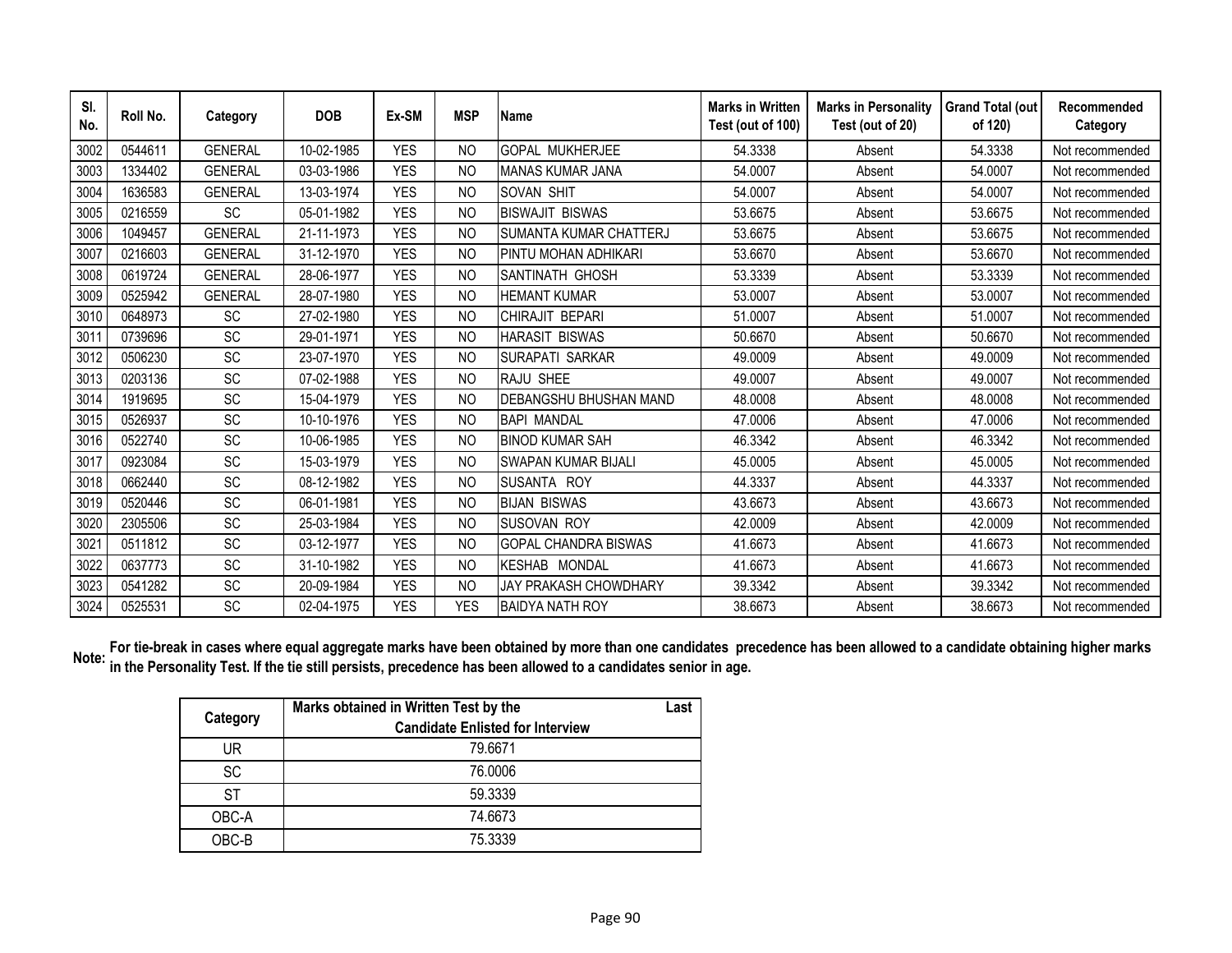| SI.<br>No. | Roll No. | Category       | <b>DOB</b> | Ex-SM      | <b>MSP</b>     | <b>Name</b>                   | <b>Marks in Written</b><br>Test (out of 100) | <b>Marks in Personality</b><br>Test (out of 20) | <b>Grand Total (out</b><br>of 120) | Recommended<br>Category |
|------------|----------|----------------|------------|------------|----------------|-------------------------------|----------------------------------------------|-------------------------------------------------|------------------------------------|-------------------------|
| 3002       | 0544611  | <b>GENERAL</b> | 10-02-1985 | <b>YES</b> | N <sub>O</sub> | <b>GOPAL MUKHERJEE</b>        | 54.3338                                      | Absent                                          | 54.3338                            | Not recommended         |
| 3003       | 1334402  | <b>GENERAL</b> | 03-03-1986 | <b>YES</b> | N <sub>O</sub> | <b>MANAS KUMAR JANA</b>       | 54.0007                                      | Absent                                          | 54.0007                            | Not recommended         |
| 3004       | 1636583  | <b>GENERAL</b> | 13-03-1974 | <b>YES</b> | NO.            | <b>SOVAN SHIT</b>             | 54.0007                                      | Absent                                          | 54.0007                            | Not recommended         |
| 3005       | 0216559  | <b>SC</b>      | 05-01-1982 | <b>YES</b> | N <sub>O</sub> | <b>BISWAJIT BISWAS</b>        | 53.6675                                      | Absent                                          | 53.6675                            | Not recommended         |
| 3006       | 1049457  | <b>GENERAL</b> | 21-11-1973 | <b>YES</b> | <b>NO</b>      | <b>SUMANTA KUMAR CHATTERJ</b> | 53.6675                                      | Absent                                          | 53.6675                            | Not recommended         |
| 3007       | 0216603  | <b>GENERAL</b> | 31-12-1970 | <b>YES</b> | N <sub>O</sub> | PINTU MOHAN ADHIKARI          | 53.6670                                      | Absent                                          | 53.6670                            | Not recommended         |
| 3008       | 0619724  | <b>GENERAL</b> | 28-06-1977 | <b>YES</b> | N <sub>O</sub> | SANTINATH GHOSH               | 53.3339                                      | Absent                                          | 53.3339                            | Not recommended         |
| 3009       | 0525942  | <b>GENERAL</b> | 28-07-1980 | <b>YES</b> | N <sub>O</sub> | <b>HEMANT KUMAR</b>           | 53.0007                                      | Absent                                          | 53.0007                            | Not recommended         |
| 3010       | 0648973  | <b>SC</b>      | 27-02-1980 | <b>YES</b> | <b>NO</b>      | CHIRAJIT BEPARI               | 51.0007                                      | Absent                                          | 51.0007                            | Not recommended         |
| 3011       | 0739696  | SC             | 29-01-1971 | <b>YES</b> | N <sub>O</sub> | <b>HARASIT BISWAS</b>         | 50.6670                                      | Absent                                          | 50.6670                            | Not recommended         |
| 3012       | 0506230  | SC             | 23-07-1970 | <b>YES</b> | <b>NO</b>      | <b>SURAPATI SARKAR</b>        | 49.0009                                      | Absent                                          | 49.0009                            | Not recommended         |
| 3013       | 0203136  | SC             | 07-02-1988 | <b>YES</b> | <b>NO</b>      | RAJU SHEE                     | 49.0007                                      | Absent                                          | 49.0007                            | Not recommended         |
| 3014       | 1919695  | SC             | 15-04-1979 | <b>YES</b> | <b>NO</b>      | <b>DEBANGSHU BHUSHAN MAND</b> | 48.0008                                      | Absent                                          | 48.0008                            | Not recommended         |
| 3015       | 0526937  | SC             | 10-10-1976 | <b>YES</b> | <b>NO</b>      | <b>BAPI MANDAL</b>            | 47.0006                                      | Absent                                          | 47.0006                            | Not recommended         |
| 3016       | 0522740  | <b>SC</b>      | 10-06-1985 | <b>YES</b> | <b>NO</b>      | <b>BINOD KUMAR SAH</b>        | 46.3342                                      | Absent                                          | 46.3342                            | Not recommended         |
| 3017       | 0923084  | SC             | 15-03-1979 | <b>YFS</b> | <b>NO</b>      | <b>SWAPAN KUMAR BIJALI</b>    | 45.0005                                      | Absent                                          | 45.0005                            | Not recommended         |
| 3018       | 0662440  | SC             | 08-12-1982 | <b>YES</b> | N <sub>O</sub> | SUSANTA ROY                   | 44.3337                                      | Absent                                          | 44.3337                            | Not recommended         |
| 3019       | 0520446  | SC             | 06-01-1981 | <b>YES</b> | N <sub>O</sub> | <b>BIJAN BISWAS</b>           | 43.6673                                      | Absent                                          | 43.6673                            | Not recommended         |
| 3020       | 2305506  | SC             | 25-03-1984 | <b>YES</b> | N <sub>O</sub> | <b>SUSOVAN ROY</b>            | 42.0009                                      | Absent                                          | 42.0009                            | Not recommended         |
| 3021       | 0511812  | SC             | 03-12-1977 | <b>YES</b> | NO.            | <b>GOPAL CHANDRA BISWAS</b>   | 41.6673                                      | Absent                                          | 41.6673                            | Not recommended         |
| 3022       | 0637773  | <b>SC</b>      | 31-10-1982 | <b>YES</b> | N <sub>O</sub> | KESHAB MONDAL                 | 41.6673                                      | Absent                                          | 41.6673                            | Not recommended         |
| 3023       | 0541282  | <b>SC</b>      | 20-09-1984 | <b>YES</b> | <b>NO</b>      | JAY PRAKASH CHOWDHARY         | 39.3342                                      | Absent                                          | 39.3342                            | Not recommended         |
| 3024       | 0525531  | SC             | 02-04-1975 | <b>YES</b> | <b>YES</b>     | <b>BAIDYA NATH ROY</b>        | 38.6673                                      | Absent                                          | 38.6673                            | Not recommended         |

For tie-break in cases where equal aggregate marks have been obtained by more than one candidates precedence has been allowed to a candidate obtaining higher marks <br>Note: in the Personality Test, If the tis etill namiste, **in the Personality Test. If the tie still persists, precedence has been allowed to a candidates senior in age.** 

| Category  | Marks obtained in Written Test by the<br><b>Candidate Enlisted for Interview</b> | Last |
|-----------|----------------------------------------------------------------------------------|------|
| UR        | 79.6671                                                                          |      |
| <b>SC</b> | 76.0006                                                                          |      |
| ST        | 59.3339                                                                          |      |
| OBC-A     | 74.6673                                                                          |      |
| OBC-B     | 75.3339                                                                          |      |